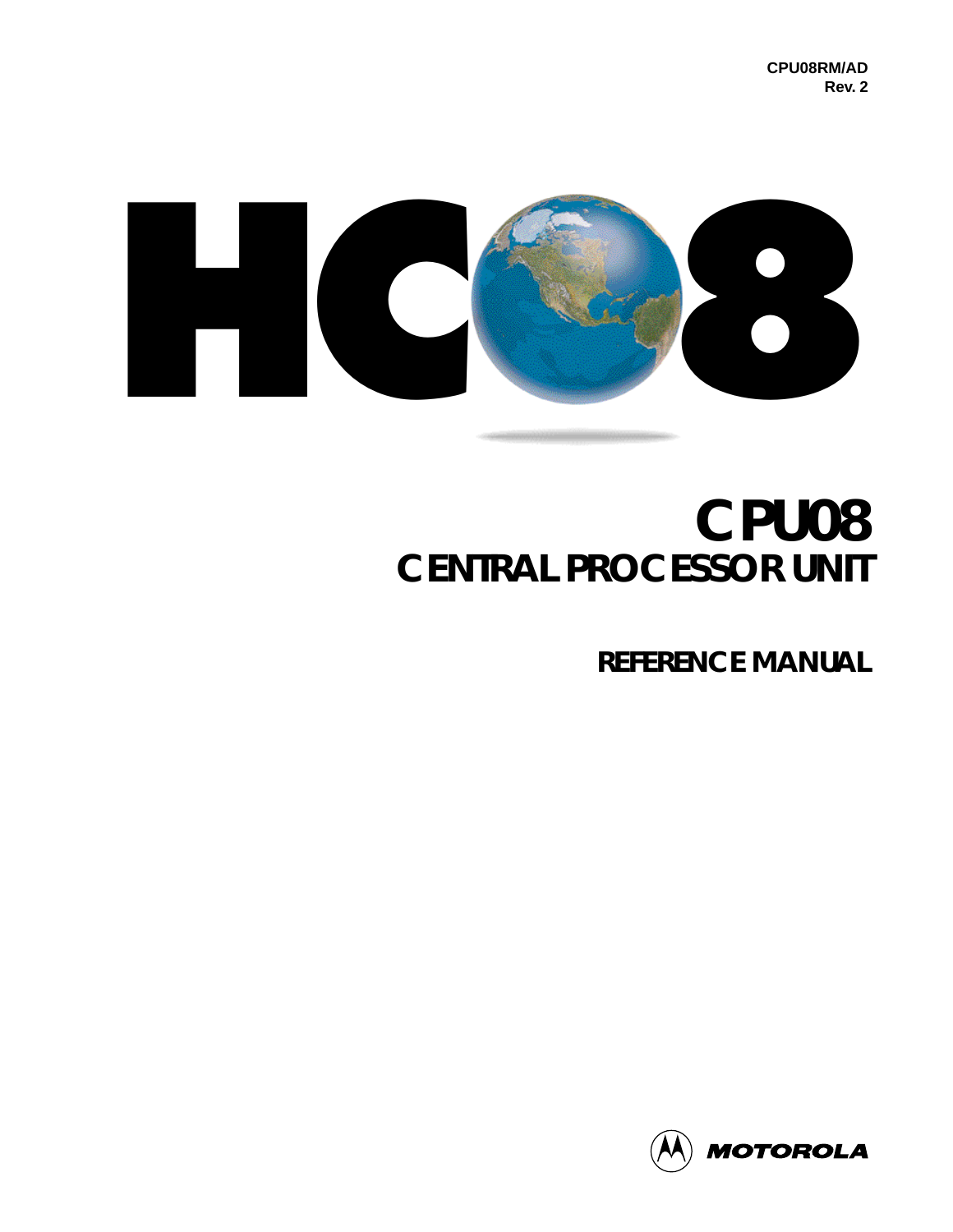

# **CPU08 CENTRAL PROCESSOR UNIT**

**REFERENCE MANUAL**

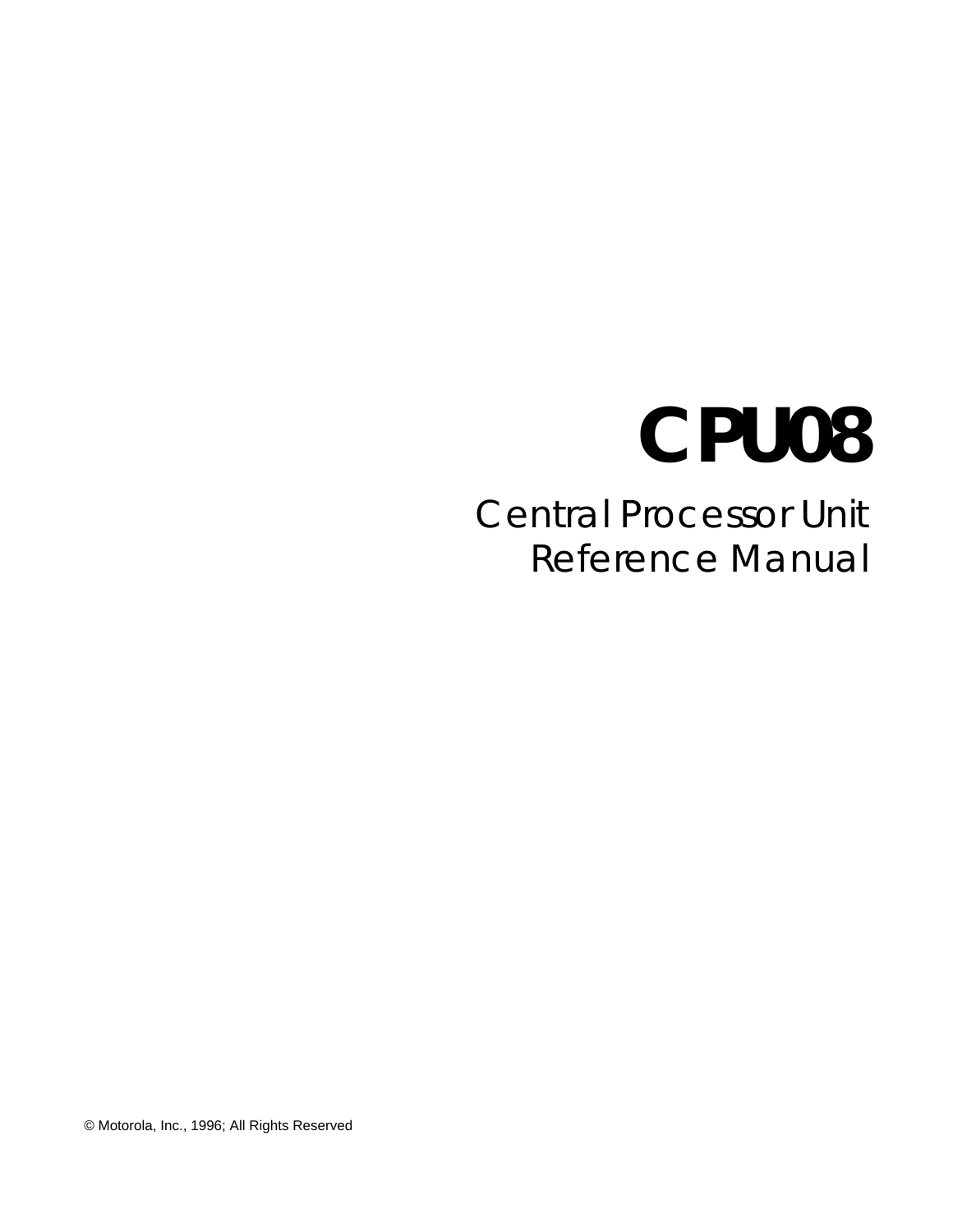# **CPU08**

Central Processor Unit Reference Manual

© Motorola, Inc., 1996; All Rights Reserved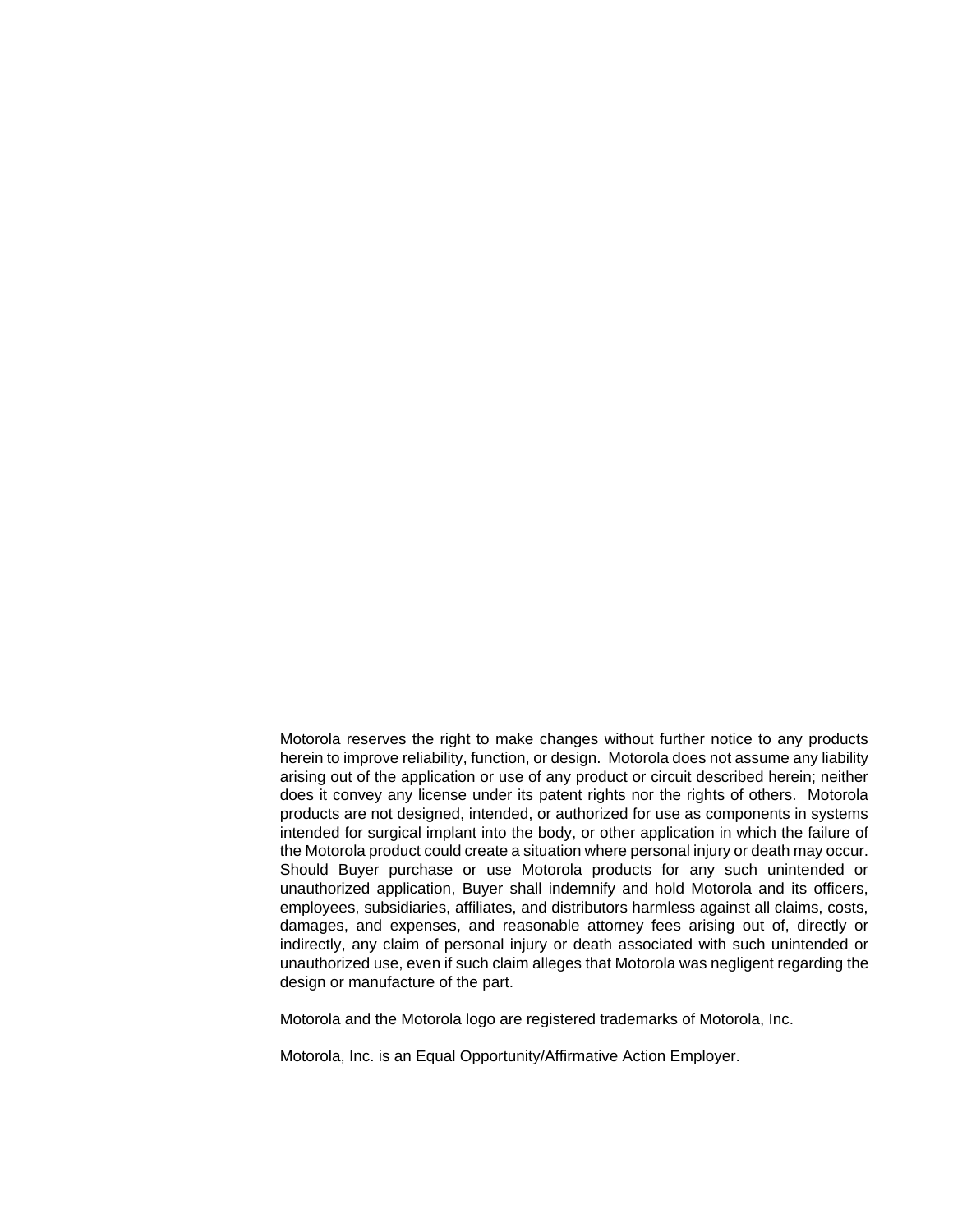Motorola reserves the right to make changes without further notice to any products herein to improve reliability, function, or design. Motorola does not assume any liability arising out of the application or use of any product or circuit described herein; neither does it convey any license under its patent rights nor the rights of others. Motorola products are not designed, intended, or authorized for use as components in systems intended for surgical implant into the body, or other application in which the failure of the Motorola product could create a situation where personal injury or death may occur. Should Buyer purchase or use Motorola products for any such unintended or unauthorized application, Buyer shall indemnify and hold Motorola and its officers, employees, subsidiaries, affiliates, and distributors harmless against all claims, costs, damages, and expenses, and reasonable attorney fees arising out of, directly or indirectly, any claim of personal injury or death associated with such unintended or unauthorized use, even if such claim alleges that Motorola was negligent regarding the design or manufacture of the part.

Motorola and the Motorola logo are registered trademarks of Motorola, Inc.

Motorola, Inc. is an Equal Opportunity/Affirmative Action Employer.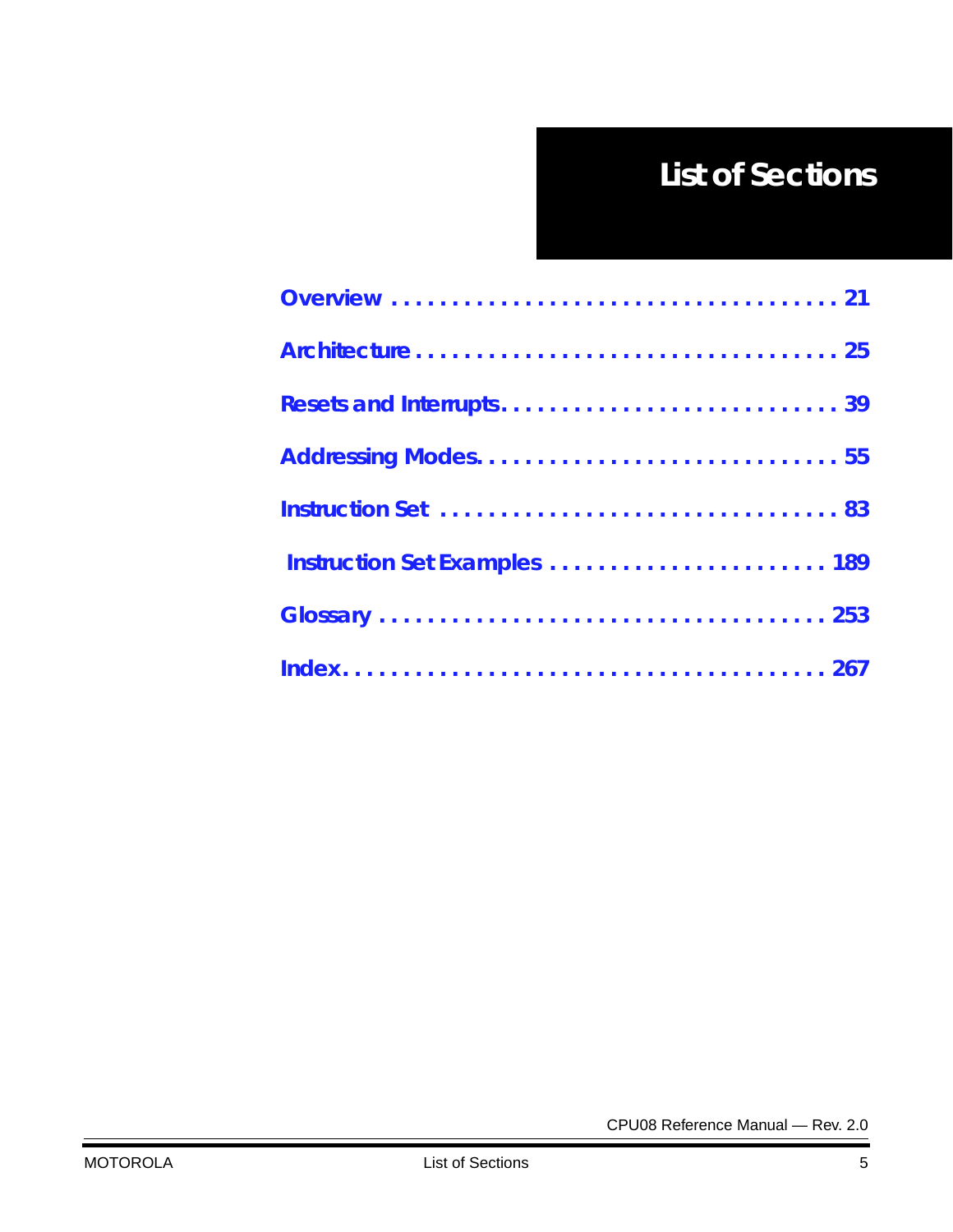# **List of Sections**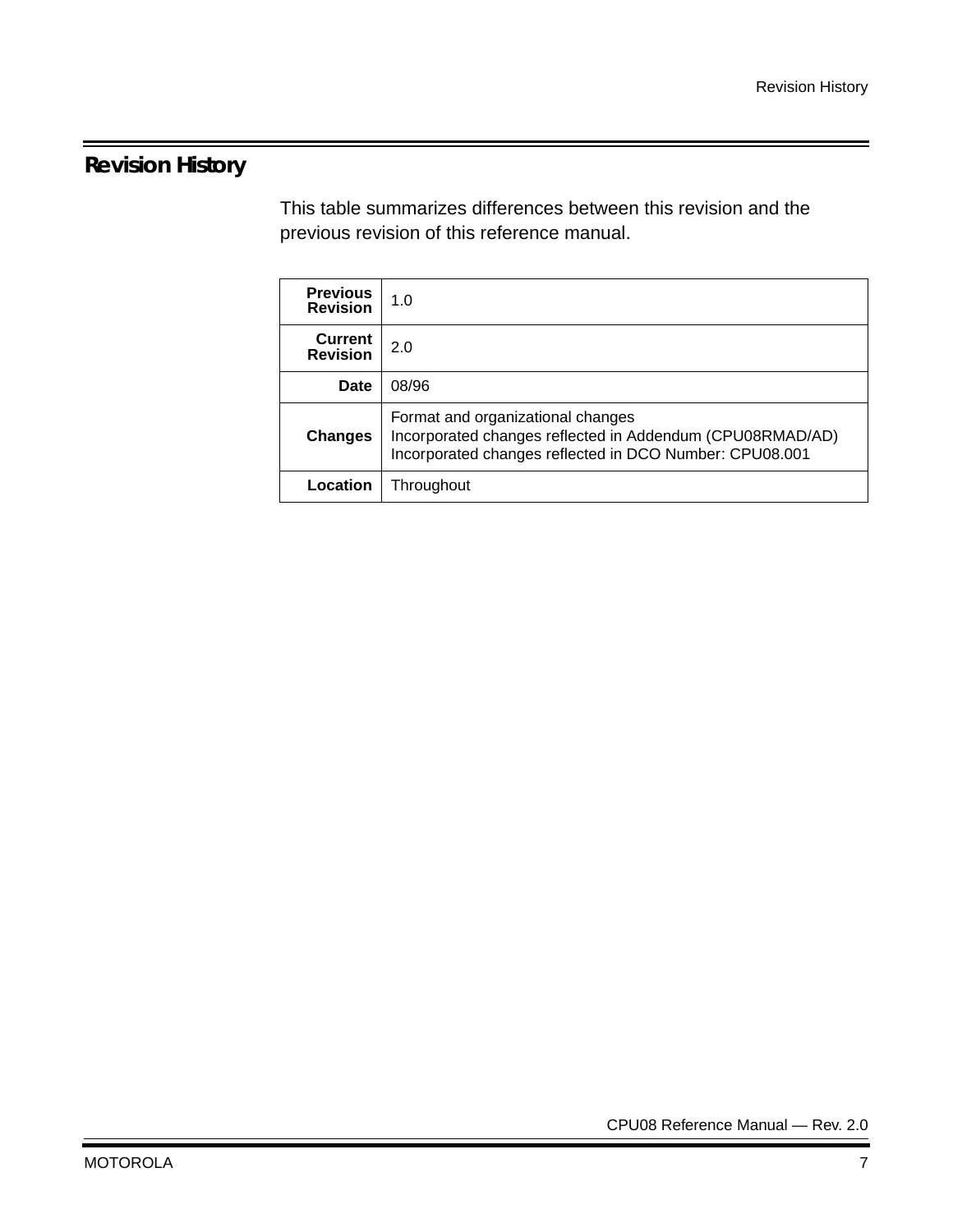# **Revision History**

This table summarizes differences between this revision and the previous revision of this reference manual.

| <b>Previous</b><br><b>Revision</b> | 1.0                                                                                                                                                       |
|------------------------------------|-----------------------------------------------------------------------------------------------------------------------------------------------------------|
| <b>Current</b><br><b>Revision</b>  | 2.0                                                                                                                                                       |
| Date                               | 08/96                                                                                                                                                     |
| <b>Changes</b>                     | Format and organizational changes<br>Incorporated changes reflected in Addendum (CPU08RMAD/AD)<br>Incorporated changes reflected in DCO Number: CPU08.001 |
| Location                           | Throughout                                                                                                                                                |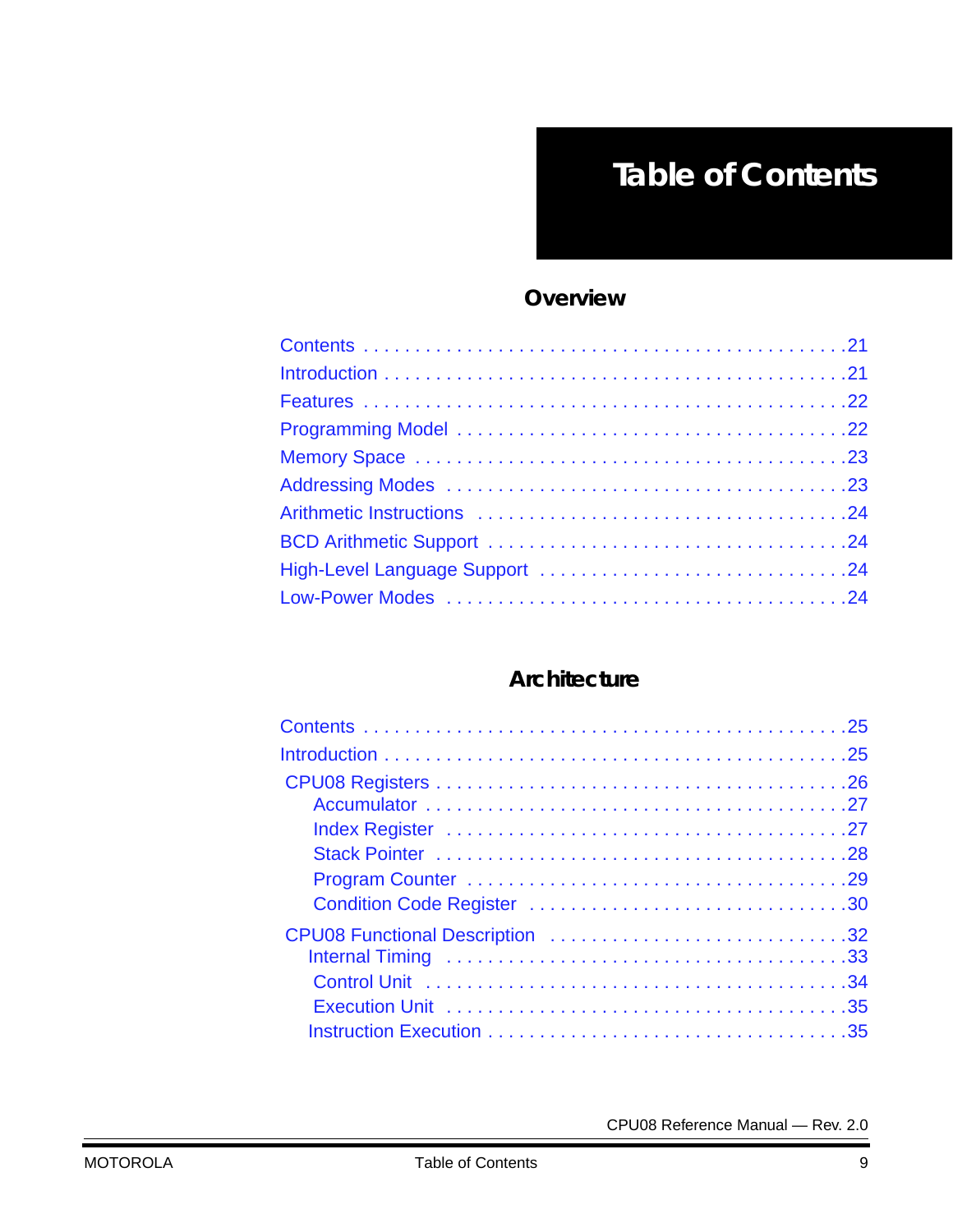# **Table of Contents**

#### **[Overview](#page-20-0)**

## **[Architecture](#page-24-0)**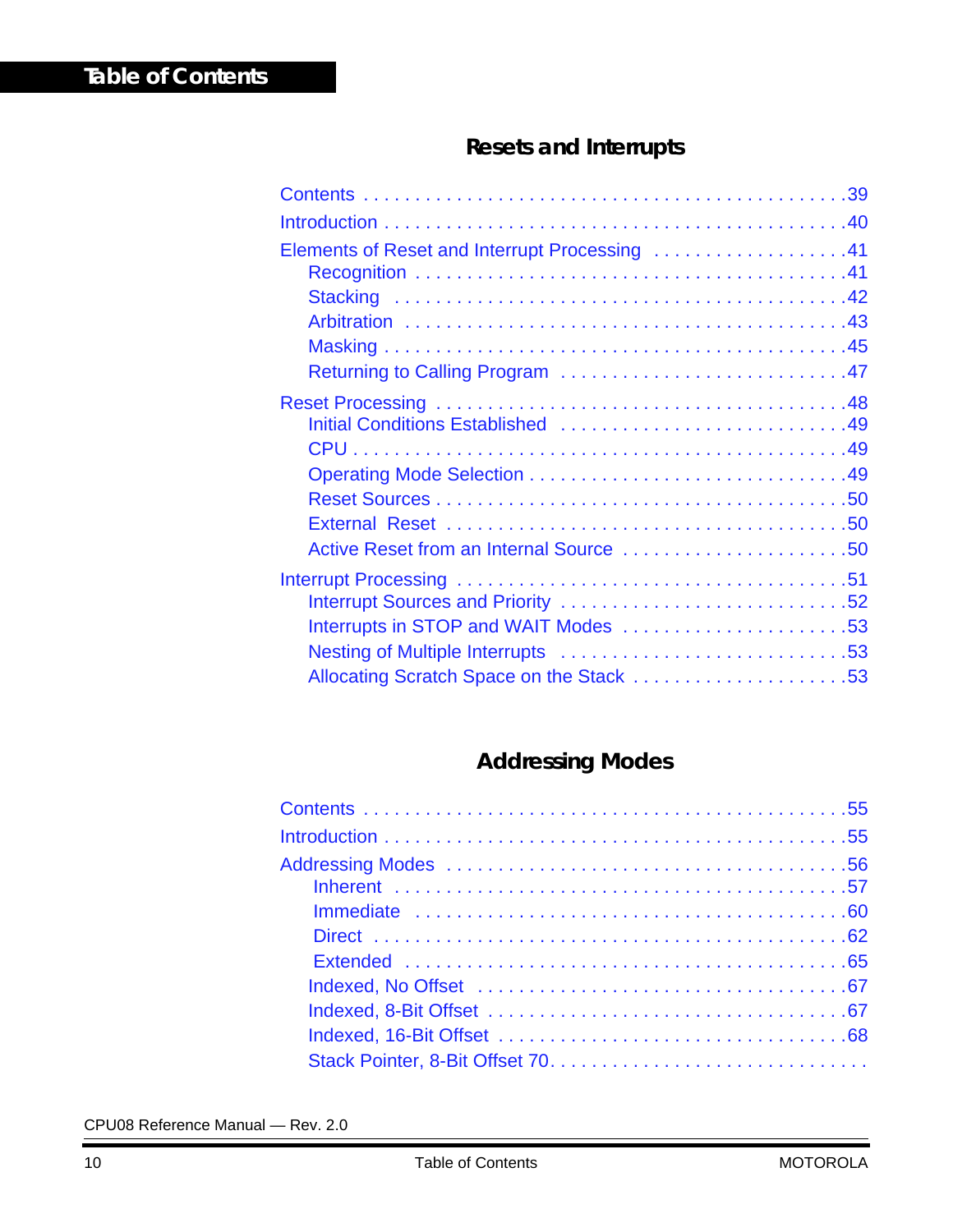# **[Resets and Interrupts](#page-38-0)**

| Elements of Reset and Interrupt Processing 41                                                                         |
|-----------------------------------------------------------------------------------------------------------------------|
| Active Reset from an Internal Source 50                                                                               |
| Interrupt Sources and Priority 52<br>Interrupts in STOP and WAIT Modes 53<br>Allocating Scratch Space on the Stack 53 |

# **[Addressing Modes](#page-54-0)**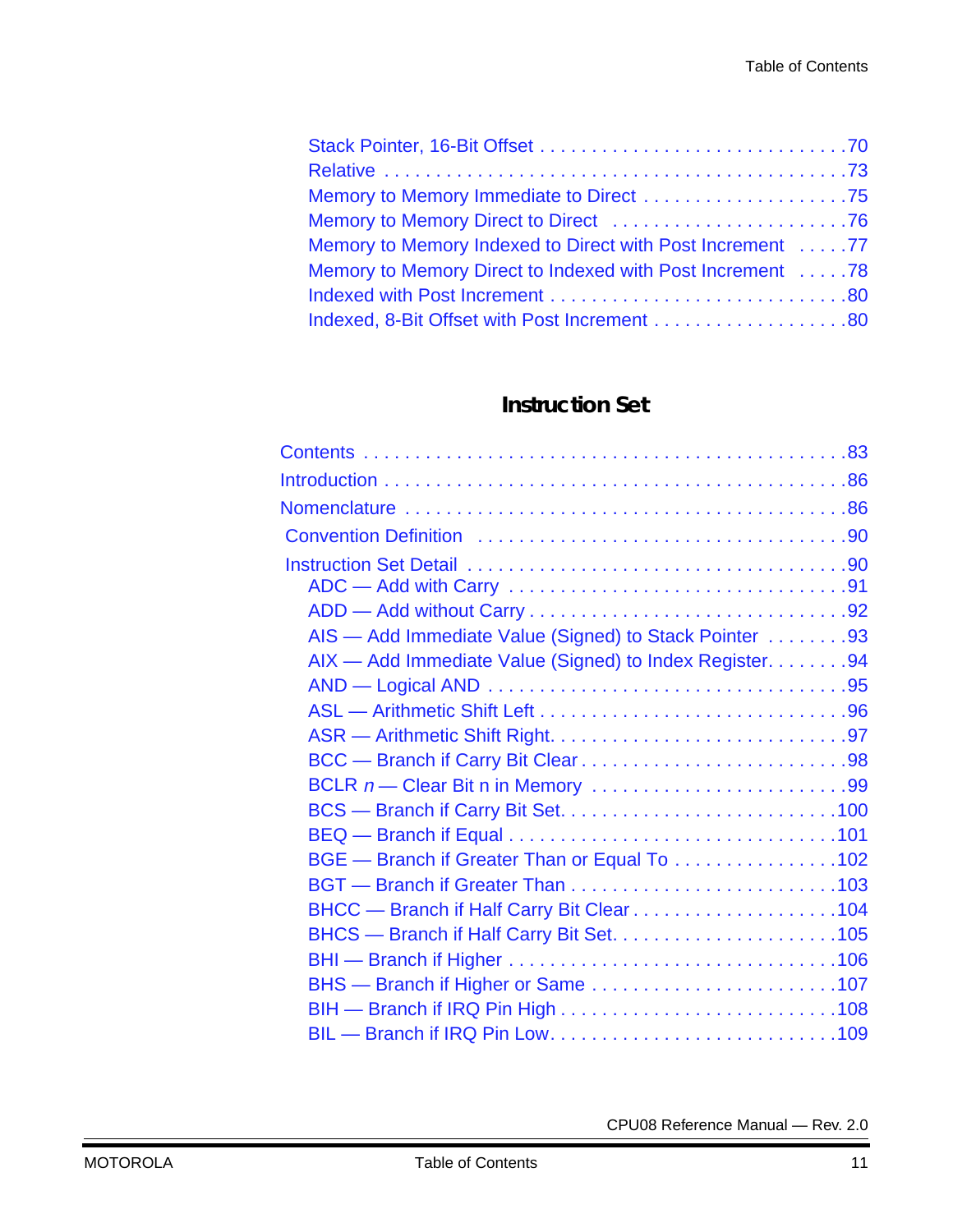| Memory to Memory Indexed to Direct with Post Increment 77 |  |
|-----------------------------------------------------------|--|
| Memory to Memory Direct to Indexed with Post Increment 78 |  |
|                                                           |  |
|                                                           |  |

# **[Instruction Set](#page-82-0)**

| AIS - Add Immediate Value (Signed) to Stack Pointer 93   |  |
|----------------------------------------------------------|--|
| AIX - Add Immediate Value (Signed) to Index Register. 94 |  |
|                                                          |  |
|                                                          |  |
|                                                          |  |
|                                                          |  |
|                                                          |  |
|                                                          |  |
|                                                          |  |
| BGE - Branch if Greater Than or Equal To 102             |  |
|                                                          |  |
| BHCC - Branch if Half Carry Bit Clear104                 |  |
|                                                          |  |
|                                                          |  |
| BHS - Branch if Higher or Same 107                       |  |
|                                                          |  |
|                                                          |  |
|                                                          |  |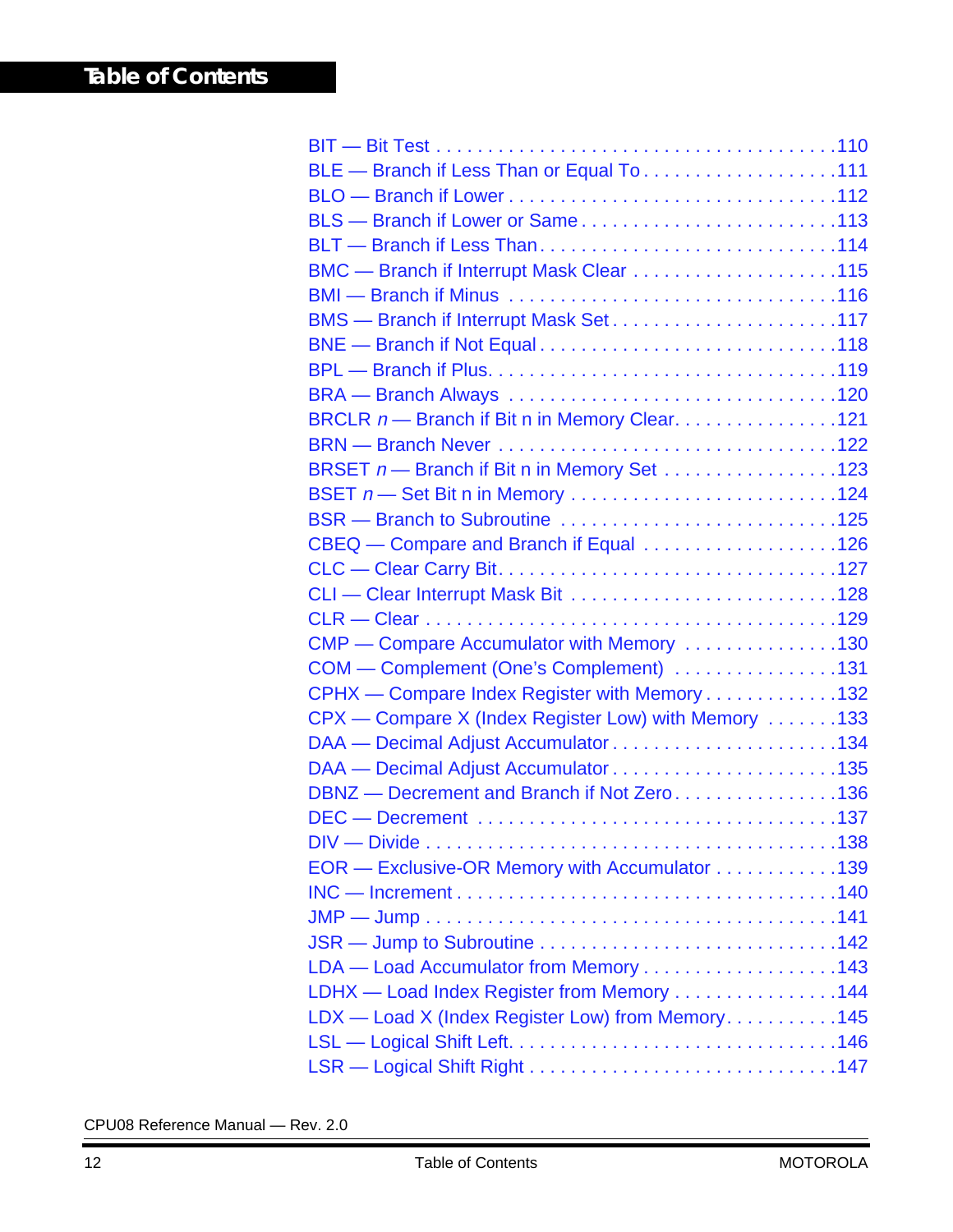| BLE - Branch if Less Than or Equal To111             |
|------------------------------------------------------|
|                                                      |
| BLS - Branch if Lower or Same113                     |
| BLT - Branch if Less Than114                         |
|                                                      |
|                                                      |
|                                                      |
|                                                      |
|                                                      |
|                                                      |
| BRCLR n - Branch if Bit n in Memory Clear. 121       |
|                                                      |
| BRSET n-Branch if Bit n in Memory Set 123            |
| BSET $n$ - Set Bit n in Memory 124                   |
| BSR - Branch to Subroutine 125                       |
| CBEQ - Compare and Branch if Equal 126               |
|                                                      |
|                                                      |
|                                                      |
| CMP - Compare Accumulator with Memory 130            |
| COM - Complement (One's Complement) 131              |
| CPHX - Compare Index Register with Memory 132        |
| CPX - Compare X (Index Register Low) with Memory 133 |
|                                                      |
|                                                      |
| DBNZ - Decrement and Branch if Not Zero136           |
|                                                      |
|                                                      |
| EOR - Exclusive-OR Memory with Accumulator 139       |
|                                                      |
|                                                      |
|                                                      |
| LDA - Load Accumulator from Memory 143               |
| LDHX - Load Index Register from Memory 144           |
| LDX - Load X (Index Register Low) from Memory. 145   |
|                                                      |
|                                                      |
|                                                      |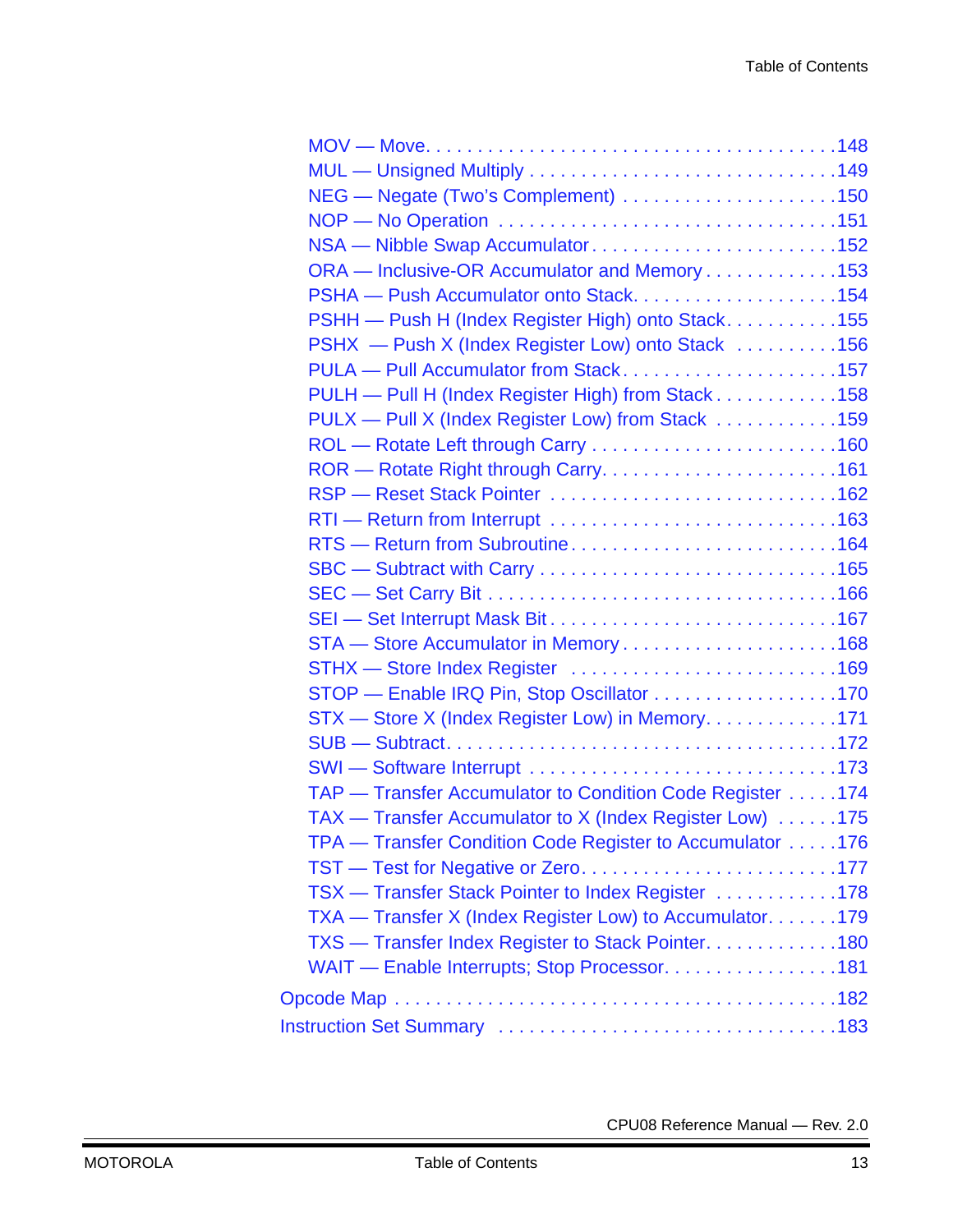| NEG - Negate (Two's Complement) 150                       |  |
|-----------------------------------------------------------|--|
|                                                           |  |
| NSA - Nibble Swap Accumulator152                          |  |
| ORA - Inclusive-OR Accumulator and Memory 153             |  |
|                                                           |  |
| PSHH - Push H (Index Register High) onto Stack. 155       |  |
| PSHX - Push X (Index Register Low) onto Stack 156         |  |
| PULA - Pull Accumulator from Stack157                     |  |
| PULH - Pull H (Index Register High) from Stack 158        |  |
| PULX - Pull X (Index Register Low) from Stack 159         |  |
| ROL - Rotate Left through Carry 160                       |  |
|                                                           |  |
|                                                           |  |
|                                                           |  |
| RTS - Return from Subroutine164                           |  |
|                                                           |  |
|                                                           |  |
|                                                           |  |
| STA - Store Accumulator in Memory 168                     |  |
|                                                           |  |
| STOP - Enable IRQ Pin, Stop Oscillator 170                |  |
| STX - Store X (Index Register Low) in Memory. 171         |  |
|                                                           |  |
|                                                           |  |
| TAP - Transfer Accumulator to Condition Code Register 174 |  |
| TAX — Transfer Accumulator to X (Index Register Low) 175  |  |
| TPA - Transfer Condition Code Register to Accumulator 176 |  |
|                                                           |  |
| TSX - Transfer Stack Pointer to Index Register 178        |  |
| TXA - Transfer X (Index Register Low) to Accumulator. 179 |  |
| TXS - Transfer Index Register to Stack Pointer. 180       |  |
| WAIT - Enable Interrupts; Stop Processor. 181             |  |
|                                                           |  |
|                                                           |  |
|                                                           |  |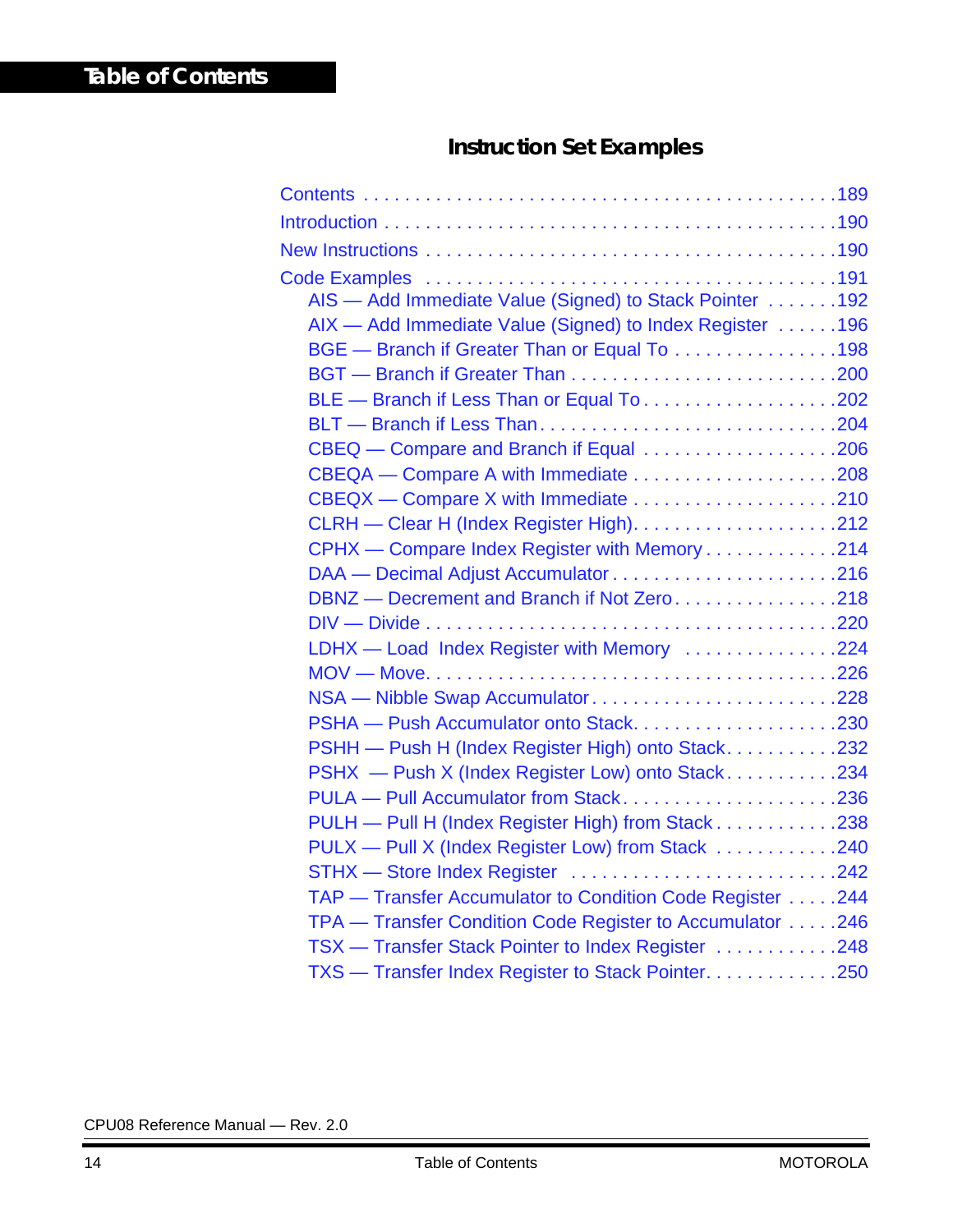# **[Instruction Set Examples](#page-188-0)**

| AIS - Add Immediate Value (Signed) to Stack Pointer 192   |  |
|-----------------------------------------------------------|--|
| AIX - Add Immediate Value (Signed) to Index Register 196  |  |
| BGE - Branch if Greater Than or Equal To 198              |  |
|                                                           |  |
|                                                           |  |
| BLT - Branch if Less Than204                              |  |
| CBEQ — Compare and Branch if Equal 206                    |  |
|                                                           |  |
|                                                           |  |
|                                                           |  |
| CPHX - Compare Index Register with Memory 214             |  |
|                                                           |  |
| DBNZ - Decrement and Branch if Not Zero218                |  |
|                                                           |  |
| LDHX - Load Index Register with Memory 224                |  |
|                                                           |  |
| NSA - Nibble Swap Accumulator228                          |  |
|                                                           |  |
| PSHH - Push H (Index Register High) onto Stack. 232       |  |
| PSHX - Push X (Index Register Low) onto Stack234          |  |
| PULA - Pull Accumulator from Stack236                     |  |
| PULH - Pull H (Index Register High) from Stack 238        |  |
| PULX - Pull X (Index Register Low) from Stack 240         |  |
| STHX - Store Index Register 242                           |  |
| TAP - Transfer Accumulator to Condition Code Register 244 |  |
| TPA - Transfer Condition Code Register to Accumulator 246 |  |
| TSX - Transfer Stack Pointer to Index Register 248        |  |
| TXS - Transfer Index Register to Stack Pointer. 250       |  |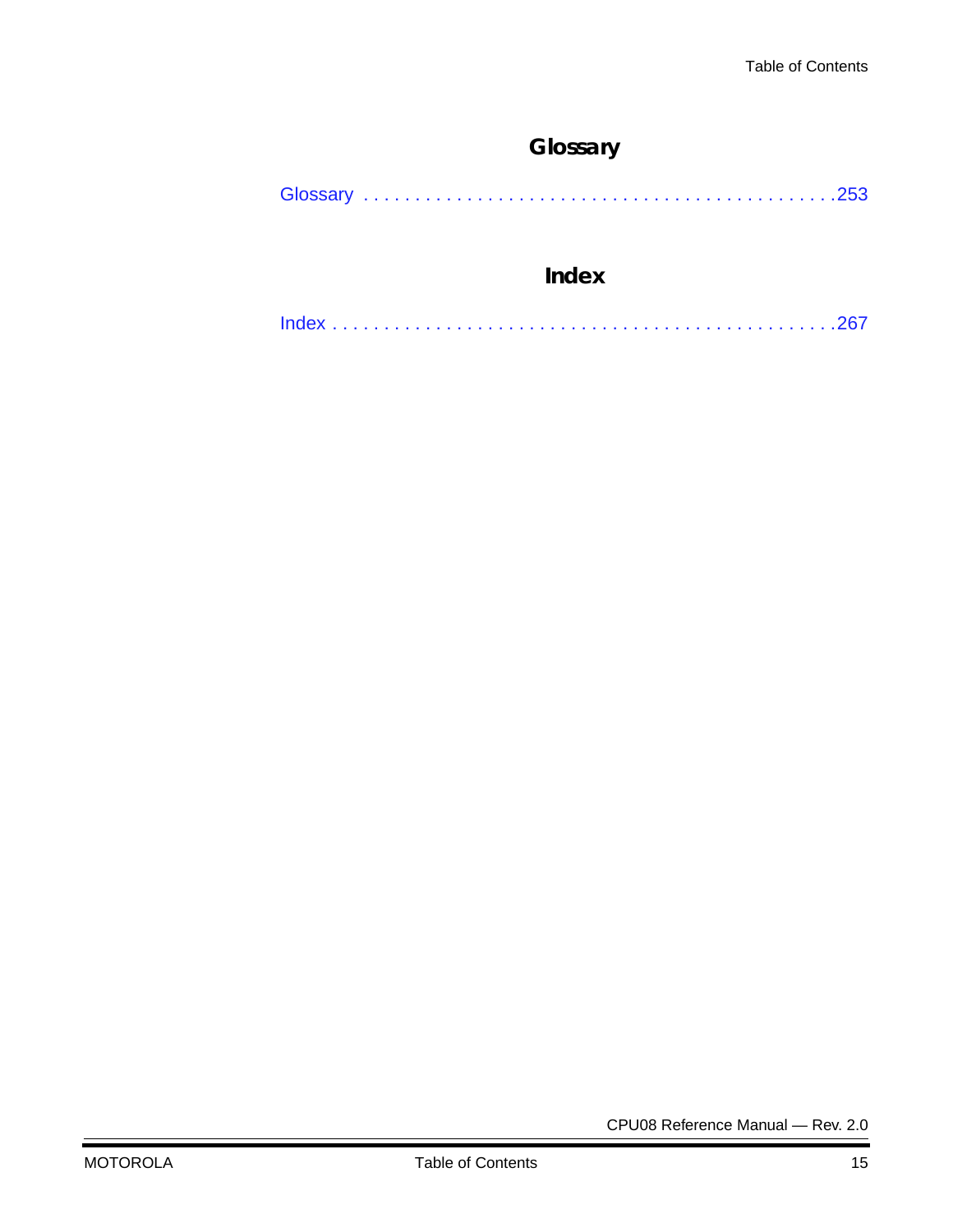# **Glossary**

|--|--|--|--|--|--|--|--|--|--|--|--|--|--|--|--|--|--|--|--|--|--|--|--|--|--|--|--|--|--|--|--|

# **Index**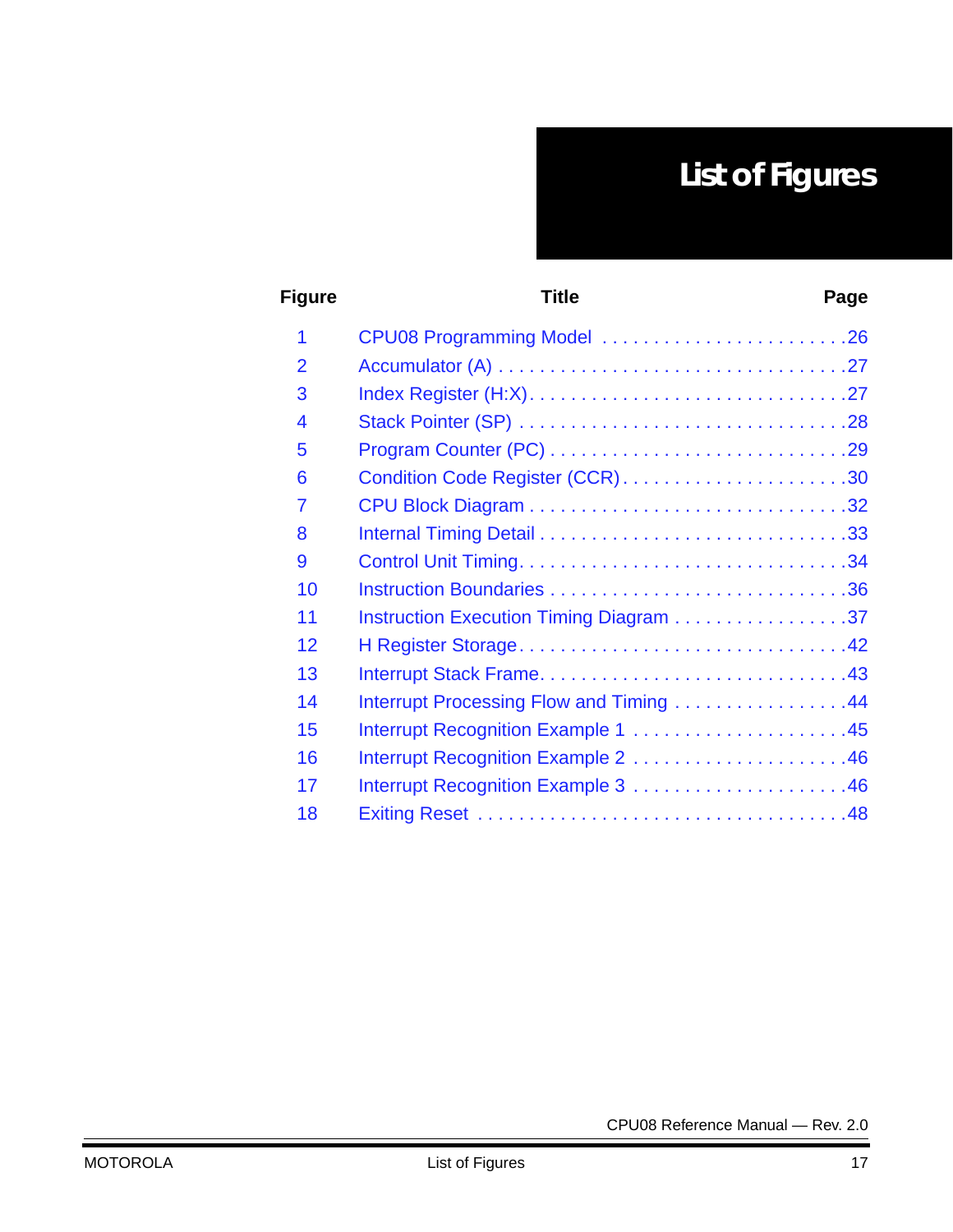# **List of Figures**

| <b>Figure</b>           | <b>Title</b>                            | Page |
|-------------------------|-----------------------------------------|------|
| 1                       | CPU08 Programming Model 26              |      |
| $\overline{2}$          |                                         |      |
| 3                       |                                         |      |
| $\overline{\mathbf{4}}$ |                                         |      |
| 5                       |                                         |      |
| 6                       |                                         |      |
| 7                       |                                         |      |
| 8                       |                                         |      |
| 9                       |                                         |      |
| 10                      |                                         |      |
| 11                      | Instruction Execution Timing Diagram 37 |      |
| 12                      |                                         |      |
| 13                      | Interrupt Stack Frame43                 |      |
| 14                      | Interrupt Processing Flow and Timing 44 |      |
| 15                      | Interrupt Recognition Example 1 45      |      |
| 16                      | Interrupt Recognition Example 2 46      |      |
| 17                      |                                         |      |
| 18                      |                                         |      |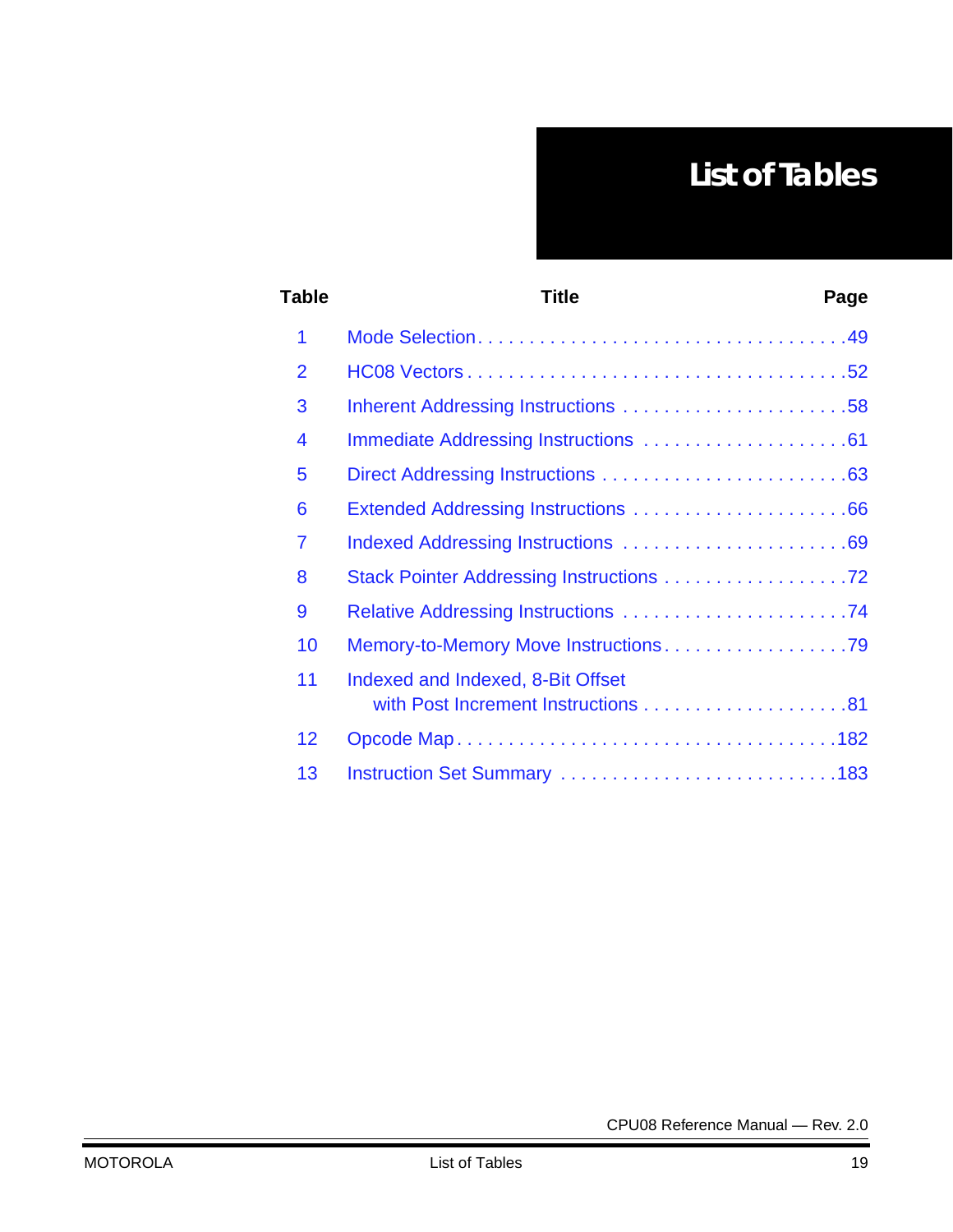# **List of Tables**

| Table           | <b>Title</b>                        | Page |
|-----------------|-------------------------------------|------|
| 1               |                                     |      |
| $\overline{2}$  |                                     |      |
| 3               | Inherent Addressing Instructions 58 |      |
| 4               |                                     |      |
| 5               |                                     |      |
| 6               | Extended Addressing Instructions 66 |      |
| 7               | Indexed Addressing Instructions 69  |      |
| 8               |                                     |      |
| 9               | Relative Addressing Instructions 74 |      |
| 10              |                                     |      |
| 11              | Indexed and Indexed, 8-Bit Offset   |      |
| 12 <sup>2</sup> |                                     |      |
| 13              | Instruction Set Summary 183         |      |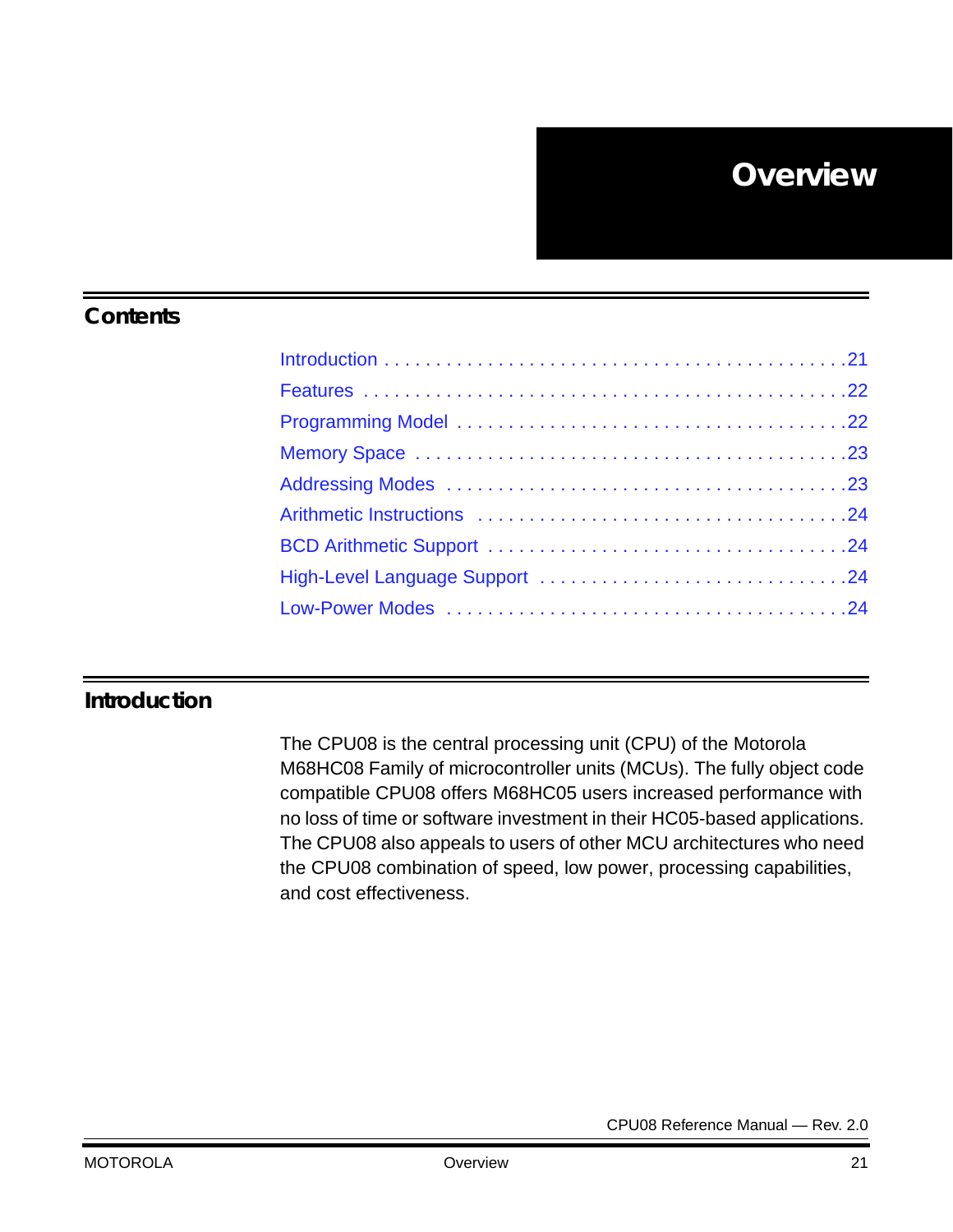# **Overview**

## <span id="page-20-0"></span>**Contents**

## **Introduction**

The CPU08 is the central processing unit (CPU) of the Motorola M68HC08 Family of microcontroller units (MCUs). The fully object code compatible CPU08 offers M68HC05 users increased performance with no loss of time or software investment in their HC05-based applications. The CPU08 also appeals to users of other MCU architectures who need the CPU08 combination of speed, low power, processing capabilities, and cost effectiveness.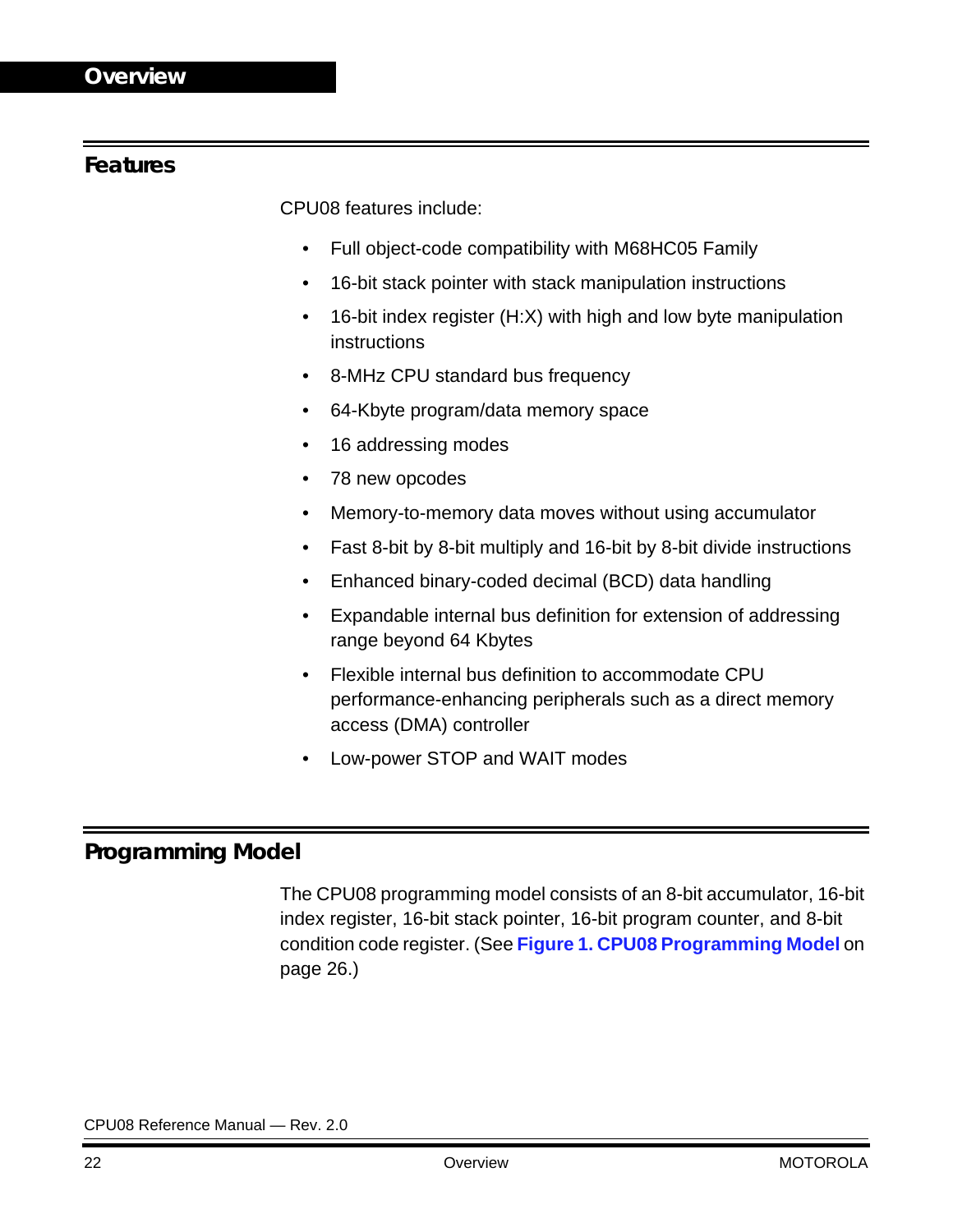## <span id="page-21-0"></span>**Features**

CPU08 features include:

- Full object-code compatibility with M68HC05 Family
- 16-bit stack pointer with stack manipulation instructions
- 16-bit index register (H:X) with high and low byte manipulation instructions
- 8-MHz CPU standard bus frequency
- 64-Kbyte program/data memory space
- 16 addressing modes
- 78 new opcodes
- Memory-to-memory data moves without using accumulator
- Fast 8-bit by 8-bit multiply and 16-bit by 8-bit divide instructions
- Enhanced binary-coded decimal (BCD) data handling
- Expandable internal bus definition for extension of addressing range beyond 64 Kbytes
- Flexible internal bus definition to accommodate CPU performance-enhancing peripherals such as a direct memory access (DMA) controller
- Low-power STOP and WAIT modes

# **Programming Model**

The CPU08 programming model consists of an 8-bit accumulator, 16-bit index register, 16-bit stack pointer, 16-bit program counter, and 8-bit condition code register. (See **[Figure 1. CPU08 Programming Model](#page-25-0)** on [page 26](#page-25-0).)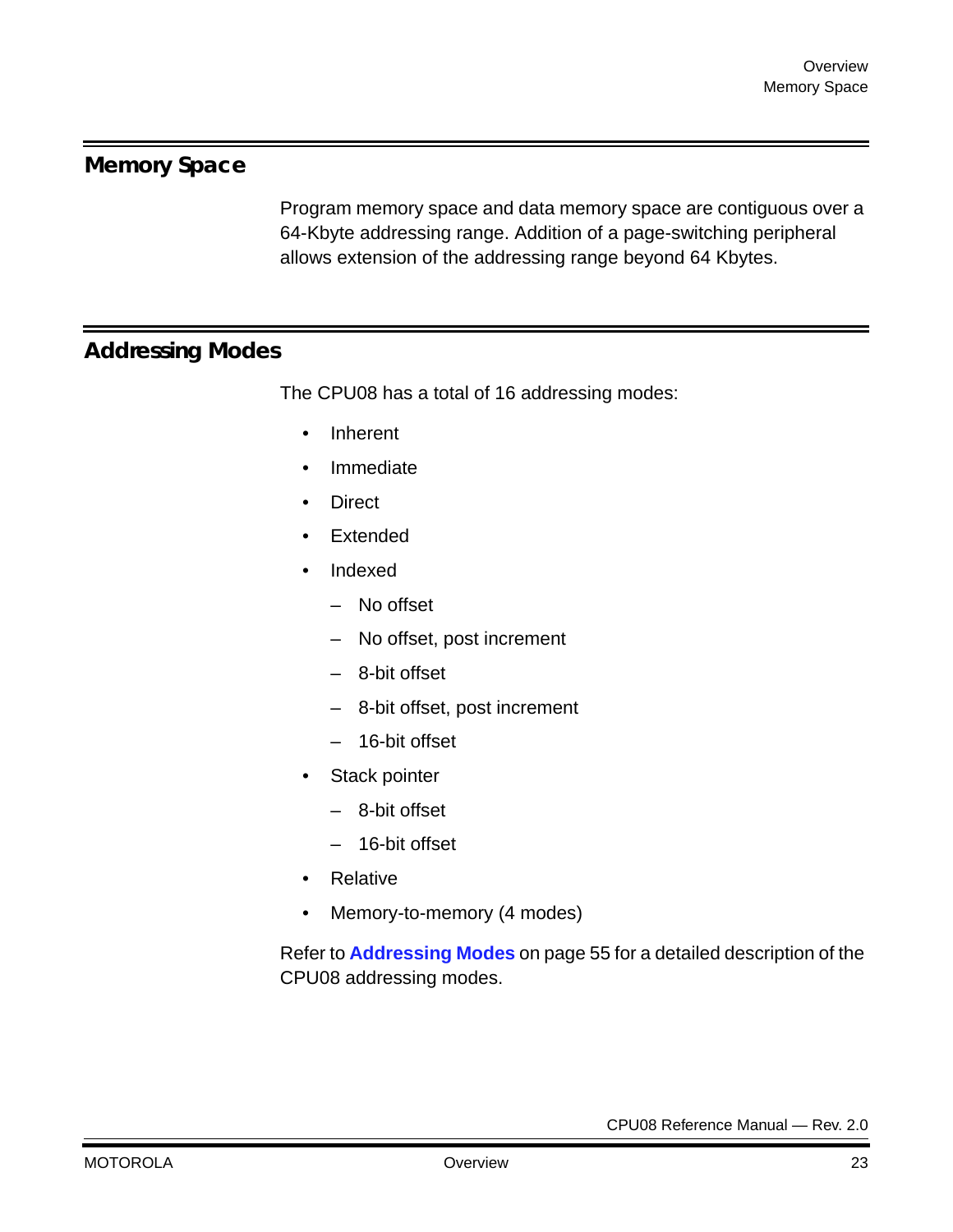#### <span id="page-22-0"></span>**Memory Space**

Program memory space and data memory space are contiguous over a 64-Kbyte addressing range. Addition of a page-switching peripheral allows extension of the addressing range beyond 64 Kbytes.

#### **Addressing Modes**

The CPU08 has a total of 16 addressing modes:

- Inherent
- Immediate
- Direct
- Extended
- Indexed
	- No offset
	- No offset, post increment
	- 8-bit offset
	- 8-bit offset, post increment
	- 16-bit offset
- Stack pointer
	- 8-bit offset
	- 16-bit offset
- **Relative**
- Memory-to-memory (4 modes)

Refer to **[Addressing Modes](#page-54-0)** on page 55 for a detailed description of the CPU08 addressing modes.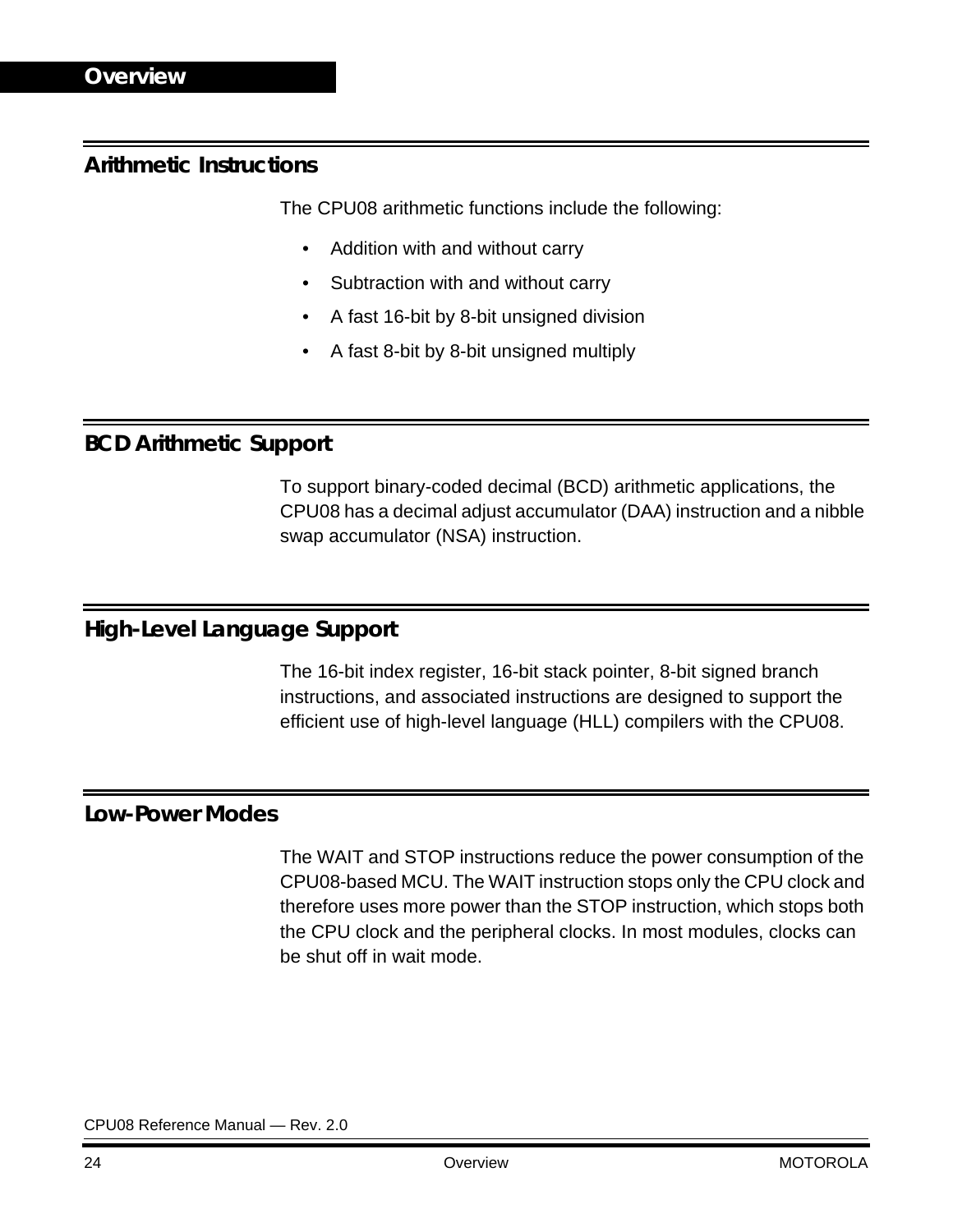#### <span id="page-23-0"></span>**Arithmetic Instructions**

The CPU08 arithmetic functions include the following:

- Addition with and without carry
- Subtraction with and without carry
- A fast 16-bit by 8-bit unsigned division
- A fast 8-bit by 8-bit unsigned multiply

#### **BCD Arithmetic Support**

To support binary-coded decimal (BCD) arithmetic applications, the CPU08 has a decimal adjust accumulator (DAA) instruction and a nibble swap accumulator (NSA) instruction.

#### **High-Level Language Support**

The 16-bit index register, 16-bit stack pointer, 8-bit signed branch instructions, and associated instructions are designed to support the efficient use of high-level language (HLL) compilers with the CPU08.

#### **Low-Power Modes**

The WAIT and STOP instructions reduce the power consumption of the CPU08-based MCU. The WAIT instruction stops only the CPU clock and therefore uses more power than the STOP instruction, which stops both the CPU clock and the peripheral clocks. In most modules, clocks can be shut off in wait mode.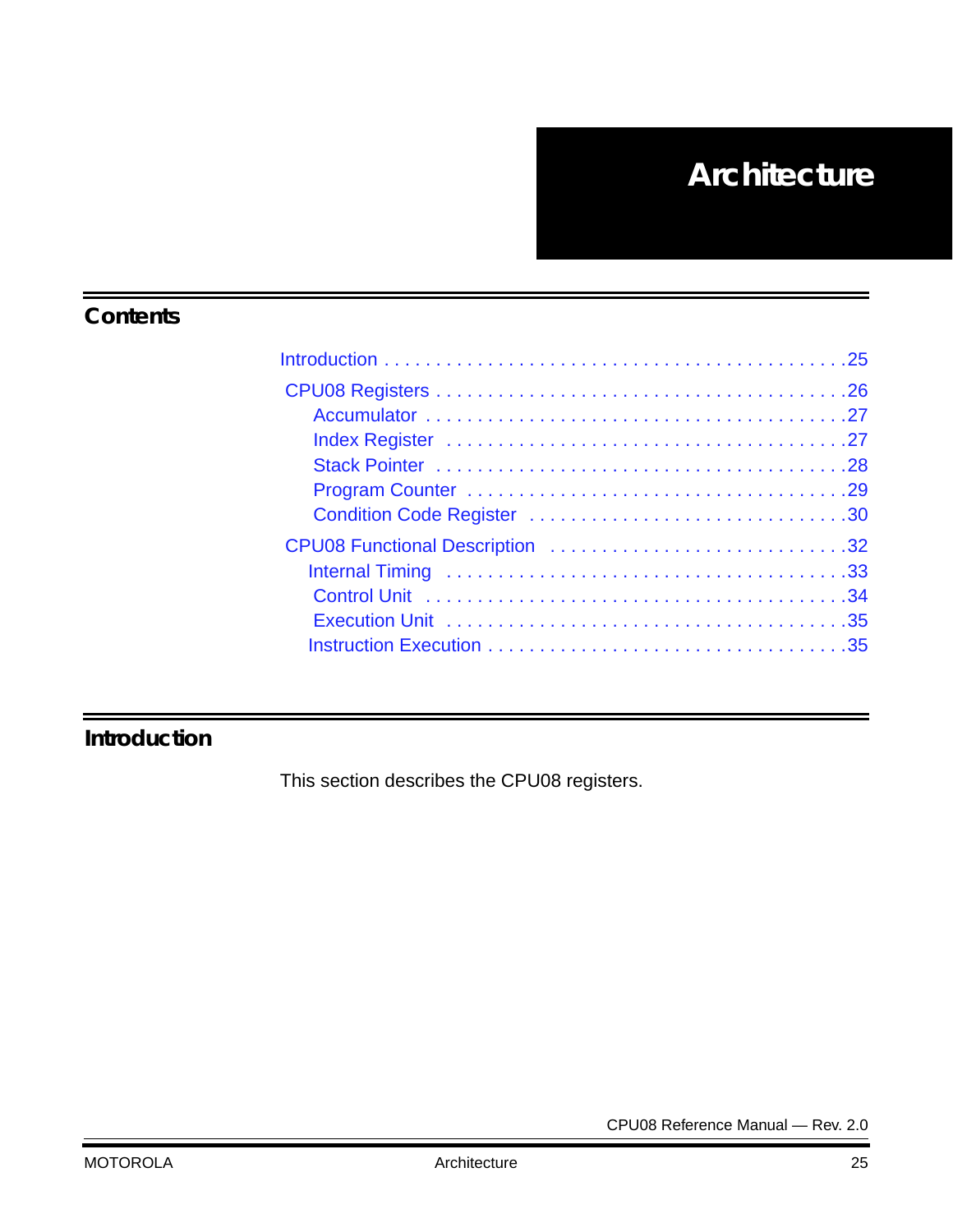# **Architecture**

# <span id="page-24-0"></span>**Contents**

# **Introduction**

This section describes the CPU08 registers.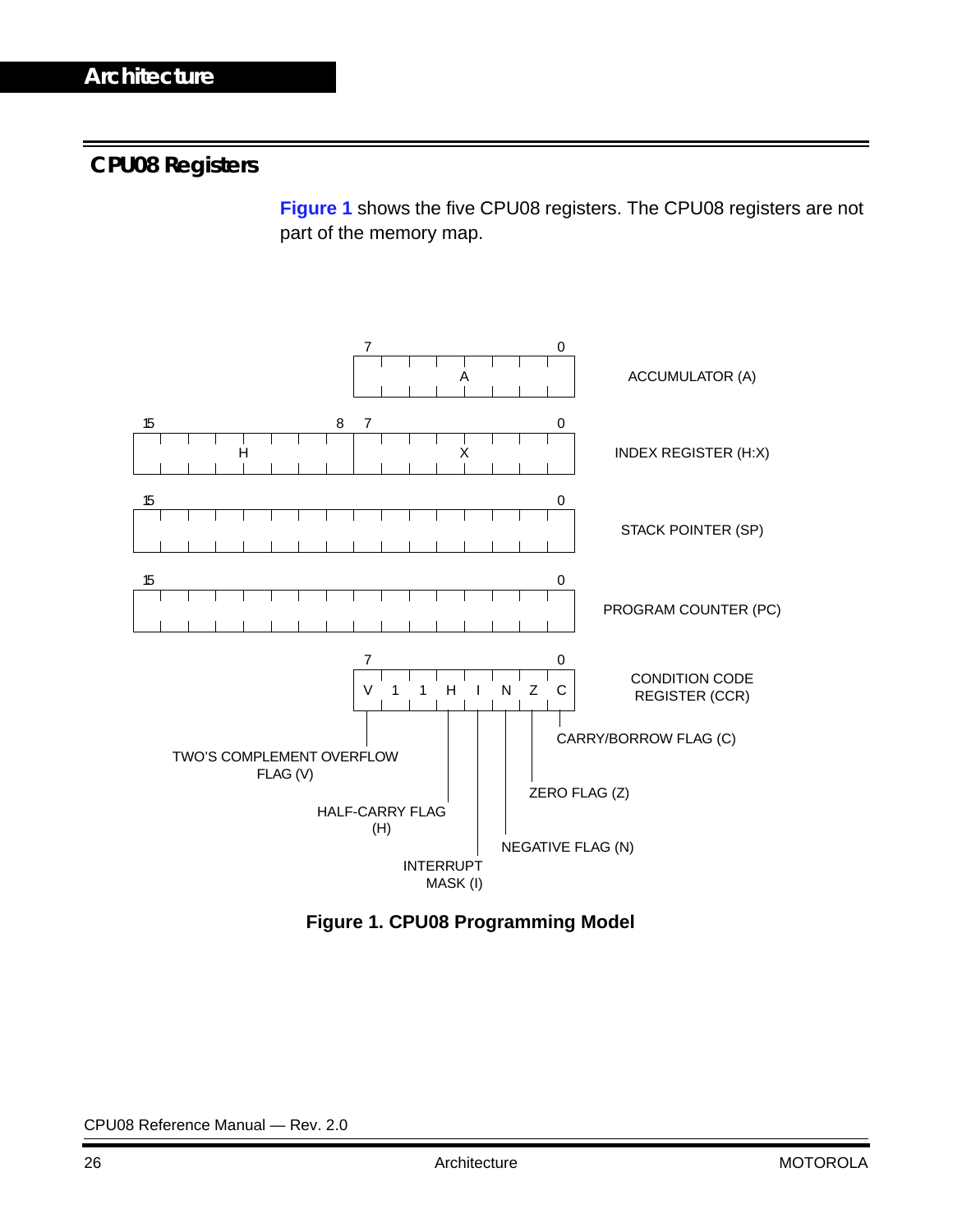## <span id="page-25-0"></span> **CPU08 Registers**

**Figure 1** shows the five CPU08 registers. The CPU08 registers are not part of the memory map.



**Figure 1. CPU08 Programming Model**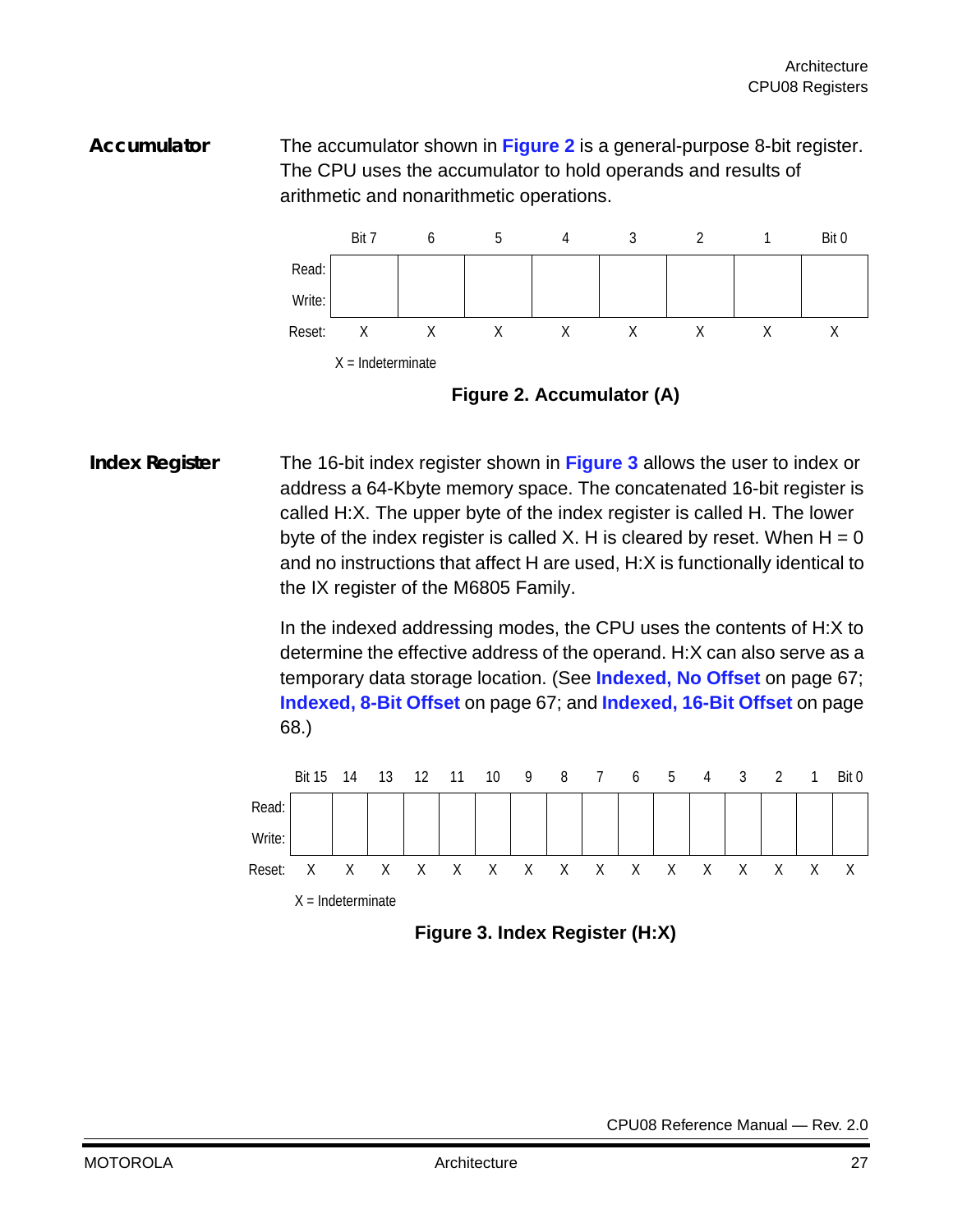<span id="page-26-0"></span> **Accumulator** The accumulator shown in **Figure 2** is a general-purpose 8-bit register. The CPU uses the accumulator to hold operands and results of arithmetic and nonarithmetic operations.



 **Index Register** The 16-bit index register shown in **Figure 3** allows the user to index or address a 64-Kbyte memory space. The concatenated 16-bit register is called H:X. The upper byte of the index register is called H. The lower byte of the index register is called X. H is cleared by reset. When  $H = 0$ and no instructions that affect H are used, H:X is functionally identical to the IX register of the M6805 Family.

> In the indexed addressing modes, the CPU uses the contents of H:X to determine the effective address of the operand. H:X can also serve as a temporary data storage location. (See **[Indexed, No Offset](#page-66-0)** on page 67; **[Indexed, 8-Bit Offset](#page-66-0)** on page 67; and **[Indexed, 16-Bit Offset](#page-67-0)** on page [68](#page-67-0).)



**Figure 3. Index Register (H:X)**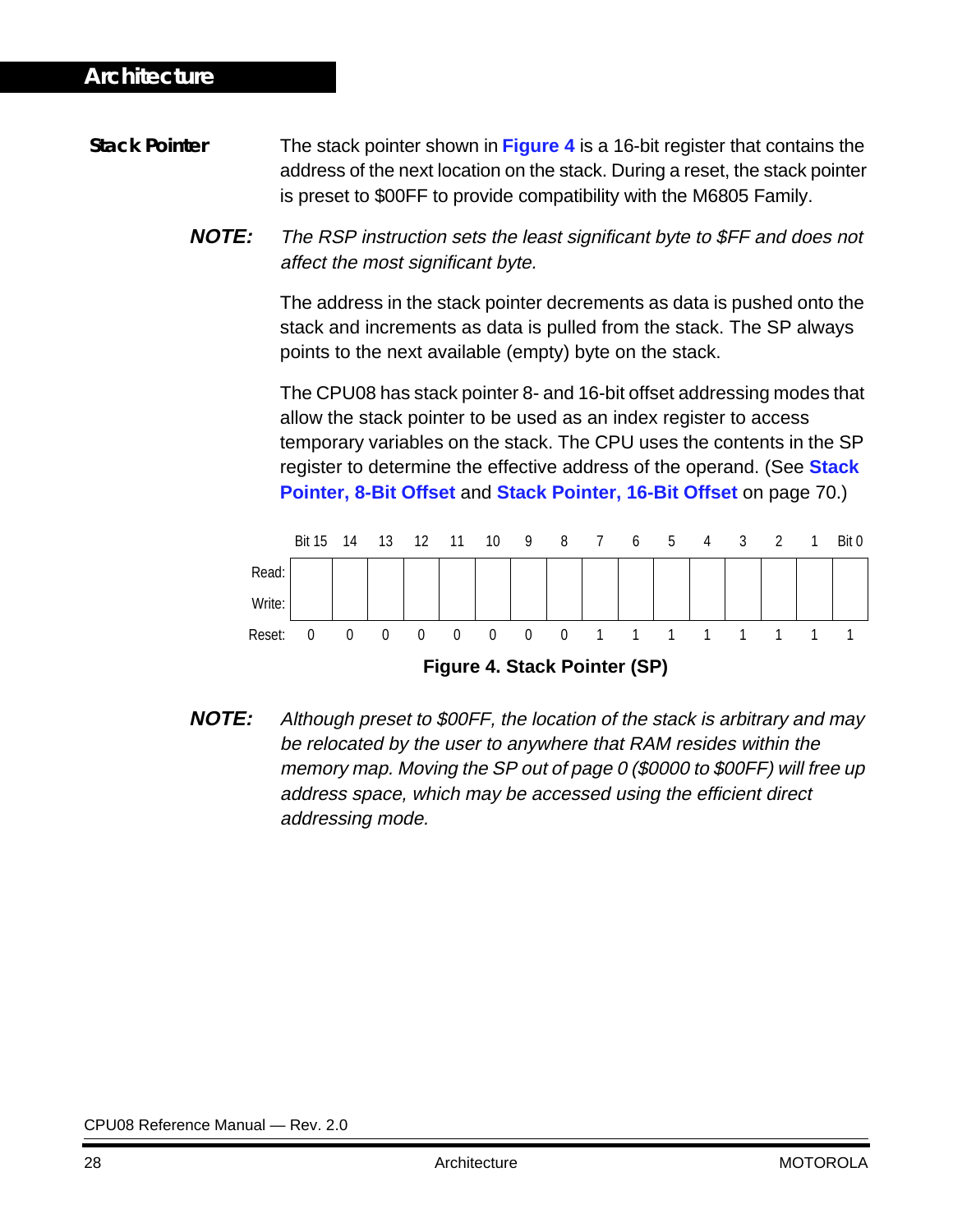- <span id="page-27-0"></span> **Stack Pointer** The stack pointer shown in **Figure 4** is a 16-bit register that contains the address of the next location on the stack. During a reset, the stack pointer is preset to \$00FF to provide compatibility with the M6805 Family.
	- **NOTE:** The RSP instruction sets the least significant byte to \$FF and does not affect the most significant byte.

The address in the stack pointer decrements as data is pushed onto the stack and increments as data is pulled from the stack. The SP always points to the next available (empty) byte on the stack.

The CPU08 has stack pointer 8- and 16-bit offset addressing modes that allow the stack pointer to be used as an index register to access temporary variables on the stack. The CPU uses the contents in the SP register to determine the effective address of the operand. (See **[Stack](#page-69-0) [Pointer, 8-Bit Offset](#page-69-0)** and **[Stack Pointer, 16-Bit Offset](#page-69-0)** on page 70.)



**NOTE:** Although preset to \$00FF, the location of the stack is arbitrary and may be relocated by the user to anywhere that RAM resides within the memory map. Moving the SP out of page 0 (\$0000 to \$00FF) will free up address space, which may be accessed using the efficient direct addressing mode.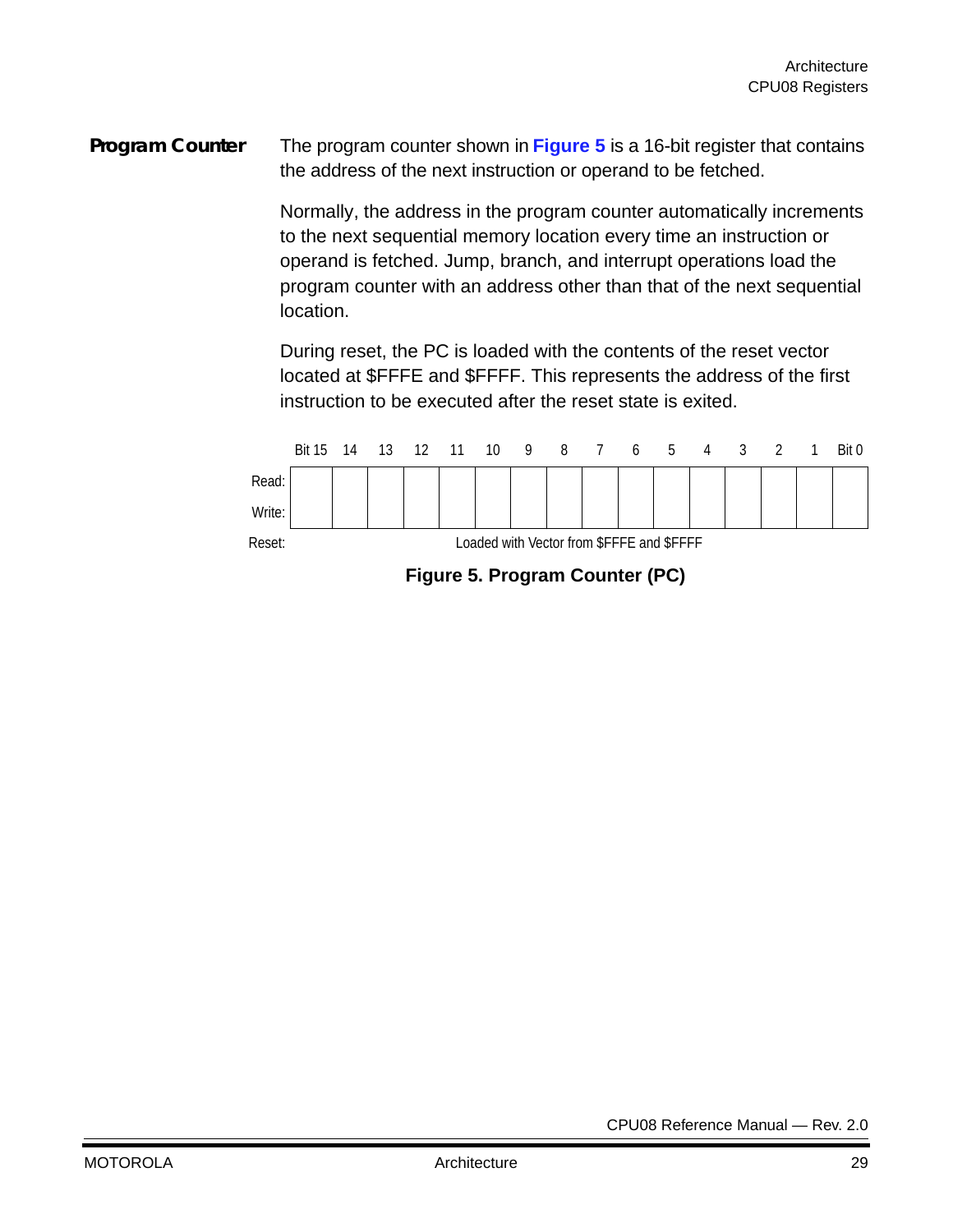#### <span id="page-28-0"></span> **Program Counter** The program counter shown in **Figure 5** is a 16-bit register that contains the address of the next instruction or operand to be fetched.

Normally, the address in the program counter automatically increments to the next sequential memory location every time an instruction or operand is fetched. Jump, branch, and interrupt operations load the program counter with an address other than that of the next sequential location.

During reset, the PC is loaded with the contents of the reset vector located at \$FFFE and \$FFFF. This represents the address of the first instruction to be executed after the reset state is exited.



**Figure 5. Program Counter (PC)**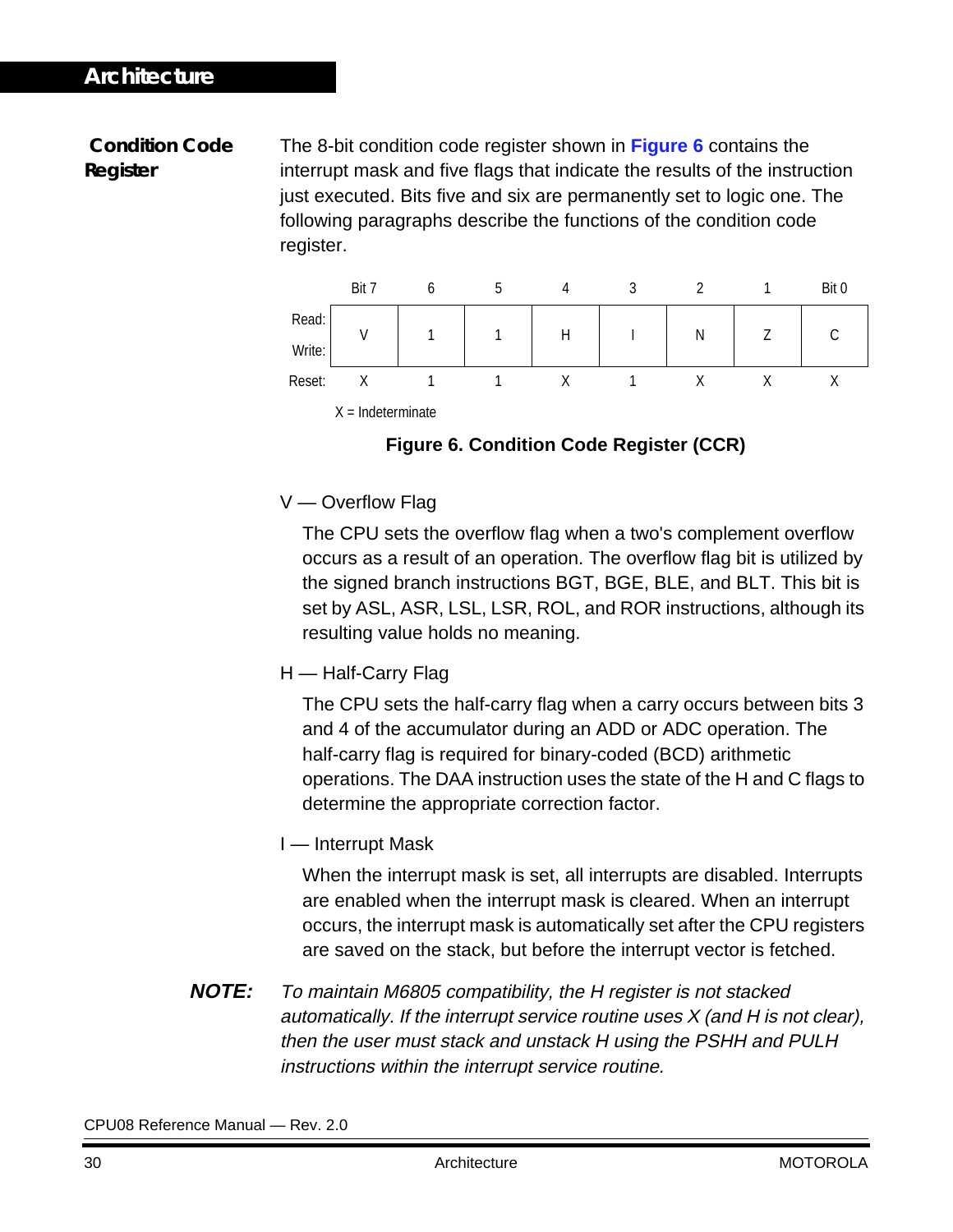#### <span id="page-29-0"></span> **Condition Code Register**

The 8-bit condition code register shown in **Figure 6** contains the interrupt mask and five flags that indicate the results of the instruction just executed. Bits five and six are permanently set to logic one. The following paragraphs describe the functions of the condition code register.



**Figure 6. Condition Code Register (CCR)**

#### V — Overflow Flag

The CPU sets the overflow flag when a two's complement overflow occurs as a result of an operation. The overflow flag bit is utilized by the signed branch instructions BGT, BGE, BLE, and BLT. This bit is set by ASL, ASR, LSL, LSR, ROL, and ROR instructions, although its resulting value holds no meaning.

H — Half-Carry Flag

The CPU sets the half-carry flag when a carry occurs between bits 3 and 4 of the accumulator during an ADD or ADC operation. The half-carry flag is required for binary-coded (BCD) arithmetic operations. The DAA instruction uses the state of the H and C flags to determine the appropriate correction factor.

I — Interrupt Mask

When the interrupt mask is set, all interrupts are disabled. Interrupts are enabled when the interrupt mask is cleared. When an interrupt occurs, the interrupt mask is automatically set after the CPU registers are saved on the stack, but before the interrupt vector is fetched.

**NOTE:** To maintain M6805 compatibility, the H register is not stacked automatically. If the interrupt service routine uses X (and H is not clear), then the user must stack and unstack H using the PSHH and PULH instructions within the interrupt service routine.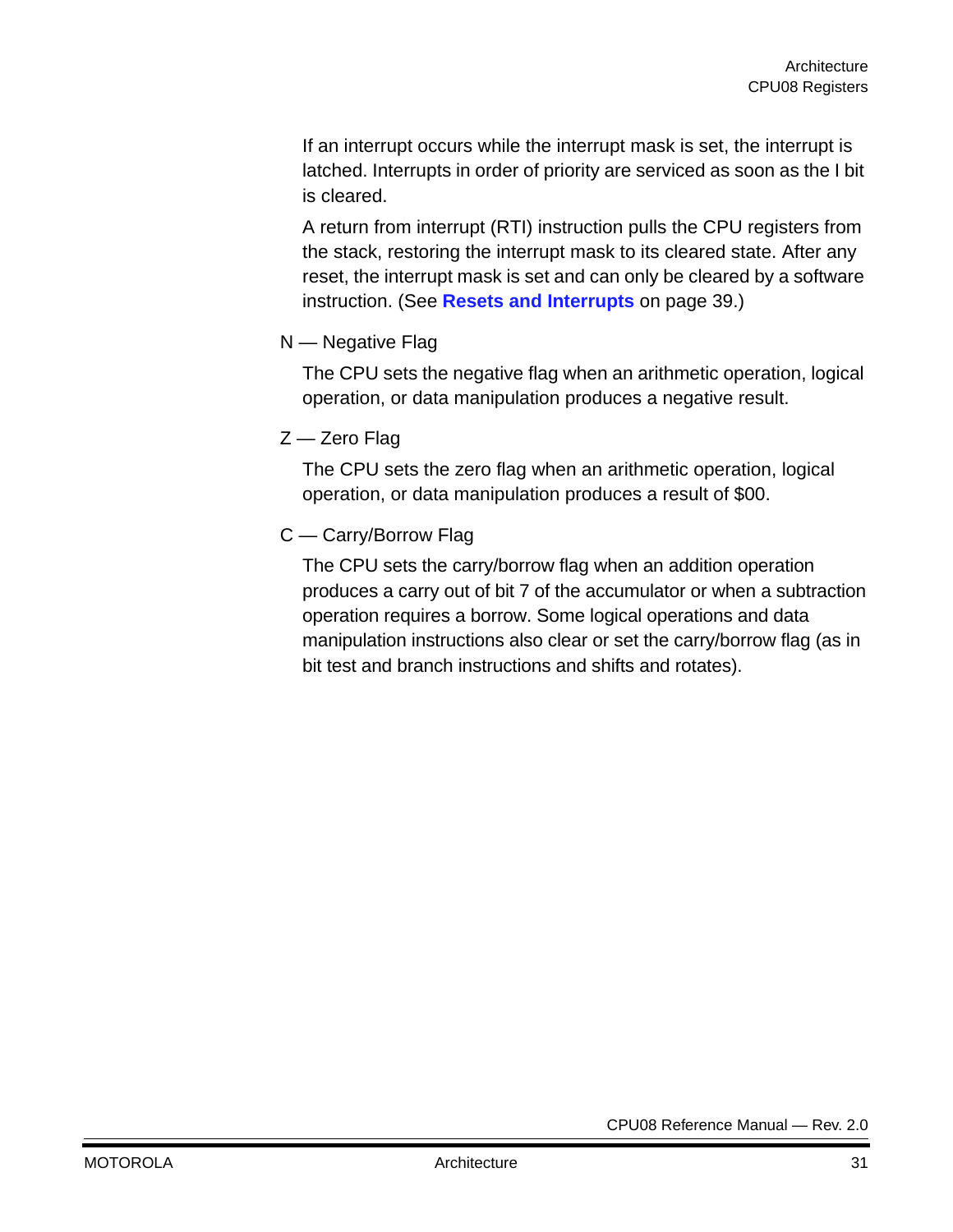If an interrupt occurs while the interrupt mask is set, the interrupt is latched. Interrupts in order of priority are serviced as soon as the I bit is cleared.

A return from interrupt (RTI) instruction pulls the CPU registers from the stack, restoring the interrupt mask to its cleared state. After any reset, the interrupt mask is set and can only be cleared by a software instruction. (See **[Resets and Interrupts](#page-38-0)** on page 39.)

N — Negative Flag

The CPU sets the negative flag when an arithmetic operation, logical operation, or data manipulation produces a negative result.

Z — Zero Flag

The CPU sets the zero flag when an arithmetic operation, logical operation, or data manipulation produces a result of \$00.

C — Carry/Borrow Flag

The CPU sets the carry/borrow flag when an addition operation produces a carry out of bit 7 of the accumulator or when a subtraction operation requires a borrow. Some logical operations and data manipulation instructions also clear or set the carry/borrow flag (as in bit test and branch instructions and shifts and rotates).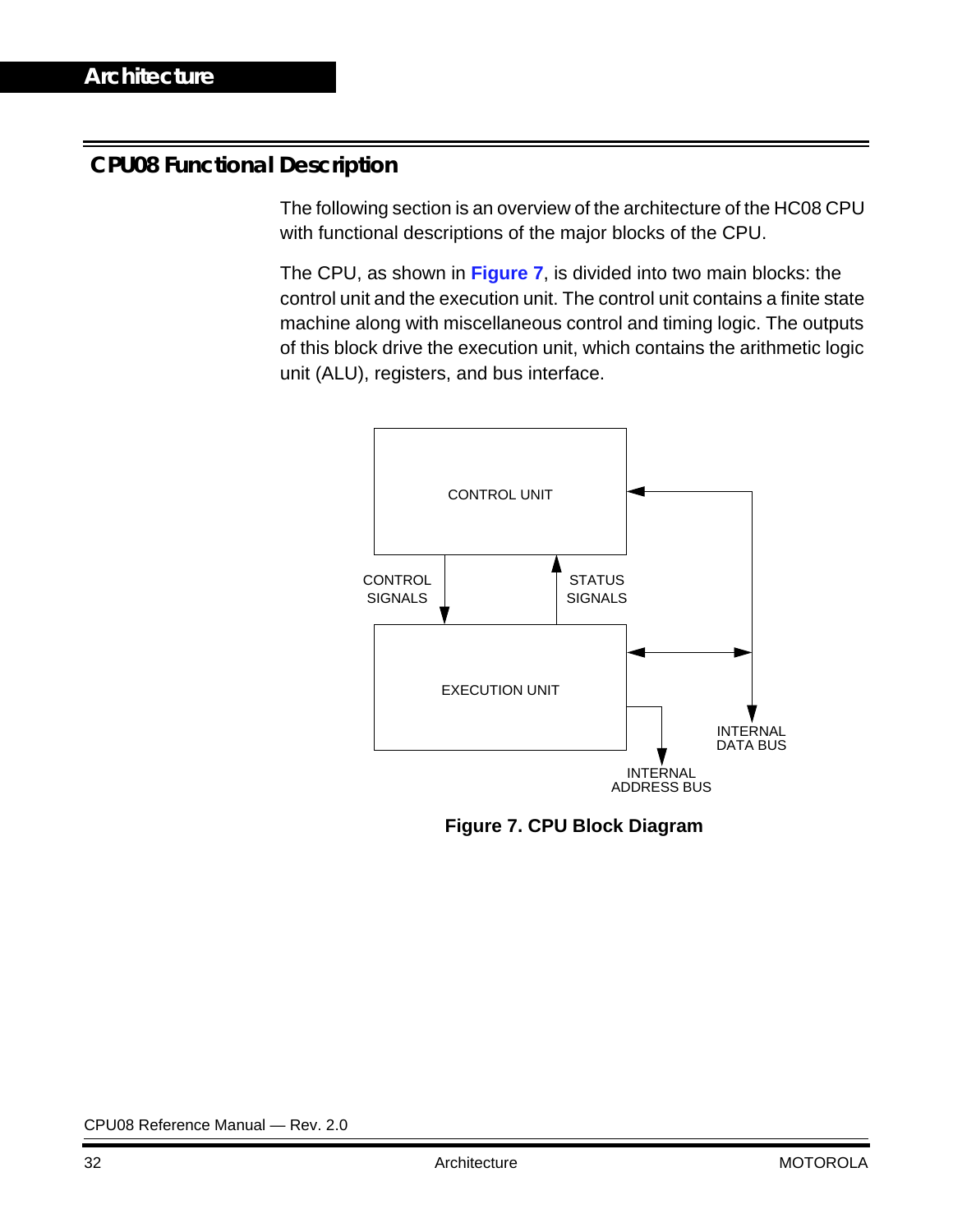## <span id="page-31-0"></span> **CPU08 Functional Description**

The following section is an overview of the architecture of the HC08 CPU with functional descriptions of the major blocks of the CPU.

The CPU, as shown in **Figure 7**, is divided into two main blocks: the control unit and the execution unit. The control unit contains a finite state machine along with miscellaneous control and timing logic. The outputs of this block drive the execution unit, which contains the arithmetic logic unit (ALU), registers, and bus interface.



**Figure 7. CPU Block Diagram**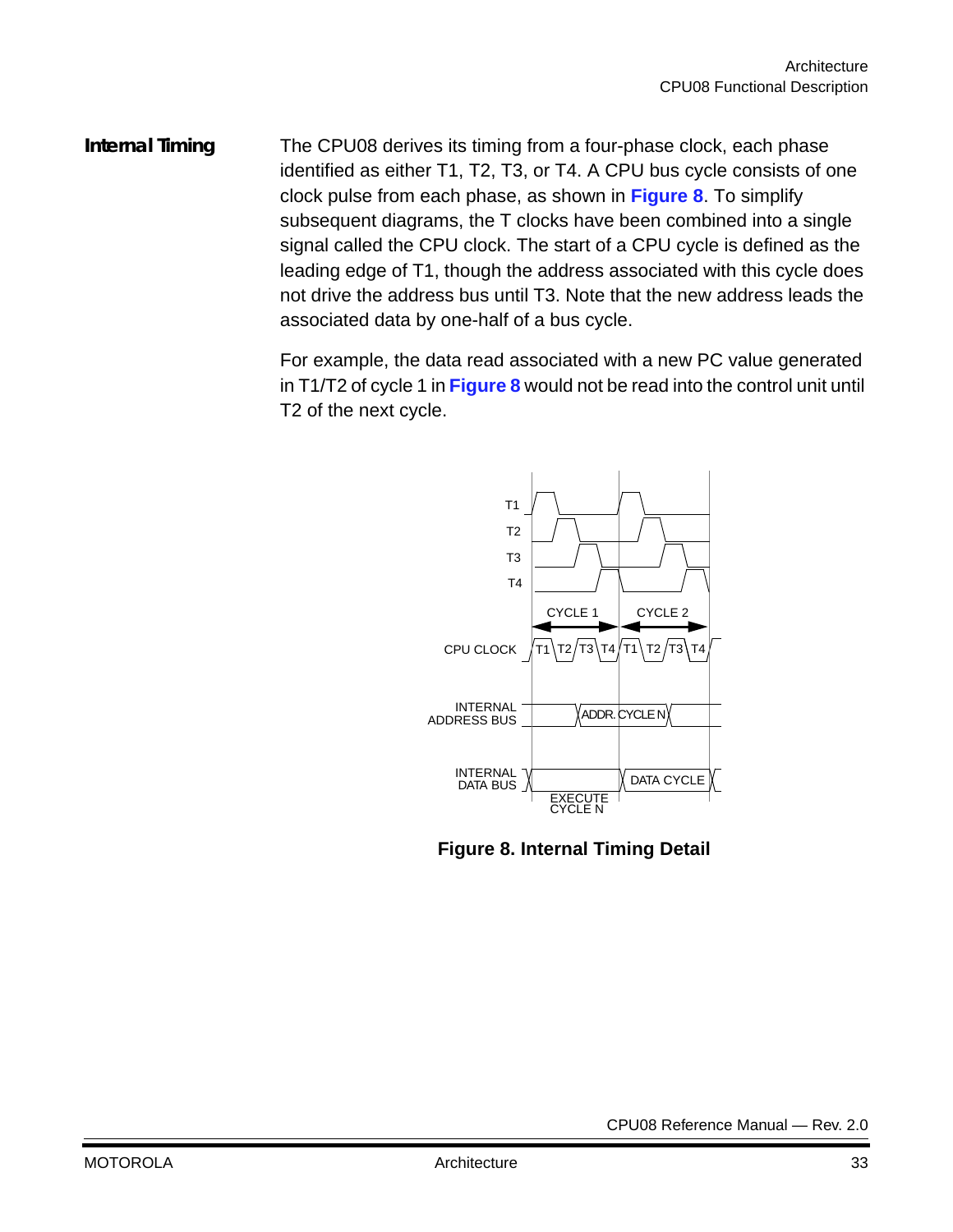<span id="page-32-0"></span>**Internal Timing** The CPU08 derives its timing from a four-phase clock, each phase identified as either T1, T2, T3, or T4. A CPU bus cycle consists of one clock pulse from each phase, as shown in **Figure 8**. To simplify subsequent diagrams, the T clocks have been combined into a single signal called the CPU clock. The start of a CPU cycle is defined as the leading edge of T1, though the address associated with this cycle does not drive the address bus until T3. Note that the new address leads the associated data by one-half of a bus cycle.

> For example, the data read associated with a new PC value generated in T1/T2 of cycle 1 in **Figure 8** would not be read into the control unit until T2 of the next cycle.



**Figure 8. Internal Timing Detail**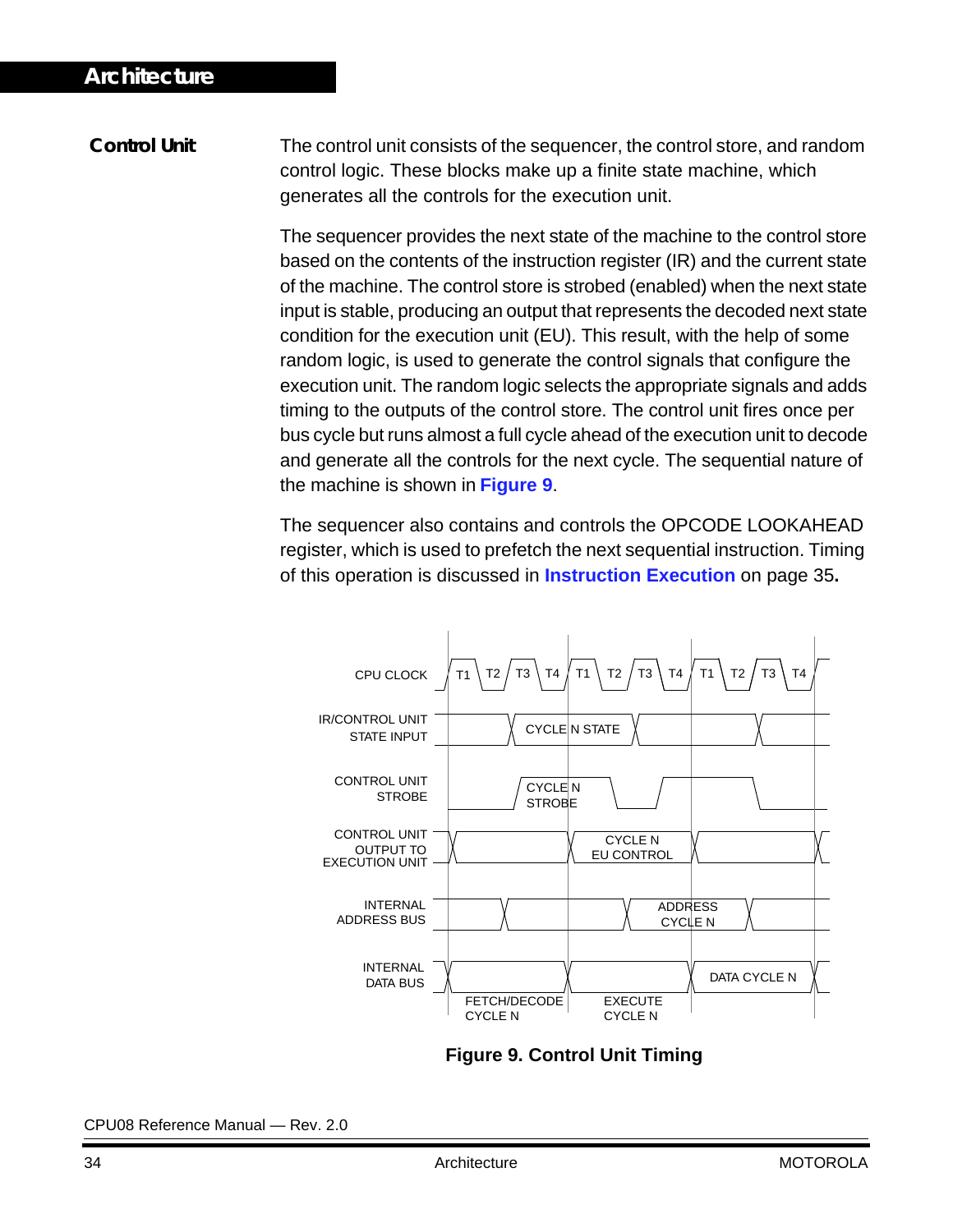#### <span id="page-33-0"></span> **Control Unit** The control unit consists of the sequencer, the control store, and random control logic. These blocks make up a finite state machine, which generates all the controls for the execution unit.

The sequencer provides the next state of the machine to the control store based on the contents of the instruction register (IR) and the current state of the machine. The control store is strobed (enabled) when the next state input is stable, producing an output that represents the decoded next state condition for the execution unit (EU). This result, with the help of some random logic, is used to generate the control signals that configure the execution unit. The random logic selects the appropriate signals and adds timing to the outputs of the control store. The control unit fires once per bus cycle but runs almost a full cycle ahead of the execution unit to decode and generate all the controls for the next cycle. The sequential nature of the machine is shown in **Figure 9**.

The sequencer also contains and controls the OPCODE LOOKAHEAD register, which is used to prefetch the next sequential instruction. Timing of this operation is discussed in **[Instruction Execution](#page-34-0)** on page 35**.**



**Figure 9. Control Unit Timing**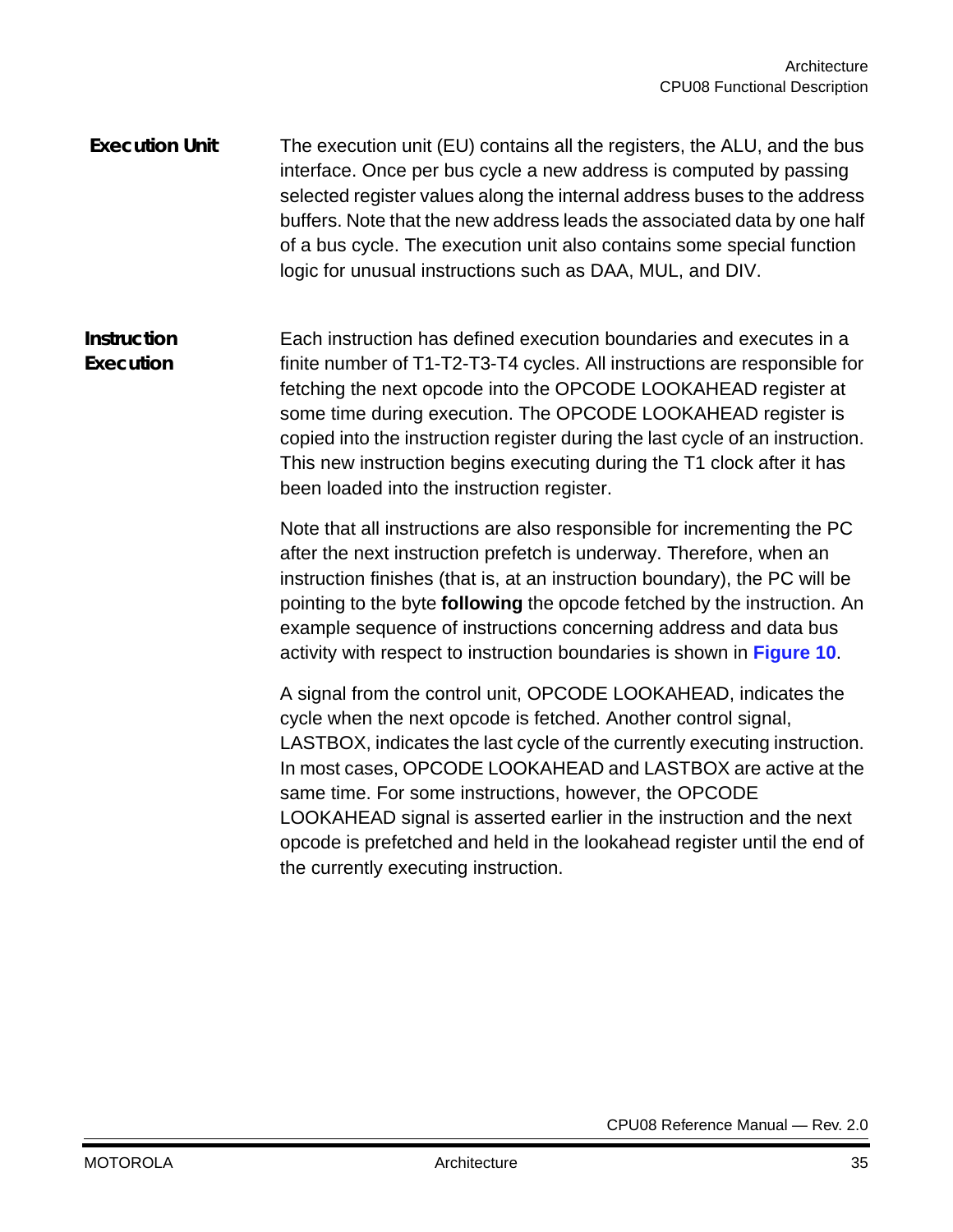- <span id="page-34-0"></span> **Execution Unit** The execution unit (EU) contains all the registers, the ALU, and the bus interface. Once per bus cycle a new address is computed by passing selected register values along the internal address buses to the address buffers. Note that the new address leads the associated data by one half of a bus cycle. The execution unit also contains some special function logic for unusual instructions such as DAA, MUL, and DIV.
- **Instruction Execution** Each instruction has defined execution boundaries and executes in a finite number of T1-T2-T3-T4 cycles. All instructions are responsible for fetching the next opcode into the OPCODE LOOKAHEAD register at some time during execution. The OPCODE LOOKAHEAD register is copied into the instruction register during the last cycle of an instruction. This new instruction begins executing during the T1 clock after it has been loaded into the instruction register.

Note that all instructions are also responsible for incrementing the PC after the next instruction prefetch is underway. Therefore, when an instruction finishes (that is, at an instruction boundary), the PC will be pointing to the byte **following** the opcode fetched by the instruction. An example sequence of instructions concerning address and data bus activity with respect to instruction boundaries is shown in **[Figure 10](#page-35-0)**.

A signal from the control unit, OPCODE LOOKAHEAD, indicates the cycle when the next opcode is fetched. Another control signal, LASTBOX, indicates the last cycle of the currently executing instruction. In most cases, OPCODE LOOKAHEAD and LASTBOX are active at the same time. For some instructions, however, the OPCODE LOOKAHEAD signal is asserted earlier in the instruction and the next opcode is prefetched and held in the lookahead register until the end of the currently executing instruction.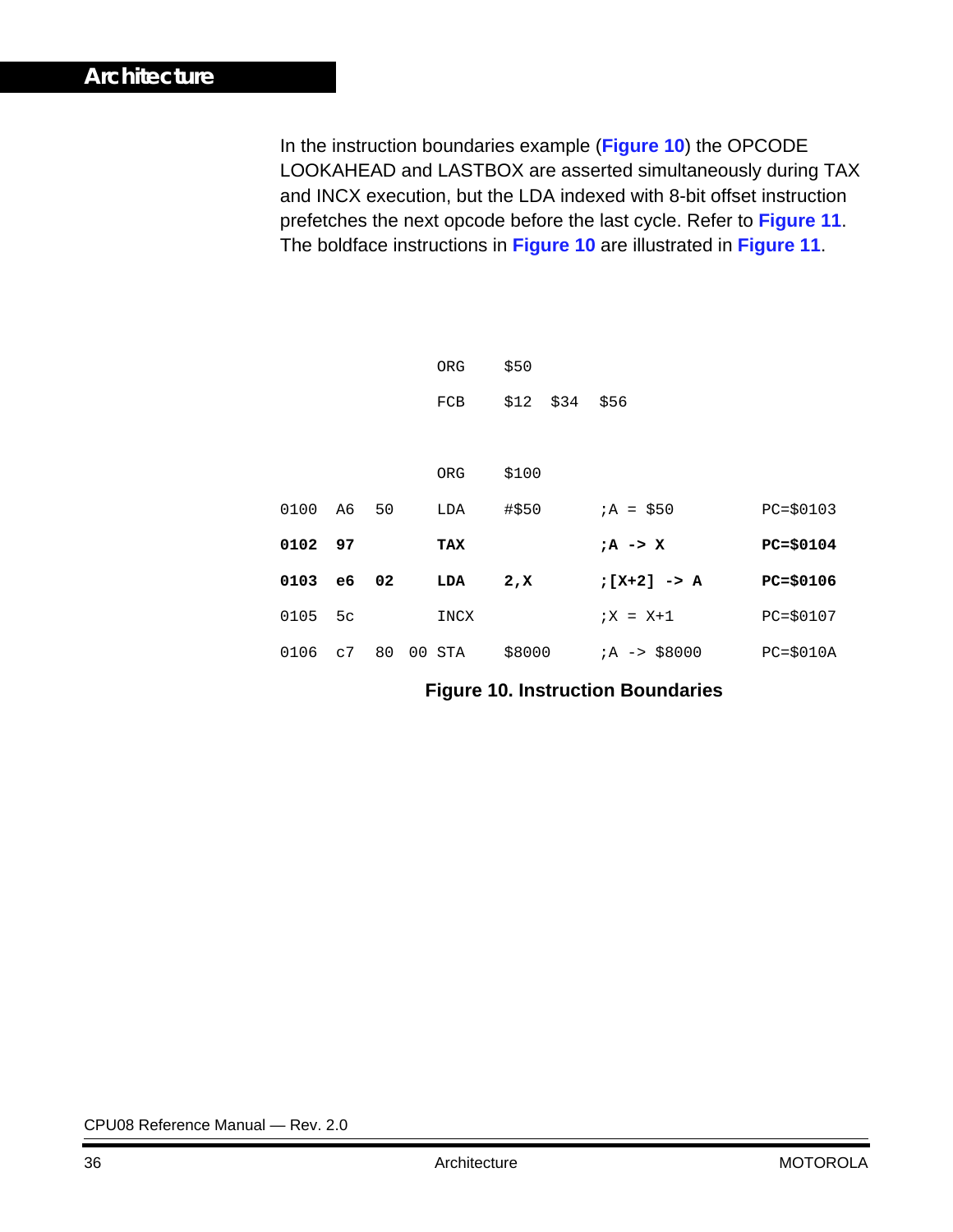# <span id="page-35-0"></span>**Architecture**

In the instruction boundaries example (**Figure 10**) the OPCODE LOOKAHEAD and LASTBOX are asserted simultaneously during TAX and INCX execution, but the LDA indexed with 8-bit offset instruction prefetches the next opcode before the last cycle. Refer to **[Figure 11](#page-36-0)**. The boldface instructions in **Figure 10** are illustrated in **[Figure 11](#page-36-0)**.

| $PC = $0103$ |
|--------------|
| PC=\$0104    |
| PC=\$0106    |
| PC=\$0107    |
| $PC = $010A$ |
|              |

**Figure 10. Instruction Boundaries**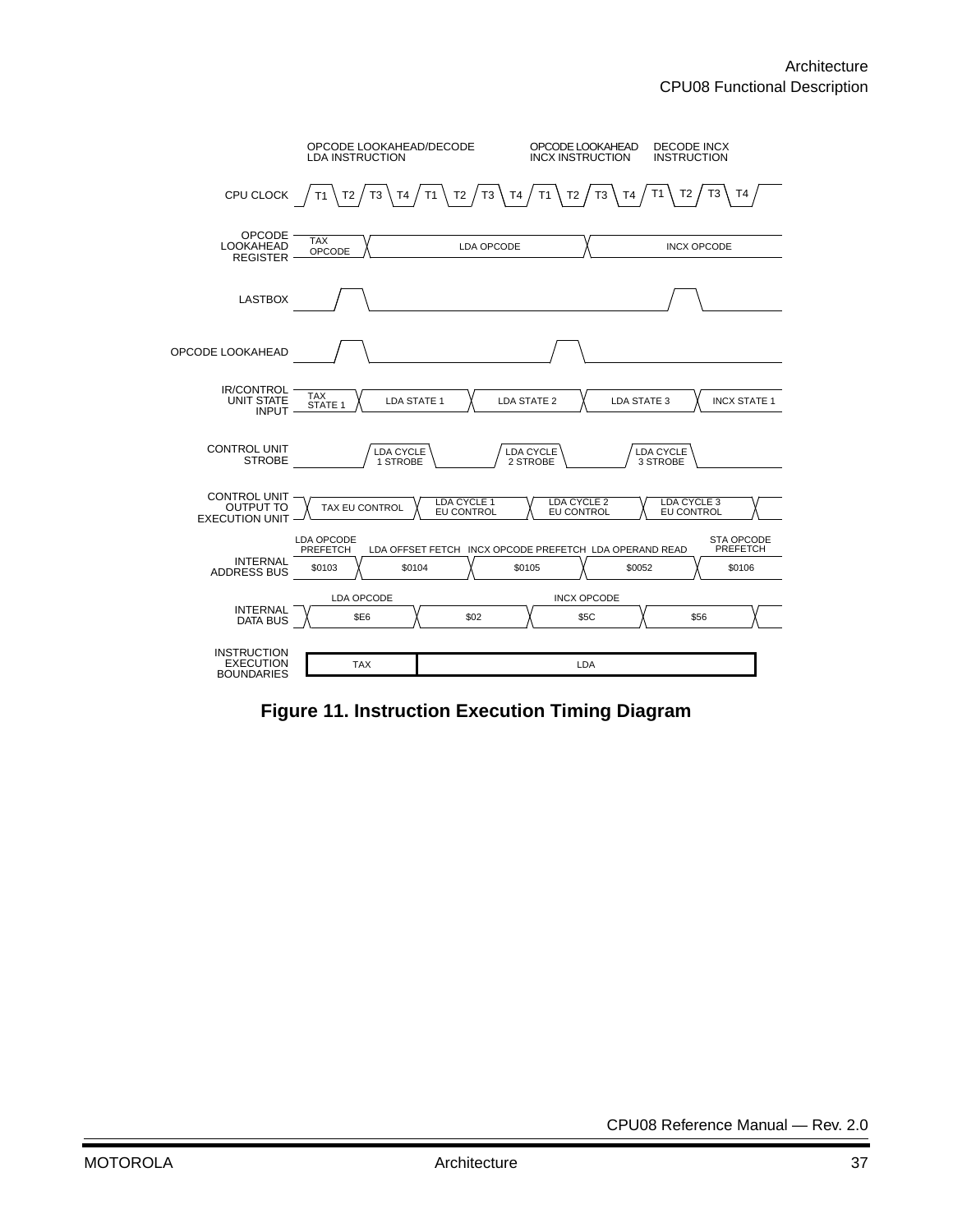|                                                                    | OPCODE LOOKAHEAD/DECODE<br><b>LDA INSTRUCTION</b>        | OPCODE LOOKAHEAD<br><b>INCX INSTRUCTION</b>                          | DECODE INCX<br><b>INSTRUCTION</b>                        |
|--------------------------------------------------------------------|----------------------------------------------------------|----------------------------------------------------------------------|----------------------------------------------------------|
| CPU CLOCK                                                          | T <sub>2</sub><br>T1<br>T3<br>T4<br>T1                   | T2<br>T3<br>T4<br>T1<br>T2<br>T <sub>3</sub><br><b>T4</b>            | T3<br>T4<br>T1<br>T <sub>2</sub>                         |
| <b>OPCODE</b><br>LOOKAHEAD<br><b>REGISTER</b>                      | <b>TAX</b><br>OPCODE                                     | LDA OPCODE                                                           | <b>INCX OPCODE</b>                                       |
| <b>LASTBOX</b>                                                     |                                                          |                                                                      |                                                          |
| OPCODE LOOKAHEAD                                                   |                                                          |                                                                      |                                                          |
| <b>IR/CONTROL</b><br><b>UNIT STATE</b><br><b>INPUT</b>             | <b>TAX</b><br><b>LDA STATE 1</b><br>STATE 1              | <b>LDA STATE 2</b>                                                   | <b>INCX STATE 1</b><br><b>LDA STATE 3</b>                |
| <b>CONTROL UNIT</b><br><b>STROBE</b>                               | LDA CYCLE<br>1 STROBE                                    | <b>LDA CYCLE</b><br>2 STROBE                                         | LDA CYCLE<br>3 STROBE                                    |
| <b>CONTROL UNIT -</b><br><b>OUTPUT TO</b><br><b>EXECUTION UNIT</b> | TAX EU CONTROL                                           | <b>LDA CYCLE 1</b><br><b>LDA CYCLE 2</b><br>EU CONTROL<br>EU CONTROL | LDA CYCLE 3<br><b>EU CONTROL</b>                         |
| <b>INTERNAL</b><br><b>ADDRESS BUS</b>                              | <b>LDA OPCODE</b><br><b>PREFETCH</b><br>\$0103<br>\$0104 | LDA OFFSET FETCH INCX OPCODE PREFETCH LDA OPERAND READ<br>\$0105     | <b>STA OPCODE</b><br><b>PREFETCH</b><br>\$0052<br>\$0106 |
| <b>INTERNAL</b><br>DATA BUS                                        | LDA OPCODE<br>\$E6                                       | <b>INCX OPCODE</b><br>\$02<br>\$5C                                   | \$56                                                     |
| <b>INSTRUCTION</b><br><b>EXECUTION</b><br><b>BOUNDARIES</b>        | <b>TAX</b>                                               | <b>LDA</b>                                                           |                                                          |

**Figure 11. Instruction Execution Timing Diagram**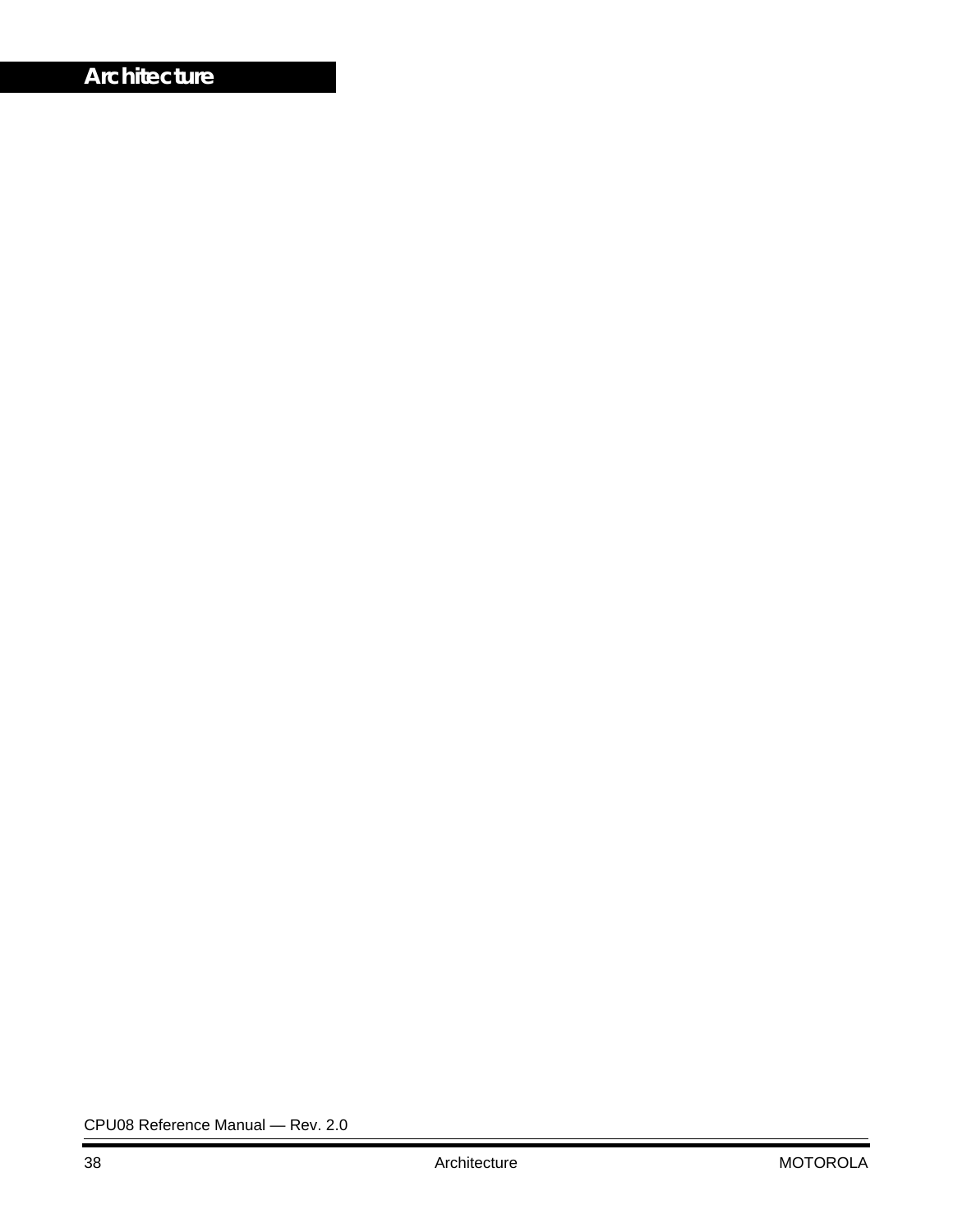## **Architecture**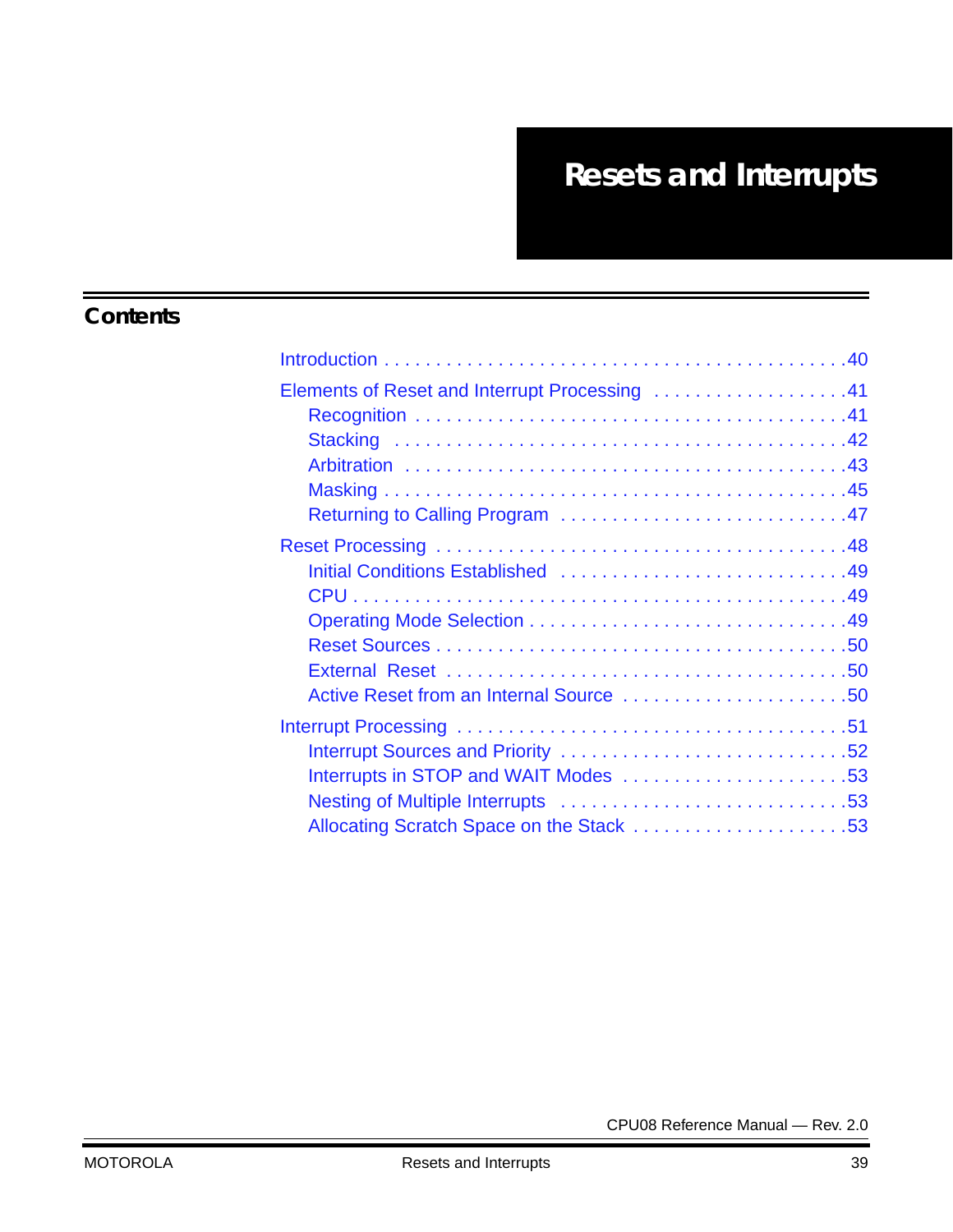# **Resets and Interrupts**

## **Contents**

| Elements of Reset and Interrupt Processing 41 |
|-----------------------------------------------|
|                                               |
|                                               |
|                                               |
|                                               |
|                                               |
|                                               |
|                                               |
|                                               |
|                                               |
|                                               |
|                                               |
| Active Reset from an Internal Source 50       |
|                                               |
|                                               |
| Interrupts in STOP and WAIT Modes 53          |
|                                               |
|                                               |
|                                               |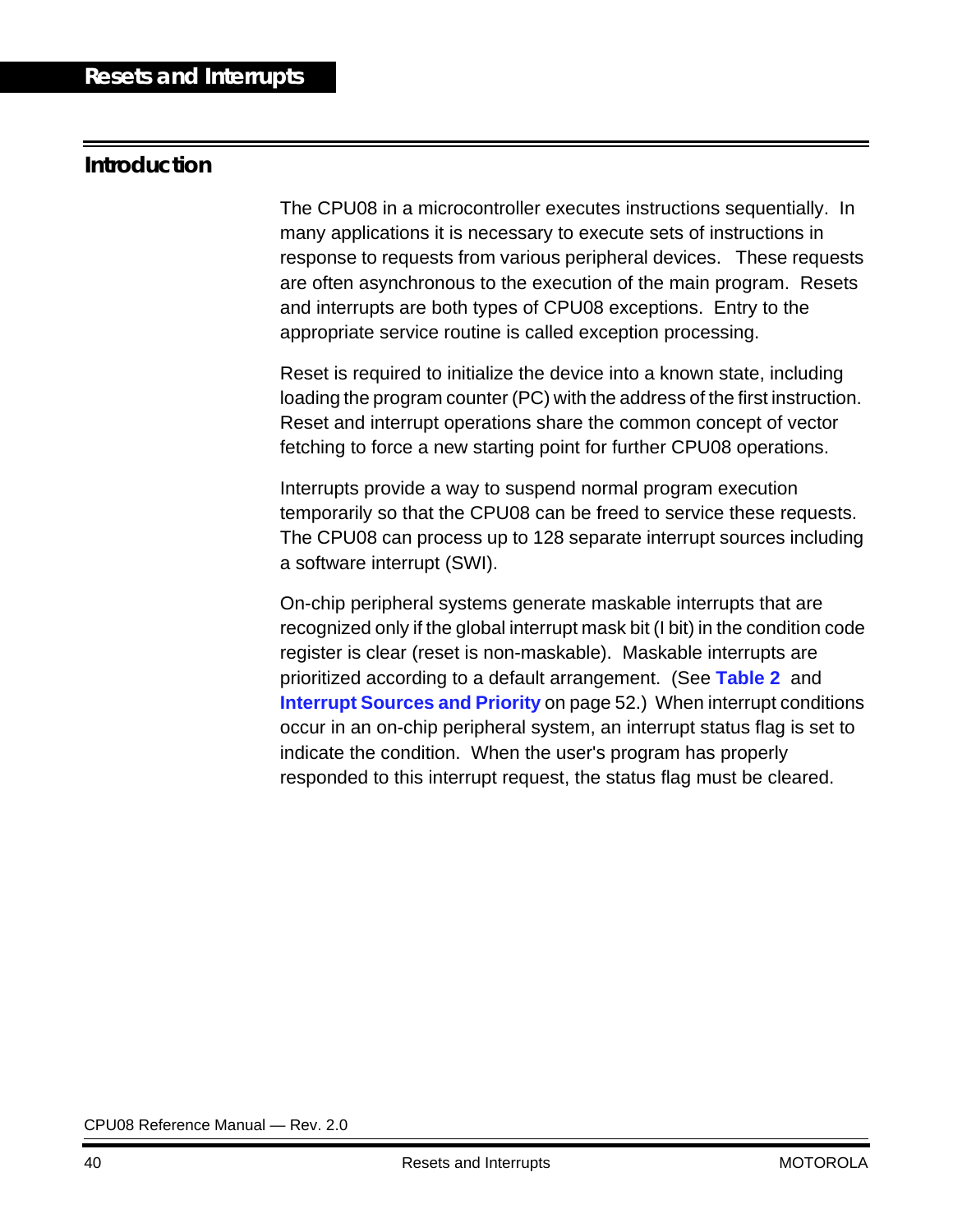## <span id="page-39-0"></span>**Introduction**

The CPU08 in a microcontroller executes instructions sequentially. In many applications it is necessary to execute sets of instructions in response to requests from various peripheral devices. These requests are often asynchronous to the execution of the main program. Resets and interrupts are both types of CPU08 exceptions. Entry to the appropriate service routine is called exception processing.

Reset is required to initialize the device into a known state, including loading the program counter (PC) with the address of the first instruction. Reset and interrupt operations share the common concept of vector fetching to force a new starting point for further CPU08 operations.

Interrupts provide a way to suspend normal program execution temporarily so that the CPU08 can be freed to service these requests. The CPU08 can process up to 128 separate interrupt sources including a software interrupt (SWI).

On-chip peripheral systems generate maskable interrupts that are recognized only if the global interrupt mask bit (I bit) in the condition code register is clear (reset is non-maskable). Maskable interrupts are prioritized according to a default arrangement. (See **[Table 2](#page-51-0)** and **[Interrupt Sources and Priority](#page-51-0)** on page 52.) When interrupt conditions occur in an on-chip peripheral system, an interrupt status flag is set to indicate the condition. When the user's program has properly responded to this interrupt request, the status flag must be cleared.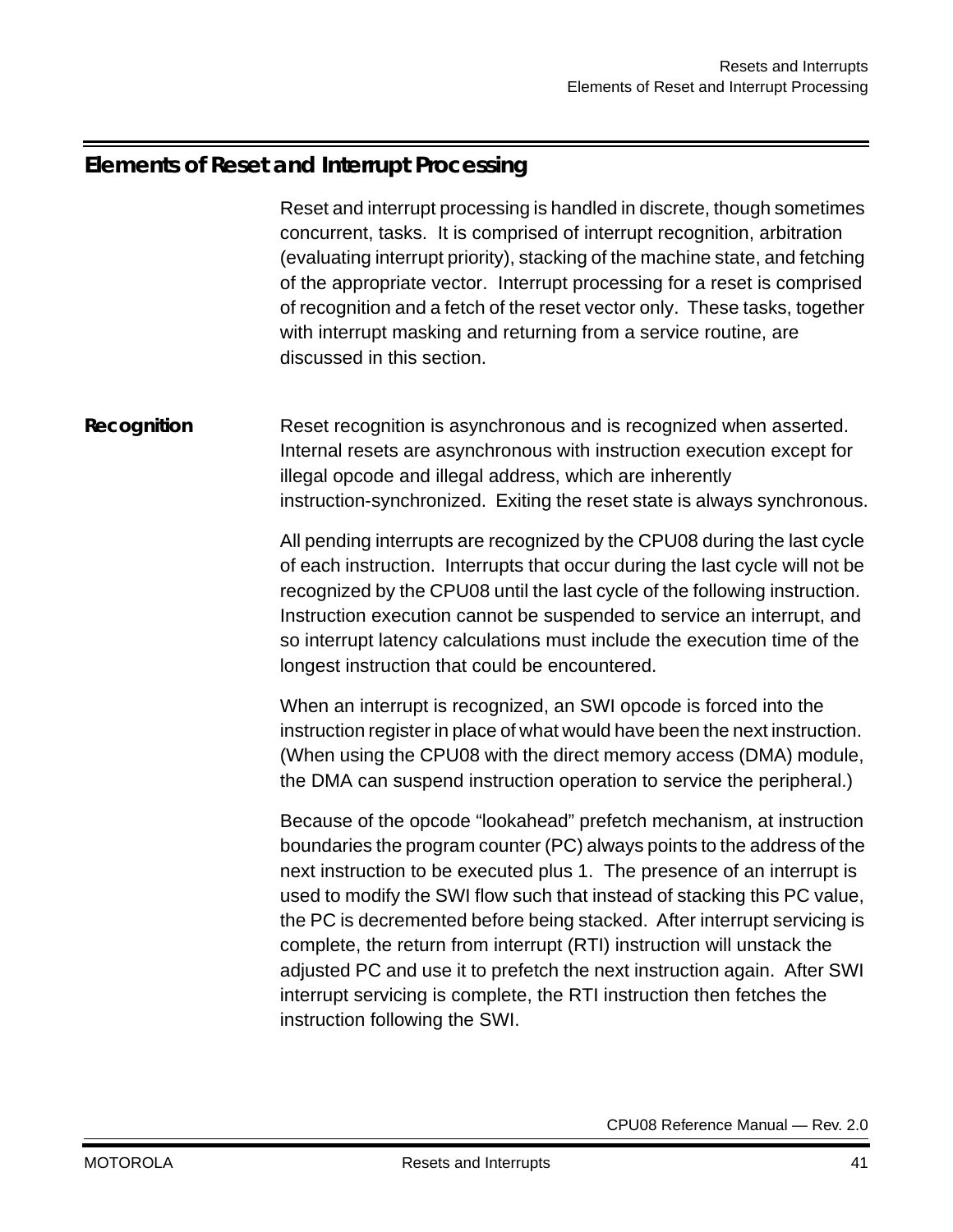## <span id="page-40-0"></span>**Elements of Reset and Interrupt Processing**

Reset and interrupt processing is handled in discrete, though sometimes concurrent, tasks. It is comprised of interrupt recognition, arbitration (evaluating interrupt priority), stacking of the machine state, and fetching of the appropriate vector. Interrupt processing for a reset is comprised of recognition and a fetch of the reset vector only. These tasks, together with interrupt masking and returning from a service routine, are discussed in this section.

## **Recognition** Reset recognition is asynchronous and is recognized when asserted. Internal resets are asynchronous with instruction execution except for illegal opcode and illegal address, which are inherently instruction-synchronized. Exiting the reset state is always synchronous.

All pending interrupts are recognized by the CPU08 during the last cycle of each instruction. Interrupts that occur during the last cycle will not be recognized by the CPU08 until the last cycle of the following instruction. Instruction execution cannot be suspended to service an interrupt, and so interrupt latency calculations must include the execution time of the longest instruction that could be encountered.

When an interrupt is recognized, an SWI opcode is forced into the instruction register in place of what would have been the next instruction. (When using the CPU08 with the direct memory access (DMA) module, the DMA can suspend instruction operation to service the peripheral.)

Because of the opcode "lookahead" prefetch mechanism, at instruction boundaries the program counter (PC) always points to the address of the next instruction to be executed plus 1. The presence of an interrupt is used to modify the SWI flow such that instead of stacking this PC value, the PC is decremented before being stacked. After interrupt servicing is complete, the return from interrupt (RTI) instruction will unstack the adjusted PC and use it to prefetch the next instruction again. After SWI interrupt servicing is complete, the RTI instruction then fetches the instruction following the SWI.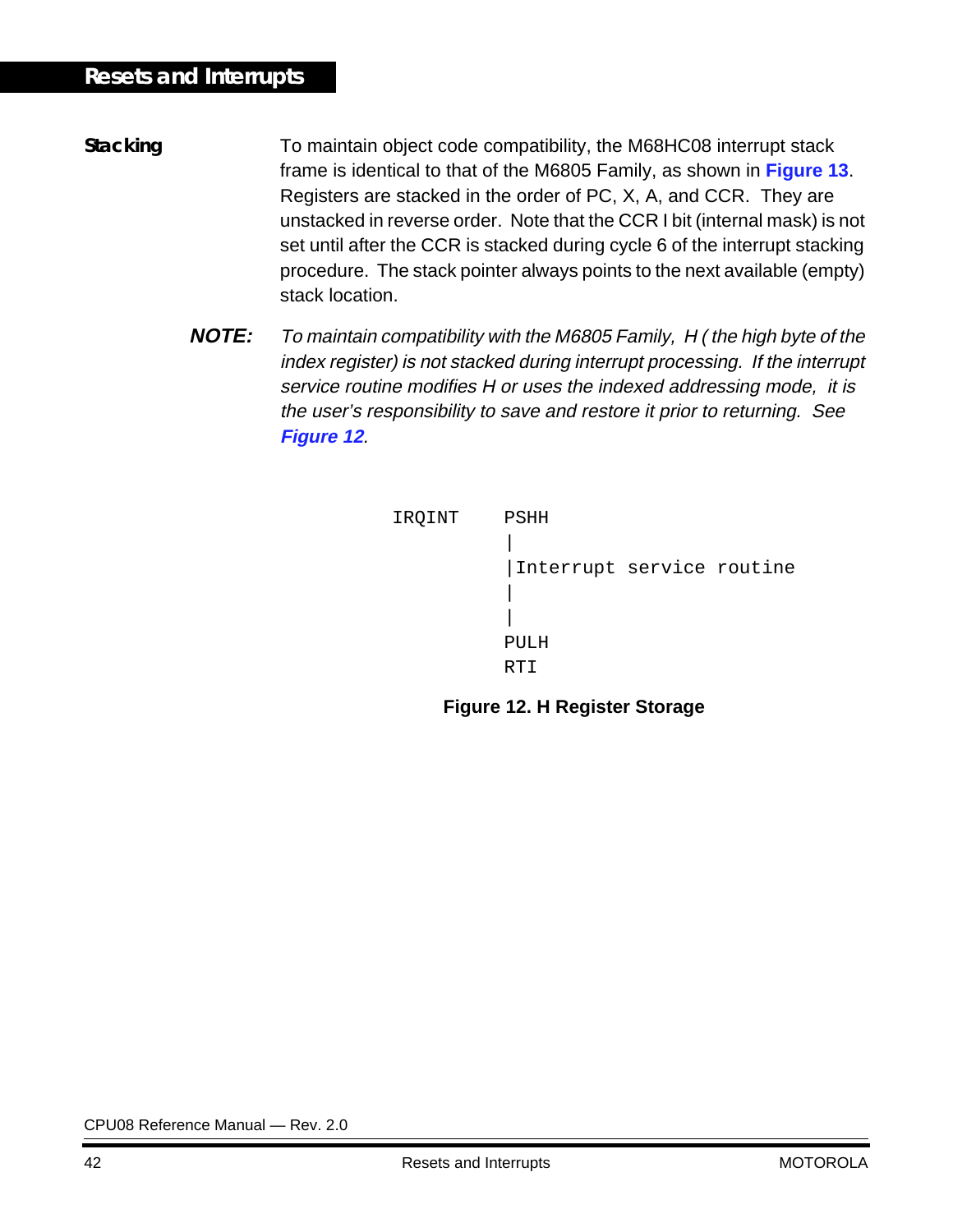- <span id="page-41-0"></span>Stacking To maintain object code compatibility, the M68HC08 interrupt stack frame is identical to that of the M6805 Family, as shown in **[Figure 13](#page-42-0)**. Registers are stacked in the order of PC, X, A, and CCR. They are unstacked in reverse order. Note that the CCR I bit (internal mask) is not set until after the CCR is stacked during cycle 6 of the interrupt stacking procedure. The stack pointer always points to the next available (empty) stack location.
	- **NOTE:** To maintain compatibility with the M6805 Family, H ( the high byte of the index register) is not stacked during interrupt processing. If the interrupt service routine modifies H or uses the indexed addressing mode, it is the user's responsibility to save and restore it prior to returning. See **Figure 12**.



**Figure 12. H Register Storage**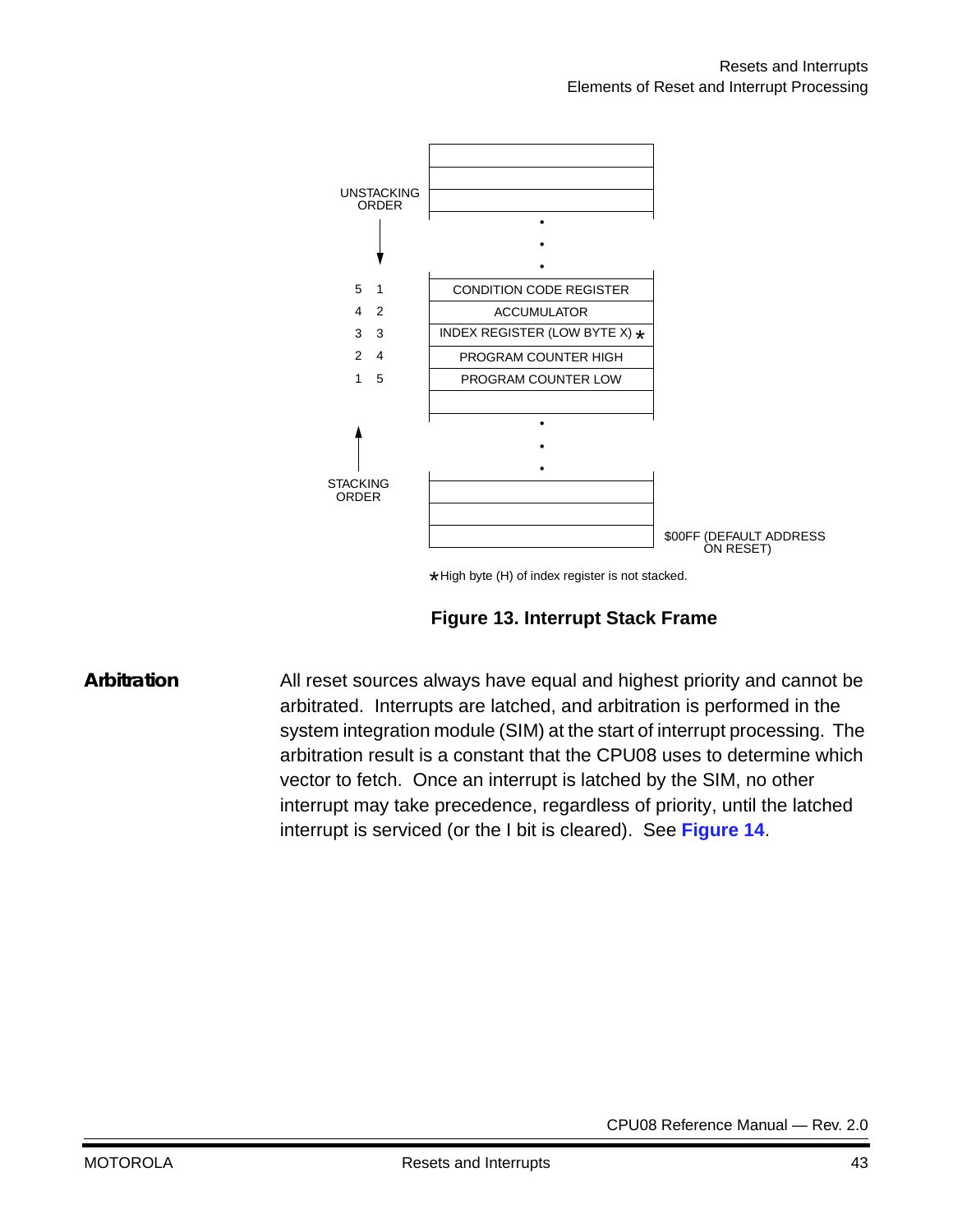<span id="page-42-0"></span>

\* High byte (H) of index register is not stacked.

#### **Figure 13. Interrupt Stack Frame**

**Arbitration** All reset sources always have equal and highest priority and cannot be arbitrated. Interrupts are latched, and arbitration is performed in the system integration module (SIM) at the start of interrupt processing. The arbitration result is a constant that the CPU08 uses to determine which vector to fetch. Once an interrupt is latched by the SIM, no other interrupt may take precedence, regardless of priority, until the latched interrupt is serviced (or the I bit is cleared). See **[Figure 14](#page-43-0)**.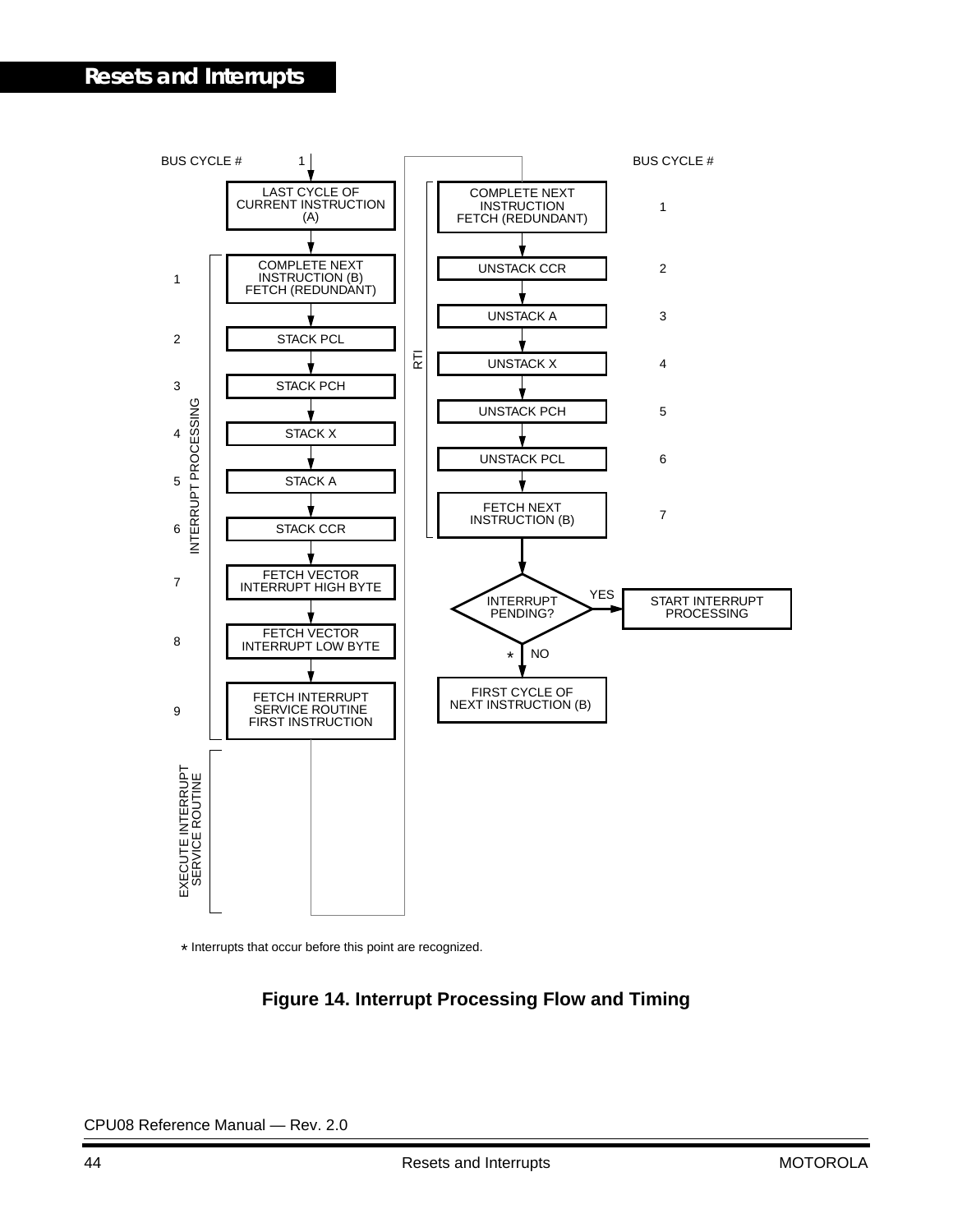## <span id="page-43-0"></span>**Resets and Interrupts**



#### **Figure 14. Interrupt Processing Flow and Timing**

CPU08 Reference Manual — Rev. 2.0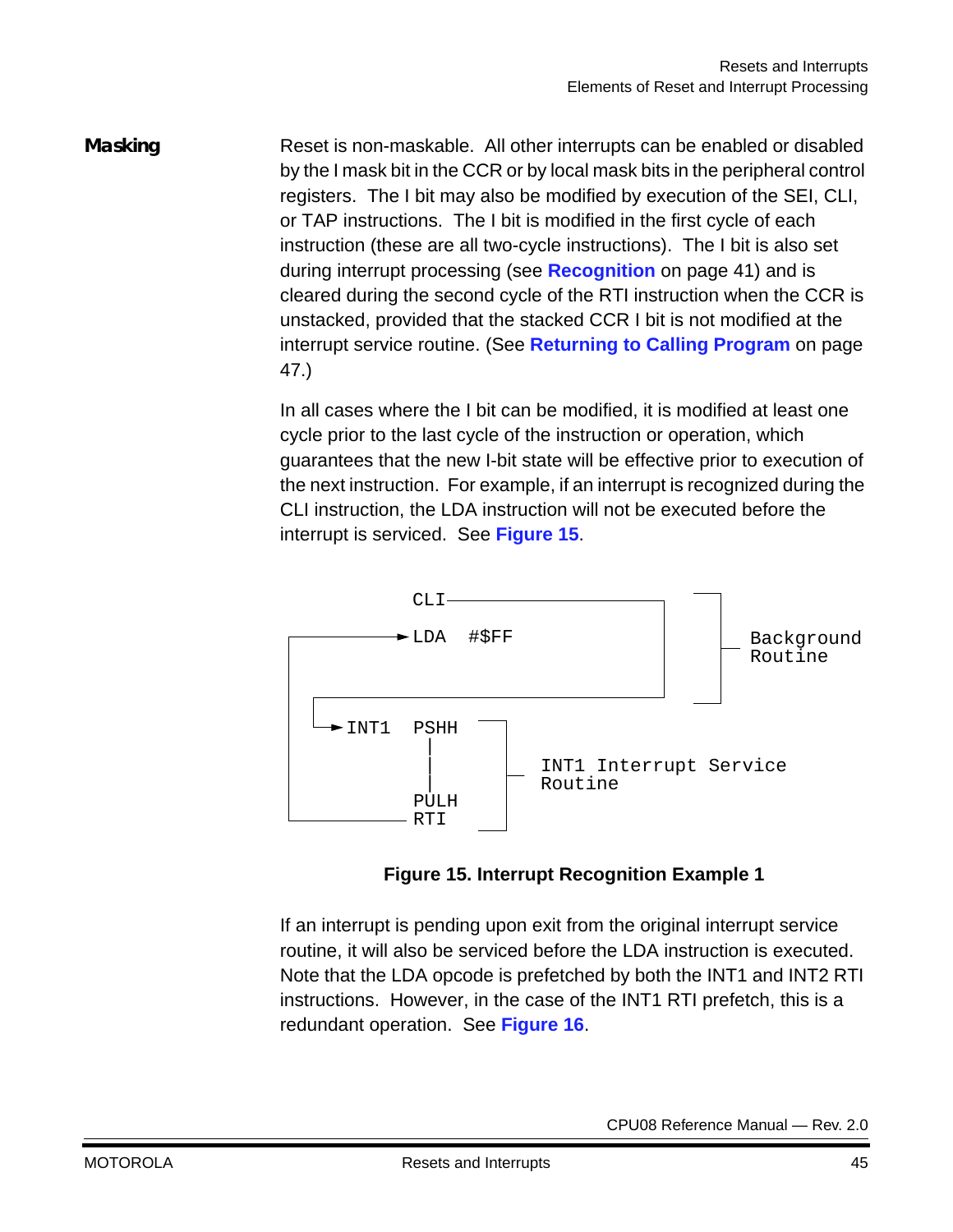<span id="page-44-0"></span>**Masking** Reset is non-maskable. All other interrupts can be enabled or disabled by the I mask bit in the CCR or by local mask bits in the peripheral control registers. The I bit may also be modified by execution of the SEI, CLI, or TAP instructions. The I bit is modified in the first cycle of each instruction (these are all two-cycle instructions). The I bit is also set during interrupt processing (see **[Recognition](#page-40-0)** on page 41) and is cleared during the second cycle of the RTI instruction when the CCR is unstacked, provided that the stacked CCR I bit is not modified at the interrupt service routine. (See **[Returning to Calling Program](#page-46-0)** on page [47](#page-46-0).)

> In all cases where the I bit can be modified, it is modified at least one cycle prior to the last cycle of the instruction or operation, which guarantees that the new I-bit state will be effective prior to execution of the next instruction. For example, if an interrupt is recognized during the CLI instruction, the LDA instruction will not be executed before the interrupt is serviced. See **Figure 15**.



#### **Figure 15. Interrupt Recognition Example 1**

If an interrupt is pending upon exit from the original interrupt service routine, it will also be serviced before the LDA instruction is executed. Note that the LDA opcode is prefetched by both the INT1 and INT2 RTI instructions. However, in the case of the INT1 RTI prefetch, this is a redundant operation. See **[Figure 16](#page-45-0)**.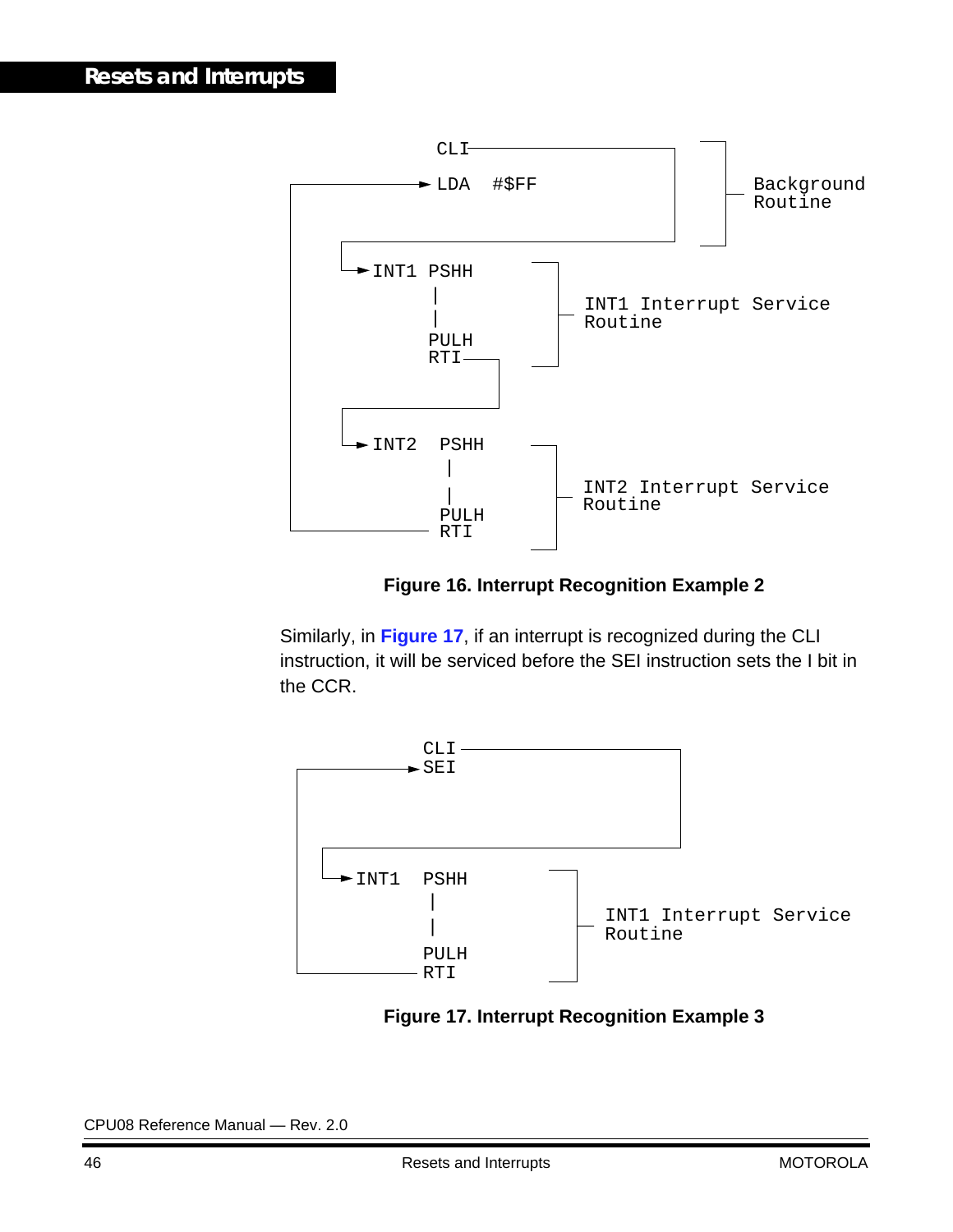<span id="page-45-0"></span>

#### **Figure 16. Interrupt Recognition Example 2**

Similarly, in **Figure 17**, if an interrupt is recognized during the CLI instruction, it will be serviced before the SEI instruction sets the I bit in the CCR.



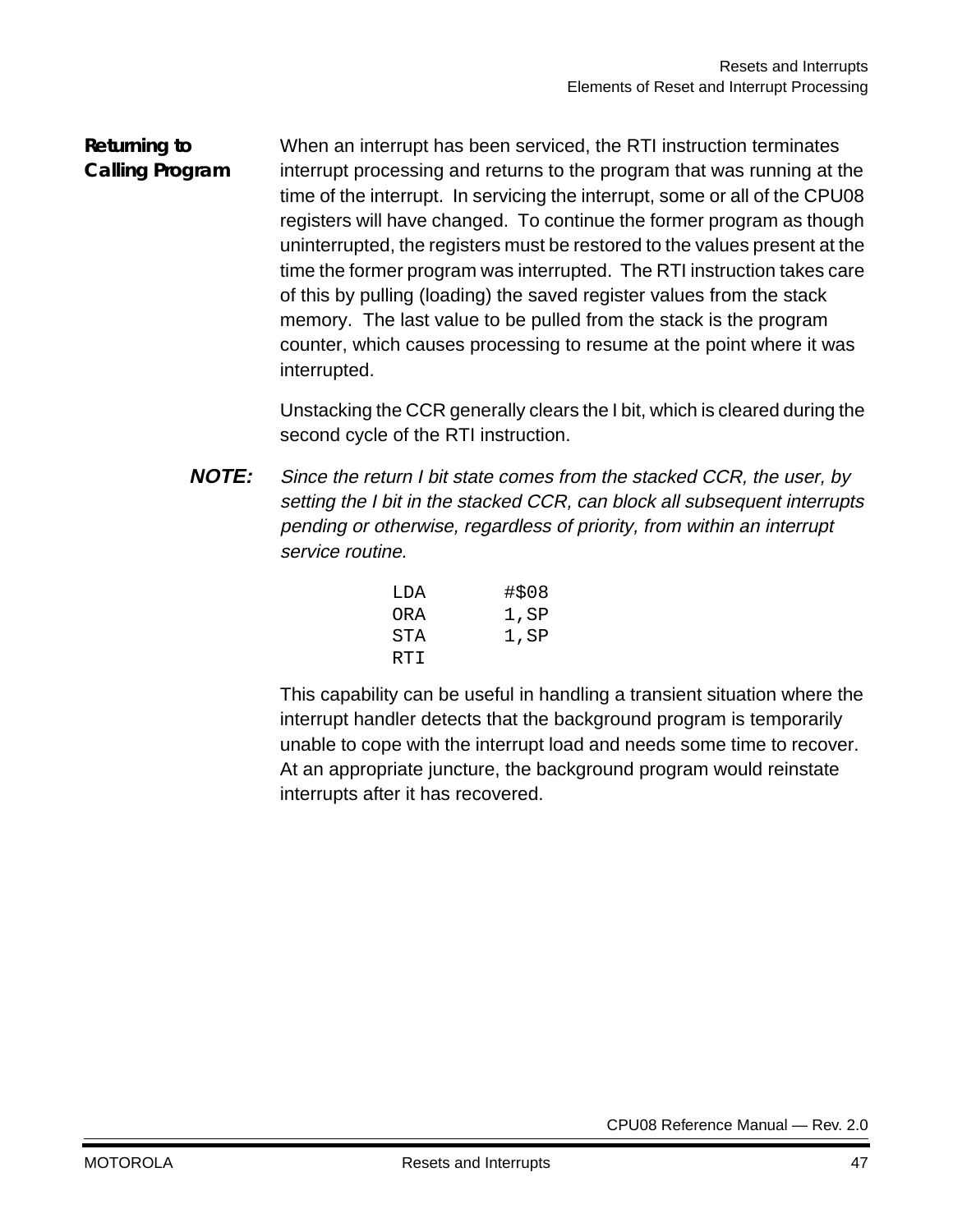<span id="page-46-0"></span>**Returning to Calling Program** When an interrupt has been serviced, the RTI instruction terminates interrupt processing and returns to the program that was running at the time of the interrupt. In servicing the interrupt, some or all of the CPU08 registers will have changed. To continue the former program as though uninterrupted, the registers must be restored to the values present at the time the former program was interrupted. The RTI instruction takes care of this by pulling (loading) the saved register values from the stack memory. The last value to be pulled from the stack is the program counter, which causes processing to resume at the point where it was interrupted.

> Unstacking the CCR generally clears the I bit, which is cleared during the second cycle of the RTI instruction.

**NOTE:** Since the return I bit state comes from the stacked CCR, the user, by setting the I bit in the stacked CCR, can block all subsequent interrupts pending or otherwise, regardless of priority, from within an interrupt service routine.

| T DA | #\$08 |
|------|-------|
| ORA  | 1,SP  |
| STA  | 1,SP  |
| RTT. |       |

This capability can be useful in handling a transient situation where the interrupt handler detects that the background program is temporarily unable to cope with the interrupt load and needs some time to recover. At an appropriate juncture, the background program would reinstate interrupts after it has recovered.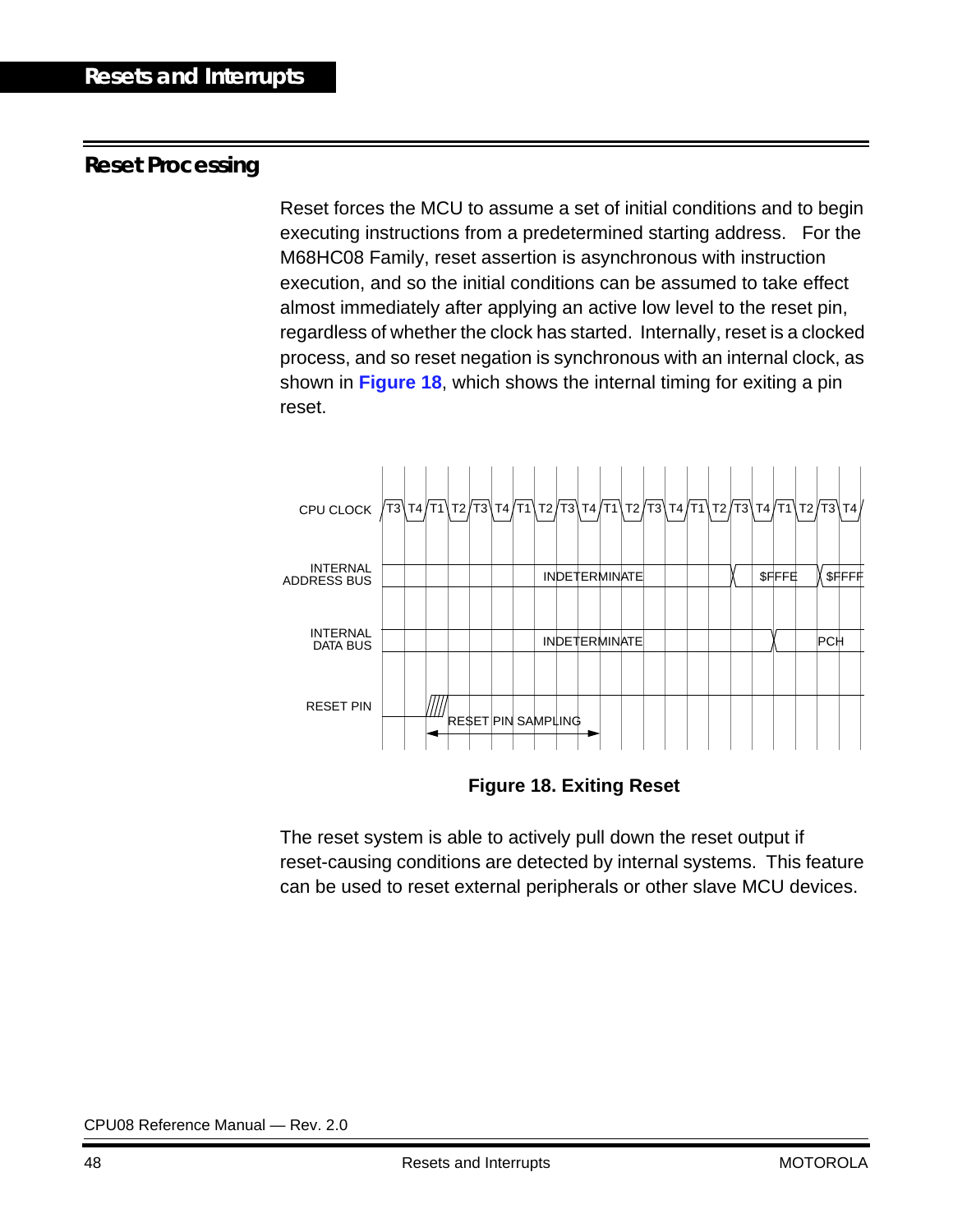## <span id="page-47-0"></span>**Reset Processing**

Reset forces the MCU to assume a set of initial conditions and to begin executing instructions from a predetermined starting address. For the M68HC08 Family, reset assertion is asynchronous with instruction execution, and so the initial conditions can be assumed to take effect almost immediately after applying an active low level to the reset pin, regardless of whether the clock has started. Internally, reset is a clocked process, and so reset negation is synchronous with an internal clock, as shown in **Figure 18**, which shows the internal timing for exiting a pin reset.



**Figure 18. Exiting Reset**

The reset system is able to actively pull down the reset output if reset-causing conditions are detected by internal systems. This feature can be used to reset external peripherals or other slave MCU devices.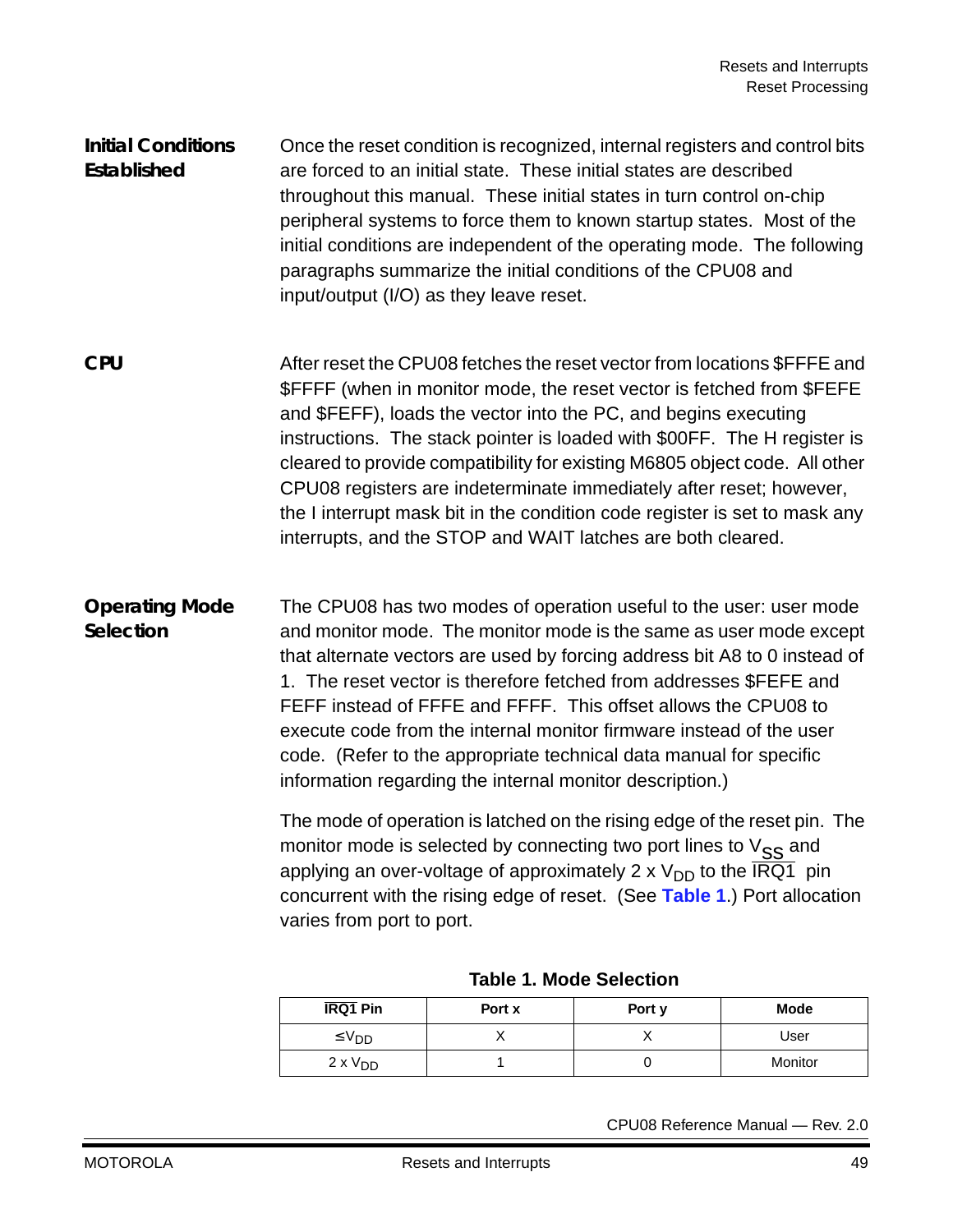<span id="page-48-0"></span>

| <b>Initial Conditions</b> | Once the reset condition is recognized, internal registers and control bits |
|---------------------------|-----------------------------------------------------------------------------|
| Established               | are forced to an initial state. These initial states are described          |
|                           | throughout this manual. These initial states in turn control on-chip        |
|                           | peripheral systems to force them to known startup states. Most of the       |
|                           | initial conditions are independent of the operating mode. The following     |
|                           | paragraphs summarize the initial conditions of the CPU08 and                |
|                           | input/output (I/O) as they leave reset.                                     |

- **CPU** After reset the CPU08 fetches the reset vector from locations \$FFFE and \$FFFF (when in monitor mode, the reset vector is fetched from \$FEFE and \$FEFF), loads the vector into the PC, and begins executing instructions. The stack pointer is loaded with \$00FF. The H register is cleared to provide compatibility for existing M6805 object code. All other CPU08 registers are indeterminate immediately after reset; however, the I interrupt mask bit in the condition code register is set to mask any interrupts, and the STOP and WAIT latches are both cleared.
- **Operating Mode Selection** The CPU08 has two modes of operation useful to the user: user mode and monitor mode. The monitor mode is the same as user mode except that alternate vectors are used by forcing address bit A8 to 0 instead of 1. The reset vector is therefore fetched from addresses \$FEFE and FEFF instead of FFFE and FFFF. This offset allows the CPU08 to execute code from the internal monitor firmware instead of the user code. (Refer to the appropriate technical data manual for specific information regarding the internal monitor description.)

The mode of operation is latched on the rising edge of the reset pin. The monitor mode is selected by connecting two port lines to  $V_{SS}$  and applying an over-voltage of approximately 2 x  $V_{DD}$  to the  $\overline{IRQ1}$  pin concurrent with the rising edge of reset. (See **Table 1**.) Port allocation varies from port to port.

| <b>IRQ1</b> Pin   | Port x | Port y | <b>Mode</b> |
|-------------------|--------|--------|-------------|
| $\leq$ $V_{DD}$   |        |        | User        |
| $2 \times V_{DD}$ |        |        | Monitor     |

**Table 1. Mode Selection**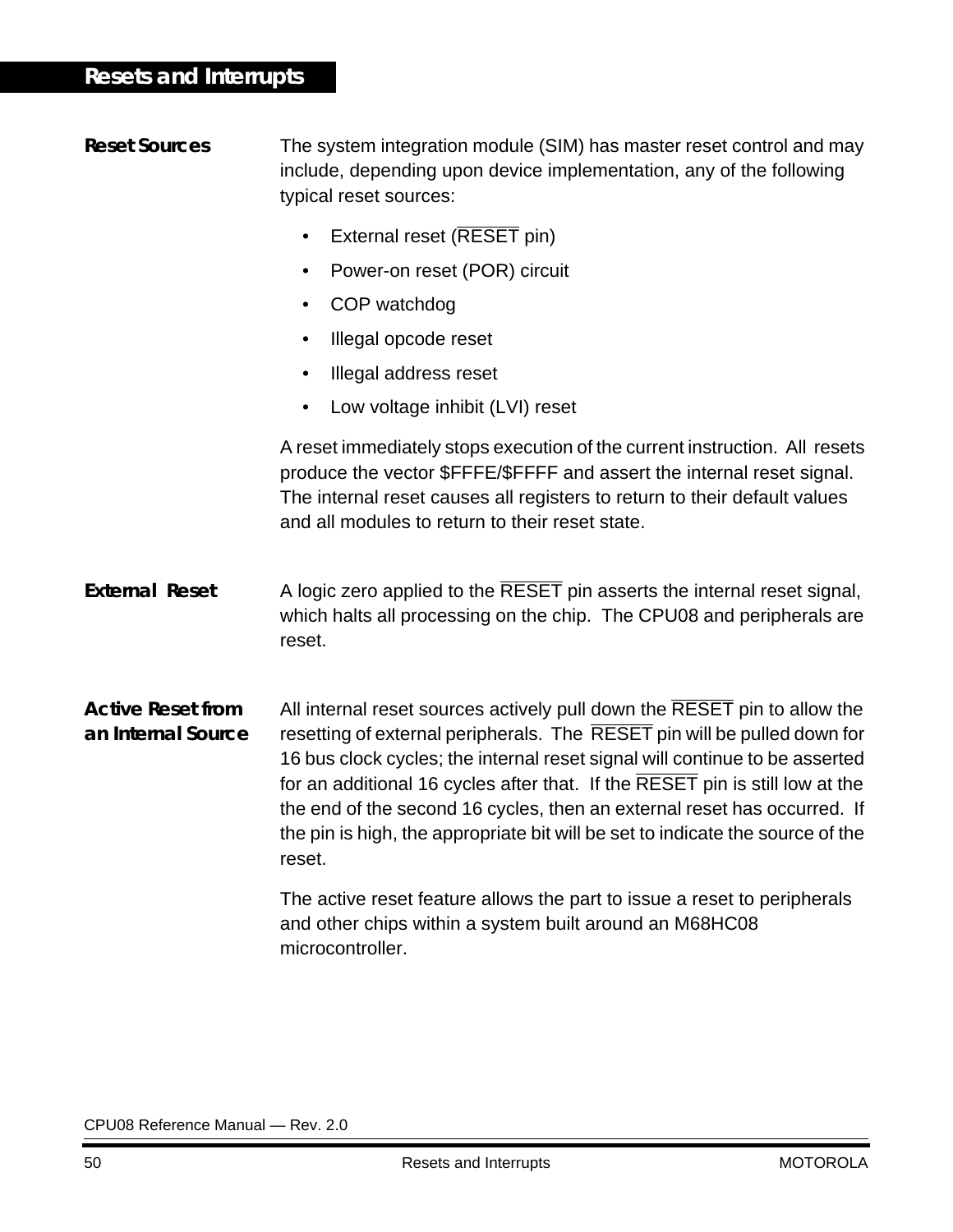<span id="page-49-0"></span>**Reset Sources** The system integration module (SIM) has master reset control and may include, depending upon device implementation, any of the following typical reset sources: External reset (RESET pin) • Power-on reset (POR) circuit • COP watchdog • Illegal opcode reset • Illegal address reset • Low voltage inhibit (LVI) reset A reset immediately stops execution of the current instruction. All resets produce the vector \$FFFE/\$FFFF and assert the internal reset signal. The internal reset causes all registers to return to their default values and all modules to return to their reset state. **External Reset** A logic zero applied to the **RESET** pin asserts the internal reset signal, which halts all processing on the chip. The CPU08 and peripherals are reset. **Active Reset from an Internal Source** All internal reset sources actively pull down the RESET pin to allow the resetting of external peripherals. The RESET pin will be pulled down for 16 bus clock cycles; the internal reset signal will continue to be asserted for an additional 16 cycles after that. If the RESET pin is still low at the the end of the second 16 cycles, then an external reset has occurred. If the pin is high, the appropriate bit will be set to indicate the source of the reset. The active reset feature allows the part to issue a reset to peripherals and other chips within a system built around an M68HC08 microcontroller.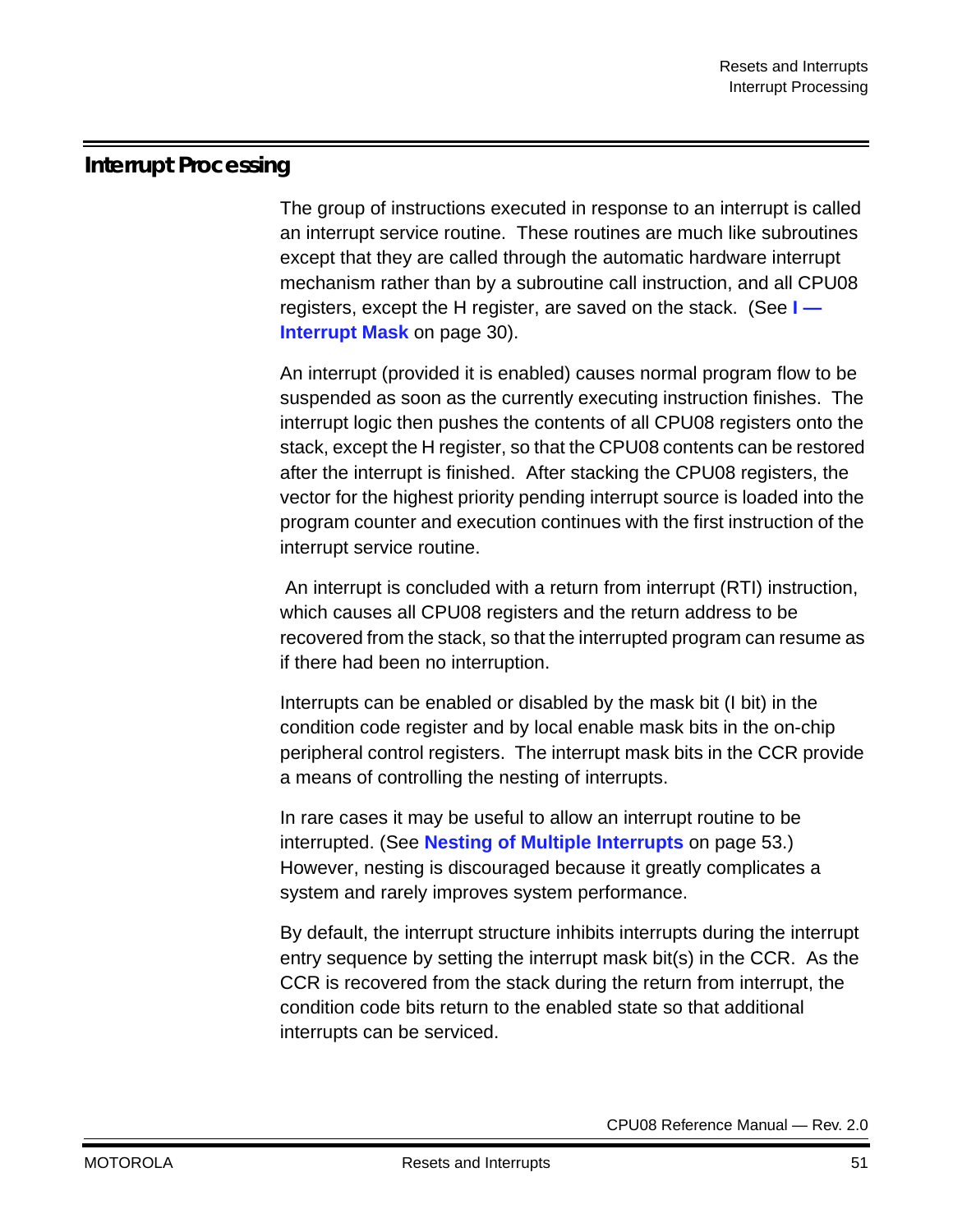## <span id="page-50-0"></span>**Interrupt Processing**

The group of instructions executed in response to an interrupt is called an interrupt service routine. These routines are much like subroutines except that they are called through the automatic hardware interrupt mechanism rather than by a subroutine call instruction, and all CPU08 registers, except the H register, are saved on the stack. (See **[I —](#page-29-0) [Interrupt Mask](#page-29-0)** on page 30).

An interrupt (provided it is enabled) causes normal program flow to be suspended as soon as the currently executing instruction finishes. The interrupt logic then pushes the contents of all CPU08 registers onto the stack, except the H register, so that the CPU08 contents can be restored after the interrupt is finished. After stacking the CPU08 registers, the vector for the highest priority pending interrupt source is loaded into the program counter and execution continues with the first instruction of the interrupt service routine.

 An interrupt is concluded with a return from interrupt (RTI) instruction, which causes all CPU08 registers and the return address to be recovered from the stack, so that the interrupted program can resume as if there had been no interruption.

Interrupts can be enabled or disabled by the mask bit (I bit) in the condition code register and by local enable mask bits in the on-chip peripheral control registers. The interrupt mask bits in the CCR provide a means of controlling the nesting of interrupts.

In rare cases it may be useful to allow an interrupt routine to be interrupted. (See **[Nesting of Multiple Interrupts](#page-52-0)** on page 53.) However, nesting is discouraged because it greatly complicates a system and rarely improves system performance.

By default, the interrupt structure inhibits interrupts during the interrupt entry sequence by setting the interrupt mask bit(s) in the CCR. As the CCR is recovered from the stack during the return from interrupt, the condition code bits return to the enabled state so that additional interrupts can be serviced.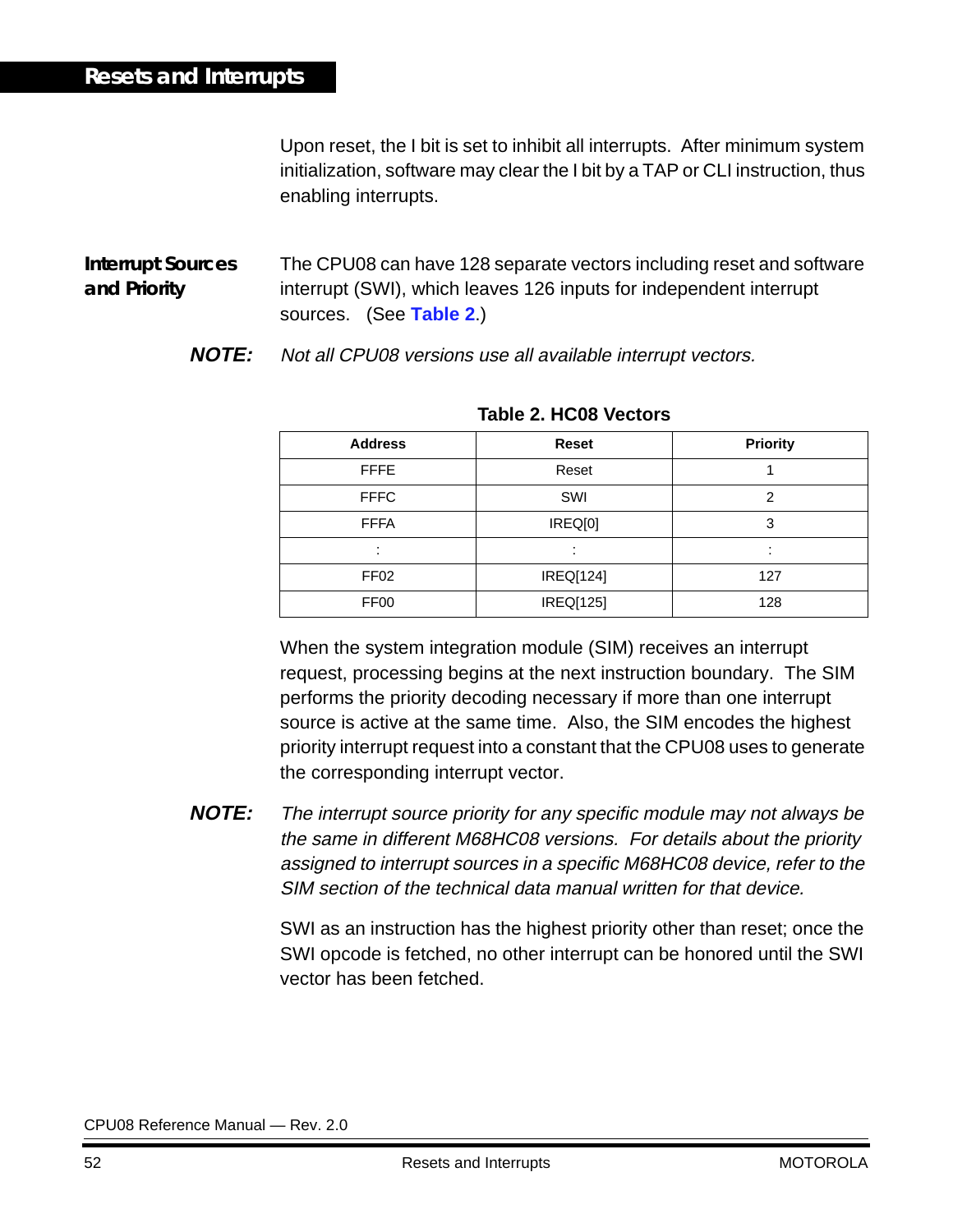Upon reset, the I bit is set to inhibit all interrupts. After minimum system initialization, software may clear the I bit by a TAP or CLI instruction, thus enabling interrupts.

<span id="page-51-0"></span>**Interrupt Sources and Priority** The CPU08 can have 128 separate vectors including reset and software interrupt (SWI), which leaves 126 inputs for independent interrupt sources. (See **Table 2**.)

**NOTE:** Not all CPU08 versions use all available interrupt vectors.

| <b>Address</b>     | <b>Reset</b>              | <b>Priority</b> |
|--------------------|---------------------------|-----------------|
| <b>FFFE</b>        | Reset                     |                 |
| <b>FFFC</b>        | SWI                       | $\mathfrak{p}$  |
| <b>FFFA</b>        | IREQ[0]                   | 3               |
| $\cdot$<br>$\cdot$ | $\cdot$<br>$\blacksquare$ |                 |
| FF <sub>02</sub>   | <b>IREQ[124]</b>          | 127             |
| FF <sub>00</sub>   | IREQ[125]                 | 128             |

**Table 2. HC08 Vectors**

When the system integration module (SIM) receives an interrupt request, processing begins at the next instruction boundary. The SIM performs the priority decoding necessary if more than one interrupt source is active at the same time. Also, the SIM encodes the highest priority interrupt request into a constant that the CPU08 uses to generate the corresponding interrupt vector.

**NOTE:** The interrupt source priority for any specific module may not always be the same in different M68HC08 versions. For details about the priority assigned to interrupt sources in a specific M68HC08 device, refer to the SIM section of the technical data manual written for that device.

> SWI as an instruction has the highest priority other than reset; once the SWI opcode is fetched, no other interrupt can be honored until the SWI vector has been fetched.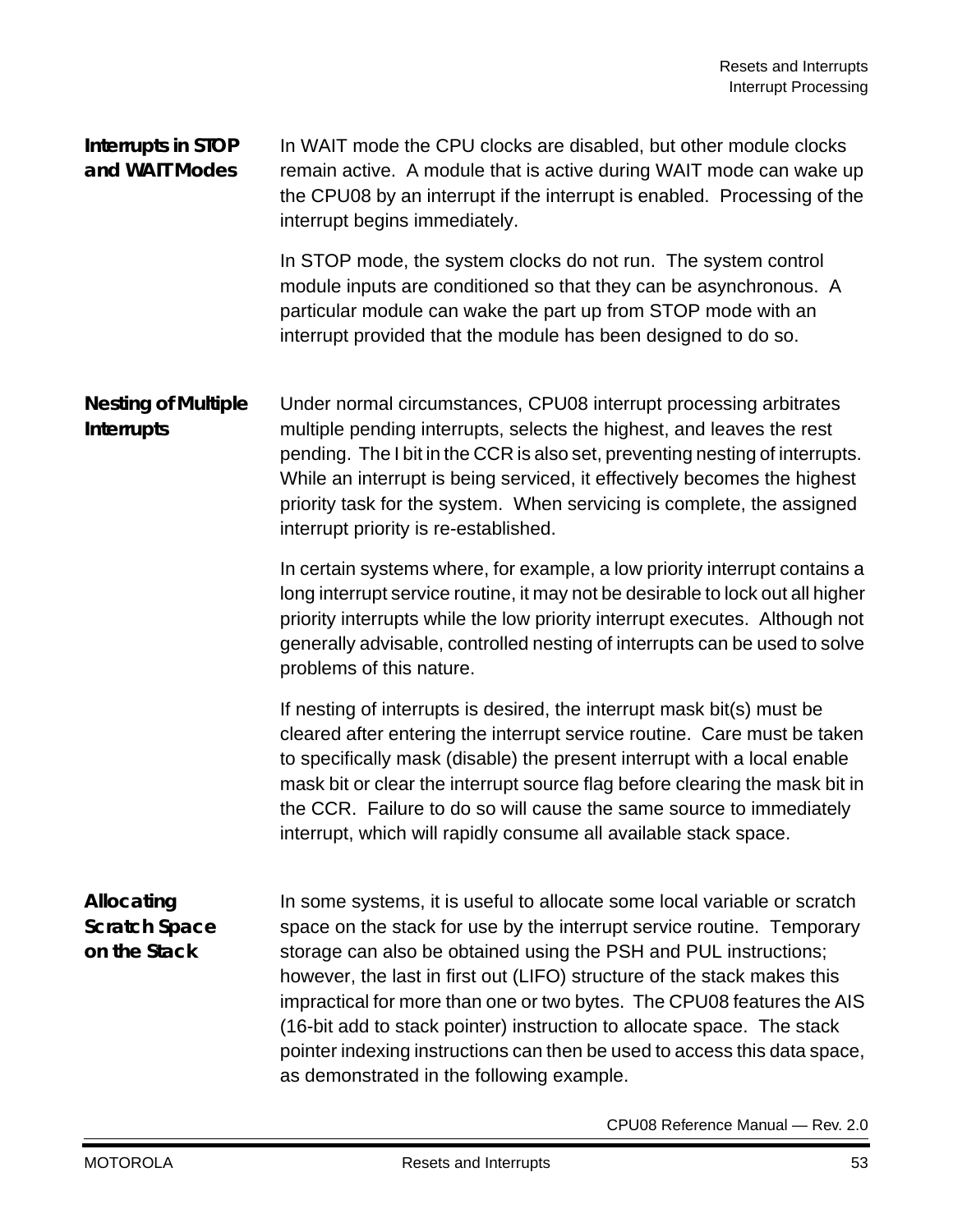<span id="page-52-0"></span>

| Interrupts in STOP<br>and WAIT Modes               | In WAIT mode the CPU clocks are disabled, but other module clocks<br>remain active. A module that is active during WAIT mode can wake up<br>the CPU08 by an interrupt if the interrupt is enabled. Processing of the<br>interrupt begins immediately.                                                                                                                                                                                                                                                                                                                           |
|----------------------------------------------------|---------------------------------------------------------------------------------------------------------------------------------------------------------------------------------------------------------------------------------------------------------------------------------------------------------------------------------------------------------------------------------------------------------------------------------------------------------------------------------------------------------------------------------------------------------------------------------|
|                                                    | In STOP mode, the system clocks do not run. The system control<br>module inputs are conditioned so that they can be asynchronous. A<br>particular module can wake the part up from STOP mode with an<br>interrupt provided that the module has been designed to do so.                                                                                                                                                                                                                                                                                                          |
| <b>Nesting of Multiple</b><br><b>Interrupts</b>    | Under normal circumstances, CPU08 interrupt processing arbitrates<br>multiple pending interrupts, selects the highest, and leaves the rest<br>pending. The I bit in the CCR is also set, preventing nesting of interrupts.<br>While an interrupt is being serviced, it effectively becomes the highest<br>priority task for the system. When servicing is complete, the assigned<br>interrupt priority is re-established.                                                                                                                                                       |
|                                                    | In certain systems where, for example, a low priority interrupt contains a<br>long interrupt service routine, it may not be desirable to lock out all higher<br>priority interrupts while the low priority interrupt executes. Although not<br>generally advisable, controlled nesting of interrupts can be used to solve<br>problems of this nature.                                                                                                                                                                                                                           |
|                                                    | If nesting of interrupts is desired, the interrupt mask bit(s) must be<br>cleared after entering the interrupt service routine. Care must be taken<br>to specifically mask (disable) the present interrupt with a local enable<br>mask bit or clear the interrupt source flag before clearing the mask bit in<br>the CCR. Failure to do so will cause the same source to immediately<br>interrupt, which will rapidly consume all available stack space.                                                                                                                        |
| Allocating<br><b>Scratch Space</b><br>on the Stack | In some systems, it is useful to allocate some local variable or scratch<br>space on the stack for use by the interrupt service routine. Temporary<br>storage can also be obtained using the PSH and PUL instructions;<br>however, the last in first out (LIFO) structure of the stack makes this<br>impractical for more than one or two bytes. The CPU08 features the AIS<br>(16-bit add to stack pointer) instruction to allocate space. The stack<br>pointer indexing instructions can then be used to access this data space,<br>as demonstrated in the following example. |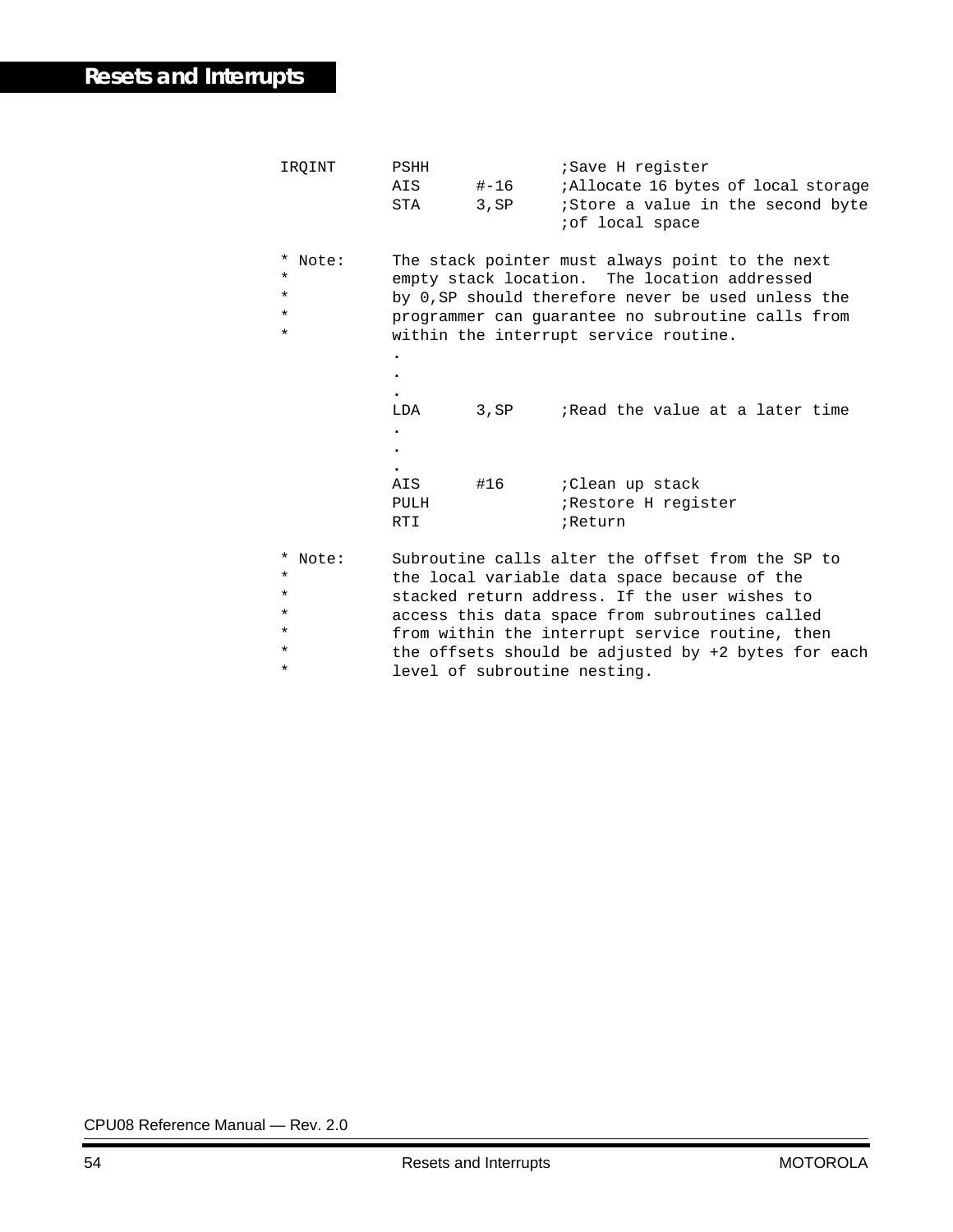| IRQINT                                                        | PSHH<br>AIS<br>STA        | $# - 16$<br>3, SP | <i>Save</i> H register<br>Allocate 16 bytes of local storage<br>Store a value in the second byte<br><i>i</i> of local space                                                                                                                        |
|---------------------------------------------------------------|---------------------------|-------------------|----------------------------------------------------------------------------------------------------------------------------------------------------------------------------------------------------------------------------------------------------|
| $\ast$<br>Note:<br>$\star$<br>$\star$<br>$\star$<br>$\star$   |                           |                   | The stack pointer must always point to the next<br>empty stack location. The location addressed<br>by 0,SP should therefore never be used unless the<br>programmer can quarantee no subroutine calls from<br>within the interrupt service routine. |
|                                                               | LDA                       | 3.SP              | Read the value at a later time                                                                                                                                                                                                                     |
|                                                               | AIS<br>PULH<br><b>RTI</b> | #16               | :Clean up stack<br>Restore H register<br>;Return                                                                                                                                                                                                   |
| $^\star$<br>Note:<br>$\star$<br>$\star$<br>$\star$<br>$\star$ |                           |                   | Subroutine calls alter the offset from the SP to<br>the local variable data space because of the<br>stacked return address. If the user wishes to<br>access this data space from subroutines called                                                |
| *                                                             |                           |                   | from within the interrupt service routine, then<br>the offsets should be adjusted by +2 bytes for each                                                                                                                                             |

\* level of subroutine nesting.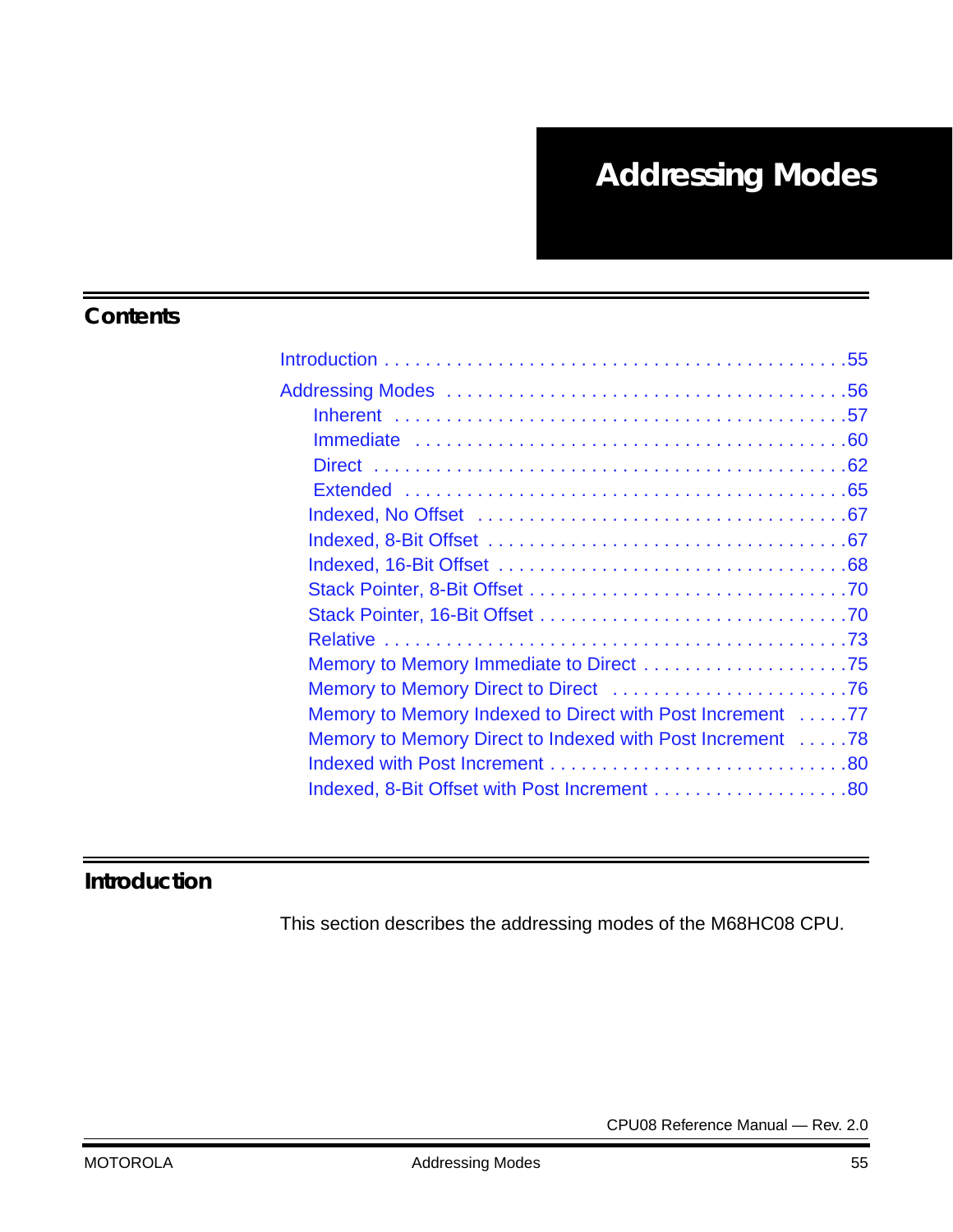# **Addressing Modes**

## **Contents**

| Memory to Memory Indexed to Direct with Post Increment 77 |
|-----------------------------------------------------------|
| Memory to Memory Direct to Indexed with Post Increment 78 |
|                                                           |
|                                                           |
|                                                           |

## **Introduction**

This section describes the addressing modes of the M68HC08 CPU.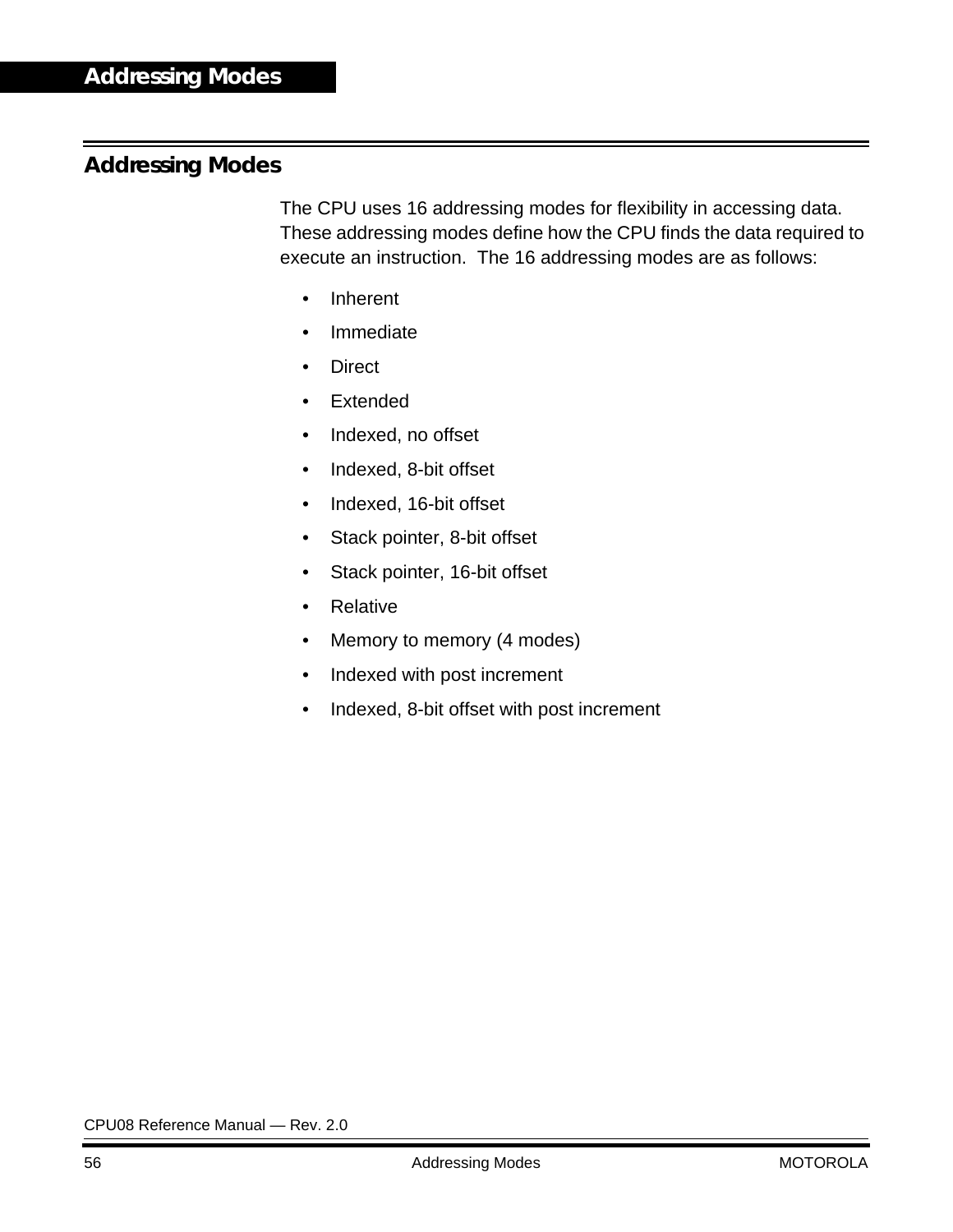## <span id="page-55-0"></span>**Addressing Modes**

The CPU uses 16 addressing modes for flexibility in accessing data. These addressing modes define how the CPU finds the data required to execute an instruction. The 16 addressing modes are as follows:

- Inherent
- Immediate
- Direct
- Extended
- Indexed, no offset
- Indexed, 8-bit offset
- Indexed, 16-bit offset
- Stack pointer, 8-bit offset
- Stack pointer, 16-bit offset
- Relative
- Memory to memory (4 modes)
- Indexed with post increment
- Indexed, 8-bit offset with post increment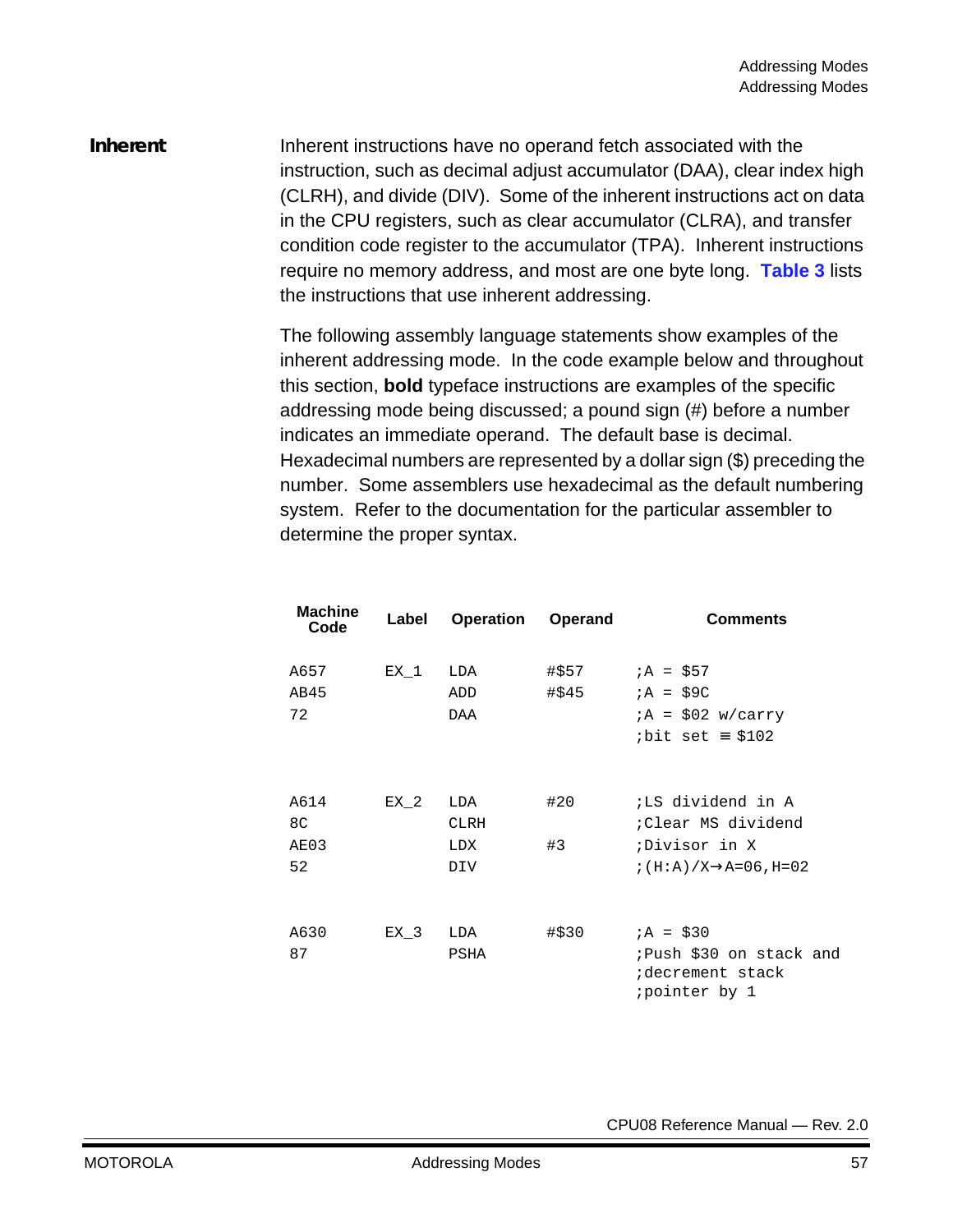## <span id="page-56-0"></span>**Inherent** Inherent instructions have no operand fetch associated with the instruction, such as decimal adjust accumulator (DAA), clear index high (CLRH), and divide (DIV). Some of the inherent instructions act on data in the CPU registers, such as clear accumulator (CLRA), and transfer condition code register to the accumulator (TPA). Inherent instructions require no memory address, and most are one byte long. **[Table 3](#page-57-0)** lists the instructions that use inherent addressing.

The following assembly language statements show examples of the inherent addressing mode. In the code example below and throughout this section, **bold** typeface instructions are examples of the specific addressing mode being discussed; a pound sign (#) before a number indicates an immediate operand. The default base is decimal. Hexadecimal numbers are represented by a dollar sign (\$) preceding the number. Some assemblers use hexadecimal as the default numbering system. Refer to the documentation for the particular assembler to determine the proper syntax.

| Machine<br>Code | Label | Operation | Operand | <b>Comments</b>                                             |
|-----------------|-------|-----------|---------|-------------------------------------------------------------|
| A657            | EX 1  | LDA       | #\$57   | $;A = $57$                                                  |
| AB45            |       | ADD       | #\$45   | $;A = $9C$                                                  |
| 72              |       | DAA       |         | $iA = $02$ w/carry                                          |
|                 |       |           |         | $ibit$ set = \$102                                          |
| A614            | EX 2  | LDA       | #20     | ;LS dividend in A                                           |
| 8C              |       | CLRH      |         | :Clear MS dividend                                          |
| AE03            |       | LDX       | #3      | ;Divisor in X                                               |
| 52              |       | DIV       |         | $; (H:A)/X \rightarrow A=06, H=02$                          |
| A630            | EX 3  | LDA       | #\$30   | $;A = $30$                                                  |
| 87              |       | PSHA      |         | Push \$30 on stack and<br>idecrement stack<br>pointer by 1; |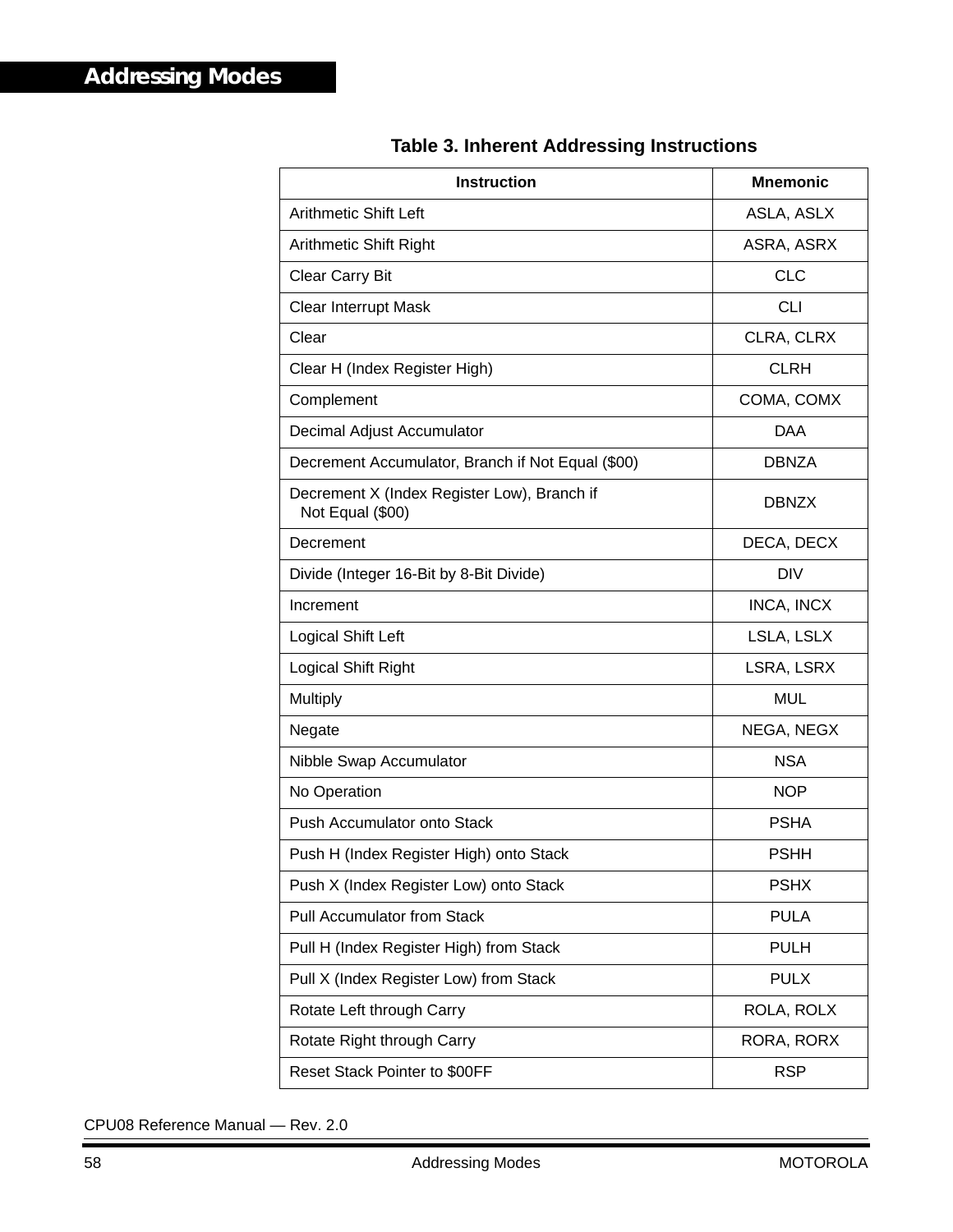<span id="page-57-0"></span>

|                                                                 | <b>Mnemonic</b> |
|-----------------------------------------------------------------|-----------------|
| <b>Arithmetic Shift Left</b>                                    | ASLA, ASLX      |
| Arithmetic Shift Right                                          | ASRA, ASRX      |
| Clear Carry Bit                                                 | <b>CLC</b>      |
| <b>Clear Interrupt Mask</b>                                     | <b>CLI</b>      |
| Clear                                                           | CLRA, CLRX      |
| Clear H (Index Register High)                                   | <b>CLRH</b>     |
| Complement                                                      | COMA, COMX      |
| Decimal Adjust Accumulator                                      | <b>DAA</b>      |
| Decrement Accumulator, Branch if Not Equal (\$00)               | <b>DBNZA</b>    |
| Decrement X (Index Register Low), Branch if<br>Not Equal (\$00) | <b>DBNZX</b>    |
| Decrement                                                       | DECA, DECX      |
| Divide (Integer 16-Bit by 8-Bit Divide)                         | <b>DIV</b>      |
| Increment                                                       | INCA, INCX      |
| Logical Shift Left                                              | LSLA, LSLX      |
| Logical Shift Right                                             | LSRA, LSRX      |
| Multiply                                                        | <b>MUL</b>      |
| Negate                                                          | NEGA, NEGX      |
| Nibble Swap Accumulator                                         | <b>NSA</b>      |
| No Operation                                                    | <b>NOP</b>      |
| Push Accumulator onto Stack                                     | <b>PSHA</b>     |
| Push H (Index Register High) onto Stack                         | <b>PSHH</b>     |
| Push X (Index Register Low) onto Stack                          | <b>PSHX</b>     |
| Pull Accumulator from Stack                                     | <b>PULA</b>     |
| Pull H (Index Register High) from Stack                         | <b>PULH</b>     |
| Pull X (Index Register Low) from Stack                          | <b>PULX</b>     |
| Rotate Left through Carry                                       | ROLA, ROLX      |
| Rotate Right through Carry                                      | RORA, RORX      |
| Reset Stack Pointer to \$00FF                                   | <b>RSP</b>      |

## **Table 3. Inherent Addressing Instructions**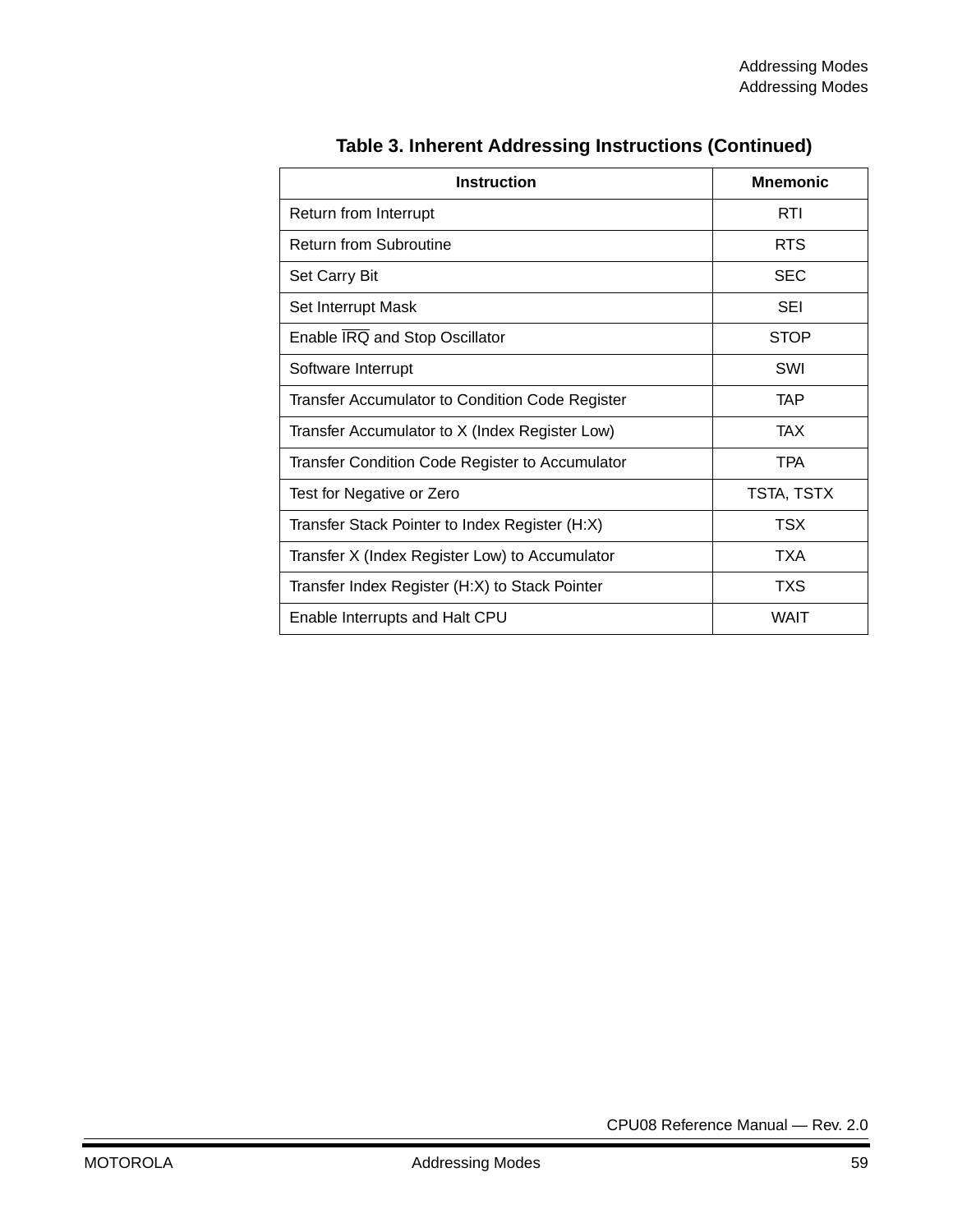| <b>Instruction</b>                              | <b>Mnemonic</b> |
|-------------------------------------------------|-----------------|
| Return from Interrupt                           | RTI             |
| Return from Subroutine                          | <b>RTS</b>      |
| Set Carry Bit                                   | <b>SEC</b>      |
| Set Interrupt Mask                              | SEI             |
| Enable IRQ and Stop Oscillator                  | <b>STOP</b>     |
| Software Interrupt                              | SWI             |
| Transfer Accumulator to Condition Code Register | TAP             |
| Transfer Accumulator to X (Index Register Low)  | <b>TAX</b>      |
| Transfer Condition Code Register to Accumulator | <b>TPA</b>      |
| Test for Negative or Zero                       | TSTA, TSTX      |
| Transfer Stack Pointer to Index Register (H:X)  | <b>TSX</b>      |
| Transfer X (Index Register Low) to Accumulator  | <b>TXA</b>      |
| Transfer Index Register (H:X) to Stack Pointer  | <b>TXS</b>      |
| Enable Interrupts and Halt CPU                  | WAIT            |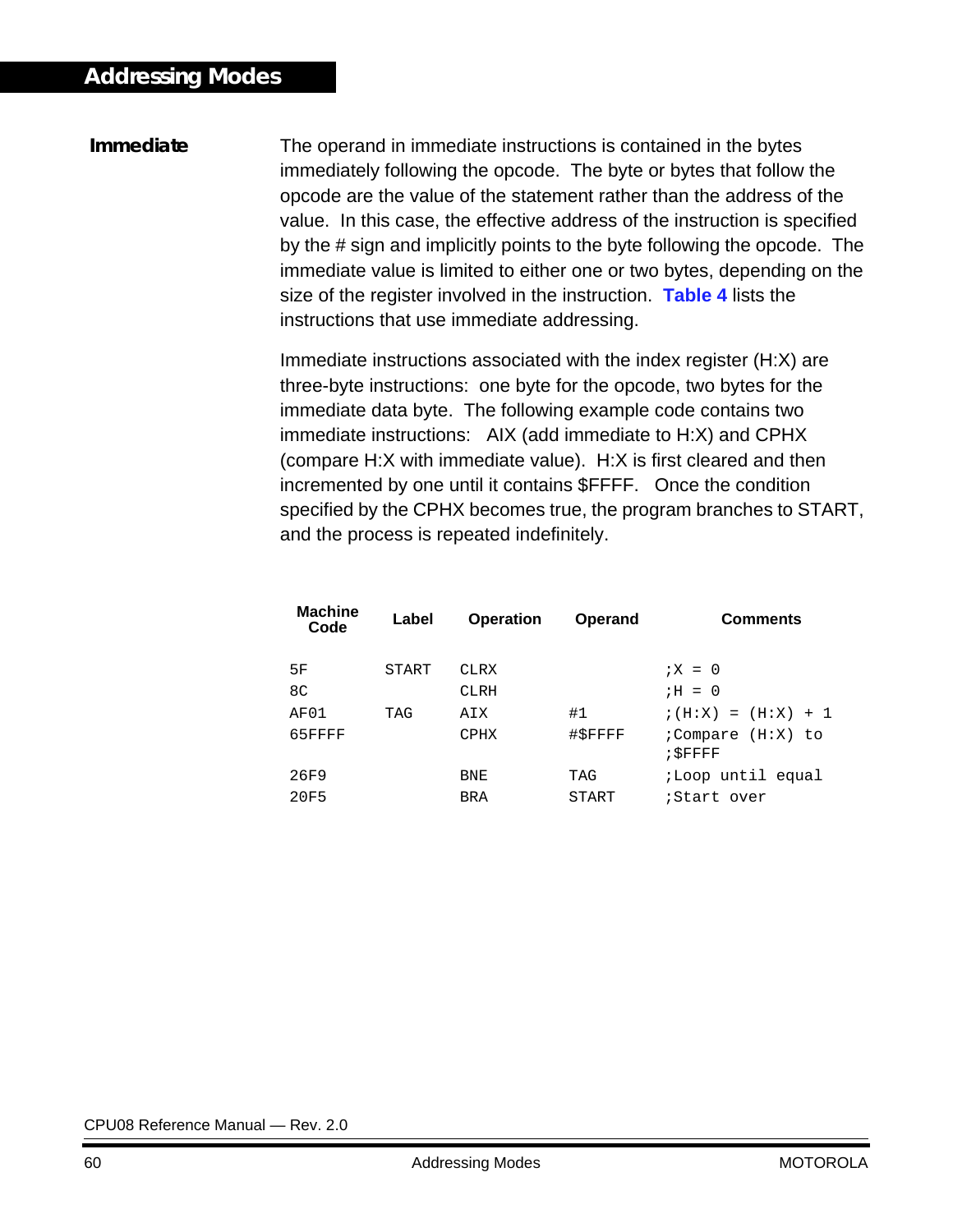<span id="page-59-0"></span>**Immediate** The operand in immediate instructions is contained in the bytes immediately following the opcode. The byte or bytes that follow the opcode are the value of the statement rather than the address of the value. In this case, the effective address of the instruction is specified by the # sign and implicitly points to the byte following the opcode. The immediate value is limited to either one or two bytes, depending on the size of the register involved in the instruction. **[Table 4](#page-60-0)** lists the instructions that use immediate addressing.

> Immediate instructions associated with the index register (H:X) are three-byte instructions: one byte for the opcode, two bytes for the immediate data byte. The following example code contains two immediate instructions: AIX (add immediate to H:X) and CPHX (compare H:X with immediate value). H:X is first cleared and then incremented by one until it contains \$FFFF. Once the condition specified by the CPHX becomes true, the program branches to START, and the process is repeated indefinitely.

| <b>Machine</b><br>Code | Label | <b>Operation</b> | Operand | <b>Comments</b>                   |
|------------------------|-------|------------------|---------|-----------------------------------|
| 5F                     | START | CLRX             |         | $iX = 0$                          |
| 8C                     |       | CLRH             |         | $iH = 0$                          |
| AF01                   | TAG   | AIX              | #1      | $; (H:X) = (H:X) + 1$             |
| 65FFFF                 |       | <b>CPHX</b>      | #\$FFFF | :Compare (H:X) to<br>$;$ $S$ FFFF |
| 26F9                   |       | BNE              | TAG     | <i>i</i> Loop until equal         |
| 20F5                   |       | <b>BRA</b>       | START   | ;Start over                       |
|                        |       |                  |         |                                   |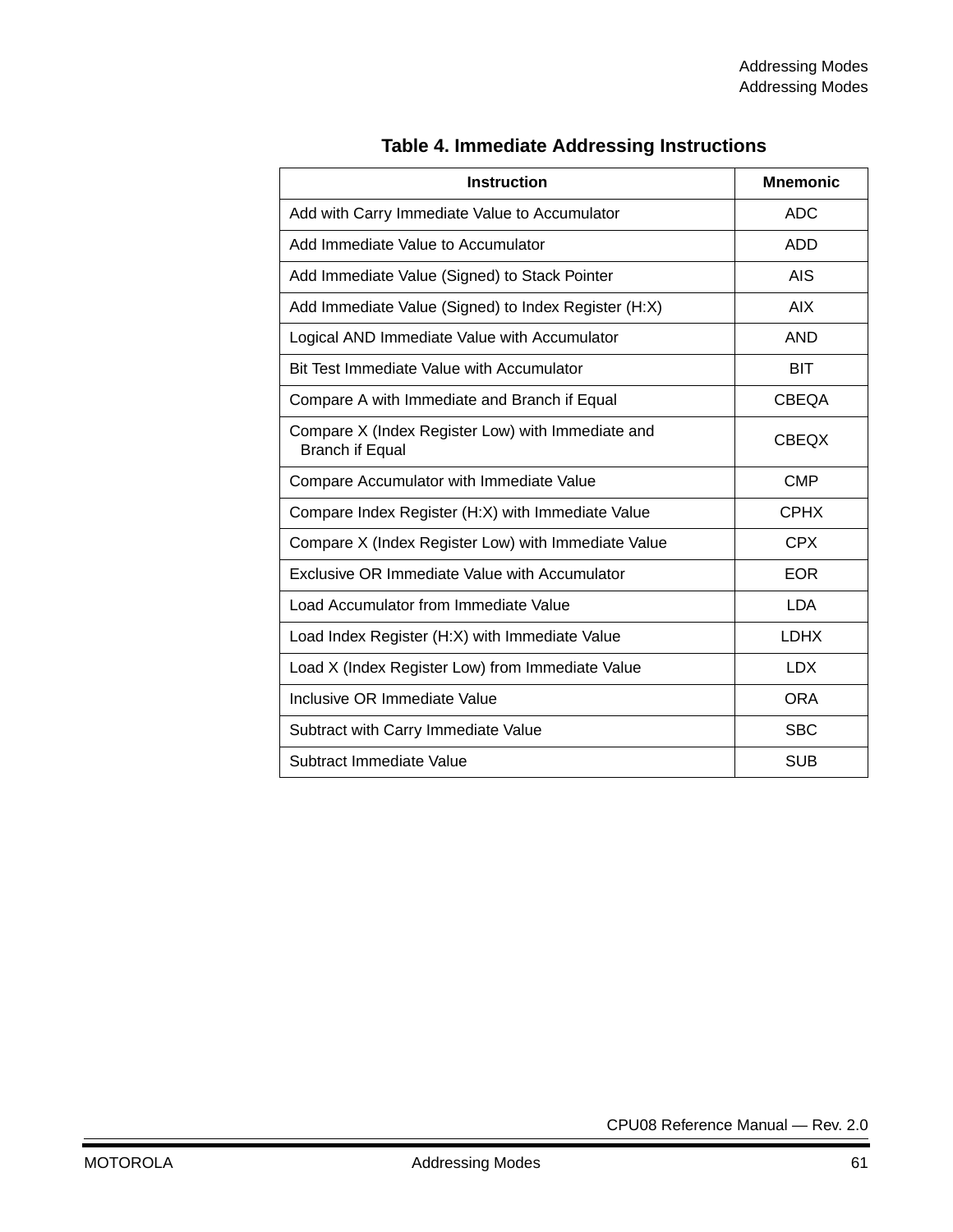<span id="page-60-0"></span>

| <b>Instruction</b>                                                          | <b>Mnemonic</b> |
|-----------------------------------------------------------------------------|-----------------|
| Add with Carry Immediate Value to Accumulator                               | <b>ADC</b>      |
| Add Immediate Value to Accumulator                                          | <b>ADD</b>      |
| Add Immediate Value (Signed) to Stack Pointer                               | <b>AIS</b>      |
| Add Immediate Value (Signed) to Index Register (H:X)                        | <b>AIX</b>      |
| Logical AND Immediate Value with Accumulator                                | <b>AND</b>      |
| Bit Test Immediate Value with Accumulator                                   | <b>BIT</b>      |
| Compare A with Immediate and Branch if Equal                                | <b>CBEQA</b>    |
| Compare X (Index Register Low) with Immediate and<br><b>Branch if Equal</b> | <b>CBEQX</b>    |
| Compare Accumulator with Immediate Value                                    | <b>CMP</b>      |
| Compare Index Register (H:X) with Immediate Value                           | <b>CPHX</b>     |
| Compare X (Index Register Low) with Immediate Value                         | <b>CPX</b>      |
| Exclusive OR Immediate Value with Accumulator                               | <b>EOR</b>      |
| Load Accumulator from Immediate Value                                       | LDA.            |
| Load Index Register (H:X) with Immediate Value                              | <b>LDHX</b>     |
| Load X (Index Register Low) from Immediate Value                            | LDX.            |
| Inclusive OR Immediate Value                                                | <b>ORA</b>      |
| Subtract with Carry Immediate Value                                         | <b>SBC</b>      |
| Subtract Immediate Value                                                    | <b>SUB</b>      |

## **Table 4. Immediate Addressing Instructions**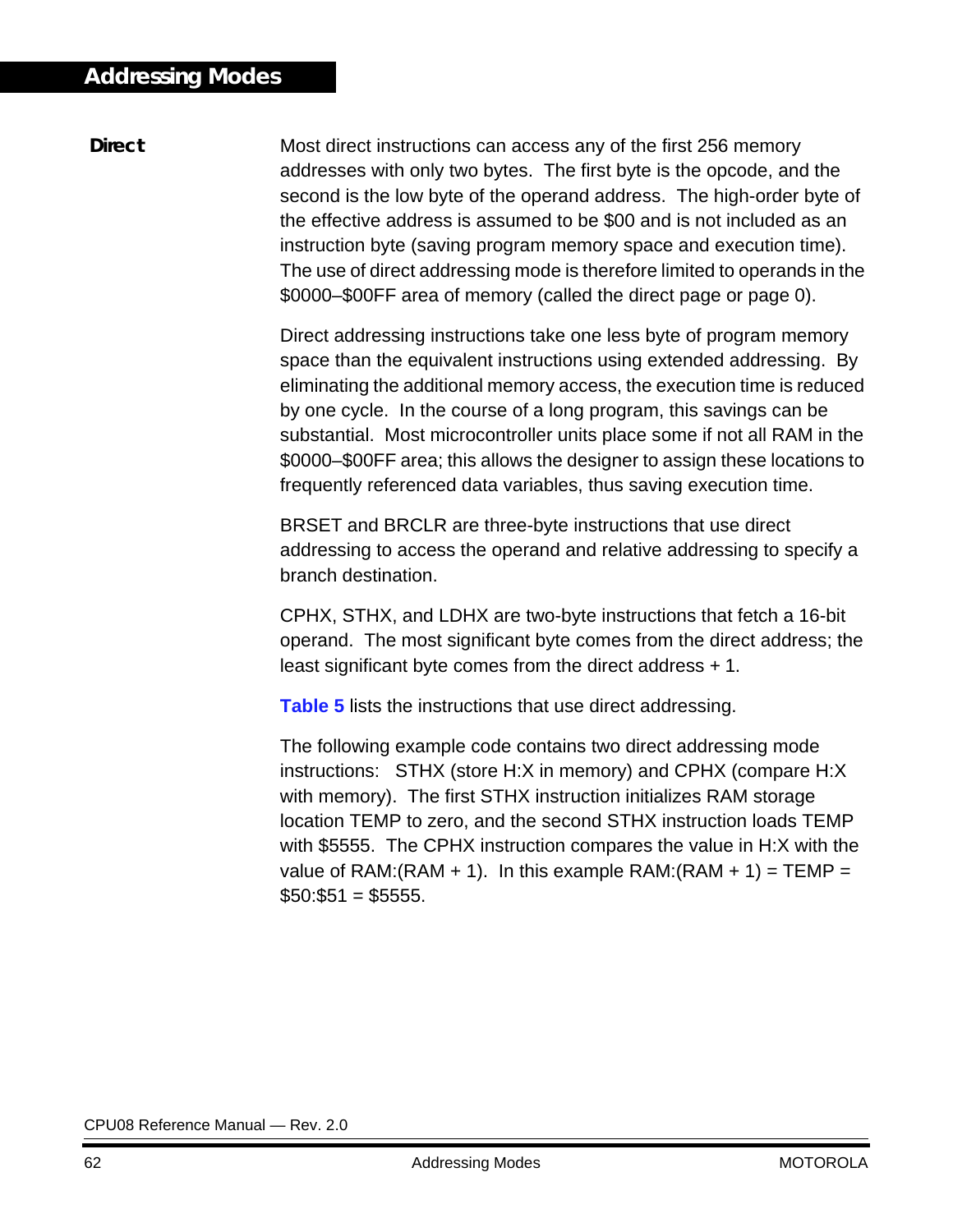<span id="page-61-0"></span>**Direct** Most direct instructions can access any of the first 256 memory addresses with only two bytes. The first byte is the opcode, and the second is the low byte of the operand address. The high-order byte of the effective address is assumed to be \$00 and is not included as an instruction byte (saving program memory space and execution time). The use of direct addressing mode is therefore limited to operands in the \$0000–\$00FF area of memory (called the direct page or page 0).

> Direct addressing instructions take one less byte of program memory space than the equivalent instructions using extended addressing. By eliminating the additional memory access, the execution time is reduced by one cycle. In the course of a long program, this savings can be substantial. Most microcontroller units place some if not all RAM in the \$0000–\$00FF area; this allows the designer to assign these locations to frequently referenced data variables, thus saving execution time.

BRSET and BRCLR are three-byte instructions that use direct addressing to access the operand and relative addressing to specify a branch destination.

CPHX, STHX, and LDHX are two-byte instructions that fetch a 16-bit operand. The most significant byte comes from the direct address; the least significant byte comes from the direct address + 1.

**[Table 5](#page-62-0)** lists the instructions that use direct addressing.

The following example code contains two direct addressing mode instructions: STHX (store H:X in memory) and CPHX (compare H:X with memory). The first STHX instruction initializes RAM storage location TEMP to zero, and the second STHX instruction loads TEMP with \$5555. The CPHX instruction compares the value in H:X with the value of RAM: $(RAM + 1)$ . In this example RAM: $(RAM + 1) = TEMP =$  $$50:$ \$51 = \$5555.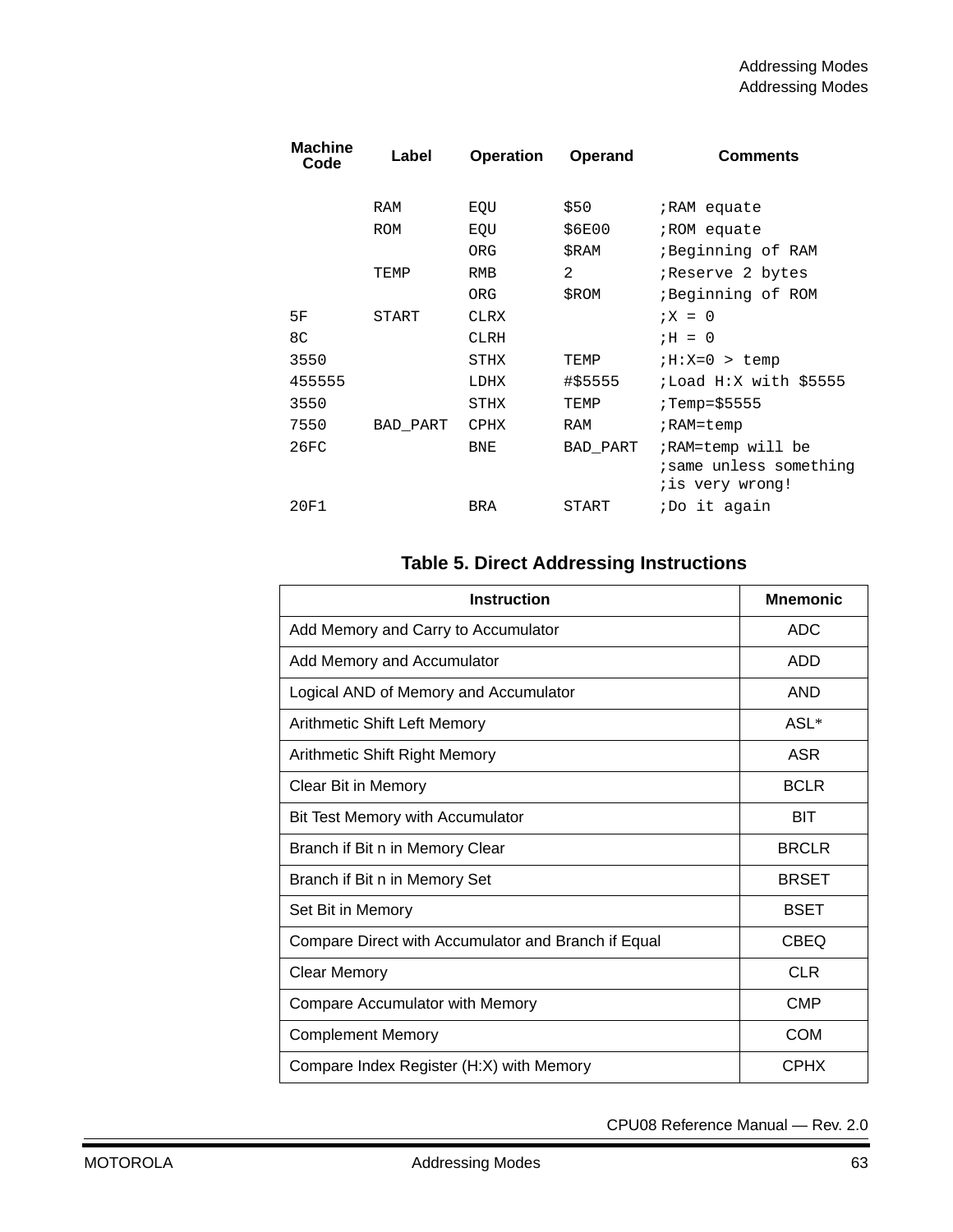<span id="page-62-0"></span>

| <b>Machine</b><br>Code | Label    | <b>Operation</b> | Operand        | Comments                                   |
|------------------------|----------|------------------|----------------|--------------------------------------------|
|                        | RAM      | EQU              | \$50           | ; RAM equate                               |
|                        | ROM      | EQU              | \$6E00         | ; ROM equate                               |
|                        |          | <b>ORG</b>       | \$RAM          | Beginning of RAM                           |
|                        | TEMP     | RMB              | $\mathfrak{D}$ | Reserve 2 bytes                            |
|                        |          | <b>ORG</b>       | \$ROM          | Beginning of ROM                           |
| 5F                     | START    | CLRX             |                | $iX = 0$                                   |
| 8C                     |          | CLRH             |                | $iH = 0$                                   |
| 3550                   |          | STHX             | TEMP           | $H: X=0 > temp$                            |
| 455555                 |          | LDHX             | #\$5555        | ;Load H:X with \$5555                      |
| 3550                   |          | STHX             | TEMP           | $:$ Temp= $$5555$                          |
| 7550                   | BAD PART | CPHX             | RAM            | ; RAM=temp                                 |
| 26FC                   |          | <b>BNE</b>       | BAD PART       | ;RAM=temp will be<br>same unless something |
|                        |          |                  |                | is very wrong!                             |
| 20F1                   |          | <b>BRA</b>       | START          | ;Do it again                               |
|                        |          |                  |                |                                            |

## **Table 5. Direct Addressing Instructions**

| <b>Instruction</b>                                  | <b>Mnemonic</b> |
|-----------------------------------------------------|-----------------|
| Add Memory and Carry to Accumulator                 | ADC             |
| Add Memory and Accumulator                          | ADD             |
| Logical AND of Memory and Accumulator               | AND             |
| Arithmetic Shift Left Memory                        | $ASL^*$         |
| Arithmetic Shift Right Memory                       | ASR             |
| Clear Bit in Memory                                 | <b>BCLR</b>     |
| Bit Test Memory with Accumulator                    | BIT             |
| Branch if Bit n in Memory Clear                     | <b>BRCLR</b>    |
| Branch if Bit n in Memory Set                       | <b>BRSET</b>    |
| Set Bit in Memory                                   | <b>BSET</b>     |
| Compare Direct with Accumulator and Branch if Equal | CBEQ            |
| <b>Clear Memory</b>                                 | <b>CLR</b>      |
| <b>Compare Accumulator with Memory</b>              | <b>CMP</b>      |
| <b>Complement Memory</b>                            | <b>COM</b>      |
| Compare Index Register (H:X) with Memory            | <b>CPHX</b>     |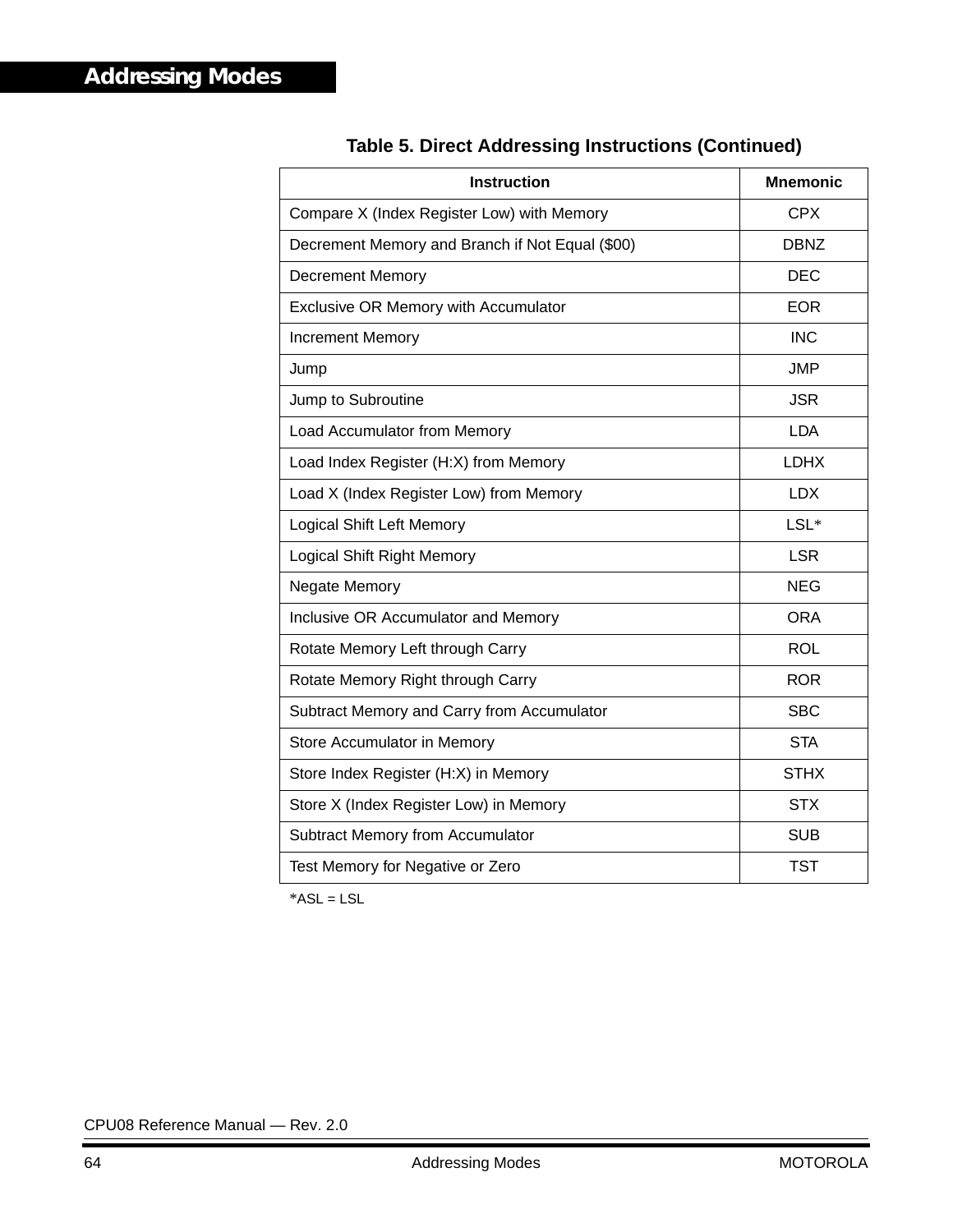| <b>Instruction</b>                              | <b>Mnemonic</b> |
|-------------------------------------------------|-----------------|
| Compare X (Index Register Low) with Memory      | <b>CPX</b>      |
| Decrement Memory and Branch if Not Equal (\$00) | <b>DBNZ</b>     |
| <b>Decrement Memory</b>                         | <b>DEC</b>      |
| Exclusive OR Memory with Accumulator            | <b>EOR</b>      |
| <b>Increment Memory</b>                         | <b>INC</b>      |
| Jump                                            | <b>JMP</b>      |
| Jump to Subroutine                              | <b>JSR</b>      |
| Load Accumulator from Memory                    | <b>LDA</b>      |
| Load Index Register (H:X) from Memory           | <b>LDHX</b>     |
| Load X (Index Register Low) from Memory         | <b>LDX</b>      |
| <b>Logical Shift Left Memory</b>                | $LSL*$          |
| <b>Logical Shift Right Memory</b>               | <b>LSR</b>      |
| Negate Memory                                   | <b>NEG</b>      |
| Inclusive OR Accumulator and Memory             | <b>ORA</b>      |
| Rotate Memory Left through Carry                | <b>ROL</b>      |
| Rotate Memory Right through Carry               | <b>ROR</b>      |
| Subtract Memory and Carry from Accumulator      | <b>SBC</b>      |
| Store Accumulator in Memory                     | <b>STA</b>      |
| Store Index Register (H:X) in Memory            | <b>STHX</b>     |
| Store X (Index Register Low) in Memory          | <b>STX</b>      |
| Subtract Memory from Accumulator                | <b>SUB</b>      |
| Test Memory for Negative or Zero                | <b>TST</b>      |

## **Table 5. Direct Addressing Instructions (Continued)**

 $*ASL = LSL$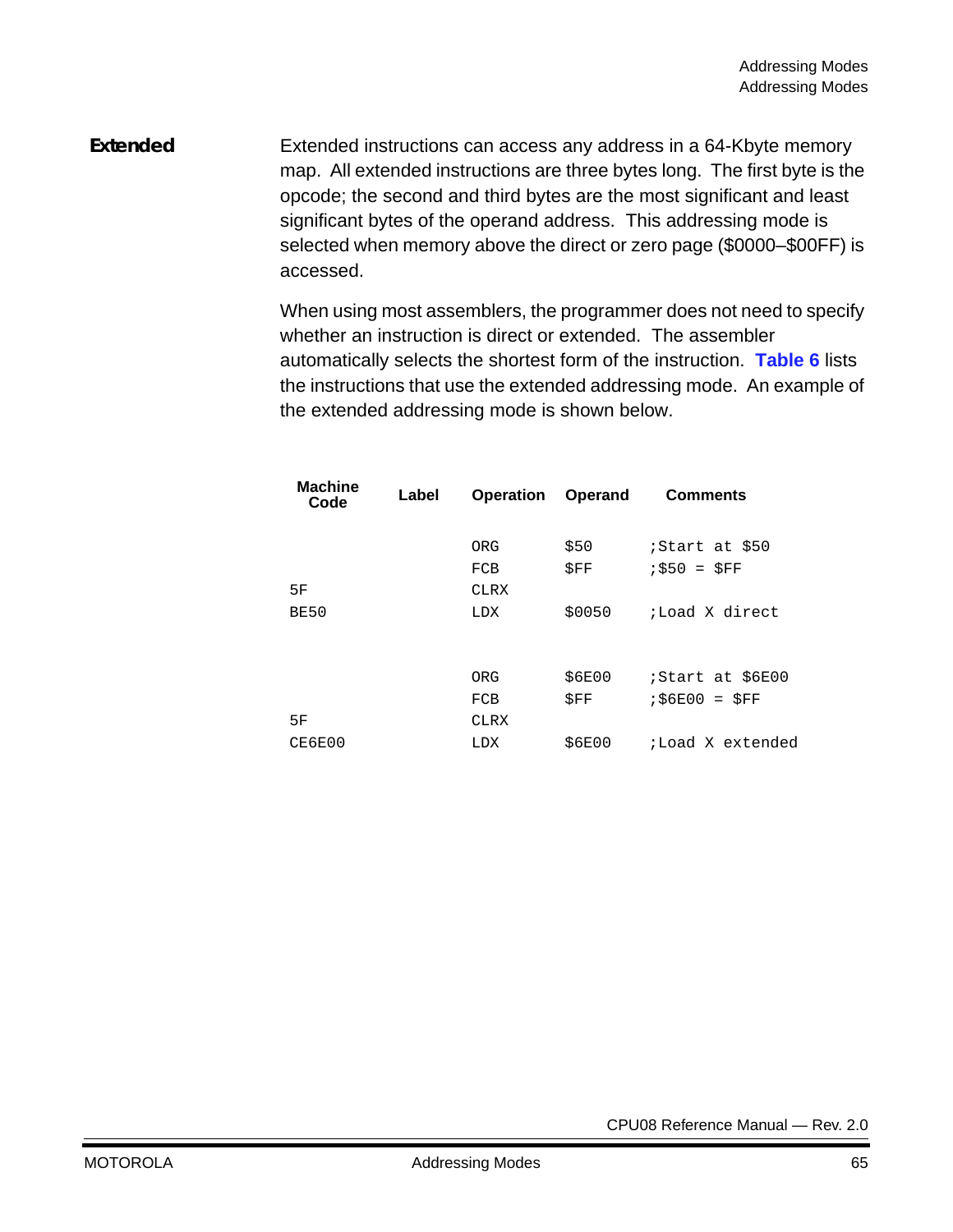<span id="page-64-0"></span>**Extended** Extended instructions can access any address in a 64-Kbyte memory map. All extended instructions are three bytes long. The first byte is the opcode; the second and third bytes are the most significant and least significant bytes of the operand address. This addressing mode is selected when memory above the direct or zero page (\$0000–\$00FF) is accessed.

> When using most assemblers, the programmer does not need to specify whether an instruction is direct or extended. The assembler automatically selects the shortest form of the instruction. **[Table 6](#page-65-0)** lists the instructions that use the extended addressing mode. An example of the extended addressing mode is shown below.

| <b>Machine</b><br>Code | Label | <b>Operation</b> | Operand       | <b>Comments</b>      |
|------------------------|-------|------------------|---------------|----------------------|
|                        |       | <b>ORG</b>       | \$50          | <i>Start at \$50</i> |
|                        |       | FCB              | <b>SFF</b>    | $1550 = 5FF$         |
| 5F                     |       | <b>CLRX</b>      |               |                      |
| <b>BE50</b>            |       | LDX              | \$0050        | ;Load X direct       |
|                        |       |                  |               |                      |
|                        |       | <b>ORG</b>       | <b>\$6E00</b> | Start at \$6E00;     |
|                        |       | FCB              | SFF           | $356E00 = SFF$       |
| 5F                     |       | <b>CLRX</b>      |               |                      |
| CE6E00                 |       | LDX              | <b>\$6E00</b> | ;Load X extended     |
|                        |       |                  |               |                      |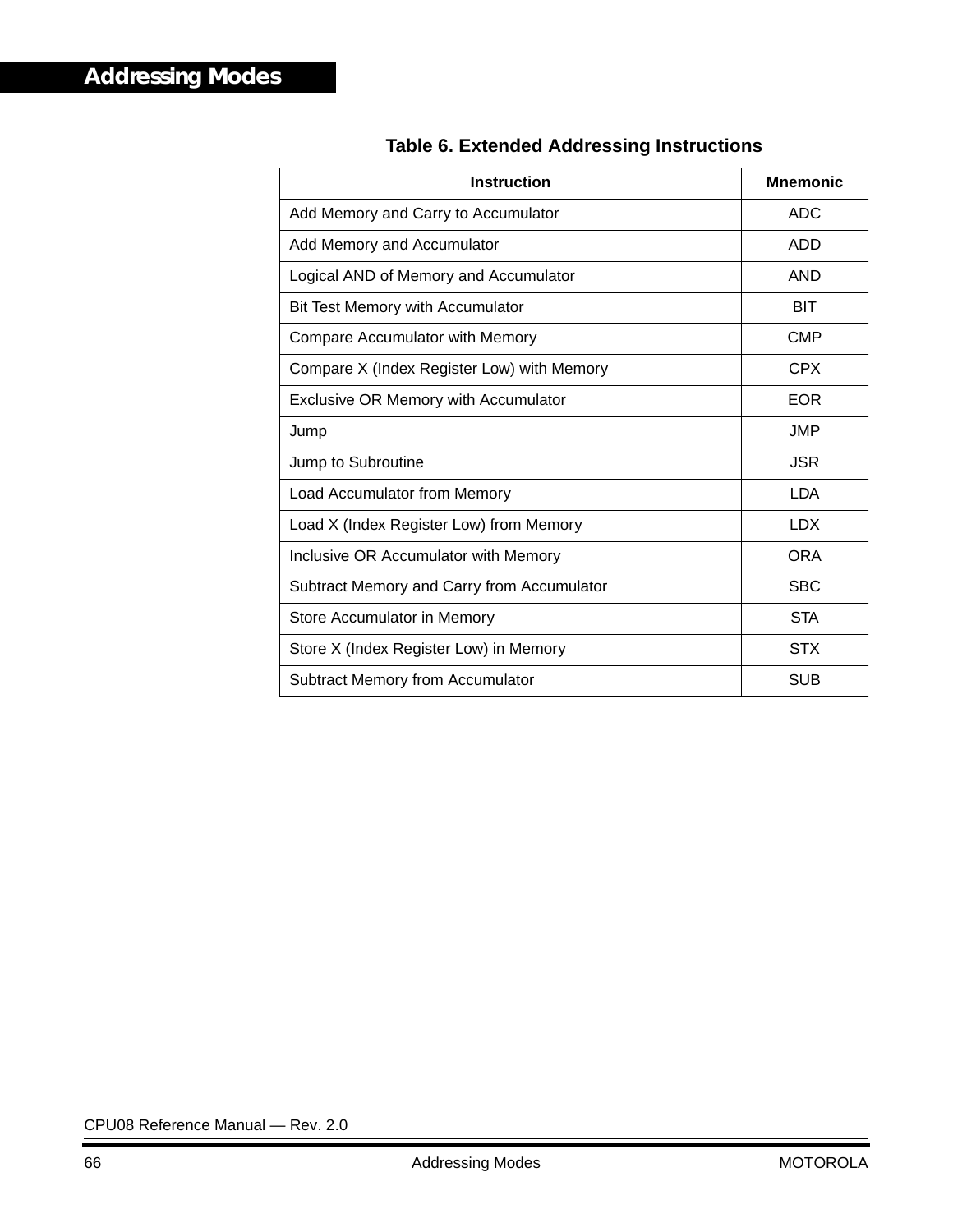<span id="page-65-0"></span>

| <b>Instruction</b>                          | <b>Mnemonic</b> |
|---------------------------------------------|-----------------|
| Add Memory and Carry to Accumulator         | ADC.            |
| Add Memory and Accumulator                  | ADD             |
| Logical AND of Memory and Accumulator       | AND             |
| Bit Test Memory with Accumulator            | BIT             |
| Compare Accumulator with Memory             | <b>CMP</b>      |
| Compare X (Index Register Low) with Memory  | <b>CPX</b>      |
| <b>Exclusive OR Memory with Accumulator</b> | <b>EOR</b>      |
| Jump                                        | <b>JMP</b>      |
| Jump to Subroutine                          | <b>JSR</b>      |
| Load Accumulator from Memory                | LDA             |
| Load X (Index Register Low) from Memory     | <b>LDX</b>      |
| Inclusive OR Accumulator with Memory        | <b>ORA</b>      |
| Subtract Memory and Carry from Accumulator  | <b>SBC</b>      |
| Store Accumulator in Memory                 | <b>STA</b>      |
| Store X (Index Register Low) in Memory      | <b>STX</b>      |
| Subtract Memory from Accumulator            | <b>SUB</b>      |

## **Table 6. Extended Addressing Instructions**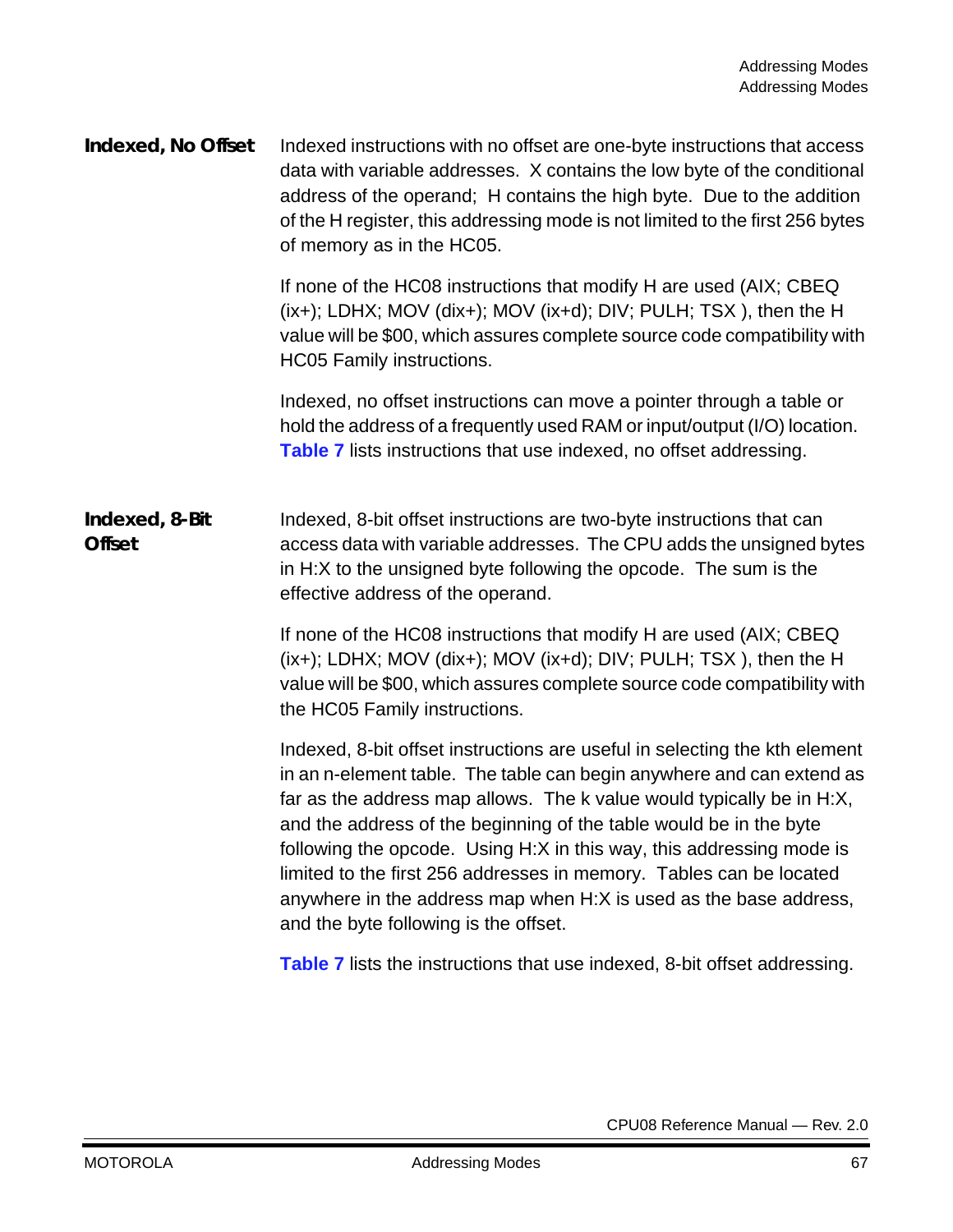<span id="page-66-0"></span>

| Indexed, No Offset | Indexed instructions with no offset are one-byte instructions that access     |
|--------------------|-------------------------------------------------------------------------------|
|                    | data with variable addresses. X contains the low byte of the conditional      |
|                    | address of the operand; H contains the high byte. Due to the addition         |
|                    | of the H register, this addressing mode is not limited to the first 256 bytes |
|                    | of memory as in the HC05.                                                     |

If none of the HC08 instructions that modify H are used (AIX; CBEQ  $(ix+)$ ; LDHX; MOV  $(dx+)$ ; MOV  $(ix+d)$ ; DIV; PULH; TSX), then the H value will be \$00, which assures complete source code compatibility with HC05 Family instructions.

Indexed, no offset instructions can move a pointer through a table or hold the address of a frequently used RAM or input/output (I/O) location. **[Table 7](#page-68-0)** lists instructions that use indexed, no offset addressing.

**Indexed, 8-Bit Offset** Indexed, 8-bit offset instructions are two-byte instructions that can access data with variable addresses. The CPU adds the unsigned bytes in H:X to the unsigned byte following the opcode. The sum is the effective address of the operand.

> If none of the HC08 instructions that modify H are used (AIX; CBEQ (ix+); LDHX; MOV (dix+); MOV (ix+d); DIV; PULH; TSX ), then the H value will be \$00, which assures complete source code compatibility with the HC05 Family instructions.

> Indexed, 8-bit offset instructions are useful in selecting the kth element in an n-element table. The table can begin anywhere and can extend as far as the address map allows. The k value would typically be in H:X, and the address of the beginning of the table would be in the byte following the opcode. Using H:X in this way, this addressing mode is limited to the first 256 addresses in memory. Tables can be located anywhere in the address map when H:X is used as the base address, and the byte following is the offset.

**[Table 7](#page-68-0)** lists the instructions that use indexed, 8-bit offset addressing.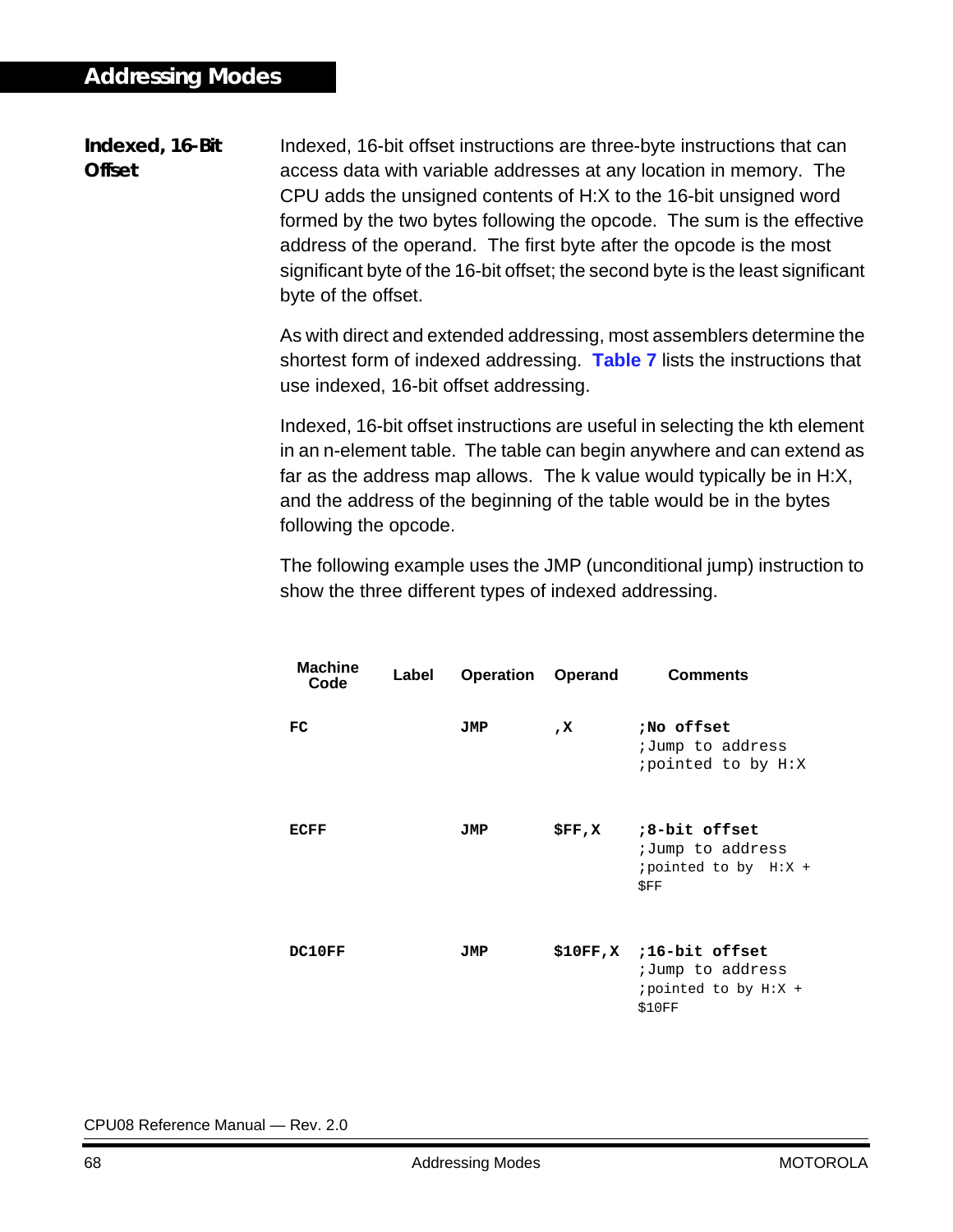<span id="page-67-0"></span>**Indexed, 16-Bit Offset** Indexed, 16-bit offset instructions are three-byte instructions that can access data with variable addresses at any location in memory. The CPU adds the unsigned contents of H:X to the 16-bit unsigned word formed by the two bytes following the opcode. The sum is the effective address of the operand. The first byte after the opcode is the most significant byte of the 16-bit offset; the second byte is the least significant byte of the offset.

> As with direct and extended addressing, most assemblers determine the shortest form of indexed addressing. **[Table 7](#page-68-0)** lists the instructions that use indexed, 16-bit offset addressing.

> Indexed, 16-bit offset instructions are useful in selecting the kth element in an n-element table. The table can begin anywhere and can extend as far as the address map allows. The k value would typically be in H:X, and the address of the beginning of the table would be in the bytes following the opcode.

> The following example uses the JMP (unconditional jump) instruction to show the three different types of indexed addressing.

| <b>Machine</b><br>Code | Label | <b>Operation Operand</b> |        | <b>Comments</b>                                                                        |
|------------------------|-------|--------------------------|--------|----------------------------------------------------------------------------------------|
| FC                     |       | JMP                      | νХ.    | ;No offset<br>;Jump to address<br>pointed to by H:X                                    |
| ECFF                   |       | JMP                      | SFF, X | :8-bit offset<br>;Jump to address<br>$i$ pointed to by $H: X +$<br>\$FF                |
| <b>DC10FF</b>          |       | JMP                      |        | $$10FF, X$ ; 16-bit offset<br>;Jump to address<br>$i$ pointed to by $H: X +$<br>\$10FF |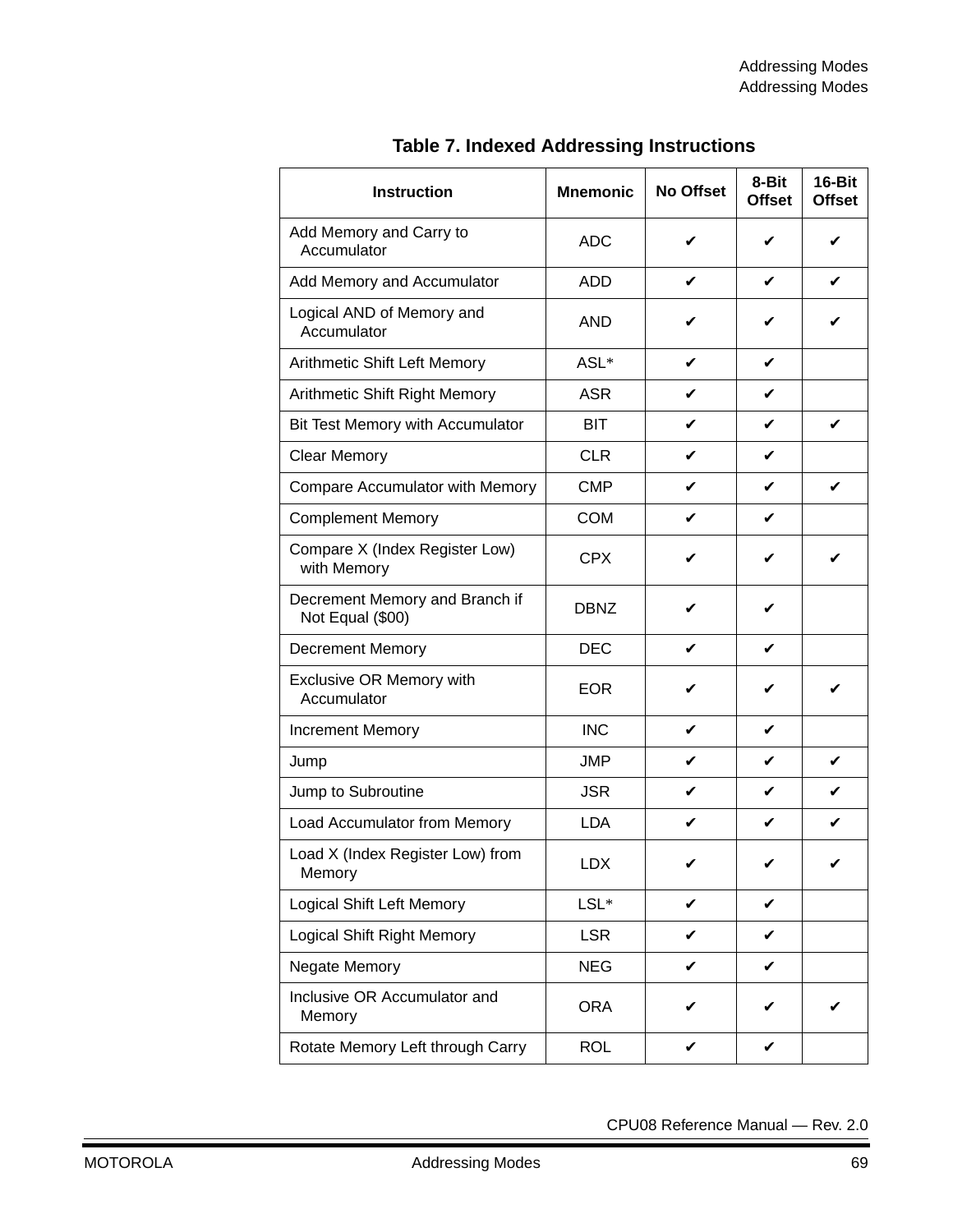<span id="page-68-0"></span>

| <b>Instruction</b>                                 | <b>Mnemonic</b> | <b>No Offset</b> | 8-Bit<br><b>Offset</b> | 16-Bit<br><b>Offset</b> |
|----------------------------------------------------|-----------------|------------------|------------------------|-------------------------|
| Add Memory and Carry to<br>Accumulator             | <b>ADC</b>      | V                | V                      | ✔                       |
| Add Memory and Accumulator                         | <b>ADD</b>      | V                | V                      | V                       |
| Logical AND of Memory and<br>Accumulator           | <b>AND</b>      | ✔                | V                      | V                       |
| Arithmetic Shift Left Memory                       | ASL*            | V                | V                      |                         |
| Arithmetic Shift Right Memory                      | <b>ASR</b>      | V                | V                      |                         |
| Bit Test Memory with Accumulator                   | <b>BIT</b>      | V                | V                      | ✓                       |
| <b>Clear Memory</b>                                | <b>CLR</b>      | V                | V                      |                         |
| <b>Compare Accumulator with Memory</b>             | <b>CMP</b>      | V                | V                      | V                       |
| <b>Complement Memory</b>                           | <b>COM</b>      | V                | V                      |                         |
| Compare X (Index Register Low)<br>with Memory      | <b>CPX</b>      | V                | V                      | V                       |
| Decrement Memory and Branch if<br>Not Equal (\$00) | <b>DBNZ</b>     | ✔                | V                      |                         |
| <b>Decrement Memory</b>                            | <b>DEC</b>      | V                | V                      |                         |
| Exclusive OR Memory with<br>Accumulator            | <b>EOR</b>      | V                | V                      | V                       |
| <b>Increment Memory</b>                            | <b>INC</b>      | V                | V                      |                         |
| Jump                                               | <b>JMP</b>      | V                | V                      | ✓                       |
| Jump to Subroutine                                 | <b>JSR</b>      | V                | V                      | V                       |
| Load Accumulator from Memory                       | <b>LDA</b>      | V                | V                      | V                       |
| Load X (Index Register Low) from<br>Memory         | <b>LDX</b>      | V                | V                      | V                       |
| <b>Logical Shift Left Memory</b>                   | $LSL*$          | V                | V                      |                         |
| <b>Logical Shift Right Memory</b>                  | <b>LSR</b>      | V                | ✓                      |                         |
| Negate Memory                                      | <b>NEG</b>      | V                | V                      |                         |
| Inclusive OR Accumulator and<br>Memory             | <b>ORA</b>      | V                | V                      |                         |
| Rotate Memory Left through Carry                   | <b>ROL</b>      | V                | V                      |                         |

## **Table 7. Indexed Addressing Instructions**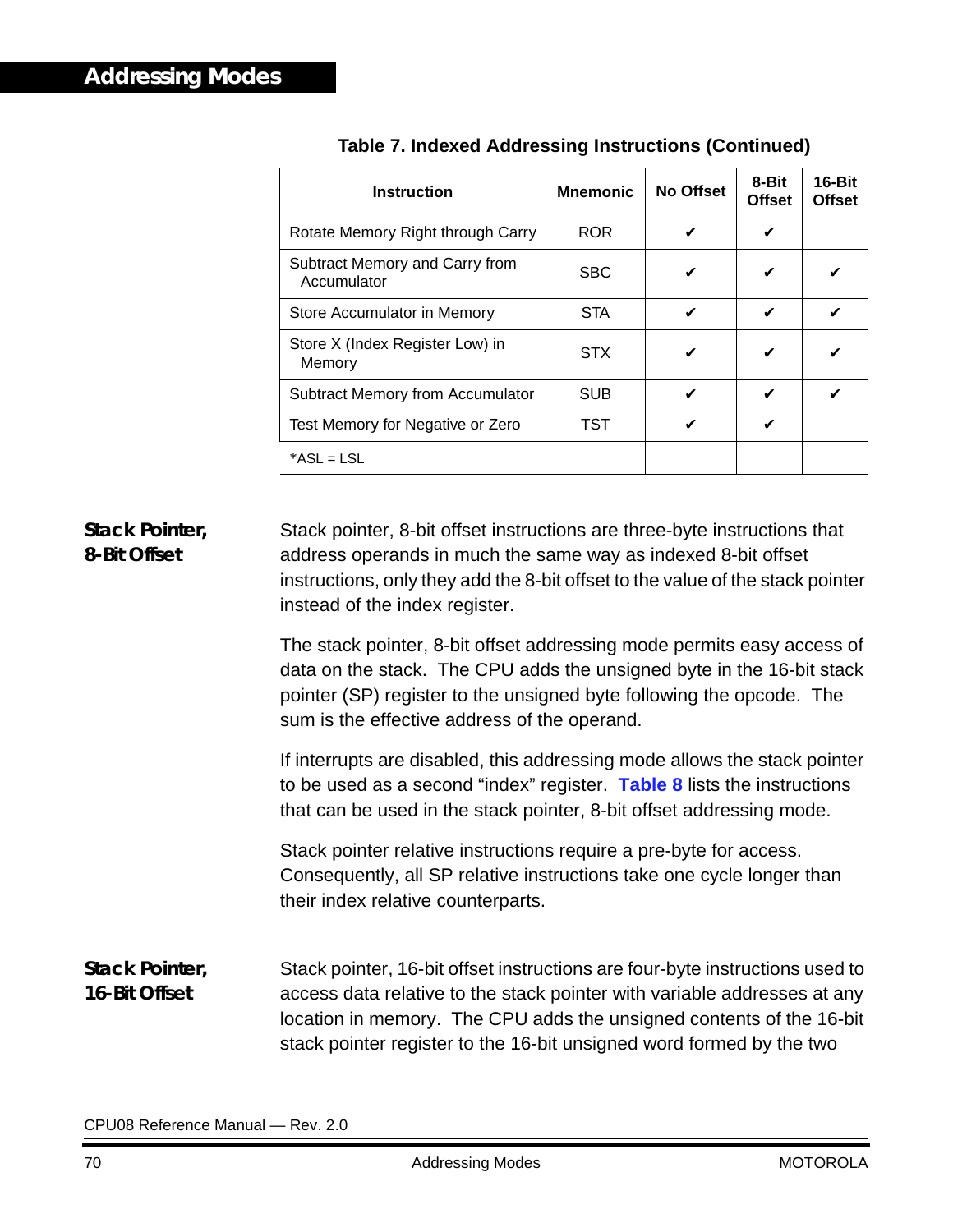<span id="page-69-0"></span>

| <b>Instruction</b>                            | <b>Mnemonic</b> | <b>No Offset</b> | 8-Bit<br><b>Offset</b> | $16 - Bit$<br><b>Offset</b> |
|-----------------------------------------------|-----------------|------------------|------------------------|-----------------------------|
| Rotate Memory Right through Carry             | <b>ROR</b>      | V                | V                      |                             |
| Subtract Memory and Carry from<br>Accumulator | <b>SBC</b>      | V                | ✔                      | ✓                           |
| Store Accumulator in Memory                   | <b>STA</b>      | V                | V                      | V                           |
| Store X (Index Register Low) in<br>Memory     | <b>STX</b>      | V                | V                      | ✔                           |
| <b>Subtract Memory from Accumulator</b>       | <b>SUB</b>      | V                | V                      | V                           |
| Test Memory for Negative or Zero              | TST             | ✔                | V                      |                             |
| $*ASL = LSL$                                  |                 |                  |                        |                             |

#### **Table 7. Indexed Addressing Instructions (Continued)**

**Stack Pointer, 8-Bit Offset** Stack pointer, 8-bit offset instructions are three-byte instructions that address operands in much the same way as indexed 8-bit offset instructions, only they add the 8-bit offset to the value of the stack pointer instead of the index register.

> The stack pointer, 8-bit offset addressing mode permits easy access of data on the stack. The CPU adds the unsigned byte in the 16-bit stack pointer (SP) register to the unsigned byte following the opcode. The sum is the effective address of the operand.

> If interrupts are disabled, this addressing mode allows the stack pointer to be used as a second "index" register. **[Table 8](#page-71-0)** lists the instructions that can be used in the stack pointer, 8-bit offset addressing mode.

Stack pointer relative instructions require a pre-byte for access. Consequently, all SP relative instructions take one cycle longer than their index relative counterparts.

**Stack Pointer, 16-Bit Offset** Stack pointer, 16-bit offset instructions are four-byte instructions used to access data relative to the stack pointer with variable addresses at any location in memory. The CPU adds the unsigned contents of the 16-bit stack pointer register to the 16-bit unsigned word formed by the two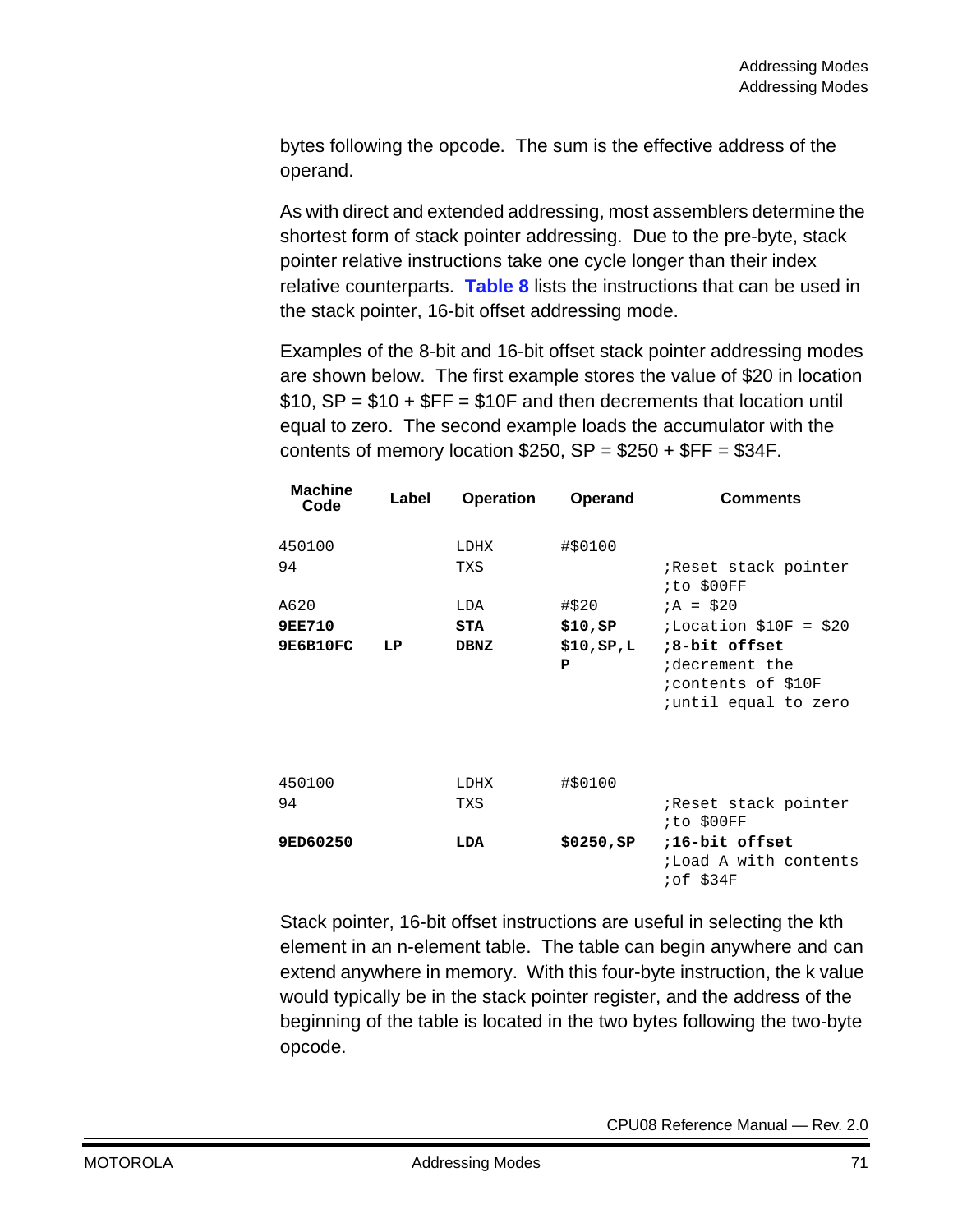bytes following the opcode. The sum is the effective address of the operand.

As with direct and extended addressing, most assemblers determine the shortest form of stack pointer addressing. Due to the pre-byte, stack pointer relative instructions take one cycle longer than their index relative counterparts. **[Table 8](#page-71-0)** lists the instructions that can be used in the stack pointer, 16-bit offset addressing mode.

Examples of the 8-bit and 16-bit offset stack pointer addressing modes are shown below. The first example stores the value of \$20 in location  $$10, SP = $10 + $FF = $10F$  and then decrements that location until equal to zero. The second example loads the accumulator with the contents of memory location  $$250, SP = $250 + $FF = $34F$ .

| <b>Machine</b><br>Code | Label | <b>Operation</b> | <b>Operand</b> | <b>Comments</b>                                                             |
|------------------------|-------|------------------|----------------|-----------------------------------------------------------------------------|
| 450100<br>94           |       | LDHX<br>TXS      | #\$0100        | Reset stack pointer<br>ito \$00FF                                           |
| A620                   |       | LDA              | #\$20          | $;A = $20$                                                                  |
| <b>9EE710</b>          |       | <b>STA</b>       | \$10,SP        | <i>i</i> Location $$10F = $20$                                              |
| <b>9E6B10FC</b>        | LP    | <b>DBNZ</b>      | \$10,SP,L<br>P | :8-bit offset<br>decrement the<br>contents of \$10F<br>;until equal to zero |
| 450100                 |       | LDHX             | #\$0100        |                                                                             |
| 94                     |       | TXS              |                | Reset stack pointer<br>ito \$00FF                                           |
| 9ED60250               |       | LDA              | \$0250,SP      | ;16-bit offset<br>;Load A with contents<br>;of \$34F                        |

Stack pointer, 16-bit offset instructions are useful in selecting the kth element in an n-element table. The table can begin anywhere and can extend anywhere in memory. With this four-byte instruction, the k value would typically be in the stack pointer register, and the address of the beginning of the table is located in the two bytes following the two-byte opcode.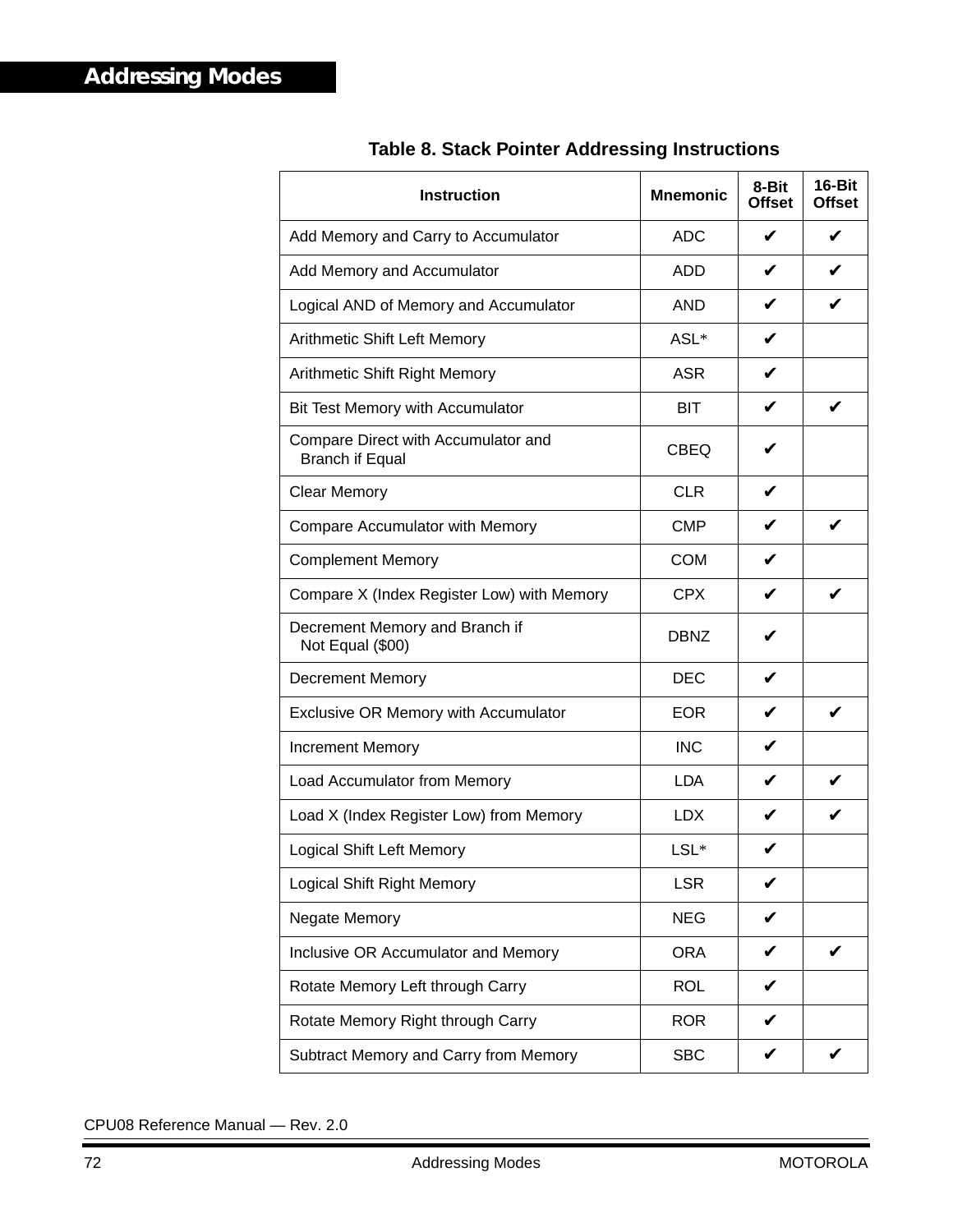<span id="page-71-0"></span>

| <b>Instruction</b>                                            | <b>Mnemonic</b> | 8-Bit<br><b>Offset</b> | 16-Bit<br><b>Offset</b> |
|---------------------------------------------------------------|-----------------|------------------------|-------------------------|
| Add Memory and Carry to Accumulator                           | <b>ADC</b>      | V                      | V                       |
| Add Memory and Accumulator                                    | <b>ADD</b>      | V                      | V                       |
| Logical AND of Memory and Accumulator                         | <b>AND</b>      | V                      | V                       |
| Arithmetic Shift Left Memory                                  | ASL*            | V                      |                         |
| Arithmetic Shift Right Memory                                 | <b>ASR</b>      | V                      |                         |
| Bit Test Memory with Accumulator                              | <b>BIT</b>      | V                      | ✔                       |
| Compare Direct with Accumulator and<br><b>Branch if Equal</b> | <b>CBEQ</b>     | V                      |                         |
| <b>Clear Memory</b>                                           | <b>CLR</b>      | ✔                      |                         |
| <b>Compare Accumulator with Memory</b>                        | <b>CMP</b>      | V                      | V                       |
| <b>Complement Memory</b>                                      | <b>COM</b>      | ✓                      |                         |
| Compare X (Index Register Low) with Memory                    | <b>CPX</b>      | V                      | ✔                       |
| Decrement Memory and Branch if<br>Not Equal (\$00)            | <b>DBNZ</b>     | V                      |                         |
| <b>Decrement Memory</b>                                       | <b>DEC</b>      | ✔                      |                         |
| Exclusive OR Memory with Accumulator                          | <b>EOR</b>      | V                      | V                       |
| <b>Increment Memory</b>                                       | <b>INC</b>      | V                      |                         |
| Load Accumulator from Memory                                  | <b>LDA</b>      | ✔                      |                         |
| Load X (Index Register Low) from Memory                       | LDX.            | V                      |                         |
| <b>Logical Shift Left Memory</b>                              | $LSL*$          |                        |                         |
| <b>Logical Shift Right Memory</b>                             | <b>LSR</b>      |                        |                         |
| Negate Memory                                                 | <b>NEG</b>      | V                      |                         |
| Inclusive OR Accumulator and Memory                           | <b>ORA</b>      | V                      | V                       |
| Rotate Memory Left through Carry                              | <b>ROL</b>      | V                      |                         |
| Rotate Memory Right through Carry                             | <b>ROR</b>      | V                      |                         |
| Subtract Memory and Carry from Memory                         | <b>SBC</b>      | V                      |                         |

## **Table 8. Stack Pointer Addressing Instructions**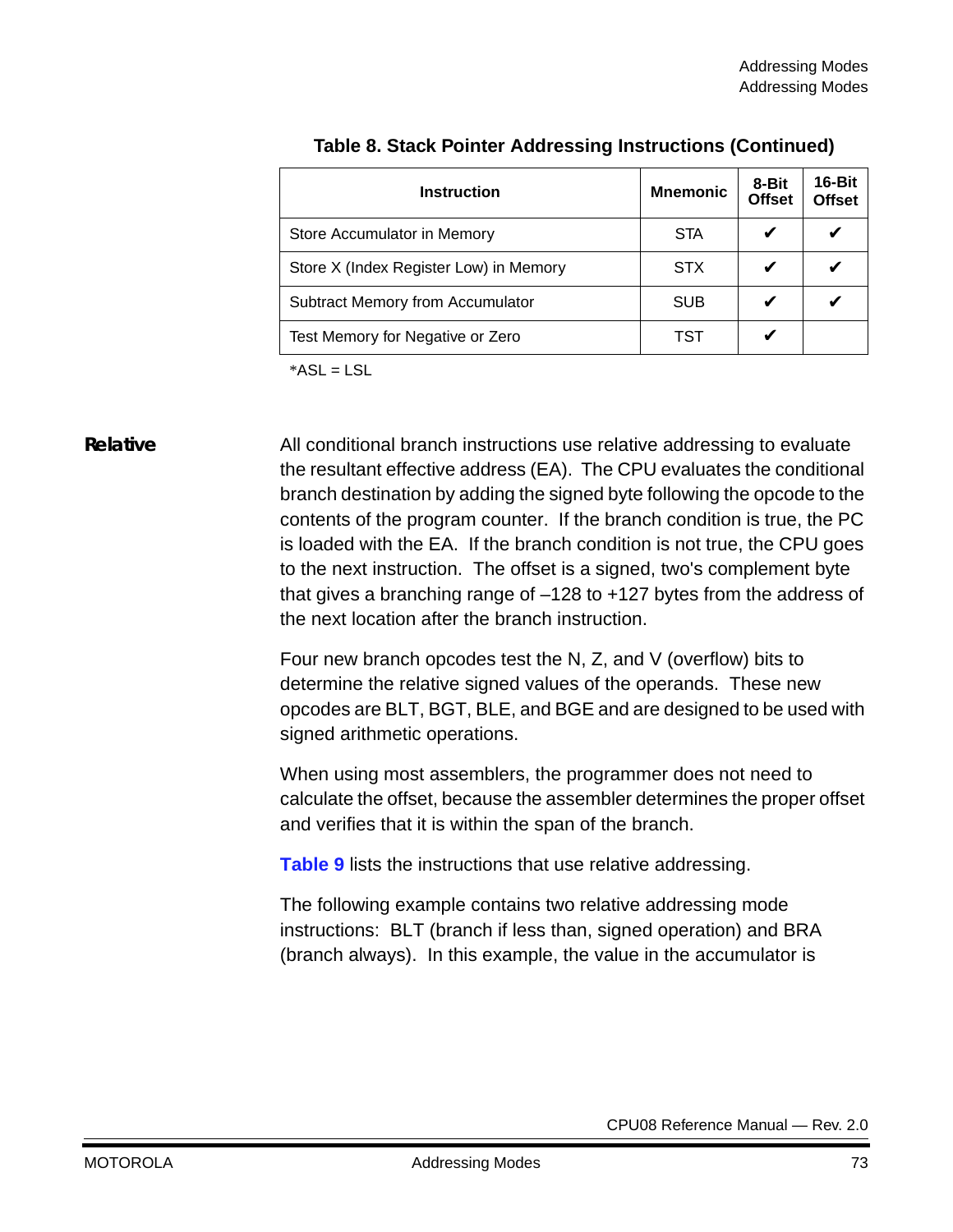| <b>Instruction</b>                     | <b>Mnemonic</b> | 8-Bit<br><b>Offset</b> | 16-Bit<br><b>Offset</b> |
|----------------------------------------|-----------------|------------------------|-------------------------|
| Store Accumulator in Memory            | <b>STA</b>      |                        |                         |
| Store X (Index Register Low) in Memory | <b>STX</b>      | V                      |                         |
| Subtract Memory from Accumulator       | <b>SUB</b>      | V                      |                         |
| Test Memory for Negative or Zero       | TST             |                        |                         |

### **Table 8. Stack Pointer Addressing Instructions (Continued)**

 $*ASL = LSL$ 

**Relative** All conditional branch instructions use relative addressing to evaluate the resultant effective address (EA). The CPU evaluates the conditional branch destination by adding the signed byte following the opcode to the contents of the program counter. If the branch condition is true, the PC is loaded with the EA. If the branch condition is not true, the CPU goes to the next instruction. The offset is a signed, two's complement byte that gives a branching range of –128 to +127 bytes from the address of the next location after the branch instruction.

> Four new branch opcodes test the N, Z, and V (overflow) bits to determine the relative signed values of the operands. These new opcodes are BLT, BGT, BLE, and BGE and are designed to be used with signed arithmetic operations.

> When using most assemblers, the programmer does not need to calculate the offset, because the assembler determines the proper offset and verifies that it is within the span of the branch.

**[Table 9](#page-73-0)** lists the instructions that use relative addressing.

The following example contains two relative addressing mode instructions: BLT (branch if less than, signed operation) and BRA (branch always). In this example, the value in the accumulator is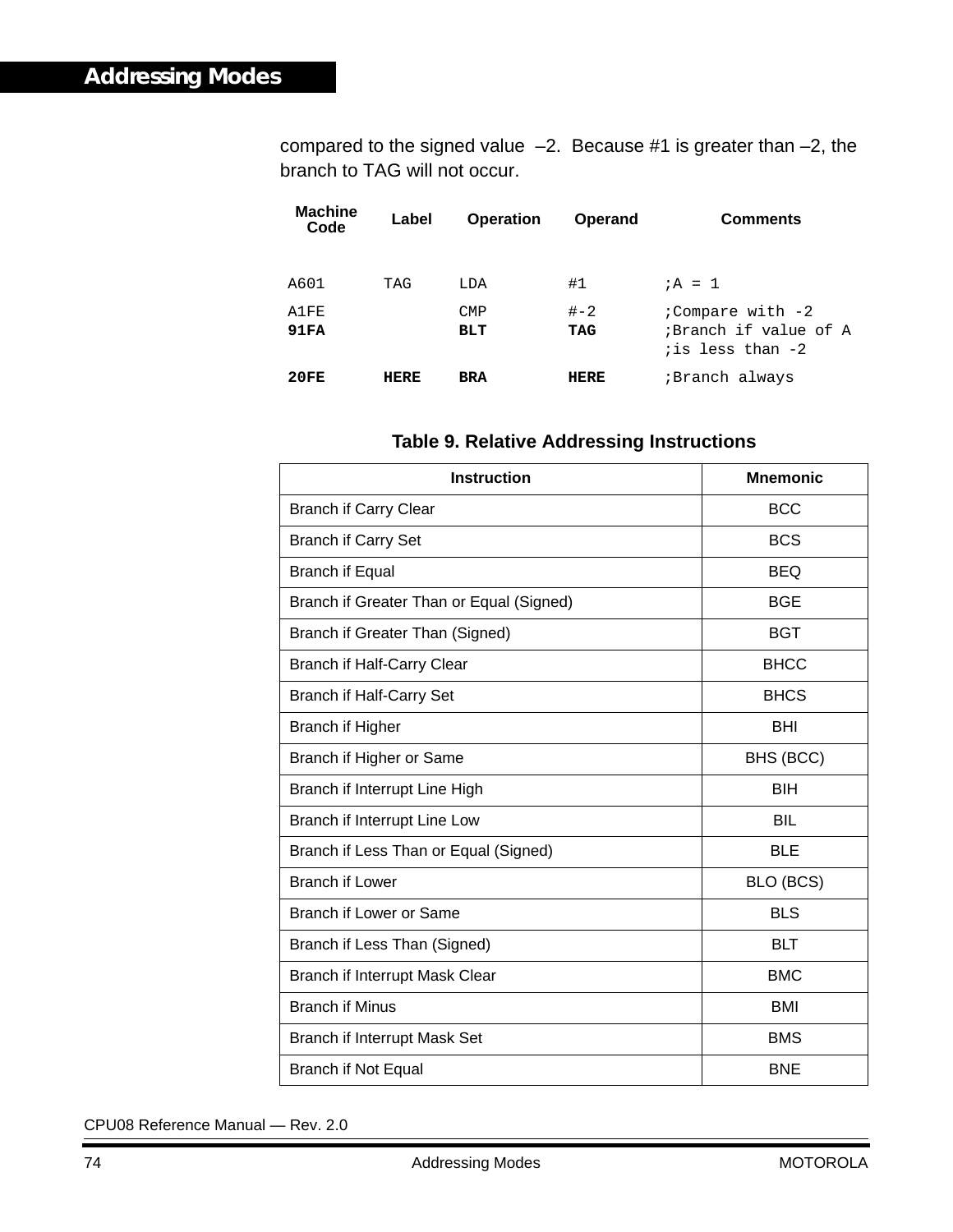<span id="page-73-0"></span>compared to the signed value –2. Because #1 is greater than –2, the branch to TAG will not occur.

| <b>Machine</b><br>Code | Label      | <b>Operation</b>  | Operand        | <b>Comments</b>                                                    |
|------------------------|------------|-------------------|----------------|--------------------------------------------------------------------|
| A601                   | <b>TAG</b> | LDA               | #1             | $iA = 1$                                                           |
| A1FE<br>91FA           |            | <b>CMP</b><br>BLT | $# - 2$<br>TAG | :Compare with $-2$<br>;Branch if value of A<br>$i$ is less than -2 |
| 20FE                   | HERE       | <b>BRA</b>        | HERE           | ;Branch always                                                     |

## **Table 9. Relative Addressing Instructions**

| <b>Instruction</b>                       | <b>Mnemonic</b> |
|------------------------------------------|-----------------|
| Branch if Carry Clear                    | <b>BCC</b>      |
| <b>Branch if Carry Set</b>               | <b>BCS</b>      |
| <b>Branch if Equal</b>                   | <b>BEQ</b>      |
| Branch if Greater Than or Equal (Signed) | <b>BGE</b>      |
| Branch if Greater Than (Signed)          | <b>BGT</b>      |
| <b>Branch if Half-Carry Clear</b>        | <b>BHCC</b>     |
| <b>Branch if Half-Carry Set</b>          | <b>BHCS</b>     |
| <b>Branch if Higher</b>                  | <b>BHI</b>      |
| Branch if Higher or Same                 | BHS (BCC)       |
| Branch if Interrupt Line High            | <b>BIH</b>      |
| Branch if Interrupt Line Low             | <b>BIL</b>      |
| Branch if Less Than or Equal (Signed)    | <b>BLE</b>      |
| <b>Branch if Lower</b>                   | BLO (BCS)       |
| <b>Branch if Lower or Same</b>           | <b>BLS</b>      |
| Branch if Less Than (Signed)             | <b>BLT</b>      |
| Branch if Interrupt Mask Clear           | <b>BMC</b>      |
| <b>Branch if Minus</b>                   | <b>BMI</b>      |
| Branch if Interrupt Mask Set             | <b>BMS</b>      |
| Branch if Not Equal                      | <b>BNE</b>      |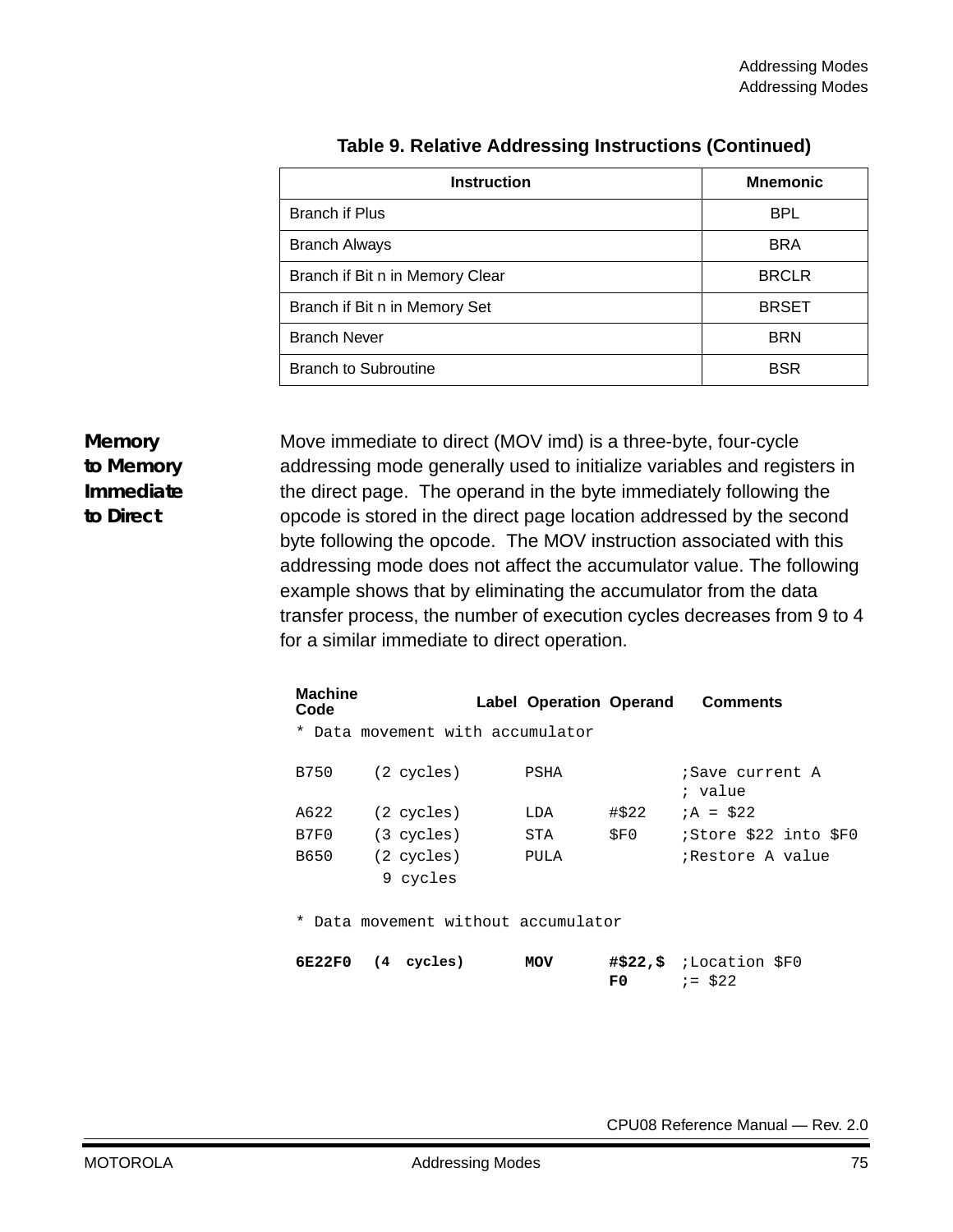| <b>Instruction</b>              | <b>Mnemonic</b> |
|---------------------------------|-----------------|
| <b>Branch if Plus</b>           | <b>BPL</b>      |
| <b>Branch Always</b>            | <b>BRA</b>      |
| Branch if Bit n in Memory Clear | <b>BRCLR</b>    |
| Branch if Bit n in Memory Set   | <b>BRSET</b>    |
| <b>Branch Never</b>             | <b>BRN</b>      |
| <b>Branch to Subroutine</b>     | BSR             |

# **Memory to Memory Immediate to Direct**

Move immediate to direct (MOV imd) is a three-byte, four-cycle addressing mode generally used to initialize variables and registers in the direct page. The operand in the byte immediately following the opcode is stored in the direct page location addressed by the second byte following the opcode. The MOV instruction associated with this addressing mode does not affect the accumulator value. The following example shows that by eliminating the accumulator from the data transfer process, the number of execution cycles decreases from 9 to 4 for a similar immediate to direct operation.

| <b>Machine</b><br>Code |  |                                  | <b>Label Operation Operand</b>    |       | <b>Comments</b>                              |
|------------------------|--|----------------------------------|-----------------------------------|-------|----------------------------------------------|
|                        |  | * Data movement with accumulator |                                   |       |                                              |
| B750                   |  | (2 cycles)                       | PSHA                              |       | ;Save current A<br>; value                   |
| A622                   |  | (2 cycles)                       | LDA                               | #\$22 | $;A = $22$                                   |
| B7F0                   |  | (3 cycles)                       | STA                               | \$F0  | <i>Store</i> \$22 into \$F0                  |
| B650                   |  | (2 cycles)                       | PULA                              |       | ;Restore A value                             |
|                        |  | 9 cycles                         |                                   |       |                                              |
| $\star$                |  |                                  | Data movement without accumulator |       |                                              |
| 6E22F0                 |  | $(4 \csc$                        | MOV                               | F0    | $\sharp$ \$22,\$ ;Location \$F0<br>$i = $22$ |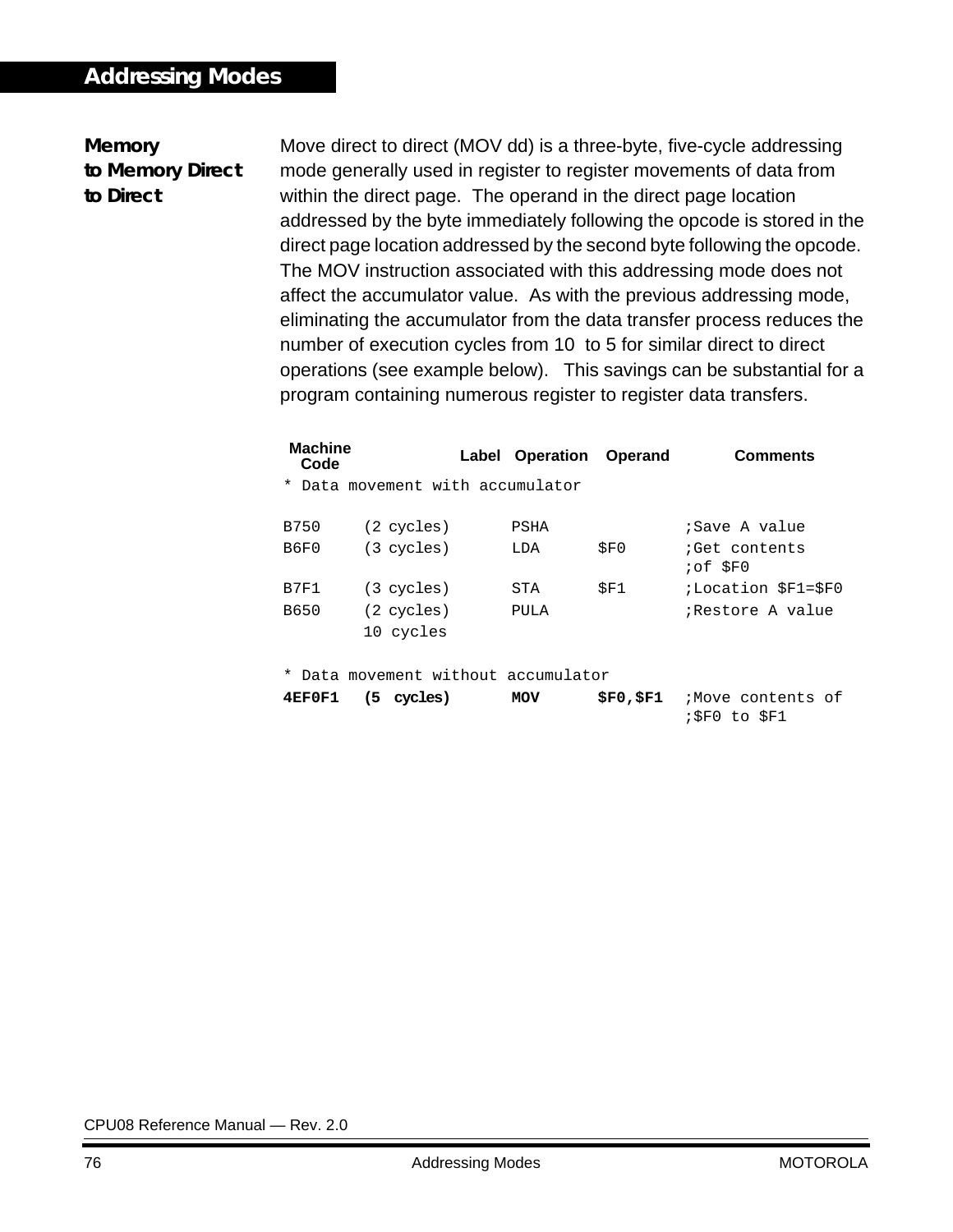**Memory to Memory Direct to Direct**

Move direct to direct (MOV dd) is a three-byte, five-cycle addressing mode generally used in register to register movements of data from within the direct page. The operand in the direct page location addressed by the byte immediately following the opcode is stored in the direct page location addressed by the second byte following the opcode. The MOV instruction associated with this addressing mode does not affect the accumulator value. As with the previous addressing mode, eliminating the accumulator from the data transfer process reduces the number of execution cycles from 10 to 5 for similar direct to direct operations (see example below). This savings can be substantial for a program containing numerous register to register data transfers.

| <b>Machine</b><br>Code |                                   | Label Operation Operand |                  | <b>Comments</b>                   |
|------------------------|-----------------------------------|-------------------------|------------------|-----------------------------------|
|                        | * Data movement with accumulator  |                         |                  |                                   |
| B750                   | (2 cycles)                        | PSHA                    |                  | ;Save A value                     |
| B6F0                   | (3 cycles)                        | LDA                     | SF0              | ;Get contents<br>of \$F0;         |
| B7F1                   | (3 cycles)                        | STA                     | SFI              | <i>i</i> Location \$F1=\$F0       |
| B650                   | (2 cycles)                        | PULA                    |                  | ;Restore A value                  |
|                        | 10 cycles                         |                         |                  |                                   |
|                        | Data movement without accumulator |                         |                  |                                   |
| <b>4EF0F1</b>          | $(5 \text{ cycles})$              | MOV                     | <b>\$F0,\$F1</b> | Move contents of<br>;\$F0 to \$F1 |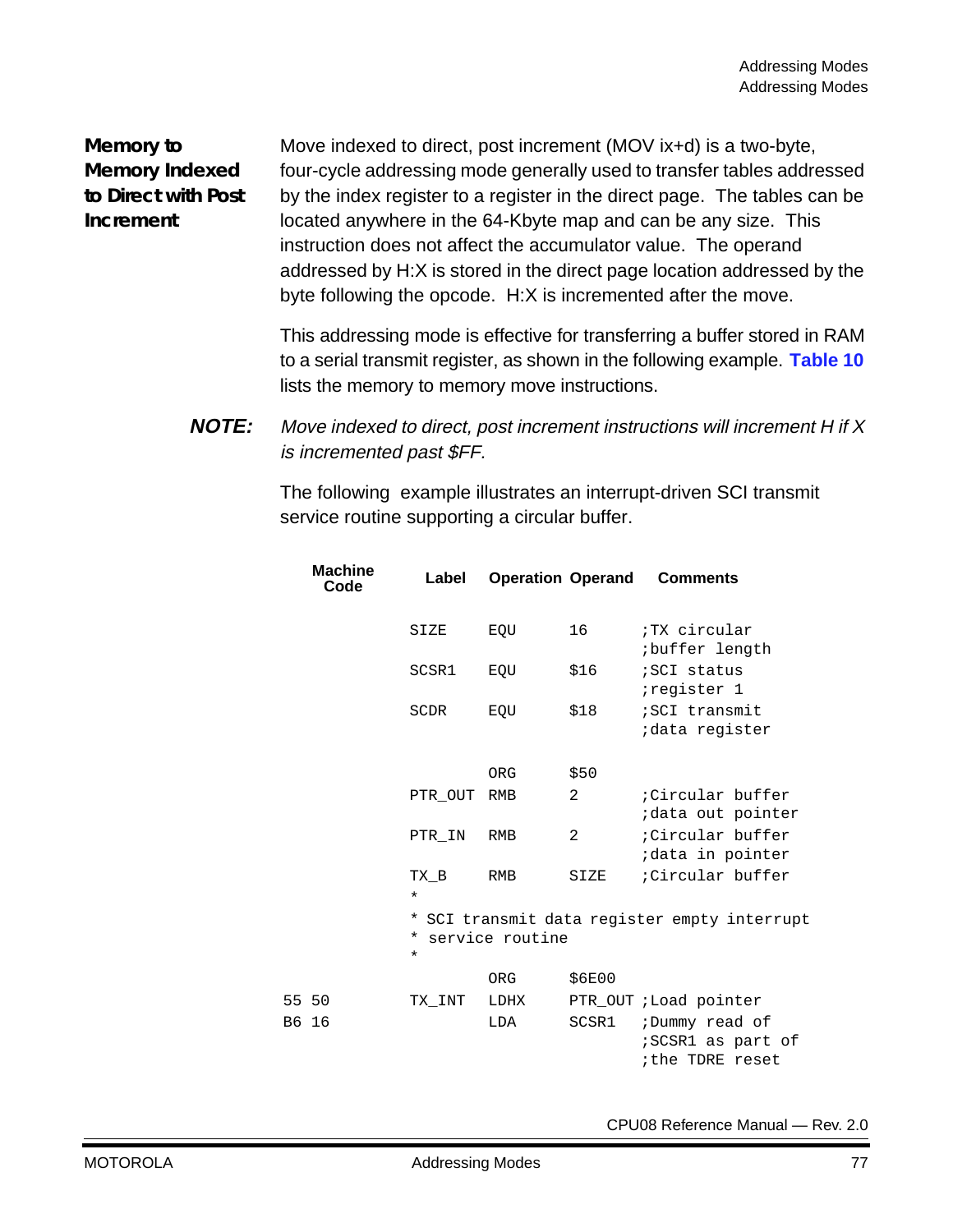## **Memory to Memory Indexed to Direct with Post Increment**

Move indexed to direct, post increment (MOV ix+d) is a two-byte, four-cycle addressing mode generally used to transfer tables addressed by the index register to a register in the direct page. The tables can be located anywhere in the 64-Kbyte map and can be any size. This instruction does not affect the accumulator value. The operand addressed by H:X is stored in the direct page location addressed by the byte following the opcode. H:X is incremented after the move.

This addressing mode is effective for transferring a buffer stored in RAM to a serial transmit register, as shown in the following example. **[Table 10](#page-78-0)** lists the memory to memory move instructions.

## **NOTE:** Move indexed to direct, post increment instructions will increment H if X is incremented past \$FF.

The following example illustrates an interrupt-driven SCI transmit service routine supporting a circular buffer.

|       | <b>Machine</b><br>Code | Label            |                   |                | <b>Operation Operand Comments</b>                     |
|-------|------------------------|------------------|-------------------|----------------|-------------------------------------------------------|
|       |                        | SIZE             | EQU               | 16             | TX circular<br>buffer length                          |
|       |                        | SCSR1            | EOU               | \$16           | ; SCI status<br>register 1                            |
|       |                        | <b>SCDR</b>      | EOU               | \$18           | ;SCI transmit<br><i>i</i> data register               |
|       |                        |                  | <b>ORG</b>        | \$50           |                                                       |
|       |                        | PTR OUT          | <b>RMB</b>        | 2              | Circular buffer<br>idata out pointer                  |
|       |                        | PTR IN           | RMB               | $\overline{2}$ | Circular buffer<br>idata in pointer                   |
|       |                        | TX B<br>$^\star$ | <b>RMB</b>        | SIZE           | Circular buffer                                       |
|       |                        | $^\star$         | * service routine |                | * SCI transmit data register empty interrupt          |
|       |                        |                  | <b>ORG</b>        | <b>\$6E00</b>  |                                                       |
|       | 55 50                  | TX INT           | LDHX              |                | PTR_OUT ; Load pointer                                |
| B6 16 |                        |                  | LDA               | SCSR1          | ;Dummy read of<br>;SCSR1 as part of<br>the TDRE reset |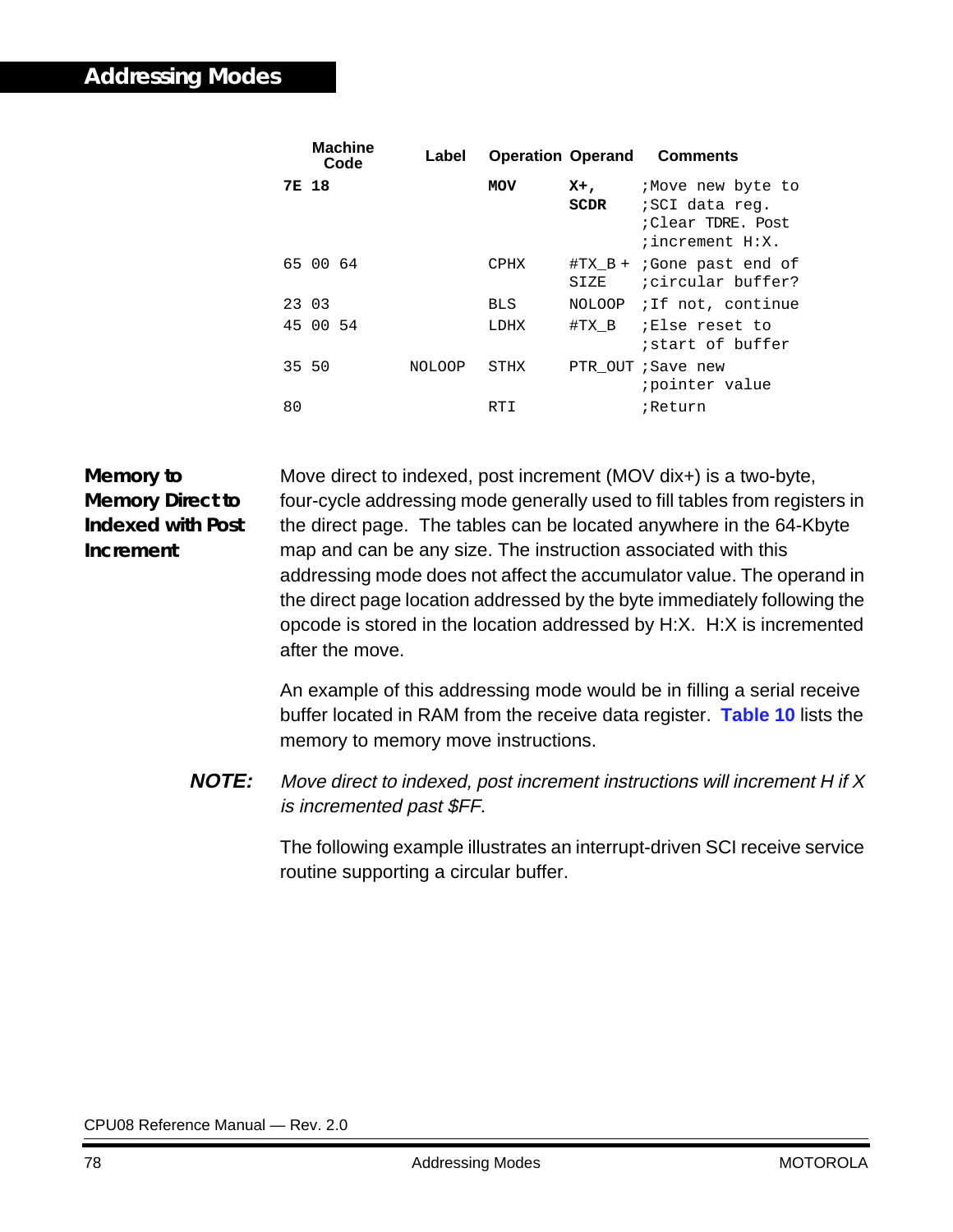| Move new byte to<br>SCDR<br>;SCI data reg.<br>:Clear TDRE. Post |
|-----------------------------------------------------------------|
| ;increment H:X.                                                 |
| $\#TX B + iGone$ past end of<br>icircular buffer?               |
| NOLOOP ; If not, continue                                       |
| #TX B<br>;Else reset to<br>istart of buffer                     |
| PTR OUT <i>;</i> Save new<br>; pointer value                    |
| ;Return                                                         |
|                                                                 |

# **Memory to Memory Direct to Indexed with Post Increment**

Move direct to indexed, post increment (MOV dix+) is a two-byte, four-cycle addressing mode generally used to fill tables from registers in the direct page. The tables can be located anywhere in the 64-Kbyte map and can be any size. The instruction associated with this addressing mode does not affect the accumulator value. The operand in the direct page location addressed by the byte immediately following the opcode is stored in the location addressed by H:X. H:X is incremented after the move.

An example of this addressing mode would be in filling a serial receive buffer located in RAM from the receive data register. **[Table 10](#page-78-0)** lists the memory to memory move instructions.

**NOTE:** Move direct to indexed, post increment instructions will increment H if X is incremented past \$FF.

> The following example illustrates an interrupt-driven SCI receive service routine supporting a circular buffer.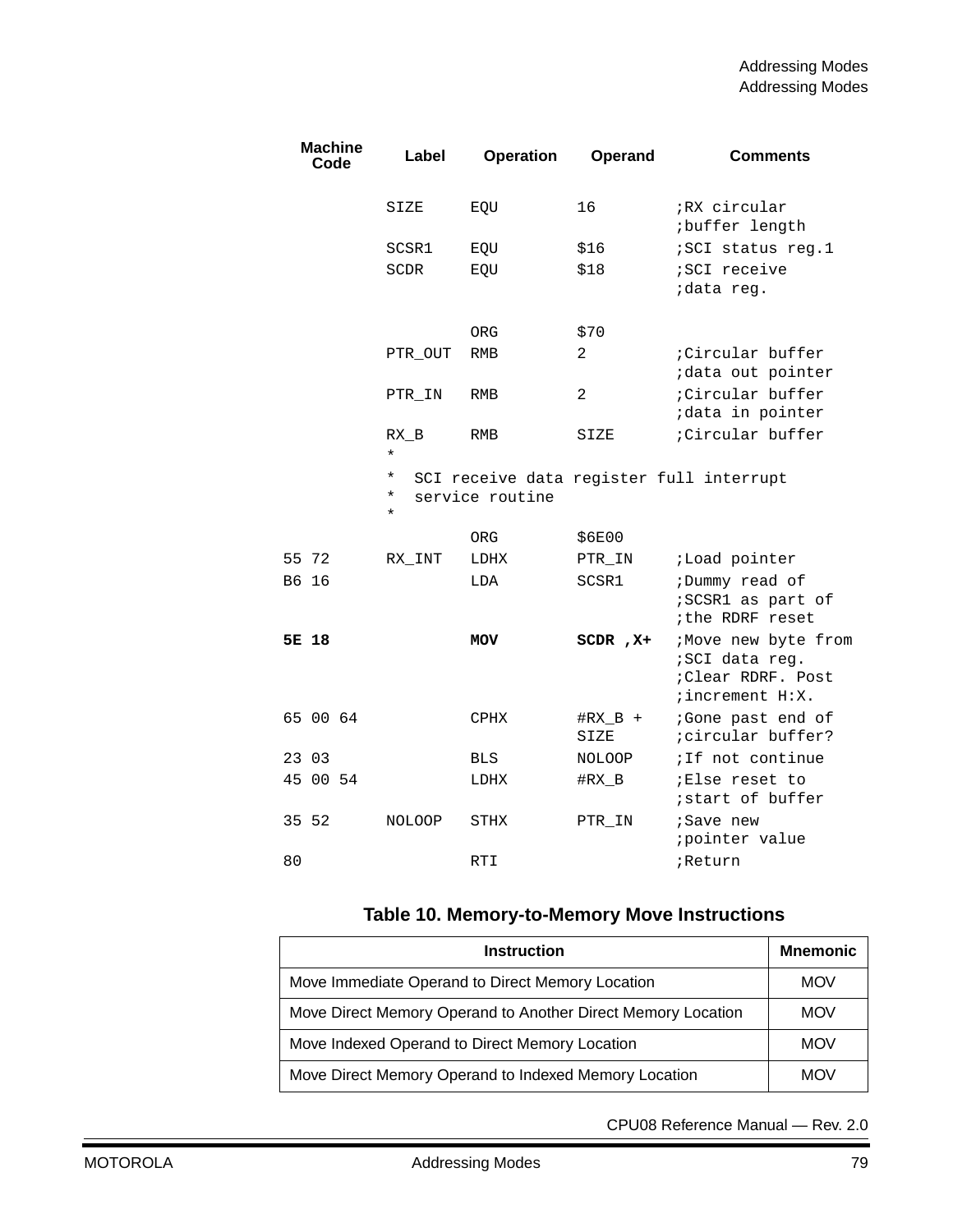<span id="page-78-0"></span>

|    | <b>Machine</b><br>Code | Label              | <b>Operation</b> | Operand            | <b>Comments</b>                                                                |
|----|------------------------|--------------------|------------------|--------------------|--------------------------------------------------------------------------------|
|    |                        | SIZE               | EQU              | 16                 | ;RX circular<br>;buffer length                                                 |
|    |                        | SCSR1              | EQU              | \$16               | ; SCI status reg.1                                                             |
|    |                        | <b>SCDR</b>        | EOU              | \$18               | <i>SCI</i> receive<br>idata reg.                                               |
|    |                        |                    | ORG              | \$70               |                                                                                |
|    |                        | PTR OUT            | RMB              | 2                  | Circular buffer<br>idata out pointer                                           |
|    |                        | PTR_IN             | RMB              | 2                  | ;Circular buffer<br>idata in pointer                                           |
|    |                        | RX B<br>$\star$    | RMB              | SIZE               | ;Circular buffer                                                               |
|    |                        | $^\star$<br>*<br>¥ | service routine  |                    | SCI receive data register full interrupt                                       |
|    |                        |                    | <b>ORG</b>       | \$6E00             |                                                                                |
|    | 55 72                  | RX_INT             | LDHX             | PTR_IN             | ;Load pointer                                                                  |
|    | B6 16                  |                    | LDA              | SCSR1              | ;Dummy read of<br>;SCSR1 as part of<br>ithe RDRF reset                         |
|    | 5E 18                  |                    | MOV              | $SCDR, X+$         | ;Move new byte from<br>; SCI data reg.<br>;Clear RDRF. Post<br>;increment H:X. |
|    | 65 00 64               |                    | <b>CPHX</b>      | $\#RX$ B +<br>SIZE | ;Gone past end of<br>;circular buffer?                                         |
|    | 23 03                  |                    | <b>BLS</b>       | NOLOOP             | ; If not continue                                                              |
|    | 45 00 54               |                    | LDHX             | #RX B              | <i>Else</i> reset to<br>istart of buffer                                       |
|    | 35 52                  | NOLOOP             | STHX             | PTR IN             | ;Save new<br>;pointer value                                                    |
| 80 |                        |                    | <b>RTI</b>       |                    | ;Return                                                                        |

## **Table 10. Memory-to-Memory Move Instructions**

| <b>Instruction</b>                                           | <b>Mnemonic</b> |
|--------------------------------------------------------------|-----------------|
| Move Immediate Operand to Direct Memory Location             | <b>MOV</b>      |
| Move Direct Memory Operand to Another Direct Memory Location | <b>MOV</b>      |
| Move Indexed Operand to Direct Memory Location               | <b>MOV</b>      |
| Move Direct Memory Operand to Indexed Memory Location        | <b>MOV</b>      |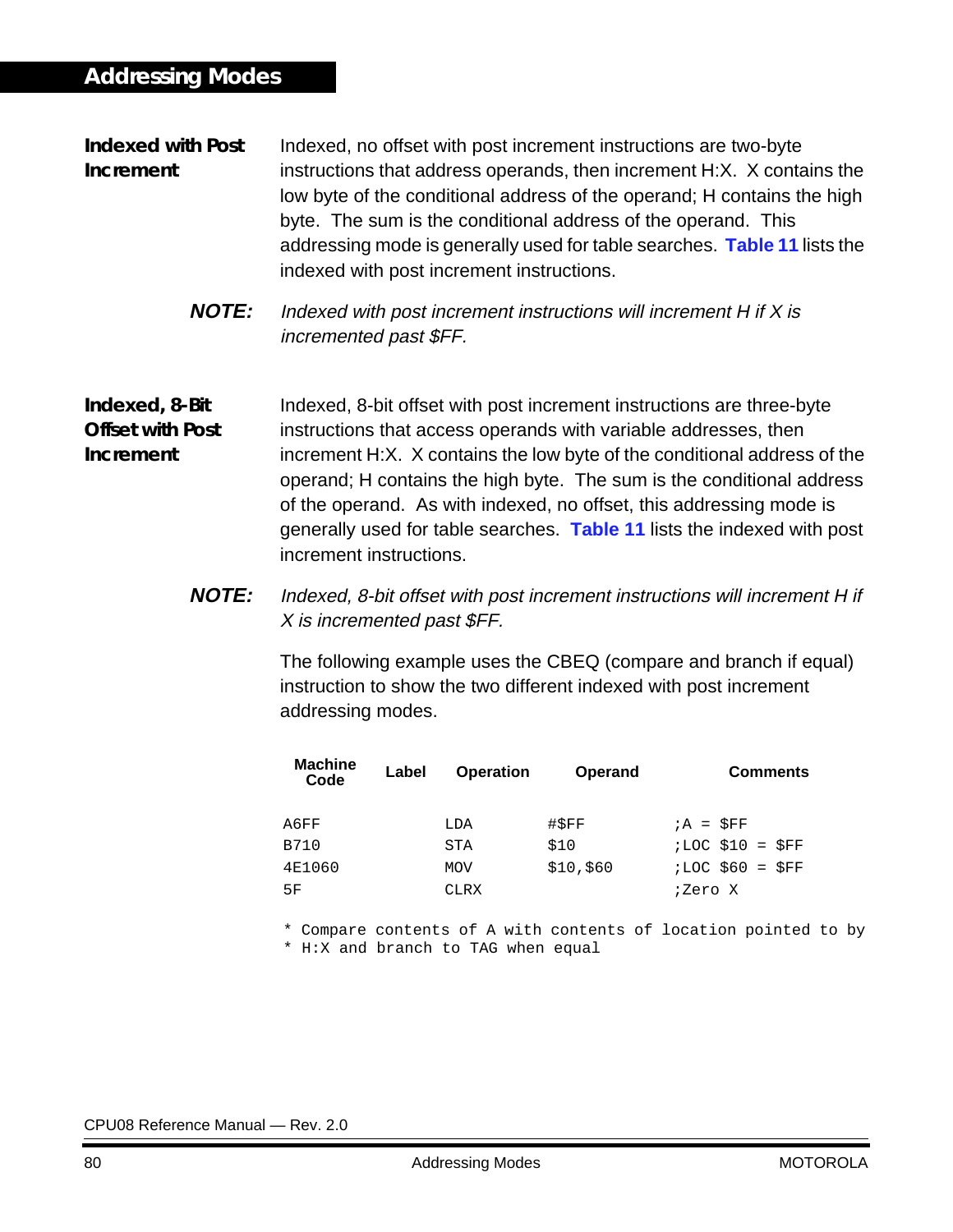- **Indexed with Post Increment** Indexed, no offset with post increment instructions are two-byte instructions that address operands, then increment H:X. X contains the low byte of the conditional address of the operand; H contains the high byte. The sum is the conditional address of the operand. This addressing mode is generally used for table searches. **[Table 11](#page-80-0)** lists the indexed with post increment instructions.
	- **NOTE:** Indexed with post increment instructions will increment H if X is incremented past \$FF.

#### **Indexed, 8-Bit Offset with Post Increment** Indexed, 8-bit offset with post increment instructions are three-byte instructions that access operands with variable addresses, then increment H:X. X contains the low byte of the conditional address of the operand; H contains the high byte. The sum is the conditional address of the operand. As with indexed, no offset, this addressing mode is generally used for table searches. **[Table 11](#page-80-0)** lists the indexed with post increment instructions.

## **NOTE:** Indexed, 8-bit offset with post increment instructions will increment H if X is incremented past \$FF.

The following example uses the CBEQ (compare and branch if equal) instruction to show the two different indexed with post increment addressing modes.

| <b>Machine</b><br>Code | Label | <b>Operation</b> | Operand    | <b>Comments</b>        |
|------------------------|-------|------------------|------------|------------------------|
| A6FF                   |       | LDA              | #SFF       | $iA = SFF$             |
| B710                   |       | STA              | \$10       | $:LOC$ \$10 = \$FF     |
| 4E1060                 |       | <b>MOV</b>       | \$10, \$60 | $7^1$ FLOC \$60 = \$FF |
| 5F                     |       | CLRX             |            | ;Zero X                |
|                        |       |                  |            |                        |

\* Compare contents of A with contents of location pointed to by \* H:X and branch to TAG when equal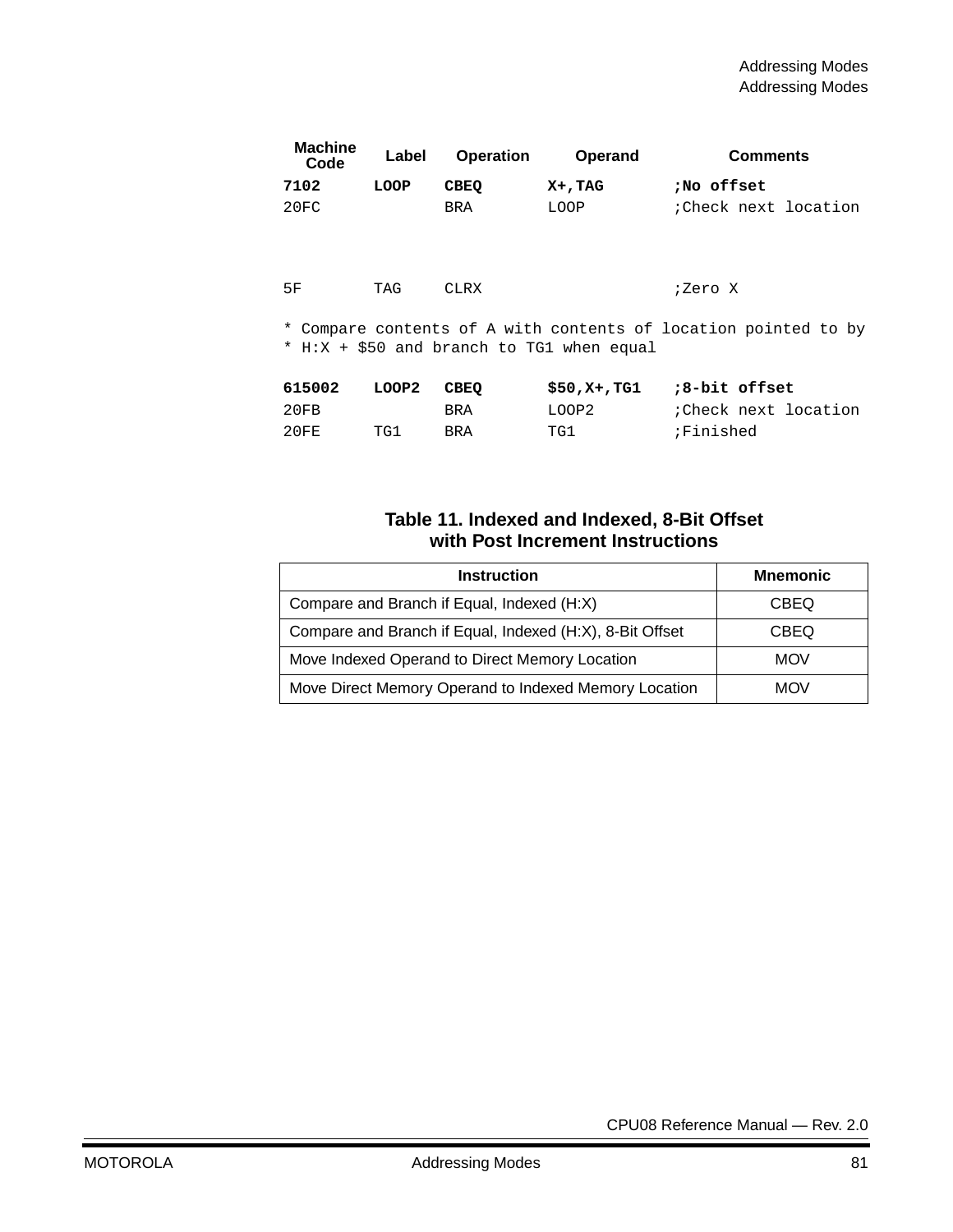<span id="page-80-0"></span>

| <b>Machine</b><br>Code | Label       | <b>Operation</b> | Operand                                   | <b>Comments</b>                                                 |
|------------------------|-------------|------------------|-------------------------------------------|-----------------------------------------------------------------|
| 7102                   | <b>LOOP</b> | <b>CBEQ</b>      | X+, TAG                                   | <i>No</i> offset;                                               |
| 20FC                   |             | BRA              | LOOP                                      | :Check next location                                            |
|                        |             |                  |                                           |                                                                 |
|                        |             |                  |                                           |                                                                 |
| 5F                     | TAG         | CLRX             |                                           | ;Zero X                                                         |
|                        |             |                  |                                           |                                                                 |
|                        |             |                  |                                           | * Compare contents of A with contents of location pointed to by |
|                        |             |                  | * H:X + \$50 and branch to TG1 when equal |                                                                 |
| 615002                 | LOOP2       | <b>CBEQ</b>      | \$50,X+,TG1                               | :8-bit offset                                                   |
| 20FB                   |             | BRA              | LOOP2                                     | :Check next location                                            |
| 20FE                   | TG1         | BRA              | TG1                                       | ;Finished                                                       |

### **Table 11. Indexed and Indexed, 8-Bit Offset with Post Increment Instructions**

| <b>Instruction</b>                                       | <b>Mnemonic</b> |
|----------------------------------------------------------|-----------------|
| Compare and Branch if Equal, Indexed (H:X)               | <b>CBEQ</b>     |
| Compare and Branch if Equal, Indexed (H:X), 8-Bit Offset | <b>CBEQ</b>     |
| Move Indexed Operand to Direct Memory Location           | <b>MOV</b>      |
| Move Direct Memory Operand to Indexed Memory Location    | <b>MOV</b>      |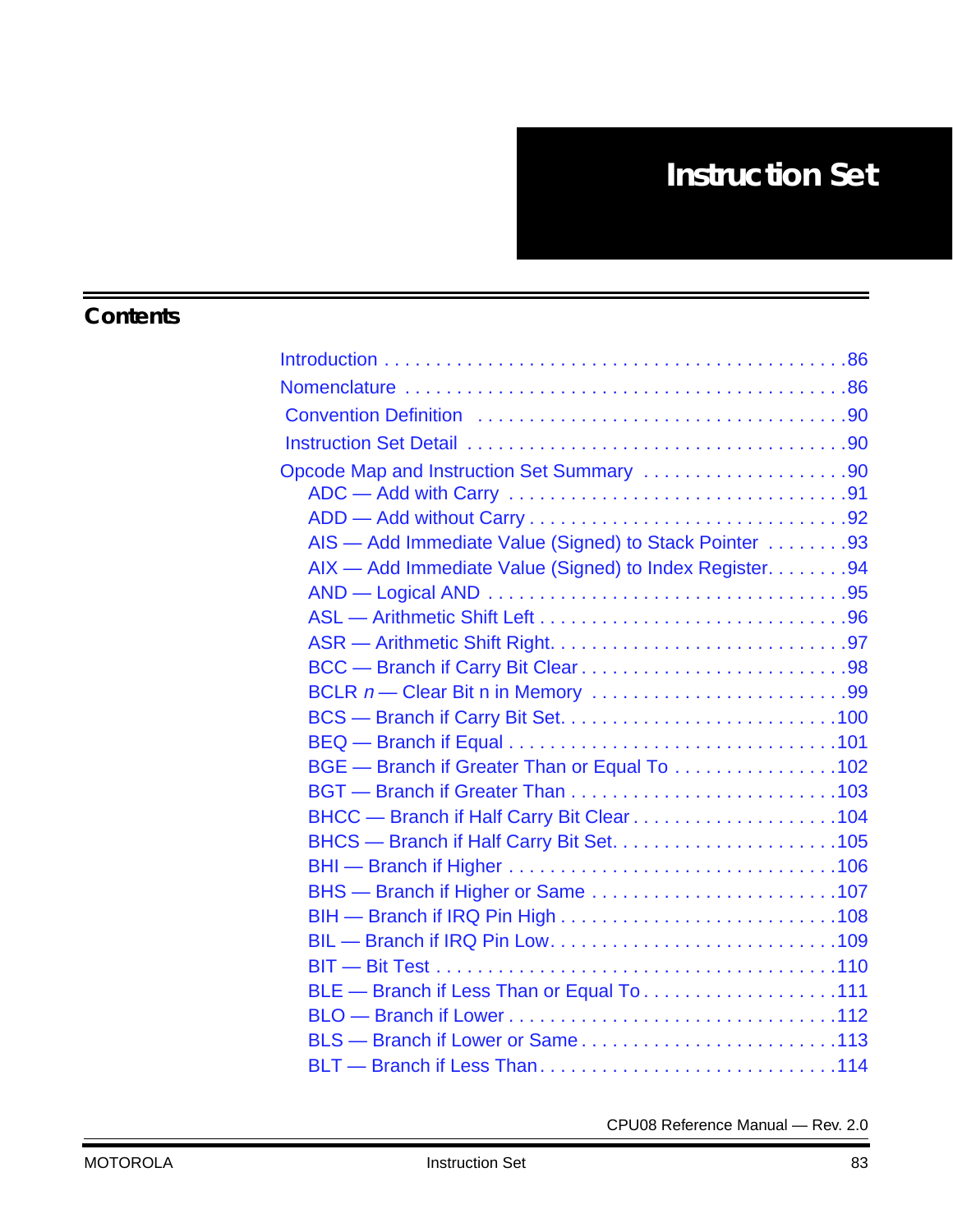# **Contents**

| Opcode Map and Instruction Set Summary 90                |  |
|----------------------------------------------------------|--|
|                                                          |  |
|                                                          |  |
| AIS - Add Immediate Value (Signed) to Stack Pointer 93   |  |
| AIX - Add Immediate Value (Signed) to Index Register. 94 |  |
|                                                          |  |
|                                                          |  |
|                                                          |  |
|                                                          |  |
| BCLR n-Clear Bit n in Memory 99                          |  |
|                                                          |  |
|                                                          |  |
| BGE - Branch if Greater Than or Equal To 102             |  |
|                                                          |  |
| BHCC - Branch if Half Carry Bit Clear104                 |  |
|                                                          |  |
|                                                          |  |
| BHS - Branch if Higher or Same 107                       |  |
|                                                          |  |
|                                                          |  |
|                                                          |  |
|                                                          |  |
|                                                          |  |
| BLS - Branch if Lower or Same113                         |  |
| BLT - Branch if Less Than114                             |  |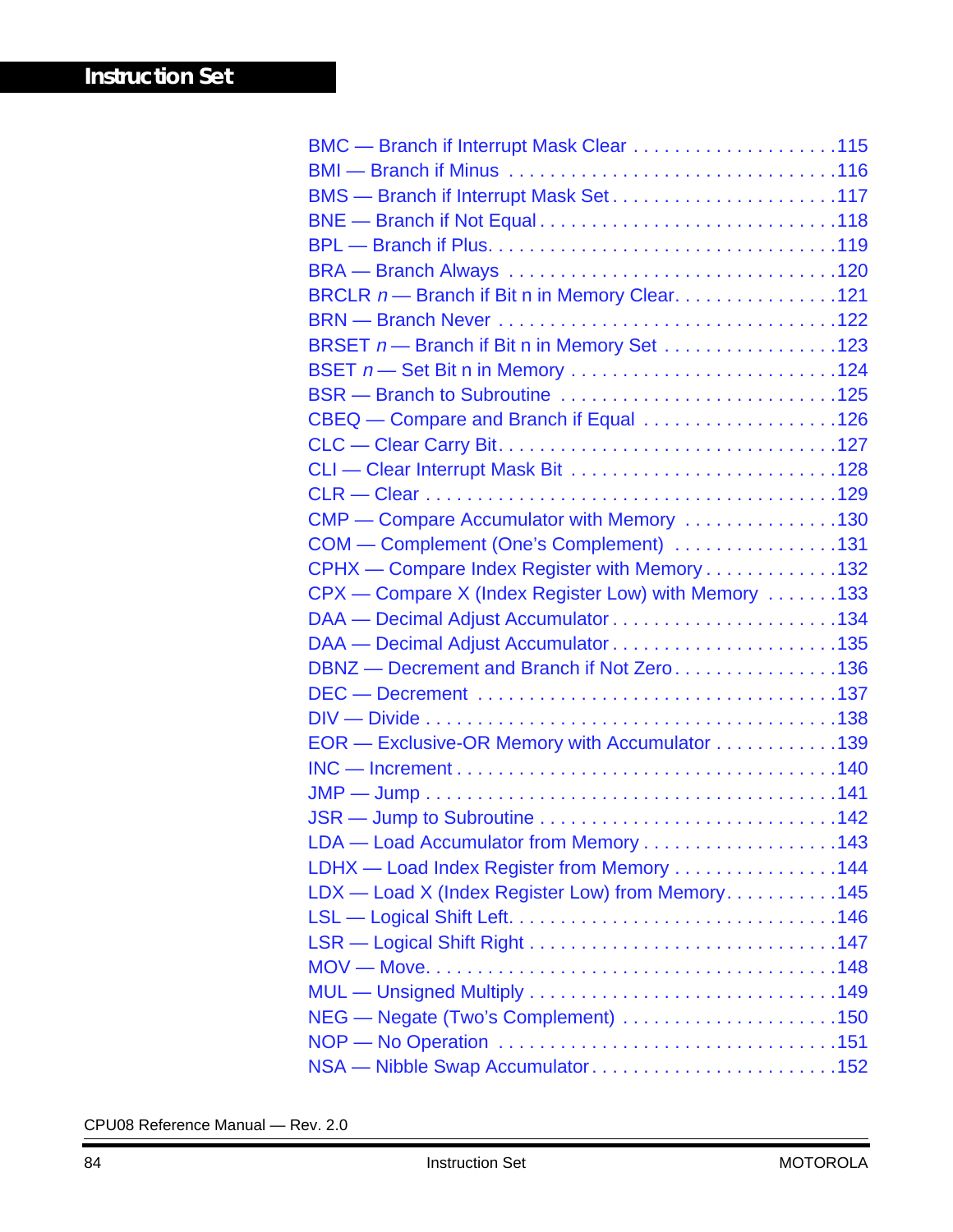| BRCLR n - Branch if Bit n in Memory Clear. 121       |
|------------------------------------------------------|
|                                                      |
| BRSET n-Branch if Bit n in Memory Set 123            |
|                                                      |
|                                                      |
| CBEQ — Compare and Branch if Equal 126               |
|                                                      |
| CLI - Clear Interrupt Mask Bit 128                   |
|                                                      |
| CMP — Compare Accumulator with Memory 130            |
| COM - Complement (One's Complement) 131              |
| CPHX - Compare Index Register with Memory 132        |
| CPX - Compare X (Index Register Low) with Memory 133 |
|                                                      |
|                                                      |
| DBNZ - Decrement and Branch if Not Zero136           |
|                                                      |
|                                                      |
| EOR - Exclusive-OR Memory with Accumulator 139       |
|                                                      |
|                                                      |
|                                                      |
| LDA - Load Accumulator from Memory 143               |
| LDHX - Load Index Register from Memory 144           |
| LDX - Load X (Index Register Low) from Memory. 145   |
|                                                      |
|                                                      |
|                                                      |
|                                                      |
| NEG - Negate (Two's Complement) 150                  |
|                                                      |
| NSA - Nibble Swap Accumulator152                     |
|                                                      |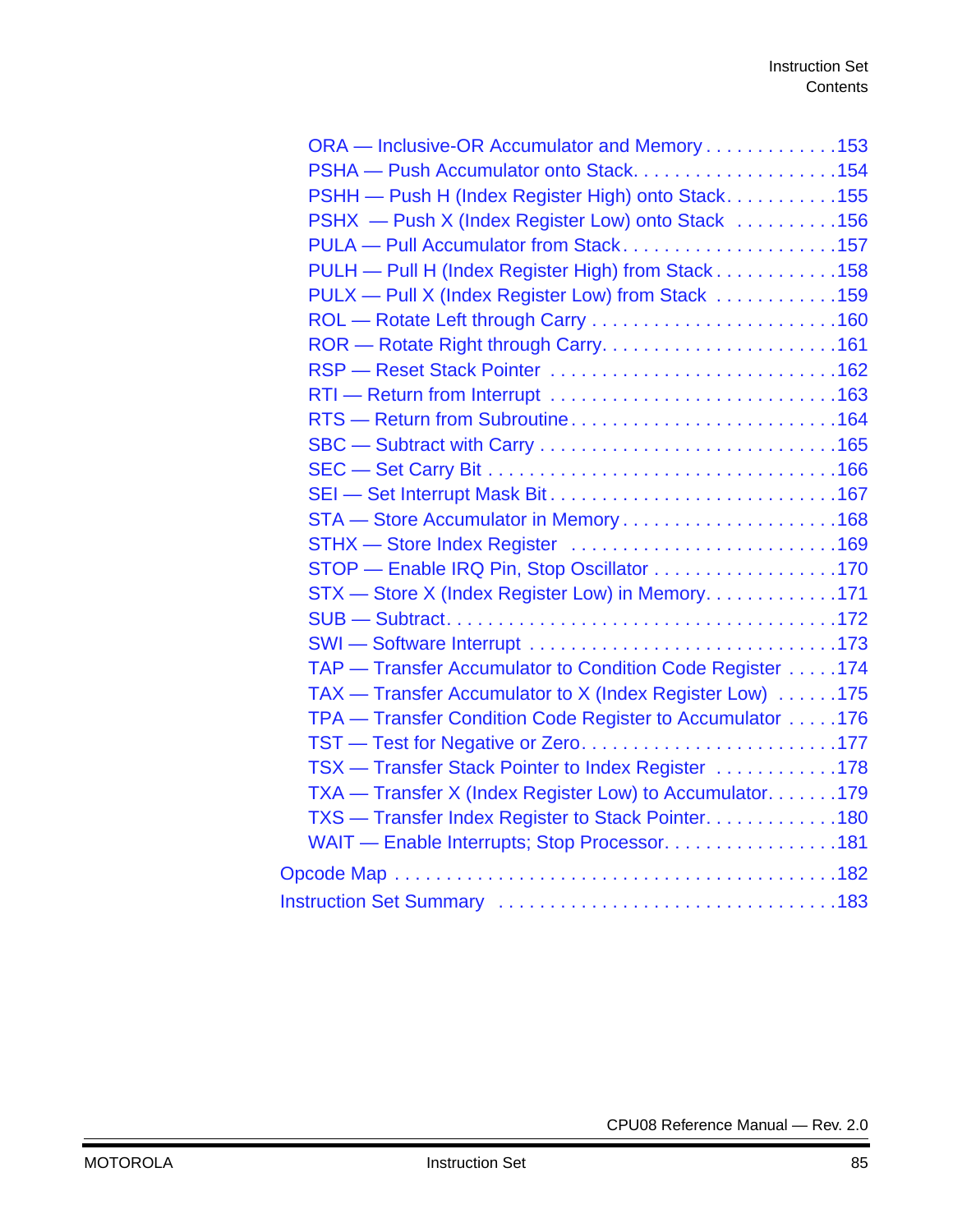| ORA - Inclusive-OR Accumulator and Memory 153             |  |
|-----------------------------------------------------------|--|
|                                                           |  |
| PSHH - Push H (Index Register High) onto Stack. 155       |  |
| PSHX - Push X (Index Register Low) onto Stack 156         |  |
| PULA - Pull Accumulator from Stack157                     |  |
| PULH - Pull H (Index Register High) from Stack 158        |  |
| PULX - Pull X (Index Register Low) from Stack 159         |  |
| ROL - Rotate Left through Carry 160                       |  |
|                                                           |  |
|                                                           |  |
|                                                           |  |
|                                                           |  |
|                                                           |  |
|                                                           |  |
|                                                           |  |
| STA - Store Accumulator in Memory 168                     |  |
|                                                           |  |
| STOP - Enable IRQ Pin, Stop Oscillator 170                |  |
| STX - Store X (Index Register Low) in Memory. 171         |  |
|                                                           |  |
|                                                           |  |
| TAP - Transfer Accumulator to Condition Code Register 174 |  |
| TAX - Transfer Accumulator to X (Index Register Low) 175  |  |
| TPA - Transfer Condition Code Register to Accumulator 176 |  |
| TST - Test for Negative or Zero177                        |  |
| TSX - Transfer Stack Pointer to Index Register 178        |  |
| TXA - Transfer X (Index Register Low) to Accumulator. 179 |  |
| TXS - Transfer Index Register to Stack Pointer. 180       |  |
| WAIT - Enable Interrupts; Stop Processor. 181             |  |
|                                                           |  |
|                                                           |  |
|                                                           |  |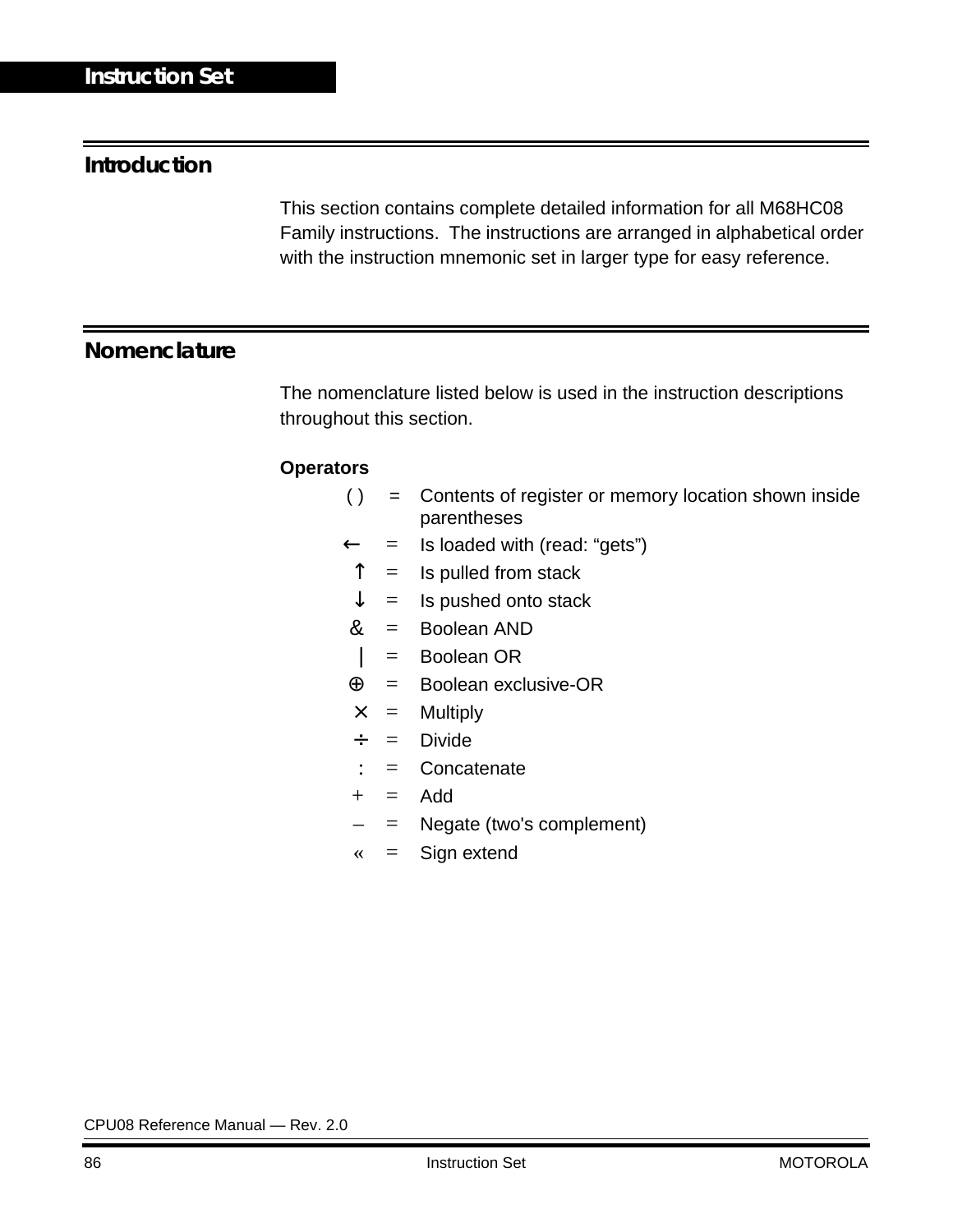# <span id="page-85-0"></span>**Introduction**

This section contains complete detailed information for all M68HC08 Family instructions. The instructions are arranged in alphabetical order with the instruction mnemonic set in larger type for easy reference.

## **Nomenclature**

The nomenclature listed below is used in the instruction descriptions throughout this section.

#### **Operators**

|  | = Contents of register or memory location shown inside |
|--|--------------------------------------------------------|
|  | parentheses                                            |
|  | الامتمن الممميان والنبير اممام مملحا                   |

- $\leftarrow$  = Is loaded with (read: "gets")
- $\uparrow$  = Is pulled from stack
- $\downarrow$  = Is pushed onto stack
- $\&$  = Boolean AND
- $\vert$  = Boolean OR
- $\oplus$  = Boolean exclusive-OR
- $\times$  = Multiply
- $\div$  = Divide
- : = Concatenate
- $+ =$  Add
- = Negate (two's complement)
- $\kappa$  = [Sign extend](#page-180-0)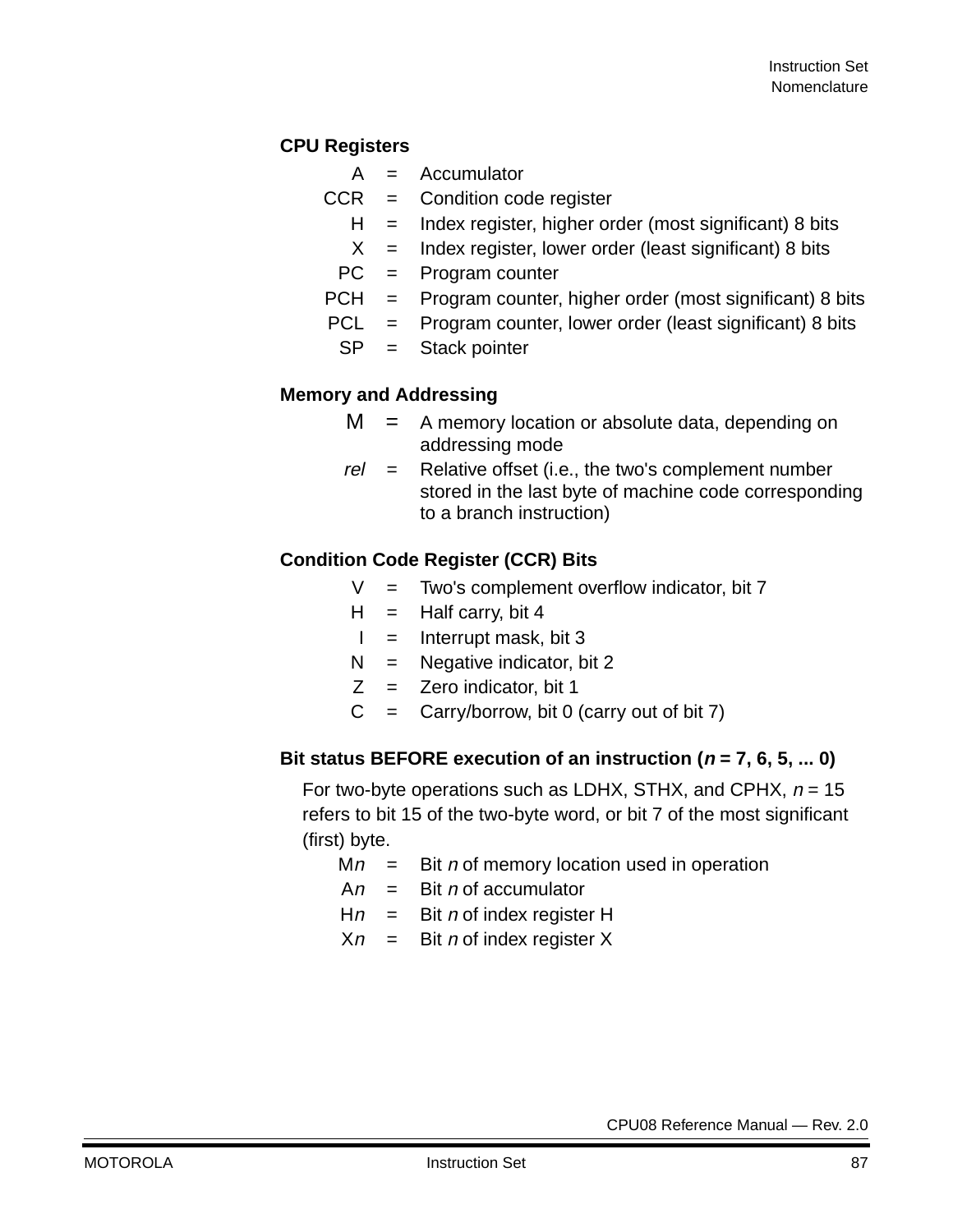### **CPU Registers**

- $A = Accumulator$
- CCR = Condition code register
	- $H =$  Index register, higher order (most significant) 8 bits
	- $X =$  Index register, lower order (least significant) 8 bits
	- PC = Program counter
- PCH = Program counter, higher order (most significant) 8 bits
- PCL = Program counter, lower order (least significant) 8 bits
	- SP = Stack pointer

### **Memory and Addressing**

- $M = A$  memory location or absolute data, depending on addressing mode
- $rel =$  Relative offset (i.e., the two's complement number stored in the last byte of machine code corresponding to a branch instruction)

## **Condition Code Register (CCR) Bits**

- $V = Two's complement overflow indicator, bit 7$
- $H =$  Half carry, bit 4
- $I =$  Interrupt mask, bit 3
- $N =$  Negative indicator, bit 2
- $Z = Zero$  indicator, bit 1
- $C =$  Carry/borrow, bit 0 (carry out of bit 7)

## **Bit status BEFORE execution of an instruction (n = 7, 6, 5, ... 0)**

For two-byte operations such as LDHX, STHX, and CPHX,  $n = 15$ refers to bit 15 of the two-byte word, or bit 7 of the most significant (first) byte.

- $Mn =$  Bit *n* of memory location used in operation
- $An =$ Bit *n* of accumulator
- $Hn =$  Bit *n* of index register H
- $X_n$  = Bit *n* of index register X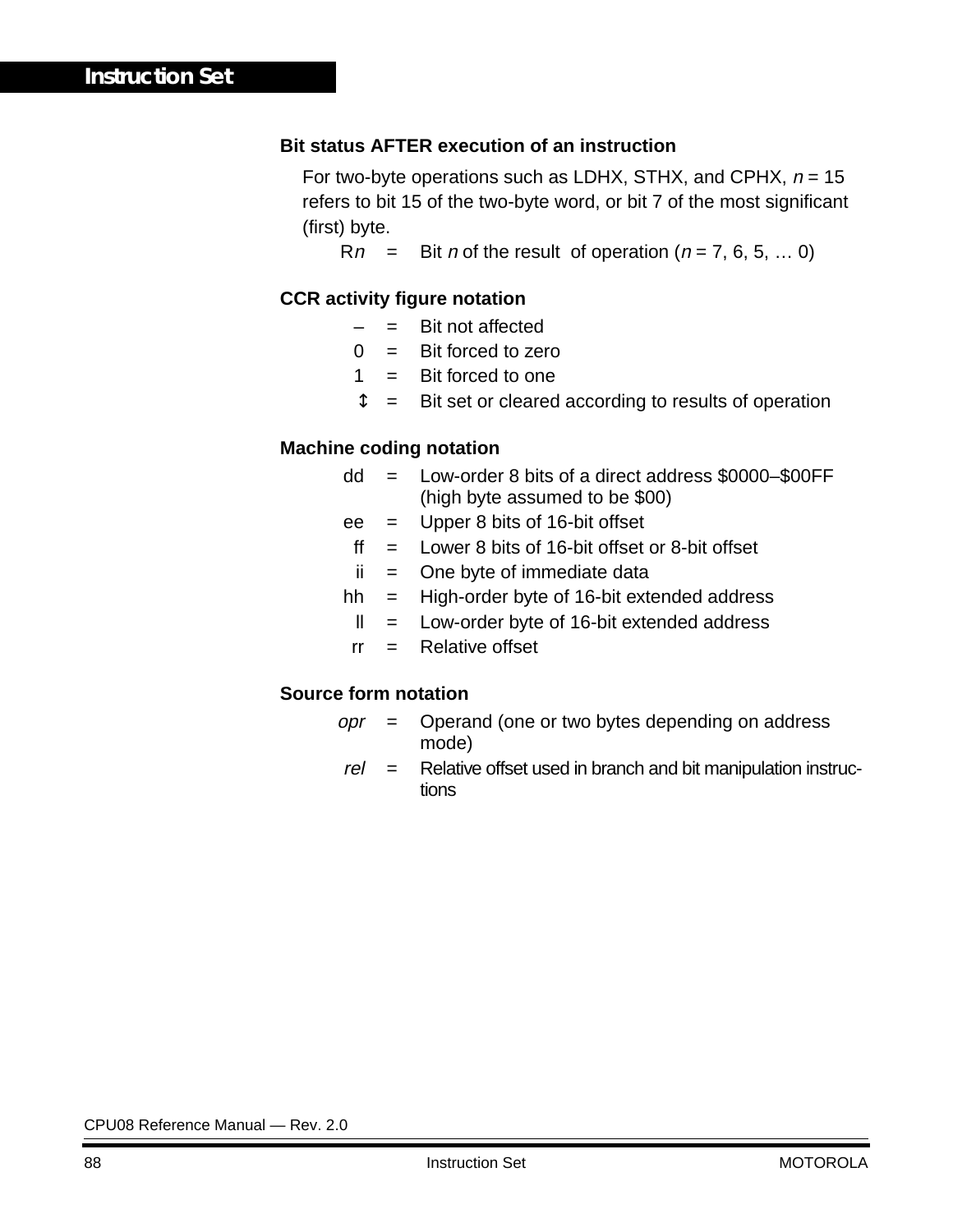### **Bit status AFTER execution of an instruction**

For two-byte operations such as LDHX, STHX, and CPHX,  $n = 15$ refers to bit 15 of the two-byte word, or bit 7 of the most significant (first) byte.

 $Rn =$  Bit *n* of the result of operation ( $n = 7, 6, 5, ... 0$ )

### **CCR activity figure notation**

- $-$  = Bit not affected
- $0 =$ Bit forced to zero
- $1 =$ Bit forced to one
- $\hat{I}$  = Bit set or cleared according to results of operation

#### **Machine coding notation**

- dd = Low-order 8 bits of a direct address \$0000–\$00FF (high byte assumed to be \$00)
- ee = Upper 8 bits of 16-bit offset
- ff  $=$  Lower 8 bits of 16-bit offset or 8-bit offset
- $ii =$  One byte of immediate data
- $hh =$  High-order byte of 16-bit extended address
	- $\parallel$  = Low-order byte of 16-bit extended address
- rr = Relative offset

### **Source form notation**

- $opr = Operand (one or two bytes depending on address)$ mode)
- $rel =$  Relative offset used in branch and bit manipulation instructions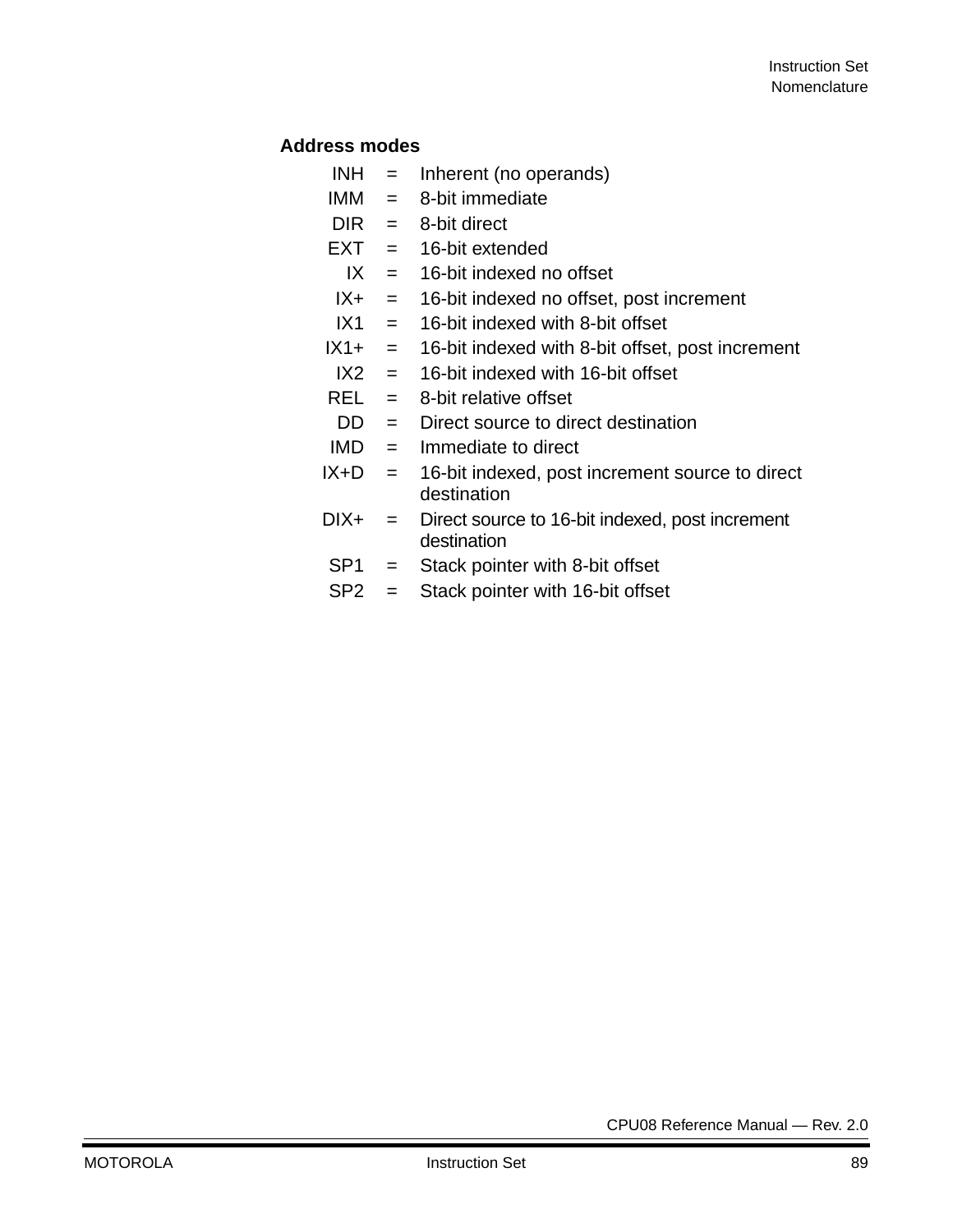### **Address modes**

- INH = Inherent (no operands)
- IMM = 8-bit immediate
- $DIR = 8-bit direct$
- EXT = 16-bit extended
	- $IX = 16$ -bit indexed no offset
- $IX + = 16$ -bit indexed no offset, post increment
- $IX1 = 16$ -bit indexed with 8-bit offset
- $IX1+ = 16$ -bit indexed with 8-bit offset, post increment
- $IX2 = 16$ -bit indexed with 16-bit offset
- $REL = 8$ -bit relative offset
- DD = Direct source to direct destination
- $IMD =$  Immediate to direct
- $IX+D = 16$ -bit indexed, post increment source to direct destination
- $DIX+$  = Direct source to 16-bit indexed, post increment destination
- $SP1 =$  Stack pointer with 8-bit offset
- SP2 = Stack pointer with 16-bit offset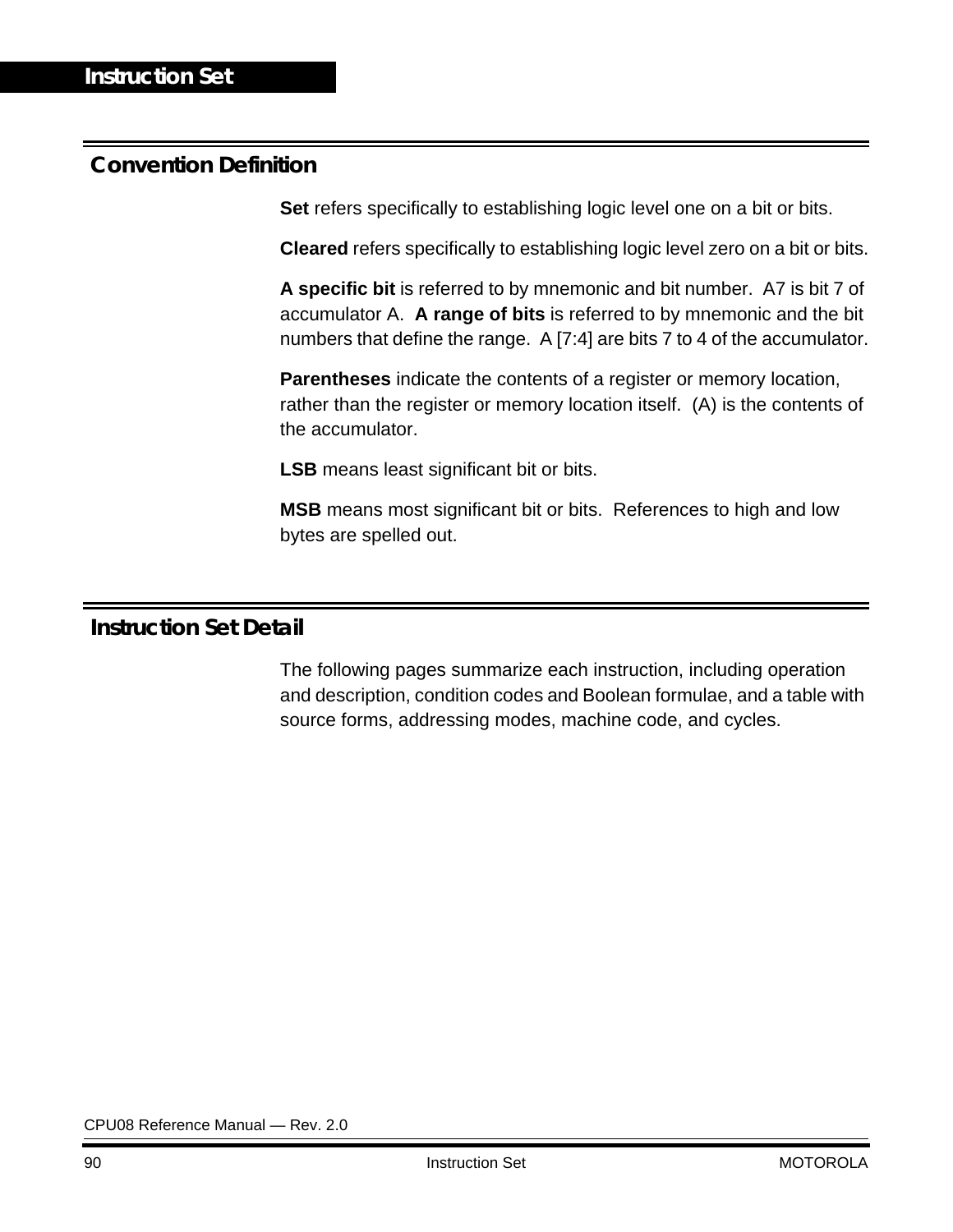# <span id="page-89-0"></span> **Convention Definition**

**Set** refers specifically to establishing logic level one on a bit or bits.

**Cleared** refers specifically to establishing logic level zero on a bit or bits.

**A specific bit** is referred to by mnemonic and bit number. A7 is bit 7 of accumulator A. **A range of bits** is referred to by mnemonic and the bit numbers that define the range. A [7:4] are bits 7 to 4 of the accumulator.

**Parentheses** indicate the contents of a register or memory location, rather than the register or memory location itself. (A) is the contents of the accumulator.

**LSB** means least significant bit or bits.

**MSB** means most significant bit or bits. References to high and low bytes are spelled out.

## **Instruction Set Detail**

The following pages summarize each instruction, including operation and description, condition codes and Boolean formulae, and a table with source forms, addressing modes, machine code, and cycles.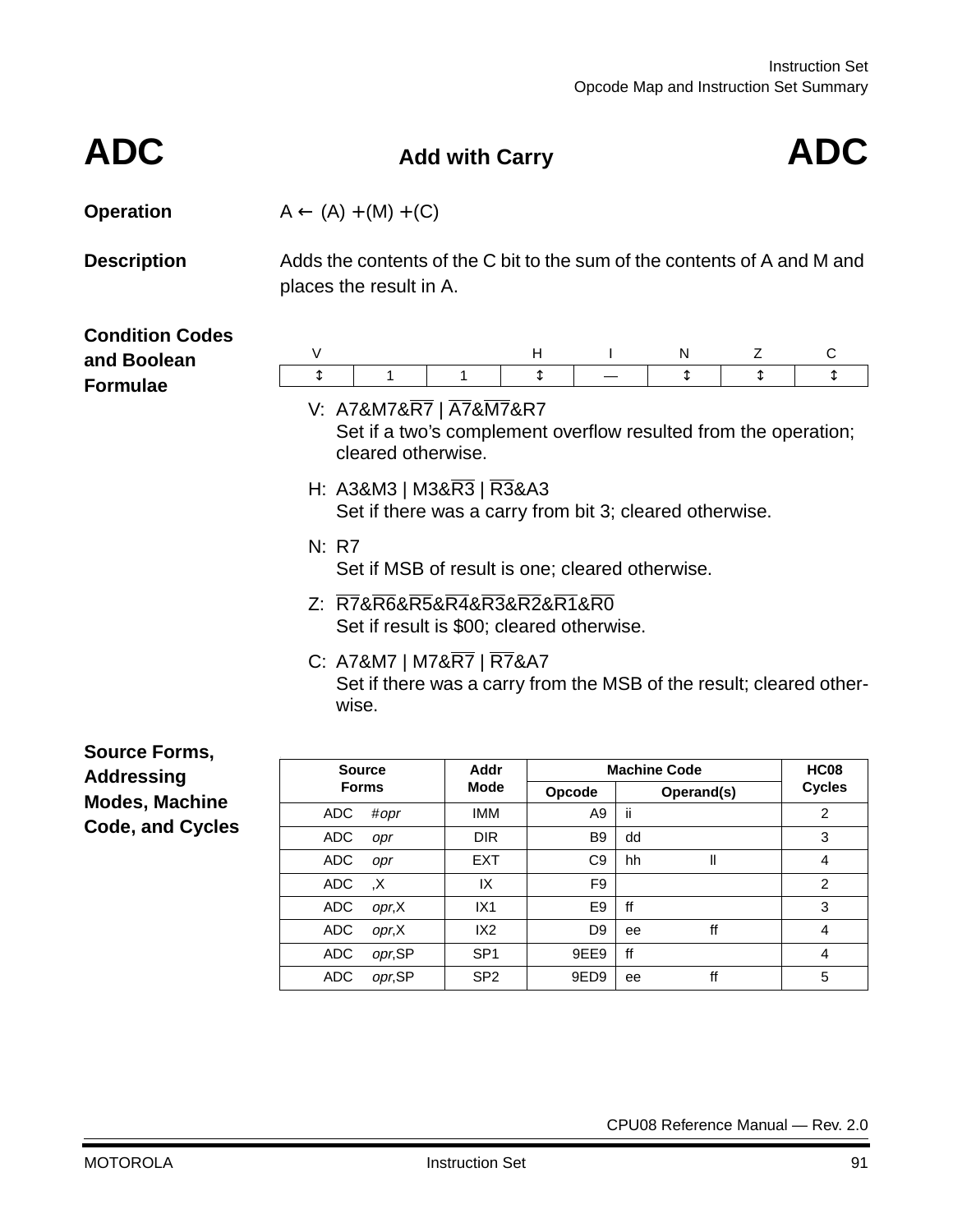# <span id="page-90-0"></span>**ADC Add with Carry ADC**



**Operation**  $A \leftarrow (A) + (M) + (C)$ 

**Description** Adds the contents of the C bit to the sum of the contents of A and M and places the result in A.

> ADC *opr*,X | IX2 | D9 |ee ff | 4 ADC opr,SP SP1 9EE9 ff 4 ADC opr,SP SP2 9ED9 ee ff 5

| <b>Condition Codes</b>         | $\vee$                                                                                                          |                                                                                                          |                     | H.             | L                    | N                                 | Z | C                            |  |  |
|--------------------------------|-----------------------------------------------------------------------------------------------------------------|----------------------------------------------------------------------------------------------------------|---------------------|----------------|----------------------|-----------------------------------|---|------------------------------|--|--|
| and Boolean<br><b>Formulae</b> | ↨                                                                                                               | 1                                                                                                        | 1                   | $\updownarrow$ |                      | ↥                                 | ↨ | ↨                            |  |  |
|                                | V: A7&M7&R7   A7&M7&R7<br>Set if a two's complement overflow resulted from the operation;<br>cleared otherwise. |                                                                                                          |                     |                |                      |                                   |   |                              |  |  |
|                                | H: A3&M3   M3&R3   R3&A3<br>Set if there was a carry from bit 3; cleared otherwise.                             |                                                                                                          |                     |                |                      |                                   |   |                              |  |  |
|                                | N: R7<br>Set if MSB of result is one; cleared otherwise.                                                        |                                                                                                          |                     |                |                      |                                   |   |                              |  |  |
|                                | Z: R7&R6&R5&R4&R3&R2&R1&R0<br>Set if result is \$00; cleared otherwise.                                         |                                                                                                          |                     |                |                      |                                   |   |                              |  |  |
|                                |                                                                                                                 | C: A7&M7   M7&R7   R7&A7<br>Set if there was a carry from the MSB of the result; cleared other-<br>wise. |                     |                |                      |                                   |   |                              |  |  |
| <b>Source Forms,</b>           |                                                                                                                 |                                                                                                          |                     |                |                      |                                   |   |                              |  |  |
| <b>Addressing</b>              |                                                                                                                 | <b>Source</b><br><b>Forms</b>                                                                            | Addr<br><b>Mode</b> | Opcode         |                      | <b>Machine Code</b><br>Operand(s) |   | <b>HC08</b><br><b>Cycles</b> |  |  |
| <b>Modes, Machine</b>          | <b>ADC</b>                                                                                                      | #opr                                                                                                     | <b>IMM</b>          |                | ii.<br>A9            |                                   |   | 2                            |  |  |
| <b>Code, and Cycles</b>        | <b>ADC</b>                                                                                                      | opr                                                                                                      | <b>DIR</b>          |                | <b>B9</b>            | dd                                |   | 3                            |  |  |
|                                | <b>ADC</b>                                                                                                      | opr                                                                                                      | <b>EXT</b>          |                | C <sub>9</sub>       | $\mathbf{I}$<br>hh                |   | 4                            |  |  |
|                                | <b>ADC</b>                                                                                                      | , X                                                                                                      | IX                  |                | F <sub>9</sub>       |                                   |   | $\overline{c}$               |  |  |
|                                | <b>ADC</b>                                                                                                      | opr,X                                                                                                    | IX1                 |                | ff<br>E <sub>9</sub> |                                   |   | 3                            |  |  |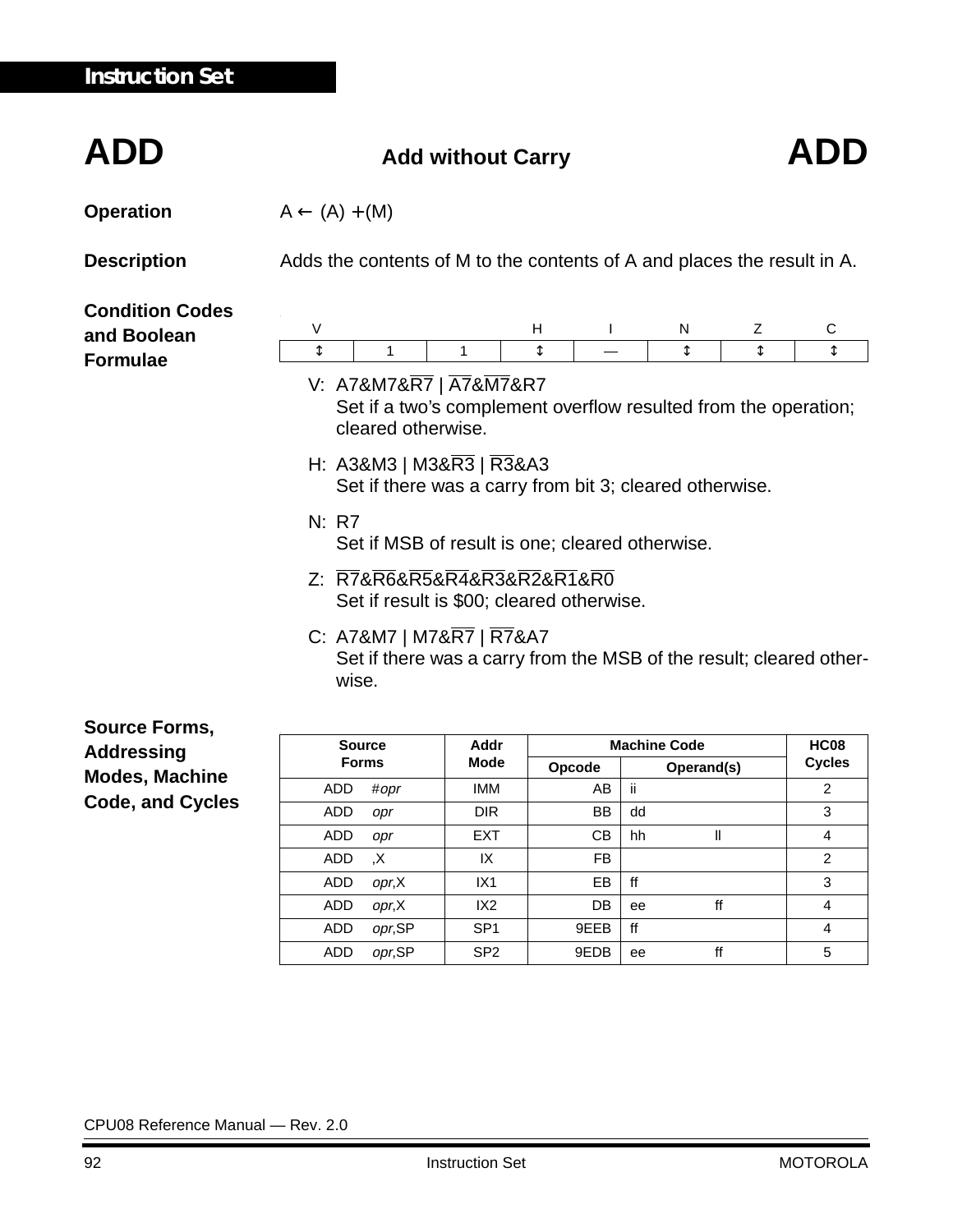<span id="page-91-0"></span>

| <b>ADD</b>                            | <b>Add without Carry</b>                                                                                         |                 |                                     |                     |                     |                     |  |  |
|---------------------------------------|------------------------------------------------------------------------------------------------------------------|-----------------|-------------------------------------|---------------------|---------------------|---------------------|--|--|
| <b>Operation</b>                      | $A \leftarrow (A) + (M)$                                                                                         |                 |                                     |                     |                     |                     |  |  |
| <b>Description</b>                    | Adds the contents of M to the contents of A and places the result in A.                                          |                 |                                     |                     |                     |                     |  |  |
| <b>Condition Codes</b><br>and Boolean | V<br>$\updownarrow$<br>1                                                                                         | 1               | H<br>$\mathbf{I}$<br>$\updownarrow$ | N<br>$\updownarrow$ | Ζ<br>$\updownarrow$ | C<br>$\updownarrow$ |  |  |
| <b>Formulae</b>                       | V: A7&M7&R7   A7&M7&R7<br>Set if a two's complement overflow resulted from the operation;<br>cleared otherwise.  |                 |                                     |                     |                     |                     |  |  |
|                                       | H: A3&M3   M3& $\overline{R}$ 3   $\overline{R}$ 3&A3<br>Set if there was a carry from bit 3; cleared otherwise. |                 |                                     |                     |                     |                     |  |  |
|                                       | N: R7<br>Set if MSB of result is one; cleared otherwise.                                                         |                 |                                     |                     |                     |                     |  |  |
|                                       | Z: R7&R6&R5&R4&R3&R2&R1&R0<br>Set if result is \$00; cleared otherwise.                                          |                 |                                     |                     |                     |                     |  |  |
|                                       | C: A7&M7   M7&R7   R7&A7<br>Set if there was a carry from the MSB of the result; cleared other-<br>wise.         |                 |                                     |                     |                     |                     |  |  |
| <b>Source Forms,</b>                  |                                                                                                                  |                 |                                     |                     |                     | <b>HC08</b>         |  |  |
| <b>Addressing</b>                     | <b>Machine Code</b><br><b>Source</b><br>Addr<br><b>Forms</b><br><b>Mode</b><br>Opcode<br>Operand(s)              |                 |                                     |                     |                     |                     |  |  |
| <b>Modes, Machine</b>                 | <b>ADD</b><br>#opr                                                                                               | <b>IMM</b>      | AB                                  | jj.                 |                     | $\overline{c}$      |  |  |
| <b>Code, and Cycles</b>               | <b>ADD</b><br>opr                                                                                                | <b>DIR</b>      | BB                                  | dd                  |                     | 3                   |  |  |
|                                       | ADD<br>opr                                                                                                       | EXT             | CB                                  | hh                  | $\mathsf{II}$       | 4                   |  |  |
|                                       | ADD<br>, X                                                                                                       | IX              | FB                                  |                     |                     | 2                   |  |  |
|                                       | ADD<br>opr,X                                                                                                     | IX1             | EВ                                  | ff                  |                     | 3                   |  |  |
|                                       | <b>ADD</b><br>opr,X                                                                                              | IX <sub>2</sub> | DB                                  | ee                  | ff                  | 4                   |  |  |

ADD *opr*,SP SP1 9EEB ff 4 ADD opr, SP SP2 9EDB ee ff 5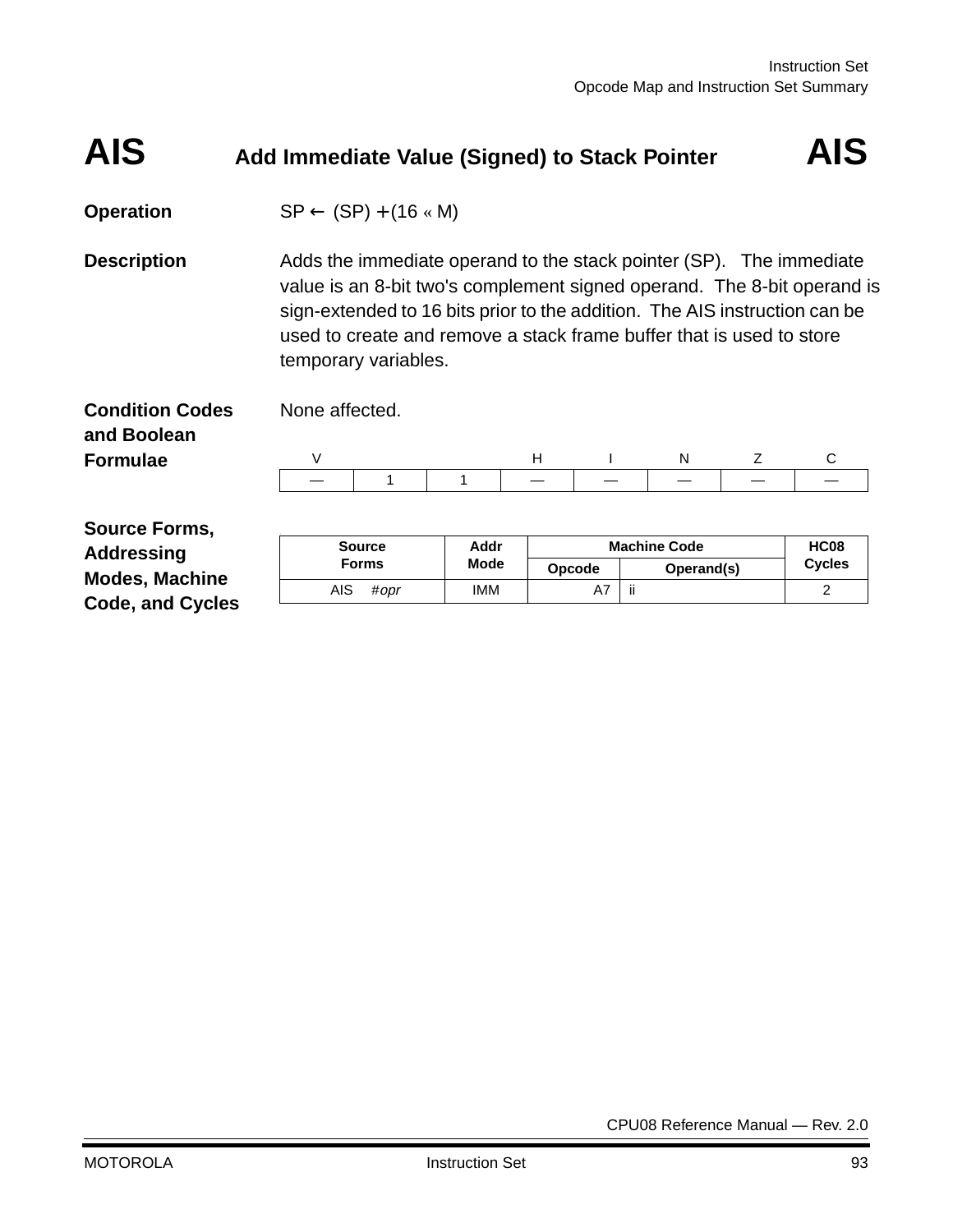# <span id="page-92-0"></span>**AIS Add Immediate Value (Signed) to Stack Pointer AIS**



| <b>Operation</b>                      | $SP \leftarrow (SP) + (16 \times M)$                                                                                                                                                                                                                                                                                               |               |         |        |                               |                     |               |             |
|---------------------------------------|------------------------------------------------------------------------------------------------------------------------------------------------------------------------------------------------------------------------------------------------------------------------------------------------------------------------------------|---------------|---------|--------|-------------------------------|---------------------|---------------|-------------|
| <b>Description</b>                    | Adds the immediate operand to the stack pointer (SP). The immediate<br>value is an 8-bit two's complement signed operand. The 8-bit operand is<br>sign-extended to 16 bits prior to the addition. The AIS instruction can be<br>used to create and remove a stack frame buffer that is used to store<br>temporary variables.       |               |         |        |                               |                     |               |             |
| <b>Condition Codes</b><br>and Boolean | None affected.                                                                                                                                                                                                                                                                                                                     |               |         |        |                               |                     |               |             |
| <b>Formulae</b>                       | v                                                                                                                                                                                                                                                                                                                                  |               |         | H      | $\mathbf{I}$                  | N                   | Z             | C           |
|                                       |                                                                                                                                                                                                                                                                                                                                    | 1             | 1       |        |                               |                     |               |             |
| <b>Source Forms,</b>                  |                                                                                                                                                                                                                                                                                                                                    |               |         |        |                               |                     |               |             |
| <b>Addressing</b>                     |                                                                                                                                                                                                                                                                                                                                    | <b>Source</b> | Addr    |        |                               | <b>Machine Code</b> |               | <b>HC08</b> |
| <b>Modes, Machine</b>                 |                                                                                                                                                                                                                                                                                                                                    | <b>Forms</b>  | Mode    | Opcode |                               | Operand(s)          | <b>Cycles</b> |             |
|                                       | $\mathbf{A}$ $\mathbf{B}$ $\mathbf{A}$ $\mathbf{B}$ $\mathbf{A}$ $\mathbf{B}$ $\mathbf{A}$ $\mathbf{B}$ $\mathbf{B}$ $\mathbf{A}$ $\mathbf{B}$ $\mathbf{B}$ $\mathbf{B}$ $\mathbf{B}$ $\mathbf{B}$ $\mathbf{B}$ $\mathbf{B}$ $\mathbf{B}$ $\mathbf{B}$ $\mathbf{B}$ $\mathbf{B}$ $\mathbf{B}$ $\mathbf{B}$ $\mathbf{B}$ $\mathbf{$ |               | IR AR A |        | $\mathbf{H}$<br>$\sim$ $\sim$ |                     |               | $\sim$      |

AIS #opr IMM A7 ii 2

**Code, and Cycles**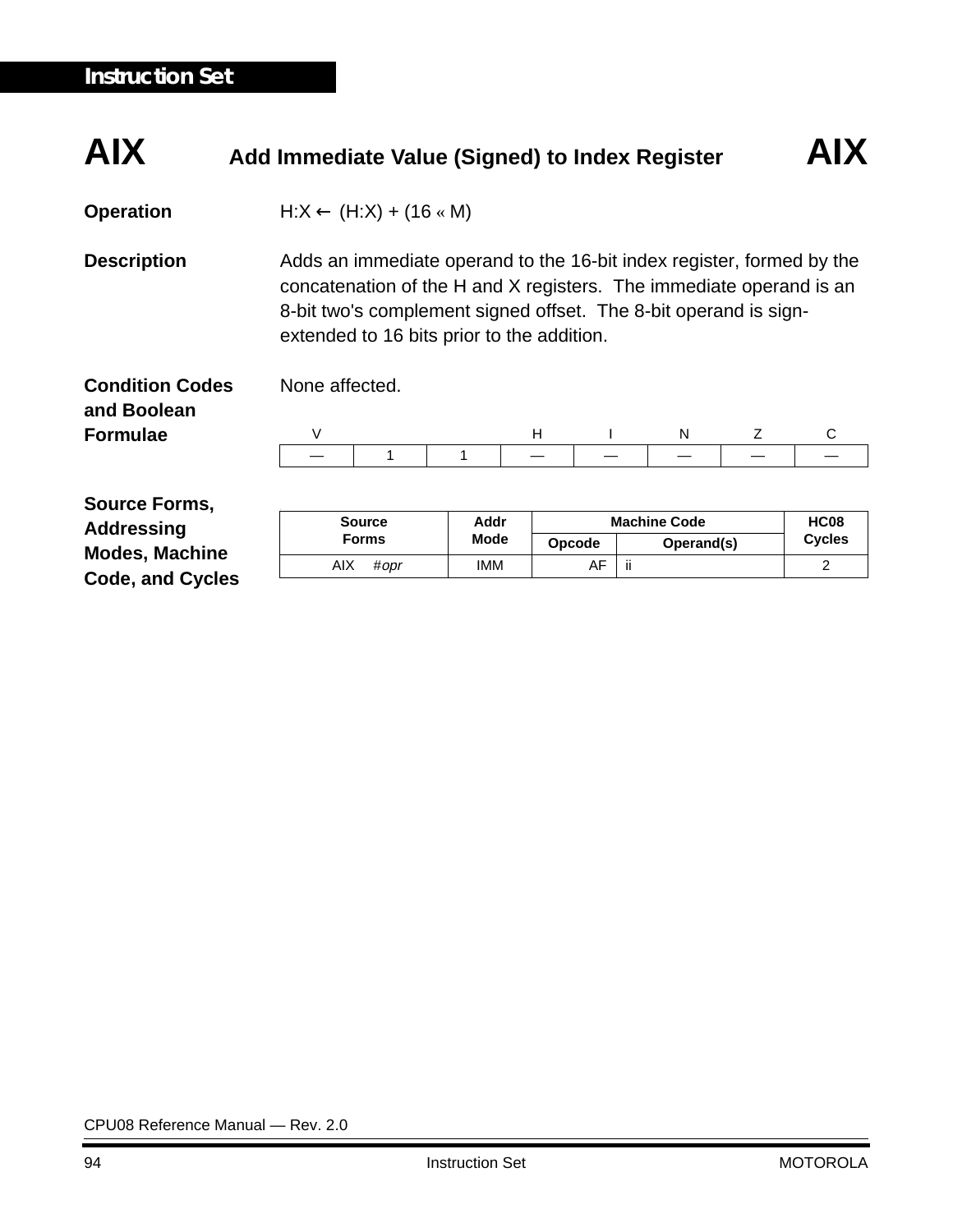**Code, and Cycles**

<span id="page-93-0"></span>

| <b>AIX</b>                                                                                                                                                                                                                                                                           | Add Immediate Value (Signed) to Index Register |                                        |                            |  |        |    |    |                                   |    | AIX.                         |
|--------------------------------------------------------------------------------------------------------------------------------------------------------------------------------------------------------------------------------------------------------------------------------------|------------------------------------------------|----------------------------------------|----------------------------|--|--------|----|----|-----------------------------------|----|------------------------------|
| <b>Operation</b>                                                                                                                                                                                                                                                                     |                                                | $H:X \leftarrow (H:X) + (16 \times M)$ |                            |  |        |    |    |                                   |    |                              |
| <b>Description</b><br>Adds an immediate operand to the 16-bit index register, formed by the<br>concatenation of the H and X registers. The immediate operand is an<br>8-bit two's complement signed offset. The 8-bit operand is sign-<br>extended to 16 bits prior to the addition. |                                                |                                        |                            |  |        |    |    |                                   |    |                              |
| <b>Condition Codes</b><br>and Boolean                                                                                                                                                                                                                                                | None affected.                                 |                                        |                            |  |        |    |    |                                   |    |                              |
| <b>Formulae</b>                                                                                                                                                                                                                                                                      | V                                              |                                        |                            |  | H.     |    |    | N                                 | Z. | C                            |
|                                                                                                                                                                                                                                                                                      |                                                | 1                                      | 1                          |  |        |    |    |                                   |    |                              |
| <b>Source Forms,</b><br><b>Addressing</b><br><b>Modes, Machine</b>                                                                                                                                                                                                                   |                                                | <b>Source</b><br><b>Forms</b>          | <b>Addr</b><br><b>Mode</b> |  | Opcode |    |    | <b>Machine Code</b><br>Operand(s) |    | <b>HC08</b><br><b>Cycles</b> |
|                                                                                                                                                                                                                                                                                      | AIX                                            | #opr                                   | <b>IMM</b>                 |  |        | AF | ii |                                   |    | 2                            |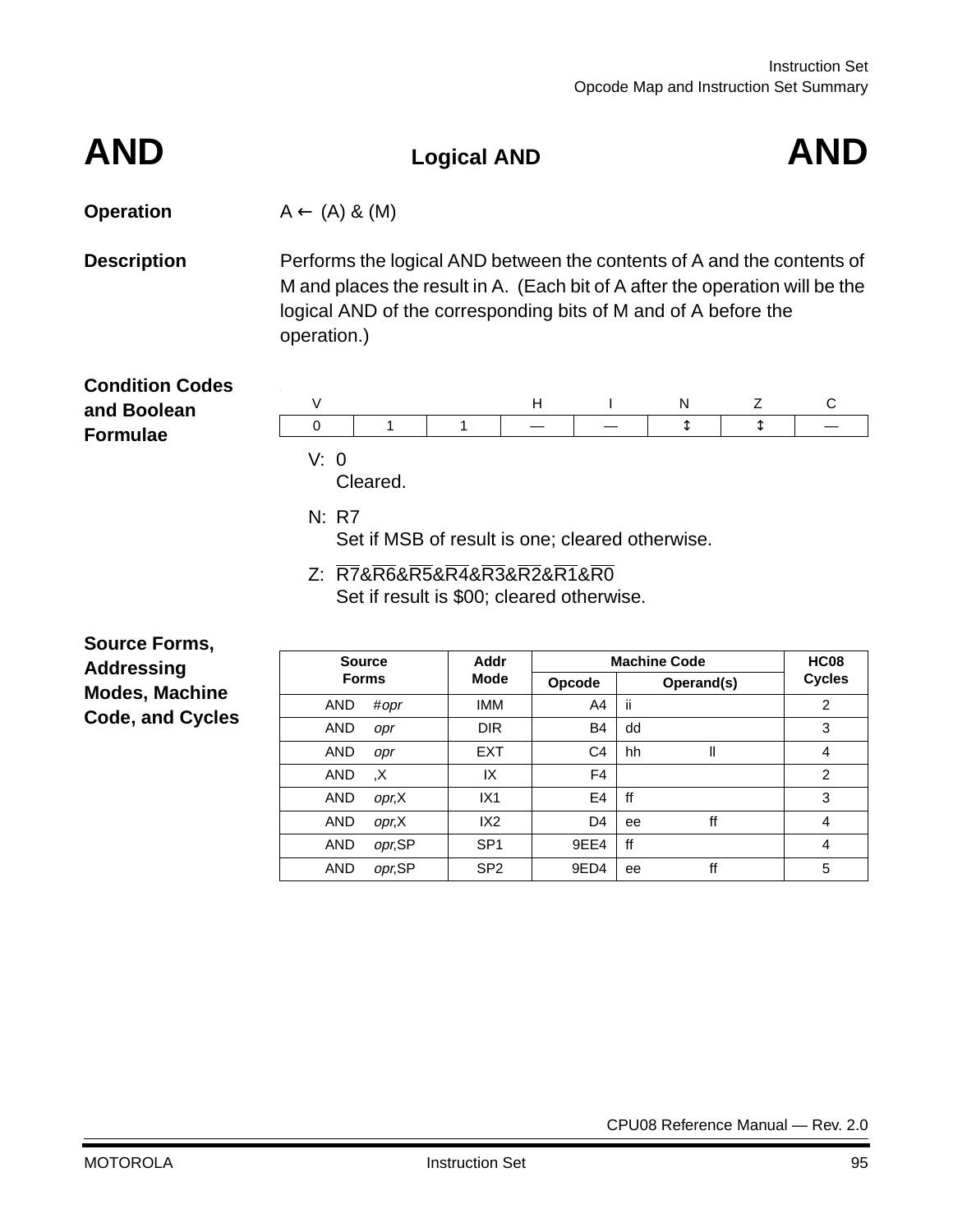# <span id="page-94-0"></span>**AND Logical AND AND**



**Operation**  $A \leftarrow (A) \& (M)$ 

**Description** Performs the logical AND between the contents of A and the contents of M and places the result in A. (Each bit of A after the operation will be the logical AND of the corresponding bits of M and of A before the operation.)

| <b>Condition Codes</b> |  |
|------------------------|--|
| and Boolean            |  |
| <b>Formulae</b>        |  |

|  |  | $0$   1   1   $-$   $-$   $\updownarrow$   $\downarrow$   $-$ |  |  |
|--|--|---------------------------------------------------------------|--|--|
|  |  |                                                               |  |  |

V: 0 Cleared.

N: R7

Set if MSB of result is one; cleared otherwise.

Z: R7&R6&R5&R4&R3&R2&R1&R0 Set if result is \$00; cleared otherwise.

# **Source Forms, Addressing Modes, Machine Code, and Cycles**

| <b>Source</b> |        | Addr            |                |            | <b>Machine Code</b> | HC <sub>08</sub> |
|---------------|--------|-----------------|----------------|------------|---------------------|------------------|
| <b>Forms</b>  |        | <b>Mode</b>     | Opcode         | Operand(s) |                     | <b>Cycles</b>    |
| AND           | #opr   | <b>IMM</b>      | A <sub>4</sub> | ii         |                     | $\overline{2}$   |
| <b>AND</b>    | opr    | <b>DIR</b>      | B4             | dd         |                     | 3                |
| AND           | opr    | <b>EXT</b>      | C <sub>4</sub> | hh         | Ш                   | $\overline{4}$   |
| AND           | X,     | IX              | F <sub>4</sub> |            |                     | $\overline{2}$   |
| <b>AND</b>    | opr,X  | IX1             | E4             | ff         |                     | 3                |
| AND           | opr,X  | IX2             | D <sub>4</sub> | ee         | ff                  | $\overline{4}$   |
| AND           | opr,SP | SP <sub>1</sub> | 9EE4           | ff         |                     | 4                |
| AND           | opr,SP | SP <sub>2</sub> | 9ED4           | ee         | ff                  | 5                |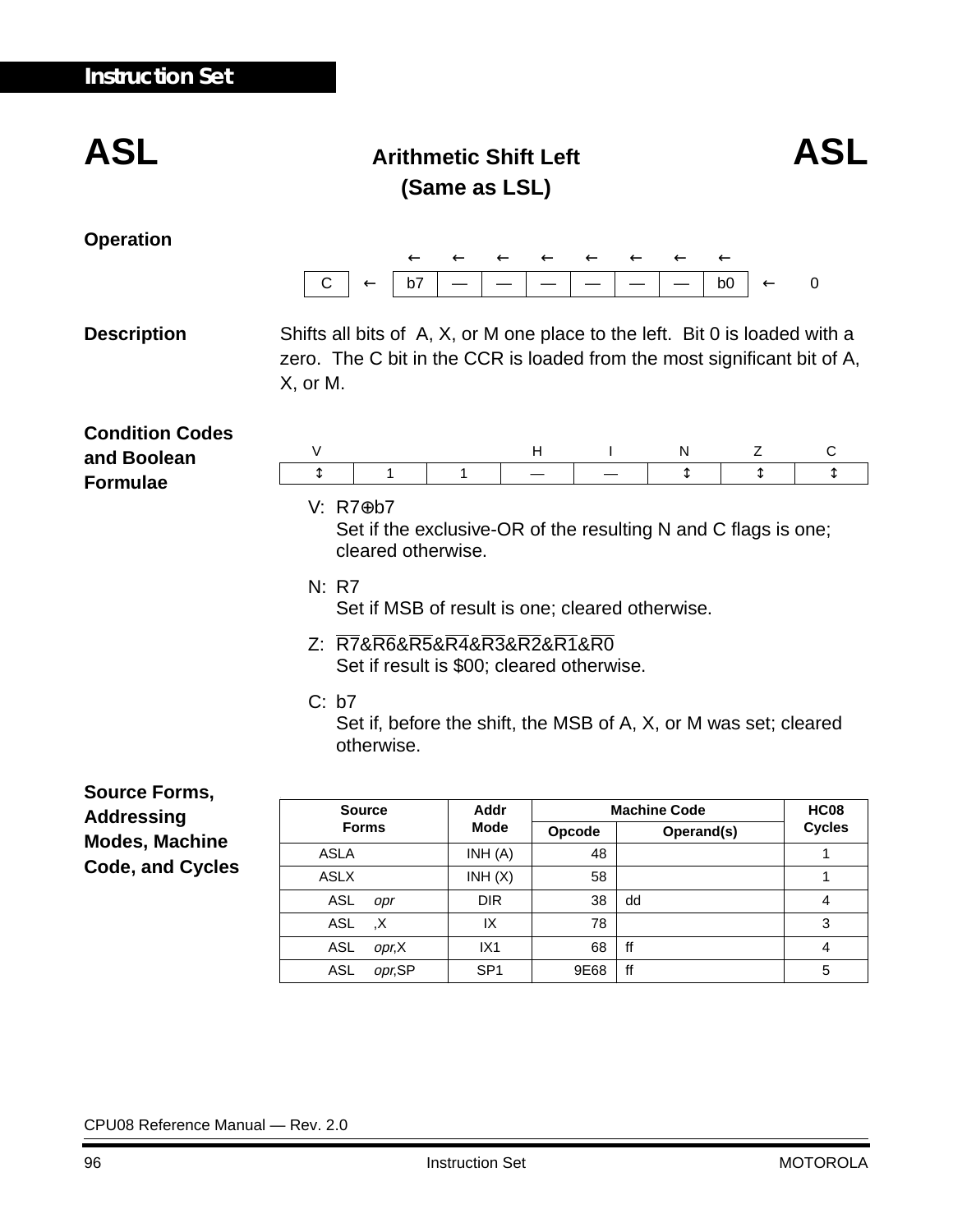# <span id="page-95-0"></span>**ASL Arithmetic Shift Left ASL (Same as LSL)**



| Operation               |                                                                                                                                                                        |                                                                |                              |              |                                    |   |  |  |
|-------------------------|------------------------------------------------------------------------------------------------------------------------------------------------------------------------|----------------------------------------------------------------|------------------------------|--------------|------------------------------------|---|--|--|
|                         | $\leftarrow$<br>b7<br>$\leftarrow$                                                                                                                                     | $\leftarrow$<br>$\leftarrow$                                   | $\leftarrow$<br>$\leftarrow$ | $\leftarrow$ | $\leftarrow$<br>b0<br>$\leftarrow$ | 0 |  |  |
| <b>Description</b>      | Shifts all bits of A, X, or M one place to the left. Bit 0 is loaded with a<br>zero. The C bit in the CCR is loaded from the most significant bit of A,<br>$X$ , or M. |                                                                |                              |              |                                    |   |  |  |
| <b>Condition Codes</b>  | V                                                                                                                                                                      | H                                                              |                              | N            | Z                                  | С |  |  |
| and Boolean<br>Formulae | ↥<br>1<br>1                                                                                                                                                            |                                                                |                              | ↨            | ↨                                  | ⇕ |  |  |
|                         | V: R7@b7<br>cleared otherwise.                                                                                                                                         | Set if the exclusive-OR of the resulting N and C flags is one; |                              |              |                                    |   |  |  |
|                         | N: R7<br>Set if MSB of result is one; cleared otherwise.                                                                                                               |                                                                |                              |              |                                    |   |  |  |
|                         | Z: R7&R6&R5&R4&R3&R2&R1&R0<br>Set if result is \$00; cleared otherwise.                                                                                                |                                                                |                              |              |                                    |   |  |  |
|                         | C: b7<br>Set if, before the shift, the MSB of A, X, or M was set; cleared                                                                                              |                                                                |                              |              |                                    |   |  |  |

otherwise.

# **Source Forms, Addressing Modes, Machine Code, and Cycles**

| <b>Source</b>       | Addr            | <b>Machine Code</b> | HC <sub>08</sub> |                |
|---------------------|-----------------|---------------------|------------------|----------------|
| <b>Forms</b>        | <b>Mode</b>     | Opcode              | Operand(s)       | <b>Cycles</b>  |
| ASLA                | INH(A)          | 48                  |                  |                |
| ASLX                | INH(X)          | 58                  |                  |                |
| <b>ASL</b><br>opr   | <b>DIR</b>      | 38                  | dd               | $\overline{4}$ |
| ASL<br>$\mathsf{X}$ | IX              | 78                  |                  | 3              |
| ASL<br>opr,X        | IX1             | 68                  | ff               | 4              |
| opr,SP<br>ASL       | SP <sub>1</sub> | 9E68                | ff               | 5              |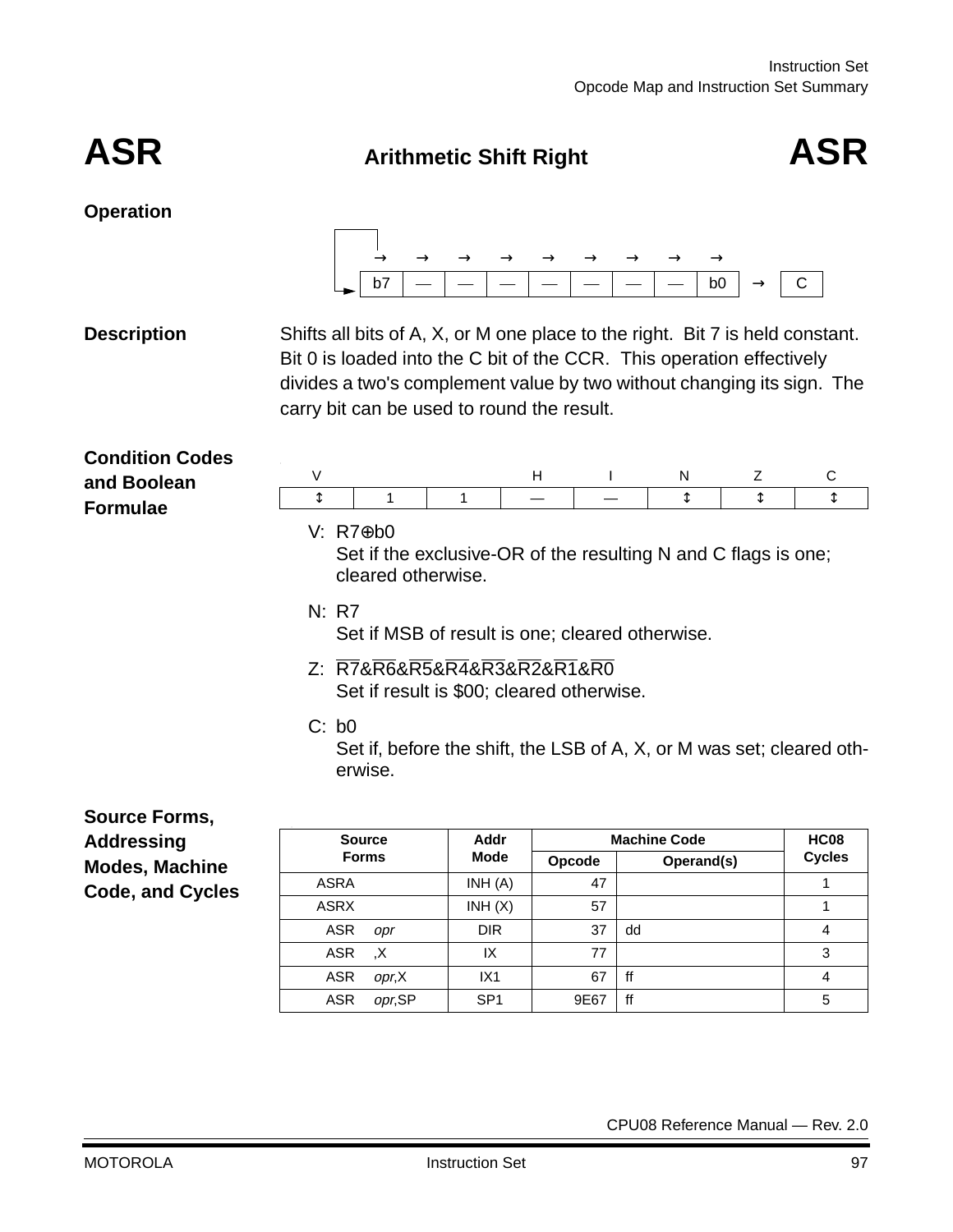# <span id="page-96-0"></span>**ASR Arithmetic Shift Right ASR**



### **Operation**



**Description** Shifts all bits of A, X, or M one place to the right. Bit 7 is held constant. Bit 0 is loaded into the C bit of the CCR. This operation effectively divides a two's complement value by two without changing its sign. The carry bit can be used to round the result.

### **Condition Codes and Boolean Formulae**

|  |  | and the contract of the contract of |  |  |
|--|--|-------------------------------------|--|--|

### V: R7⊕b0

Set if the exclusive-OR of the resulting N and C flags is one; cleared otherwise.

N: R7

Set if MSB of result is one; cleared otherwise.

- Z: R7&R6&R5&R4&R3&R2&R1&R0 Set if result is \$00; cleared otherwise.
- C: b0

Set if, before the shift, the LSB of A, X, or M was set; cleared otherwise.

## **Source Forms, Addressing Modes, Machine Code, and Cycles**

| <b>Source</b> |           | Addr            | <b>Machine Code</b> | <b>HC08</b> |               |
|---------------|-----------|-----------------|---------------------|-------------|---------------|
| <b>Forms</b>  |           | <b>Mode</b>     | Opcode              | Operand(s)  | <b>Cycles</b> |
| <b>ASRA</b>   |           | INH(A)          | 47                  |             |               |
| <b>ASRX</b>   |           | INH(X)          | 57                  |             |               |
| <b>ASR</b>    | opr       | <b>DIR</b>      | 37                  | dd          | 4             |
| ASR           | $\lambda$ | IX              | 77                  |             | 3             |
| ASR           | opr,X     | IX1             | 67                  | ff          | 4             |
| <b>ASR</b>    | opr,SP    | SP <sub>1</sub> | 9E67                | ff          | 5             |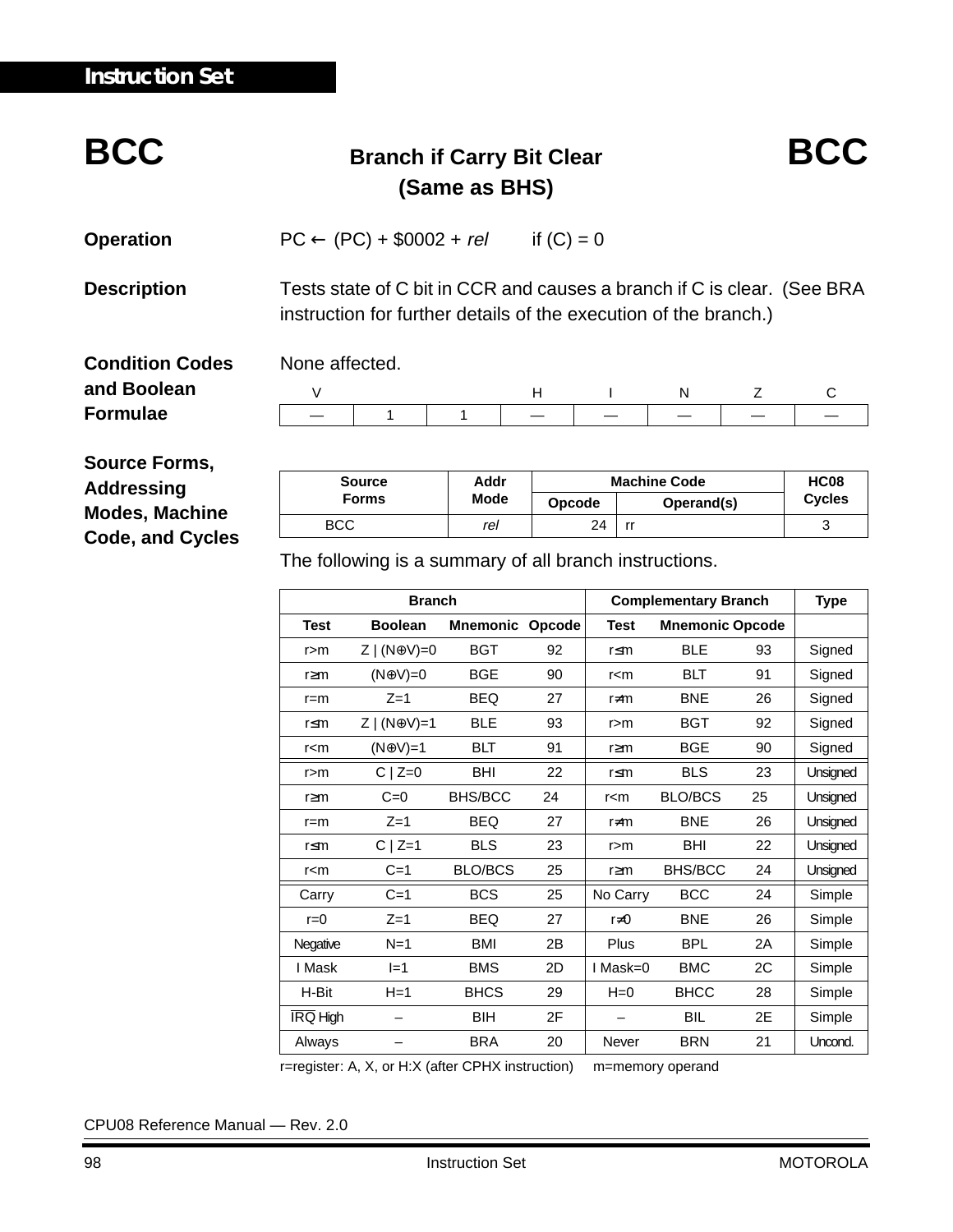<span id="page-97-0"></span>

| <b>Branch if Carry Bit Clear</b><br>(Same as BHS)                                                                                           |   |                     |                                    |        |              | <b>BCC</b>   |      |
|---------------------------------------------------------------------------------------------------------------------------------------------|---|---------------------|------------------------------------|--------|--------------|--------------|------|
|                                                                                                                                             |   |                     |                                    |        |              |              |      |
| Tests state of C bit in CCR and causes a branch if C is clear. (See BRA<br>instruction for further details of the execution of the branch.) |   |                     |                                    |        |              |              |      |
|                                                                                                                                             |   |                     |                                    |        |              |              |      |
| V                                                                                                                                           |   |                     | H                                  |        | N            | Z            | С    |
|                                                                                                                                             | 1 | 1                   |                                    |        |              |              |      |
|                                                                                                                                             |   |                     |                                    |        |              |              | urno |
|                                                                                                                                             |   | None affected.<br>S | $PC \leftarrow (PC) + $0002 + rel$ | A ddr. | if $(C) = 0$ | Machina Codo |      |

**Addressing Modes, Machine Code, and Cycles**

| <b>Source</b> | Addr | <b>Machine Code</b> | <b>HC08</b> |               |
|---------------|------|---------------------|-------------|---------------|
| <b>Forms</b>  | Mode | Opcode              | Operand(s)  | <b>Cycles</b> |
| <b>BCC</b>    | rel  | 24                  | rr          |               |

The following is a summary of all branch instructions.

|                 | <b>Branch</b>        |                 |        | <b>Complementary Branch</b> |                        | <b>Type</b> |          |
|-----------------|----------------------|-----------------|--------|-----------------------------|------------------------|-------------|----------|
| <b>Test</b>     | <b>Boolean</b>       | <b>Mnemonic</b> | Opcode | <b>Test</b>                 | <b>Mnemonic Opcode</b> |             |          |
| r > m           | $Z   (N \oplus V)=0$ | <b>BGT</b>      | 92     | $r \leq m$                  | <b>BLE</b>             | 93          | Signed   |
| r≥m             | $(N \oplus V) = 0$   | <b>BGE</b>      | 90     | r < m                       | <b>BLT</b>             | 91          | Signed   |
| $r = m$         | $Z=1$                | <b>BEQ</b>      | 27     | r≠m                         | <b>BNE</b>             | 26          | Signed   |
| r≤m             | $Z   (N \oplus V)=1$ | <b>BLE</b>      | 93     | r > m                       | <b>BGT</b>             | 92          | Signed   |
| r < m           | $(N \oplus V)=1$     | <b>BLT</b>      | 91     | $r \geq m$                  | <b>BGE</b>             | 90          | Signed   |
| r > m           | $C \mid Z=0$         | BHI             | 22     | $r \leq m$                  | <b>BLS</b>             | 23          | Unsigned |
| r≥ m            | $C=0$                | <b>BHS/BCC</b>  | 24     | r < m                       | <b>BLO/BCS</b>         | 25          | Unsigned |
| $r = m$         | $Z=1$                | <b>BEQ</b>      | 27     | r≠m                         | <b>BNE</b>             | 26          | Unsigned |
| r≤m             | $C \mid Z=1$         | <b>BLS</b>      | 23     | r > m                       | <b>BHI</b>             | 22          | Unsigned |
| r < m           | $C=1$                | <b>BLO/BCS</b>  | 25     | $r \geq m$                  | <b>BHS/BCC</b>         | 24          | Unsigned |
| Carry           | $C=1$                | <b>BCS</b>      | 25     | No Carry                    | <b>BCC</b>             | 24          | Simple   |
| $r=0$           | $Z=1$                | <b>BEQ</b>      | 27     | $r\neq 0$                   | <b>BNE</b>             | 26          | Simple   |
| Negative        | $N=1$                | <b>BMI</b>      | 2B     | Plus                        | <b>BPL</b>             | 2A          | Simple   |
| I Mask          | $I=1$                | <b>BMS</b>      | 2D     | I Mask=0                    | <b>BMC</b>             | 2C          | Simple   |
| H-Bit           | $H = 1$              | <b>BHCS</b>     | 29     | $H=0$                       | <b>BHCC</b>            | 28          | Simple   |
| <b>IRQ High</b> |                      | <b>BIH</b>      | 2F     |                             | <b>BIL</b>             | 2E          | Simple   |
| Always          |                      | <b>BRA</b>      | 20     | Never                       | <b>BRN</b>             | 21          | Uncond.  |

r=register: A, X, or H:X (after CPHX instruction) m=memory operand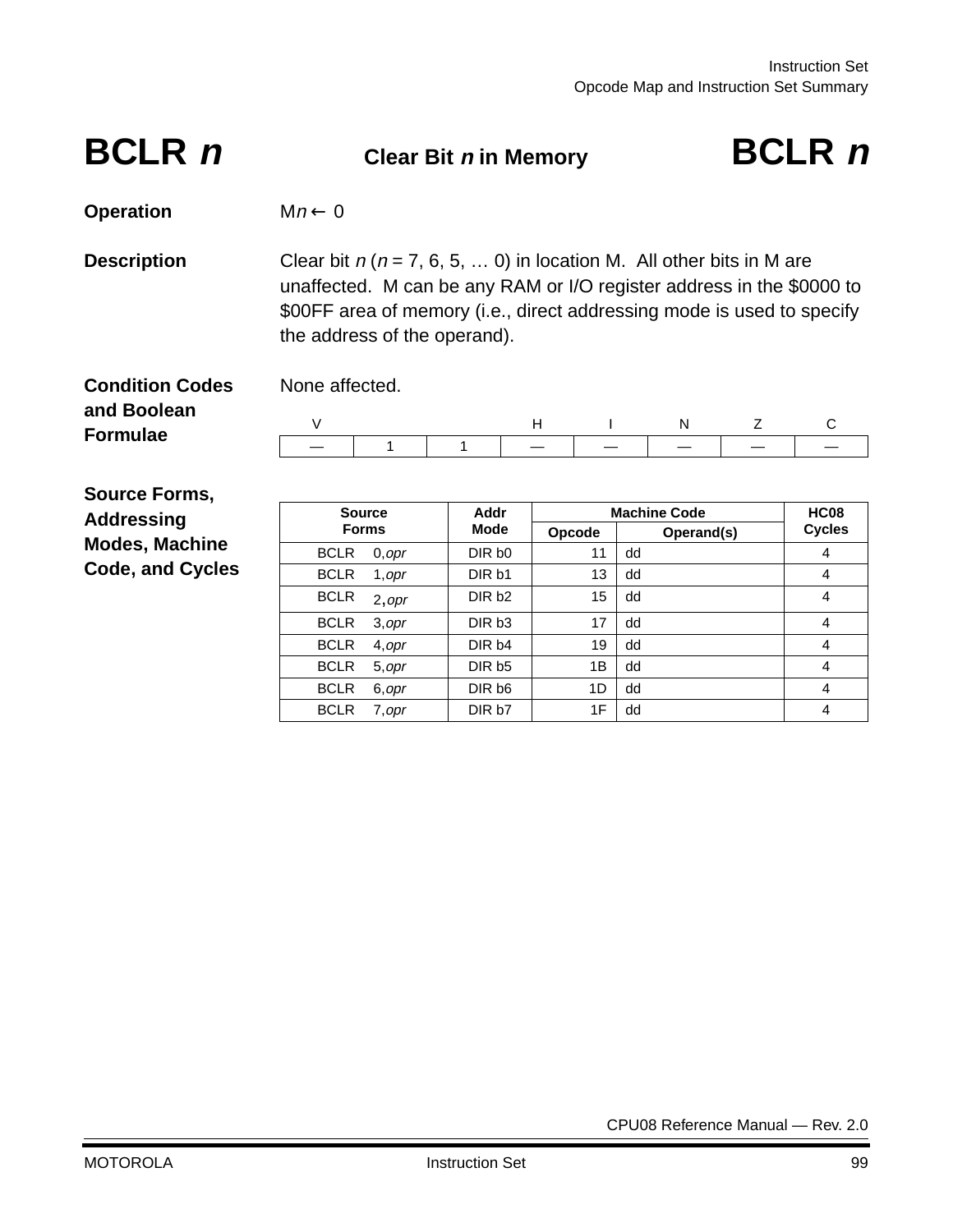<span id="page-98-0"></span>



| <b>Operation</b> | $Mn \leftarrow 0$ |
|------------------|-------------------|
|------------------|-------------------|

**Description** Clear bit  $n (n = 7, 6, 5, ...)$  in location M. All other bits in M are unaffected. M can be any RAM or I/O register address in the \$0000 to \$00FF area of memory (i.e., direct addressing mode is used to specify the address of the operand).

**Condition Codes and Boolean Formulae**

None affected.

|  |  |  | 1 1 1 1 - 1 - 1 - 1 - | $\sim$ $\sim$ |
|--|--|--|-----------------------|---------------|

| <b>Source Forms,</b>    |
|-------------------------|
| Addressing              |
| <b>Modes, Machine</b>   |
| <b>Code, and Cycles</b> |

| <b>Source</b> | Addr                           |        | <b>Machine Code</b> |               |  |  |
|---------------|--------------------------------|--------|---------------------|---------------|--|--|
| <b>Forms</b>  | <b>Mode</b>                    | Opcode | Operand(s)          | <b>Cycles</b> |  |  |
| <b>BCLR</b>   | DIR b <sub>0</sub><br>$0,$ opr | 11     | dd                  | 4             |  |  |
| <b>BCLR</b>   | DIR b1<br>1,opr                | 13     | dd                  | 4             |  |  |
| <b>BCLR</b>   | DIR b <sub>2</sub><br>2, opr   | 15     | dd                  | 4             |  |  |
| <b>BCLR</b>   | DIR <sub>b3</sub><br>$3,$ opr  | 17     | dd                  | 4             |  |  |
| <b>BCLR</b>   | DIR b <sub>4</sub><br>4,opr    | 19     | dd                  | 4             |  |  |
| <b>BCLR</b>   | DIR b <sub>5</sub><br>5,opr    | 1B     | dd                  | 4             |  |  |
| <b>BCLR</b>   | DIR b <sub>6</sub><br>6,opr    | 1D     | dd                  | 4             |  |  |
| <b>BCLR</b>   | DIR b7<br>7,opr                | 1F     | dd                  | 4             |  |  |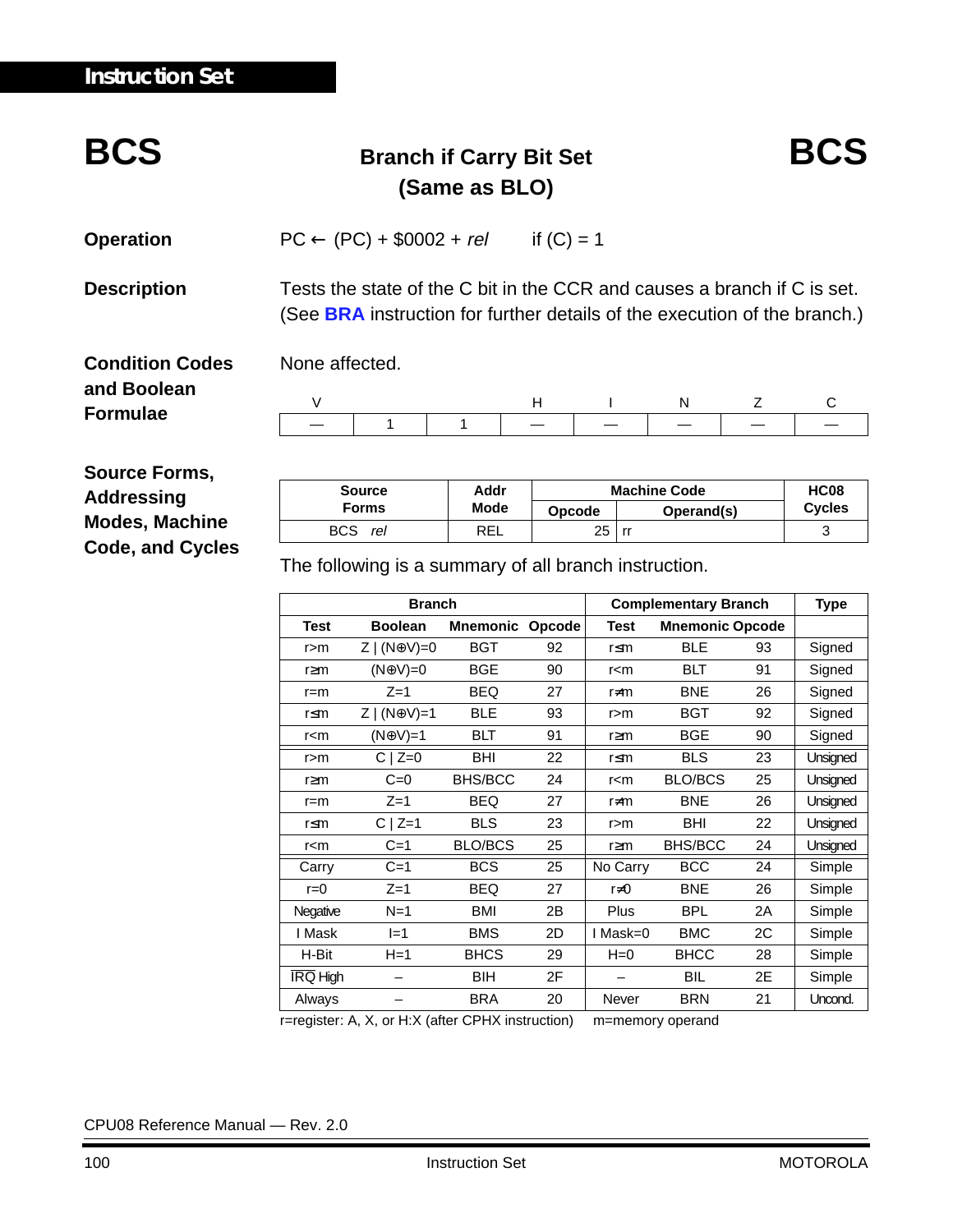# <span id="page-99-0"></span>**BCS Branch if Carry Bit Set BCS (Same as BLO)**

| Operation | $PC \leftarrow (PC) + $0002 + rel$ | if $(C) = 1$ |
|-----------|------------------------------------|--------------|
|-----------|------------------------------------|--------------|

None affected.

**Description** Tests the state of the C bit in the CCR and causes a branch if C is set. (See **[BRA](#page-119-0)** instruction for further details of the execution of the branch.)

**Condition Codes and Boolean Formulae**

**Source Forms, Addressing Modes, Machine Code, and Cycles**

| <b>Source</b>     | Addr |        | <b>Machine Code</b> | <b>HC08</b>   |  |
|-------------------|------|--------|---------------------|---------------|--|
| <b>Forms</b>      | Mode | Opcode | Operand(s)          | <b>Cycles</b> |  |
| <b>BCS</b><br>rel | REL  | 25     | -rr                 | ັ             |  |

The following is a summary of all branch instruction.

|                 | <b>Branch</b>        |                 |        | <b>Complementary Branch</b> |                        | Type |          |
|-----------------|----------------------|-----------------|--------|-----------------------------|------------------------|------|----------|
| Test            | <b>Boolean</b>       | <b>Mnemonic</b> | Opcode | Test                        | <b>Mnemonic Opcode</b> |      |          |
| r > m           | $Z   (N \oplus V)=0$ | <b>BGT</b>      | 92     | r≤m                         | <b>BLE</b>             | 93   | Signed   |
| r≥m             | $(N \oplus V) = 0$   | <b>BGE</b>      | 90     | r < m                       | <b>BLT</b>             | 91   | Signed   |
| $r = m$         | $Z=1$                | <b>BEQ</b>      | 27     | r≠m                         | <b>BNE</b>             | 26   | Signed   |
| $r \leq m$      | $Z   (N \oplus V)=1$ | <b>BLE</b>      | 93     | r > m                       | <b>BGT</b>             | 92   | Signed   |
| r < m           | $(N \oplus V)=1$     | <b>BLT</b>      | 91     | r≥m                         | <b>BGE</b>             | 90   | Signed   |
| r > m           | $C \mid Z=0$         | BHI             | 22     | r≤m                         | <b>BLS</b>             | 23   | Unsigned |
| r≥m             | $C=0$                | <b>BHS/BCC</b>  | 24     | $r<$ m                      | <b>BLO/BCS</b>         | 25   | Unsigned |
| $r = m$         | $Z=1$                | <b>BEQ</b>      | 27     | r≠m                         | <b>BNE</b>             | 26   | Unsigned |
| $r \leq m$      | $C \mid Z=1$         | <b>BLS</b>      | 23     | r>m                         | <b>BHI</b>             | 22   | Unsigned |
| r < m           | $C=1$                | <b>BLO/BCS</b>  | 25     | r≥m                         | <b>BHS/BCC</b>         | 24   | Unsigned |
| Carry           | $C=1$                | <b>BCS</b>      | 25     | No Carry                    | <b>BCC</b>             | 24   | Simple   |
| $r=0$           | $Z=1$                | <b>BEQ</b>      | 27     | r≠0                         | <b>BNE</b>             | 26   | Simple   |
| Negative        | $N=1$                | <b>BMI</b>      | 2B     | Plus                        | <b>BPL</b>             | 2A   | Simple   |
| I Mask          | $I=1$                | <b>BMS</b>      | 2D     | l Mask=0                    | <b>BMC</b>             | 2C   | Simple   |
| H-Bit           | $H=1$                | <b>BHCS</b>     | 29     | $H=0$                       | <b>BHCC</b>            | 28   | Simple   |
| <b>IRQ</b> High |                      | <b>BIH</b>      | 2F     |                             | BIL                    | 2E   | Simple   |
| Always          |                      | <b>BRA</b>      | 20     | Never                       | <b>BRN</b>             | 21   | Uncond.  |

r=register: A, X, or H:X (after CPHX instruction) m=memory operand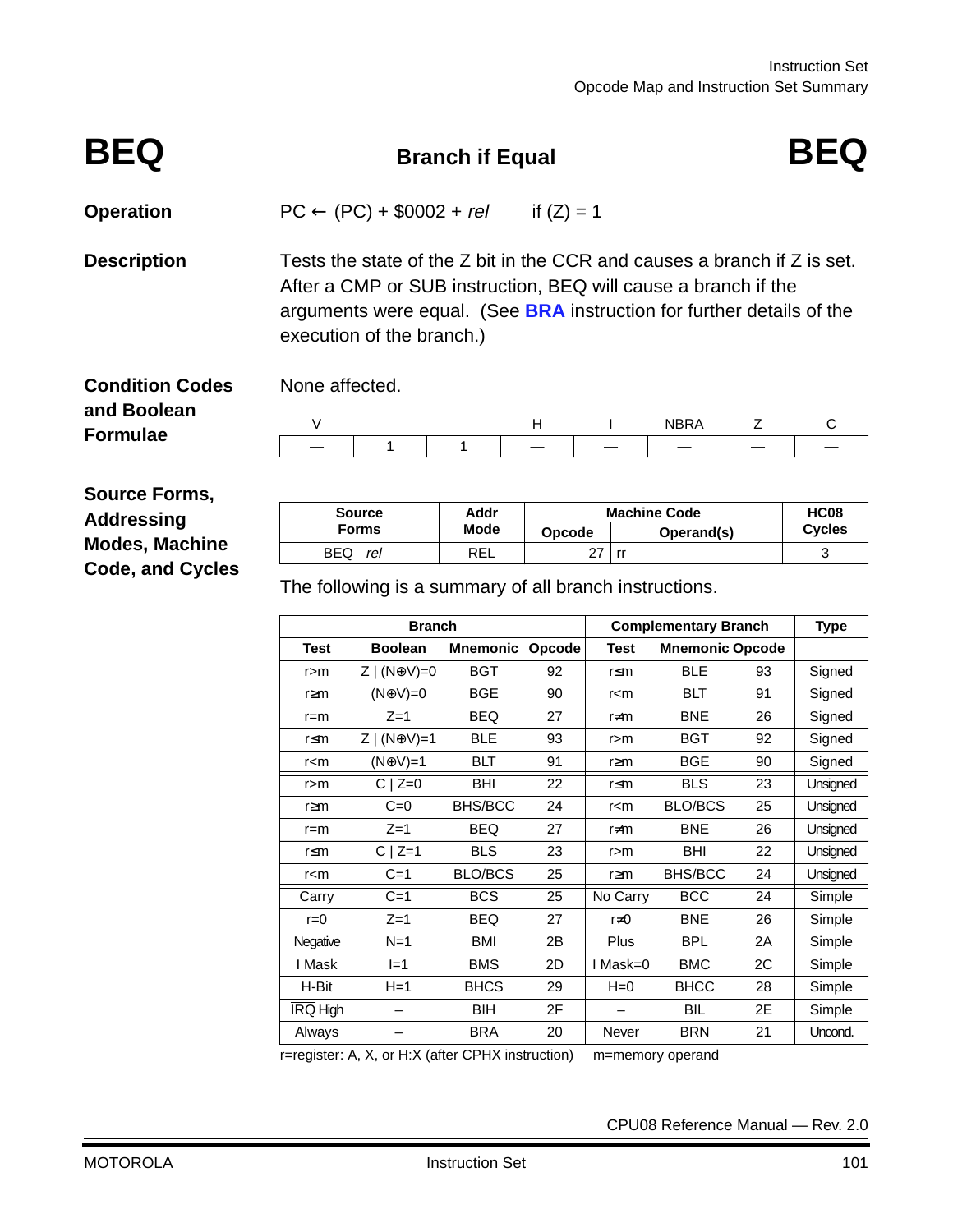# <span id="page-100-0"></span>**BEQ Branch if Equal BEQ**

**Operation**  $PC \leftarrow (PC) + \$0002 + rel$  if  $(Z) = 1$ 

**Description** Tests the state of the Z bit in the CCR and causes a branch if Z is set. After a CMP or SUB instruction, BEQ will cause a branch if the arguments were equal. (See **[BRA](#page-119-0)** instruction for further details of the execution of the branch.)

**Condition Codes and Boolean Formulae**

None affected.

 $\overline{\phantom{a}}$ 

## **Source Forms, Addressing Modes, Machine Code, and Cycles**

| <b>Source</b>     | Addr |               | <b>Machine Code</b> | <b>HC08</b>   |
|-------------------|------|---------------|---------------------|---------------|
| <b>Forms</b>      | Mode | <b>Opcode</b> | Operand(s)          | <b>Cycles</b> |
| <b>BEQ</b><br>rel | REL  | ~~            | rr                  |               |

The following is a summary of all branch instructions.

|                 | <b>Branch</b>        |                |        | <b>Complementary Branch</b> |                        | <b>Type</b> |          |
|-----------------|----------------------|----------------|--------|-----------------------------|------------------------|-------------|----------|
| <b>Test</b>     | <b>Boolean</b>       | Mnemonic       | Opcode | <b>Test</b>                 | <b>Mnemonic Opcode</b> |             |          |
| r > m           | $Z   (N \oplus V)=0$ | <b>BGT</b>     | 92     | $r \leq m$                  | <b>BLE</b>             | 93          | Signed   |
| $r \geq m$      | $(N \oplus V) = 0$   | <b>BGE</b>     | 90     | r < m                       | <b>BLT</b>             | 91          | Signed   |
| $r = m$         | $Z=1$                | <b>BEQ</b>     | 27     | r≠m                         | <b>BNE</b>             | 26          | Signed   |
| $r \leq m$      | $Z   (N \oplus V)=1$ | <b>BLE</b>     | 93     | r > m                       | <b>BGT</b>             | 92          | Signed   |
| r < m           | $(N \oplus V)=1$     | <b>BLT</b>     | 91     | r≥m                         | <b>BGE</b>             | 90          | Signed   |
| r > m           | $C \mid Z=0$         | BHI            | 22     | $r \leq m$                  | <b>BLS</b>             | 23          | Unsigned |
| r≥m             | $C=0$                | <b>BHS/BCC</b> | 24     | r < m                       | <b>BLO/BCS</b>         | 25          | Unsigned |
| $r = m$         | $Z=1$                | <b>BEQ</b>     | 27     | r≠m                         | <b>BNE</b>             | 26          | Unsigned |
| $r \leq m$      | $C \mid Z=1$         | <b>BLS</b>     | 23     | r > m                       | <b>BHI</b>             | 22          | Unsigned |
| r < m           | $C=1$                | <b>BLO/BCS</b> | 25     | $r \geq m$                  | BHS/BCC                | 24          | Unsigned |
| Carry           | $C=1$                | <b>BCS</b>     | 25     | No Carry                    | <b>BCC</b>             | 24          | Simple   |
| $r = 0$         | $Z=1$                | <b>BEQ</b>     | 27     | r≠0                         | <b>BNE</b>             | 26          | Simple   |
| Negative        | $N=1$                | BMI            | 2B     | Plus                        | <b>BPL</b>             | 2A          | Simple   |
| I Mask          | $I=1$                | <b>BMS</b>     | 2D     | I Mask=0                    | <b>BMC</b>             | 2C          | Simple   |
| H-Bit           | $H=1$                | <b>BHCS</b>    | 29     | $H=0$                       | <b>BHCC</b>            | 28          | Simple   |
| <b>IRQ High</b> |                      | <b>BIH</b>     | 2F     |                             | <b>BIL</b>             | 2E          | Simple   |
| Always          |                      | <b>BRA</b>     | 20     | Never                       | <b>BRN</b>             | 21          | Uncond.  |

r=register: A, X, or H:X (after CPHX instruction) m=memory operand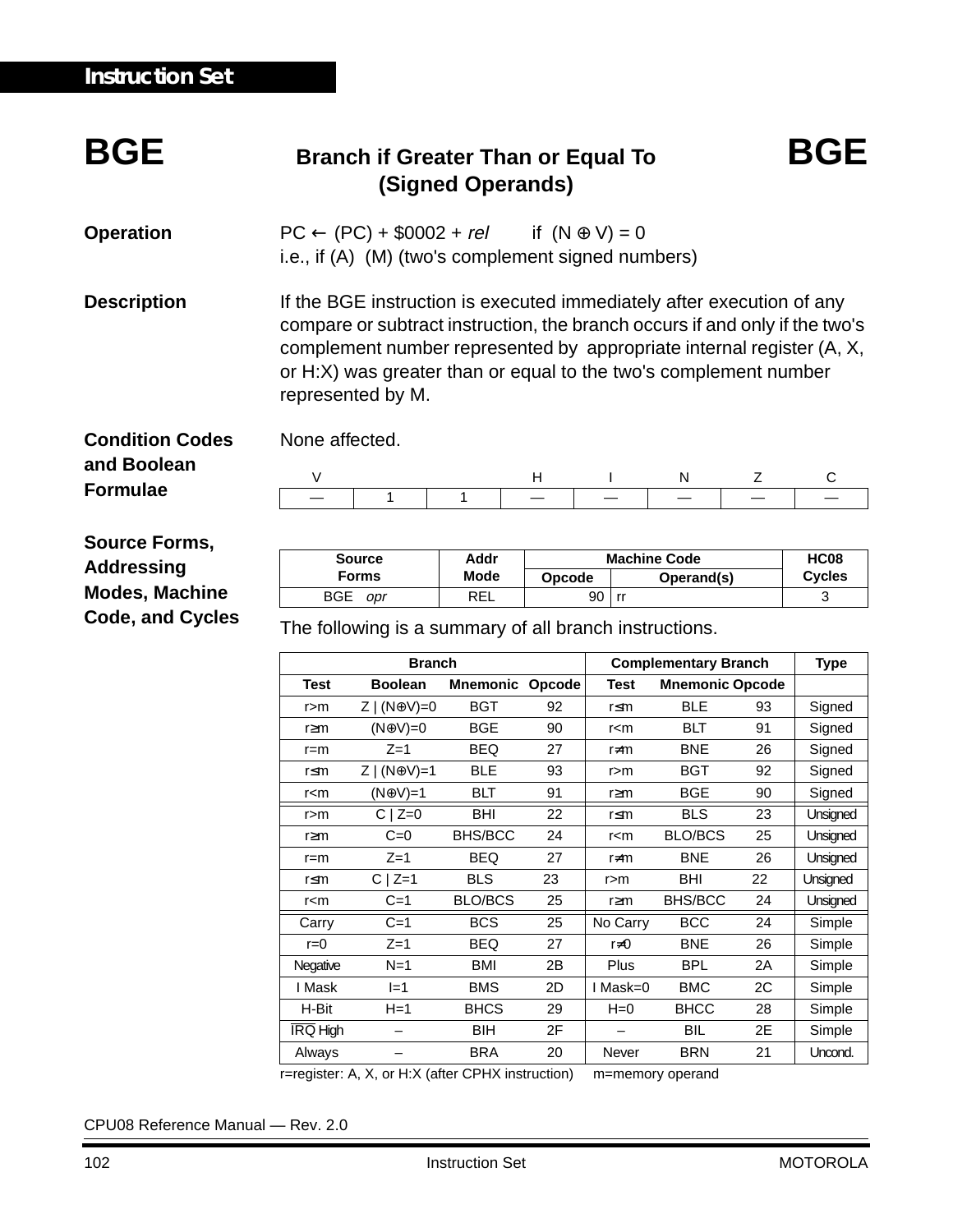<span id="page-101-0"></span>

| <b>BGE</b>                            | <b>Branch if Greater Than or Equal To</b>                                                                      |                                                                                                                                                                                                                                                                                                                        | <b>BGE</b> |   |  |   |   |   |  |  |
|---------------------------------------|----------------------------------------------------------------------------------------------------------------|------------------------------------------------------------------------------------------------------------------------------------------------------------------------------------------------------------------------------------------------------------------------------------------------------------------------|------------|---|--|---|---|---|--|--|
| <b>Operation</b>                      | $PC \leftarrow (PC) + $0002 + rel$ if $(N \oplus V) = 0$<br>i.e., if (A) (M) (two's complement signed numbers) |                                                                                                                                                                                                                                                                                                                        |            |   |  |   |   |   |  |  |
| <b>Description</b>                    |                                                                                                                | If the BGE instruction is executed immediately after execution of any<br>compare or subtract instruction, the branch occurs if and only if the two's<br>complement number represented by appropriate internal register (A, X,<br>or H:X) was greater than or equal to the two's complement number<br>represented by M. |            |   |  |   |   |   |  |  |
| <b>Condition Codes</b><br>and Boolean | None affected.                                                                                                 |                                                                                                                                                                                                                                                                                                                        |            |   |  |   |   |   |  |  |
| Formulae                              | V                                                                                                              |                                                                                                                                                                                                                                                                                                                        |            | н |  | N | Z | C |  |  |
|                                       |                                                                                                                | 1                                                                                                                                                                                                                                                                                                                      |            |   |  |   |   |   |  |  |

**Source Forms, Addressing Modes, Machine**

| Source            | Addr |        | <b>Machine Code</b> | <b>HC08</b>   |  |
|-------------------|------|--------|---------------------|---------------|--|
| <b>Forms</b>      | Mode | Opcode | Operand(s)          | <b>Cycles</b> |  |
| <b>BGE</b><br>opr | REL  | 90     | - rr                |               |  |

**Code, and Cycles** The following is a summary of all branch instructions.

|                 | <b>Branch</b>             |                 |        | <b>Complementary Branch</b> |                        | <b>Type</b> |          |
|-----------------|---------------------------|-----------------|--------|-----------------------------|------------------------|-------------|----------|
| Test            | <b>Boolean</b>            | <b>Mnemonic</b> | Opcode | Test                        | <b>Mnemonic Opcode</b> |             |          |
| r > m           | $Z \mid (N \oplus V) = 0$ | <b>BGT</b>      | 92     | $r \leq m$                  | <b>BLE</b>             | 93          | Signed   |
| r≥m             | $(N \oplus V) = 0$        | <b>BGE</b>      | 90     | r < m                       | <b>BLT</b>             | 91          | Signed   |
| $r = m$         | $Z=1$                     | <b>BEQ</b>      | 27     | r≠m                         | <b>BNE</b>             | 26          | Signed   |
| r≤m             | $Z   (N \oplus V)=1$      | <b>BLE</b>      | 93     | r > m                       | BGT                    | 92          | Signed   |
| r < m           | $(N \oplus V)=1$          | <b>BLT</b>      | 91     | r≥m                         | <b>BGE</b>             | 90          | Signed   |
| r > m           | $C \mid Z=0$              | BHI             | 22     | r≤m                         | <b>BLS</b>             | 23          | Unsigned |
| r≥m             | $C=0$                     | <b>BHS/BCC</b>  | 24     | r < m                       | <b>BLO/BCS</b>         | 25          | Unsigned |
| $r = m$         | $Z=1$                     | <b>BEQ</b>      | 27     | r≠m                         | <b>BNE</b>             | 26          | Unsigned |
| $r \leq m$      | $C \mid Z=1$              | <b>BLS</b>      | 23     | r > m                       | BHI                    | 22          | Unsigned |
| r < m           | $C=1$                     | <b>BLO/BCS</b>  | 25     | r≥m                         | <b>BHS/BCC</b>         | 24          | Unsigned |
| Carry           | $C=1$                     | <b>BCS</b>      | 25     | No Carry                    | <b>BCC</b>             | 24          | Simple   |
| $r = 0$         | $Z=1$                     | <b>BEQ</b>      | 27     | r≠0                         | <b>BNE</b>             | 26          | Simple   |
| Negative        | $N=1$                     | <b>BMI</b>      | 2В     | Plus                        | <b>BPL</b>             | 2A          | Simple   |
| I Mask          | $I=1$                     | <b>BMS</b>      | 2D     | I Mask=0                    | <b>BMC</b>             | 2C          | Simple   |
| H-Bit           | $H=1$                     | <b>BHCS</b>     | 29     | $H=0$                       | <b>BHCC</b>            | 28          | Simple   |
| <b>IRQ</b> High |                           | <b>BIH</b>      | 2F     |                             | <b>BIL</b>             | 2E          | Simple   |
| Always          |                           | <b>BRA</b>      | 20     | Never                       | <b>BRN</b>             | 21          | Uncond.  |

r=register: A, X, or H:X (after CPHX instruction) m=memory operand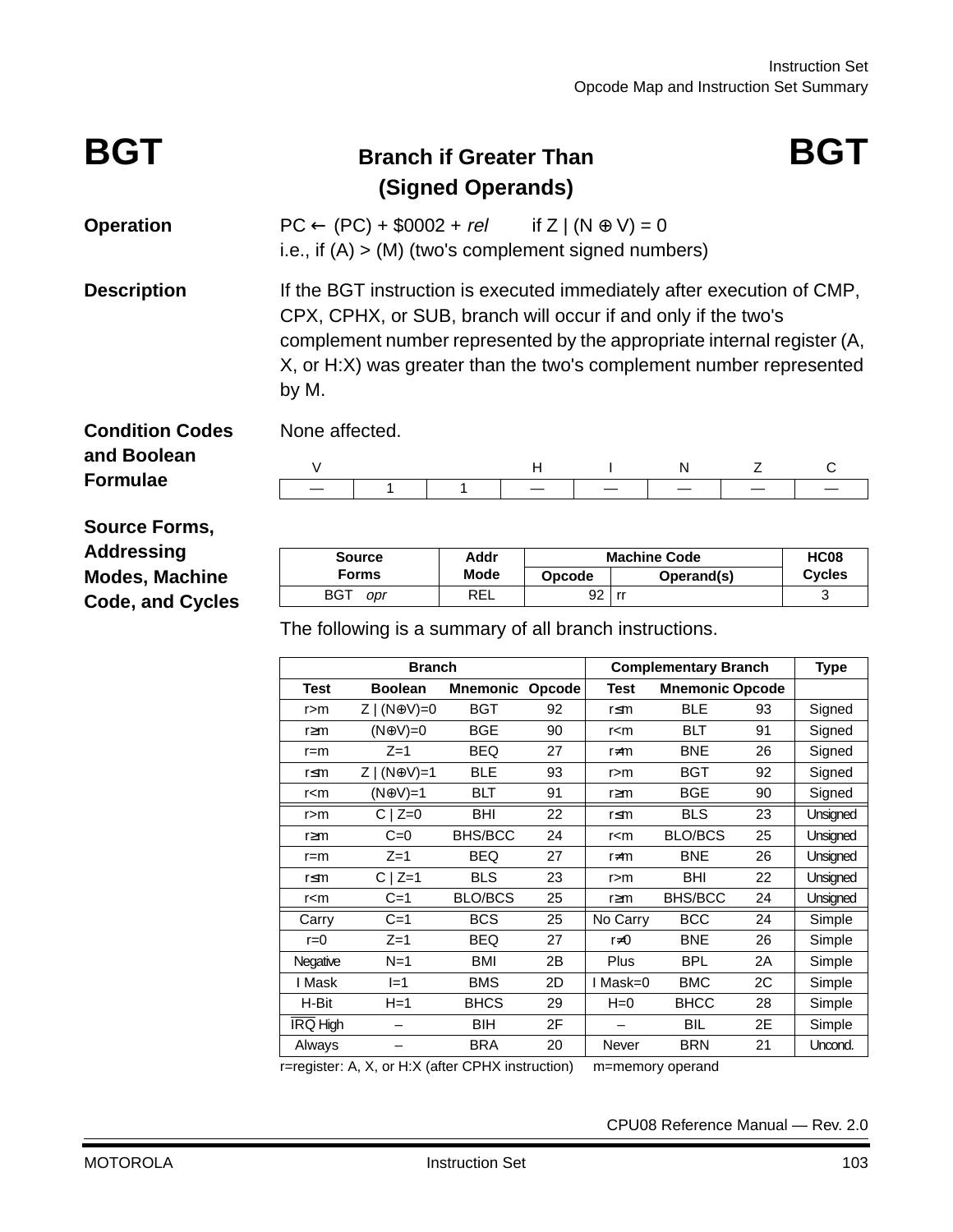**Opcode Operand(s) Cycles**

<span id="page-102-0"></span>

| <b>BGT</b>             | <b>BGT</b><br><b>Branch if Greater Than</b><br>(Signed Operands) |                                                                                                                                                                                                                                                                                          |      |   |  |                     |   |             |  |
|------------------------|------------------------------------------------------------------|------------------------------------------------------------------------------------------------------------------------------------------------------------------------------------------------------------------------------------------------------------------------------------------|------|---|--|---------------------|---|-------------|--|
| <b>Operation</b>       |                                                                  | $PC \leftarrow (PC) + $0002 + rel$ if Z   (N $\oplus$ V) = 0<br>i.e., if $(A)$ > $(M)$ (two's complement signed numbers)                                                                                                                                                                 |      |   |  |                     |   |             |  |
| <b>Description</b>     | by M.                                                            | If the BGT instruction is executed immediately after execution of CMP,<br>CPX, CPHX, or SUB, branch will occur if and only if the two's<br>complement number represented by the appropriate internal register (A,<br>X, or H:X) was greater than the two's complement number represented |      |   |  |                     |   |             |  |
| <b>Condition Codes</b> | None affected.                                                   |                                                                                                                                                                                                                                                                                          |      |   |  |                     |   |             |  |
| and Boolean            | V                                                                |                                                                                                                                                                                                                                                                                          |      | H |  | N                   | Z | C           |  |
| <b>Formulae</b>        |                                                                  | 1                                                                                                                                                                                                                                                                                        | 1    |   |  |                     |   |             |  |
| <b>Source Forms,</b>   |                                                                  |                                                                                                                                                                                                                                                                                          |      |   |  |                     |   |             |  |
| <b>Addressing</b>      |                                                                  | <b>Source</b>                                                                                                                                                                                                                                                                            | Addr |   |  | <b>Machine Code</b> |   | <b>HC08</b> |  |

**Modes, Machine Code, and Cycles Forms** BGT opr REL 92 rr 3

The following is a summary of all branch instructions.

**Mode**

|                 | <b>Branch</b>        |                                 |        | <b>Complementary Branch</b> |                        | <b>Type</b> |          |
|-----------------|----------------------|---------------------------------|--------|-----------------------------|------------------------|-------------|----------|
| Test            | <b>Boolean</b>       | <b>Mnemonic</b>                 | Opcode | Test                        | <b>Mnemonic Opcode</b> |             |          |
| r > m           | $Z   (N \oplus V)=0$ | <b>BGT</b>                      | 92     | r≤m                         | <b>BLE</b>             | 93          | Signed   |
| r≥m             | $(N \oplus V) = 0$   | <b>BGE</b>                      | 90     | r < m                       | <b>BLT</b>             | 91          | Signed   |
| $r = m$         | $Z=1$                | <b>BEQ</b>                      | 27     | r≠m                         | <b>BNE</b>             | 26          | Signed   |
| r≤m             | $Z   (N \oplus V)=1$ | <b>BLE</b>                      | 93     | r > m                       | <b>BGT</b>             | 92          | Signed   |
| r < m           | $(N \oplus V)=1$     | <b>BLT</b>                      | 91     | r≥m                         | <b>BGE</b>             | 90          | Signed   |
| r > m           | $C \mid Z=0$         | BHI                             | 22     | r≤m                         | <b>BLS</b>             | 23          | Unsigned |
| $r \geq m$      | $C=0$                | <b>BHS/BCC</b>                  | 24     | r < m                       | <b>BLO/BCS</b>         | 25          | Unsigned |
| $r = m$         | $Z=1$                | <b>BEQ</b>                      | 27     | r≠m                         | <b>BNE</b>             | 26          | Unsigned |
| r≤m             | $C \mid Z=1$         | <b>BLS</b>                      | 23     | r > m                       | <b>BHI</b>             | 22          | Unsigned |
| r < m           | $C=1$                | <b>BLO/BCS</b>                  | 25     | $r \geq m$                  | <b>BHS/BCC</b>         | 24          | Unsigned |
| Carry           | $C=1$                | <b>BCS</b>                      | 25     | No Carry                    | <b>BCC</b>             | 24          | Simple   |
| r=0             | $Z=1$                | <b>BEQ</b>                      | 27     | r≠0                         | <b>BNE</b>             | 26          | Simple   |
| Negative        | $N=1$                | BMI                             | 2B     | Plus                        | <b>BPL</b>             | 2A          | Simple   |
| I Mask          | $I=1$                | <b>BMS</b>                      | 2D     | I Mask=0                    | <b>BMC</b>             | 2C          | Simple   |
| H-Bit           | $H=1$                | <b>BHCS</b>                     | 29     | $H=0$                       | <b>BHCC</b>            | 28          | Simple   |
| <b>IRQ</b> High |                      | <b>BIH</b>                      | 2F     |                             | BIL                    | 2E          | Simple   |
| Always          | $\sim$ $\sim$<br>.   | <b>BRA</b><br>$- - - - - - - -$ | 20     | Never                       | <b>BRN</b>             | 21          | Uncond.  |

r=register: A, X, or H:X (after CPHX instruction) m=memory operand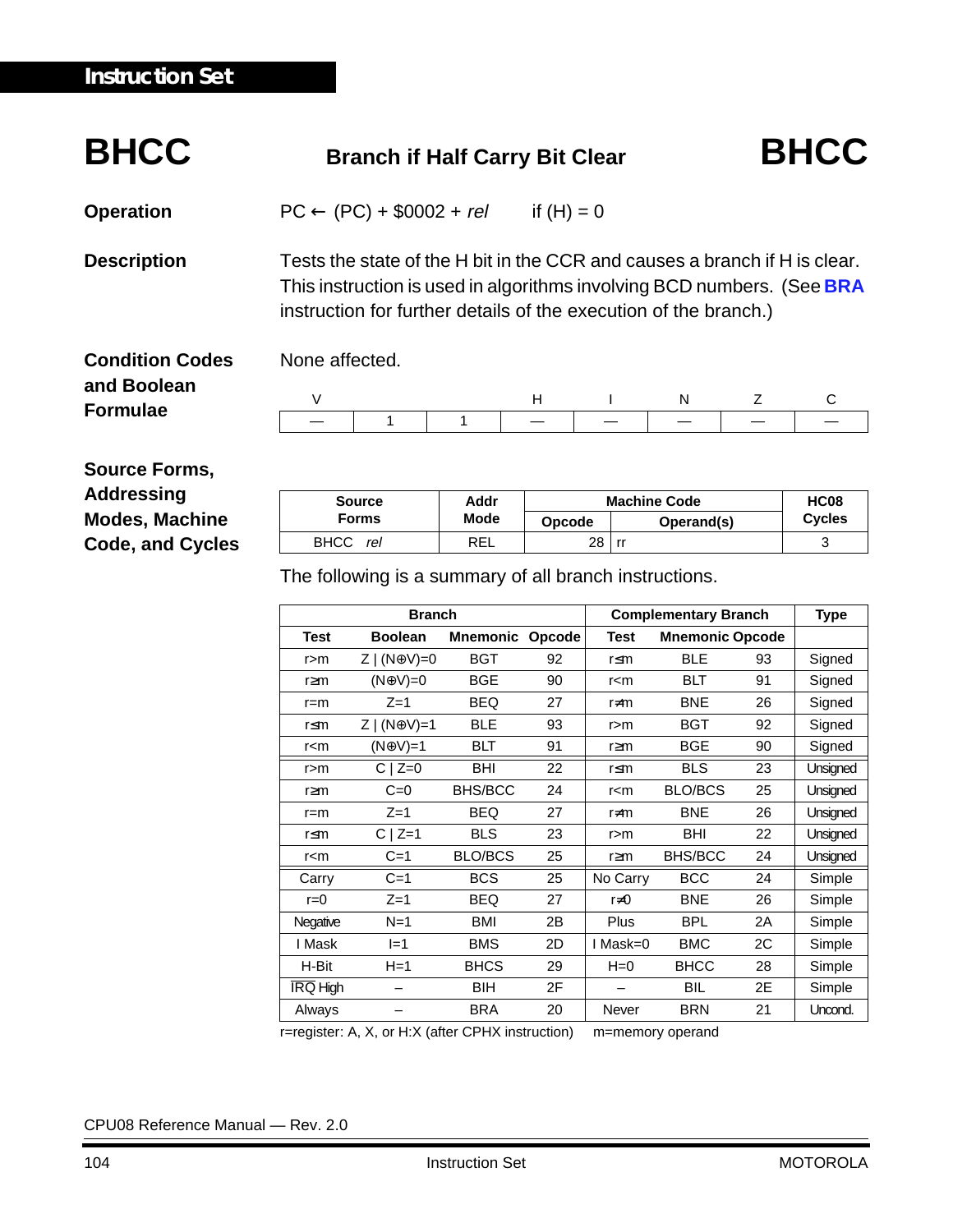<span id="page-103-0"></span>

| <b>BHCC</b>                           | <b>Branch if Half Carry Bit Clear</b> |                                                                                                                                                                                                                          | <b>BHCC</b> |              |  |   |   |   |  |
|---------------------------------------|---------------------------------------|--------------------------------------------------------------------------------------------------------------------------------------------------------------------------------------------------------------------------|-------------|--------------|--|---|---|---|--|
| <b>Operation</b>                      | $PC \leftarrow (PC) + $0002 + rel$    |                                                                                                                                                                                                                          |             | if $(H) = 0$ |  |   |   |   |  |
| <b>Description</b>                    |                                       | Tests the state of the H bit in the CCR and causes a branch if H is clear.<br>This instruction is used in algorithms involving BCD numbers. (See BRA<br>instruction for further details of the execution of the branch.) |             |              |  |   |   |   |  |
| <b>Condition Codes</b><br>and Boolean | None affected.                        |                                                                                                                                                                                                                          |             |              |  |   |   |   |  |
| <b>Formulae</b>                       | V                                     |                                                                                                                                                                                                                          |             | н            |  | N | Z | C |  |
|                                       |                                       |                                                                                                                                                                                                                          |             |              |  |   |   |   |  |

# **Source Forms, Addressing Modes, Machine Code, and Cycles**

| <b>Source</b>      | Addr | <b>Machine Code</b> | <b>HC08</b>   |  |
|--------------------|------|---------------------|---------------|--|
| <b>Forms</b>       | Mode | Operand(s)          | <b>Cycles</b> |  |
| <b>BHCC</b><br>rel | REL  | 28                  | <b>rr</b>     |  |

The following is a summary of all branch instructions.

|                                                                                                                                              | <b>Branch</b>                                                    |                 |        | <b>Complementary Branch</b> |                        | <b>Type</b> |          |
|----------------------------------------------------------------------------------------------------------------------------------------------|------------------------------------------------------------------|-----------------|--------|-----------------------------|------------------------|-------------|----------|
| <b>Test</b>                                                                                                                                  | <b>Boolean</b>                                                   | <b>Mnemonic</b> | Opcode | <b>Test</b>                 | <b>Mnemonic Opcode</b> |             |          |
| r > m                                                                                                                                        | $Z \mid (N \oplus V) = 0$                                        | <b>BGT</b>      | 92     | $r \leq m$                  | <b>BLE</b>             | 93          | Signed   |
| r≥m                                                                                                                                          | $(N \oplus V) = 0$                                               | <b>BGE</b>      | 90     | r < m                       | <b>BLT</b>             | 91          | Signed   |
| $r = m$                                                                                                                                      | $Z=1$                                                            | BEQ             | 27     | r≠m                         | <b>BNE</b>             | 26          | Signed   |
| r≤m                                                                                                                                          | $Z   (N \oplus V)=1$                                             | <b>BLE</b>      | 93     | r > m                       | <b>BGT</b>             | 92          | Signed   |
| r <m< td=""><td><math>(N \oplus V)=1</math></td><td><b>BLT</b></td><td>91</td><td>r≥m</td><td><b>BGE</b></td><td>90</td><td>Signed</td></m<> | $(N \oplus V)=1$                                                 | <b>BLT</b>      | 91     | r≥m                         | <b>BGE</b>             | 90          | Signed   |
| r > m                                                                                                                                        | $C \mid Z=0$                                                     | BHI             | 22     | $r \leq m$                  | <b>BLS</b>             | 23          | Unsigned |
| r≥m                                                                                                                                          | $C=0$                                                            | <b>BHS/BCC</b>  | 24     | r < m                       | <b>BLO/BCS</b>         | 25          | Unsigned |
| $r = m$                                                                                                                                      | $Z=1$                                                            | <b>BEQ</b>      | 27     | r≠m                         | <b>BNE</b>             | 26          | Unsigned |
| $r \leq m$                                                                                                                                   | $C \mid Z=1$                                                     | <b>BLS</b>      | 23     | r > m                       | BHI                    | 22          | Unsigned |
| r < m                                                                                                                                        | $C=1$                                                            | <b>BLO/BCS</b>  | 25     | $r \geq m$                  | <b>BHS/BCC</b>         | 24          | Unsigned |
| Carry                                                                                                                                        | $C=1$                                                            | <b>BCS</b>      | 25     | No Carry                    | <b>BCC</b>             | 24          | Simple   |
| $r=0$                                                                                                                                        | $Z=1$                                                            | <b>BEQ</b>      | 27     | r≠0                         | <b>BNE</b>             | 26          | Simple   |
| Negative                                                                                                                                     | $N=1$                                                            | BMI             | 2Β     | Plus                        | <b>BPL</b>             | 2A          | Simple   |
| I Mask                                                                                                                                       | $I=1$                                                            | <b>BMS</b>      | 2D     | I Mask=0                    | <b>BMC</b>             | 2C          | Simple   |
| H-Bit                                                                                                                                        | $H=1$                                                            | <b>BHCS</b>     | 29     | $H=0$                       | <b>BHCC</b>            | 28          | Simple   |
| IRQ High                                                                                                                                     |                                                                  | <b>BIH</b>      | 2F     |                             | <b>BIL</b>             | 2E          | Simple   |
| Always                                                                                                                                       |                                                                  | <b>BRA</b>      | 20     | Never                       | <b>BRN</b>             | 21          | Uncond.  |
|                                                                                                                                              | $r =$ regulator: $\Delta$ X or H $\chi$ (after CPHX instruction) |                 |        |                             | m-memory operand       |             |          |

r=register: A, X, or H:X (after CPHX instruction) m=memory operand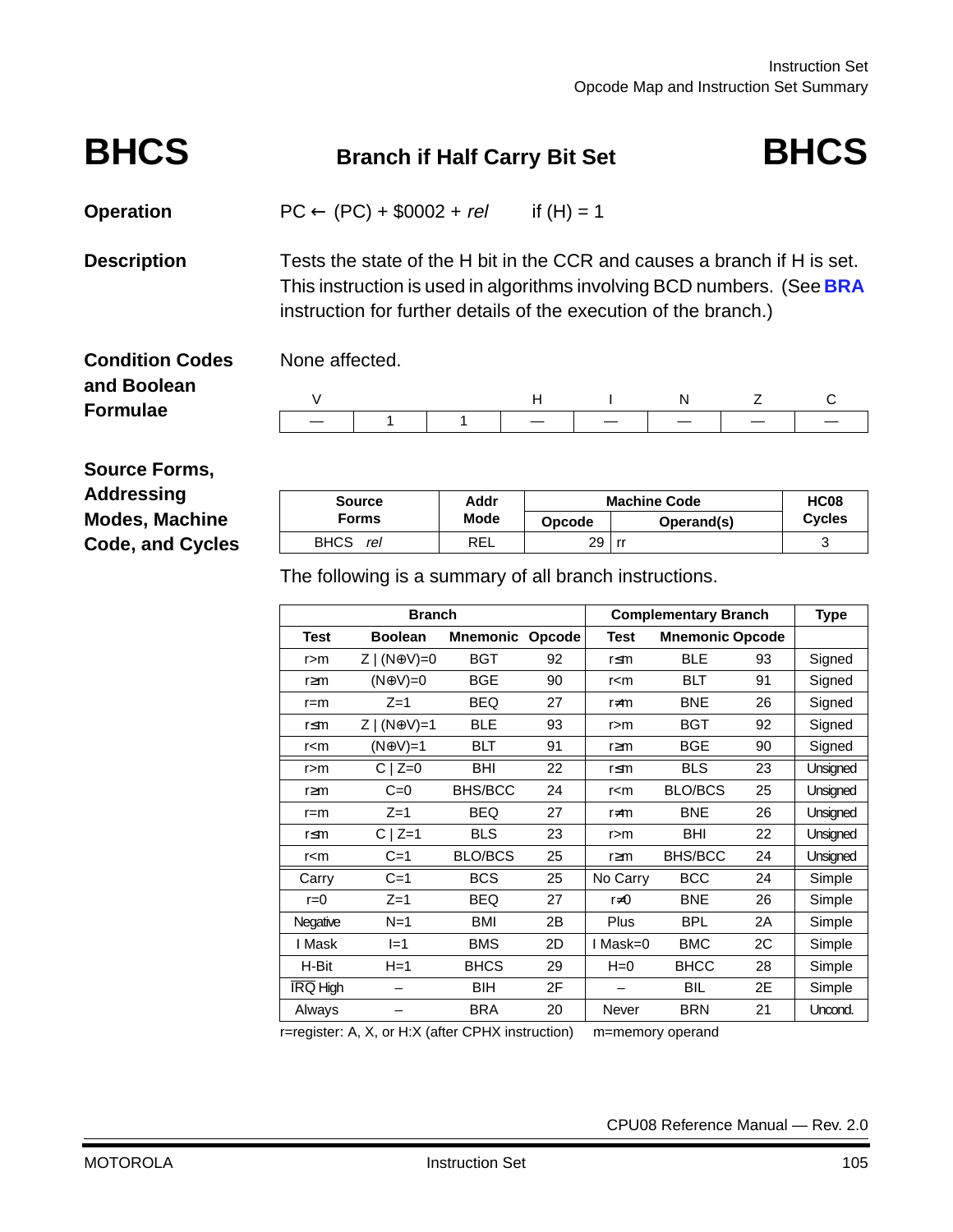# <span id="page-104-0"></span>**BHCS Branch if Half Carry Bit Set BHCS**

**Operation**  $PC \leftarrow (PC) + $0002 + rel$  if  $(H) = 1$ 

**Description** Tests the state of the H bit in the CCR and causes a branch if H is set. This instruction is used in algorithms involving BCD numbers. (See **[BRA](#page-119-0)** instruction for further details of the execution of the branch.)

**Condition Codes** None affected.

#### **and Boolean Formulae**

|  | ____ | $\overline{\phantom{a}}$ | $\sim$ $\sim$ |
|--|------|--------------------------|---------------|

## **Source Forms, Addressing Modes, Machine Code, and Cycles**

| <b>Source</b>      | Addr | <b>Machine Code</b> | <b>HC08</b>   |   |
|--------------------|------|---------------------|---------------|---|
| <b>Forms</b>       | Mode | Opcode              | <b>Cycles</b> |   |
| <b>BHCS</b><br>rel | REL  | 29                  | <b>rr</b>     | د |

The following is a summary of all branch instructions.

|            | <b>Branch</b>                                                    |                 |        | <b>Complementary Branch</b> |                        | <b>Type</b> |          |
|------------|------------------------------------------------------------------|-----------------|--------|-----------------------------|------------------------|-------------|----------|
| Test       | <b>Boolean</b>                                                   | <b>Mnemonic</b> | Opcode | <b>Test</b>                 | <b>Mnemonic Opcode</b> |             |          |
| r > m      | $Z \mid (N \oplus V) = 0$                                        | <b>BGT</b>      | 92     | $r \leq m$                  | <b>BLE</b>             | 93          | Signed   |
| $r \geq m$ | $(N \oplus V) = 0$                                               | <b>BGE</b>      | 90     | r < m                       | <b>BLT</b>             | 91          | Signed   |
| $r = m$    | $Z=1$                                                            | <b>BEQ</b>      | 27     | r≠m                         | <b>BNE</b>             | 26          | Signed   |
| $r \leq m$ | $Z   (N \oplus V)=1$                                             | <b>BLE</b>      | 93     | r > m                       | <b>BGT</b>             | 92          | Signed   |
| r< m       | $(N \oplus V)=1$                                                 | <b>BLT</b>      | 91     | r≥m                         | <b>BGE</b>             | 90          | Signed   |
| r > m      | $C \mid Z=0$                                                     | BHI             | 22     | $r \leq m$                  | <b>BLS</b>             | 23          | Unsigned |
| r≥m        | $C=0$                                                            | BHS/BCC         | 24     | r < m                       | <b>BLO/BCS</b>         | 25          | Unsigned |
| $r = m$    | $Z=1$                                                            | <b>BEQ</b>      | 27     | r≠m                         | <b>BNE</b>             | 26          | Unsigned |
| r≤m        | $C \mid Z=1$                                                     | <b>BLS</b>      | 23     | r > m                       | <b>BHI</b>             | 22          | Unsigned |
| r < m      | $C=1$                                                            | <b>BLO/BCS</b>  | 25     | $r \geq m$                  | <b>BHS/BCC</b>         | 24          | Unsigned |
| Carry      | $C=1$                                                            | <b>BCS</b>      | 25     | No Carry                    | <b>BCC</b>             | 24          | Simple   |
| $r = 0$    | $Z=1$                                                            | <b>BEQ</b>      | 27     | r≠0                         | <b>BNE</b>             | 26          | Simple   |
| Negative   | $N=1$                                                            | BMI             | 2В     | Plus                        | <b>BPL</b>             | 2A          | Simple   |
| I Mask     | $I=1$                                                            | <b>BMS</b>      | 2D     | I Mask=0                    | <b>BMC</b>             | 2C          | Simple   |
| H-Bit      | $H=1$                                                            | <b>BHCS</b>     | 29     | $H=0$                       | <b>BHCC</b>            | 28          | Simple   |
| IRQ High   |                                                                  | <b>BIH</b>      | 2F     |                             | BIL                    | 2E          | Simple   |
| Always     |                                                                  | <b>BRA</b>      | 20     | Never                       | <b>BRN</b>             | 21          | Uncond.  |
|            | $r =$ regulator: $\Delta$ X or H $\chi$ (after CPHX instruction) |                 |        |                             | m-memory onerand       |             |          |

r=register: A, X, or H:X (after CPHX instruction) m=memory operand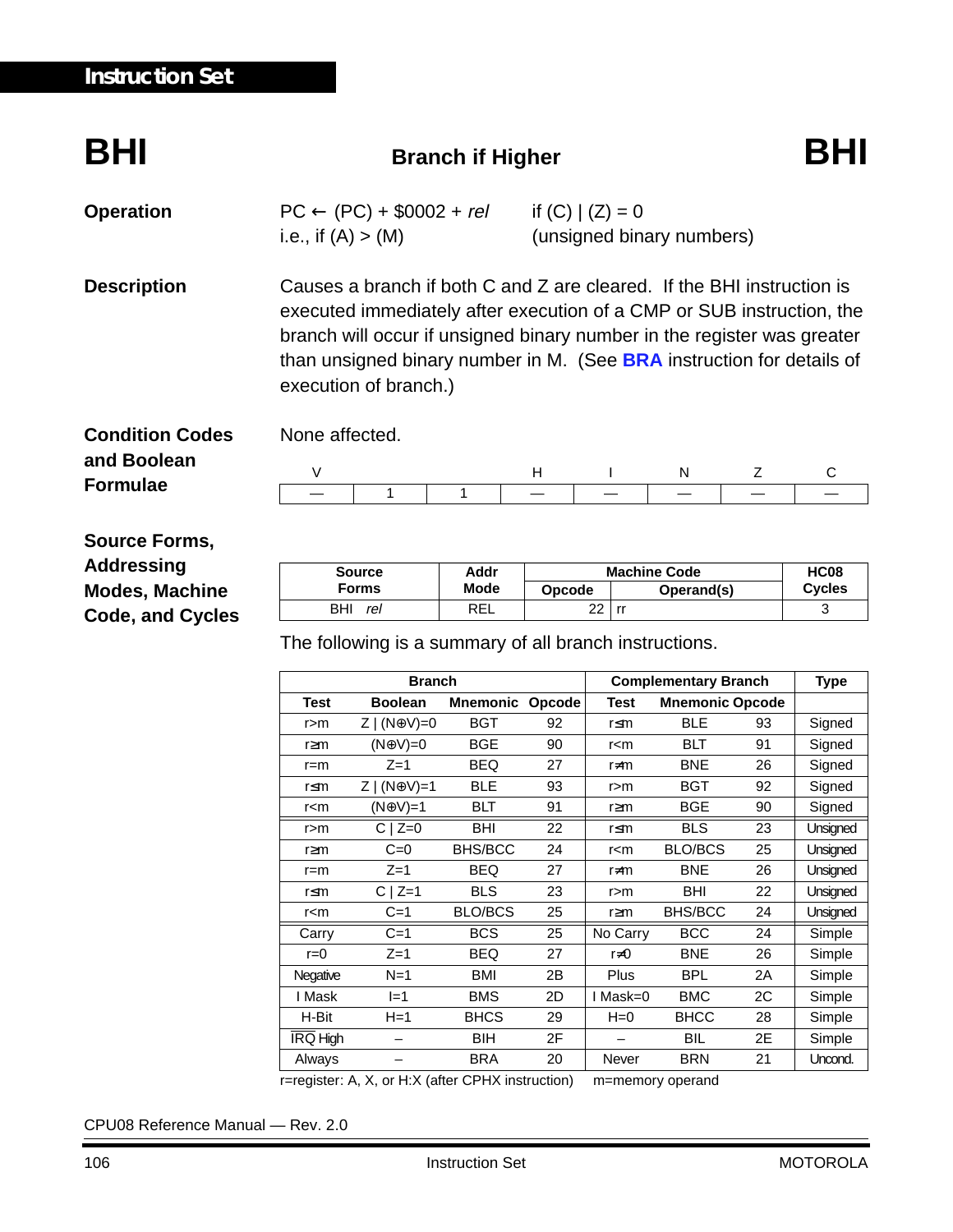<span id="page-105-0"></span>

| <b>BHI</b>                            | <b>BHI</b><br><b>Branch if Higher</b> |   |                                                                                                                                                                                                                                                                                                     |   |                    |                           |   |  |
|---------------------------------------|---------------------------------------|---|-----------------------------------------------------------------------------------------------------------------------------------------------------------------------------------------------------------------------------------------------------------------------------------------------------|---|--------------------|---------------------------|---|--|
| <b>Operation</b>                      | i.e., if $(A) > (M)$                  |   | $PC \leftarrow (PC) + $0002 + rel$                                                                                                                                                                                                                                                                  |   | if $(C)   (Z) = 0$ | (unsigned binary numbers) |   |  |
| <b>Description</b>                    | execution of branch.)                 |   | Causes a branch if both C and Z are cleared. If the BHI instruction is<br>executed immediately after execution of a CMP or SUB instruction, the<br>branch will occur if unsigned binary number in the register was greater<br>than unsigned binary number in M. (See BRA instruction for details of |   |                    |                           |   |  |
| <b>Condition Codes</b><br>and Boolean | None affected.                        |   |                                                                                                                                                                                                                                                                                                     |   |                    |                           |   |  |
| <b>Formulae</b>                       | V                                     | 1 | 1                                                                                                                                                                                                                                                                                                   | H |                    | N                         | Ζ |  |
|                                       |                                       |   |                                                                                                                                                                                                                                                                                                     |   |                    |                           |   |  |

**Source Forms, Addressing Modes, Machine Code, and Cycles**

| Source            | Addr       |               | <b>Machine Code</b> |        |  |  |
|-------------------|------------|---------------|---------------------|--------|--|--|
| <b>Forms</b>      | Mode       | <b>Opcode</b> | Operand(s)          | Cycles |  |  |
| <b>BHI</b><br>rel | <b>REL</b> | ר ה           | rr                  |        |  |  |

The following is a summary of all branch instructions.

|                 | <b>Branch</b>                                                                                                                       |                 |        | <b>Complementary Branch</b> |                        | <b>Type</b> |          |
|-----------------|-------------------------------------------------------------------------------------------------------------------------------------|-----------------|--------|-----------------------------|------------------------|-------------|----------|
| <b>Test</b>     | <b>Boolean</b>                                                                                                                      | <b>Mnemonic</b> | Opcode | <b>Test</b>                 | <b>Mnemonic Opcode</b> |             |          |
| r > m           | $Z \mid (N \oplus V) = 0$                                                                                                           | <b>BGT</b>      | 92     | r≤m                         | <b>BLE</b>             | 93          | Signed   |
| r≥m             | $(N \oplus V) = 0$                                                                                                                  | <b>BGE</b>      | 90     | r< m                        | <b>BLT</b>             | 91          | Signed   |
| $r = m$         | $Z=1$                                                                                                                               | <b>BEQ</b>      | 27     | r≠m                         | <b>BNE</b>             | 26          | Signed   |
| r≤m             | $Z   (N \oplus V)=1$                                                                                                                | <b>BLE</b>      | 93     | r > m                       | BGT                    | 92          | Signed   |
| r < m           | $(N \oplus V)=1$                                                                                                                    | <b>BLT</b>      | 91     | r≥m                         | BGE                    | 90          | Signed   |
| r > m           | $C \mid Z=0$                                                                                                                        | BHI             | 22     | r≤m                         | <b>BLS</b>             | 23          | Unsigned |
| r≥m             | $C=0$                                                                                                                               | <b>BHS/BCC</b>  | 24     | r< m                        | <b>BLO/BCS</b>         | 25          | Unsigned |
| $r = m$         | $Z=1$                                                                                                                               | <b>BEQ</b>      | 27     | r≠m                         | <b>BNE</b>             | 26          | Unsigned |
| r≤m             | $C \mid Z=1$                                                                                                                        | <b>BLS</b>      | 23     | r > m                       | <b>BHI</b>             | 22          | Unsigned |
| r < m           | $C=1$                                                                                                                               | <b>BLO/BCS</b>  | 25     | r≥m                         | <b>BHS/BCC</b>         | 24          | Unsigned |
| Carry           | $C=1$                                                                                                                               | <b>BCS</b>      | 25     | No Carry                    | <b>BCC</b>             | 24          | Simple   |
| $r = 0$         | $Z=1$                                                                                                                               | <b>BEQ</b>      | 27     | r≠0                         | <b>BNE</b>             | 26          | Simple   |
| Negative        | $N=1$                                                                                                                               | BMI             | 2B     | <b>Plus</b>                 | <b>BPL</b>             | 2A          | Simple   |
| I Mask          | $I=1$                                                                                                                               | <b>BMS</b>      | 2D     | I Mask=0                    | <b>BMC</b>             | 2C          | Simple   |
| H-Bit           | $H=1$                                                                                                                               | <b>BHCS</b>     | 29     | $H=0$                       | <b>BHCC</b>            | 28          | Simple   |
| <b>IRQ High</b> |                                                                                                                                     | <b>BIH</b>      | 2F     |                             | <b>BIL</b>             | 2E          | Simple   |
| Always          | $\mathbf{A}$ and $\mathbf{A}$ are $\mathbf{A}$ and $\mathbf{A}$ and $\mathbf{A}$ are $\mathbf{A}$ and $\mathbf{A}$ are $\mathbf{A}$ | <b>BRA</b>      | 20     | Never                       | <b>BRN</b>             | 21          | Uncond.  |

r=register: A, X, or H:X (after CPHX instruction) m=memory operand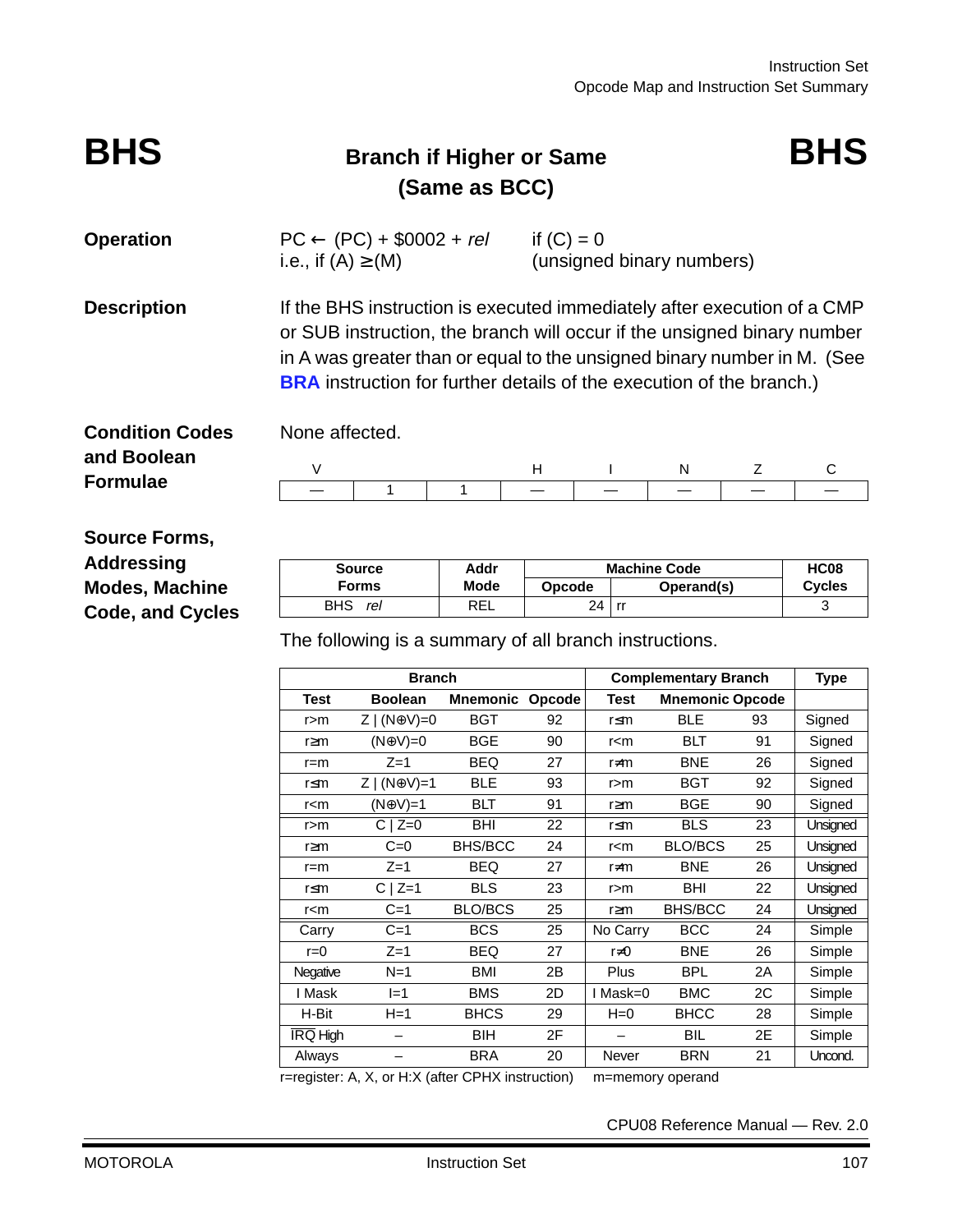<span id="page-106-0"></span>

| <b>BHS</b>                                               | <b>BHS</b><br><b>Branch if Higher or Same</b><br>(Same as BCC) |                                                                                                                                                                                                                                                                                                              |                |              |  |                           |   |   |  |
|----------------------------------------------------------|----------------------------------------------------------------|--------------------------------------------------------------------------------------------------------------------------------------------------------------------------------------------------------------------------------------------------------------------------------------------------------------|----------------|--------------|--|---------------------------|---|---|--|
| <b>Operation</b>                                         | $PC \leftarrow (PC) + $0002 + rel$<br>i.e., if $(A) \geq (M)$  |                                                                                                                                                                                                                                                                                                              |                | if $(C) = 0$ |  | (unsigned binary numbers) |   |   |  |
| <b>Description</b>                                       |                                                                | If the BHS instruction is executed immediately after execution of a CMP<br>or SUB instruction, the branch will occur if the unsigned binary number<br>in A was greater than or equal to the unsigned binary number in M. (See<br><b>BRA</b> instruction for further details of the execution of the branch.) |                |              |  |                           |   |   |  |
| <b>Condition Codes</b><br>and Boolean<br><b>Formulae</b> | None affected.<br>V                                            | $\overline{A}$                                                                                                                                                                                                                                                                                               | $\overline{A}$ | H            |  | N                         | Z | C |  |

**Source Forms, Addressing Modes, Machine Code, and Cycles**

| Source            | Addr | <b>Machine Code</b> | <b>HC08</b> |               |
|-------------------|------|---------------------|-------------|---------------|
| <b>Forms</b>      | Mode | Opcode              | Operand(s)  | <b>Cycles</b> |
| <b>BHS</b><br>rel | REL  | 24                  | rr          |               |

— 1 1 1 1 1 — 1 — 1 — 1 — 1 —

The following is a summary of all branch instructions.

| <b>Branch</b>   |                           |                 |        | <b>Complementary Branch</b> |                        |    | <b>Type</b> |
|-----------------|---------------------------|-----------------|--------|-----------------------------|------------------------|----|-------------|
| Test            | <b>Boolean</b>            | <b>Mnemonic</b> | Opcode | Test                        | <b>Mnemonic Opcode</b> |    |             |
| r > m           | $Z \mid (N \oplus V) = 0$ | <b>BGT</b>      | 92     | $r \leq m$                  | <b>BLE</b>             | 93 | Signed      |
| $r \geq m$      | $(N \oplus V) = 0$        | <b>BGE</b>      | 90     | r < m                       | <b>BLT</b>             | 91 | Signed      |
| $r = m$         | $Z=1$                     | <b>BEQ</b>      | 27     | r≠m                         | <b>BNE</b>             | 26 | Signed      |
| r≤m             | $Z   (N \oplus V)=1$      | <b>BLE</b>      | 93     | r > m                       | <b>BGT</b>             | 92 | Signed      |
| r < m           | $(N \oplus V)=1$          | <b>BLT</b>      | 91     | r≥m                         | <b>BGE</b>             | 90 | Signed      |
| r > m           | $C \mid Z=0$              | BHI             | 22     | r≤m                         | <b>BLS</b>             | 23 | Unsigned    |
| r≥m             | $C=0$                     | BHS/BCC         | 24     | r < m                       | <b>BLO/BCS</b>         | 25 | Unsigned    |
| $r = m$         | $Z=1$                     | <b>BEQ</b>      | 27     | r≠m                         | <b>BNE</b>             | 26 | Unsigned    |
| $r \leq m$      | $C   Z=1$                 | <b>BLS</b>      | 23     | r > m                       | <b>BHI</b>             | 22 | Unsigned    |
| r < m           | $C=1$                     | <b>BLO/BCS</b>  | 25     | r≥m                         | <b>BHS/BCC</b>         | 24 | Unsigned    |
| Carry           | $C=1$                     | <b>BCS</b>      | 25     | No Carry                    | <b>BCC</b>             | 24 | Simple      |
| $r = 0$         | $Z=1$                     | <b>BEQ</b>      | 27     | r≠0                         | <b>BNE</b>             | 26 | Simple      |
| Negative        | $N=1$                     | BMI             | 2B     | Plus                        | <b>BPL</b>             | 2A | Simple      |
| I Mask          | $I=1$                     | <b>BMS</b>      | 2D     | I Mask=0                    | <b>BMC</b>             | 2C | Simple      |
| H-Bit           | $H=1$                     | <b>BHCS</b>     | 29     | $H=0$                       | <b>BHCC</b>            | 28 | Simple      |
| <b>IRQ</b> High |                           | BIH             | 2F     |                             | BIL                    | 2E | Simple      |
| Always          |                           | <b>BRA</b>      | 20     | Never                       | <b>BRN</b>             | 21 | Uncond.     |

r=register: A, X, or H:X (after CPHX instruction) m=memory operand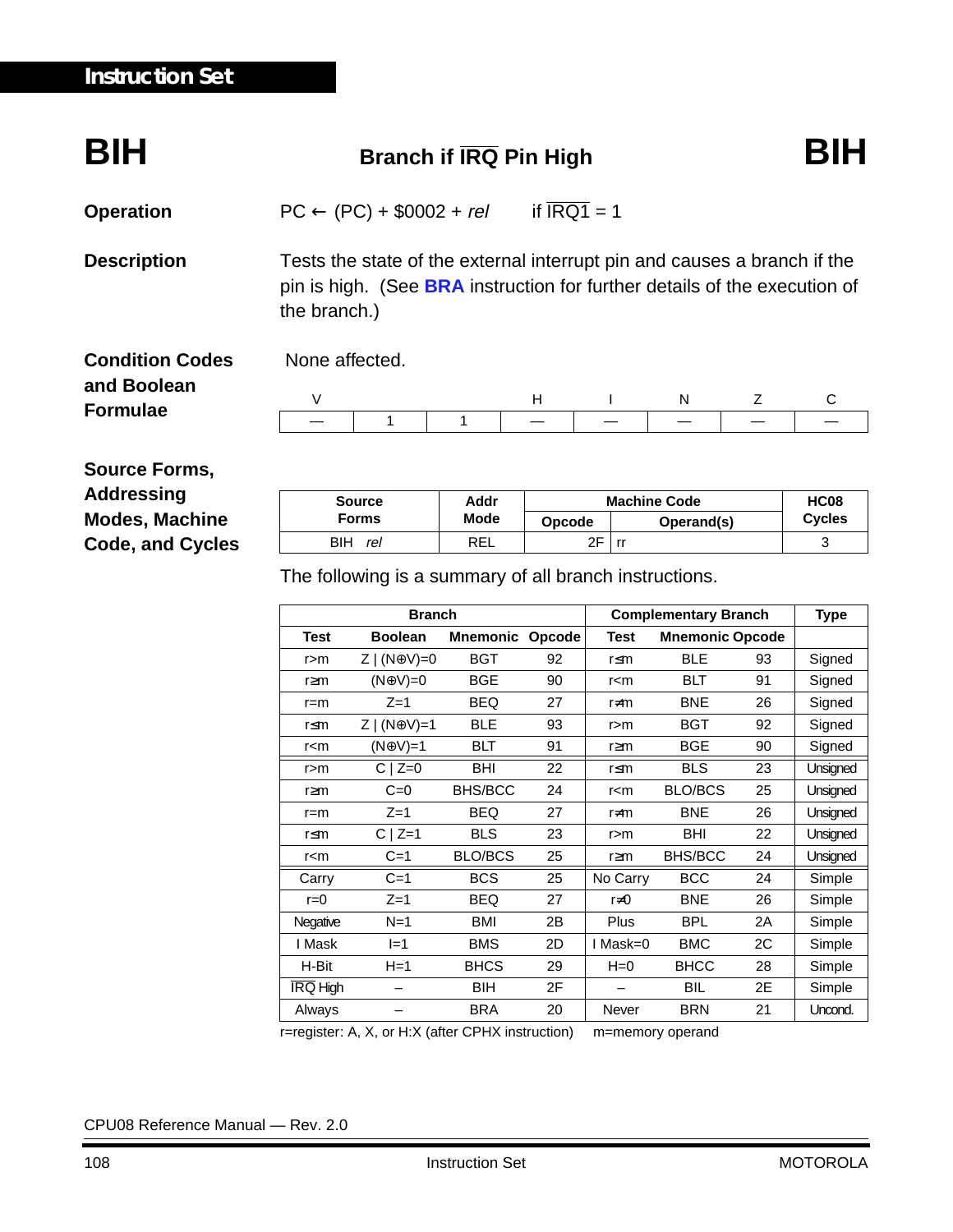<span id="page-107-0"></span>

| BIH                            | BIH<br><b>Branch if IRQ Pin High</b>                                                                                                                                         |  |  |   |                                 |   |   |   |
|--------------------------------|------------------------------------------------------------------------------------------------------------------------------------------------------------------------------|--|--|---|---------------------------------|---|---|---|
| <b>Operation</b>               | $PC \leftarrow (PC) + $0002 + rel$                                                                                                                                           |  |  |   | if $\overline{\text{IRQ1}} = 1$ |   |   |   |
| <b>Description</b>             | Tests the state of the external interrupt pin and causes a branch if the<br>pin is high. (See <b>BRA</b> instruction for further details of the execution of<br>the branch.) |  |  |   |                                 |   |   |   |
| <b>Condition Codes</b>         | None affected.                                                                                                                                                               |  |  |   |                                 |   |   |   |
| and Boolean<br><b>Formulae</b> | V                                                                                                                                                                            |  |  | H |                                 | N | Z | C |
|                                |                                                                                                                                                                              |  |  |   |                                 |   |   |   |

# **Source Forms, Addressing Modes, Machine Code, and Cycles**

| <b>Source</b> | Addr | <b>Machine Code</b> | <b>HC08</b> |               |
|---------------|------|---------------------|-------------|---------------|
| <b>Forms</b>  | Mode | Opcode              | Operand(s)  | <b>Cycles</b> |
| BIH<br>rel    | REL  | 2F                  | rr          |               |

The following is a summary of all branch instructions.

| <b>Branch</b>                                                    |                           |                 |        | <b>Complementary Branch</b> |                        |    | <b>Type</b> |
|------------------------------------------------------------------|---------------------------|-----------------|--------|-----------------------------|------------------------|----|-------------|
| Test                                                             | <b>Boolean</b>            | <b>Mnemonic</b> | Opcode | <b>Test</b>                 | <b>Mnemonic Opcode</b> |    |             |
| r > m                                                            | $Z \mid (N \oplus V) = 0$ | <b>BGT</b>      | 92     | $r \leq m$                  | <b>BLE</b>             | 93 | Signed      |
| r≥m                                                              | $(N \oplus V) = 0$        | <b>BGE</b>      | 90     | r < m                       | <b>BLT</b>             | 91 | Signed      |
| $r = m$                                                          | $Z=1$                     | <b>BEQ</b>      | 27     | r≠m                         | <b>BNE</b>             | 26 | Signed      |
| r≤m                                                              | $Z   (N \oplus V)=1$      | <b>BLE</b>      | 93     | r > m                       | <b>BGT</b>             | 92 | Signed      |
| r < m                                                            | $(N \oplus V)=1$          | <b>BLT</b>      | 91     | $r \geq m$                  | <b>BGE</b>             | 90 | Signed      |
| r > m                                                            | $C \mid Z=0$              | <b>BHI</b>      | 22     | $r \leq m$                  | <b>BLS</b>             | 23 | Unsigned    |
| r≥m                                                              | $C=0$                     | <b>BHS/BCC</b>  | 24     | r < m                       | <b>BLO/BCS</b>         | 25 | Unsigned    |
| $r = m$                                                          | $Z=1$                     | <b>BEQ</b>      | 27     | r≠m                         | <b>BNE</b>             | 26 | Unsigned    |
| $r \leq m$                                                       | $C \mid Z=1$              | <b>BLS</b>      | 23     | r > m                       | <b>BHI</b>             | 22 | Unsigned    |
| r < m                                                            | $C=1$                     | <b>BLO/BCS</b>  | 25     | $r \geq m$                  | <b>BHS/BCC</b>         | 24 | Unsigned    |
| Carry                                                            | $C=1$                     | <b>BCS</b>      | 25     | No Carry                    | <b>BCC</b>             | 24 | Simple      |
| $r = 0$                                                          | $Z=1$                     | <b>BEQ</b>      | 27     | r≠0                         | <b>BNE</b>             | 26 | Simple      |
| Negative                                                         | $N=1$                     | <b>BMI</b>      | 2Β     | Plus                        | <b>BPL</b>             | 2A | Simple      |
| I Mask                                                           | $I=1$                     | <b>BMS</b>      | 2D     | I Mask=0                    | <b>BMC</b>             | 2C | Simple      |
| H-Bit                                                            | $H = 1$                   | <b>BHCS</b>     | 29     | $H=0$                       | <b>BHCC</b>            | 28 | Simple      |
| IRQ High                                                         |                           | <b>BIH</b>      | 2F     |                             | <b>BIL</b>             | 2E | Simple      |
| Always                                                           |                           | <b>BRA</b>      | 20     | Never                       | <b>BRN</b>             | 21 | Uncond.     |
| $r =$ regulator: $\Delta$ X or H $\chi$ (after CPHX instruction) |                           |                 |        |                             | m-memory onerand.      |    |             |

r=register: A, X, or H:X (after CPHX instruction) m=memory operand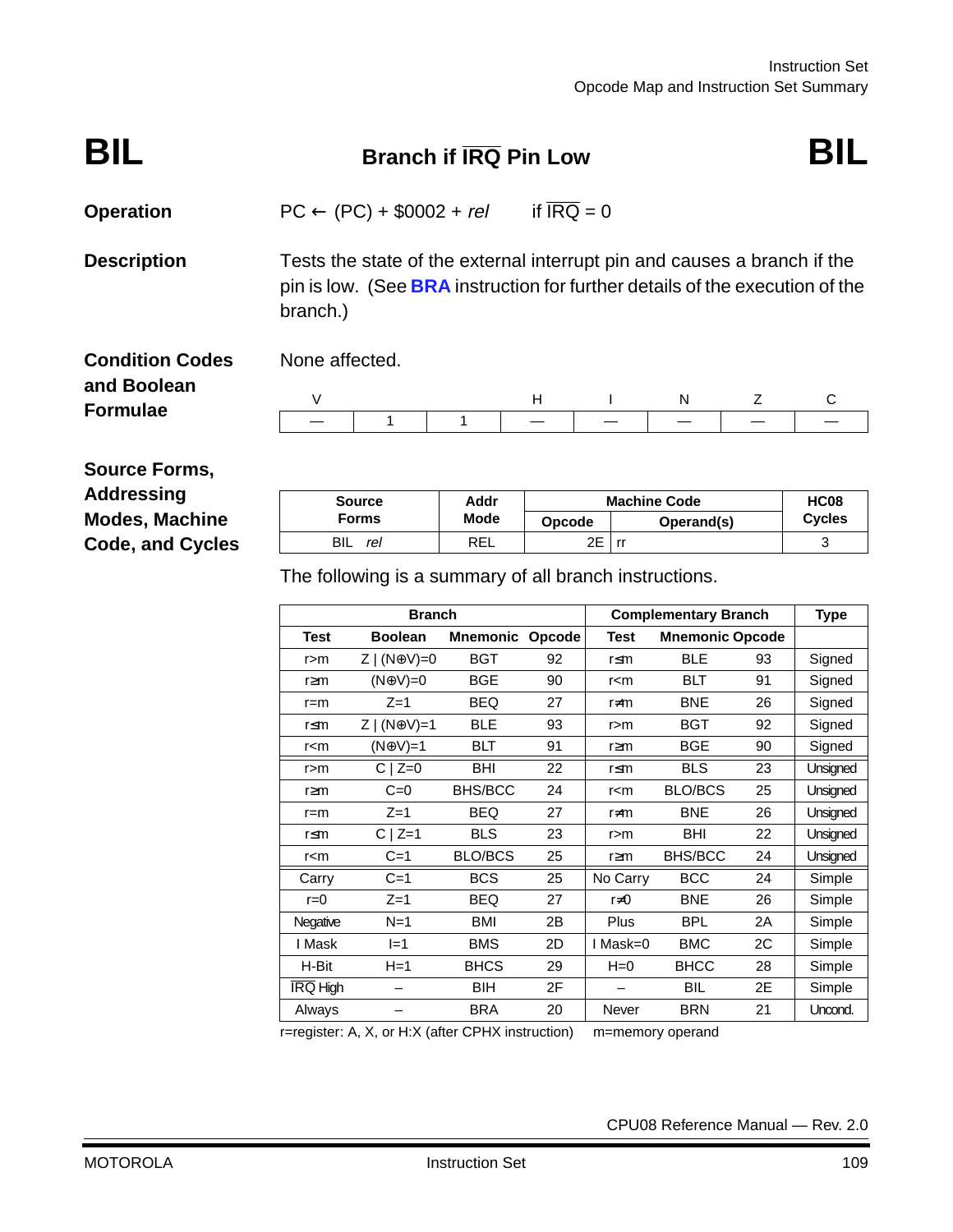# **BIL Branch if IRQ Pin Low BIL**

| Operation | $PC \leftarrow (PC) + $0002 + rel$ | if $IRQ = 0$ |
|-----------|------------------------------------|--------------|
|-----------|------------------------------------|--------------|

**Description** Tests the state of the external interrupt pin and causes a branch if the pin is low. (See **[BRA](#page-119-0)** instruction for further details of the execution of the branch.)

**Condition Codes and Boolean Formulae**

None affected.

| <u>in the community of the community of the community of the community of the community of the community of the community of the community of the community of the community of the community of the community of the community </u> | $\blacksquare$ $\blacksquare$ $\blacksquare$ $\blacksquare$ $\blacksquare$ $\blacksquare$ $\blacksquare$ $\blacksquare$ $\blacksquare$ $\blacksquare$ $\blacksquare$ $\blacksquare$ $\blacksquare$ $\blacksquare$ $\blacksquare$ $\blacksquare$ $\blacksquare$ $\blacksquare$ $\blacksquare$ $\blacksquare$ $\blacksquare$ $\blacksquare$ $\blacksquare$ $\blacksquare$ $\blacksquare$ $\blacksquare$ $\blacksquare$ $\blacksquare$ $\blacksquare$ $\blacksquare$ $\blacksquare$ $\blacks$ |  |  |  |
|--------------------------------------------------------------------------------------------------------------------------------------------------------------------------------------------------------------------------------------|--------------------------------------------------------------------------------------------------------------------------------------------------------------------------------------------------------------------------------------------------------------------------------------------------------------------------------------------------------------------------------------------------------------------------------------------------------------------------------------------|--|--|--|

### **Source Forms, Addressing Modes, Machine Code, and Cycles**

| Source       | Addr |        | <b>Machine Code</b> | <b>HC08</b>   |
|--------------|------|--------|---------------------|---------------|
| <b>Forms</b> | Mode | Opcode | Operand(s)          | <b>Cycles</b> |
| BIL<br>rel   | REL  | 2Ε     | rr                  | ว             |

The following is a summary of all branch instructions.

|                                                                                                                                              | <b>Branch</b>                                                    |                 | <b>Complementary Branch</b> |             | <b>Type</b>            |    |          |
|----------------------------------------------------------------------------------------------------------------------------------------------|------------------------------------------------------------------|-----------------|-----------------------------|-------------|------------------------|----|----------|
| <b>Test</b>                                                                                                                                  | <b>Boolean</b>                                                   | <b>Mnemonic</b> | Opcode                      | <b>Test</b> | <b>Mnemonic Opcode</b> |    |          |
| r > m                                                                                                                                        | $Z \mid (N \oplus V) = 0$                                        | <b>BGT</b>      | 92                          | $r \leq m$  | <b>BLE</b>             | 93 | Signed   |
| r≥m                                                                                                                                          | $(N \oplus V) = 0$                                               | <b>BGE</b>      | 90                          | r < m       | <b>BLT</b>             | 91 | Signed   |
| $r = m$                                                                                                                                      | $Z=1$                                                            | BEQ             | 27                          | r≠m         | <b>BNE</b>             | 26 | Signed   |
| r≤m                                                                                                                                          | $Z   (N \oplus V)=1$                                             | <b>BLE</b>      | 93                          | r > m       | <b>BGT</b>             | 92 | Signed   |
| r <m< td=""><td><math>(N \oplus V)=1</math></td><td><b>BLT</b></td><td>91</td><td>r≥m</td><td><b>BGE</b></td><td>90</td><td>Signed</td></m<> | $(N \oplus V)=1$                                                 | <b>BLT</b>      | 91                          | r≥m         | <b>BGE</b>             | 90 | Signed   |
| r > m                                                                                                                                        | $C \mid Z=0$                                                     | <b>BHI</b>      | 22                          | $r \leq m$  | <b>BLS</b>             | 23 | Unsigned |
| r≥m                                                                                                                                          | $C=0$                                                            | <b>BHS/BCC</b>  | 24                          | r < m       | <b>BLO/BCS</b>         | 25 | Unsigned |
| $r = m$                                                                                                                                      | $Z=1$                                                            | <b>BEQ</b>      | 27                          | r≠m         | <b>BNE</b>             | 26 | Unsigned |
| r≤m                                                                                                                                          | $C \mid Z=1$                                                     | <b>BLS</b>      | 23                          | r > m       | BHI                    | 22 | Unsigned |
| r < m                                                                                                                                        | $C=1$                                                            | <b>BLO/BCS</b>  | 25                          | $r \geq m$  | <b>BHS/BCC</b>         | 24 | Unsigned |
| Carry                                                                                                                                        | $C=1$                                                            | <b>BCS</b>      | 25                          | No Carry    | <b>BCC</b>             | 24 | Simple   |
| $r=0$                                                                                                                                        | $Z=1$                                                            | <b>BEQ</b>      | 27                          | r≠0         | <b>BNE</b>             | 26 | Simple   |
| Negative                                                                                                                                     | $N=1$                                                            | BMI             | 2Β                          | Plus        | <b>BPL</b>             | 2A | Simple   |
| I Mask                                                                                                                                       | $I=1$                                                            | <b>BMS</b>      | 2D                          | I Mask=0    | <b>BMC</b>             | 2C | Simple   |
| H-Bit                                                                                                                                        | $H=1$                                                            | <b>BHCS</b>     | 29                          | $H=0$       | <b>BHCC</b>            | 28 | Simple   |
| IRQ High                                                                                                                                     |                                                                  | <b>BIH</b>      | 2F                          |             | <b>BIL</b>             | 2E | Simple   |
| Always                                                                                                                                       |                                                                  | <b>BRA</b>      | 20                          | Never       | <b>BRN</b>             | 21 | Uncond.  |
|                                                                                                                                              | $r =$ regulator: $\Delta$ X or H $\chi$ (after CPHX instruction) |                 |                             |             | m-memory operand       |    |          |

r=register: A, X, or H:X (after CPHX instruction) m=memory operand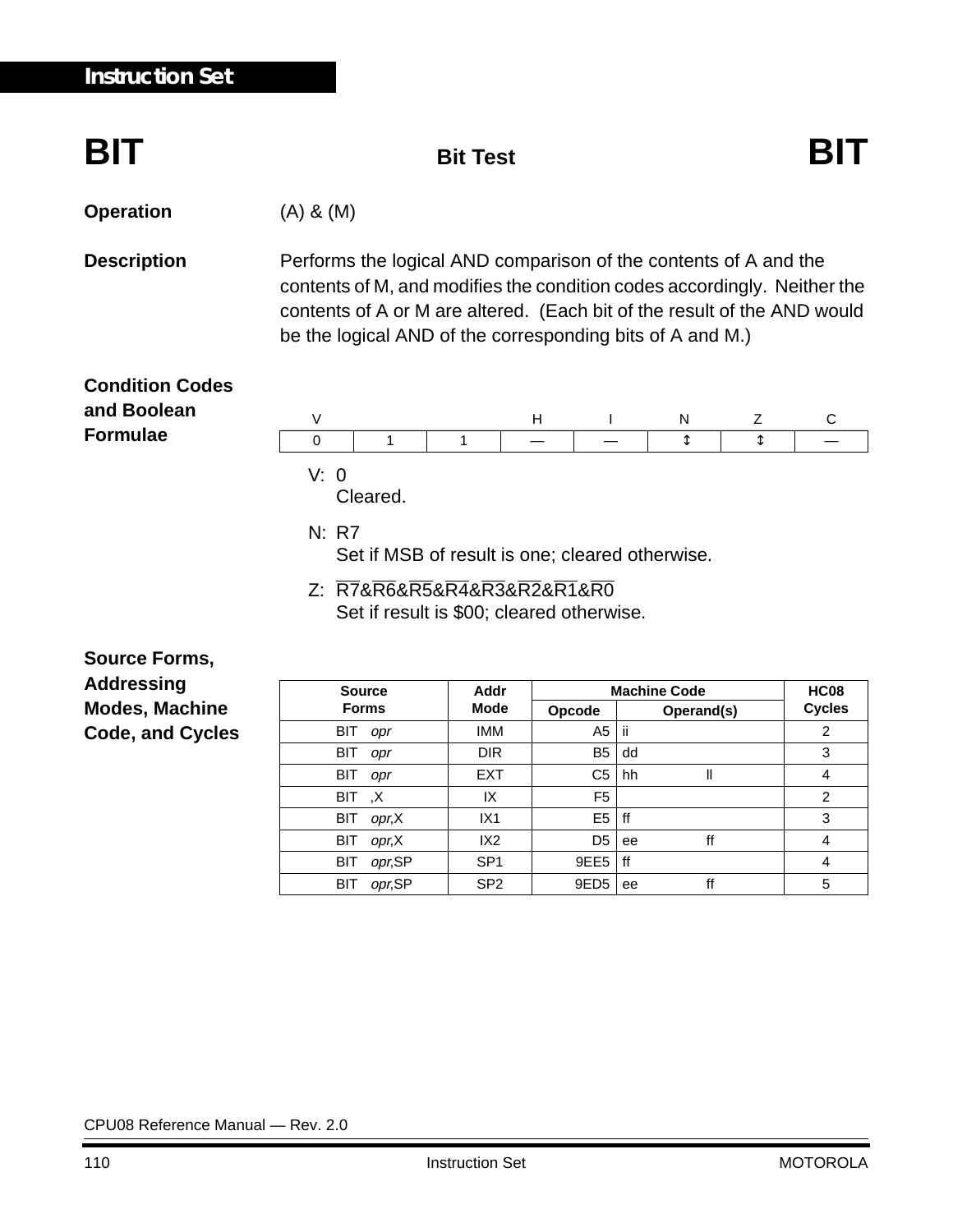# **BIT Bit Test BIT**

#### **Operation** (A) & (M)

**Description** Performs the logical AND comparison of the contents of A and the contents of M, and modifies the condition codes accordingly. Neither the contents of A or M are altered. (Each bit of the result of the AND would be the logical AND of the corresponding bits of A and M.)

**Condition Codes and Boolean Formulae**



Cleared.

N: R7

Set if MSB of result is one; cleared otherwise.

Z: R7&R6&R5&R4&R3&R2&R1&R0 Set if result is \$00; cleared otherwise.

**Source Forms,**

**Addressing Modes, Machine Code, and Cycles**

| <b>Source</b>     | Addr            |                  | <b>Machine Code</b> | <b>HC08</b>   |
|-------------------|-----------------|------------------|---------------------|---------------|
| <b>Forms</b>      | Mode            | Opcode           | Operand(s)          | <b>Cycles</b> |
| <b>BIT</b><br>opr | <b>IMM</b>      | A5               | -ii                 | 2             |
| <b>BIT</b><br>opr | DIR.            | <b>B5</b>        | dd                  | 3             |
| BIT<br>opr        | <b>EXT</b>      | C5               | hh<br>Ш             | 4             |
| BIT, X            | IX              | F <sub>5</sub>   |                     | 2             |
| BIT<br>opr,X      | IX1             | E <sub>5</sub>   | ff                  | 3             |
| BIT<br>opr,X      | IX2             | D <sub>5</sub>   | ff<br>ee            | 4             |
| BIT<br>opr,SP     | SP <sub>1</sub> | 9EE5             | ff                  | 4             |
| opr,SP<br>BIT     | SP <sub>2</sub> | 9ED <sub>5</sub> | ff<br>ee            | 5             |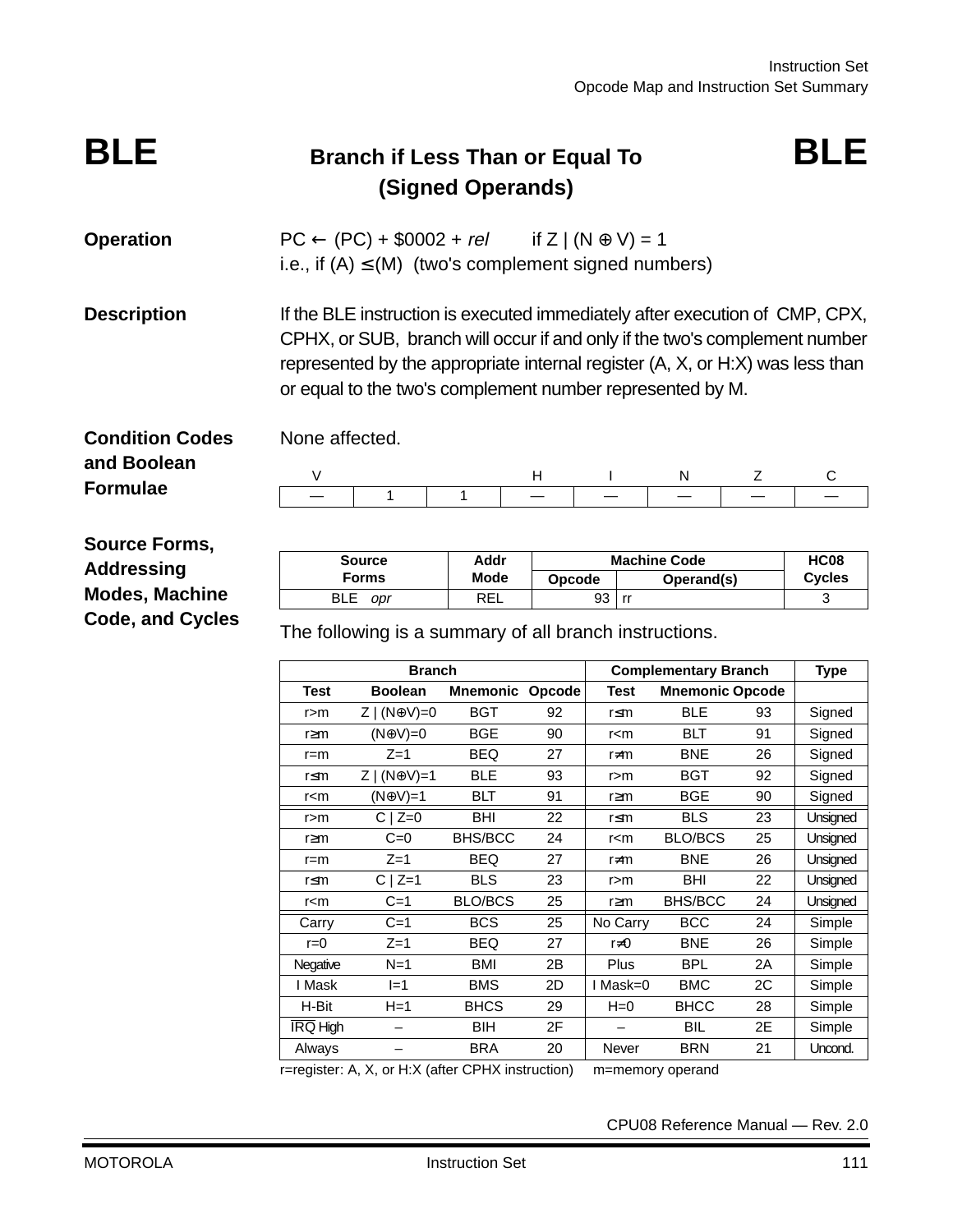| <b>BLE</b> | <b>Branch if Less Than or Equal To</b> | <b>BLE</b> |
|------------|----------------------------------------|------------|
|            | (Signed Operands)                      |            |

**Operation**  $PC \leftarrow (PC) + \$0002 + rel$  if Z  $|(N \oplus V) = 1$ i.e., if  $(A) \leq (M)$  (two's complement signed numbers)

**Description** If the BLE instruction is executed immediately after execution of CMP, CPX, CPHX, or SUB, branch will occur if and only if the two's complement number represented by the appropriate internal register (A, X, or H:X) was less than or equal to the two's complement number represented by M.

**Condition Codes** None affected.

**and Boolean Formulae**

|  | 1 1 1 2 1 2 1 2 1 2 |  |  | the contract of the contract of |
|--|---------------------|--|--|---------------------------------|

**Source Forms, Addressing Modes, Machine**

| <b>Source</b>     | Addr<br><b>Machine Code</b> |        |            | <b>HC08</b> |  |
|-------------------|-----------------------------|--------|------------|-------------|--|
| <b>Forms</b>      | Mode                        | Opcode | Operand(s) | Cvcles      |  |
| <b>BLE</b><br>opr | REL                         | 93     | <b>PP</b>  |             |  |

**Code, and Cycles** The following is a summary of all branch instructions.

| <b>Branch</b>   |                           |                 |        |            | <b>Complementary Branch</b> |    | <b>Type</b> |
|-----------------|---------------------------|-----------------|--------|------------|-----------------------------|----|-------------|
| Test            | <b>Boolean</b>            | <b>Mnemonic</b> | Opcode | Test       | <b>Mnemonic Opcode</b>      |    |             |
| r > m           | $Z \mid (N \oplus V) = 0$ | BGT             | 92     | r≤m        | <b>BLE</b>                  | 93 | Signed      |
| r≥m             | $(N \oplus V) = 0$        | <b>BGE</b>      | 90     | r < m      | <b>BLT</b>                  | 91 | Signed      |
| $r = m$         | $Z=1$                     | <b>BEQ</b>      | 27     | r≠m        | <b>BNE</b>                  | 26 | Signed      |
| $r \leq m$      | $Z   (N \oplus V)=1$      | <b>BLE</b>      | 93     | r > m      | <b>BGT</b>                  | 92 | Signed      |
| r < m           | $(N \oplus V)=1$          | <b>BLT</b>      | 91     | r≥m        | <b>BGE</b>                  | 90 | Signed      |
| r > m           | $C \mid Z=0$              | <b>BHI</b>      | 22     | $r \leq m$ | <b>BLS</b>                  | 23 | Unsigned    |
| r≥m             | $C=0$                     | <b>BHS/BCC</b>  | 24     | r < m      | <b>BLO/BCS</b>              | 25 | Unsigned    |
| $r = m$         | $Z=1$                     | <b>BEQ</b>      | 27     | r≠m        | <b>BNE</b>                  | 26 | Unsigned    |
| r≤m             | $C$   $Z=1$               | <b>BLS</b>      | 23     | r > m      | <b>BHI</b>                  | 22 | Unsigned    |
| r < m           | $C=1$                     | <b>BLO/BCS</b>  | 25     | r≥m        | <b>BHS/BCC</b>              | 24 | Unsigned    |
| Carry           | $C=1$                     | <b>BCS</b>      | 25     | No Carry   | <b>BCC</b>                  | 24 | Simple      |
| $r=0$           | $Z=1$                     | <b>BEQ</b>      | 27     | r≠0        | <b>BNE</b>                  | 26 | Simple      |
| Negative        | $N=1$                     | <b>BMI</b>      | 2B     | Plus       | <b>BPL</b>                  | 2A | Simple      |
| I Mask          | $I=1$                     | <b>BMS</b>      | 2D     | I Mask=0   | <b>BMC</b>                  | 2C | Simple      |
| H-Bit           | $H=1$                     | <b>BHCS</b>     | 29     | $H=0$      | <b>BHCC</b>                 | 28 | Simple      |
| <b>IRQ</b> High |                           | <b>BIH</b>      | 2F     |            | <b>BIL</b>                  | 2E | Simple      |
| Always          |                           | <b>BRA</b>      | 20     | Never      | <b>BRN</b>                  | 21 | Uncond.     |

r=register: A, X, or H:X (after CPHX instruction) m=memory operand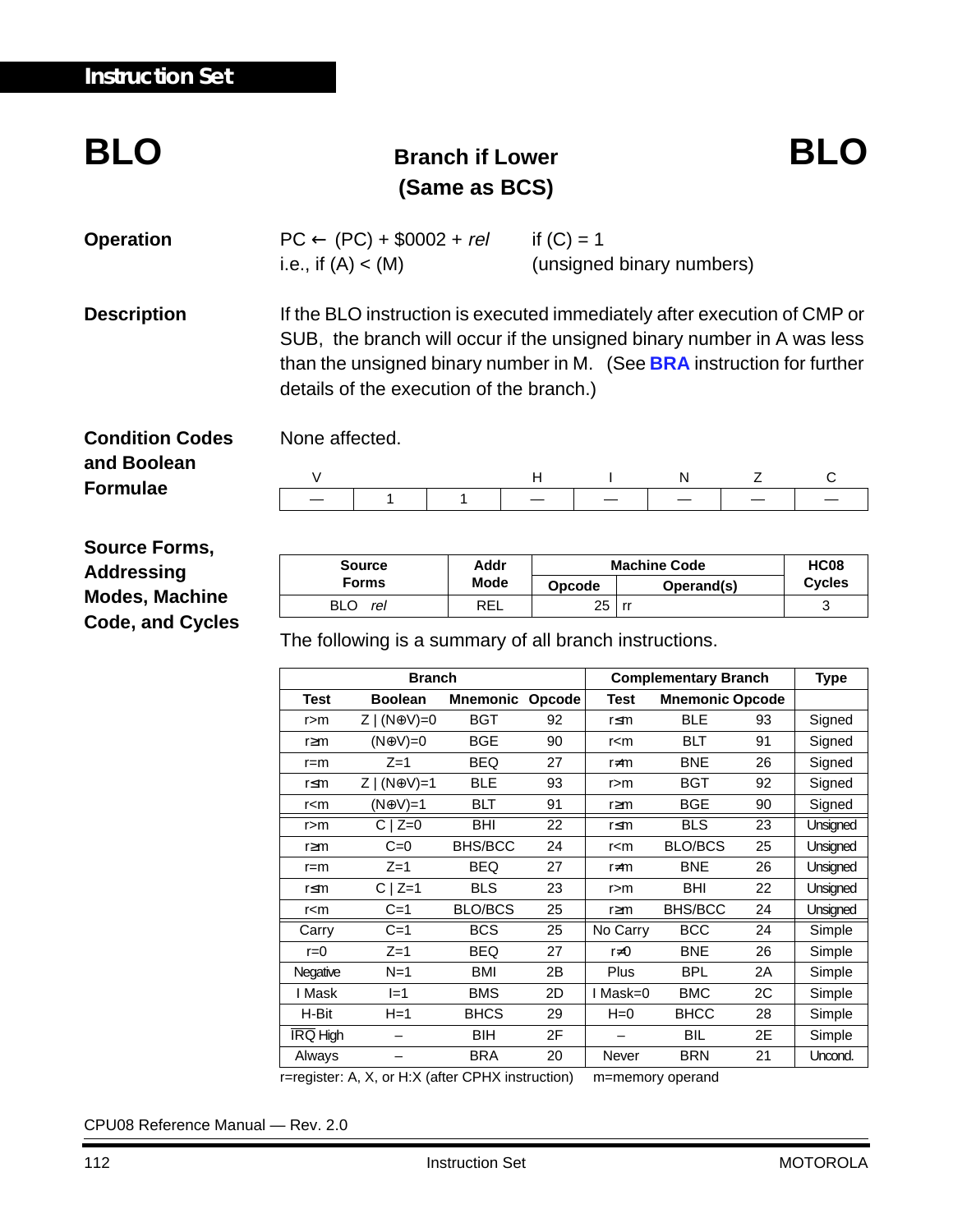## **BLO Branch if Lower BLO (Same as BCS)**

| <b>Operation</b>       | $PC \leftarrow (PC) + $0002 + rel$<br>i.e., if $(A) < (M)$ | if $(C) = 1$<br>(unsigned binary numbers)                                                                                                                                                                                    |
|------------------------|------------------------------------------------------------|------------------------------------------------------------------------------------------------------------------------------------------------------------------------------------------------------------------------------|
| <b>Description</b>     | details of the execution of the branch.)                   | If the BLO instruction is executed immediately after execution of CMP or<br>SUB, the branch will occur if the unsigned binary number in A was less<br>than the unsigned binary number in M. (See BRA instruction for further |
| <b>Condition Codes</b> | None affected.                                             |                                                                                                                                                                                                                              |

**and Boolean Formulae**

| 1 1 1 1 1 - 1 - 1 - 1 - |  |  |  |
|-------------------------|--|--|--|

**Source Forms, Addressing Modes, Machine Code, and Cycles**

| Addr<br><b>Source</b> |             | <b>Machine Code</b> | <b>HC08</b> |               |
|-----------------------|-------------|---------------------|-------------|---------------|
| <b>Forms</b>          | <b>Mode</b> | Opcode              | Operand(s)  | <b>Cycles</b> |
| BLO<br>rel            | REL         | 25                  | <b>rr</b>   |               |

The following is a summary of all branch instructions.

|                              | <b>Branch</b>             |                 |        | <b>Complementary Branch</b> |                        |    | <b>Type</b> |
|------------------------------|---------------------------|-----------------|--------|-----------------------------|------------------------|----|-------------|
| <b>Test</b>                  | <b>Boolean</b>            | <b>Mnemonic</b> | Opcode | <b>Test</b>                 | <b>Mnemonic Opcode</b> |    |             |
| r > m                        | $Z \mid (N \oplus V) = 0$ | <b>BGT</b>      | 92     | $r \leq m$                  | <b>BLE</b>             | 93 | Signed      |
| $r \geq m$                   | $(N \oplus V) = 0$        | <b>BGE</b>      | 90     | r < m                       | <b>BLT</b>             | 91 | Signed      |
| $r = m$                      | $Z=1$                     | <b>BEQ</b>      | 27     | r≠m                         | <b>BNE</b>             | 26 | Signed      |
| r≤m                          | $Z$   (N $\oplus$ V)=1    | <b>BLE</b>      | 93     | r > m                       | <b>BGT</b>             | 92 | Signed      |
| r < m                        | $(N \oplus V)=1$          | <b>BLT</b>      | 91     | r≥m                         | BGE                    | 90 | Signed      |
| r > m                        | $C \mid Z=0$              | BHI             | 22     | $r \leq m$                  | <b>BLS</b>             | 23 | Unsigned    |
| r≥m                          | $C=0$                     | <b>BHS/BCC</b>  | 24     | r < m                       | <b>BLO/BCS</b>         | 25 | Unsigned    |
| $r = m$                      | $Z=1$                     | <b>BEQ</b>      | 27     | r≠m                         | <b>BNE</b>             | 26 | Unsigned    |
| r≤m                          | $C   Z=1$                 | <b>BLS</b>      | 23     | r > m                       | BHI                    | 22 | Unsigned    |
| r < m                        | $C=1$                     | <b>BLO/BCS</b>  | 25     | r≥m                         | <b>BHS/BCC</b>         | 24 | Unsigned    |
| Carry                        | $C=1$                     | <b>BCS</b>      | 25     | No Carry                    | <b>BCC</b>             | 24 | Simple      |
| $r=0$                        | $Z=1$                     | <b>BEQ</b>      | 27     | r≠0                         | <b>BNE</b>             | 26 | Simple      |
| Negative                     | $N=1$                     | <b>BMI</b>      | 2B     | Plus                        | <b>BPL</b>             | 2A | Simple      |
| I Mask                       | $I=1$                     | <b>BMS</b>      | 2D     | I Mask=0                    | <b>BMC</b>             | 2C | Simple      |
| H-Bit                        | $H = 1$                   | <b>BHCS</b>     | 29     | $H=0$                       | <b>BHCC</b>            | 28 | Simple      |
| $\overline{\text{IRQ}}$ High |                           | <b>BIH</b>      | 2F     |                             | BIL                    | 2E | Simple      |
| Always                       |                           | <b>BRA</b>      | 20     | Never                       | <b>BRN</b>             | 21 | Uncond.     |

r=register: A, X, or H:X (after CPHX instruction) m=memory operand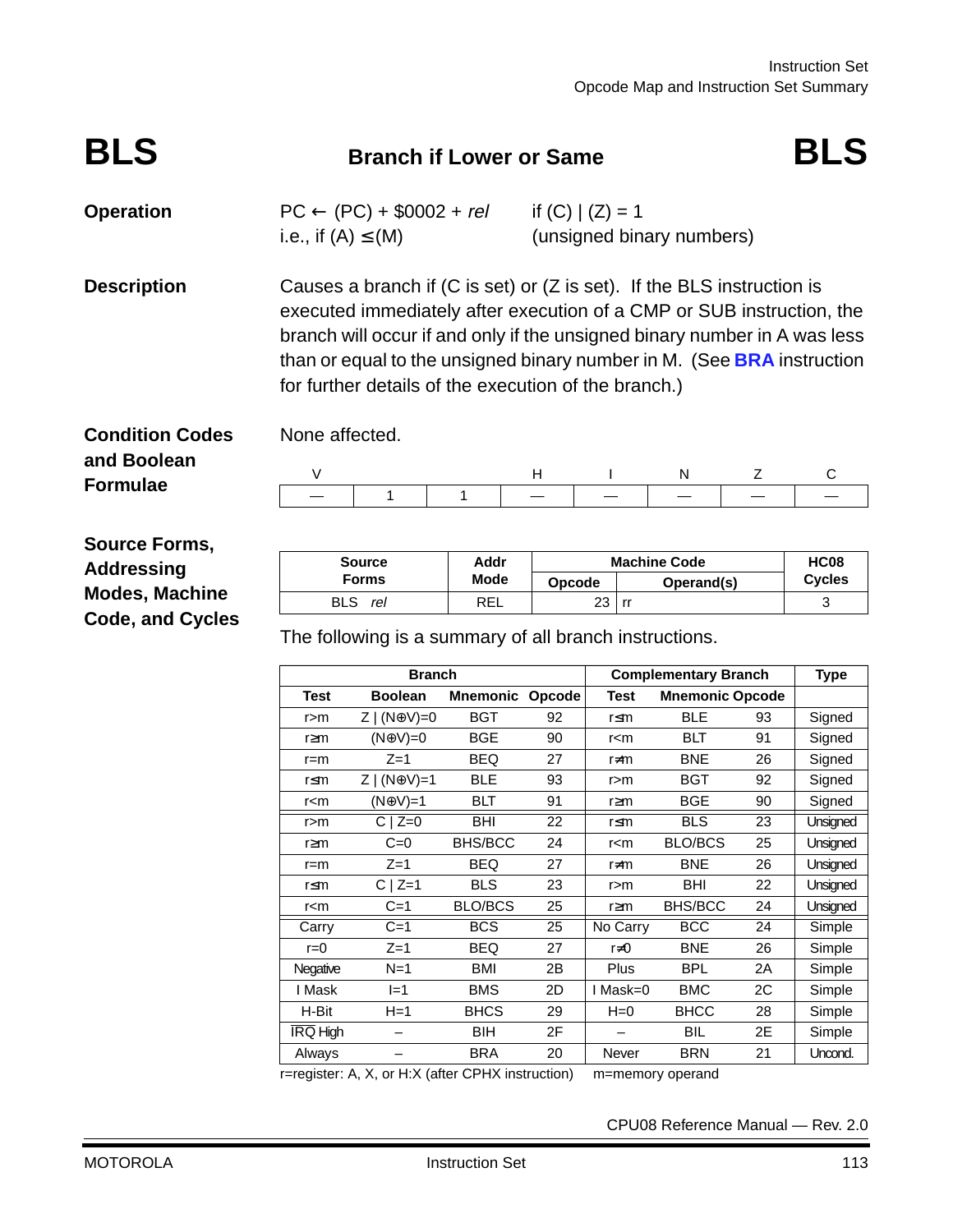# **BLS Branch if Lower or Same BLS**

| <b>Operation</b> | $PC \leftarrow (PC) + $0002 + rel$<br>i.e., if $(A) \leq (M)$ | if $(C)   (Z) = 1$<br>(unsigned binary numbers) |
|------------------|---------------------------------------------------------------|-------------------------------------------------|
|                  |                                                               |                                                 |

**Description** Causes a branch if (C is set) or (Z is set). If the BLS instruction is executed immediately after execution of a CMP or SUB instruction, the branch will occur if and only if the unsigned binary number in A was less than or equal to the unsigned binary number in M. (See **[BRA](#page-119-0)** instruction for further details of the execution of the branch.)

None affected.

Г

#### **and Boolean Formulae**

**Condition Codes**

|  |  | __ _ _ _ _ _ _ | $\mathbf{1}$ and $\mathbf{1}$ |  |
|--|--|----------------|-------------------------------|--|
|  |  |                |                               |  |

**Source Forms, Addressing Modes, Machine Code, and Cycles**

| <b>Source</b>     | Addr       |        | <b>Machine Code</b> | <b>HC08</b> |  |
|-------------------|------------|--------|---------------------|-------------|--|
| <b>Forms</b>      | Mode       | Opcode | Operand(s)          | Cycles      |  |
| <b>BLS</b><br>rel | <b>REL</b> | 23     | <b>rr</b>           |             |  |

The following is a summary of all branch instructions.

|                              | <b>Branch</b>             |                 |        | <b>Complementary Branch</b> |                        |    | <b>Type</b> |
|------------------------------|---------------------------|-----------------|--------|-----------------------------|------------------------|----|-------------|
| Test                         | <b>Boolean</b>            | <b>Mnemonic</b> | Opcode | Test                        | <b>Mnemonic Opcode</b> |    |             |
| r > m                        | $Z \mid (N \oplus V) = 0$ | BGT             | 92     | r≤m                         | <b>BLE</b>             | 93 | Signed      |
| r≥m                          | $(N \oplus V) = 0$        | <b>BGE</b>      | 90     | r < m                       | <b>BLT</b>             | 91 | Signed      |
| $r = m$                      | $Z=1$                     | <b>BEQ</b>      | 27     | r≠m                         | <b>BNE</b>             | 26 | Signed      |
| r≤m                          | $Z   (N \oplus V)=1$      | <b>BLE</b>      | 93     | r > m                       | <b>BGT</b>             | 92 | Signed      |
| r < m                        | $(N \oplus V)=1$          | <b>BLT</b>      | 91     | r≥m                         | <b>BGE</b>             | 90 | Signed      |
| r > m                        | $C \mid Z=0$              | <b>BHI</b>      | 22     | r≤m                         | <b>BLS</b>             | 23 | Unsigned    |
| r≥m                          | $C=0$                     | <b>BHS/BCC</b>  | 24     | r < m                       | <b>BLO/BCS</b>         | 25 | Unsigned    |
| $r = m$                      | $Z=1$                     | <b>BEQ</b>      | 27     | r≠m                         | <b>BNE</b>             | 26 | Unsigned    |
| r≤m                          | $C \mid Z=1$              | <b>BLS</b>      | 23     | r > m                       | BHI                    | 22 | Unsigned    |
| r < m                        | $C=1$                     | <b>BLO/BCS</b>  | 25     | r≥m                         | <b>BHS/BCC</b>         | 24 | Unsigned    |
| Carry                        | $C=1$                     | <b>BCS</b>      | 25     | No Carry                    | <b>BCC</b>             | 24 | Simple      |
| $r=0$                        | $Z=1$                     | <b>BEQ</b>      | 27     | r≠0                         | <b>BNE</b>             | 26 | Simple      |
| Negative                     | $N=1$                     | BMI             | 2B     | Plus                        | <b>BPL</b>             | 2A | Simple      |
| I Mask                       | $I=1$                     | <b>BMS</b>      | 2D     | I Mask=0                    | <b>BMC</b>             | 2C | Simple      |
| H-Bit                        | $H=1$                     | <b>BHCS</b>     | 29     | $H=0$                       | <b>BHCC</b>            | 28 | Simple      |
| $\overline{\text{IRQ}}$ High |                           | BIH             | 2F     |                             | <b>BIL</b>             | 2E | Simple      |
| Always                       |                           | <b>BRA</b>      | 20     | Never                       | <b>BRN</b>             | 21 | Uncond.     |

r=register: A, X, or H:X (after CPHX instruction) m=memory operand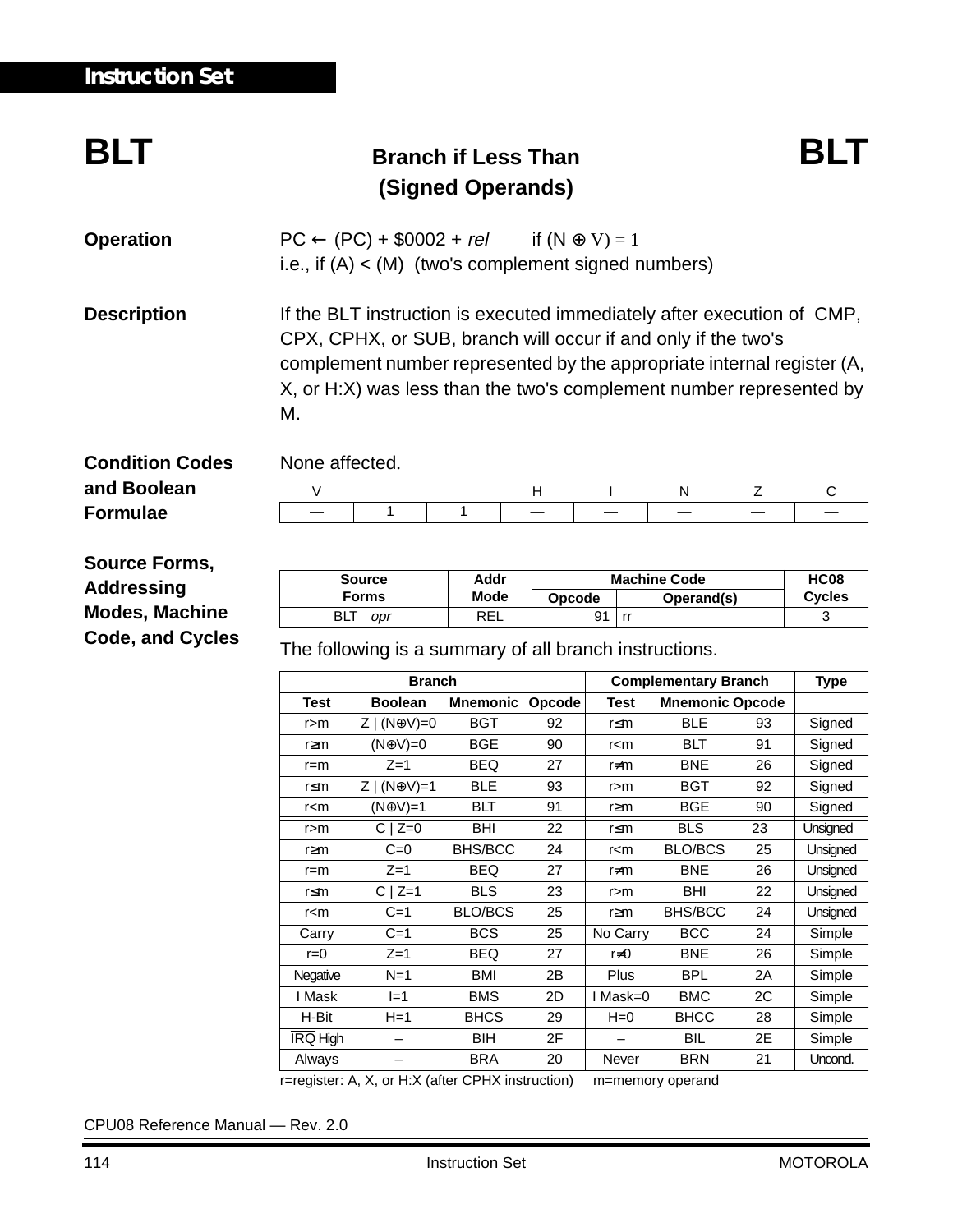| <b>BLT</b>       | <b>Branch if Less Than</b><br>(Signed Operands)                                                                    | <b>BLT</b> |
|------------------|--------------------------------------------------------------------------------------------------------------------|------------|
| <b>Operation</b> | $PC \leftarrow (PC) + $0002 + rel$ if $(N \oplus V) = 1$<br>i.e., if $(A) < (M)$ (two's complement signed numbers) |            |

**Description** If the BLT instruction is executed immediately after execution of CMP, CPX, CPHX, or SUB, branch will occur if and only if the two's complement number represented by the appropriate internal register (A, X, or H:X) was less than the two's complement number represented by M.

| <b>Condition Codes</b> | None affected. |  |  |  |  |
|------------------------|----------------|--|--|--|--|
| and Boolean            |                |  |  |  |  |
| <b>Formulae</b>        |                |  |  |  |  |

**Source Forms, Addressing Modes, Machine**

| <b>Source</b> | Addr       |        | <b>Machine Code</b> |  |  |  |
|---------------|------------|--------|---------------------|--|--|--|
| <b>Forms</b>  | Mode       | Opcode | <b>Cycles</b>       |  |  |  |
| BLT<br>opr    | <b>REL</b> | ົ^ 1   | <b>MM</b>           |  |  |  |

**Code, and Cycles** The following is a summary of all branch instructions.

|                 | <b>Branch</b>             |                                           |        | <b>Complementary Branch</b> |                        |    | <b>Type</b> |
|-----------------|---------------------------|-------------------------------------------|--------|-----------------------------|------------------------|----|-------------|
| Test            | <b>Boolean</b>            | <b>Mnemonic</b>                           | Opcode | Test                        | <b>Mnemonic Opcode</b> |    |             |
| r > m           | $Z \mid (N \oplus V) = 0$ | <b>BGT</b>                                | 92     | r≤m                         | <b>BLE</b>             | 93 | Signed      |
| r≥m             | $(N \oplus V) = 0$        | <b>BGE</b>                                | 90     | r < m                       | <b>BLT</b>             | 91 | Signed      |
| $r = m$         | $Z=1$                     | <b>BEQ</b>                                | 27     | r≠m                         | <b>BNE</b>             | 26 | Signed      |
| r≤m             | $Z   (N \oplus V)=1$      | <b>BLE</b>                                | 93     | r > m                       | <b>BGT</b>             | 92 | Signed      |
| r < m           | $(N \oplus V)=1$          | <b>BLT</b>                                | 91     | $r \geq m$                  | BGE                    | 90 | Signed      |
| r > m           | $C   Z=0$                 | BHI                                       | 22     | $r \leq m$                  | <b>BLS</b>             | 23 | Unsigned    |
| r≥m             | $C=0$                     | BHS/BCC                                   | 24     | r < m                       | <b>BLO/BCS</b>         | 25 | Unsigned    |
| $r = m$         | $Z=1$                     | <b>BEQ</b>                                | 27     | r≠m                         | <b>BNE</b>             | 26 | Unsigned    |
| r≤m             | $C \mid Z=1$              | <b>BLS</b>                                | 23     | r > m                       | BHI                    | 22 | Unsigned    |
| r < m           | $C=1$                     | <b>BLO/BCS</b>                            | 25     | r≥m                         | BHS/BCC                | 24 | Unsigned    |
| Carry           | $C=1$                     | <b>BCS</b>                                | 25     | No Carry                    | BCC                    | 24 | Simple      |
| $r = 0$         | $Z=1$                     | <b>BEQ</b>                                | 27     | r≠0                         | <b>BNE</b>             | 26 | Simple      |
| Negative        | $N=1$                     | <b>BMI</b>                                | 2B     | <b>Plus</b>                 | <b>BPL</b>             | 2A | Simple      |
| I Mask          | $I=1$                     | <b>BMS</b>                                | 2D     | I Mask=0                    | <b>BMC</b>             | 2C | Simple      |
| H-Bit           | $H=1$                     | <b>BHCS</b>                               | 29     | $H=0$                       | <b>BHCC</b>            | 28 | Simple      |
| <b>IRQ High</b> |                           | <b>BIH</b>                                | 2F     |                             | BIL                    | 2E | Simple      |
| Always          | $\sim$<br>.               | <b>BRA</b><br>$\sim$ $\sim$ $\sim$ $\sim$ | 20     | Never                       | <b>BRN</b>             | 21 | Uncond.     |

r=register: A, X, or H:X (after CPHX instruction) m=memory operand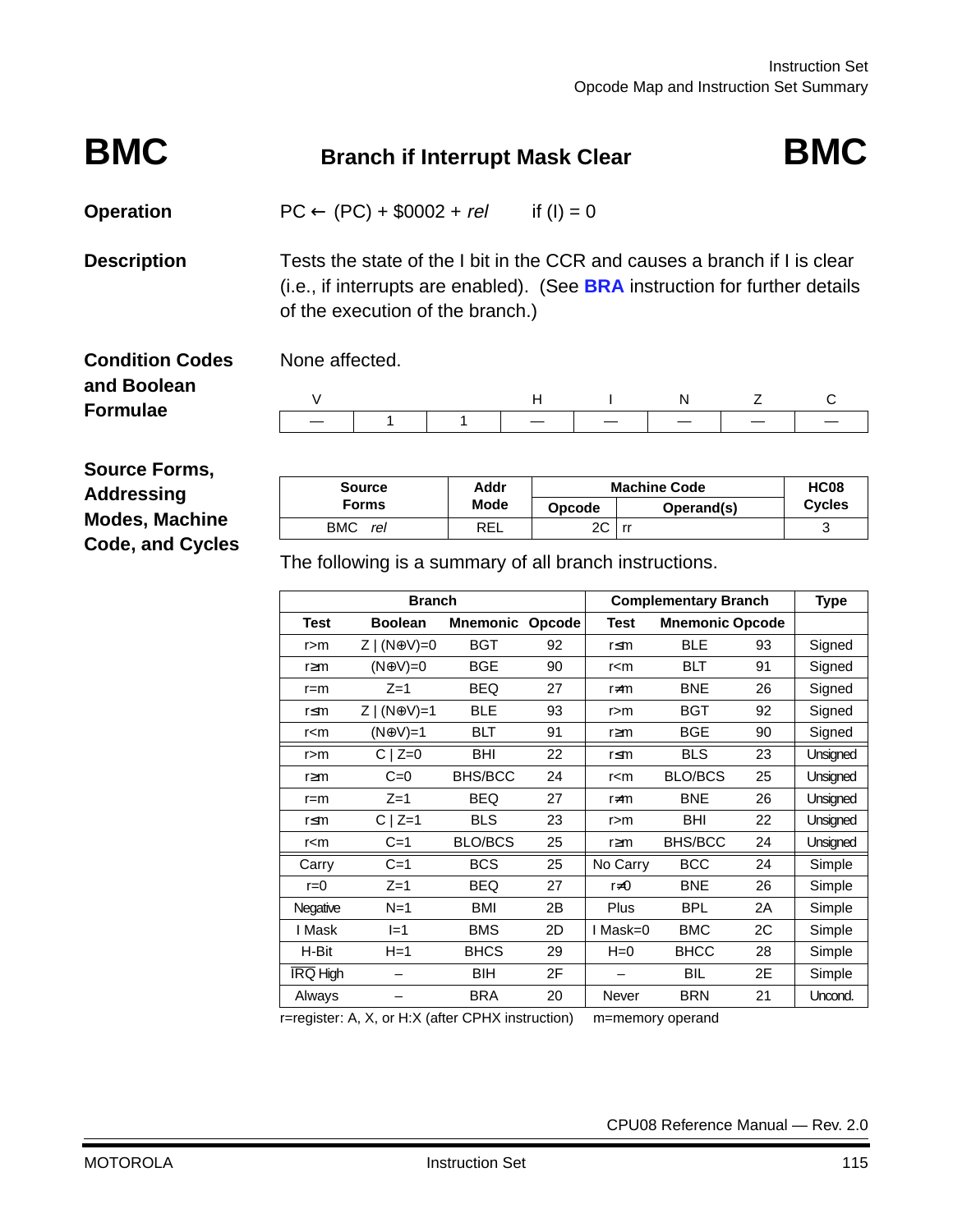# **BMC Branch if Interrupt Mask Clear BMC**



**Operation**  $PC \leftarrow (PC) + $0002 + rel$  if (I) = 0

**Description** Tests the state of the I bit in the CCR and causes a branch if I is clear (i.e., if interrupts are enabled). (See **[BRA](#page-119-0)** instruction for further details of the execution of the branch.)

**Condition Codes** None affected.

ſ

**and Boolean Formulae**

|  | $\overline{\phantom{a}}$ | _____ |  | ___ |
|--|--------------------------|-------|--|-----|

### **Source Forms, Addressing Modes, Machine Code, and Cycles**

| <b>Source</b>     | Addr |               | <b>Machine Code</b> | <b>HC08</b>   |
|-------------------|------|---------------|---------------------|---------------|
| <b>Forms</b>      | Mode | <b>Opcode</b> | Operand(s)          | <b>Cycles</b> |
| <b>BMC</b><br>rel | REL  | ᠗<br>∠∪       | <b>rr</b>           | ົ             |

The following is a summary of all branch instructions.

|             | <b>Branch</b>        |                 | <b>Complementary Branch</b> |            |                        | <b>Type</b> |          |
|-------------|----------------------|-----------------|-----------------------------|------------|------------------------|-------------|----------|
| <b>Test</b> | <b>Boolean</b>       | <b>Mnemonic</b> | Opcode                      | Test       | <b>Mnemonic Opcode</b> |             |          |
| r > m       | $Z   (N \oplus V)=0$ | <b>BGT</b>      | 92                          | r≤m        | <b>BLE</b>             | 93          | Signed   |
| r≥m         | $(N \oplus V) = 0$   | <b>BGE</b>      | 90                          | r < m      | <b>BLT</b>             | 91          | Signed   |
| $r = m$     | $Z=1$                | <b>BEQ</b>      | 27                          | r≠m        | <b>BNE</b>             | 26          | Signed   |
| $r \leq m$  | $Z   (N \oplus V)=1$ | <b>BLE</b>      | 93                          | r > m      | <b>BGT</b>             | 92          | Signed   |
| r < m       | $(N \oplus V)=1$     | <b>BLT</b>      | 91                          | r≥m        | BGE                    | 90          | Signed   |
| r > m       | $C \mid Z=0$         | <b>BHI</b>      | 22                          | $r \leq m$ | <b>BLS</b>             | 23          | Unsigned |
| r≥m         | $C=0$                | <b>BHS/BCC</b>  | 24                          | r < m      | <b>BLO/BCS</b>         | 25          | Unsigned |
| $r = m$     | $Z=1$                | <b>BEQ</b>      | 27                          | r≠m        | <b>BNE</b>             | 26          | Unsigned |
| r≤m         | $C \mid Z=1$         | <b>BLS</b>      | 23                          | r > m      | <b>BHI</b>             | 22          | Unsigned |
| r < m       | $C=1$                | <b>BLO/BCS</b>  | 25                          | r≥m        | <b>BHS/BCC</b>         | 24          | Unsigned |
| Carry       | $C=1$                | <b>BCS</b>      | 25                          | No Carry   | <b>BCC</b>             | 24          | Simple   |
| $r=0$       | $Z=1$                | <b>BEQ</b>      | 27                          | r≠0        | <b>BNE</b>             | 26          | Simple   |
| Negative    | $N=1$                | <b>BMI</b>      | 2B                          | Plus       | <b>BPL</b>             | 2A          | Simple   |
| I Mask      | $I=1$                | <b>BMS</b>      | 2D                          | I Mask=0   | <b>BMC</b>             | 2C          | Simple   |
| H-Bit       | $H = 1$              | <b>BHCS</b>     | 29                          | $H=0$      | <b>BHCC</b>            | 28          | Simple   |
| IRQ High    |                      | <b>BIH</b>      | 2F                          |            | BIL                    | 2E          | Simple   |
| Always      |                      | <b>BRA</b>      | 20                          | Never      | <b>BRN</b>             | 21          | Uncond.  |

r=register: A, X, or H:X (after CPHX instruction) m=memory operand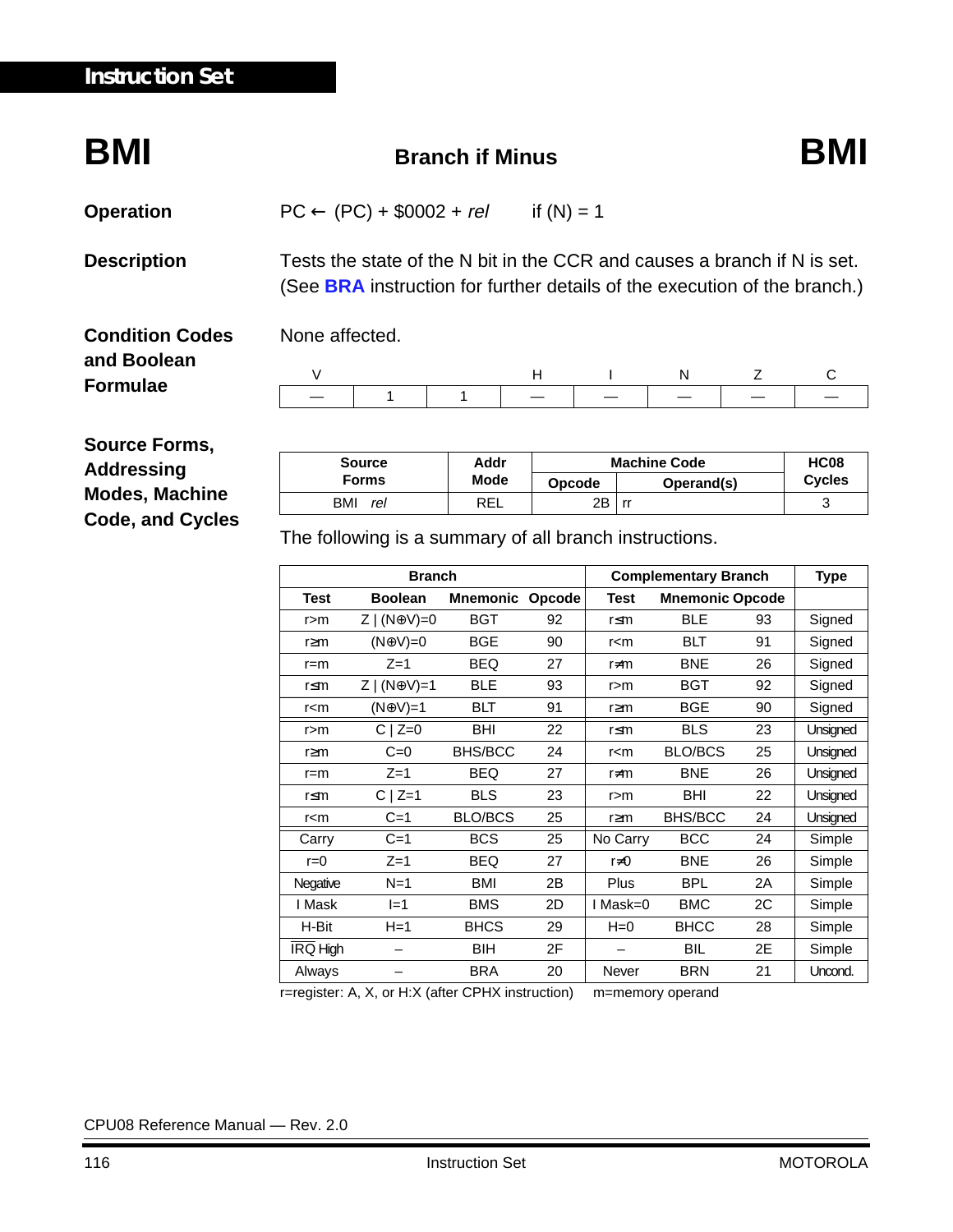# **BMI Branch if Minus BMI**

| <b>Operation</b>       | $PC \leftarrow (PC) + $0002 + rel$ | if $(N) = 1$                                                                                                                                                 |
|------------------------|------------------------------------|--------------------------------------------------------------------------------------------------------------------------------------------------------------|
| <b>Description</b>     |                                    | Tests the state of the N bit in the CCR and causes a branch if N is set.<br>(See <b>BRA</b> instruction for further details of the execution of the branch.) |
| <b>Condition Codes</b> | None affected.                     |                                                                                                                                                              |

**Condition Codes and Boolean**

**Formulae**

|  |  | and the state of the state |  |  |
|--|--|----------------------------|--|--|
|  |  |                            |  |  |

**Source Forms, Addressing Modes, Machine Code, and Cycles**

| Source            | Addr       | <b>Machine Code</b> |            | <b>HC08</b>   |
|-------------------|------------|---------------------|------------|---------------|
| <b>Forms</b>      | Mode       | Opcode              | Operand(s) | <b>Cycles</b> |
| <b>BMI</b><br>rel | <b>REL</b> | 2Β                  | <b>rr</b>  | ຈ             |
|                   |            |                     |            |               |

The following is a summary of all branch instructions.

|                 | <b>Branch</b>        |                 | <b>Complementary Branch</b> |            | <b>Type</b>            |    |          |
|-----------------|----------------------|-----------------|-----------------------------|------------|------------------------|----|----------|
| <b>Test</b>     | <b>Boolean</b>       | <b>Mnemonic</b> | Opcode                      | Test       | <b>Mnemonic Opcode</b> |    |          |
| r > m           | $Z   (N \oplus V)=0$ | <b>BGT</b>      | 92                          | $r \leq m$ | <b>BLE</b>             | 93 | Signed   |
| $r \geq m$      | $(N \oplus V) = 0$   | <b>BGE</b>      | 90                          | r < m      | <b>BLT</b>             | 91 | Signed   |
| $r = m$         | $Z=1$                | <b>BEQ</b>      | 27                          | r≠m        | <b>BNE</b>             | 26 | Signed   |
| r≤m             | $Z   (N \oplus V)=1$ | <b>BLE</b>      | 93                          | r > m      | <b>BGT</b>             | 92 | Signed   |
| r < m           | $(N \oplus V)=1$     | <b>BLT</b>      | 91                          | $r \geq m$ | <b>BGE</b>             | 90 | Signed   |
| r > m           | $C \mid Z=0$         | BHI             | 22                          | $r \leq m$ | <b>BLS</b>             | 23 | Unsigned |
| r≥m             | $C=0$                | <b>BHS/BCC</b>  | 24                          | r < m      | <b>BLO/BCS</b>         | 25 | Unsigned |
| $r = m$         | $Z=1$                | <b>BEQ</b>      | 27                          | r≠m        | <b>BNE</b>             | 26 | Unsigned |
| r≤m             | $C \mid Z=1$         | <b>BLS</b>      | 23                          | r > m      | <b>BHI</b>             | 22 | Unsigned |
| r < m           | $C=1$                | <b>BLO/BCS</b>  | 25                          | $r \geq m$ | <b>BHS/BCC</b>         | 24 | Unsigned |
| Carry           | $C=1$                | <b>BCS</b>      | 25                          | No Carry   | <b>BCC</b>             | 24 | Simple   |
| $r = 0$         | $Z=1$                | <b>BEQ</b>      | 27                          | r≠0        | <b>BNE</b>             | 26 | Simple   |
| Negative        | $N=1$                | <b>BMI</b>      | 2B                          | Plus       | <b>BPL</b>             | 2A | Simple   |
| I Mask          | $I=1$                | <b>BMS</b>      | 2D                          | I Mask=0   | <b>BMC</b>             | 2C | Simple   |
| H-Bit           | $H=1$                | <b>BHCS</b>     | 29                          | $H=0$      | <b>BHCC</b>            | 28 | Simple   |
| <b>IRQ High</b> |                      | <b>BIH</b>      | 2F                          |            | BIL                    | 2E | Simple   |
| Always          |                      | <b>BRA</b>      | 20                          | Never      | <b>BRN</b>             | 21 | Uncond.  |

r=register: A, X, or H:X (after CPHX instruction) m=memory operand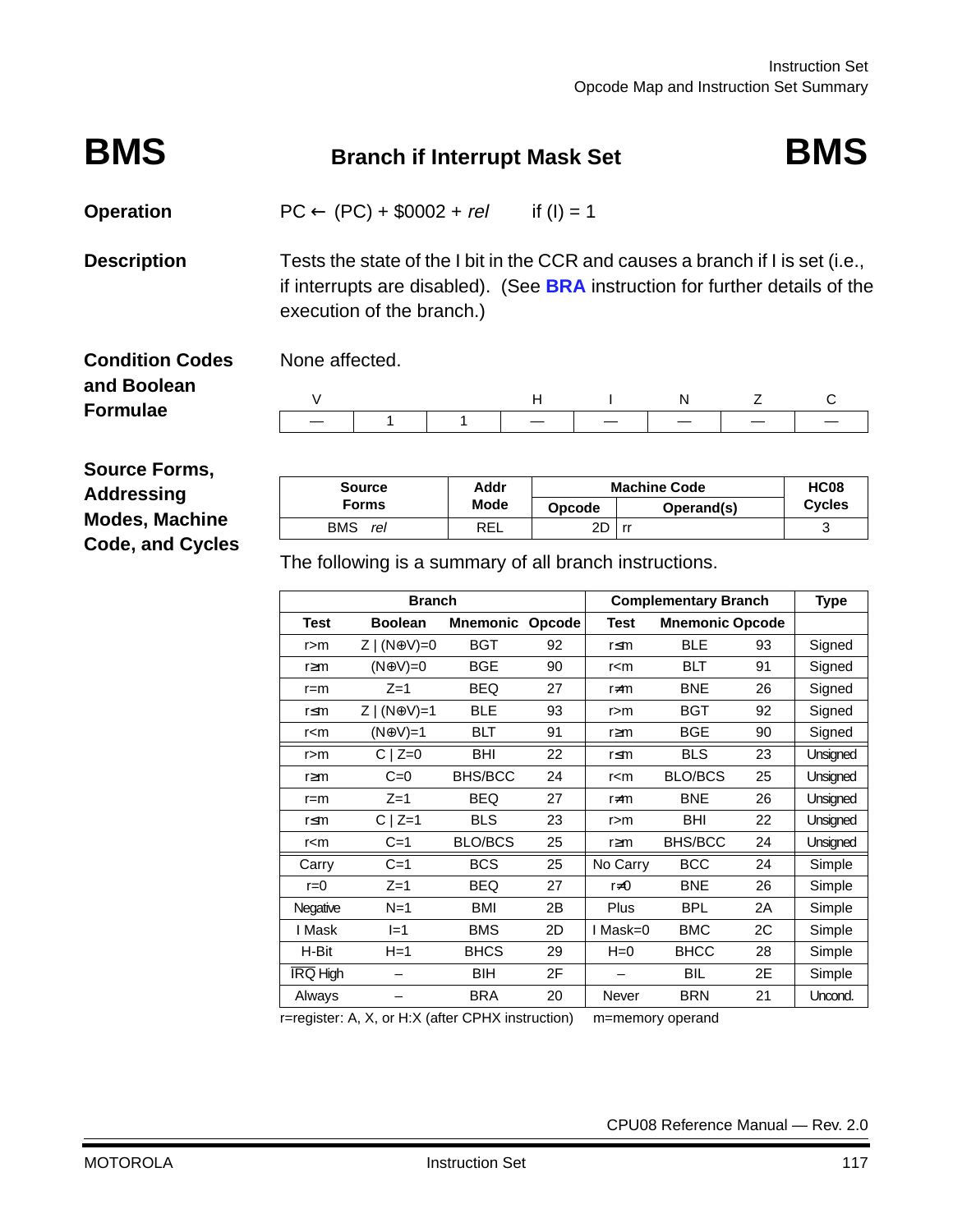# **BMS Branch if Interrupt Mask Set BMS**



**Operation**  $PC \leftarrow (PC) + $0002 + rel$  if (I) = 1

ſ

**Description** Tests the state of the I bit in the CCR and causes a branch if I is set (i.e., if interrupts are disabled). (See **[BRA](#page-119-0)** instruction for further details of the execution of the branch.)

**Condition Codes and Boolean**

None affected.

**Formulae**

|  | ____ | $\sim$ $\sim$ $\sim$ $\sim$ $\sim$ $\sim$ | $\sim$ $\sim$ $\sim$ $\sim$ $\sim$ $\sim$ $\sim$ |  |
|--|------|-------------------------------------------|--------------------------------------------------|--|

**Source Forms, Addressing Modes, Machine Code, and Cycles**

| <b>Source</b>     | Addr       | <b>Machine Code</b> | <b>HC08</b> |               |
|-------------------|------------|---------------------|-------------|---------------|
| <b>Forms</b>      | Mode       | Opcode              | Operand(s)  | <b>Cycles</b> |
| <b>BMS</b><br>rel | <b>REL</b> | 2D                  | rr          |               |

The following is a summary of all branch instructions.

|             | <b>Branch</b>             |                 | <b>Complementary Branch</b> |            | Type                   |    |          |
|-------------|---------------------------|-----------------|-----------------------------|------------|------------------------|----|----------|
| <b>Test</b> | <b>Boolean</b>            | <b>Mnemonic</b> | Opcode                      | Test       | <b>Mnemonic Opcode</b> |    |          |
| r > m       | $Z \mid (N \oplus V) = 0$ | BGT             | 92                          | $r \leq m$ | <b>BLE</b>             | 93 | Signed   |
| r≥m         | $(N \oplus V) = 0$        | <b>BGE</b>      | 90                          | r < m      | <b>BLT</b>             | 91 | Signed   |
| $r = m$     | $Z=1$                     | <b>BEQ</b>      | 27                          | r≠m        | <b>BNE</b>             | 26 | Signed   |
| r≤m         | $Z   (N \oplus V)=1$      | <b>BLE</b>      | 93                          | r > m      | BGT                    | 92 | Signed   |
| r < m       | $(N \oplus V)=1$          | <b>BLT</b>      | 91                          | r≥m        | BGE                    | 90 | Signed   |
| r > m       | $C \mid Z=0$              | <b>BHI</b>      | 22                          | $r \leq m$ | <b>BLS</b>             | 23 | Unsigned |
| r≥m         | $C=0$                     | <b>BHS/BCC</b>  | 24                          | r < m      | <b>BLO/BCS</b>         | 25 | Unsigned |
| $r = m$     | $Z=1$                     | <b>BEQ</b>      | 27                          | r≠m        | <b>BNE</b>             | 26 | Unsigned |
| r≤m         | $C \mid Z=1$              | <b>BLS</b>      | 23                          | r > m      | <b>BHI</b>             | 22 | Unsigned |
| r < m       | $C=1$                     | <b>BLO/BCS</b>  | 25                          | r≥m        | <b>BHS/BCC</b>         | 24 | Unsigned |
| Carry       | $C=1$                     | <b>BCS</b>      | 25                          | No Carry   | <b>BCC</b>             | 24 | Simple   |
| $r=0$       | $Z=1$                     | <b>BEQ</b>      | 27                          | r≠0        | <b>BNE</b>             | 26 | Simple   |
| Negative    | $N=1$                     | <b>BMI</b>      | 2B                          | Plus       | <b>BPL</b>             | 2A | Simple   |
| I Mask      | $I=1$                     | <b>BMS</b>      | 2D                          | I Mask=0   | <b>BMC</b>             | 2C | Simple   |
| H-Bit       | $H = 1$                   | <b>BHCS</b>     | 29                          | $H=0$      | <b>BHCC</b>            | 28 | Simple   |
| IRQ High    |                           | <b>BIH</b>      | 2F                          |            | BIL                    | 2E | Simple   |
| Always      |                           | <b>BRA</b>      | 20                          | Never      | <b>BRN</b>             | 21 | Uncond.  |

r=register: A, X, or H:X (after CPHX instruction) m=memory operand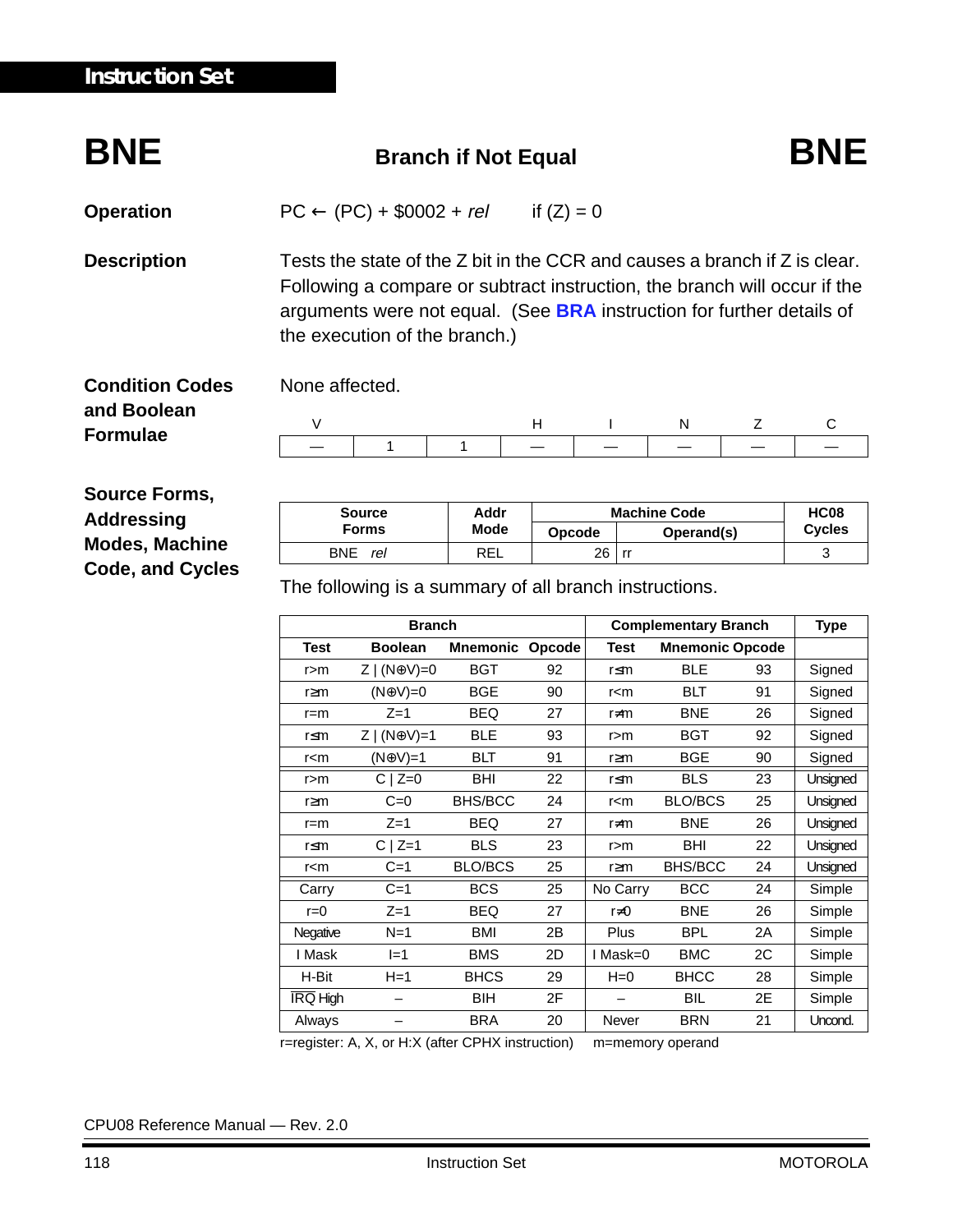| <b>BNE</b>                                | <b>Branch if Not Equal</b> |                                                                                                                                                                                                                                                                   |      |              |  |                     | <b>BNE</b> |             |  |
|-------------------------------------------|----------------------------|-------------------------------------------------------------------------------------------------------------------------------------------------------------------------------------------------------------------------------------------------------------------|------|--------------|--|---------------------|------------|-------------|--|
| <b>Operation</b>                          |                            | $PC \leftarrow (PC) + $0002 + rel$                                                                                                                                                                                                                                |      | if $(Z) = 0$ |  |                     |            |             |  |
| <b>Description</b>                        |                            | Tests the state of the Z bit in the CCR and causes a branch if Z is clear.<br>Following a compare or subtract instruction, the branch will occur if the<br>arguments were not equal. (See BRA instruction for further details of<br>the execution of the branch.) |      |              |  |                     |            |             |  |
| <b>Condition Codes</b><br>and Boolean     | None affected.<br>V        |                                                                                                                                                                                                                                                                   |      | н            |  | N                   | Z          | C           |  |
| <b>Formulae</b>                           |                            | 1                                                                                                                                                                                                                                                                 | 1    |              |  |                     |            |             |  |
| <b>Source Forms,</b><br><b>Addressing</b> |                            | <b>Source</b>                                                                                                                                                                                                                                                     | Addr |              |  | <b>Machine Code</b> |            | <b>HC08</b> |  |

#### **Addressing Modes, Machine Code, and Cycles**

| <b>Source</b>     | Addr       | <b>Machine Code</b> | <b>HC08</b> |               |
|-------------------|------------|---------------------|-------------|---------------|
| <b>Forms</b>      | Mode       | Opcode              | Operand(s)  | <b>Cycles</b> |
| <b>BNE</b><br>rel | <b>REL</b> | 26                  | rr          |               |

The following is a summary of all branch instructions.

|                                                                                                                          | <b>Branch</b>             | <b>Complementary Branch</b> |        |             | <b>Type</b>            |    |          |
|--------------------------------------------------------------------------------------------------------------------------|---------------------------|-----------------------------|--------|-------------|------------------------|----|----------|
| <b>Test</b>                                                                                                              | <b>Boolean</b>            | <b>Mnemonic</b>             | Opcode | Test        | <b>Mnemonic Opcode</b> |    |          |
| r > m                                                                                                                    | $Z \mid (N \oplus V) = 0$ | <b>BGT</b>                  | 92     | $r \leq m$  | <b>BLE</b>             | 93 | Signed   |
| r≥m                                                                                                                      | $(N \oplus V) = 0$        | <b>BGE</b>                  | 90     | r < m       | <b>BLT</b>             | 91 | Signed   |
| $r = m$                                                                                                                  | $Z = 1$                   | <b>BEQ</b>                  | 27     | r≠m         | <b>BNE</b>             | 26 | Signed   |
| $r \leq m$                                                                                                               | $Z   (N \oplus V)=1$      | <b>BLE</b>                  | 93     | r > m       | <b>BGT</b>             | 92 | Signed   |
| r <m< td=""><td>(N⊕V)=1</td><td><b>BLT</b></td><td>91</td><td>r≥m</td><td><b>BGE</b></td><td>90</td><td>Signed</td></m<> | (N⊕V)=1                   | <b>BLT</b>                  | 91     | r≥m         | <b>BGE</b>             | 90 | Signed   |
| r > m                                                                                                                    | $C \mid Z=0$              | <b>BHI</b>                  | 22     | $r \leq m$  | <b>BLS</b>             | 23 | Unsigned |
| r≥m                                                                                                                      | $C=0$                     | BHS/BCC                     | 24     | r < m       | <b>BLO/BCS</b>         | 25 | Unsigned |
| $r = m$                                                                                                                  | $Z=1$                     | <b>BEQ</b>                  | 27     | r≠m         | <b>BNE</b>             | 26 | Unsigned |
| $r \leq m$                                                                                                               | $C \mid Z=1$              | <b>BLS</b>                  | 23     | r > m       | <b>BHI</b>             | 22 | Unsigned |
| r < m                                                                                                                    | $C=1$                     | <b>BLO/BCS</b>              | 25     | r≥m         | BHS/BCC                | 24 | Unsigned |
| Carry                                                                                                                    | $C=1$                     | <b>BCS</b>                  | 25     | No Carry    | <b>BCC</b>             | 24 | Simple   |
| $r=0$                                                                                                                    | $Z=1$                     | <b>BEQ</b>                  | 27     | r≠0         | <b>BNE</b>             | 26 | Simple   |
| Negative                                                                                                                 | $N=1$                     | <b>BMI</b>                  | 2B     | <b>Plus</b> | <b>BPL</b>             | 2A | Simple   |
| I Mask                                                                                                                   | $I=1$                     | <b>BMS</b>                  | 2D     | I Mask=0    | <b>BMC</b>             | 2C | Simple   |
| H-Bit                                                                                                                    | $H=1$                     | <b>BHCS</b>                 | 29     | $H=0$       | <b>BHCC</b>            | 28 | Simple   |
| IRQ High                                                                                                                 |                           | <b>BIH</b>                  | 2F     |             | BIL                    | 2E | Simple   |
| Always                                                                                                                   |                           | <b>BRA</b>                  | 20     | Never       | <b>BRN</b>             | 21 | Uncond.  |

r=register: A, X, or H:X (after CPHX instruction) m=memory operand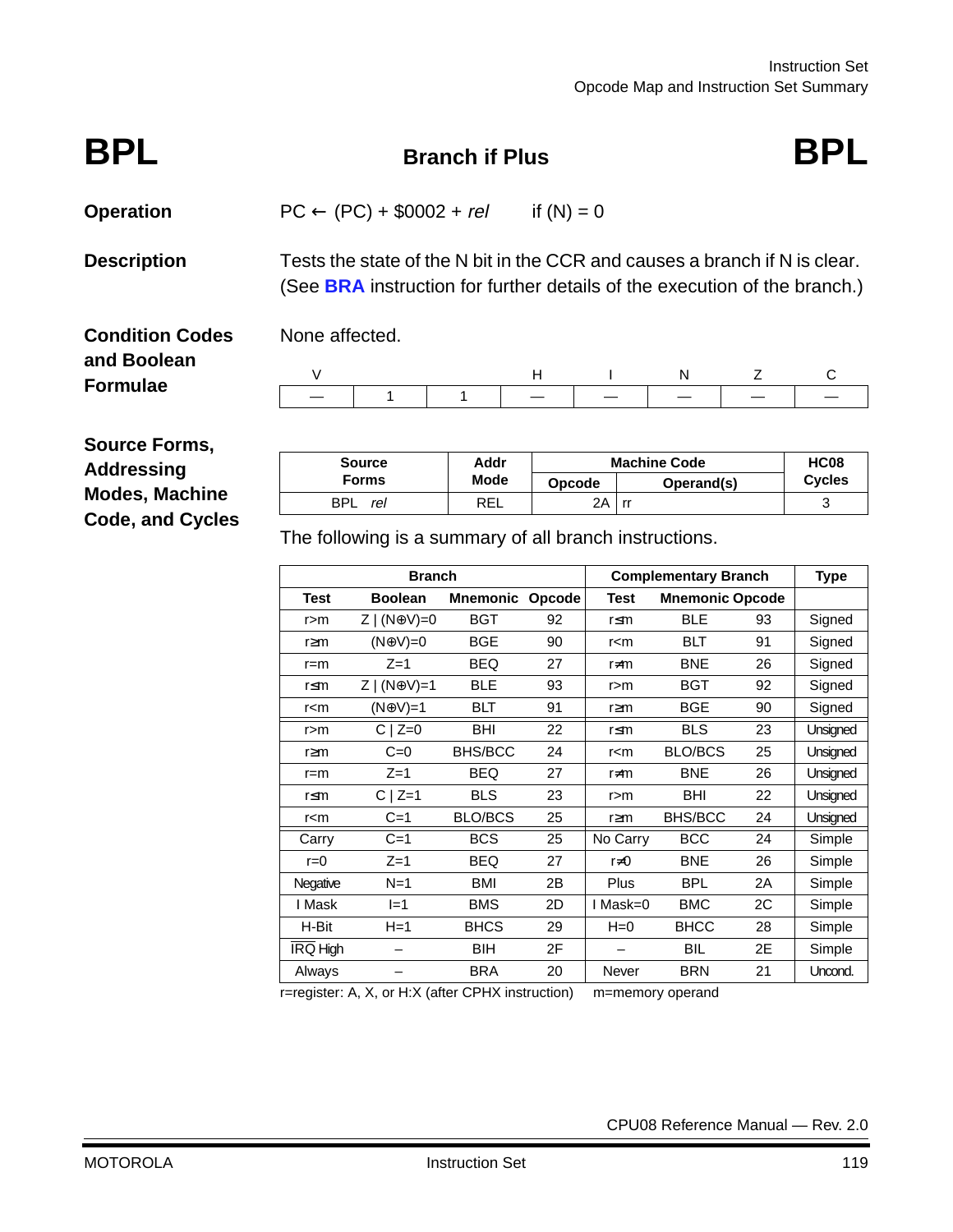## **BPL Branch if Plus BPL**

|--|

| <b>Operation</b>   | $PC \leftarrow (PC) + $0002 + rel$ | if $(N) = 0$                                                               |
|--------------------|------------------------------------|----------------------------------------------------------------------------|
| <b>Description</b> |                                    | Tests the state of the N bit in the CCR and causes a branch if N is clear. |
|                    |                                    | (See BRA instruction for further details of the execution of the branch.)  |

None affected.

V H I N Z C — 1 1 1 1 1 — 1 — 1 — 1 — 1 —

**Source Forms, Addressing Modes, Machine Code, and Cycles**

**Condition Codes**

**and Boolean Formulae**

| Source            | Addr       |        | <b>Machine Code</b> |               |
|-------------------|------------|--------|---------------------|---------------|
| <b>Forms</b>      | Mode       | Opcode | Operand(s)          | <b>Cycles</b> |
| <b>BPL</b><br>rel | <b>REL</b> | 2Α     | rr                  |               |
|                   |            |        |                     |               |

The following is a summary of all branch instructions.

|                 | <b>Branch</b>          |                        |    | <b>Complementary Branch</b> |                        | <b>Type</b> |          |
|-----------------|------------------------|------------------------|----|-----------------------------|------------------------|-------------|----------|
| <b>Test</b>     | <b>Boolean</b>         | <b>Mnemonic Opcode</b> |    | <b>Test</b>                 | <b>Mnemonic Opcode</b> |             |          |
| r > m           | $Z$   (N $\oplus$ V)=0 | <b>BGT</b>             | 92 | r≤m                         | <b>BLE</b>             | 93          | Signed   |
| $r \geq m$      | $(N \oplus V) = 0$     | <b>BGE</b>             | 90 | r < m                       | <b>BLT</b>             | 91          | Signed   |
| $r = m$         | $Z=1$                  | <b>BEQ</b>             | 27 | r≠m                         | <b>BNE</b>             | 26          | Signed   |
| r≤m             | $Z   (N \oplus V)=1$   | <b>BLE</b>             | 93 | r > m                       | <b>BGT</b>             | 92          | Signed   |
| r < m           | $(N \oplus V)=1$       | <b>BLT</b>             | 91 | $r \geq m$                  | <b>BGE</b>             | 90          | Signed   |
| r > m           | $C \mid Z=0$           | BHI                    | 22 | $r \leq m$                  | <b>BLS</b>             | 23          | Unsigned |
| r≥m             | $C=0$                  | <b>BHS/BCC</b>         | 24 | r < m                       | <b>BLO/BCS</b>         | 25          | Unsigned |
| $r = m$         | $Z=1$                  | <b>BEQ</b>             | 27 | r≠m                         | <b>BNE</b>             | 26          | Unsigned |
| r≤m             | $C \mid Z=1$           | <b>BLS</b>             | 23 | r > m                       | BHI                    | 22          | Unsigned |
| r < m           | $C=1$                  | <b>BLO/BCS</b>         | 25 | $r \geq m$                  | <b>BHS/BCC</b>         | 24          | Unsigned |
| Carry           | $C=1$                  | <b>BCS</b>             | 25 | No Carry                    | <b>BCC</b>             | 24          | Simple   |
| $r = 0$         | $Z=1$                  | <b>BEQ</b>             | 27 | r≠0                         | <b>BNE</b>             | 26          | Simple   |
| Negative        | $N=1$                  | <b>BMI</b>             | 2B | Plus                        | <b>BPL</b>             | 2A          | Simple   |
| I Mask          | $I=1$                  | <b>BMS</b>             | 2D | I Mask=0                    | <b>BMC</b>             | 2C          | Simple   |
| H-Bit           | $H = 1$                | <b>BHCS</b>            | 29 | $H=0$                       | <b>BHCC</b>            | 28          | Simple   |
| <b>IRQ</b> High |                        | <b>BIH</b>             | 2F |                             | BIL                    | 2E          | Simple   |
| Always          |                        | <b>BRA</b>             | 20 | Never                       | <b>BRN</b>             | 21          | Uncond.  |

r=register: A, X, or H:X (after CPHX instruction) m=memory operand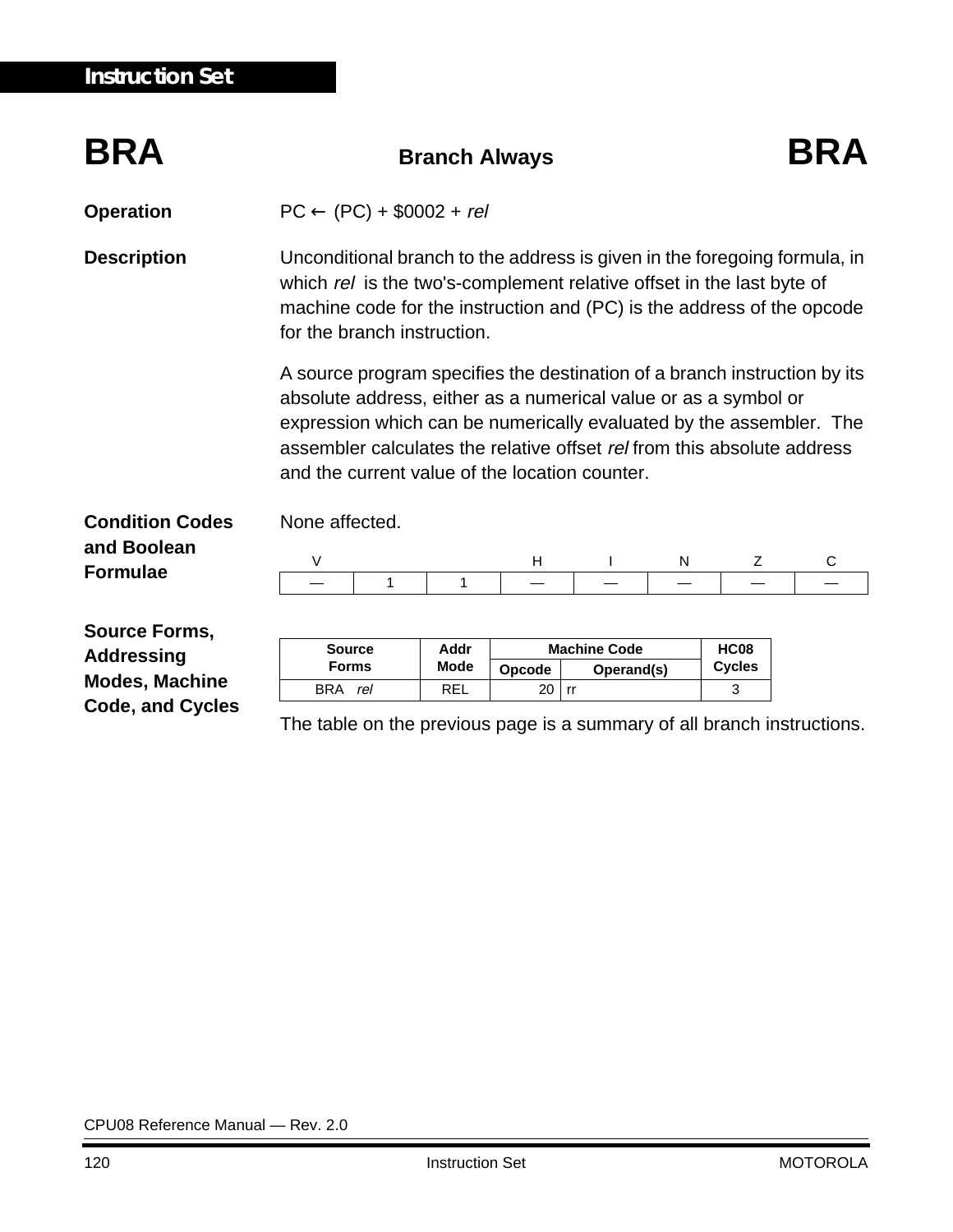<span id="page-119-0"></span>

| $PC \leftarrow (PC) + $0002 + rel$<br><b>Operation</b><br>Unconditional branch to the address is given in the foregoing formula, in<br><b>Description</b><br>which rel is the two's-complement relative offset in the last byte of<br>machine code for the instruction and (PC) is the address of the opcode<br>for the branch instruction.<br>A source program specifies the destination of a branch instruction by its<br>absolute address, either as a numerical value or as a symbol or<br>expression which can be numerically evaluated by the assembler. The<br>assembler calculates the relative offset rel from this absolute address<br>and the current value of the location counter.<br><b>Condition Codes</b><br>None affected.<br>and Boolean<br>C<br>V<br>H<br>N<br>Ζ<br>L<br><b>Formulae</b><br>1<br>1<br><b>Source Forms,</b><br>Addr<br><b>Machine Code</b><br><b>HC08</b><br><b>Source</b><br><b>Addressing</b><br><b>Forms</b><br>Mode<br><b>Cycles</b><br>Opcode<br>Operand(s)<br><b>Modes, Machine</b><br>BRA rel<br><b>REL</b><br>3<br>20<br>rr | <b>BRA</b>              |  |  | <b>Branch Always</b> |  |  |  | BRA |
|-----------------------------------------------------------------------------------------------------------------------------------------------------------------------------------------------------------------------------------------------------------------------------------------------------------------------------------------------------------------------------------------------------------------------------------------------------------------------------------------------------------------------------------------------------------------------------------------------------------------------------------------------------------------------------------------------------------------------------------------------------------------------------------------------------------------------------------------------------------------------------------------------------------------------------------------------------------------------------------------------------------------------------------------------------------------------|-------------------------|--|--|----------------------|--|--|--|-----|
|                                                                                                                                                                                                                                                                                                                                                                                                                                                                                                                                                                                                                                                                                                                                                                                                                                                                                                                                                                                                                                                                       |                         |  |  |                      |  |  |  |     |
|                                                                                                                                                                                                                                                                                                                                                                                                                                                                                                                                                                                                                                                                                                                                                                                                                                                                                                                                                                                                                                                                       |                         |  |  |                      |  |  |  |     |
|                                                                                                                                                                                                                                                                                                                                                                                                                                                                                                                                                                                                                                                                                                                                                                                                                                                                                                                                                                                                                                                                       |                         |  |  |                      |  |  |  |     |
|                                                                                                                                                                                                                                                                                                                                                                                                                                                                                                                                                                                                                                                                                                                                                                                                                                                                                                                                                                                                                                                                       |                         |  |  |                      |  |  |  |     |
|                                                                                                                                                                                                                                                                                                                                                                                                                                                                                                                                                                                                                                                                                                                                                                                                                                                                                                                                                                                                                                                                       |                         |  |  |                      |  |  |  |     |
|                                                                                                                                                                                                                                                                                                                                                                                                                                                                                                                                                                                                                                                                                                                                                                                                                                                                                                                                                                                                                                                                       |                         |  |  |                      |  |  |  |     |
|                                                                                                                                                                                                                                                                                                                                                                                                                                                                                                                                                                                                                                                                                                                                                                                                                                                                                                                                                                                                                                                                       |                         |  |  |                      |  |  |  |     |
|                                                                                                                                                                                                                                                                                                                                                                                                                                                                                                                                                                                                                                                                                                                                                                                                                                                                                                                                                                                                                                                                       |                         |  |  |                      |  |  |  |     |
|                                                                                                                                                                                                                                                                                                                                                                                                                                                                                                                                                                                                                                                                                                                                                                                                                                                                                                                                                                                                                                                                       | <b>Code, and Cycles</b> |  |  |                      |  |  |  |     |

The table on the previous page is a summary of all branch instructions.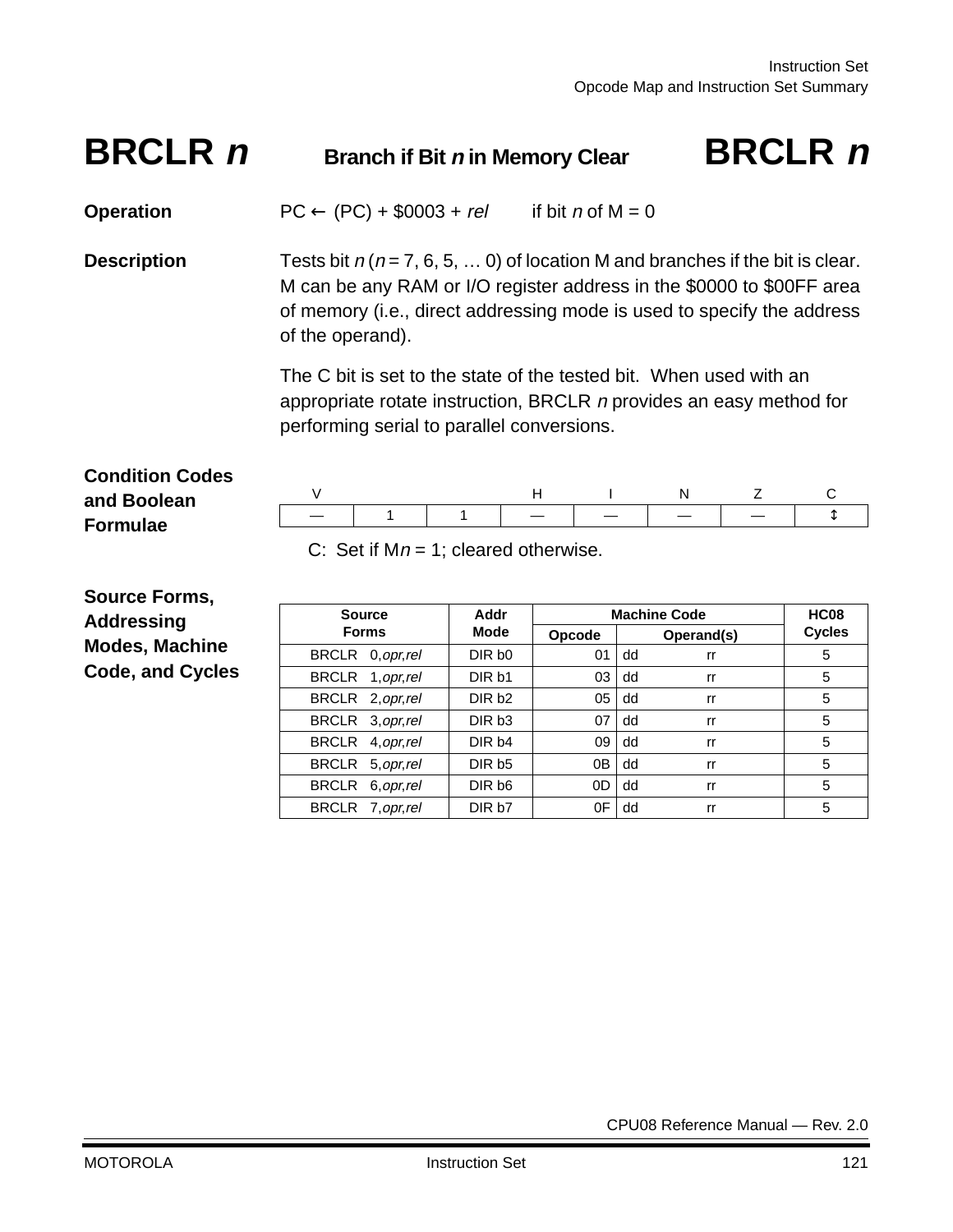## **BRCLR <sup>n</sup> Branch if Bit <sup>n</sup> in Memory Clear BRCLR <sup>n</sup>**

**Operation**  $PC \leftarrow (PC) + $0003 + rel$  if bit n of M = 0

**Description** Tests bit  $n (n = 7, 6, 5, ...)$  of location M and branches if the bit is clear. M can be any RAM or I/O register address in the \$0000 to \$00FF area of memory (i.e., direct addressing mode is used to specify the address of the operand).

> The C bit is set to the state of the tested bit. When used with an appropriate rotate instruction, BRCLR n provides an easy method for performing serial to parallel conversions.

#### **Condition Codes and Boolean Formulae**

|  |  | $1 \quad 1 \quad 1 \quad - \quad 1 \quad - \quad 1$ | _______ |  |
|--|--|-----------------------------------------------------|---------|--|
|  |  |                                                     |         |  |

C: Set if  $Mn = 1$ ; cleared otherwise.

| <b>Source Forms,</b>    |
|-------------------------|
| <b>Addressing</b>       |
| <b>Modes, Machine</b>   |
| <b>Code, and Cycles</b> |

| <b>Source</b>     | Addr               |                | <b>Machine Code</b> |            |               |  |
|-------------------|--------------------|----------------|---------------------|------------|---------------|--|
| <b>Forms</b>      | <b>Mode</b>        | Opcode         |                     | Operand(s) | <b>Cycles</b> |  |
| BRCLR 0,opr,rel   | DIR b <sub>0</sub> | 01             | dd                  | rr         | 5             |  |
| BRCLR 1, opr, rel | DIR b1             | 03             | dd                  | rr         | 5             |  |
| BRCLR 2, opr, rel | DIR b <sub>2</sub> | 05             | dd                  | rr         | 5             |  |
| BRCLR 3, opr, rel | DIR <sub>b3</sub>  | 07             | dd                  | rr         | 5             |  |
| BRCLR 4, opr, rel | DIR b <sub>4</sub> | 09             | dd                  | rr         | 5             |  |
| BRCLR 5, opr, rel | DIR b <sub>5</sub> | 0 <sub>B</sub> | dd                  | rr         | 5             |  |
| BRCLR 6, opr, rel | DIR b <sub>6</sub> | 0D             | dd                  | rr         | 5             |  |
| BRCLR 7, opr, rel | DIR b7             | 0F             | dd                  | rr         | 5             |  |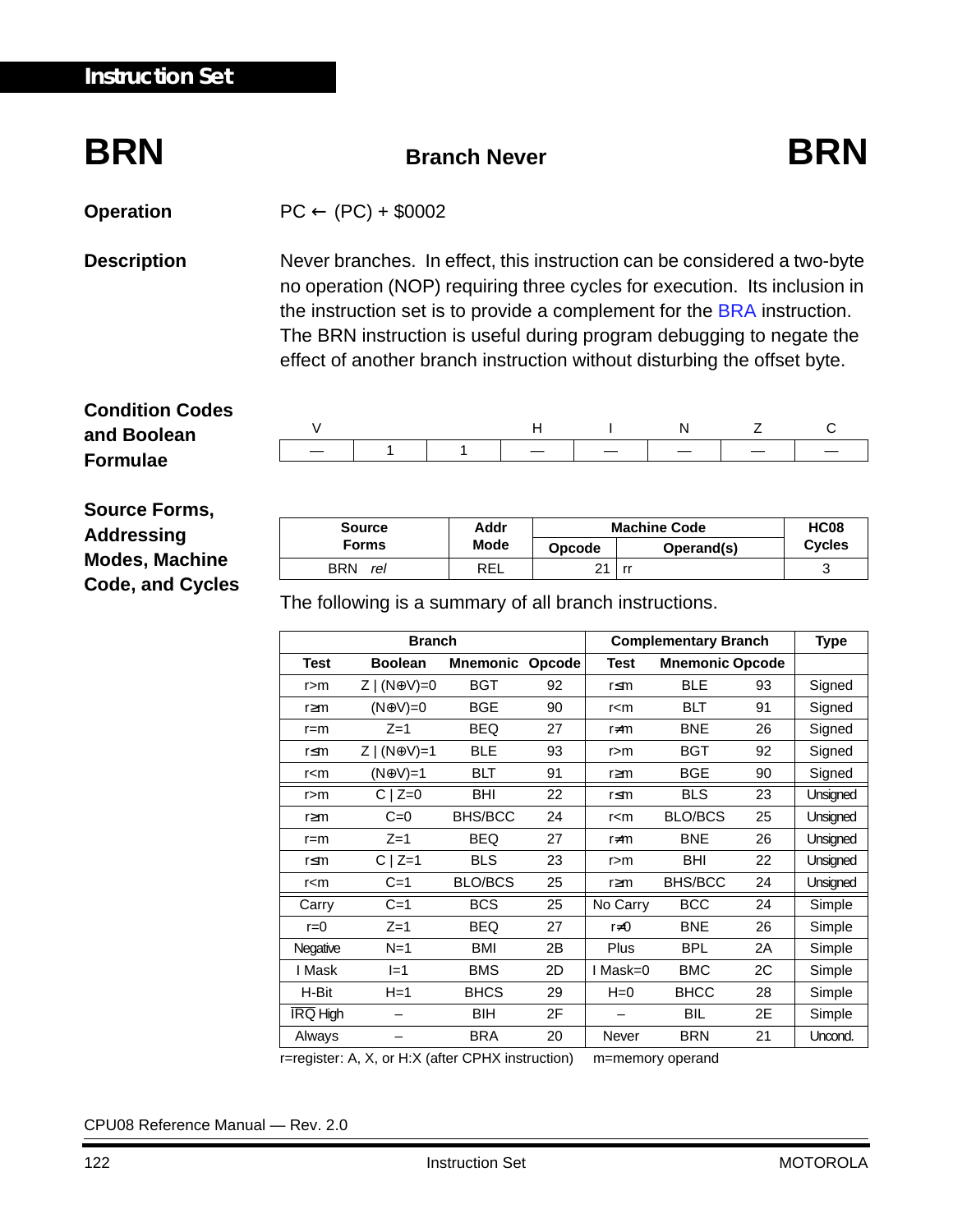# **BRN Branch Never BRN**

**Operation** PC ← (PC) + \$0002

**Description** Never branches. In effect, this instruction can be considered a two-byte no operation (NOP) requiring three cycles for execution. Its inclusion in the instruction set is to provide a complement for the [BRA](#page-119-0) instruction. The BRN instruction is useful during program debugging to negate the effect of another branch instruction without disturbing the offset byte.

| <b>Condition Codes</b> |  |  |  |  |
|------------------------|--|--|--|--|
| and Boolean            |  |  |  |  |
| <b>Formulae</b>        |  |  |  |  |
|                        |  |  |  |  |

### **Source Forms, Addressing Modes, Machine Code, and Cycles**

| <b>Source</b> | Addr       |               | <b>Machine Code</b> | <b>HC08</b> |  |  |
|---------------|------------|---------------|---------------------|-------------|--|--|
| <b>Forms</b>  | Mode       | <b>Opcode</b> | Operand(s)          |             |  |  |
| BRN<br>rel    | <b>REL</b> | $^{\sim}$     | <b>rr</b>           |             |  |  |

The following is a summary of all branch instructions.

|                 | <b>Branch</b>        |                 |        | <b>Complementary Branch</b> |                        | <b>Type</b> |          |
|-----------------|----------------------|-----------------|--------|-----------------------------|------------------------|-------------|----------|
| Test            | <b>Boolean</b>       | <b>Mnemonic</b> | Opcode | <b>Test</b>                 | <b>Mnemonic Opcode</b> |             |          |
| r > m           | $Z   (N \oplus V)=0$ | <b>BGT</b>      | 92     | $r \leq m$                  | <b>BLE</b>             | 93          | Signed   |
| $r \geq m$      | $(N \oplus V) = 0$   | <b>BGE</b>      | 90     | r < m                       | <b>BLT</b>             | 91          | Signed   |
| $r = m$         | $Z=1$                | <b>BEQ</b>      | 27     | r≠m                         | <b>BNE</b>             | 26          | Signed   |
| $r \leq m$      | $Z   (N \oplus V)=1$ | <b>BLE</b>      | 93     | r > m                       | BGT                    | 92          | Signed   |
| r < m           | $(N \oplus V)=1$     | <b>BLT</b>      | 91     | r≥m                         | <b>BGE</b>             | 90          | Signed   |
| r > m           | $C \mid Z=0$         | BHI             | 22     | r≤m                         | <b>BLS</b>             | 23          | Unsigned |
| r≥m             | $C=0$                | BHS/BCC         | 24     | $r<$ m                      | <b>BLO/BCS</b>         | 25          | Unsigned |
| $r = m$         | $Z=1$                | <b>BEQ</b>      | 27     | r≠m                         | <b>BNE</b>             | 26          | Unsigned |
| $r \leq m$      | $C   Z=1$            | <b>BLS</b>      | 23     | r > m                       | <b>BHI</b>             | 22          | Unsigned |
| r < m           | $C=1$                | <b>BLO/BCS</b>  | 25     | r≥m                         | <b>BHS/BCC</b>         | 24          | Unsigned |
| Carry           | $C=1$                | <b>BCS</b>      | 25     | No Carry                    | <b>BCC</b>             | 24          | Simple   |
| $r=0$           | $Z=1$                | <b>BEQ</b>      | 27     | r≠0                         | <b>BNE</b>             | 26          | Simple   |
| Negative        | $N=1$                | <b>BMI</b>      | 2B     | Plus                        | <b>BPL</b>             | 2A          | Simple   |
| I Mask          | $I=1$                | <b>BMS</b>      | 2D     | I Mask=0                    | <b>BMC</b>             | 2C          | Simple   |
| H-Bit           | $H=1$                | <b>BHCS</b>     | 29     | $H=0$                       | <b>BHCC</b>            | 28          | Simple   |
| <b>IRQ High</b> |                      | <b>BIH</b>      | 2F     |                             | BIL                    | 2E          | Simple   |
| Always          |                      | <b>BRA</b>      | 20     | Never                       | <b>BRN</b>             | 21          | Uncond.  |

r=register: A, X, or H:X (after CPHX instruction) m=memory operand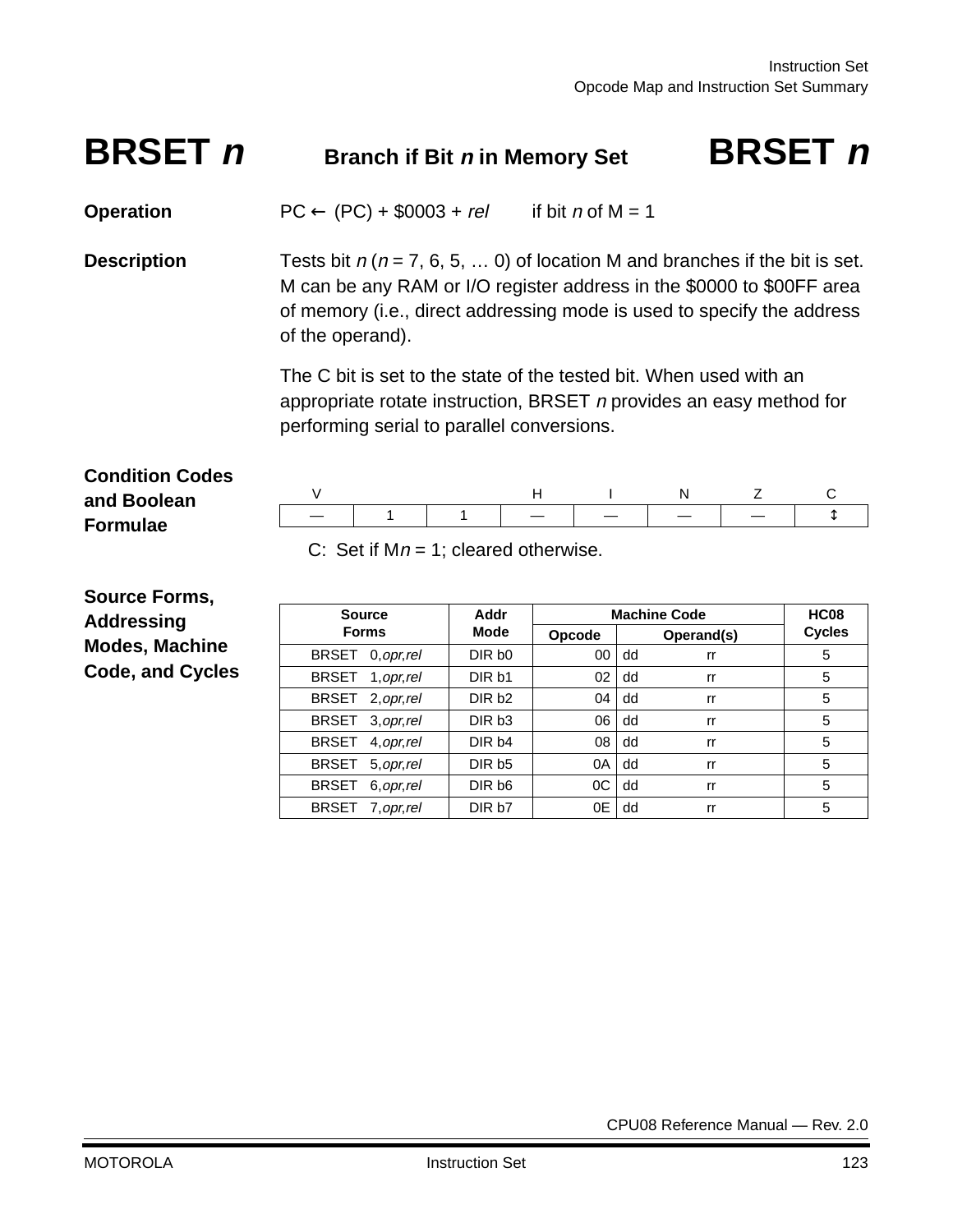# **BRSET <sup>n</sup> Branch if Bit <sup>n</sup> in Memory Set BRSET <sup>n</sup>**

**Operation**  $PC \leftarrow (PC) + $0003 + rel$  if bit n of M = 1

**Description** Tests bit  $n (n = 7, 6, 5, ...)$  of location M and branches if the bit is set. M can be any RAM or I/O register address in the \$0000 to \$00FF area of memory (i.e., direct addressing mode is used to specify the address of the operand).

> The C bit is set to the state of the tested bit. When used with an appropriate rotate instruction, BRSET  $n$  provides an easy method for performing serial to parallel conversions.

#### **Condition Codes and Boolean Formulae**

|  |  | $\sim$ $\sim$ $\sim$ $\sim$ $\sim$ | $\overline{\phantom{a}}$ | $\overline{\phantom{a}}$ |  |
|--|--|------------------------------------|--------------------------|--------------------------|--|
|  |  |                                    |                          |                          |  |

C: Set if  $Mn = 1$ ; cleared otherwise.

| <b>Source Forms,</b>    |
|-------------------------|
| <b>Addressing</b>       |
| <b>Modes, Machine</b>   |
| <b>Code, and Cycles</b> |

| <b>Source</b>               | Addr               |        | <b>Machine Code</b> |            |               |  |
|-----------------------------|--------------------|--------|---------------------|------------|---------------|--|
| <b>Forms</b>                | <b>Mode</b>        | Opcode |                     | Operand(s) | <b>Cycles</b> |  |
| <b>BRSET</b><br>0,opr,rel   | DIR b <sub>0</sub> | 00     | dd                  | rr         | 5             |  |
| <b>BRSET</b><br>1, opr, rel | DIR b1             | 02     | dd                  | rr         | 5             |  |
| <b>BRSET</b><br>2, opr, rel | DIR b <sub>2</sub> | 04     | dd                  | rr         | 5             |  |
| <b>BRSET</b><br>3, opr, rel | DIR <sub>b3</sub>  | 06     | dd                  | rr         | 5             |  |
| <b>BRSET</b><br>4, opr, rel | DIR b <sub>4</sub> | 08     | dd                  | rr         | 5             |  |
| <b>BRSET</b><br>5,opr,rel   | DIR b <sub>5</sub> | 0A     | dd                  | rr         | 5             |  |
| <b>BRSET</b><br>6, opr, rel | DIR b <sub>6</sub> | 0C     | dd                  | rr         | 5             |  |
| <b>BRSET</b><br>7,opr,rel   | DIR b7             | 0E     | dd                  | rr         | 5             |  |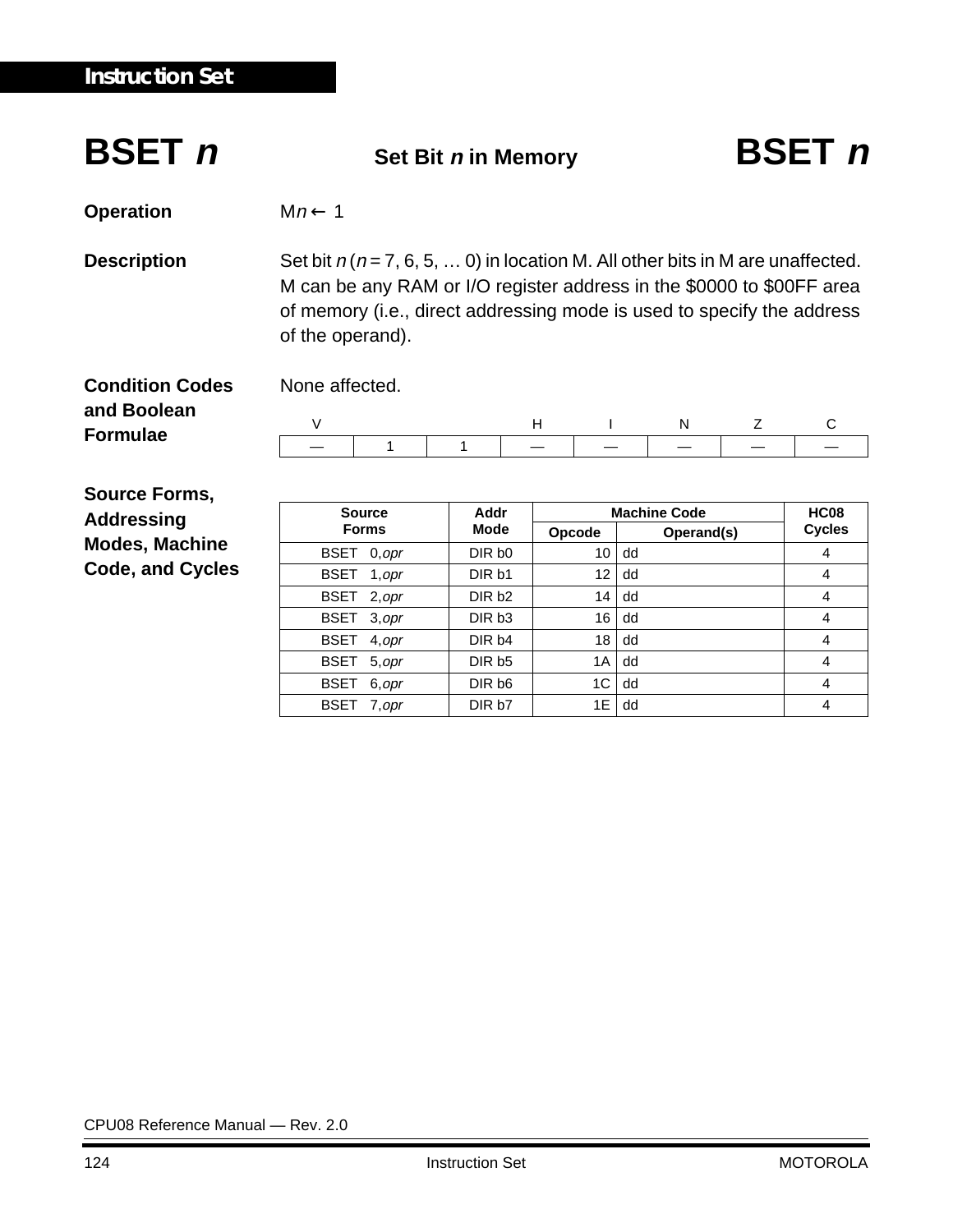| <b>BSET n</b>                                            |                                                                                                                                                                                                                                                       |                          | Set Bit n in Memory |                                   |   |                    |                     |            |                    | <b>BSET n</b>  |
|----------------------------------------------------------|-------------------------------------------------------------------------------------------------------------------------------------------------------------------------------------------------------------------------------------------------------|--------------------------|---------------------|-----------------------------------|---|--------------------|---------------------|------------|--------------------|----------------|
| <b>Operation</b>                                         | $Mn \leftarrow 1$                                                                                                                                                                                                                                     |                          |                     |                                   |   |                    |                     |            |                    |                |
| <b>Description</b>                                       | Set bit $n (n = 7, 6, 5, )$ in location M. All other bits in M are unaffected.<br>M can be any RAM or I/O register address in the \$0000 to \$00FF area<br>of memory (i.e., direct addressing mode is used to specify the address<br>of the operand). |                          |                     |                                   |   |                    |                     |            |                    |                |
| <b>Condition Codes</b><br>and Boolean<br><b>Formulae</b> | None affected.<br>V                                                                                                                                                                                                                                   | $\mathbf{1}$             | 1                   |                                   | H |                    |                     | N          | Z                  | C              |
| <b>Source Forms,</b><br>Addressing                       | <b>Source</b>                                                                                                                                                                                                                                         |                          | Addr                |                                   |   |                    | <b>Machine Code</b> |            | <b>HC08</b>        |                |
| <b>Modes, Machine</b>                                    | <b>BSET</b>                                                                                                                                                                                                                                           | <b>Forms</b><br>$0,$ opr |                     | <b>Mode</b><br>DIR b <sub>0</sub> |   | Opcode<br>10<br>dd |                     | Operand(s) | <b>Cycles</b><br>4 |                |
| <b>Code, and Cycles</b>                                  | <b>BSET</b>                                                                                                                                                                                                                                           | $1,$ opr                 | DIR b1              |                                   |   | 12                 | dd                  |            |                    | $\overline{4}$ |
|                                                          |                                                                                                                                                                                                                                                       | BSET 2, opr              | DIR <sub>b2</sub>   |                                   |   | 14                 | dd                  |            |                    | 4              |

BSET 3, opr | DIR b3 | 16 dd BSET 4,opr DIR b4 18 dd BSET 5,*opr* | DIR b5 | 1A dd BSET 6, opr | DIR b6 | 1C dd | 4 BSET 7,*opr* DIR b7 1E dd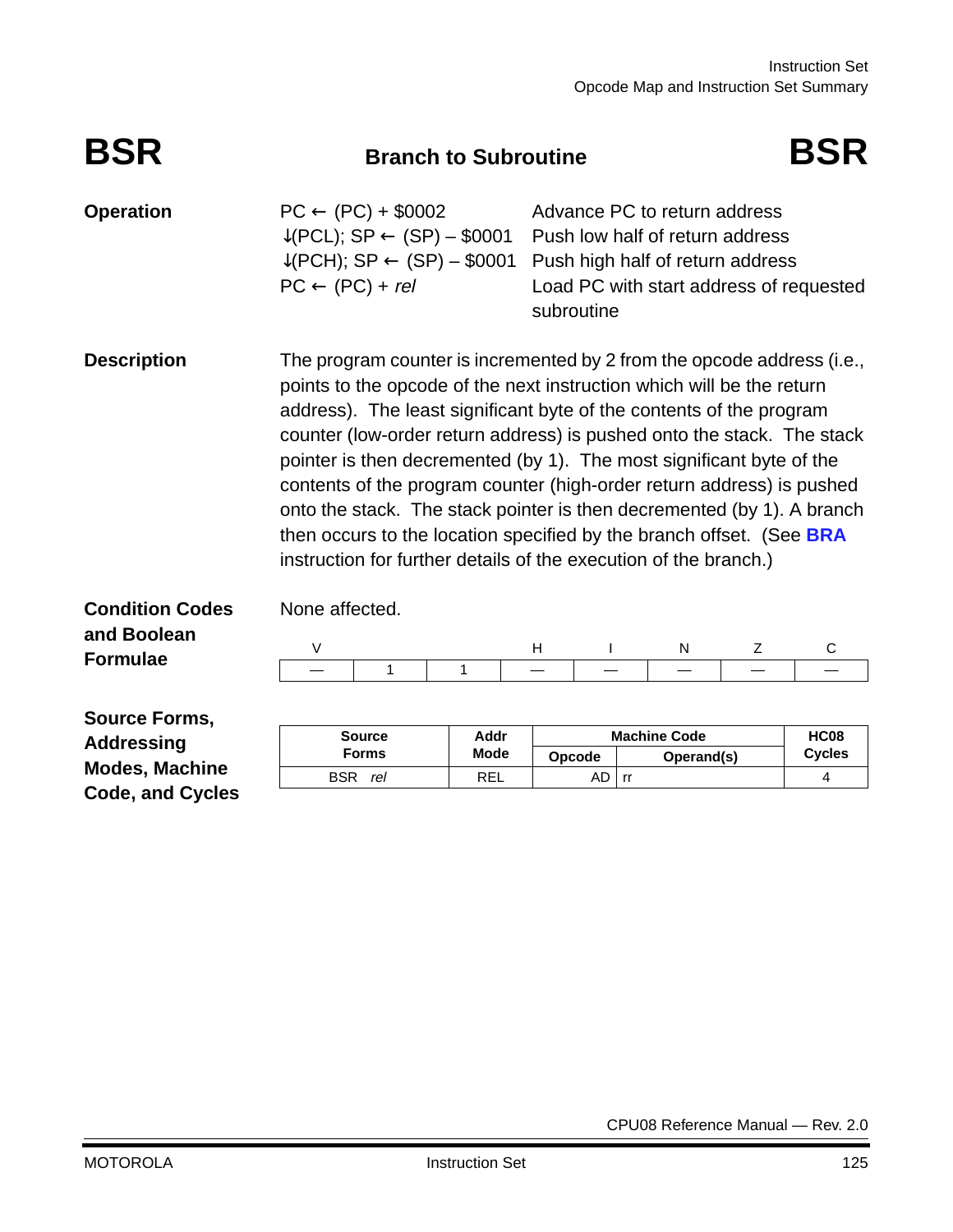# **BSR Branch to Subroutine BSR**

| <b>Operation</b>                      | $PC \leftarrow (PC) + rel$ | $PC \leftarrow (PC) + $0002$  | $\downarrow$ (PCL); SP $\leftarrow$ (SP) – \$0001<br>$\downarrow$ (PCH); SP $\leftarrow$ (SP) – \$0001                                                                                                                                                                                                                                                                                                                                                                                                                                                                                                                                                                  |   | subroutine | Advance PC to return address<br>Push low half of return address<br>Push high half of return address |   | Load PC with start address of requested |
|---------------------------------------|----------------------------|-------------------------------|-------------------------------------------------------------------------------------------------------------------------------------------------------------------------------------------------------------------------------------------------------------------------------------------------------------------------------------------------------------------------------------------------------------------------------------------------------------------------------------------------------------------------------------------------------------------------------------------------------------------------------------------------------------------------|---|------------|-----------------------------------------------------------------------------------------------------|---|-----------------------------------------|
| <b>Description</b>                    |                            |                               | The program counter is incremented by 2 from the opcode address (i.e.,<br>points to the opcode of the next instruction which will be the return<br>address). The least significant byte of the contents of the program<br>counter (low-order return address) is pushed onto the stack. The stack<br>pointer is then decremented (by 1). The most significant byte of the<br>contents of the program counter (high-order return address) is pushed<br>onto the stack. The stack pointer is then decremented (by 1). A branch<br>then occurs to the location specified by the branch offset. (See BRA<br>instruction for further details of the execution of the branch.) |   |            |                                                                                                     |   |                                         |
| <b>Condition Codes</b><br>and Boolean | None affected.             |                               |                                                                                                                                                                                                                                                                                                                                                                                                                                                                                                                                                                                                                                                                         |   |            |                                                                                                     |   |                                         |
| <b>Formulae</b>                       | V                          |                               |                                                                                                                                                                                                                                                                                                                                                                                                                                                                                                                                                                                                                                                                         | H |            | N                                                                                                   | Z | C                                       |
|                                       |                            | 1                             | 1                                                                                                                                                                                                                                                                                                                                                                                                                                                                                                                                                                                                                                                                       |   |            |                                                                                                     |   |                                         |
| <b>Source Forms,</b>                  |                            |                               |                                                                                                                                                                                                                                                                                                                                                                                                                                                                                                                                                                                                                                                                         |   |            |                                                                                                     |   |                                         |
| <b>Addressing</b>                     |                            | <b>Source</b><br><b>Forms</b> | Addr<br>Mode                                                                                                                                                                                                                                                                                                                                                                                                                                                                                                                                                                                                                                                            |   | Opcode     | <b>Machine Code</b><br>Operand(s)                                                                   |   | <b>HC08</b><br><b>Cycles</b>            |

BSR *rel*  $\begin{array}{|c|c|c|c|c|} \hline \end{array}$  REL  $\begin{array}{|c|c|c|c|c|} \hline \end{array}$  AD rr  $\begin{array}{|c|c|c|c|c|} \hline \end{array}$  4

**Modes, Machine Code, and Cycles**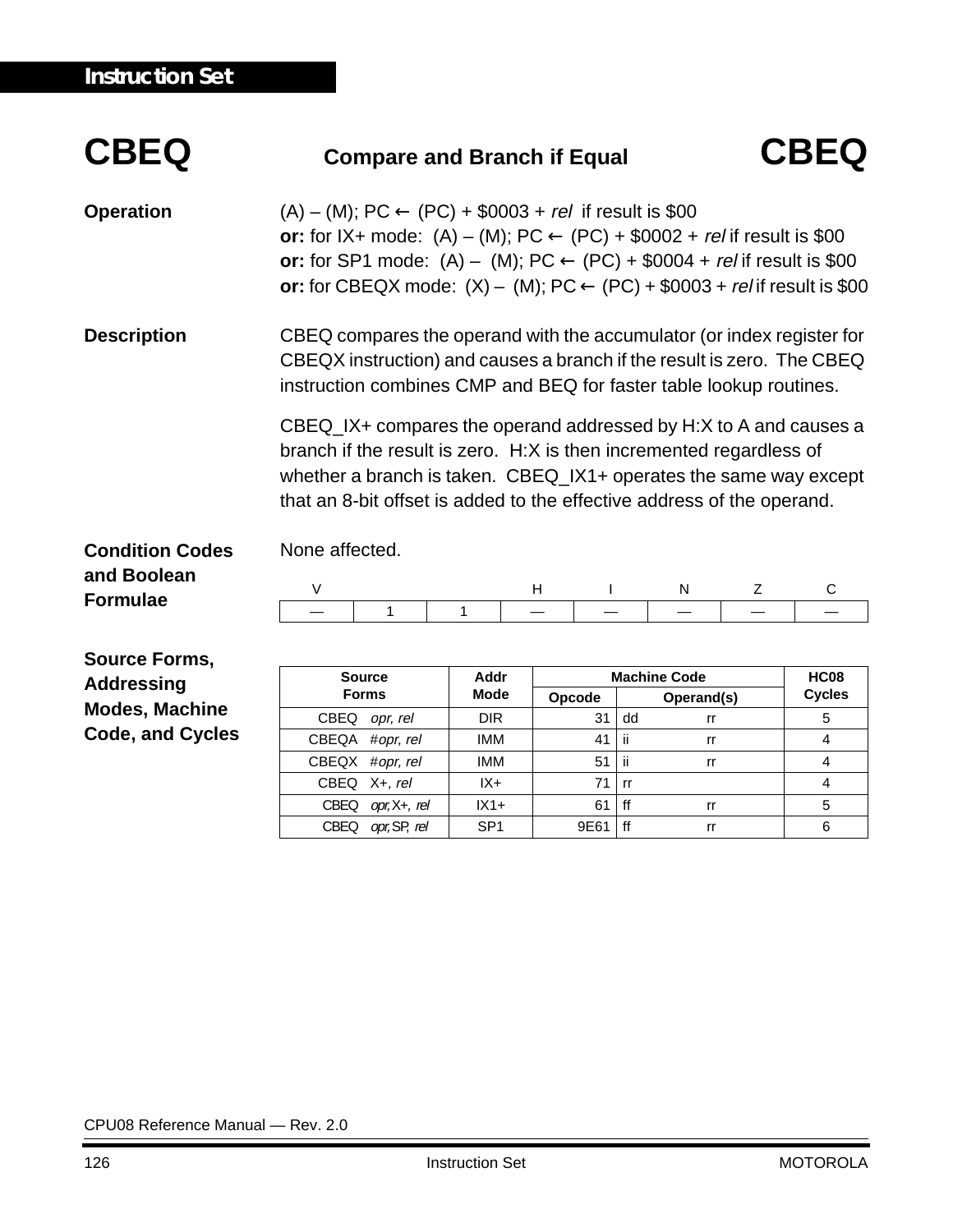| <b>CBEQ</b>                           | <b>Compare and Branch if Equal</b>                                                                                                                                                                                                                                                                                                                                        | <b>CBEQ</b> |
|---------------------------------------|---------------------------------------------------------------------------------------------------------------------------------------------------------------------------------------------------------------------------------------------------------------------------------------------------------------------------------------------------------------------------|-------------|
| <b>Operation</b>                      | $(A) - (M)$ ; PC $\leftarrow$ (PC) + \$0003 + <i>rel</i> if result is \$00<br>or: for IX+ mode: (A) – (M); PC $\leftarrow$ (PC) + \$0002 + <i>rel</i> if result is \$00<br>or: for SP1 mode: $(A) - (M)$ ; PC $\leftarrow$ (PC) + \$0004 + <i>rel</i> if result is \$00<br>or: for CBEQX mode: $(X) - (M)$ ; PC $\leftarrow$ (PC) + \$0003 + <i>rel</i> if result is \$00 |             |
| <b>Description</b>                    | CBEQ compares the operand with the accumulator (or index register for<br>CBEQX instruction) and causes a branch if the result is zero. The CBEQ<br>instruction combines CMP and BEQ for faster table lookup routines.                                                                                                                                                     |             |
|                                       | CBEQ_IX+ compares the operand addressed by H:X to A and causes a<br>branch if the result is zero. H:X is then incremented regardless of<br>whether a branch is taken. CBEQ_IX1+ operates the same way except<br>that an 8-bit offset is added to the effective address of the operand.                                                                                    |             |
| <b>Condition Codes</b><br>and Boolean | None affected.<br>H.<br>N                                                                                                                                                                                                                                                                                                                                                 | Ζ<br>C      |
| <b>Formulae</b>                       | 1<br>1                                                                                                                                                                                                                                                                                                                                                                    |             |
| <b>Source Forms,</b>                  |                                                                                                                                                                                                                                                                                                                                                                           |             |

| OUUI VU I UIIIIJ,       |
|-------------------------|
| <b>Addressing</b>       |
| <b>Modes, Machine</b>   |
| <b>Code, and Cycles</b> |

| <b>Source</b>               | Addr            | <b>Machine Code</b> | <b>HC08</b> |            |               |
|-----------------------------|-----------------|---------------------|-------------|------------|---------------|
| <b>Forms</b>                | <b>Mode</b>     | Opcode              |             | Operand(s) | <b>Cycles</b> |
| CBEQ opr, rel               | <b>DIR</b>      | 31                  | dd          | rr         | 5             |
| CBEQA #opr, rel             | <b>IMM</b>      | 41                  | ji          | rr         | 4             |
| CBEQX #opr, rel             | <b>IMM</b>      | 51                  | ji          | rr         | 4             |
| CBEQ X+, rel                | $IX +$          | 71                  | rr          |            | 4             |
| CBEQ opr, X+, rel           | $IX1+$          | 61                  | ff          | rr         | 5             |
| opr, SP, rel<br><b>CBEQ</b> | SP <sub>1</sub> | 9E61                | ff          | rr         | 6             |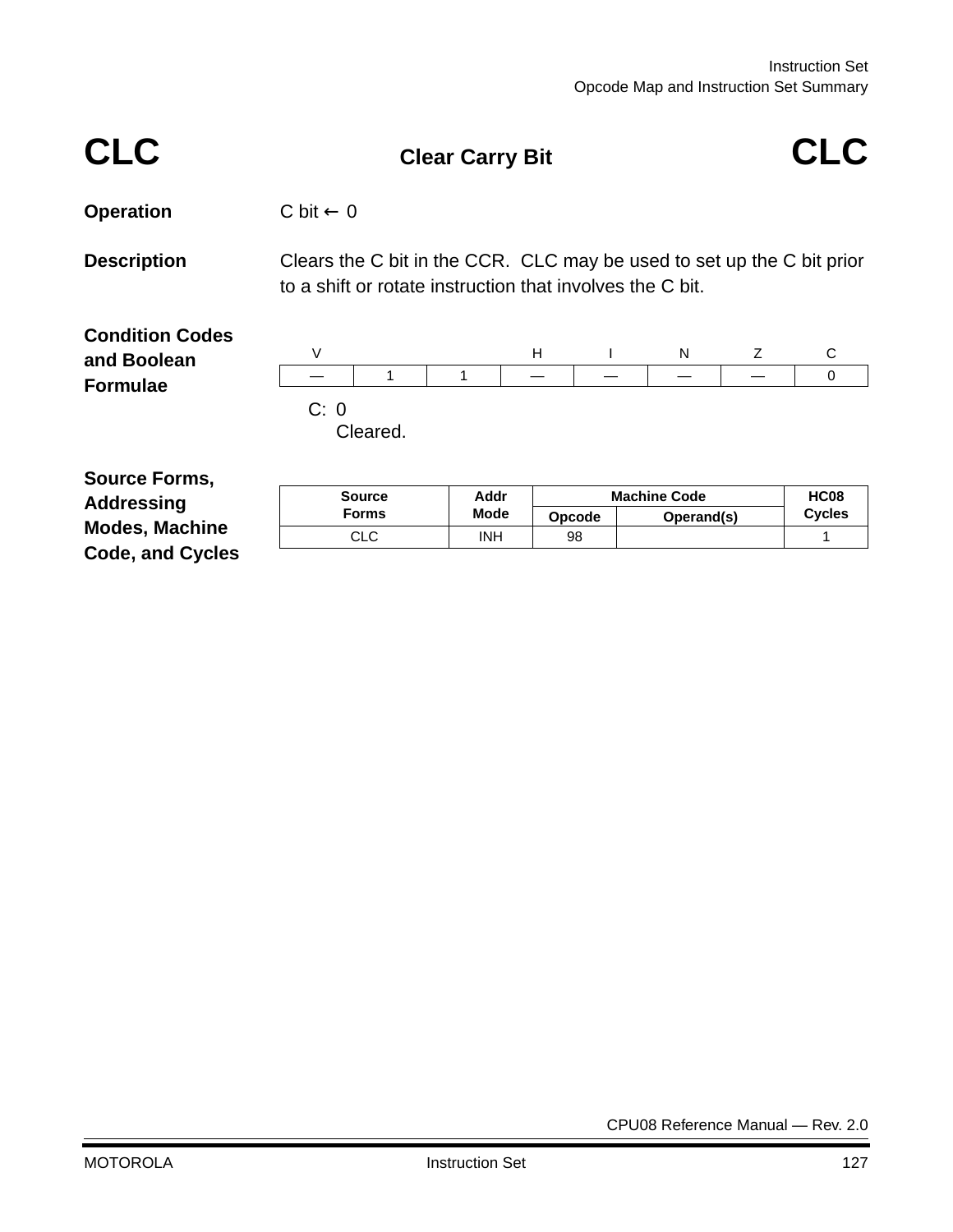# **CLC Clear Carry Bit CLC**



**Operation** C bit ← 0

**Description** Clears the C bit in the CCR. CLC may be used to set up the C bit prior to a shift or rotate instruction that involves the C bit.

**Condition Codes and Boolean Formulae**



**Source Forms, Addressing Modes, Machine Code, and Cycles**

| <b>Source</b> | Addr       |        | <b>Machine Code</b> |               |  |  |
|---------------|------------|--------|---------------------|---------------|--|--|
| <b>Forms</b>  | Mode       | Opcode | Operand(s)          | <b>Cycles</b> |  |  |
| CLC           | <b>INH</b> | 98     |                     |               |  |  |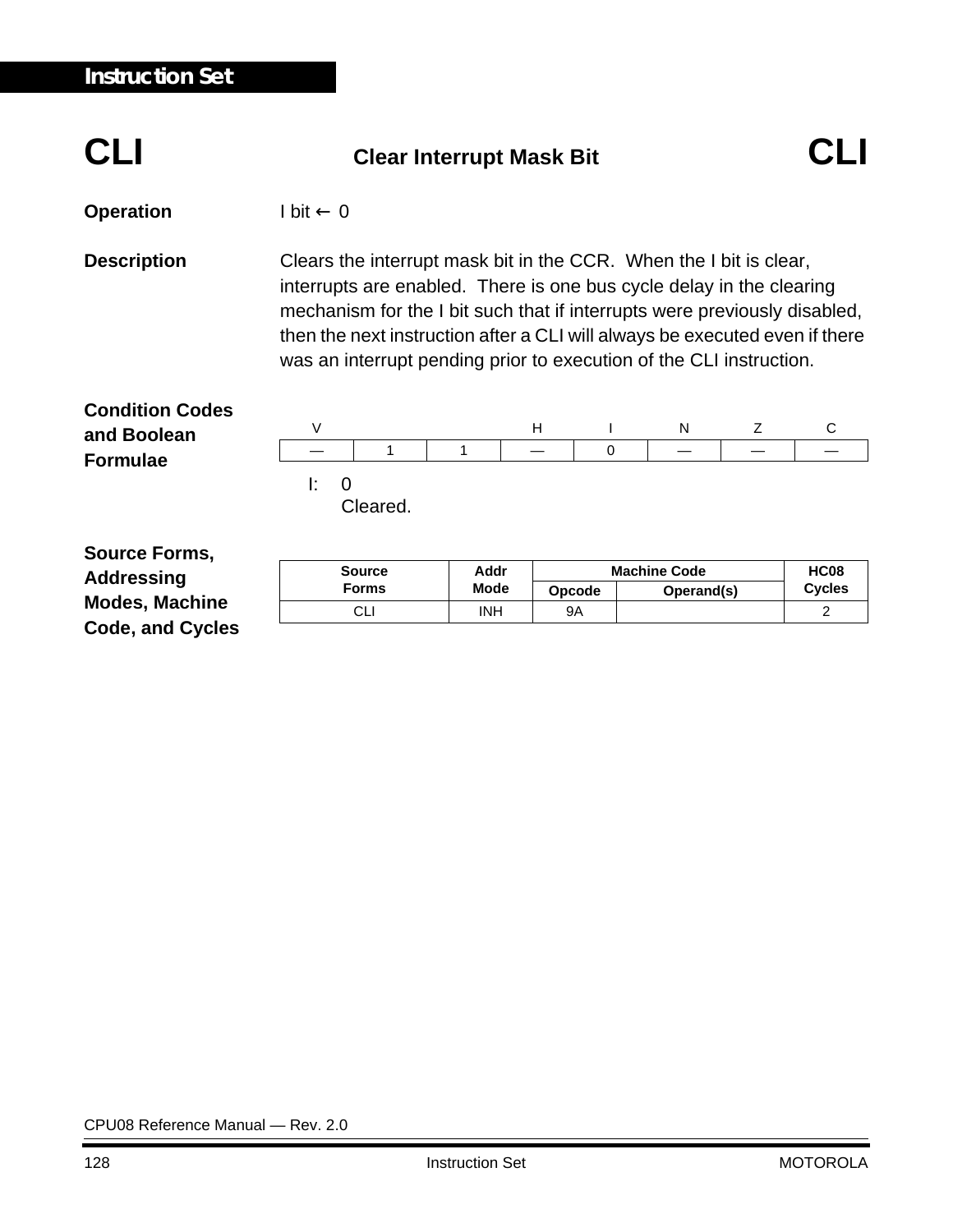# **CLI Clear Interrupt Mask Bit CLI**

### **Operation** I bit ← 0

**Description** Clears the interrupt mask bit in the CCR. When the I bit is clear, interrupts are enabled. There is one bus cycle delay in the clearing mechanism for the I bit such that if interrupts were previously disabled, then the next instruction after a CLI will always be executed even if there was an interrupt pending prior to execution of the CLI instruction.

| <b>Condition Codes</b><br>and Boolean |    |          | н | N |  |
|---------------------------------------|----|----------|---|---|--|
| <b>Formulae</b>                       | Ŀ. |          |   |   |  |
|                                       |    | Cleared. |   |   |  |

| <b>Source Forms,</b>    |               |      |        |                     |               |
|-------------------------|---------------|------|--------|---------------------|---------------|
| Addressing              | <b>Source</b> | Addr |        | <b>Machine Code</b> | <b>HC08</b>   |
|                         | <b>Forms</b>  | Mode | Opcode | Operand(s)          | <b>Cycles</b> |
| <b>Modes, Machine</b>   | CLI           | INH  | 9Α     |                     |               |
| <b>Code, and Cycles</b> |               |      |        |                     |               |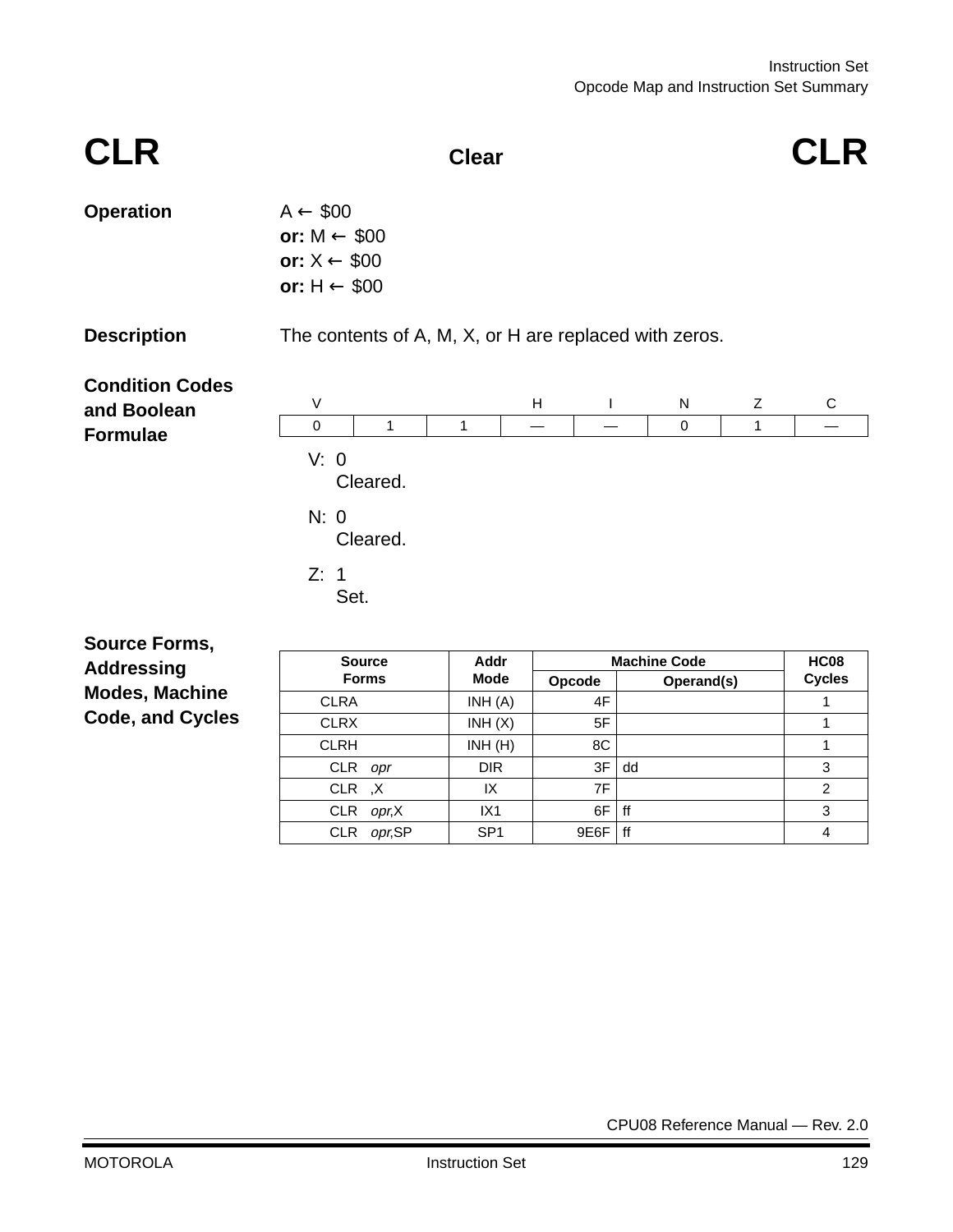# **CLR Clear CLR**

| <b>Operation</b>                                         | $A \leftarrow $00$                       | or: $M \leftarrow $00$<br>or: $X \leftarrow $00$<br>or: $H \leftarrow $00$ |              |   |        |        |   |
|----------------------------------------------------------|------------------------------------------|----------------------------------------------------------------------------|--------------|---|--------|--------|---|
| <b>Description</b>                                       |                                          | The contents of A, M, X, or H are replaced with zeros.                     |              |   |        |        |   |
| <b>Condition Codes</b><br>and Boolean<br><b>Formulae</b> | V<br>$\mathbf 0$<br>V: 0<br>N: 0<br>Z: 1 | 1<br>Cleared.<br>Cleared.<br>Set.                                          | $\mathbf{1}$ | н | N<br>0 | Ζ<br>1 | С |

### **Source Forms, Addressing Modes, Machine Code, and Cycles**

| <b>Source</b> |        | Addr            | <b>Machine Code</b> | HC <sub>08</sub> |               |
|---------------|--------|-----------------|---------------------|------------------|---------------|
| <b>Forms</b>  |        | <b>Mode</b>     | Opcode              | Operand(s)       | <b>Cycles</b> |
| <b>CLRA</b>   |        | INH(A)          | 4F                  |                  |               |
| <b>CLRX</b>   |        | INH(X)          | 5F                  |                  |               |
| <b>CLRH</b>   |        | INH(H)          | 8C                  |                  |               |
| <b>CLR</b>    | opr    | <b>DIR</b>      | 3F                  | dd               | 3             |
| CLR, X        |        | IX              | 7F                  |                  | 2             |
| <b>CLR</b>    | opr,X  | IX1             | 6F                  | ff               | 3             |
| <b>CLR</b>    | opr,SP | SP <sub>1</sub> | 9E6F                | ff               | 4             |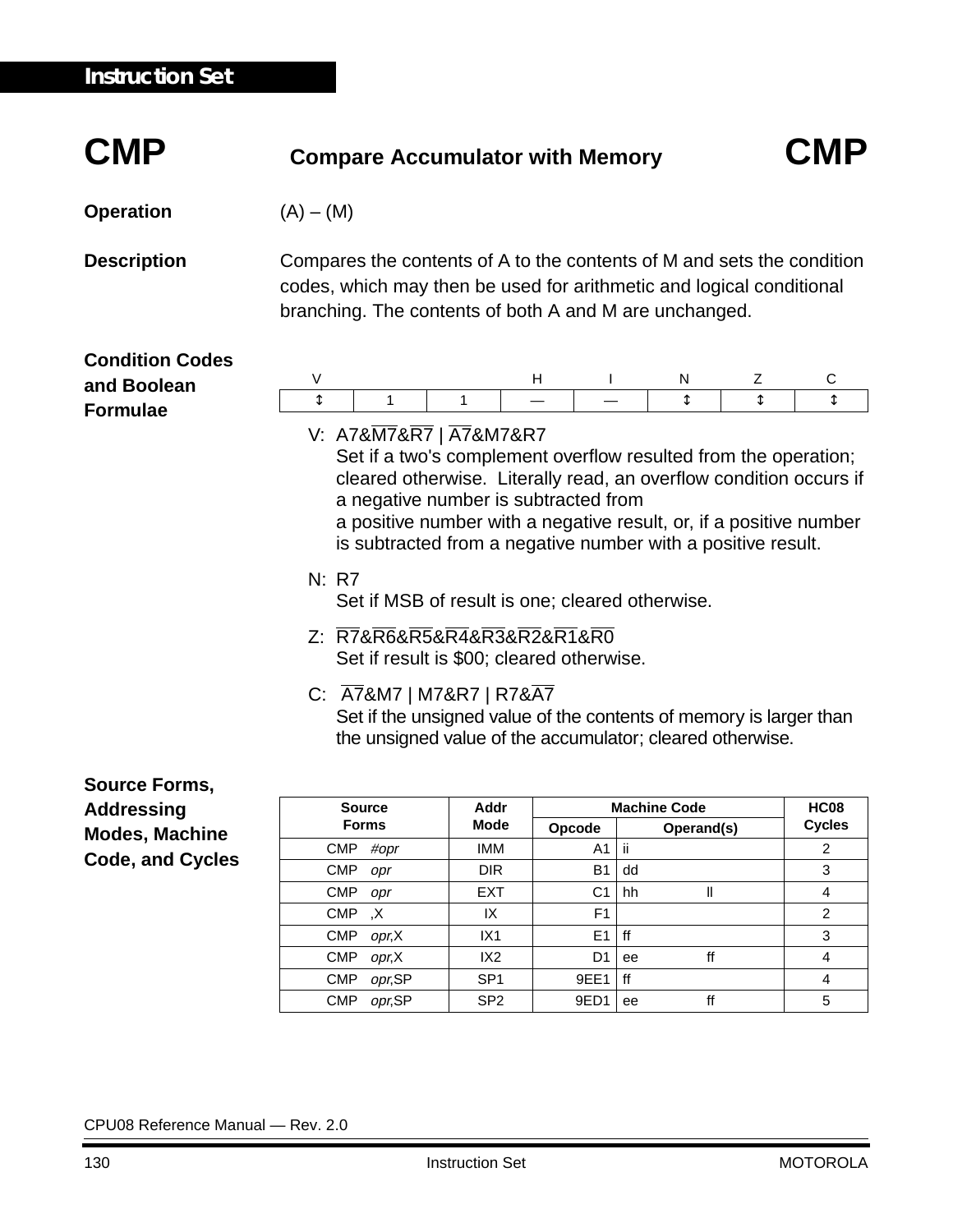| <b>CMP</b>              | <b>Compare Accumulator with Memory</b>                                                                                                                                                                                                                                                                                                                                                                                                                                                                                                                 |             |                |                     |                |                     |
|-------------------------|--------------------------------------------------------------------------------------------------------------------------------------------------------------------------------------------------------------------------------------------------------------------------------------------------------------------------------------------------------------------------------------------------------------------------------------------------------------------------------------------------------------------------------------------------------|-------------|----------------|---------------------|----------------|---------------------|
| <b>Operation</b>        | $(A) - (M)$                                                                                                                                                                                                                                                                                                                                                                                                                                                                                                                                            |             |                |                     |                |                     |
| <b>Description</b>      | Compares the contents of A to the contents of M and sets the condition<br>codes, which may then be used for arithmetic and logical conditional<br>branching. The contents of both A and M are unchanged.                                                                                                                                                                                                                                                                                                                                               |             |                |                     |                |                     |
| <b>Condition Codes</b>  |                                                                                                                                                                                                                                                                                                                                                                                                                                                                                                                                                        |             |                |                     |                |                     |
| and Boolean             | V                                                                                                                                                                                                                                                                                                                                                                                                                                                                                                                                                      |             | н<br>L         | N                   | Ζ              | C                   |
| <b>Formulae</b>         | ⇕<br>1                                                                                                                                                                                                                                                                                                                                                                                                                                                                                                                                                 | 1           |                | ↥                   | $\updownarrow$ | ↨                   |
|                         | cleared otherwise. Literally read, an overflow condition occurs if<br>a negative number is subtracted from<br>a positive number with a negative result, or, if a positive number<br>is subtracted from a negative number with a positive result.<br>N: R7<br>Set if MSB of result is one; cleared otherwise.<br>Z: R7&R6&R5&R4&R3&R2&R1&R0<br>Set if result is \$00; cleared otherwise.<br>C: A7&M7   M7&R7   R7&A7<br>Set if the unsigned value of the contents of memory is larger than<br>the unsigned value of the accumulator; cleared otherwise. |             |                |                     |                |                     |
| <b>Source Forms,</b>    |                                                                                                                                                                                                                                                                                                                                                                                                                                                                                                                                                        |             |                |                     |                |                     |
| Addressing              | <b>Source</b>                                                                                                                                                                                                                                                                                                                                                                                                                                                                                                                                          | Addr        |                | <b>Machine Code</b> |                | <b>HC08</b>         |
| <b>Modes, Machine</b>   | <b>Forms</b>                                                                                                                                                                                                                                                                                                                                                                                                                                                                                                                                           | <b>Mode</b> | Opcode         | Operand(s)          |                | Cycles              |
| <b>Code, and Cycles</b> | <b>CMP</b><br>#opr                                                                                                                                                                                                                                                                                                                                                                                                                                                                                                                                     | <b>IMM</b>  | A1             | ii                  |                | 2                   |
|                         | <b>CMP</b><br>opr                                                                                                                                                                                                                                                                                                                                                                                                                                                                                                                                      | <b>DIR</b>  | B <sub>1</sub> | dd                  |                | 3                   |
|                         | <b>CMP</b><br>opr                                                                                                                                                                                                                                                                                                                                                                                                                                                                                                                                      | <b>EXT</b>  | C <sub>1</sub> | II<br>hh            |                | 4                   |
|                         | <b>CMP</b><br>, X<br><b>CMP</b><br>opr,X                                                                                                                                                                                                                                                                                                                                                                                                                                                                                                               | IX<br>IX1   | F1<br>E1       | ff                  |                | $\overline{2}$<br>3 |
|                         | <b>CMP</b><br>opr,X                                                                                                                                                                                                                                                                                                                                                                                                                                                                                                                                    | IX2         | D1             | ff<br>ee            |                | 4                   |
|                         |                                                                                                                                                                                                                                                                                                                                                                                                                                                                                                                                                        |             |                |                     |                |                     |

CPU08 Reference Manual — Rev. 2.0

 $CMP$   $\circ p$ r,SP  $|$  SP1  $|$  9EE1 ff  $|$  4  $CMP$  opr, SP  $SPI$  9ED1 ee ff 5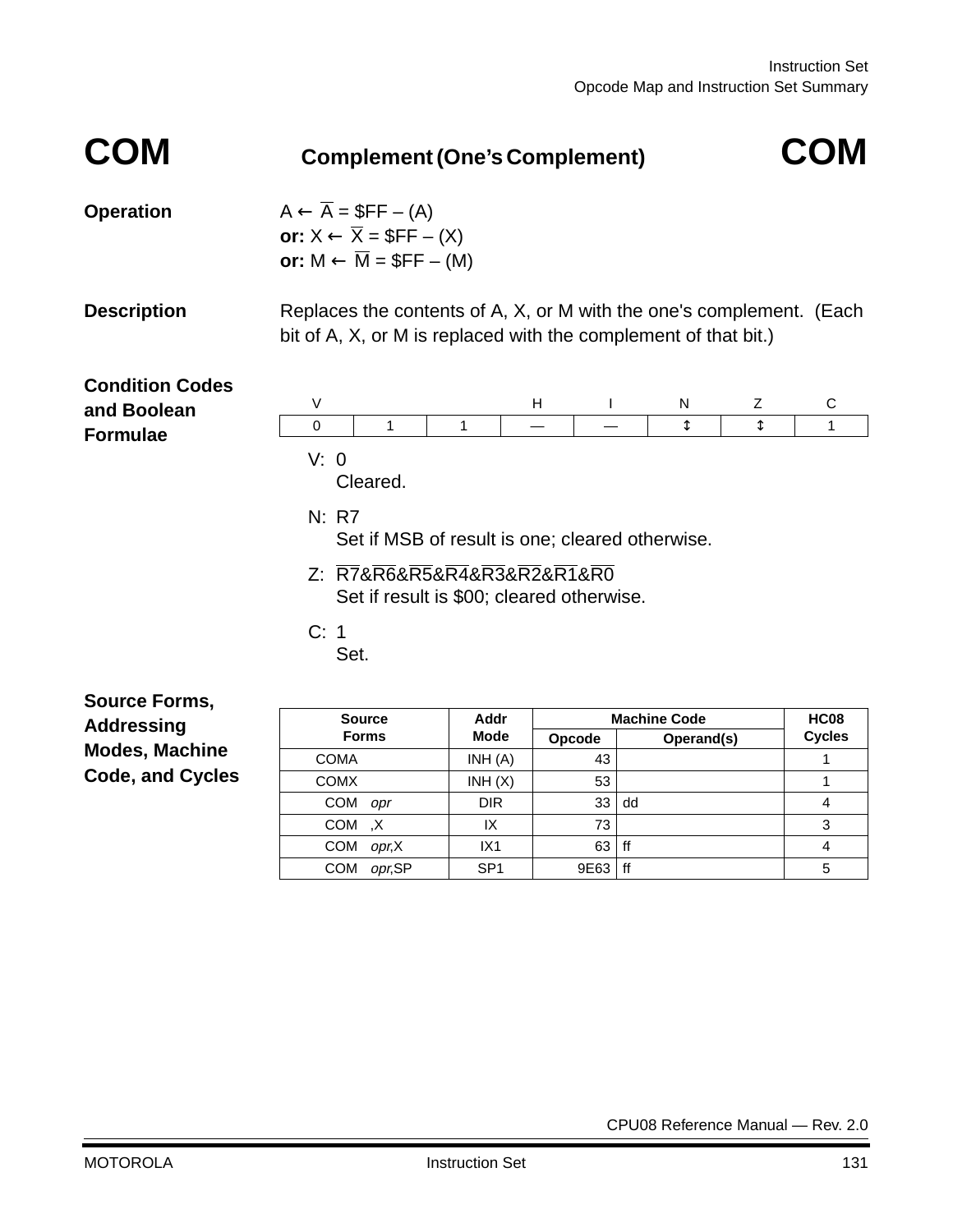# **COM Complement (One's Complement) COM**

| <b>Operation</b>                                  | $A \leftarrow \overline{A} = $FF - (A)$<br>or: $X \leftarrow \overline{X} = \$FF - (X)$ | or: $M \leftarrow \overline{M} = $FF - (M)$ |              |    |                                                                                                                                         |        |                     |        |  |
|---------------------------------------------------|-----------------------------------------------------------------------------------------|---------------------------------------------|--------------|----|-----------------------------------------------------------------------------------------------------------------------------------------|--------|---------------------|--------|--|
| <b>Description</b>                                |                                                                                         |                                             |              |    | Replaces the contents of A, X, or M with the one's complement. (Each<br>bit of A, X, or M is replaced with the complement of that bit.) |        |                     |        |  |
| <b>Condition Codes</b><br>and Boolean<br>Formulae | V<br>$\Omega$                                                                           | 1                                           | $\mathbf{1}$ | H. |                                                                                                                                         | N<br>↨ | Ζ<br>$\updownarrow$ | C<br>1 |  |
|                                                   | V: 0<br>Cleared.<br>N: R7                                                               |                                             |              |    |                                                                                                                                         |        |                     |        |  |
|                                                   | Set if MSB of result is one; cleared otherwise.                                         |                                             |              |    |                                                                                                                                         |        |                     |        |  |
|                                                   | Z: R7&R6&R5&R4&R3&R2&R1&R0<br>Set if result is \$00; cleared otherwise.                 |                                             |              |    |                                                                                                                                         |        |                     |        |  |
|                                                   | C: 1                                                                                    | Set.                                        |              |    |                                                                                                                                         |        |                     |        |  |

| <b>Source Forms,</b><br><b>Addressing</b> | <b>Source</b>        | Addr            | <b>Machine Code</b> | <b>HC08</b> |               |
|-------------------------------------------|----------------------|-----------------|---------------------|-------------|---------------|
|                                           | <b>Forms</b>         | Mode            | Opcode              | Operand(s)  | <b>Cycles</b> |
| <b>Modes, Machine</b>                     | <b>COMA</b>          | INH(A)          | 43                  |             |               |
| <b>Code, and Cycles</b>                   | <b>COMX</b>          | INH(X)          | 53                  |             |               |
|                                           | <b>COM</b><br>opr    | <b>DIR</b>      | 33                  | dd          | 4             |
|                                           | COM<br>$\lambda$     | IX              | 73                  |             | 3             |
|                                           | <b>COM</b><br>opr,X  | IX1             | 63                  | ، ff        | 4             |
|                                           | <b>COM</b><br>opr,SP | SP <sub>1</sub> | 9E63                | ∣ ff        | 5             |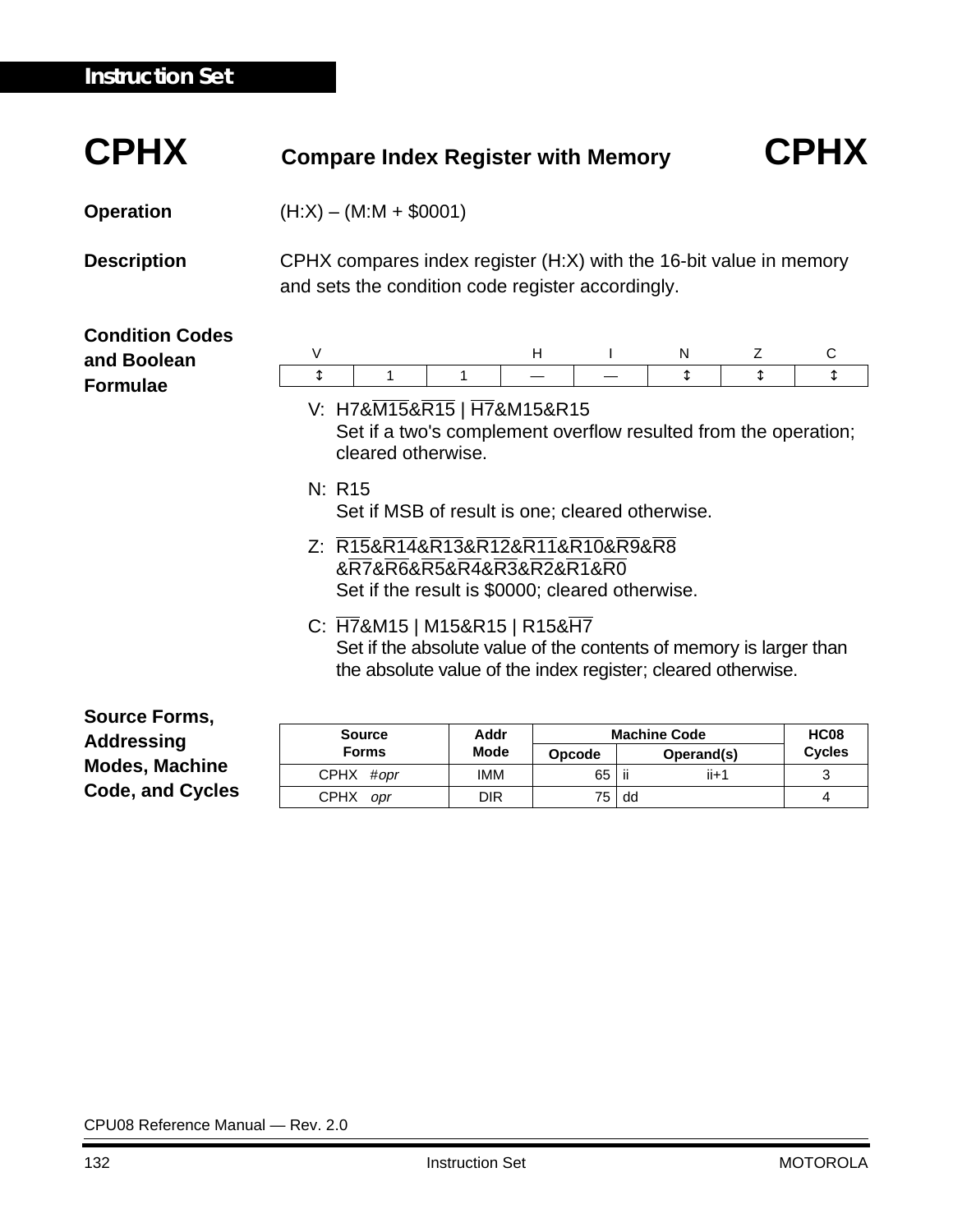| <b>Operation</b><br>$(H:X) - (M:M + $0001)$                                                                                                                                                                                                                                                                                                                                                                                                                                                           |  |
|-------------------------------------------------------------------------------------------------------------------------------------------------------------------------------------------------------------------------------------------------------------------------------------------------------------------------------------------------------------------------------------------------------------------------------------------------------------------------------------------------------|--|
|                                                                                                                                                                                                                                                                                                                                                                                                                                                                                                       |  |
| <b>Description</b><br>CPHX compares index register (H:X) with the 16-bit value in memory<br>and sets the condition code register accordingly.                                                                                                                                                                                                                                                                                                                                                         |  |
| <b>Condition Codes</b><br>$\vee$<br>C<br>H<br>N<br>Ζ<br>$\mathbf{I}$<br>and Boolean<br>$\uparrow$<br>$\updownarrow$<br>$\updownarrow$<br>$\updownarrow$<br>1<br>1<br><b>Formulae</b>                                                                                                                                                                                                                                                                                                                  |  |
| V: H7&M15&R15   H7&M15&R15<br>Set if a two's complement overflow resulted from the operation;<br>cleared otherwise.<br>N: R15<br>Set if MSB of result is one; cleared otherwise.<br>Z: R15&R14&R13&R12&R11&R10&R9&R8<br>&R7&R6&R5&R4&R3&R2&R1&R0<br>Set if the result is \$0000; cleared otherwise.<br>C: $\overline{H7}$ &M15   M15&R15   R15& $\overline{H7}$<br>Set if the absolute value of the contents of memory is larger than<br>the absolute value of the index register; cleared otherwise. |  |
| <b>Source Forms,</b><br><b>Machine Code</b><br><b>HC08</b><br><b>Source</b><br>Addr<br><b>Addressing</b>                                                                                                                                                                                                                                                                                                                                                                                              |  |
| <b>Forms</b><br><b>Mode</b><br><b>Cycles</b><br>Opcode<br>Operand(s)<br><b>Modes, Machine</b>                                                                                                                                                                                                                                                                                                                                                                                                         |  |
| ii<br>CPHX #opr<br><b>IMM</b><br>65<br>$ii+1$<br>3<br><b>Code, and Cycles</b><br>4<br>CPHX opr<br>75<br><b>DIR</b><br>dd                                                                                                                                                                                                                                                                                                                                                                              |  |

CPHX *opr* DIR 75 dd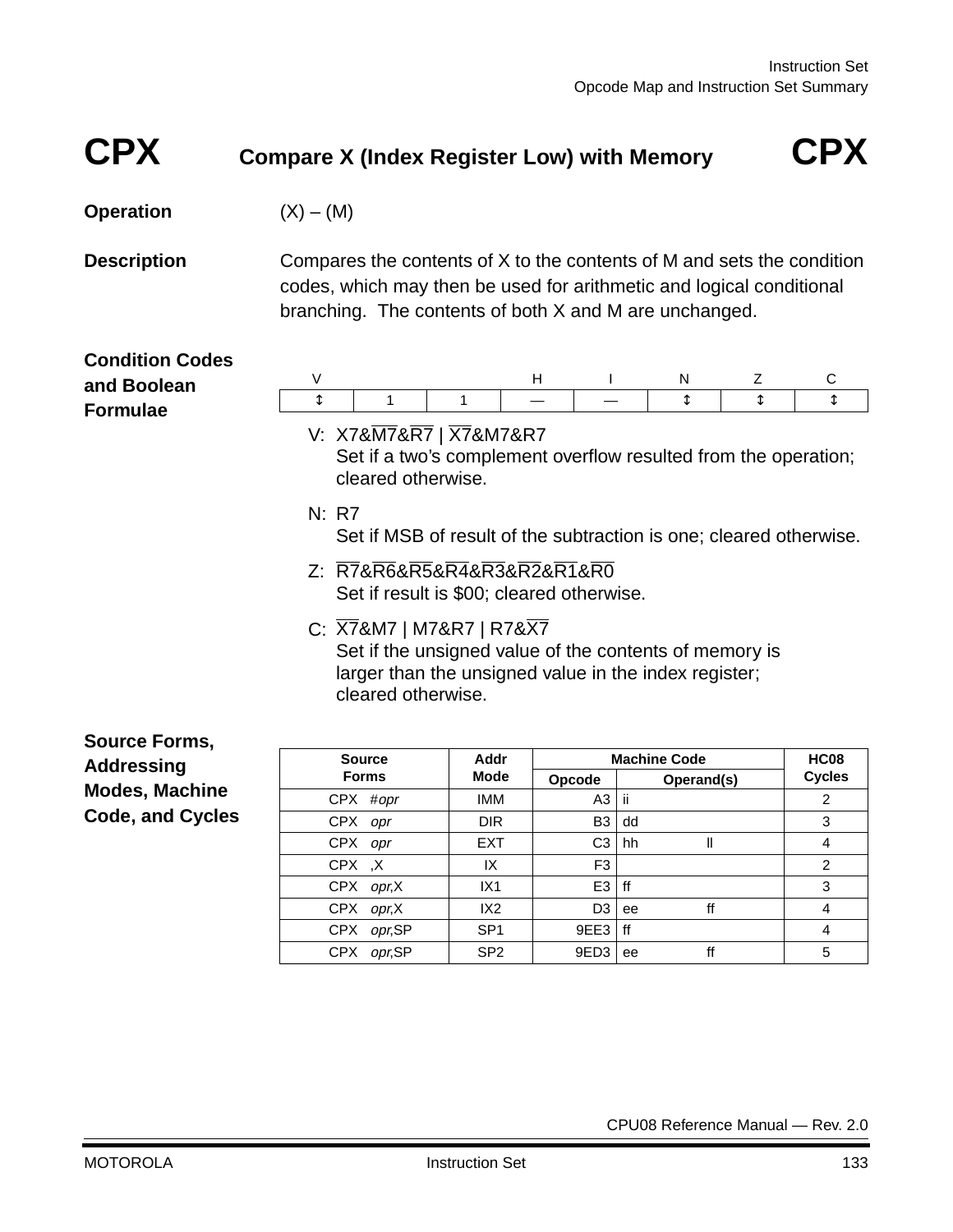# **CPX Compare X (Index Register Low) with Memory CPX**



| <b>Operation</b> | $(X) - (M)$ |
|------------------|-------------|
|------------------|-------------|

**Description** Compares the contents of X to the contents of M and sets the condition codes, which may then be used for arithmetic and logical conditional branching. The contents of both X and M are unchanged.

| <b>Condition Codes</b>  |                                                                             |                                                                                                                                                                                               |              |    |                |     |                     |   |                       |  |
|-------------------------|-----------------------------------------------------------------------------|-----------------------------------------------------------------------------------------------------------------------------------------------------------------------------------------------|--------------|----|----------------|-----|---------------------|---|-----------------------|--|
| and Boolean             | V                                                                           |                                                                                                                                                                                               |              | H. |                |     | N                   | Ζ | С                     |  |
| <b>Formulae</b>         | ↨                                                                           | 1                                                                                                                                                                                             | 1            |    |                |     |                     | ↨ | ↨                     |  |
|                         |                                                                             | V: X7&M7&R7   X7&M7&R7<br>Set if a two's complement overflow resulted from the operation;<br>cleared otherwise.                                                                               |              |    |                |     |                     |   |                       |  |
|                         | N: R7<br>Set if MSB of result of the subtraction is one; cleared otherwise. |                                                                                                                                                                                               |              |    |                |     |                     |   |                       |  |
|                         | Z: R7&R6&R5&R4&R3&R2&R1&R0<br>Set if result is \$00; cleared otherwise.     |                                                                                                                                                                                               |              |    |                |     |                     |   |                       |  |
|                         |                                                                             | C: $\overline{X7}$ &M7   M7&R7   R7& $\overline{X7}$<br>Set if the unsigned value of the contents of memory is<br>larger than the unsigned value in the index register;<br>cleared otherwise. |              |    |                |     |                     |   |                       |  |
| <b>Source Forms,</b>    |                                                                             |                                                                                                                                                                                               |              |    |                |     |                     |   |                       |  |
| <b>Addressing</b>       |                                                                             | <b>Source</b><br><b>Forms</b>                                                                                                                                                                 | Addr<br>Mode |    |                |     | <b>Machine Code</b> |   | <b>HC08</b><br>Cycles |  |
| <b>Modes, Machine</b>   |                                                                             |                                                                                                                                                                                               |              |    | Opcode         | ii. | Operand(s)          |   |                       |  |
| <b>Code, and Cycles</b> |                                                                             | CPX #opr                                                                                                                                                                                      | <b>IMM</b>   |    | A3             |     |                     |   | $\overline{2}$        |  |
|                         |                                                                             | CPX opr                                                                                                                                                                                       | <b>DIR</b>   |    | B <sub>3</sub> | dd  |                     |   | 3                     |  |

|         | source       | Addr            | Machine Code   |            | HCO8 |               |
|---------|--------------|-----------------|----------------|------------|------|---------------|
|         | <b>Forms</b> | <b>Mode</b>     | Opcode         | Operand(s) |      | <b>Cycles</b> |
|         | CPX #opr     | <b>IMM</b>      | $A3$   ii      |            |      | 2             |
| CPX opr |              | DIR.            | B3             | dd         |      | 3             |
| CPX opr |              | <b>EXT</b>      | C <sub>3</sub> | hh         | Ш    | 4             |
| CPX ,X  |              | IX              | F <sub>3</sub> |            |      | 2             |
|         | CPX opr,X    | IX <sub>1</sub> | $E3$ Iff       |            |      | 3             |
|         | CPX opr,X    | IX <sub>2</sub> | D <sub>3</sub> | ee         | ff   | 4             |
|         | CPX opr,SP   | SP <sub>1</sub> | 9EE3           | ff         |      | 4             |
|         | CPX opr,SP   | SP <sub>2</sub> | 9ED3           | ee         | ff   | 5             |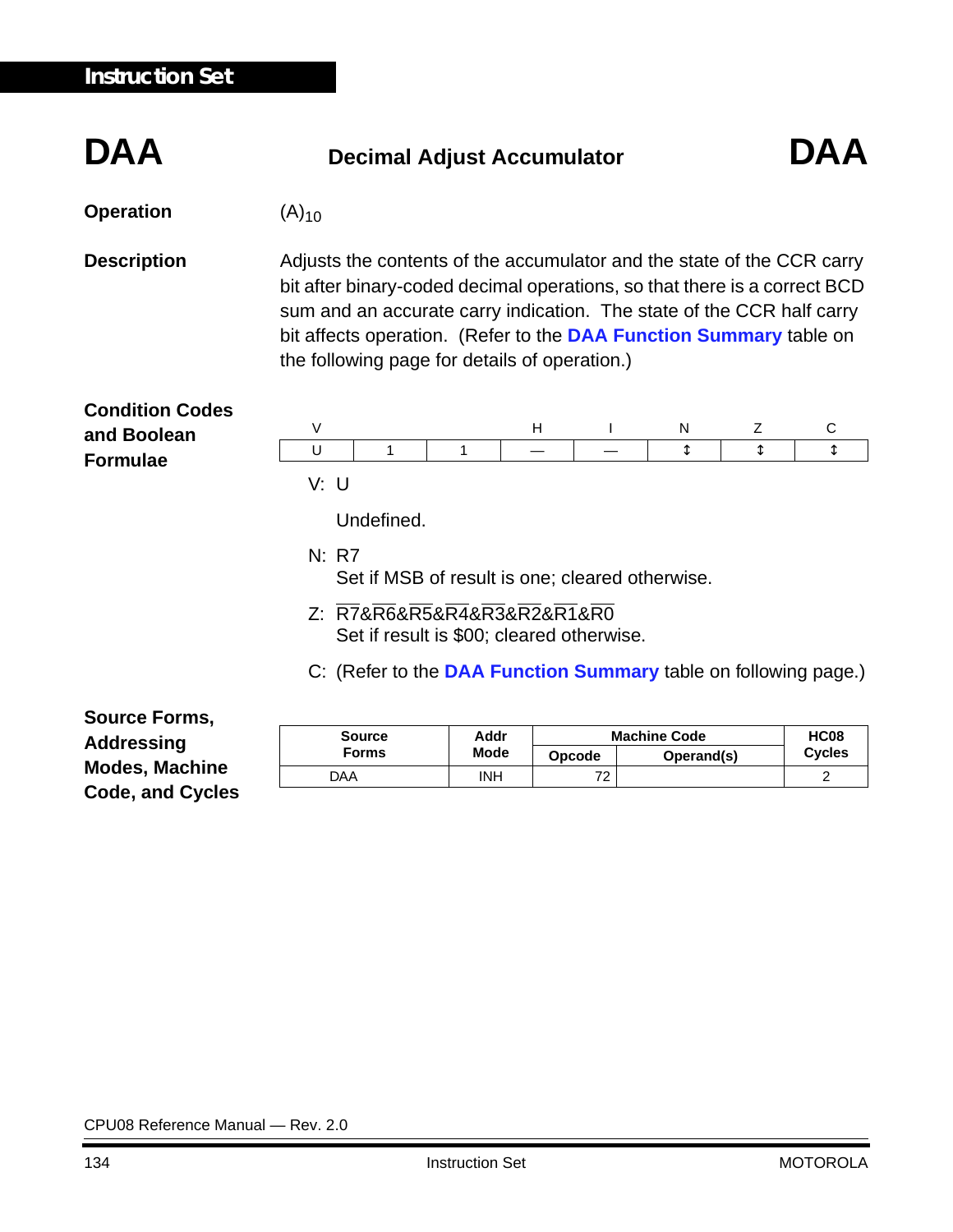| DAA                                                      |                         | <b>Decimal Adjust Accumulator</b>                                                                                                                                                                                                                                                                                                                          |              |   |  |                     |                     |                     |  |  |
|----------------------------------------------------------|-------------------------|------------------------------------------------------------------------------------------------------------------------------------------------------------------------------------------------------------------------------------------------------------------------------------------------------------------------------------------------------------|--------------|---|--|---------------------|---------------------|---------------------|--|--|
| <b>Operation</b>                                         | $(A)_{10}$              |                                                                                                                                                                                                                                                                                                                                                            |              |   |  |                     |                     |                     |  |  |
| <b>Description</b>                                       |                         | Adjusts the contents of the accumulator and the state of the CCR carry<br>bit after binary-coded decimal operations, so that there is a correct BCD<br>sum and an accurate carry indication. The state of the CCR half carry<br>bit affects operation. (Refer to the <b>DAA Function Summary</b> table on<br>the following page for details of operation.) |              |   |  |                     |                     |                     |  |  |
| <b>Condition Codes</b><br>and Boolean<br><b>Formulae</b> | V<br>U<br>V: U<br>N: R7 | 1<br>Undefined.<br>Set if MSB of result is one; cleared otherwise.<br>Z: R7&R6&R5&R4&R3&R2&R1&R0<br>Set if result is \$00; cleared otherwise.<br>C: (Refer to the DAA Function Summary table on following page.)                                                                                                                                           | $\mathbf{1}$ | H |  | N<br>$\updownarrow$ | Z<br>$\updownarrow$ | C<br>$\updownarrow$ |  |  |
| <b>Source Forms,</b>                                     |                         |                                                                                                                                                                                                                                                                                                                                                            |              |   |  |                     |                     |                     |  |  |

| Source Forms,<br>Addressing | <b>Source</b> | Addr       |        | <b>Machine Code</b> | <b>HC08</b>   |
|-----------------------------|---------------|------------|--------|---------------------|---------------|
|                             | <b>Forms</b>  | Mode       | Opcode | Operand(s)          | <b>Cycles</b> |
| <b>Modes, Machine</b>       | DAA           | <b>INH</b> | 72     |                     |               |
| <b>Code, and Cycles</b>     |               |            |        |                     |               |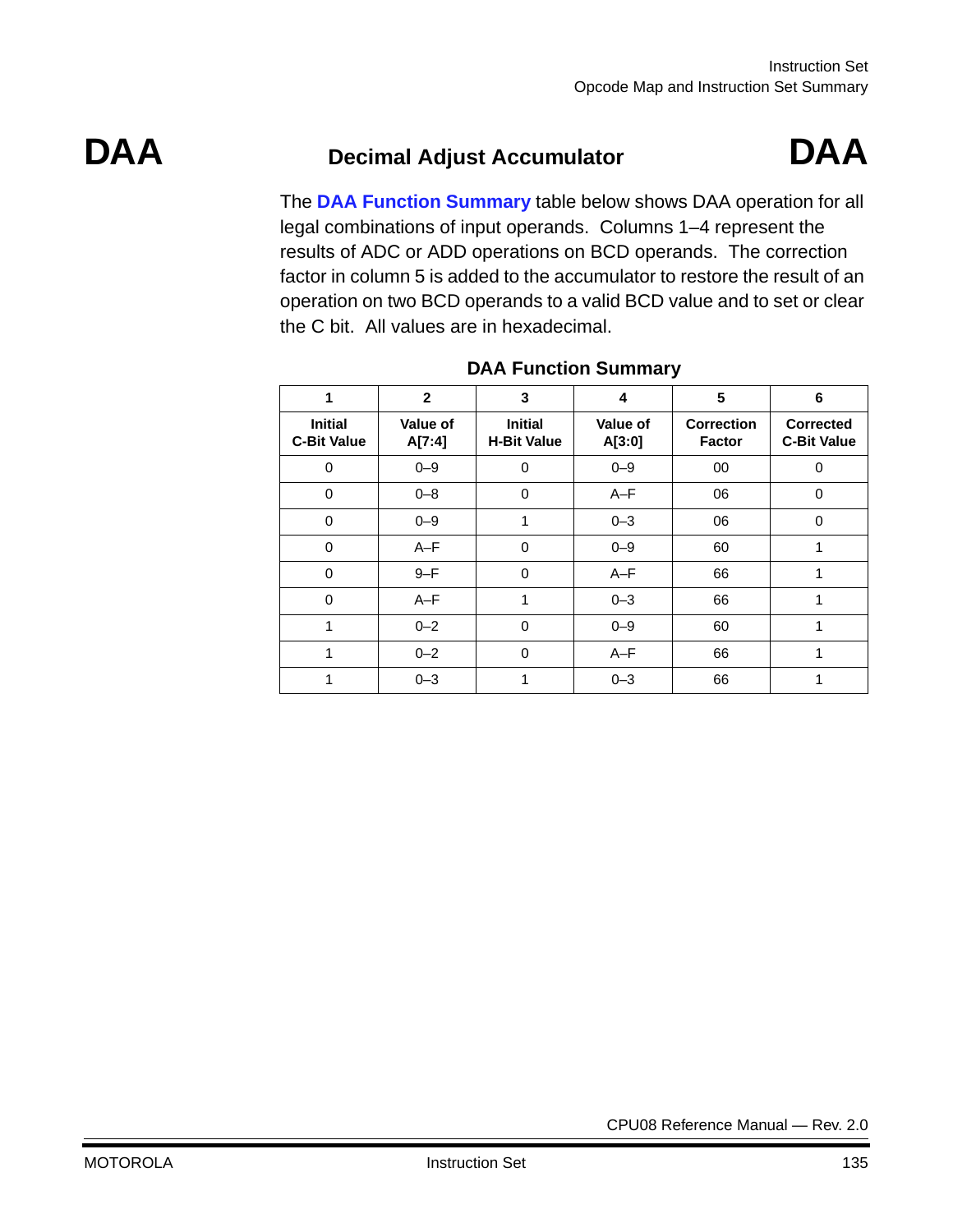# <span id="page-134-0"></span>**DAA Decimal Adjust Accumulator DAA**



The **DAA Function Summary** table below shows DAA operation for all legal combinations of input operands. Columns 1–4 represent the results of ADC or ADD operations on BCD operands. The correction factor in column 5 is added to the accumulator to restore the result of an operation on two BCD operands to a valid BCD value and to set or clear the C bit. All values are in hexadecimal.

| 1                                    | $\mathbf{2}$       | 3                                    | 4                  | 5                                  | 6                                      |
|--------------------------------------|--------------------|--------------------------------------|--------------------|------------------------------------|----------------------------------------|
| <b>Initial</b><br><b>C-Bit Value</b> | Value of<br>A[7:4] | <b>Initial</b><br><b>H-Bit Value</b> | Value of<br>A[3:0] | <b>Correction</b><br><b>Factor</b> | <b>Corrected</b><br><b>C-Bit Value</b> |
| 0                                    | $0 - 9$            | $\Omega$                             | $0 - 9$            | 00                                 | $\Omega$                               |
| 0                                    | $0 - 8$            | 0                                    | $A-F$              | 06                                 | 0                                      |
| $\mathbf 0$                          | $0 - 9$            | 1                                    | $0 - 3$            | 06                                 | $\Omega$                               |
| 0                                    | $A-F$              | $\Omega$                             | $0 - 9$            | 60                                 |                                        |
| 0                                    | $9-F$              | $\mathbf{0}$                         | $A-F$              | 66                                 |                                        |
| $\mathbf 0$                          | $A-F$              | 1                                    | $0 - 3$            | 66                                 |                                        |
| 1                                    | $0 - 2$            | 0                                    | $0 - 9$            | 60                                 | 1                                      |
|                                      | $0 - 2$            | $\Omega$                             | $A-F$              | 66                                 |                                        |
|                                      | $0 - 3$            |                                      | $0 - 3$            | 66                                 |                                        |

#### **DAA Function Summary**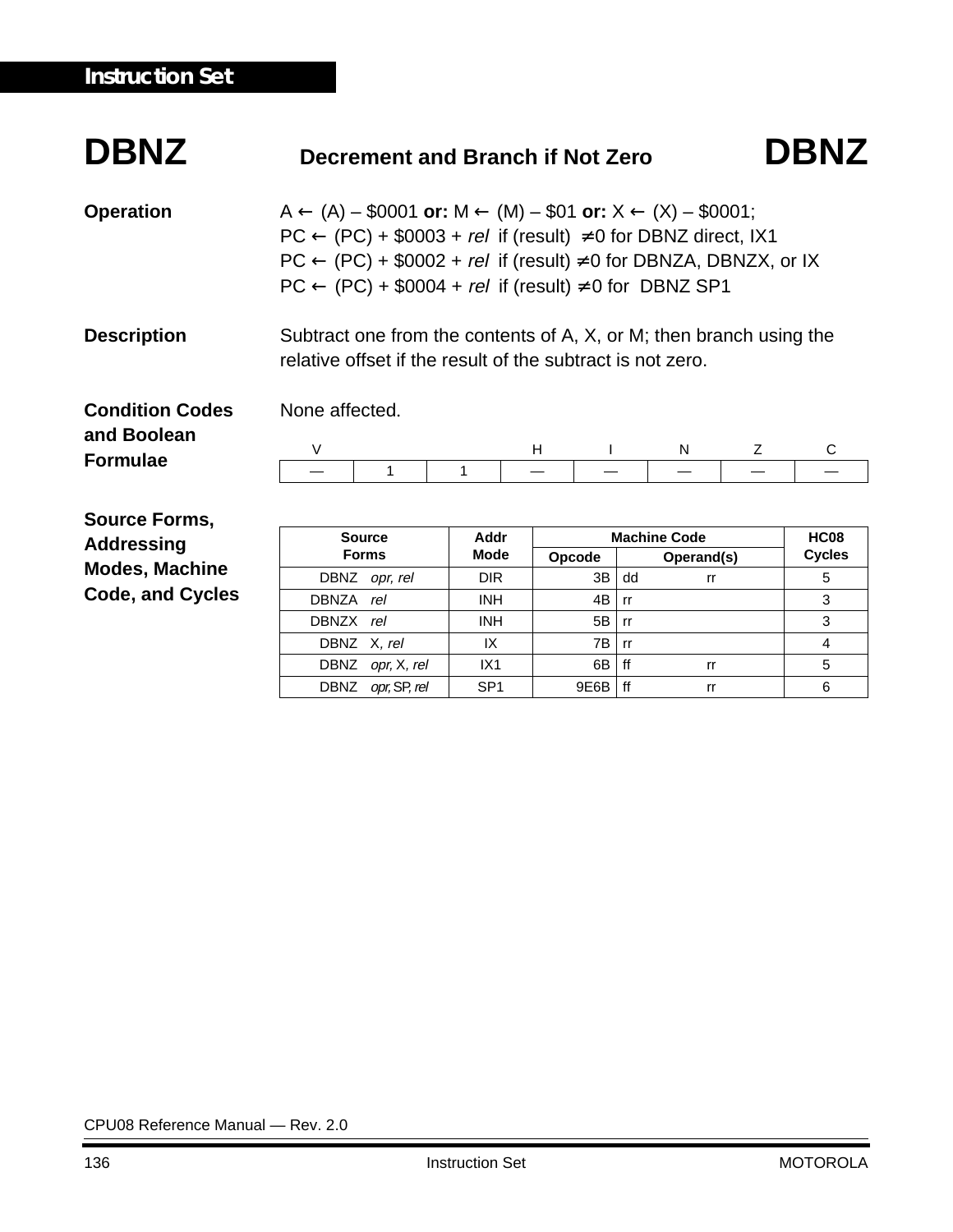| <b>DBNZ</b>                         |                                                                                                                                                                                                                                                                                                                                     | Decrement and Branch if Not Zero |             |  |        |    |    |                     |   | <b>DBNZ</b>   |
|-------------------------------------|-------------------------------------------------------------------------------------------------------------------------------------------------------------------------------------------------------------------------------------------------------------------------------------------------------------------------------------|----------------------------------|-------------|--|--------|----|----|---------------------|---|---------------|
| <b>Operation</b>                    | $A \leftarrow (A) - $0001$ or: $M \leftarrow (M) - $01$ or: $X \leftarrow (X) - $0001$ ;<br>$PC \leftarrow (PC) + $0003 + rel$ if (result) $\neq 0$ for DBNZ direct, IX1<br>$PC \leftarrow (PC) + $0002 + rel$ if (result) $\neq 0$ for DBNZA, DBNZX, or IX<br>$PC \leftarrow (PC) + $0004 + rel$ if (result) $\neq 0$ for DBNZ SP1 |                                  |             |  |        |    |    |                     |   |               |
| <b>Description</b>                  | Subtract one from the contents of A, X, or M; then branch using the<br>relative offset if the result of the subtract is not zero.                                                                                                                                                                                                   |                                  |             |  |        |    |    |                     |   |               |
| <b>Condition Codes</b>              | None affected.                                                                                                                                                                                                                                                                                                                      |                                  |             |  |        |    |    |                     |   |               |
| and Boolean<br><b>Formulae</b>      | V                                                                                                                                                                                                                                                                                                                                   | 1                                | 1           |  | H.     |    |    | N.                  | Z | C             |
|                                     |                                                                                                                                                                                                                                                                                                                                     |                                  |             |  |        |    |    |                     |   |               |
| <b>Source Forms,</b>                |                                                                                                                                                                                                                                                                                                                                     | <b>Source</b>                    | Addr        |  |        |    |    | <b>Machine Code</b> |   | <b>HC08</b>   |
| Addressing<br><b>Modes, Machine</b> |                                                                                                                                                                                                                                                                                                                                     | <b>Forms</b>                     | <b>Mode</b> |  | Opcode |    |    | Operand(s)          |   | <b>Cycles</b> |
| <b>Code, and Cycles</b>             |                                                                                                                                                                                                                                                                                                                                     | DBNZ opr, rel                    | <b>DIR</b>  |  |        | 3B | dd | rr                  |   | 5             |
|                                     | DBNZA rel                                                                                                                                                                                                                                                                                                                           |                                  | <b>INH</b>  |  |        | 4B | rr |                     |   | 3             |

| rorms             | <b>NOCIE</b>    | <b>Opcode</b> |           | Operand(s) | <b>CVCIES</b> |
|-------------------|-----------------|---------------|-----------|------------|---------------|
| DBNZ opr, rel     | <b>DIR</b>      | 3B            | l dd      |            | 5             |
| DBNZA rel         | <b>INH</b>      | 4B            | -rr       |            |               |
| DBNZX rel         | <b>INH</b>      | 5B            | l rr      |            | 3             |
| DBNZ X, rel       | IX              | 7B            | <b>rr</b> |            | 4             |
| DBNZ opr, X, rel  | IX1             | 6B            | ∣ ff      | rr         | 5             |
| DBNZ opr, SP, rel | SP <sub>1</sub> | 9E6B          | l ff      |            | 6             |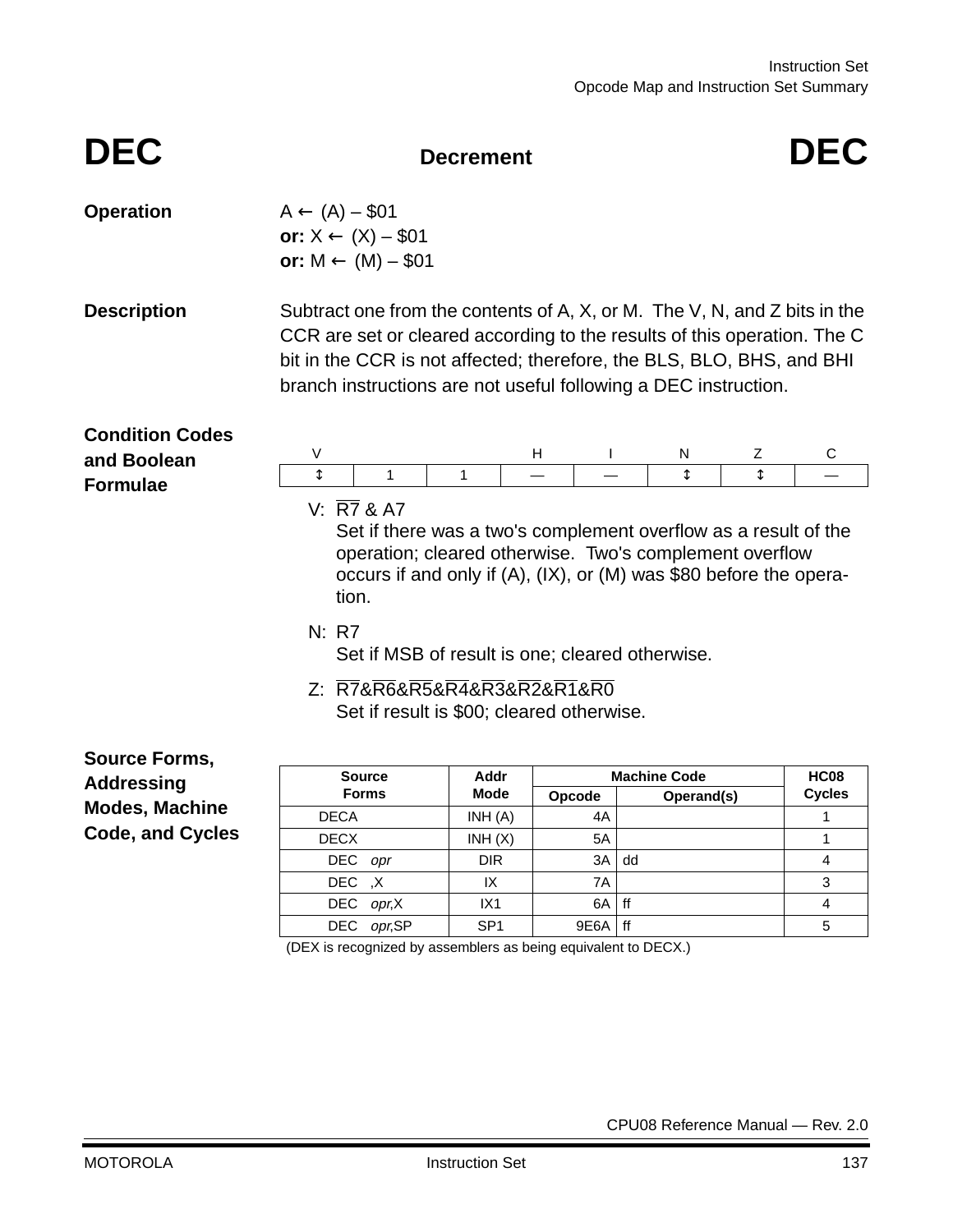# **DEC Decrement DEC**

| <b>Operation</b>        | $A \leftarrow (A) - $01$<br>or: $X \leftarrow (X) - $01$<br>or: $M \leftarrow (M) - $01$                                                                                                                                                                                                          |              |         |                     |                |  |  |  |
|-------------------------|---------------------------------------------------------------------------------------------------------------------------------------------------------------------------------------------------------------------------------------------------------------------------------------------------|--------------|---------|---------------------|----------------|--|--|--|
| <b>Description</b>      | Subtract one from the contents of A, X, or M. The V, N, and Z bits in the<br>CCR are set or cleared according to the results of this operation. The C<br>bit in the CCR is not affected; therefore, the BLS, BLO, BHS, and BHI<br>branch instructions are not useful following a DEC instruction. |              |         |                     |                |  |  |  |
| <b>Condition Codes</b>  |                                                                                                                                                                                                                                                                                                   |              |         |                     |                |  |  |  |
| and Boolean             | V                                                                                                                                                                                                                                                                                                 |              | H.<br>T | N                   | С<br>Ζ         |  |  |  |
| <b>Formulae</b>         | $\updownarrow$<br>$\mathbf{1}$                                                                                                                                                                                                                                                                    | $\mathbf{1}$ |         | $\hat{I}$           | $\overline{1}$ |  |  |  |
|                         | Set if there was a two's complement overflow as a result of the<br>operation; cleared otherwise. Two's complement overflow<br>occurs if and only if (A), (IX), or (M) was \$80 before the opera-<br>tion.                                                                                         |              |         |                     |                |  |  |  |
|                         | N: R7<br>Set if MSB of result is one; cleared otherwise.                                                                                                                                                                                                                                          |              |         |                     |                |  |  |  |
|                         | Z: R7&R6&R5&R4&R3&R2&R1&R0<br>Set if result is \$00; cleared otherwise.                                                                                                                                                                                                                           |              |         |                     |                |  |  |  |
| <b>Source Forms,</b>    |                                                                                                                                                                                                                                                                                                   |              |         |                     |                |  |  |  |
| <b>Addressing</b>       | <b>Source</b>                                                                                                                                                                                                                                                                                     | <b>Addr</b>  |         | <b>Machine Code</b> | <b>HC08</b>    |  |  |  |
| <b>Modes, Machine</b>   | <b>Forms</b>                                                                                                                                                                                                                                                                                      | <b>Mode</b>  | Opcode  | Operand(s)          | <b>Cycles</b>  |  |  |  |
| <b>Code, and Cycles</b> | <b>DECA</b>                                                                                                                                                                                                                                                                                       | INH(A)       | 4A      |                     | 1              |  |  |  |
|                         | <b>DECX</b>                                                                                                                                                                                                                                                                                       | INH(X)       | 5A      |                     | 1              |  |  |  |
|                         | DEC opr                                                                                                                                                                                                                                                                                           | <b>DIR</b>   | 3A      | dd                  | 4              |  |  |  |

(DEX is recognized by assemblers as being equivalent to DECX.)

 $DEC, X$   $|X|$  7A 3 DEC opr, X IX1 6A ff 4  $DEC$  opr, SP SP1 9E6A ff 5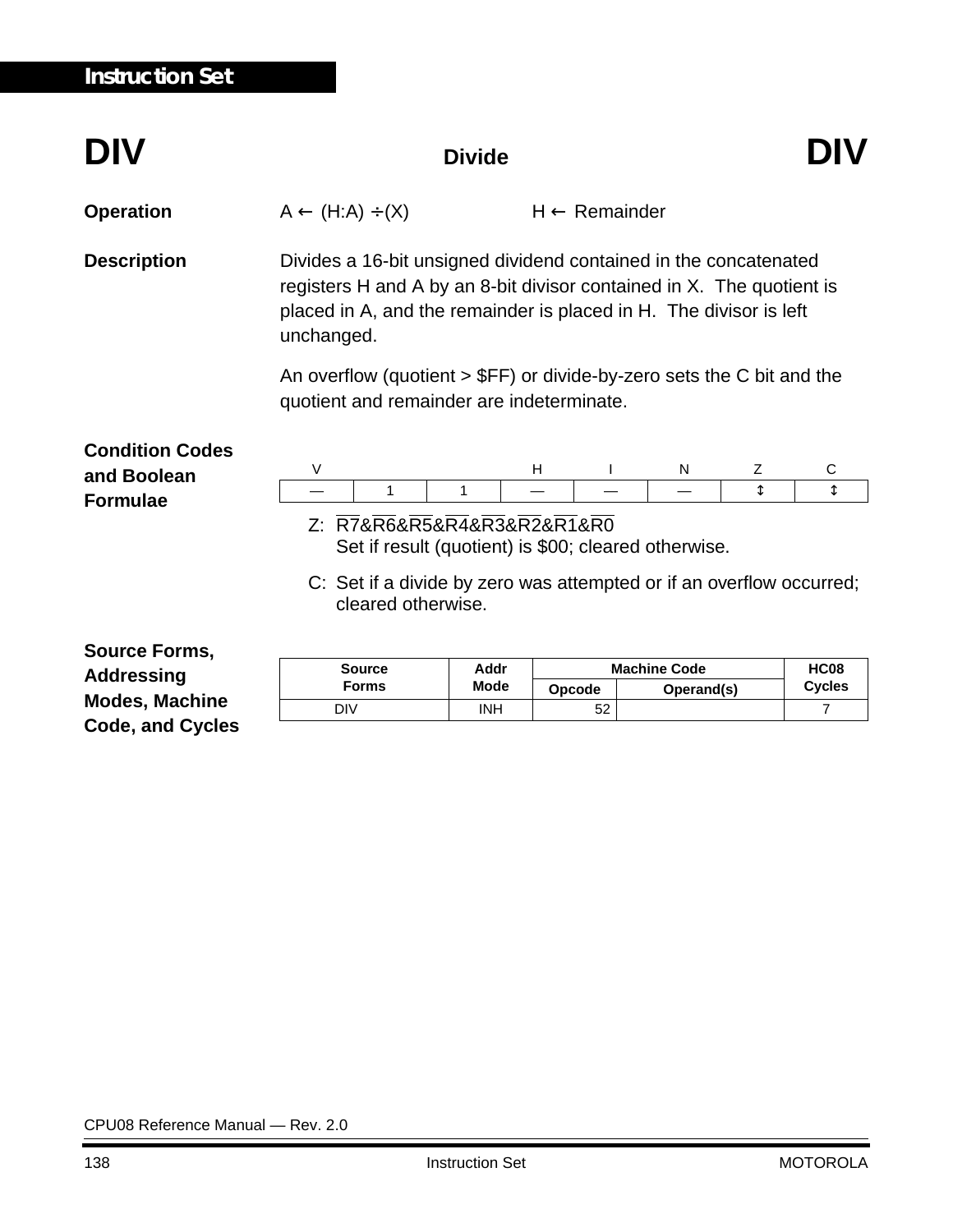| <b>DIV</b>                                               |                                                                                                                                                                                                                               | <b>Divide</b> |                          |                     |                     |                     |  |  |
|----------------------------------------------------------|-------------------------------------------------------------------------------------------------------------------------------------------------------------------------------------------------------------------------------|---------------|--------------------------|---------------------|---------------------|---------------------|--|--|
| <b>Operation</b>                                         | $A \leftarrow (H:A) \div (X)$                                                                                                                                                                                                 |               | $H \leftarrow$ Remainder |                     |                     |                     |  |  |
| <b>Description</b>                                       | Divides a 16-bit unsigned dividend contained in the concatenated<br>registers H and A by an 8-bit divisor contained in X. The quotient is<br>placed in A, and the remainder is placed in H. The divisor is left<br>unchanged. |               |                          |                     |                     |                     |  |  |
|                                                          | An overflow (quotient $>$ \$FF) or divide-by-zero sets the C bit and the<br>quotient and remainder are indeterminate.                                                                                                         |               |                          |                     |                     |                     |  |  |
| <b>Condition Codes</b><br>and Boolean<br><b>Formulae</b> | $\vee$<br>1<br>Z: R7&R6&R5&R4&R3&R2&R1&R0<br>Set if result (quotient) is \$00; cleared otherwise.<br>C: Set if a divide by zero was attempted or if an overflow occurred;<br>cleared otherwise.                               | 1             | H<br>L                   | N                   | Ζ<br>$\updownarrow$ | C<br>$\updownarrow$ |  |  |
| <b>Source Forms,</b>                                     | <b>Source</b>                                                                                                                                                                                                                 | Addr          |                          | <b>Machine Code</b> |                     | <b>HC08</b>         |  |  |
| <b>Addressing</b>                                        | <b>Forms</b>                                                                                                                                                                                                                  | <b>Mode</b>   | Opcode                   | Operand(s)          |                     | <b>Cycles</b>       |  |  |
| <b>Modes, Machine</b>                                    | <b>DIV</b>                                                                                                                                                                                                                    | <b>INH</b>    | 52                       |                     |                     | $\overline{7}$      |  |  |

**Code, and Cycles**

| ovu ve       | Auur | סטטט אווויזוש | ייטע       |       |
|--------------|------|---------------|------------|-------|
| <b>Forms</b> | Mode | Opcode        | Operand(s) | Cycle |
| DIV          | INH  | 52            |            |       |
|              |      |               |            |       |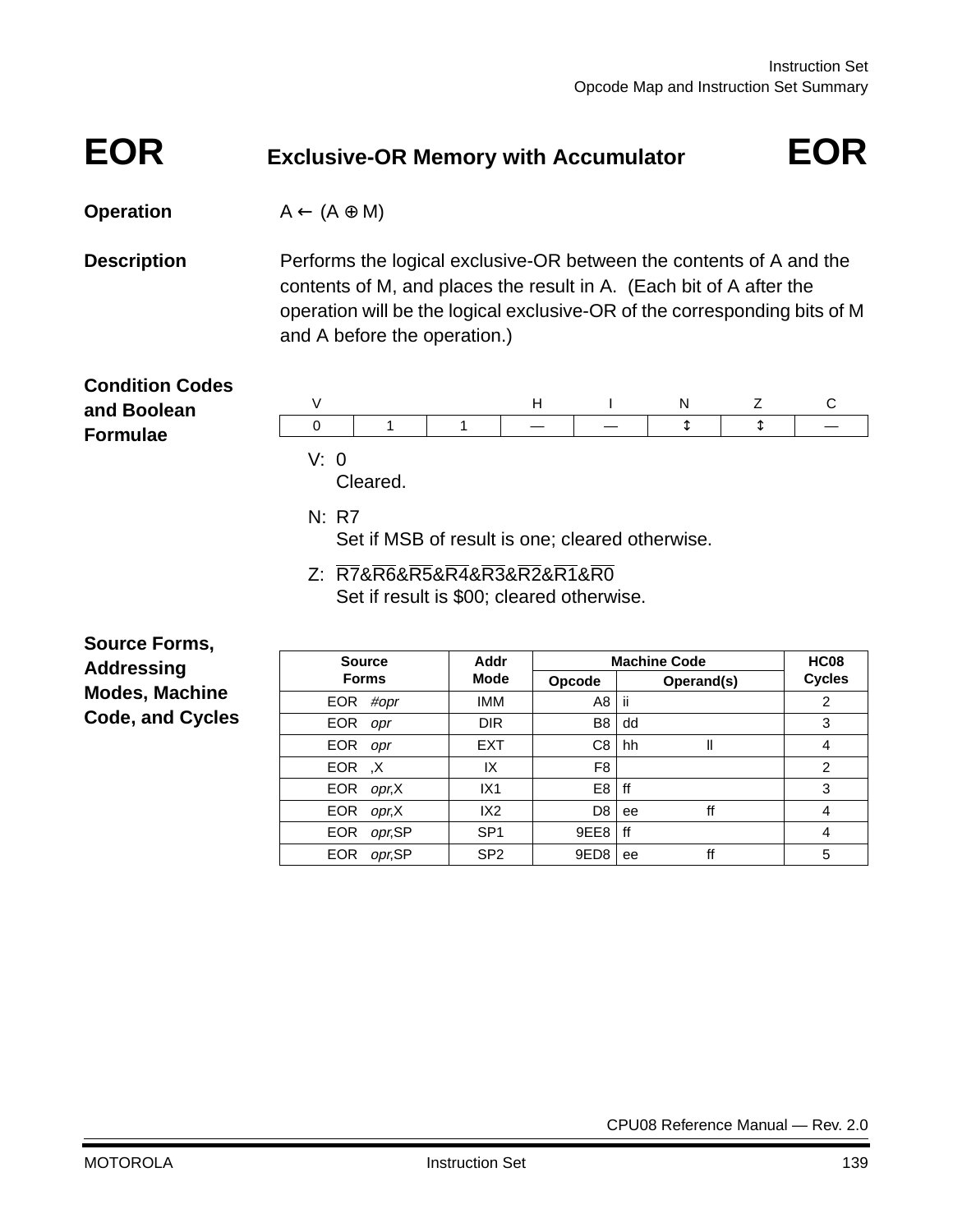# **EOR Exclusive-OR Memory with Accumulator EOR**

### **Operation**  $A \leftarrow (A \oplus M)$

**Description** Performs the logical exclusive-OR between the contents of A and the contents of M, and places the result in A. (Each bit of A after the operation will be the logical exclusive-OR of the corresponding bits of M and A before the operation.)

**Condition Codes and Boolean Formulae**

|  | 0   1   1   $-$   $-$   $\updownarrow$   $\updownarrow$ |  |  |
|--|---------------------------------------------------------|--|--|
|  |                                                         |  |  |

V: 0 Cleared.

N: R7

Set if MSB of result is one; cleared otherwise.

Z: R7&R6&R5&R4&R3&R2&R1&R0 Set if result is \$00; cleared otherwise.

**Source Forms, Addressing Modes, Machine Code, and Cycles**

| <b>Source</b>        | Addr            |                  | <b>Machine Code</b> |            |                |  |  |
|----------------------|-----------------|------------------|---------------------|------------|----------------|--|--|
| <b>Forms</b>         | <b>Mode</b>     | Opcode           |                     | Operand(s) | <b>Cycles</b>  |  |  |
| EOR<br>#opr          | <b>IMM</b>      | A8               | ji                  |            | 2              |  |  |
| <b>EOR</b><br>opr    | <b>DIR</b>      | B <sub>8</sub>   | dd                  |            | 3              |  |  |
| EOR.<br>opr          | <b>EXT</b>      | C8               | hh                  | Ш          | 4              |  |  |
| EOR ,X               | IX              | F8               |                     |            | $\overline{2}$ |  |  |
| EOR.<br>opr,X        | IX1             | E <sub>8</sub>   | ff                  |            | 3              |  |  |
| EOR.<br>opr,X        | IX2             | D <sub>8</sub>   | ee                  | ff         | 4              |  |  |
| EOR.<br>opr,SP       | SP <sub>1</sub> | 9EE8             | ff                  |            | 4              |  |  |
| <b>EOR</b><br>opr,SP | SP <sub>2</sub> | 9ED <sub>8</sub> | ee                  | ff         | 5              |  |  |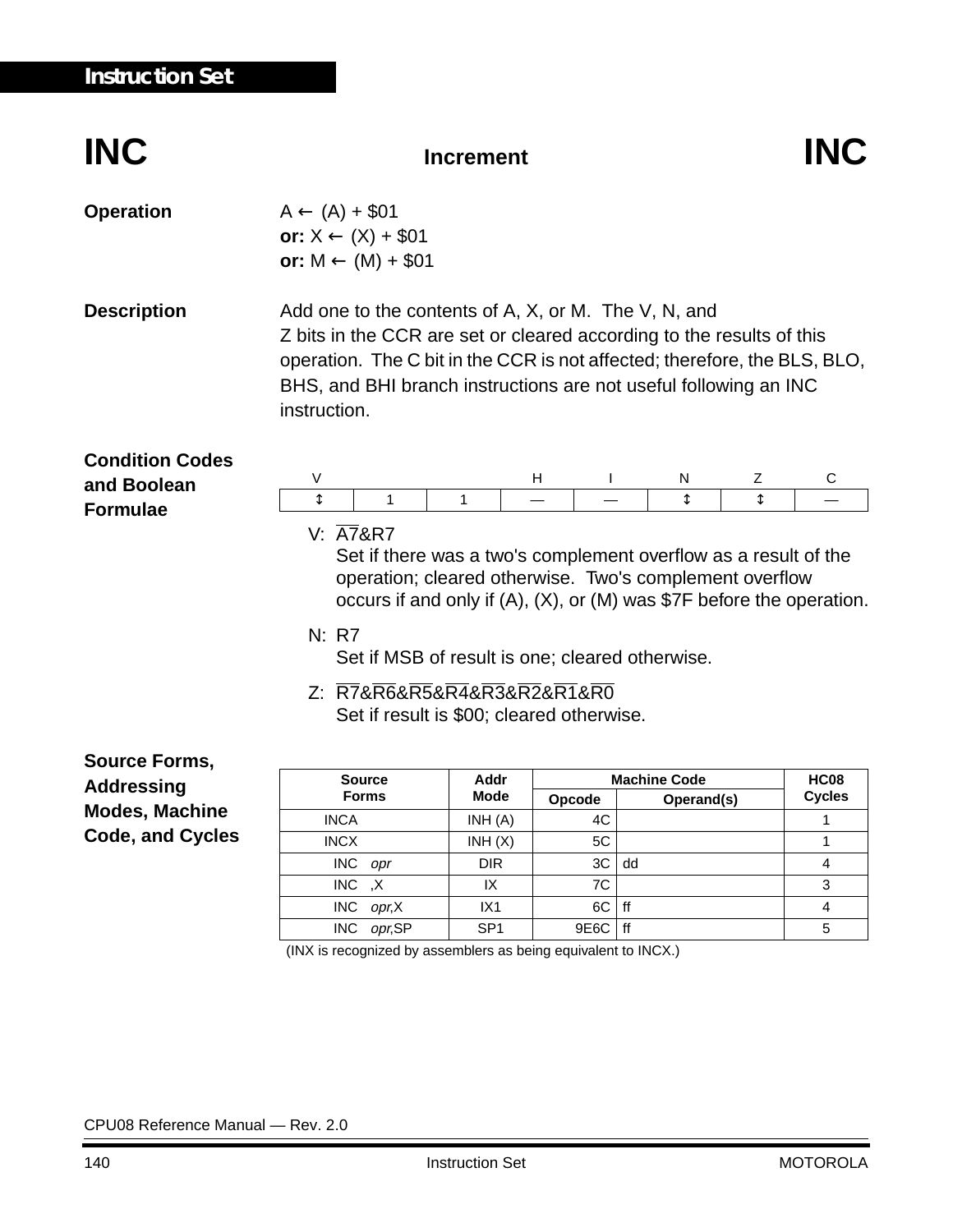| <b>INC</b>              | <b>INC</b><br><b>Increment</b>                                                                                                                                                                                                                                                                                                                                               |              |        |    |    |                         |                     |                |  |  |
|-------------------------|------------------------------------------------------------------------------------------------------------------------------------------------------------------------------------------------------------------------------------------------------------------------------------------------------------------------------------------------------------------------------|--------------|--------|----|----|-------------------------|---------------------|----------------|--|--|
| <b>Operation</b>        | $A \leftarrow (A) + $01$<br>or: $X \leftarrow (X) + $01$<br>or: $M \leftarrow (M) + $01$                                                                                                                                                                                                                                                                                     |              |        |    |    |                         |                     |                |  |  |
| <b>Description</b>      | Add one to the contents of A, X, or M. The V, N, and<br>Z bits in the CCR are set or cleared according to the results of this<br>operation. The C bit in the CCR is not affected; therefore, the BLS, BLO,<br>BHS, and BHI branch instructions are not useful following an INC<br>instruction.                                                                               |              |        |    |    |                         |                     |                |  |  |
| <b>Condition Codes</b>  |                                                                                                                                                                                                                                                                                                                                                                              |              |        |    |    |                         |                     |                |  |  |
| and Boolean             | V<br>$\updownarrow$<br>$\mathbf{1}$                                                                                                                                                                                                                                                                                                                                          | $\mathbf{1}$ | H,     | L  |    | N<br>$\hat{\mathbb{C}}$ | Ζ<br>$\updownarrow$ | С              |  |  |
|                         | $V: \overline{A7}$ &R7<br>Set if there was a two's complement overflow as a result of the<br>operation; cleared otherwise. Two's complement overflow<br>occurs if and only if $(A)$ , $(X)$ , or $(M)$ was \$7F before the operation.<br>N: R7<br>Set if MSB of result is one; cleared otherwise.<br>Z: R7&R6&R5&R4&R3&R2&R1&R0<br>Set if result is \$00; cleared otherwise. |              |        |    |    |                         |                     |                |  |  |
| <b>Source Forms,</b>    |                                                                                                                                                                                                                                                                                                                                                                              |              |        |    |    |                         |                     |                |  |  |
| <b>Addressing</b>       | <b>Machine Code</b><br><b>Source</b><br>Addr                                                                                                                                                                                                                                                                                                                                 |              |        |    |    |                         |                     | <b>HC08</b>    |  |  |
| <b>Modes, Machine</b>   | <b>Forms</b>                                                                                                                                                                                                                                                                                                                                                                 | <b>Mode</b>  | Opcode |    |    | Operand(s)              |                     | <b>Cycles</b>  |  |  |
| <b>Code, and Cycles</b> | <b>INCA</b>                                                                                                                                                                                                                                                                                                                                                                  | INH(A)       |        | 4C |    |                         |                     | 1              |  |  |
|                         | <b>INCX</b>                                                                                                                                                                                                                                                                                                                                                                  | INH(X)       |        | 5C |    |                         |                     | $\mathbf{1}$   |  |  |
|                         | INC opr                                                                                                                                                                                                                                                                                                                                                                      | <b>DIR</b>   |        | 3C | dd |                         |                     | $\overline{4}$ |  |  |
|                         | <b>INC</b><br>, x                                                                                                                                                                                                                                                                                                                                                            | IX           |        | 7C |    |                         |                     | 3              |  |  |
|                         | $INC$ opr, $X$                                                                                                                                                                                                                                                                                                                                                               | IX1          |        | 6C | ff |                         |                     | 4              |  |  |

(INX is recognized by assemblers as being equivalent to INCX.)

INC opr, SP SP1 9E6C ff 5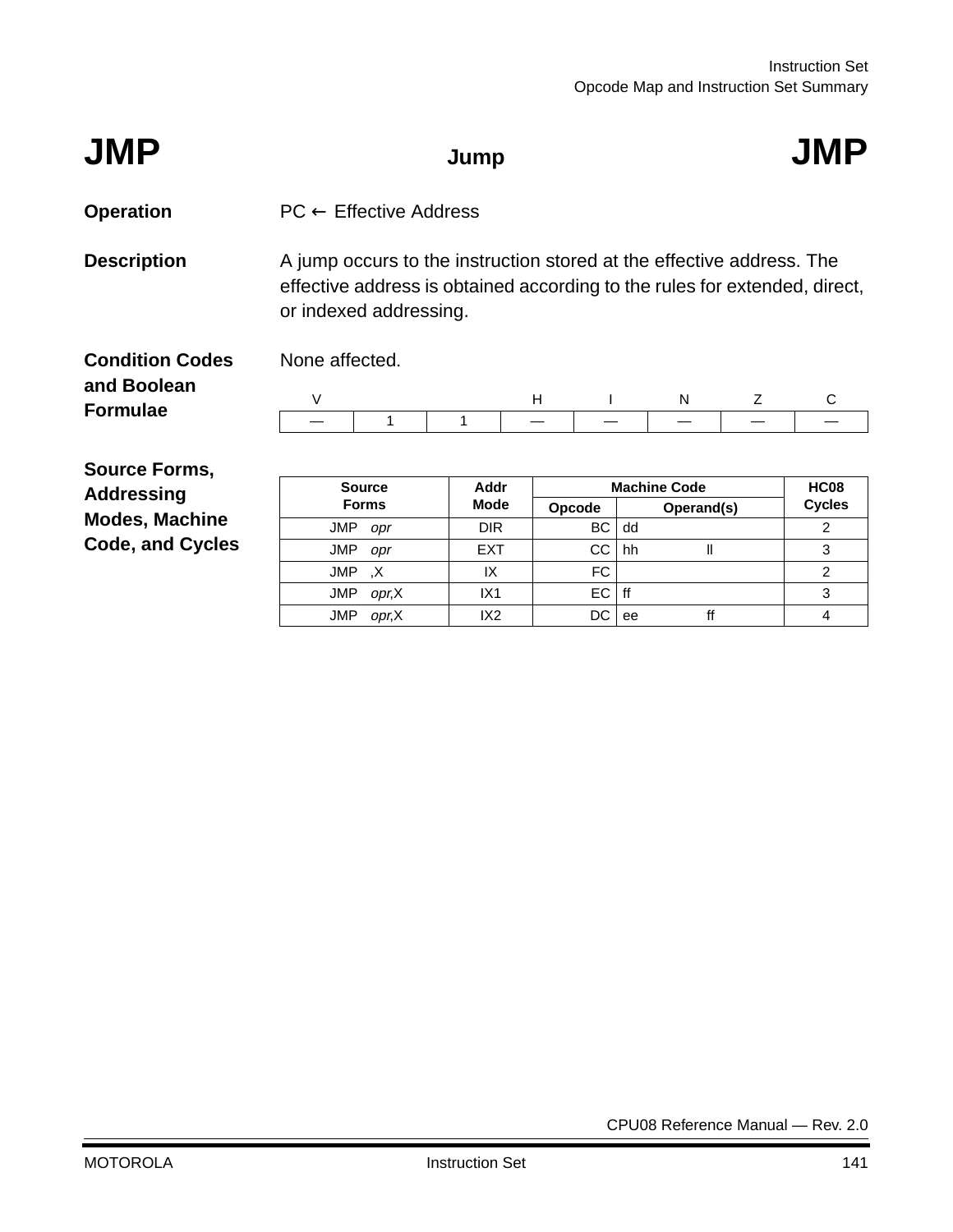| <b>JMP</b>                     | <b>JMP</b><br>Jump                                                                                                                                                            |  |  |   |  |   |   |   |  |
|--------------------------------|-------------------------------------------------------------------------------------------------------------------------------------------------------------------------------|--|--|---|--|---|---|---|--|
| <b>Operation</b>               | $PC \leftarrow$ Effective Address                                                                                                                                             |  |  |   |  |   |   |   |  |
| <b>Description</b>             | A jump occurs to the instruction stored at the effective address. The<br>effective address is obtained according to the rules for extended, direct,<br>or indexed addressing. |  |  |   |  |   |   |   |  |
| <b>Condition Codes</b>         | None affected.                                                                                                                                                                |  |  |   |  |   |   |   |  |
| and Boolean<br><b>Formulae</b> | ٧                                                                                                                                                                             |  |  | н |  | N | Z | C |  |
|                                |                                                                                                                                                                               |  |  |   |  |   |   |   |  |

| Source Forms,<br><b>Addressing</b> | <b>Source</b>            | Addr            | <b>Machine Code</b> | <b>HC08</b> |    |               |  |
|------------------------------------|--------------------------|-----------------|---------------------|-------------|----|---------------|--|
|                                    | <b>Forms</b>             | <b>Mode</b>     | Opcode              | Operand(s)  |    | <b>Cycles</b> |  |
| <b>Modes, Machine</b>              | <b>JMP</b><br>opr        | <b>DIR</b>      | BC                  | dd          |    |               |  |
| <b>Code, and Cycles</b>            | <b>JMP</b><br>opr        | <b>EXT</b>      | CC                  | hh          | Ш  | 3             |  |
|                                    | <b>JMP</b><br>$\cdot$ .X | IX              | FC.                 |             |    |               |  |
|                                    | <b>JMP</b><br>opr,X      | IX1             | $EC$   ff           |             |    | 3             |  |
|                                    | <b>JMP</b><br>opr,X      | IX <sub>2</sub> | DC                  | ee          | ff |               |  |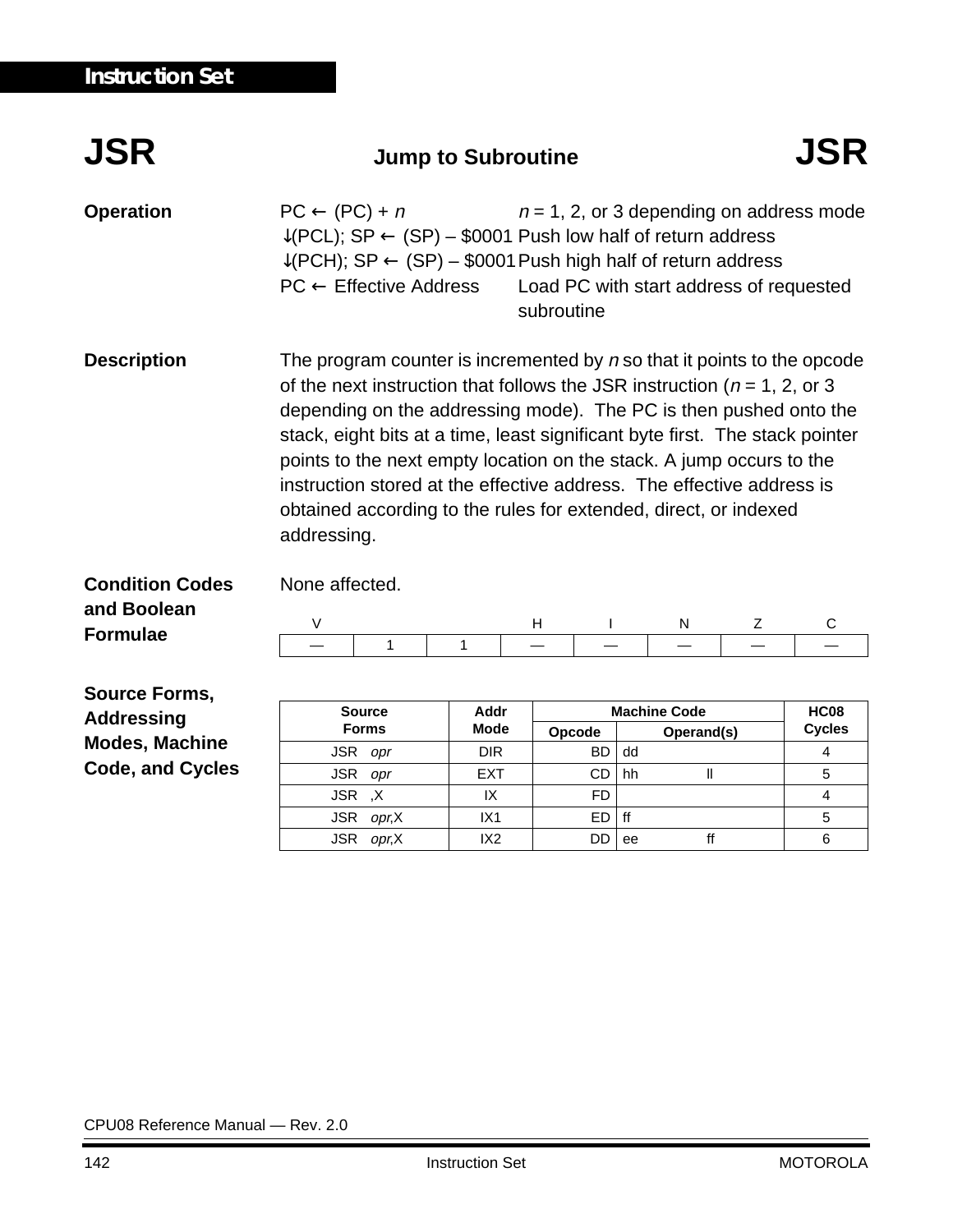| <b>JSR</b>                     | <b>JSR</b><br><b>Jump to Subroutine</b>                                                                                                                                                                                                                                                                                                                                                                                                                                                                                                           |                           |        |              |                     |   |                            |  |
|--------------------------------|---------------------------------------------------------------------------------------------------------------------------------------------------------------------------------------------------------------------------------------------------------------------------------------------------------------------------------------------------------------------------------------------------------------------------------------------------------------------------------------------------------------------------------------------------|---------------------------|--------|--------------|---------------------|---|----------------------------|--|
| <b>Operation</b>               | $PC \leftarrow (PC) + n$<br>$n = 1, 2$ , or 3 depending on address mode<br>$\downarrow$ (PCL); SP $\leftarrow$ (SP) – \$0001 Push low half of return address<br>$\downarrow$ (PCH); SP $\leftarrow$ (SP) – \$0001 Push high half of return address<br>$PC \leftarrow$ Effective Address<br>Load PC with start address of requested<br>subroutine                                                                                                                                                                                                  |                           |        |              |                     |   |                            |  |
| <b>Description</b>             | The program counter is incremented by $n$ so that it points to the opcode<br>of the next instruction that follows the JSR instruction ( $n = 1, 2,$ or 3<br>depending on the addressing mode). The PC is then pushed onto the<br>stack, eight bits at a time, least significant byte first. The stack pointer<br>points to the next empty location on the stack. A jump occurs to the<br>instruction stored at the effective address. The effective address is<br>obtained according to the rules for extended, direct, or indexed<br>addressing. |                           |        |              |                     |   |                            |  |
| <b>Condition Codes</b>         | None affected.                                                                                                                                                                                                                                                                                                                                                                                                                                                                                                                                    |                           |        |              |                     |   |                            |  |
| and Boolean<br><b>Formulae</b> | V                                                                                                                                                                                                                                                                                                                                                                                                                                                                                                                                                 |                           | H      | $\mathbf{I}$ | N                   | Ζ | C                          |  |
|                                | $\mathbf{1}$                                                                                                                                                                                                                                                                                                                                                                                                                                                                                                                                      | 1                         |        |              |                     |   |                            |  |
| <b>Source Forms,</b>           |                                                                                                                                                                                                                                                                                                                                                                                                                                                                                                                                                   |                           |        |              |                     |   |                            |  |
| <b>Addressing</b>              | <b>Source</b>                                                                                                                                                                                                                                                                                                                                                                                                                                                                                                                                     | Addr                      |        |              | <b>Machine Code</b> |   | <b>HC08</b>                |  |
| <b>Modes, Machine</b>          | <b>Forms</b><br>$IPD$ $OR$                                                                                                                                                                                                                                                                                                                                                                                                                                                                                                                        | <b>Mode</b><br><b>NID</b> | Opcode | DD.<br>aa l  | Operand(s)          |   | <b>Cycles</b><br>$\lambda$ |  |

| <b>Source Forms,</b><br><b>Addressing</b> | <b>Source</b> | Addr            | <b>Machine Code</b> | HC <sub>0</sub> |                |
|-------------------------------------------|---------------|-----------------|---------------------|-----------------|----------------|
|                                           | <b>Forms</b>  | <b>Mode</b>     | <b>Opcode</b>       | Operand(s)      | Cycl           |
| <b>Modes, Machine</b>                     | JSR opr       | <b>DIR</b>      | $BD$ dd             |                 | $\overline{4}$ |
| <b>Code, and Cycles</b>                   | JSR opr       | <b>EXT</b>      | CD I                | hh              | -5             |
|                                           | JSR ,X        | IX              | FD.                 |                 | $\overline{4}$ |
|                                           | JSR opr,X     | IX1             | ED ff               |                 | -5             |
|                                           | JSR<br>opr,X  | IX <sub>2</sub> | DD                  | ee              | 6              |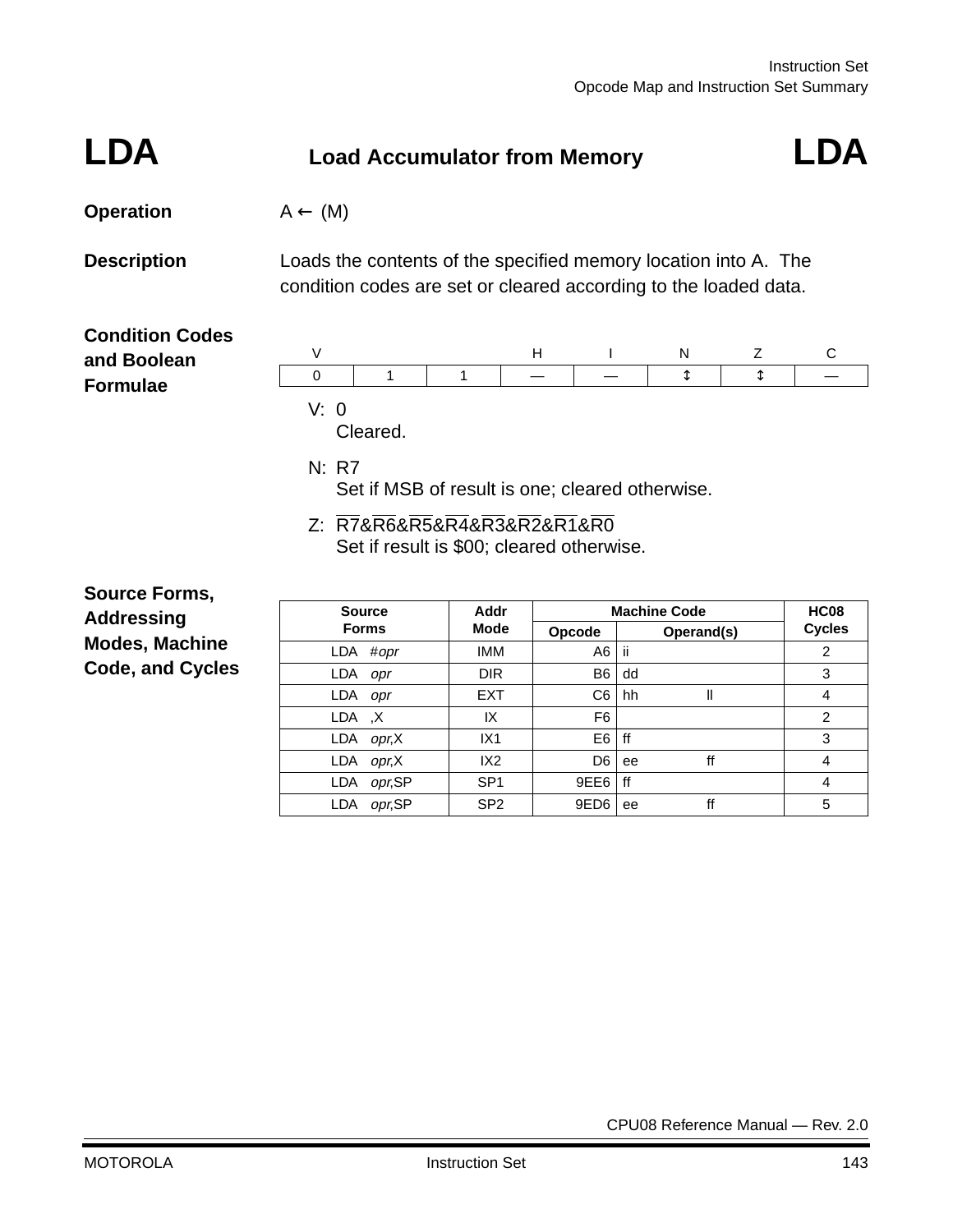# **LDA Load Accumulator from Memory LDA**



### **Operation**  $A \leftarrow (M)$

**Description** Loads the contents of the specified memory location into A. The condition codes are set or cleared according to the loaded data.

**Condition Codes and Boolean Formulae**

|      |          |  |  | $\ddot{\phantom{0}}$ |  |
|------|----------|--|--|----------------------|--|
| A 7. | Cleared. |  |  |                      |  |

N: R7

Set if MSB of result is one; cleared otherwise.

Z: R7&R6&R5&R4&R3&R2&R1&R0 Set if result is \$00; cleared otherwise.

| <b>Source Forms,</b>    |
|-------------------------|
| <b>Addressing</b>       |
| <b>Modes, Machine</b>   |
| <b>Code, and Cycles</b> |

| <b>Source</b> | Addr            | <b>Machine Code</b> |    |            | HC <sub>08</sub> |
|---------------|-----------------|---------------------|----|------------|------------------|
| <b>Forms</b>  | <b>Mode</b>     | Opcode              |    | Operand(s) | <b>Cycles</b>    |
| LDA #opr      | <b>IMM</b>      | A6                  | ۱i |            | 2                |
| LDA opr       | <b>DIR</b>      | <b>B6</b>           | dd |            | 3                |
| LDA opr       | <b>EXT</b>      | C6                  | hh |            | 4                |
| LDA, X        | IX              | F <sub>6</sub>      |    |            | 2                |
| LDA opr,X     | IX1             | E <sub>6</sub>      | ff |            | 3                |
| LDA opr,X     | IX2             | D6                  | ee | ff         | 4                |
| LDA opr,SP    | SP <sub>1</sub> | 9EE6                | ff |            | 4                |
| LDA opr,SP    | SP <sub>2</sub> | 9ED <sub>6</sub>    | ee | ff         | 5                |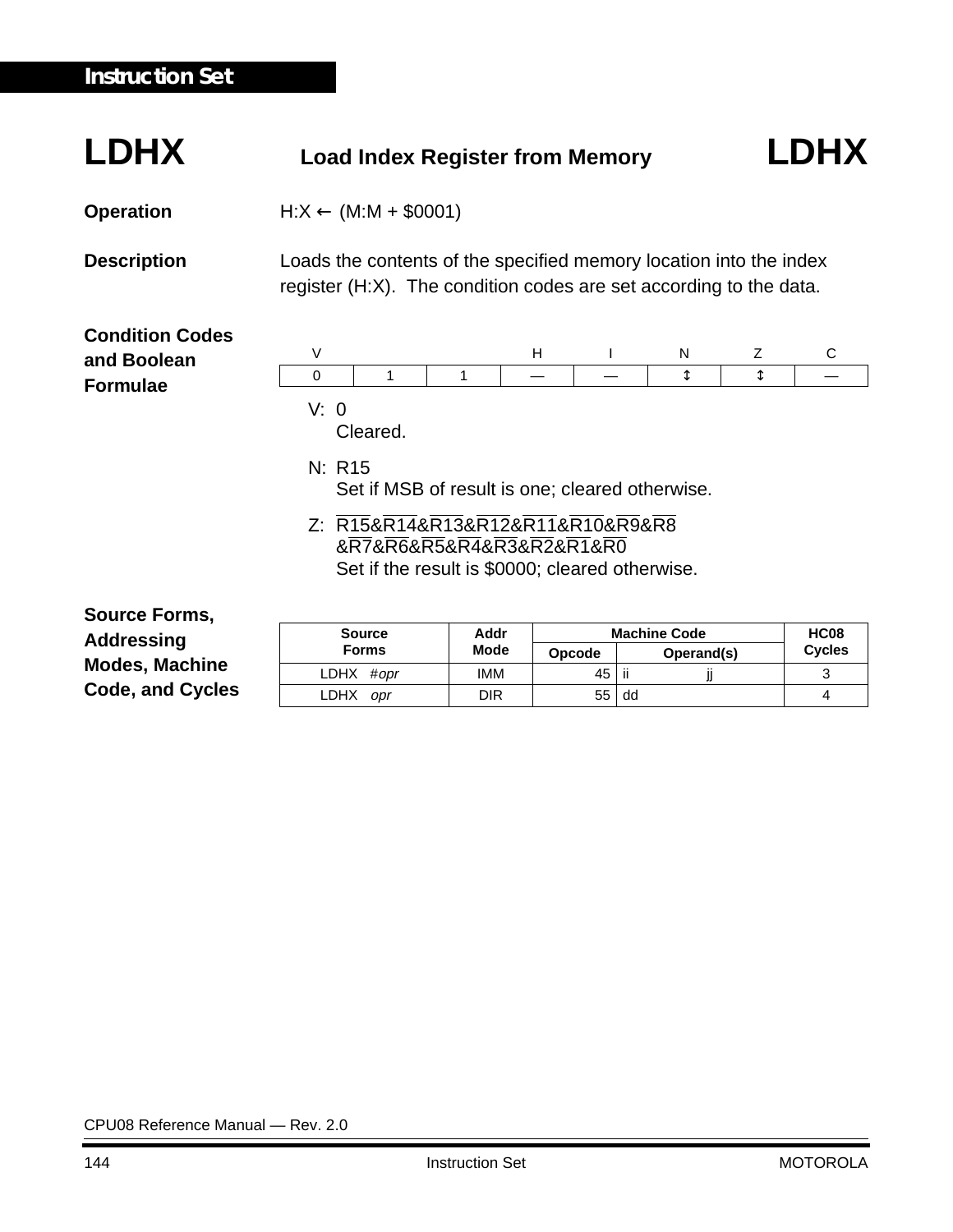| <b>LDHX</b>                                                        | <b>LDHX</b><br><b>Load Index Register from Memory</b>                                                                                                                                                           |                            |              |                                                |                     |                                   |  |  |
|--------------------------------------------------------------------|-----------------------------------------------------------------------------------------------------------------------------------------------------------------------------------------------------------------|----------------------------|--------------|------------------------------------------------|---------------------|-----------------------------------|--|--|
| <b>Operation</b>                                                   | $H:X \leftarrow (M:M + $0001)$                                                                                                                                                                                  |                            |              |                                                |                     |                                   |  |  |
| <b>Description</b>                                                 | Loads the contents of the specified memory location into the index<br>register (H:X). The condition codes are set according to the data.                                                                        |                            |              |                                                |                     |                                   |  |  |
| <b>Condition Codes</b><br>and Boolean<br><b>Formulae</b>           | V<br>0<br>1<br>V: 0<br>Cleared.<br>N: R15<br>Set if MSB of result is one; cleared otherwise.<br>Z: R15&R14&R13&R12&R11&R10&R9&R8<br>&R7&R6&R5&R4&R3&R2&R1&R0<br>Set if the result is \$0000; cleared otherwise. | 1                          | H.<br>I.     | N<br>$\updownarrow$                            | Ζ<br>$\updownarrow$ | C                                 |  |  |
| <b>Source Forms,</b><br><b>Addressing</b><br><b>Modes, Machine</b> | <b>Source</b><br><b>Forms</b><br>LDHX #opr                                                                                                                                                                      | Addr<br>Mode<br><b>IMM</b> | Opcode<br>45 | <b>Machine Code</b><br>Operand(s)<br>ii.<br>jj |                     | <b>HC08</b><br><b>Cycles</b><br>3 |  |  |
| <b>Code, and Cycles</b>                                            | LDHX opr                                                                                                                                                                                                        | <b>DIR</b>                 | 55           | dd                                             |                     | 4                                 |  |  |

LDHX *opr* DIR 55 dd 4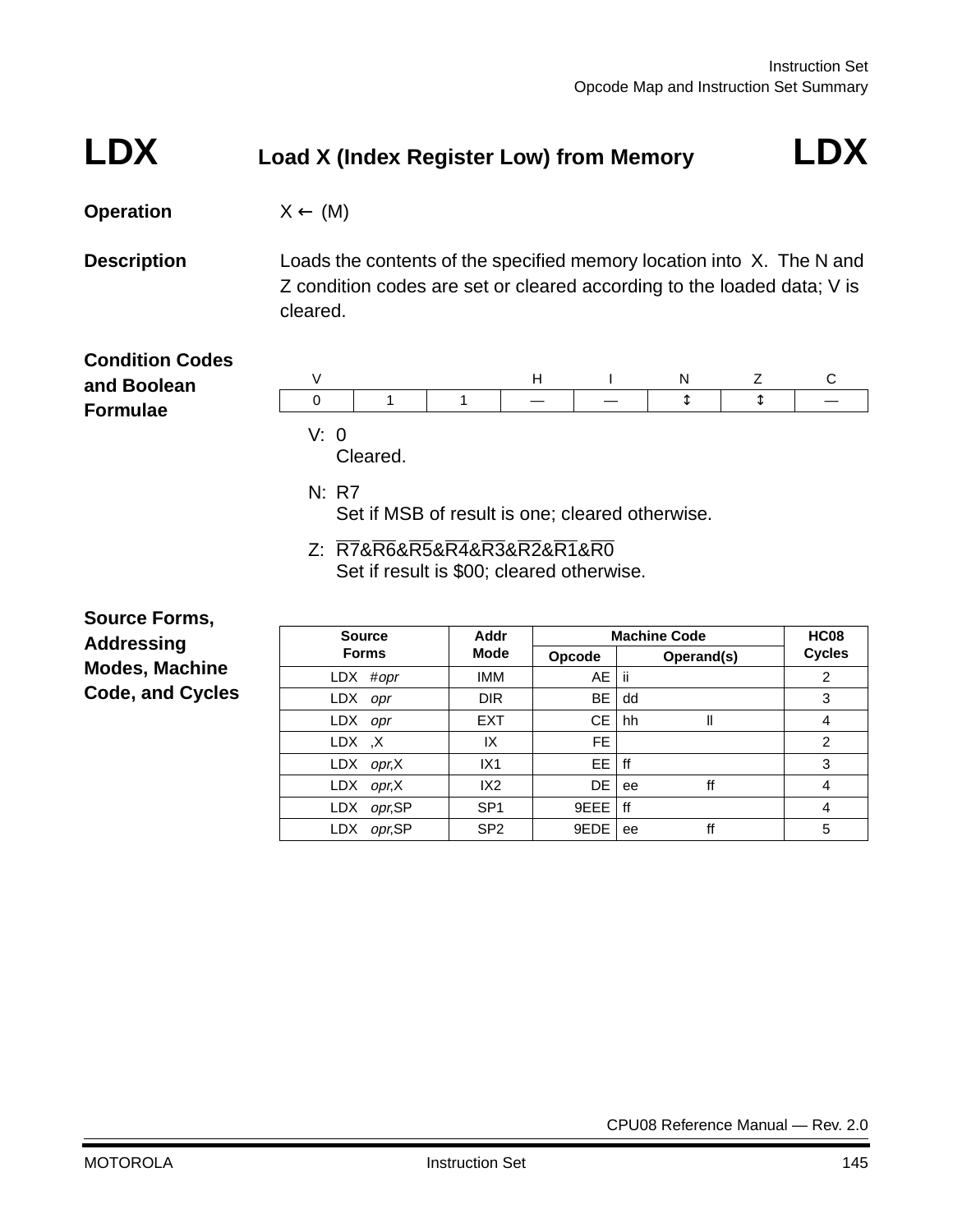## **LDX Load X (Index Register Low) from Memory LDX**

### **Operation**  $X \leftarrow (M)$

**Description** Loads the contents of the specified memory location into X. The N and Z condition codes are set or cleared according to the loaded data; V is cleared.

| <b>Condition Codes</b> |       |          |   |   |   |
|------------------------|-------|----------|---|---|---|
| and Boolean            |       |          | н | N | ◡ |
| Formulae               |       |          |   |   |   |
|                        | V: 0  | Cleared. |   |   |   |
|                        | N: R7 |          |   |   |   |

Set if MSB of result is one; cleared otherwise.

Z: R7&R6&R5&R4&R3&R2&R1&R0 Set if result is \$00; cleared otherwise.

|      | <b>Source</b>  | Addr            |             | <b>Machine Code</b> | HC <sub>08</sub> |
|------|----------------|-----------------|-------------|---------------------|------------------|
|      | <b>Forms</b>   | <b>Mode</b>     | Opcode      | Operand(s)          | <b>Cycles</b>    |
| ٦e   | LDX #opr       | <b>IMM</b>      | AE          | jj.                 | 2                |
| :les | LDX<br>opr     | <b>DIR</b>      | <b>BE</b>   | dd                  | 3                |
|      | LDX opr        | <b>EXT</b>      | <b>CE</b>   | hh<br>Ш             | 4                |
|      | LDX, X         | IX              | FE.         |                     | $\overline{2}$   |
|      | LDX opr,X      | IX1             | EE          | ff                  | 3                |
|      | LDX opr,X      | IX2             | <b>DE</b>   | ff<br>ee            | 4                |
|      | LDX opr,SP     | SP <sub>1</sub> | $9EEE$   ff |                     | 4                |
|      | opr,SP<br>LDX. | SP <sub>2</sub> | 9EDE        | ff<br>ee            | 5                |

**Source Forms, Addressing Modes, Machir Code, and Cyc**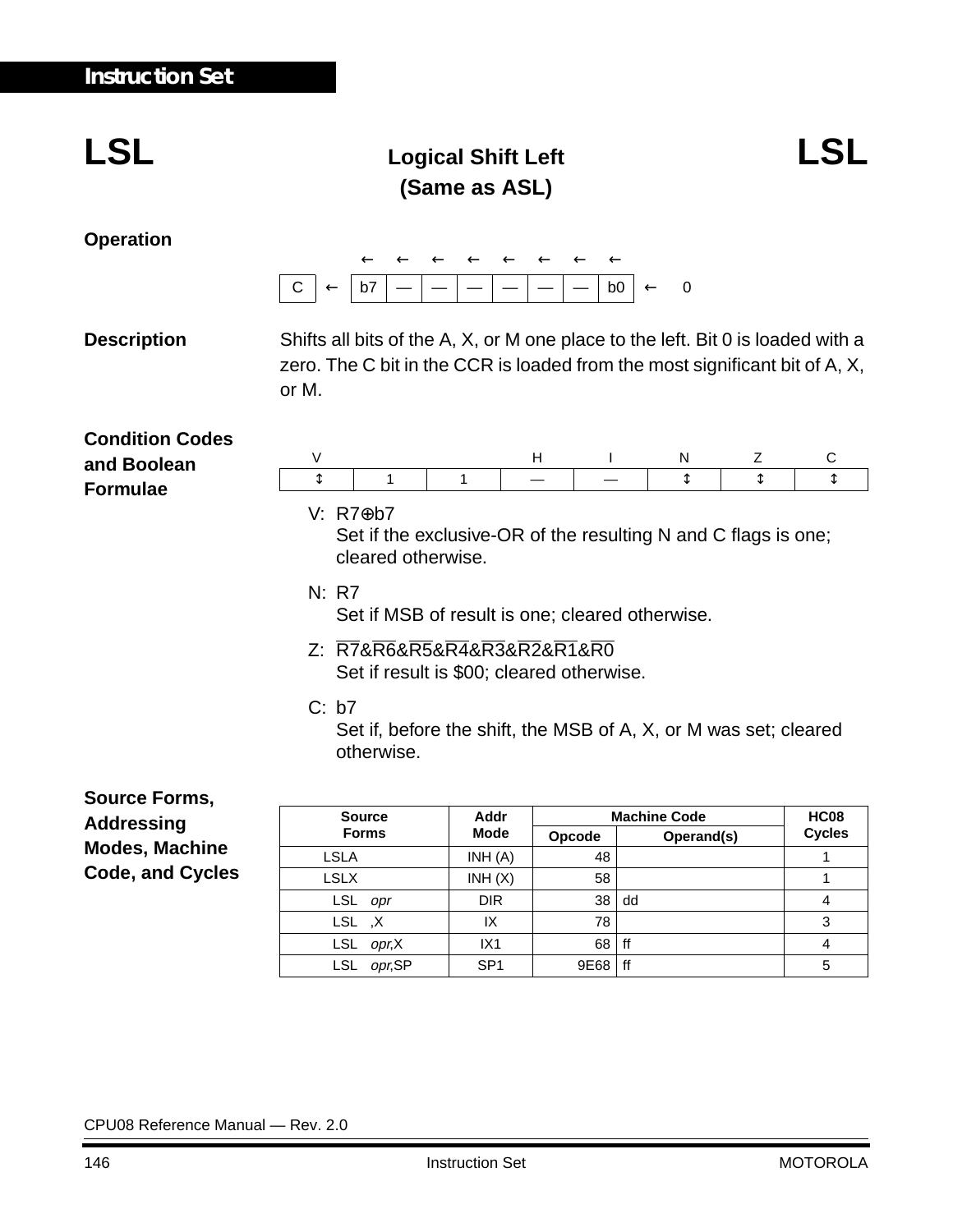## **LSL Logical Shift Left LSL (Same as ASL)**

| <b>Operation</b>               |                                                                                                                                                                                                                             |                                                        |                              |                                   |                |                              |
|--------------------------------|-----------------------------------------------------------------------------------------------------------------------------------------------------------------------------------------------------------------------------|--------------------------------------------------------|------------------------------|-----------------------------------|----------------|------------------------------|
|                                | $\leftarrow$<br>$\leftarrow$<br>C<br>b7<br>$\leftarrow$                                                                                                                                                                     | $\leftarrow$ $\leftarrow$<br>$\leftarrow$ $\leftarrow$ | $\leftarrow$<br>$\leftarrow$ | b0<br>0<br>$\leftarrow$           |                |                              |
| <b>Description</b>             | Shifts all bits of the A, X, or M one place to the left. Bit 0 is loaded with a<br>zero. The C bit in the CCR is loaded from the most significant bit of A, X,<br>or M.                                                     |                                                        |                              |                                   |                |                              |
| <b>Condition Codes</b>         | V                                                                                                                                                                                                                           |                                                        | H.<br>L                      | N                                 | Ζ              | C                            |
| and Boolean<br><b>Formulae</b> | $\updownarrow$<br>$\mathbf{1}$                                                                                                                                                                                              | $\mathbf{1}$                                           |                              | $\updownarrow$                    | $\updownarrow$ | $\updownarrow$               |
|                                | Set if the exclusive-OR of the resulting N and C flags is one;<br>cleared otherwise.<br>N: R7<br>Set if MSB of result is one; cleared otherwise.<br>Z: R7&R6&R5&R4&R3&R2&R1&R0<br>Set if result is \$00; cleared otherwise. |                                                        |                              |                                   |                |                              |
|                                | C: b7<br>Set if, before the shift, the MSB of A, X, or M was set; cleared<br>otherwise.                                                                                                                                     |                                                        |                              |                                   |                |                              |
| <b>Source Forms,</b>           |                                                                                                                                                                                                                             |                                                        |                              |                                   |                |                              |
| <b>Addressing</b>              | <b>Source</b><br><b>Forms</b>                                                                                                                                                                                               | <b>Addr</b><br><b>Mode</b>                             | Opcode                       | <b>Machine Code</b><br>Operand(s) |                | <b>HC08</b><br><b>Cycles</b> |
| <b>Modes, Machine</b>          | <b>LSLA</b>                                                                                                                                                                                                                 | INH(A)                                                 | 48                           |                                   |                | 1                            |
| <b>Code, and Cycles</b>        | <b>LSLX</b>                                                                                                                                                                                                                 | INH(X)                                                 | 58                           |                                   |                | 1                            |
|                                | LSL opr                                                                                                                                                                                                                     | <b>DIR</b>                                             | 38                           | dd                                |                | 4                            |
|                                | LSL, X                                                                                                                                                                                                                      | IX                                                     | 78                           |                                   |                | 3                            |

CPU08 Reference Manual — Rev. 2.0

LSL  $\mathsf{opt, X}$  IX1 68 ff 4 LSL opr,SP SP1 9E68 ff 5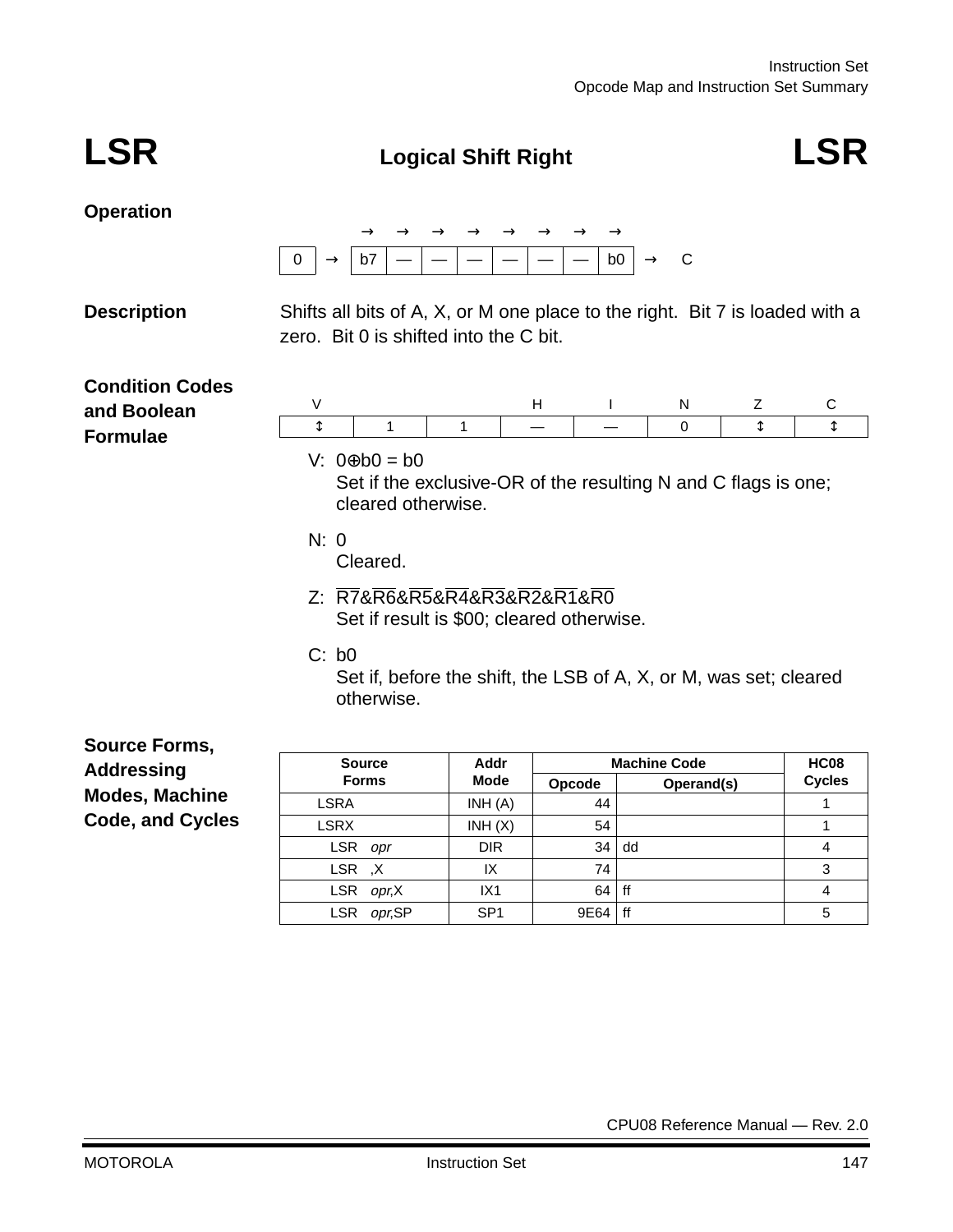# **LSR Logical Shift Right LSR**



### **Operation** →→→→→→→→  $0 \hspace{.1cm} | \hspace{.1cm} \rightarrow \hspace{.1cm} | \hspace{.1cm}$  b7  $| \hspace{.1cm} - \hspace{.1cm} | \hspace{.1cm} - \hspace{.1cm} | \hspace{.1cm} - \hspace{.1cm} | \hspace{.1cm} - \hspace{.1cm} | \hspace{.1cm} - \hspace{.1cm} | \hspace{.1cm}$  b0  $| \hspace{.1cm} \rightarrow \hspace{.1cm}$  C **Description** Shifts all bits of A, X, or M one place to the right. Bit 7 is loaded with a zero. Bit 0 is shifted into the C bit. **Condition Codes** V H I N Z C **and Boolean**  $\ddot{\downarrow}$  | 1 | 1 |  $-$  |  $-$  | 0 |  $\ddot{\downarrow}$  |  $\ddot{\downarrow}$ **Formulae** V: 0⊕b0 = b0 Set if the exclusive-OR of the resulting N and C flags is one; cleared otherwise.  $N: 0$ Cleared. Z: R7&R6&R5&R4&R3&R2&R1&R0 Set if result is \$00; cleared otherwise. C: b0 Set if, before the shift, the LSB of A, X, or M, was set; cleared otherwise. **Source Forms, Addr** т **Source** Machine Code **HC08 Addressing Forms Mode Opcode Operand(s) Cycles Modes, Machine**

**Code, and Cycles**

| <b>Source</b>  | Addr            | <b>Machine Code</b> | <b>H</b> CUQ |               |
|----------------|-----------------|---------------------|--------------|---------------|
| <b>Forms</b>   | <b>Mode</b>     | Opcode              | Operand(s)   | <b>Cycles</b> |
| LSRA           | INH(A)          | 44                  |              |               |
| <b>LSRX</b>    | INH(X)          | 54                  |              |               |
| LSR opr        | <b>DIR</b>      | 34                  | dd           | 4             |
| LSR ,X         | IX              | 74                  |              | 3             |
| LSR I<br>opr,X | IX <sub>1</sub> | 64                  | , ff         | 4             |
| opr,SP<br>LSR. | SP <sub>1</sub> | 9E64                | . ff         | 5             |
|                |                 |                     |              |               |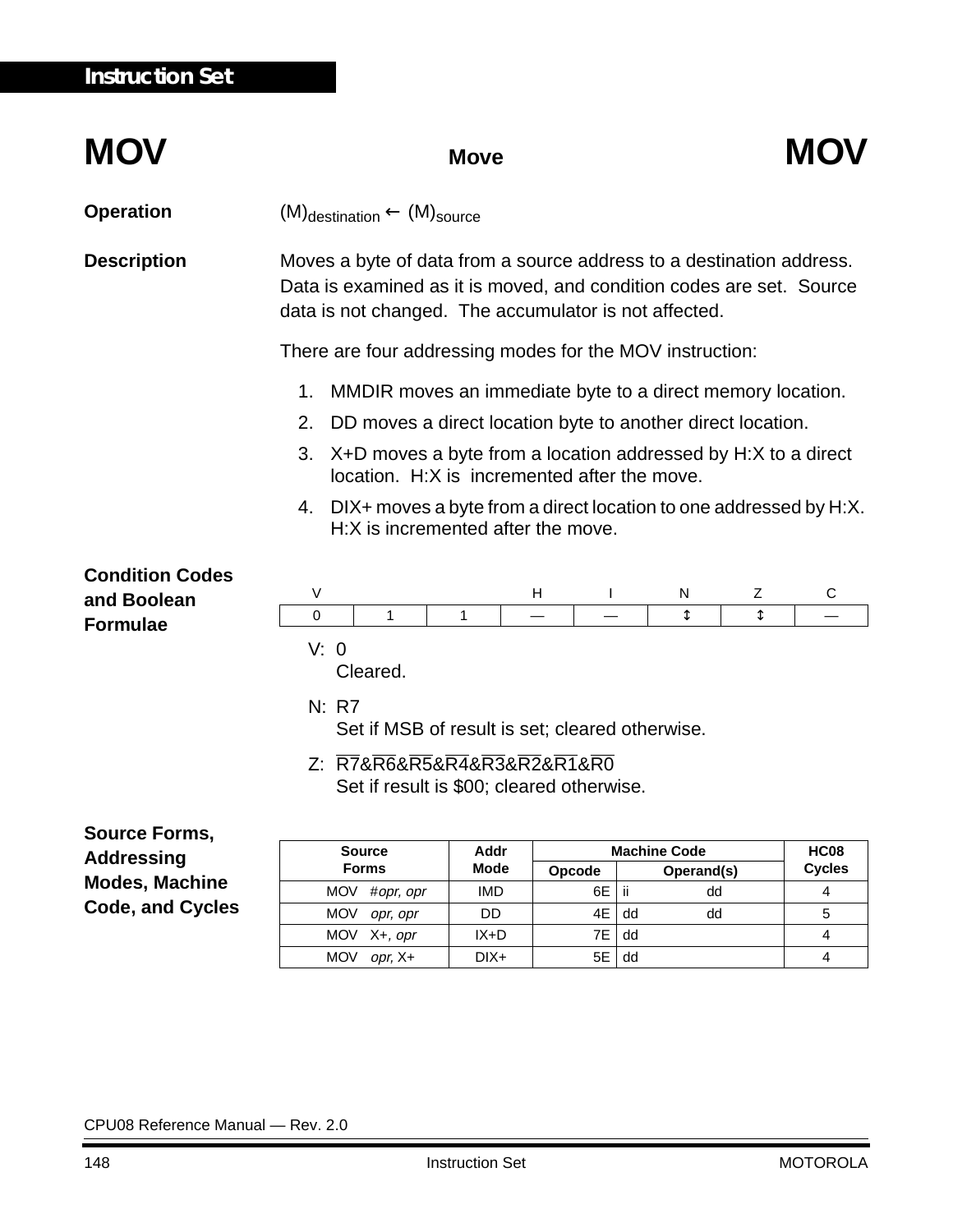| <b>MOV</b>                            |                                                                                                               | M(<br><b>Move</b>                                                                                                                                                                                     |                     |   |          |                   |                                   |   |                              |  |  |
|---------------------------------------|---------------------------------------------------------------------------------------------------------------|-------------------------------------------------------------------------------------------------------------------------------------------------------------------------------------------------------|---------------------|---|----------|-------------------|-----------------------------------|---|------------------------------|--|--|
| <b>Operation</b>                      |                                                                                                               | $(M)$ <sub>destination</sub> $\leftarrow$ (M) <sub>source</sub>                                                                                                                                       |                     |   |          |                   |                                   |   |                              |  |  |
| <b>Description</b>                    |                                                                                                               | Moves a byte of data from a source address to a destination address.<br>Data is examined as it is moved, and condition codes are set. Source<br>data is not changed. The accumulator is not affected. |                     |   |          |                   |                                   |   |                              |  |  |
|                                       |                                                                                                               | There are four addressing modes for the MOV instruction:                                                                                                                                              |                     |   |          |                   |                                   |   |                              |  |  |
|                                       | 1.                                                                                                            | MMDIR moves an immediate byte to a direct memory location.                                                                                                                                            |                     |   |          |                   |                                   |   |                              |  |  |
|                                       | 2.                                                                                                            | DD moves a direct location byte to another direct location.                                                                                                                                           |                     |   |          |                   |                                   |   |                              |  |  |
|                                       | 3.                                                                                                            | X+D moves a byte from a location addressed by H:X to a direct<br>location. H:X is incremented after the move.                                                                                         |                     |   |          |                   |                                   |   |                              |  |  |
|                                       | DIX+ moves a byte from a direct location to one addressed by H:X.<br>4.<br>H:X is incremented after the move. |                                                                                                                                                                                                       |                     |   |          |                   |                                   |   |                              |  |  |
| <b>Condition Codes</b><br>and Boolean | $\vee$                                                                                                        |                                                                                                                                                                                                       |                     | H | L        |                   | N                                 | Ζ | C                            |  |  |
| <b>Formulae</b>                       | 0<br>V: 0<br>N: R7                                                                                            | 1<br>Cleared.<br>Set if MSB of result is set; cleared otherwise.<br>Z: R7&R6&R5&R4&R3&R2&R1&R0<br>Set if result is \$00; cleared otherwise.                                                           | 1                   |   |          |                   | ↨                                 | ⇕ |                              |  |  |
| <b>Source Forms,</b>                  |                                                                                                               |                                                                                                                                                                                                       |                     |   |          |                   |                                   |   |                              |  |  |
| <b>Addressing</b>                     |                                                                                                               | <b>Source</b><br><b>Forms</b>                                                                                                                                                                         | Addr<br><b>Mode</b> |   | Opcode   |                   | <b>Machine Code</b><br>Operand(s) |   | <b>HC08</b><br><b>Cycles</b> |  |  |
| <b>Modes, Machine</b>                 | <b>MOV</b>                                                                                                    | #opr, opr                                                                                                                                                                                             | <b>IMD</b>          |   | 6E       | $\ddot{\text{I}}$ | dd                                |   | $\overline{\mathbf{4}}$      |  |  |
| <b>Code, and Cycles</b>               | <b>MOV</b>                                                                                                    | opr, opr                                                                                                                                                                                              | DD.                 |   | 4E       | dd                | dd                                |   | 5                            |  |  |
|                                       | <b>MOV</b><br><b>MOV</b>                                                                                      | X+, opr<br>opr, X+                                                                                                                                                                                    | IX+D<br>DIX+        |   | 7E<br>5E | dd<br>dd          |                                   |   | 4<br>4                       |  |  |
|                                       |                                                                                                               |                                                                                                                                                                                                       |                     |   |          |                   |                                   |   |                              |  |  |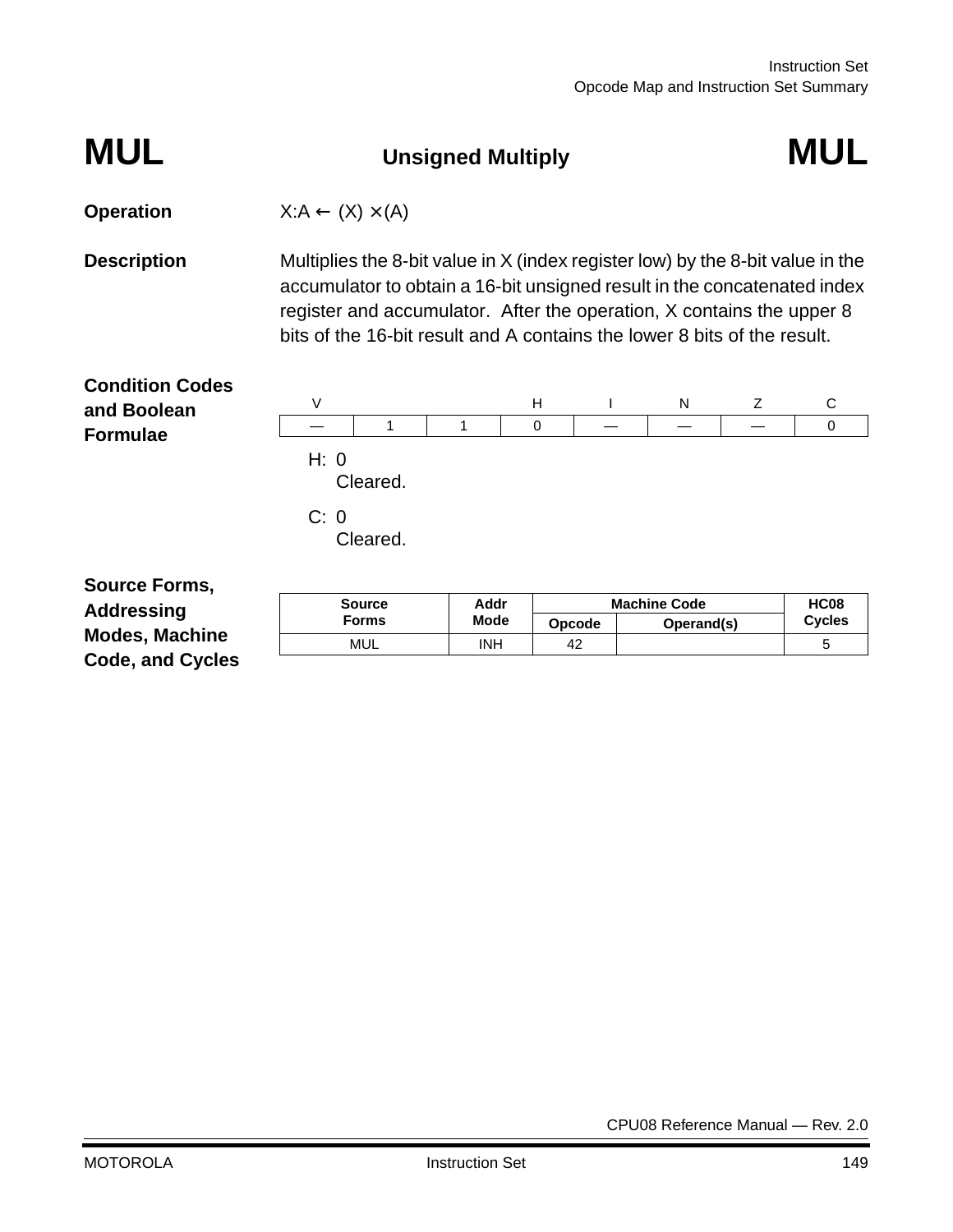## **MUL Unsigned Multiply MUL**

**Operation**  $X:A \leftarrow (X) \times (A)$ 

**Description** Multiplies the 8-bit value in X (index register low) by the 8-bit value in the accumulator to obtain a 16-bit unsigned result in the concatenated index register and accumulator. After the operation, X contains the upper 8 bits of the 16-bit result and A contains the lower 8 bits of the result.

| <b>Condition Codes</b><br>and Boolean | V            |                      | H<br>0 | N | Z | C<br>0 |
|---------------------------------------|--------------|----------------------|--------|---|---|--------|
| Formulae                              | H: 0<br>C: 0 | Cleared.<br>Cleared. |        |   |   |        |
| <b>Source Forms,</b>                  |              |                      |        |   |   |        |

| <b>UVULVY L VILLIU</b><br>Addressing | <b>Source</b> | Addr       | <b>Machine Code</b> | <b>HC08</b> |               |
|--------------------------------------|---------------|------------|---------------------|-------------|---------------|
|                                      | <b>Forms</b>  | Mode       | Opcode              | Operand(s)  | <b>Cycles</b> |
| <b>Modes, Machine</b>                | MUL           | <b>INH</b> | 42                  |             |               |
| <b>Code, and Cycles</b>              |               |            |                     |             |               |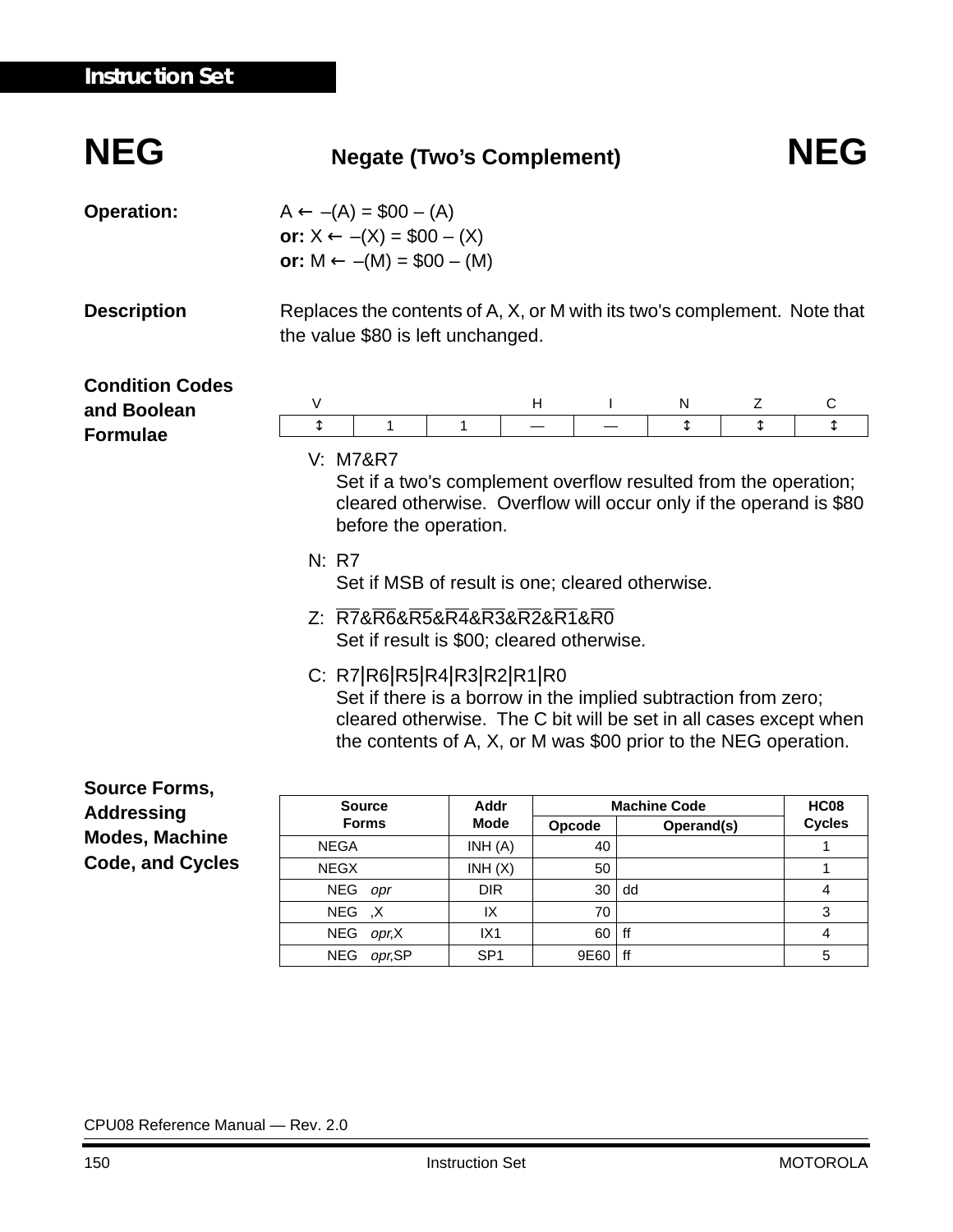| <b>NEG</b>              |                                                                                                                                                                                                                            | <b>Negate (Two's Complement)</b>                                                                              |              |    |              |                                                                                                                                                                                                        |                | <b>NEG</b>                        |  |  |
|-------------------------|----------------------------------------------------------------------------------------------------------------------------------------------------------------------------------------------------------------------------|---------------------------------------------------------------------------------------------------------------|--------------|----|--------------|--------------------------------------------------------------------------------------------------------------------------------------------------------------------------------------------------------|----------------|-----------------------------------|--|--|
| <b>Operation:</b>       |                                                                                                                                                                                                                            | $A \leftarrow -(A) = $00 - (A)$<br>or: $X \leftarrow -(X) = $00 - (X)$<br>or: $M \leftarrow -(M) = $00 - (M)$ |              |    |              |                                                                                                                                                                                                        |                |                                   |  |  |
| <b>Description</b>      | Replaces the contents of A, X, or M with its two's complement. Note that<br>the value \$80 is left unchanged.                                                                                                              |                                                                                                               |              |    |              |                                                                                                                                                                                                        |                |                                   |  |  |
| <b>Condition Codes</b>  |                                                                                                                                                                                                                            |                                                                                                               |              |    |              |                                                                                                                                                                                                        |                |                                   |  |  |
| and Boolean             | V                                                                                                                                                                                                                          |                                                                                                               |              | H. | $\mathbf{I}$ | N.                                                                                                                                                                                                     | Ζ              | С                                 |  |  |
| <b>Formulae</b>         | $\updownarrow$                                                                                                                                                                                                             | $\mathbf{1}$                                                                                                  | 1            |    |              | $\updownarrow$                                                                                                                                                                                         | $\updownarrow$ | $\updownarrow$                    |  |  |
|                         | Set if a two's complement overflow resulted from the operation;<br>cleared otherwise. Overflow will occur only if the operand is \$80<br>before the operation.<br>N: R7<br>Set if MSB of result is one; cleared otherwise. |                                                                                                               |              |    |              |                                                                                                                                                                                                        |                |                                   |  |  |
|                         |                                                                                                                                                                                                                            | Z: R7&R6&R5&R4&R3&R2&R1&R0<br>Set if result is \$00; cleared otherwise.                                       |              |    |              |                                                                                                                                                                                                        |                |                                   |  |  |
|                         |                                                                                                                                                                                                                            | C: R7 R6 R5 R4 R3 R2 R1 R0                                                                                    |              |    |              | Set if there is a borrow in the implied subtraction from zero;<br>cleared otherwise. The C bit will be set in all cases except when<br>the contents of A, X, or M was \$00 prior to the NEG operation. |                |                                   |  |  |
| <b>Source Forms,</b>    |                                                                                                                                                                                                                            |                                                                                                               |              |    |              |                                                                                                                                                                                                        |                |                                   |  |  |
| <b>Addressing</b>       |                                                                                                                                                                                                                            | <b>Source</b><br><b>Forms</b>                                                                                 | Addr<br>Mode |    |              | <b>Machine Code</b>                                                                                                                                                                                    |                | HC <sub>08</sub><br><b>Cycles</b> |  |  |
| <b>Modes, Machine</b>   | <b>NEGA</b>                                                                                                                                                                                                                |                                                                                                               | INH(A)       |    | Opcode<br>40 | Operand(s)                                                                                                                                                                                             |                | 1                                 |  |  |
| <b>Code, and Cycles</b> | NEGX                                                                                                                                                                                                                       |                                                                                                               | INH(X)       |    | 50           |                                                                                                                                                                                                        |                | 1                                 |  |  |
|                         |                                                                                                                                                                                                                            | NEG opr                                                                                                       | <b>DIR</b>   |    | 30           | dd                                                                                                                                                                                                     |                | 4                                 |  |  |
|                         |                                                                                                                                                                                                                            | NEG ,X                                                                                                        | IX           |    | 70           |                                                                                                                                                                                                        |                | $\mathfrak{S}$                    |  |  |

CPU08 Reference Manual — Rev. 2.0

 $NEG$  opr,  $X$   $IX1$  60 ff 4 NEG opr, SP SP1 9E60 ff 5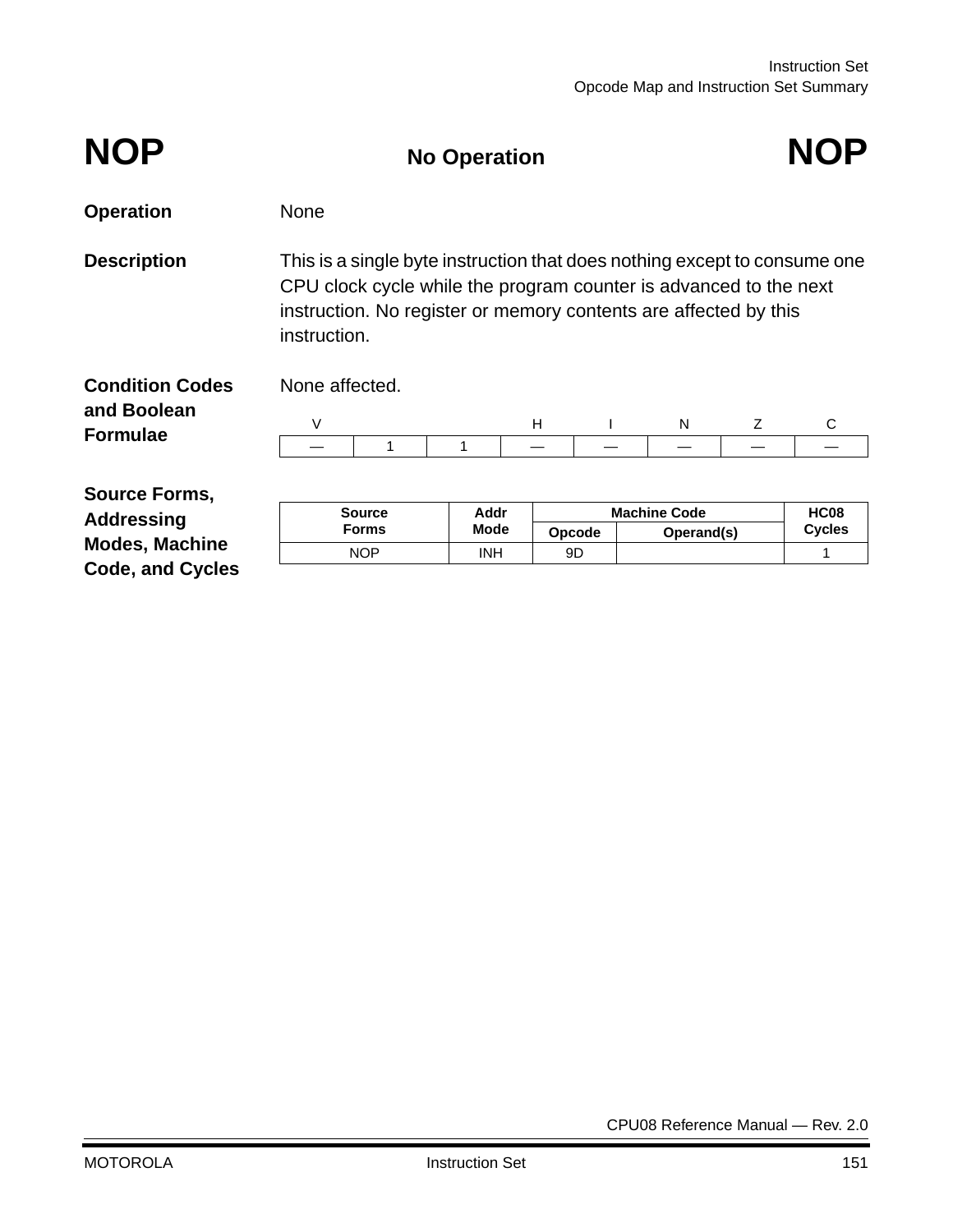| <b>NOP</b>             |                |                                                                                                                                                                                                                    | <b>No Operation</b> |               |                     |   | <b>NOP</b>                   |
|------------------------|----------------|--------------------------------------------------------------------------------------------------------------------------------------------------------------------------------------------------------------------|---------------------|---------------|---------------------|---|------------------------------|
| <b>Operation</b>       | None           |                                                                                                                                                                                                                    |                     |               |                     |   |                              |
| <b>Description</b>     | instruction.   | This is a single byte instruction that does nothing except to consume one<br>CPU clock cycle while the program counter is advanced to the next<br>instruction. No register or memory contents are affected by this |                     |               |                     |   |                              |
| <b>Condition Codes</b> | None affected. |                                                                                                                                                                                                                    |                     |               |                     |   |                              |
| and Boolean            | V              |                                                                                                                                                                                                                    |                     | н             | N                   | Z | C                            |
| <b>Formulae</b>        |                |                                                                                                                                                                                                                    | 1                   |               |                     |   |                              |
| <b>Source Forms,</b>   |                |                                                                                                                                                                                                                    |                     |               |                     |   |                              |
| Addressing             |                | <b>Source</b><br><b>Forms</b>                                                                                                                                                                                      | Addr<br>Mode        |               | <b>Machine Code</b> |   | <b>HC08</b><br><b>Cycles</b> |
| <b>Modes, Machine</b>  |                | <b>NOP</b>                                                                                                                                                                                                         | INH                 | Opcode<br>9D. | Operand(s)          |   | 1                            |

NOP | INH | 9D | | | | | | |

**Code, and Cycles**

Ξ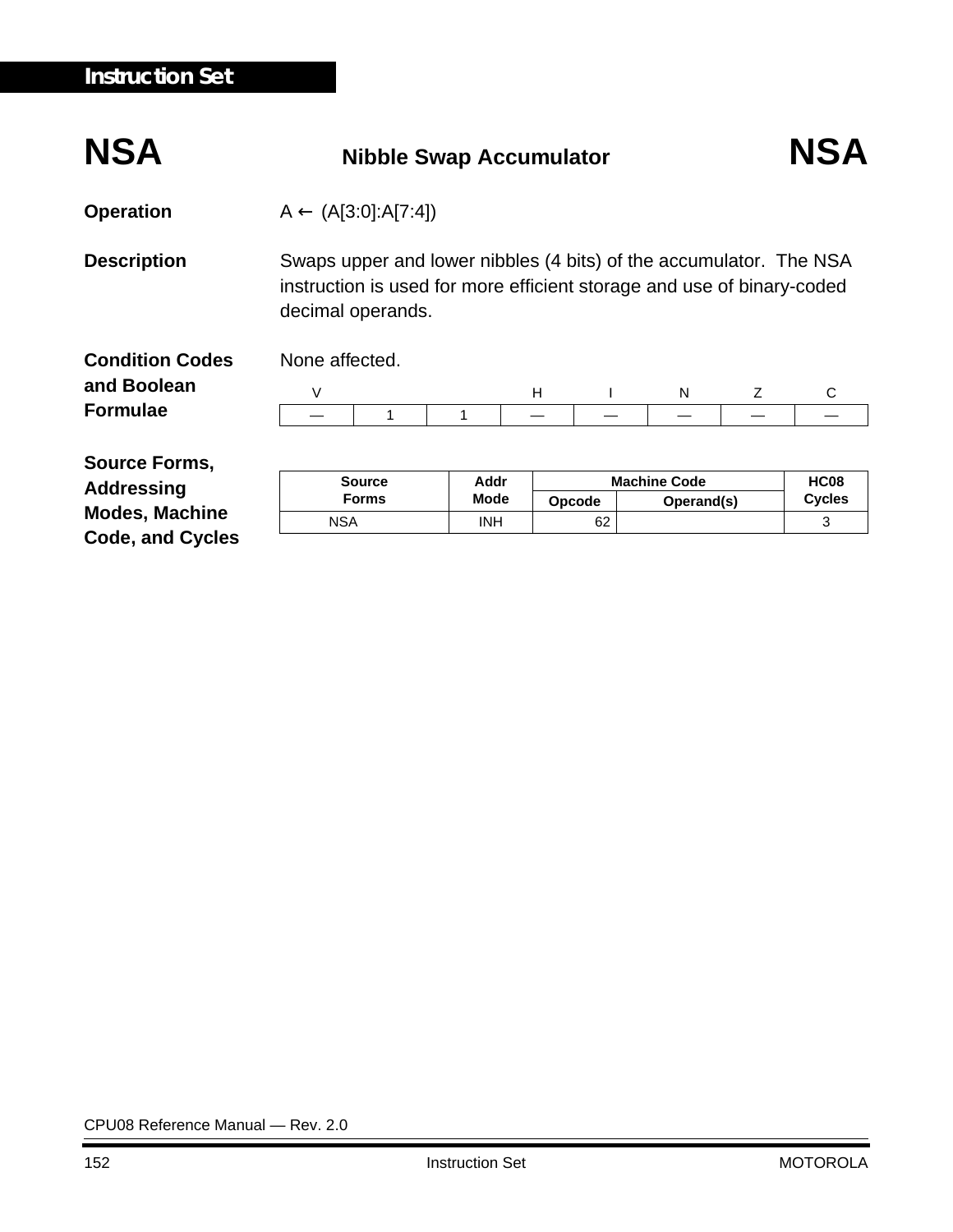**Code, and Cycles**

| <b>NSA</b>                                   |                | <b>Nibble Swap Accumulator</b> |   |              |    |              |                                                                                                                                              |   | NSA                          |
|----------------------------------------------|----------------|--------------------------------|---|--------------|----|--------------|----------------------------------------------------------------------------------------------------------------------------------------------|---|------------------------------|
| <b>Operation</b>                             |                | $A \leftarrow (A[3:0]:A[7:4])$ |   |              |    |              |                                                                                                                                              |   |                              |
| <b>Description</b><br><b>Condition Codes</b> | None affected. | decimal operands.              |   |              |    |              | Swaps upper and lower nibbles (4 bits) of the accumulator. The NSA<br>instruction is used for more efficient storage and use of binary-coded |   |                              |
| and Boolean                                  | V              |                                |   |              | H. |              | N                                                                                                                                            | Z | C                            |
| <b>Formulae</b>                              |                | 1                              | 1 |              |    |              |                                                                                                                                              |   |                              |
| <b>Source Forms,</b>                         |                |                                |   |              |    |              |                                                                                                                                              |   |                              |
| <b>Addressing</b>                            |                | <b>Source</b><br><b>Forms</b>  |   | Addr<br>Mode |    |              | <b>Machine Code</b>                                                                                                                          |   | <b>HC08</b><br><b>Cycles</b> |
| <b>Modes, Machine</b>                        | NQA            |                                |   | <b>INIH</b>  |    | Opcode<br>62 | Operand(s)                                                                                                                                   |   | ર                            |

NSA | INH | 62 | 3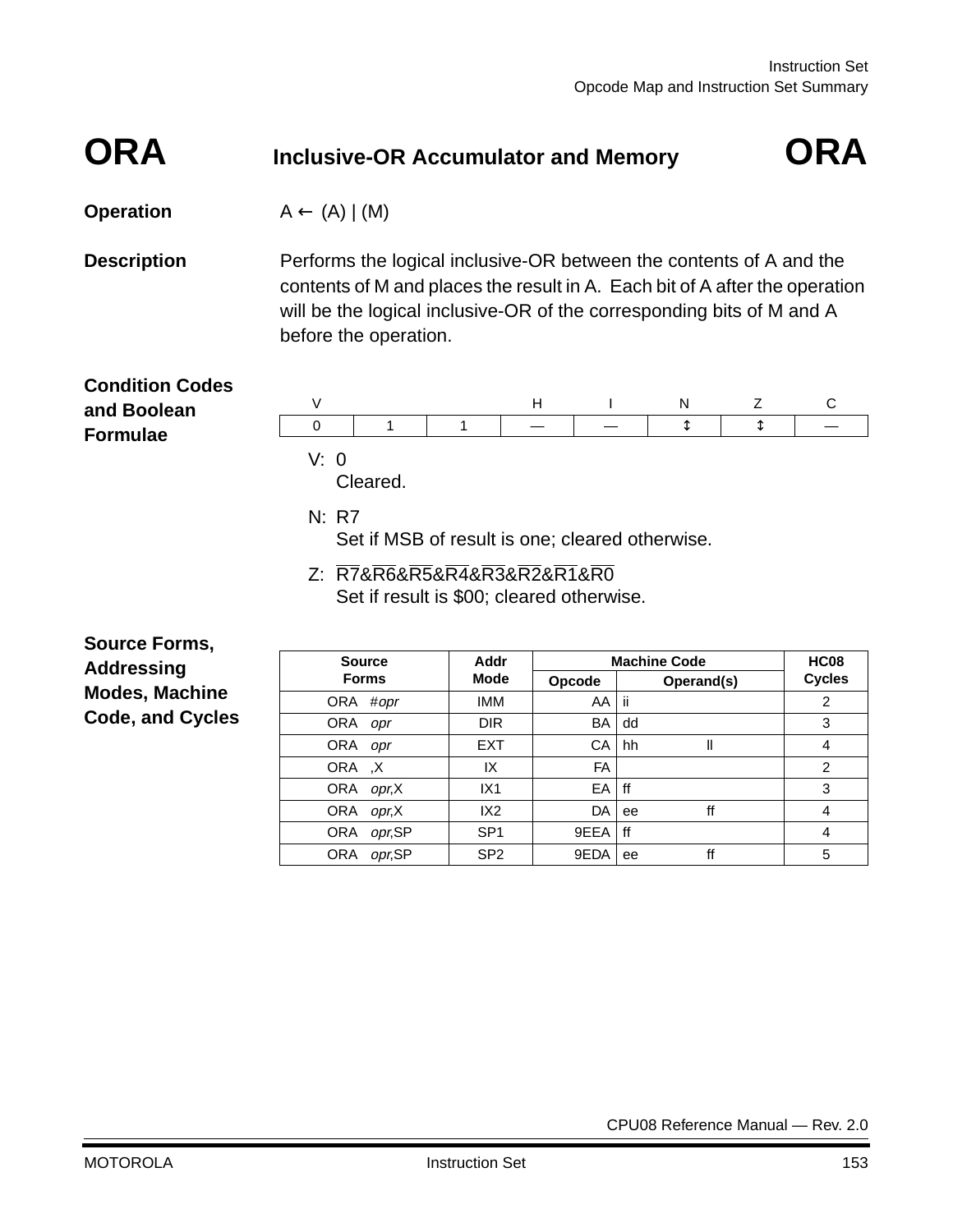## **ORA Inclusive-OR Accumulator and Memory ORA**

### **Operation**  $A \leftarrow (A) | (M)$

**Description** Performs the logical inclusive-OR between the contents of A and the contents of M and places the result in A. Each bit of A after the operation will be the logical inclusive-OR of the corresponding bits of M and A before the operation.

**Condition Codes and Boolean Formulae**

|  |  | the contract of the contract of | $\mathbb{Z}$ and $\mathbb{Z}$ and $\mathbb{Z}$ and $\mathbb{Z}$ and $\mathbb{Z}$ and $\mathbb{Z}$ and $\mathbb{Z}$ and $\mathbb{Z}$ and $\mathbb{Z}$ and $\mathbb{Z}$ and $\mathbb{Z}$ and $\mathbb{Z}$ and $\mathbb{Z}$ and $\mathbb{Z}$ and $\mathbb{Z}$ and $\mathbb{Z}$ and $\mathbb{Z}$ and |  |
|--|--|---------------------------------|--------------------------------------------------------------------------------------------------------------------------------------------------------------------------------------------------------------------------------------------------------------------------------------------------|--|
|  |  |                                 |                                                                                                                                                                                                                                                                                                  |  |
|  |  |                                 |                                                                                                                                                                                                                                                                                                  |  |

V: 0 Cleared.

N: R7

Set if MSB of result is one; cleared otherwise.

Z: R7&R6&R5&R4&R3&R2&R1&R0 Set if result is \$00; cleared otherwise.

**Source Forms, Addressing Modes, Machine Code, and Cycles**

| <b>Source</b> | Addr            |           | <b>Machine Code</b> | <b>HC08</b>   |
|---------------|-----------------|-----------|---------------------|---------------|
| <b>Forms</b>  | Mode            | Opcode    | Operand(s)          | <b>Cycles</b> |
| ORA #opr      | <b>IMM</b>      | AA.       | ji                  | 2             |
| ORA opr       | <b>DIR</b>      | BA        | dd                  | 3             |
| ORA opr       | <b>EXT</b>      | CA.       | hh<br>Ш             | 4             |
| ORA .X        | IX              | <b>FA</b> |                     | 2             |
| ORA opr,X     | IX1             | EA        | ff                  | 3             |
| ORA opr,X     | IX2             | DA        | ff<br>ee            | 4             |
| ORA opr,SP    | SP <sub>1</sub> | 9EEA      | ff                  | 4             |
| ORA<br>opr,SP | SP <sub>2</sub> | 9EDA      | ff<br>ee            | 5             |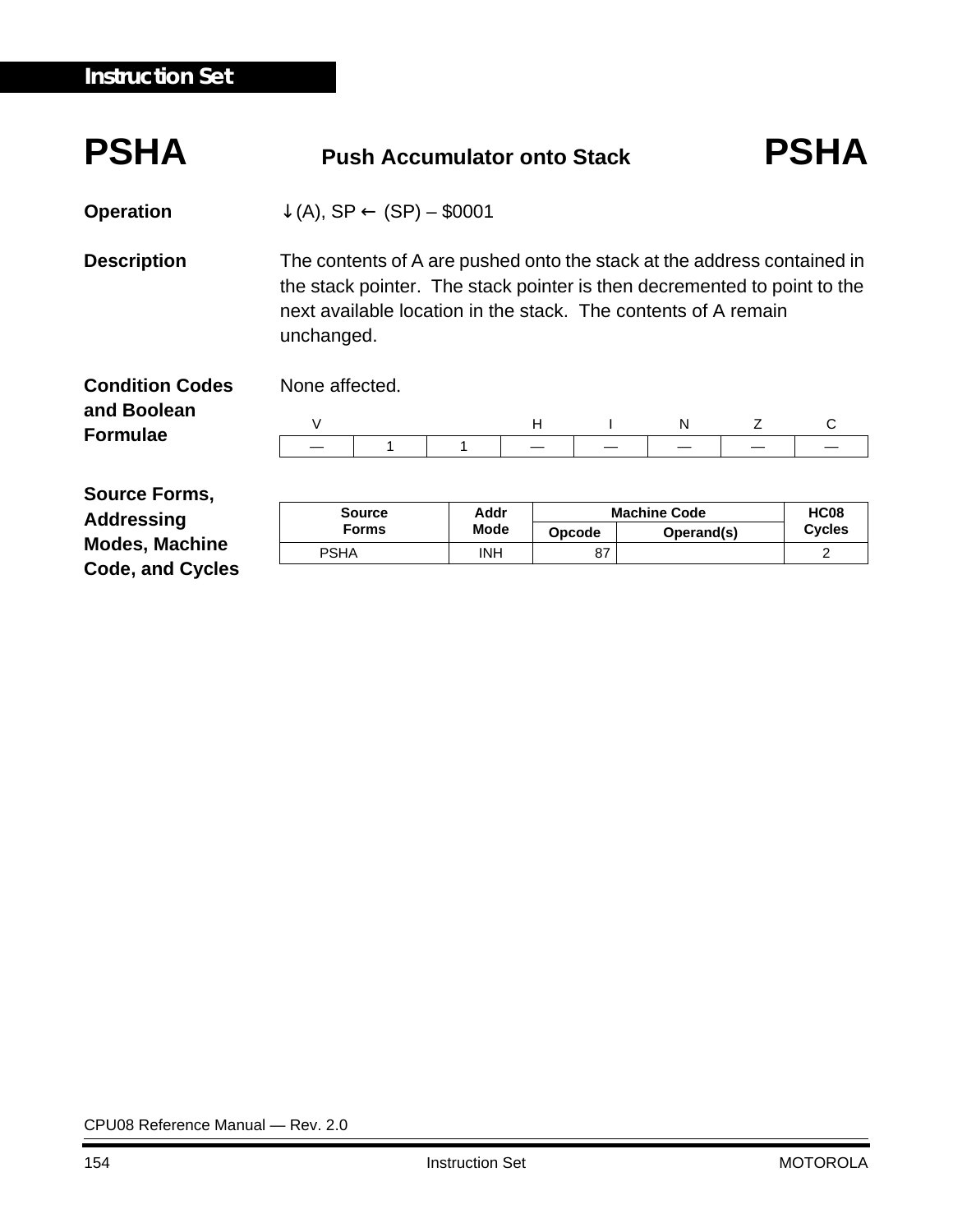**Code, and Cycles**

| <b>PSHA</b>                        |                | <b>Push Accumulator onto Stack</b>              |                    |   |              |                                                                                                                                                                                                                       |   | <b>PSHA</b>                    |
|------------------------------------|----------------|-------------------------------------------------|--------------------|---|--------------|-----------------------------------------------------------------------------------------------------------------------------------------------------------------------------------------------------------------------|---|--------------------------------|
| <b>Operation</b>                   |                | $\downarrow$ (A), SP $\leftarrow$ (SP) – \$0001 |                    |   |              |                                                                                                                                                                                                                       |   |                                |
| <b>Description</b>                 | unchanged.     |                                                 |                    |   |              | The contents of A are pushed onto the stack at the address contained in<br>the stack pointer. The stack pointer is then decremented to point to the<br>next available location in the stack. The contents of A remain |   |                                |
| <b>Condition Codes</b>             | None affected. |                                                 |                    |   |              |                                                                                                                                                                                                                       |   |                                |
| and Boolean<br><b>Formulae</b>     | V              |                                                 |                    | H | $\mathbf{I}$ | N                                                                                                                                                                                                                     | Z | C                              |
|                                    |                |                                                 | 1                  |   |              |                                                                                                                                                                                                                       |   |                                |
| <b>Source Forms,</b><br>Addressing |                | <b>Source</b>                                   | Addr               |   |              | <b>Machine Code</b>                                                                                                                                                                                                   |   | HC <sub>08</sub>               |
| <b>Modes, Machine</b>              | <b>PSHA</b>    | <b>Forms</b>                                    | Mode<br><b>INH</b> |   | Opcode<br>87 | Operand(s)                                                                                                                                                                                                            |   | <b>Cycles</b><br>$\mathcal{P}$ |

PSHA INH 87 2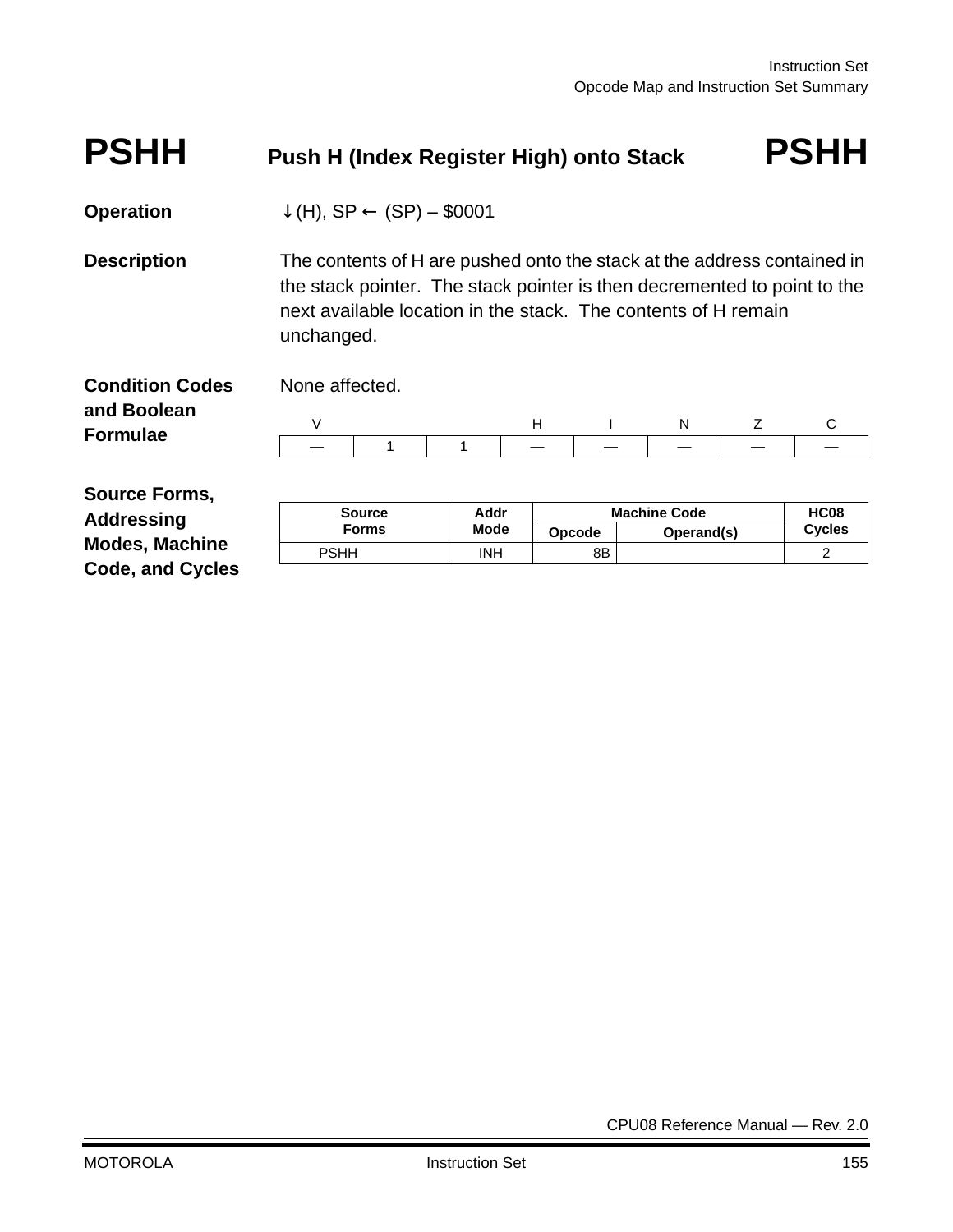## **PSHH Push H (Index Register High) onto Stack PSHH**

**Operation**  $\downarrow$  (H), SP  $\leftarrow$  (SP) – \$0001

**Description** The contents of H are pushed onto the stack at the address contained in the stack pointer. The stack pointer is then decremented to point to the next available location in the stack. The contents of H remain unchanged.

**Condition Codes and Boolean Formulae**

None affected.

| $\sim$ $\sim$ |  | $\frac{1}{2}$ $\frac{1}{2}$ $\frac{1}{2}$ $\frac{1}{2}$ $\frac{1}{2}$ |  |  |
|---------------|--|-----------------------------------------------------------------------|--|--|

**Source Forms, Addressing Modes, Machine Code, and Cycles**

| <b>Source</b> | Addr       | <b>Machine Code</b> | <b>HC08</b> |               |
|---------------|------------|---------------------|-------------|---------------|
| <b>Forms</b>  | Mode       | Opcode              | Operand(s)  | <b>Cycles</b> |
| <b>PSHH</b>   | <b>INH</b> | 8B                  |             |               |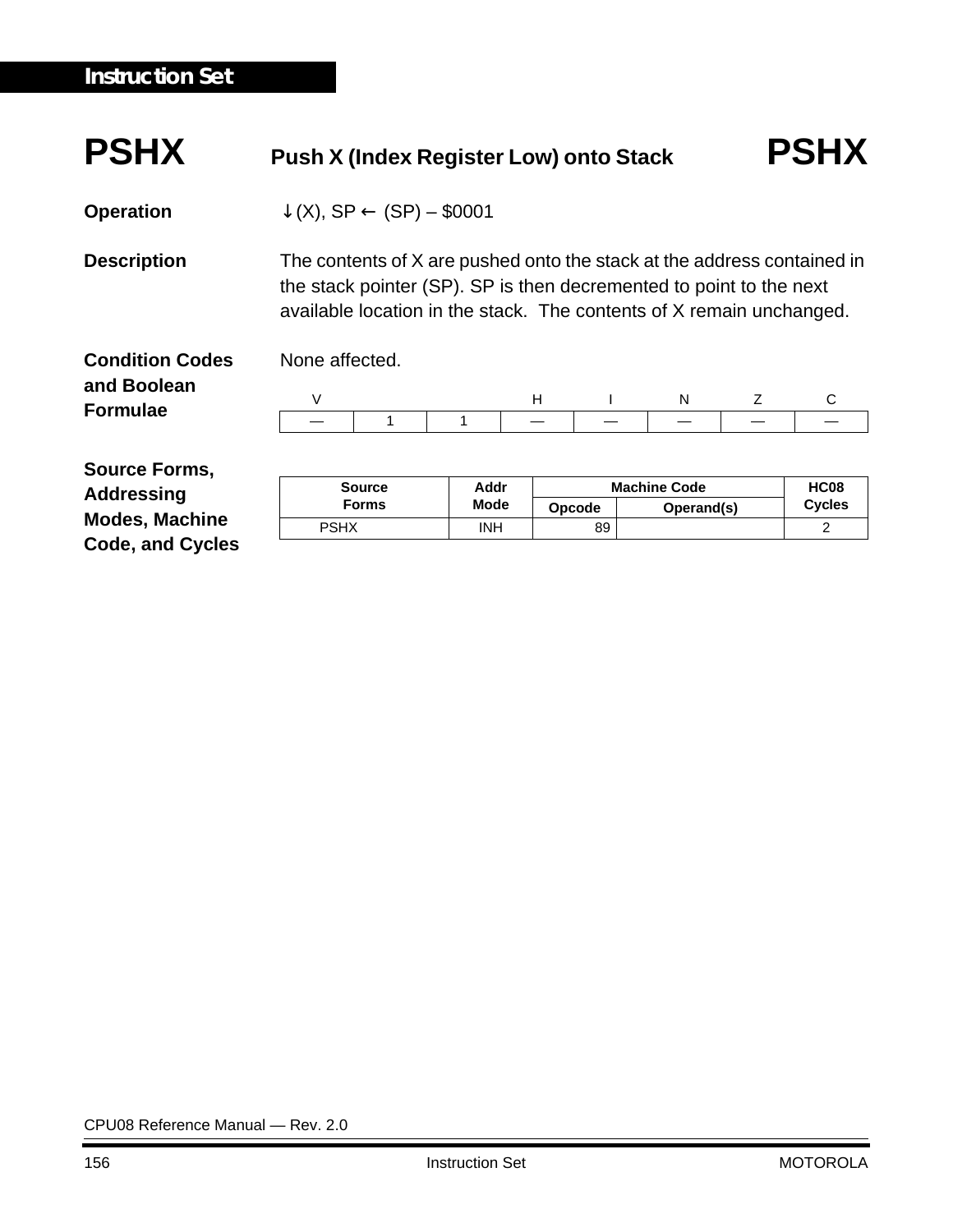**Modes, Machine Code, and Cycles**

| <b>PSHX</b>                                                                                                                                                                                                                                  | <b>Push X (Index Register Low) onto Stack</b> |                                                 |              |  |   |        |                                   |   | <b>PSHX</b>                  |
|----------------------------------------------------------------------------------------------------------------------------------------------------------------------------------------------------------------------------------------------|-----------------------------------------------|-------------------------------------------------|--------------|--|---|--------|-----------------------------------|---|------------------------------|
| <b>Operation</b>                                                                                                                                                                                                                             |                                               | $\downarrow$ (X), SP $\leftarrow$ (SP) – \$0001 |              |  |   |        |                                   |   |                              |
| <b>Description</b><br>The contents of X are pushed onto the stack at the address contained in<br>the stack pointer (SP). SP is then decremented to point to the next<br>available location in the stack. The contents of X remain unchanged. |                                               |                                                 |              |  |   |        |                                   |   |                              |
| <b>Condition Codes</b><br>and Boolean                                                                                                                                                                                                        | None affected.                                |                                                 |              |  |   |        |                                   |   |                              |
| <b>Formulae</b>                                                                                                                                                                                                                              | V                                             |                                                 |              |  | H |        | N                                 | Z | C                            |
|                                                                                                                                                                                                                                              |                                               | 1                                               | 1            |  |   |        |                                   |   |                              |
| <b>Source Forms,</b><br><b>Addressing</b><br>Madaa Maakina                                                                                                                                                                                   |                                               | <b>Source</b><br><b>Forms</b>                   | Addr<br>Mode |  |   | Opcode | <b>Machine Code</b><br>Operand(s) |   | <b>HC08</b><br><b>Cycles</b> |

PSHX INH 89 2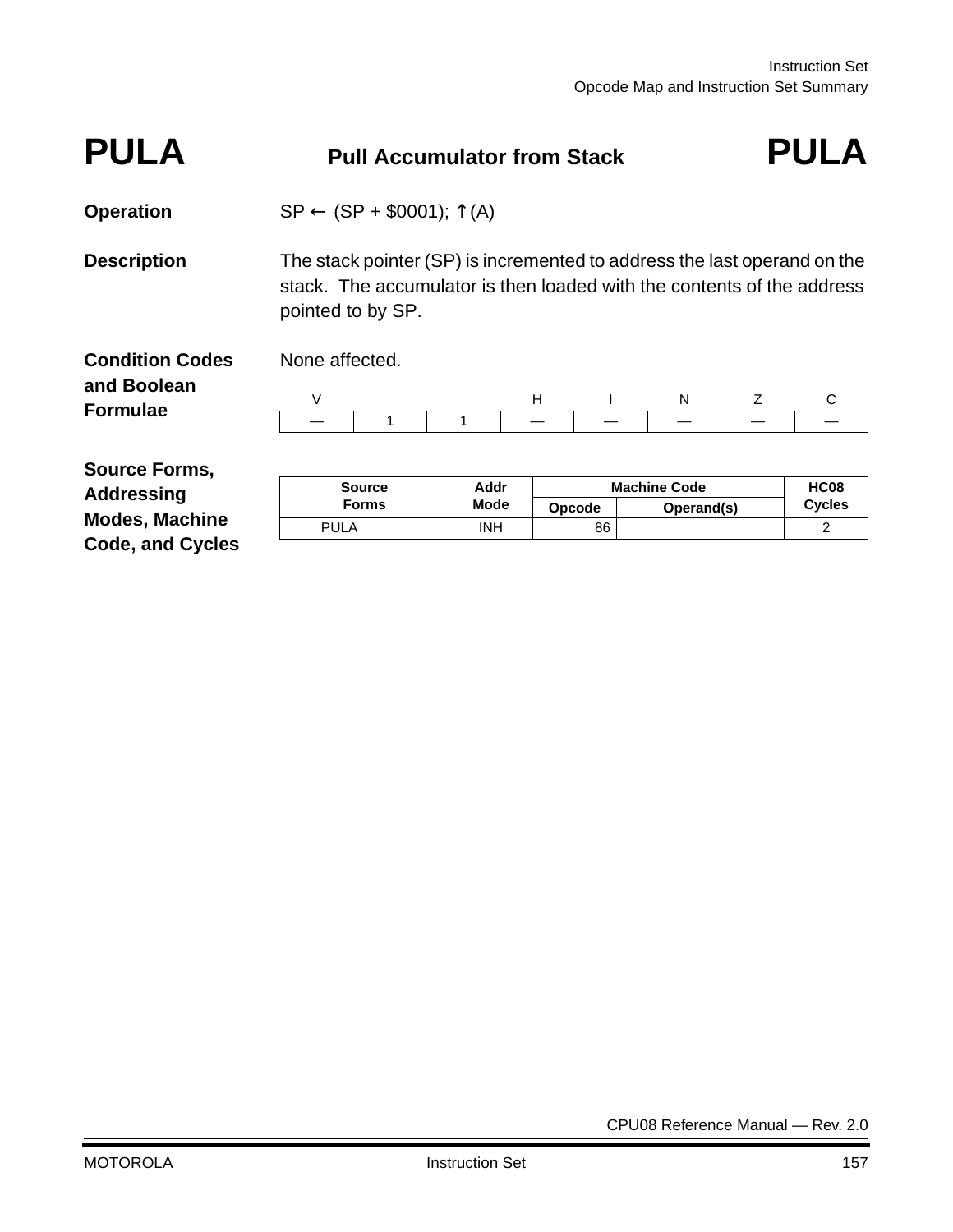## **PULA Pull Accumulator from Stack PULA**



**Operation**  $SP \leftarrow (SP + $0001); \hat{T}(A)$ 

**Description** The stack pointer (SP) is incremented to address the last operand on the stack. The accumulator is then loaded with the contents of the address pointed to by SP.

**Condition Codes and Boolean Formulae**

None affected.

|  | $\sim$ 1 $\sim$ $\sim$ |  | $\sim$ $\sim$ $\sim$ |
|--|------------------------|--|----------------------|

**Source Forms, Addressing Modes, Machine Code, and Cycles**

| <b>Source</b> | Addr       | <b>Machine Code</b> | <b>HC08</b> |               |
|---------------|------------|---------------------|-------------|---------------|
| <b>Forms</b>  | Mode       | Opcode              | Operand(s)  | <b>Cycles</b> |
| PULA          | <b>INH</b> | 86                  |             |               |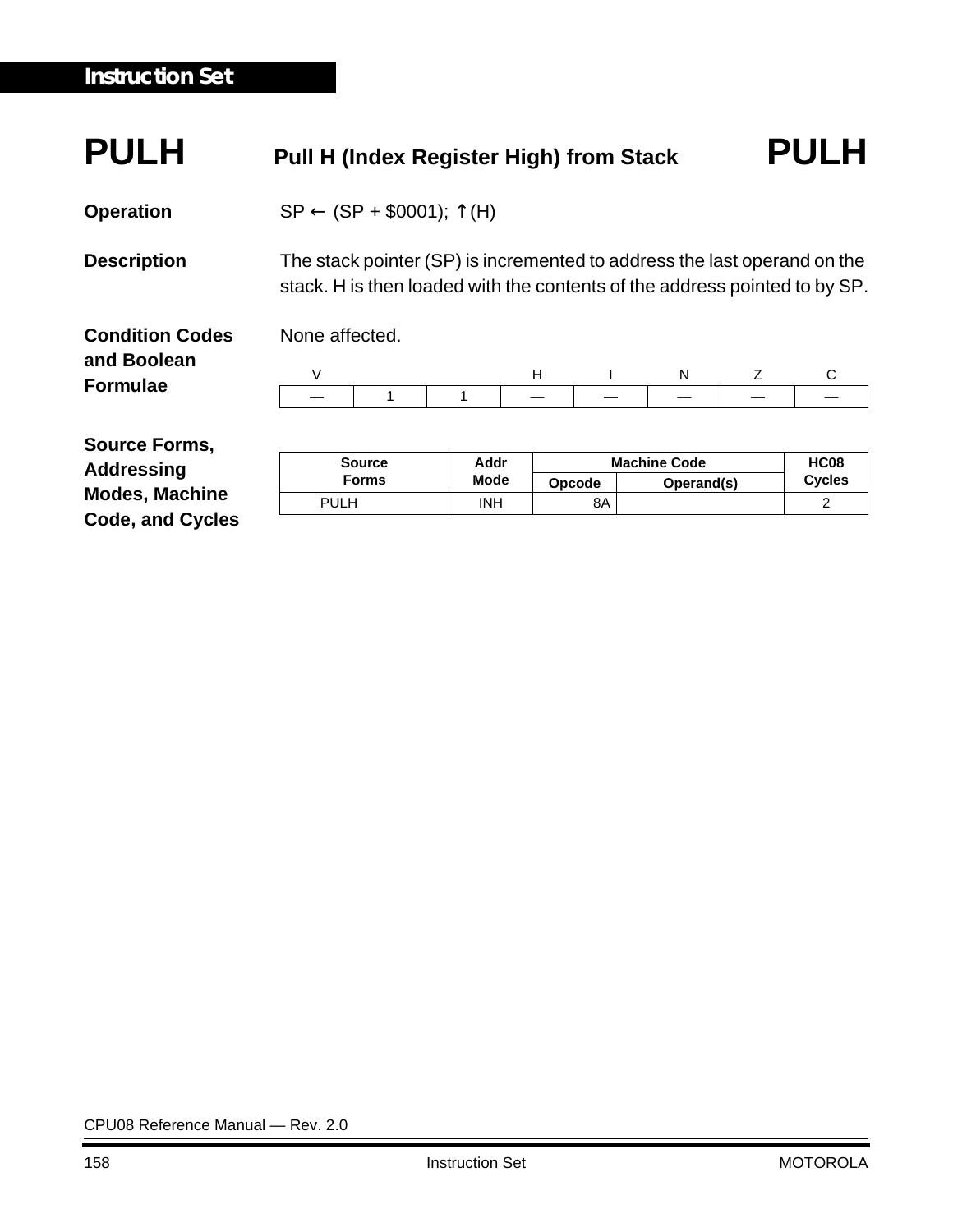| <b>PULH</b>                                                                                   | <b>Pull H (Index Register High) from Stack</b> |                               |                                            |        |    |                                                                          |   | <b>PULH</b>                                                                |
|-----------------------------------------------------------------------------------------------|------------------------------------------------|-------------------------------|--------------------------------------------|--------|----|--------------------------------------------------------------------------|---|----------------------------------------------------------------------------|
| <b>Operation</b>                                                                              |                                                |                               | $SP \leftarrow (SP + $0001); \uparrow (H)$ |        |    |                                                                          |   |                                                                            |
| <b>Description</b>                                                                            |                                                |                               |                                            |        |    | The stack pointer (SP) is incremented to address the last operand on the |   | stack. H is then loaded with the contents of the address pointed to by SP. |
| <b>Condition Codes</b><br>and Boolean<br><b>Formulae</b>                                      | None affected.<br>V                            | 1                             | 1                                          | H      |    | N                                                                        | Z | C                                                                          |
| <b>Source Forms,</b><br><b>Addressing</b><br><b>Modes, Machine</b><br><b>Code, and Cycles</b> | <b>PULH</b>                                    | <b>Source</b><br><b>Forms</b> | Addr<br><b>Mode</b><br><b>INH</b>          | Opcode | 8A | <b>Machine Code</b><br>Operand(s)                                        |   | <b>HC08</b><br><b>Cycles</b><br>2                                          |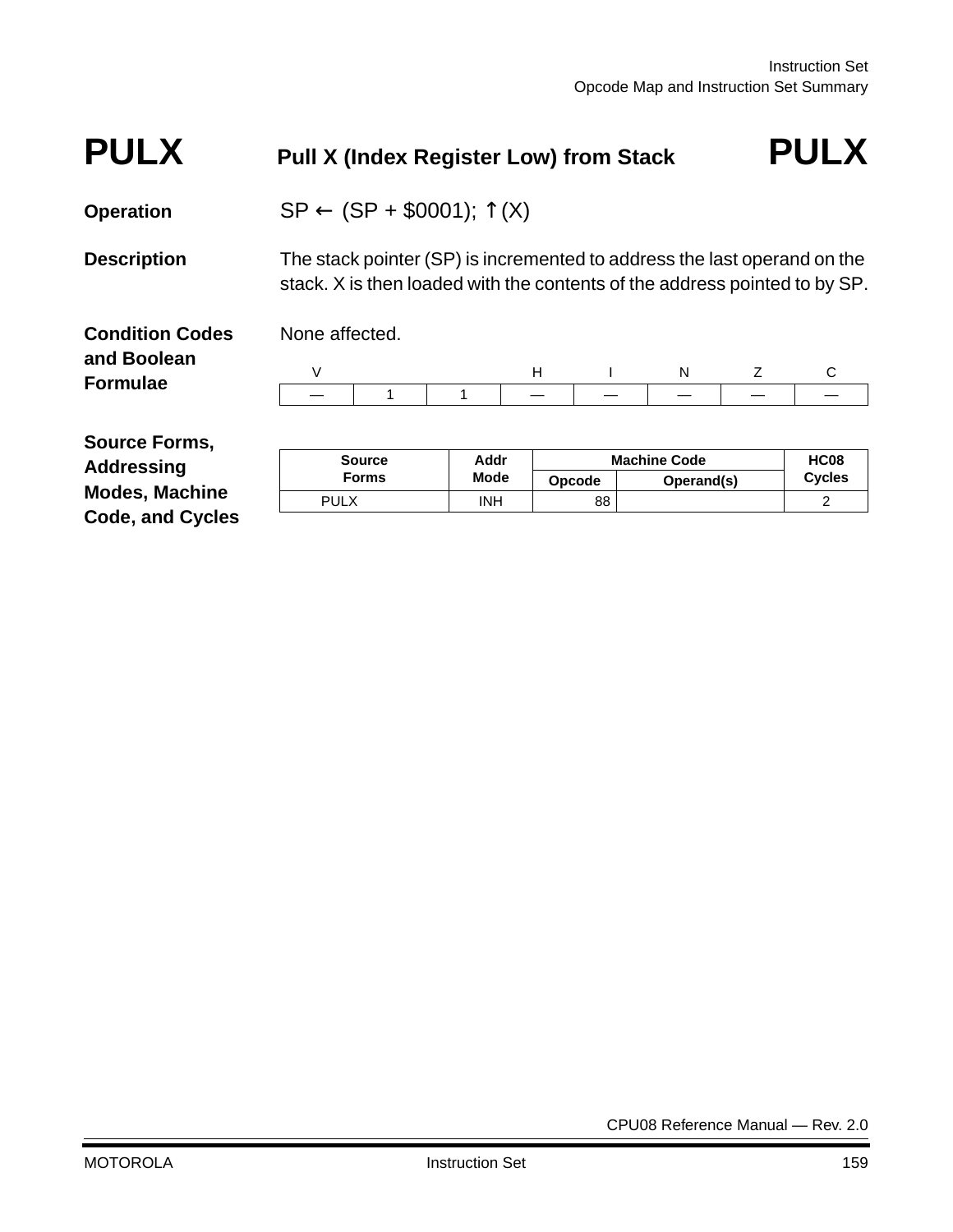# **PULX Pull X (Index Register Low) from Stack PULX**

**Operation**  $SP \leftarrow (SP + $0001); \hat{T}(X)$ 

 $\overline{\phantom{a}}$ 

**Description** The stack pointer (SP) is incremented to address the last operand on the stack. X is then loaded with the contents of the address pointed to by SP.

**Condition Codes and Boolean**

**Formulae**

None affected.

|  | - 1 - 1 - 1 - 1 | $\overline{1}$ $\overline{2}$ $\overline{1}$ $\overline{2}$ $\overline{1}$ |  | $\sim$ $\sim$ |
|--|-----------------|----------------------------------------------------------------------------|--|---------------|

**Source Forms, Addressing Modes, Machine Code, and Cycles**

| Source       | Addr | <b>Machine Code</b> | <b>HC08</b> |               |
|--------------|------|---------------------|-------------|---------------|
| <b>Forms</b> | Mode | <b>Opcode</b>       | Operand(s)  | <b>Cycles</b> |
| PULX         | INH  | 88                  |             | ⌒             |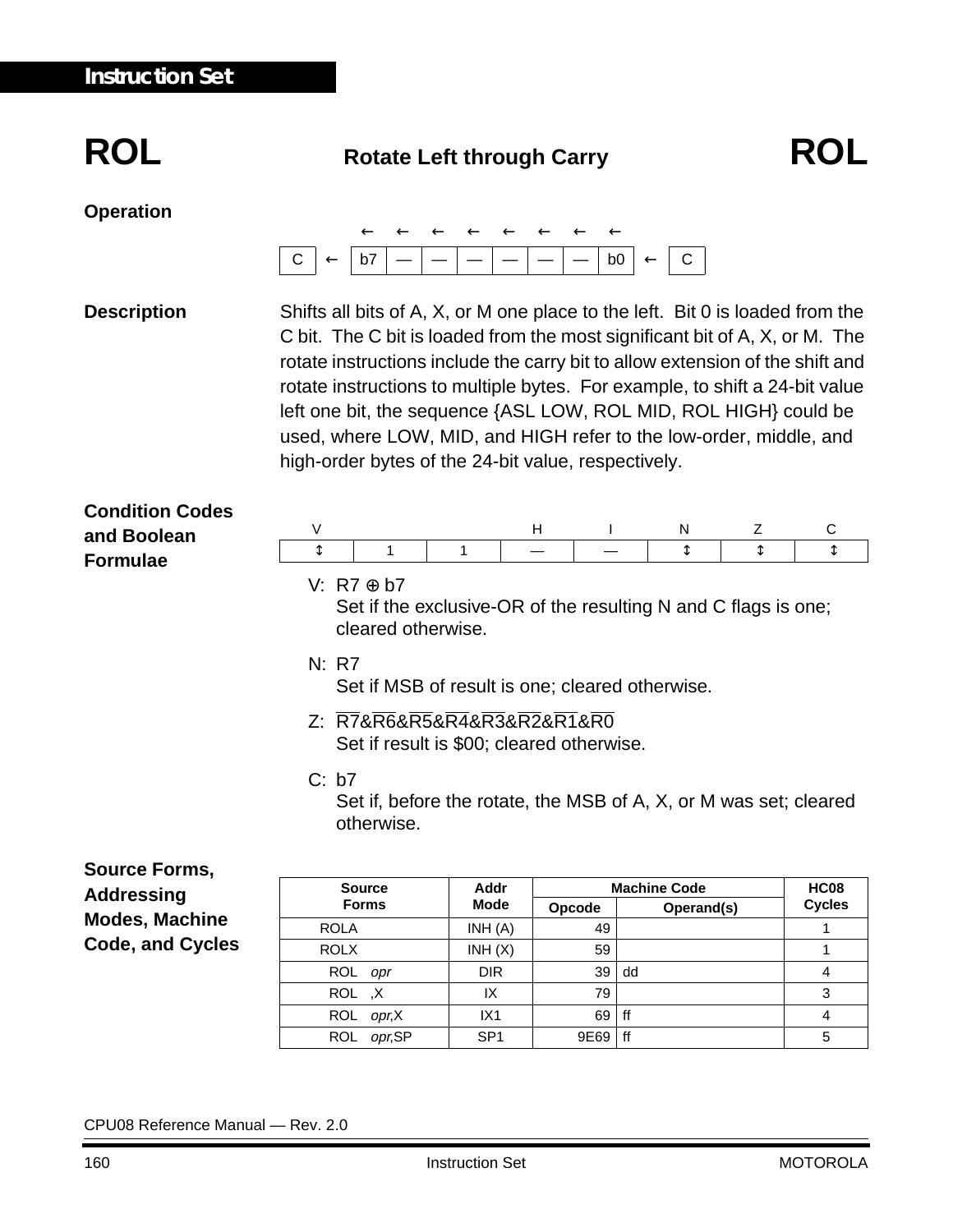## **ROL Rotate Left through Carry ROL**

### **Operation**



**Description** Shifts all bits of A, X, or M one place to the left. Bit 0 is loaded from the C bit. The C bit is loaded from the most significant bit of A, X, or M. The rotate instructions include the carry bit to allow extension of the shift and rotate instructions to multiple bytes. For example, to shift a 24-bit value left one bit, the sequence {ASL LOW, ROL MID, ROL HIGH} could be used, where LOW, MID, and HIGH refer to the low-order, middle, and high-order bytes of the 24-bit value, respectively.

### **Condition Codes and Boolean Formulae**

|  | ______ |  |  |
|--|--------|--|--|

### V: R7 ⊕ b7

Set if the exclusive-OR of the resulting N and C flags is one; cleared otherwise.

### N: R7

Set if MSB of result is one; cleared otherwise.

### Z: R7&R6&R5&R4&R3&R2&R1&R0 Set if result is \$00; cleared otherwise.

### C: b7

Set if, before the rotate, the MSB of A, X, or M was set; cleared otherwise.

| <b>Source Forms,</b>    |                |                 |        | <b>Machine Code</b> |               |
|-------------------------|----------------|-----------------|--------|---------------------|---------------|
| <b>Addressing</b>       | <b>Source</b>  | Addr            |        | <b>HC08</b>         |               |
|                         | <b>Forms</b>   | Mode            | Opcode | Operand(s)          | <b>Cycles</b> |
| <b>Modes, Machine</b>   | <b>ROLA</b>    | INH(A)          | 49     |                     |               |
| <b>Code, and Cycles</b> | <b>ROLX</b>    | INH(X)          | 59     |                     |               |
|                         | ROL.<br>opr    | <b>DIR</b>      | 39     | dd                  | 4             |
|                         | ROL ,X         | IX              | 79     |                     | 3             |
|                         | opr,X<br>ROL   | IX1             | 69     | ff                  | 4             |
|                         | opr,SP<br>ROL. | SP <sub>1</sub> | 9E69   | ff                  | 5             |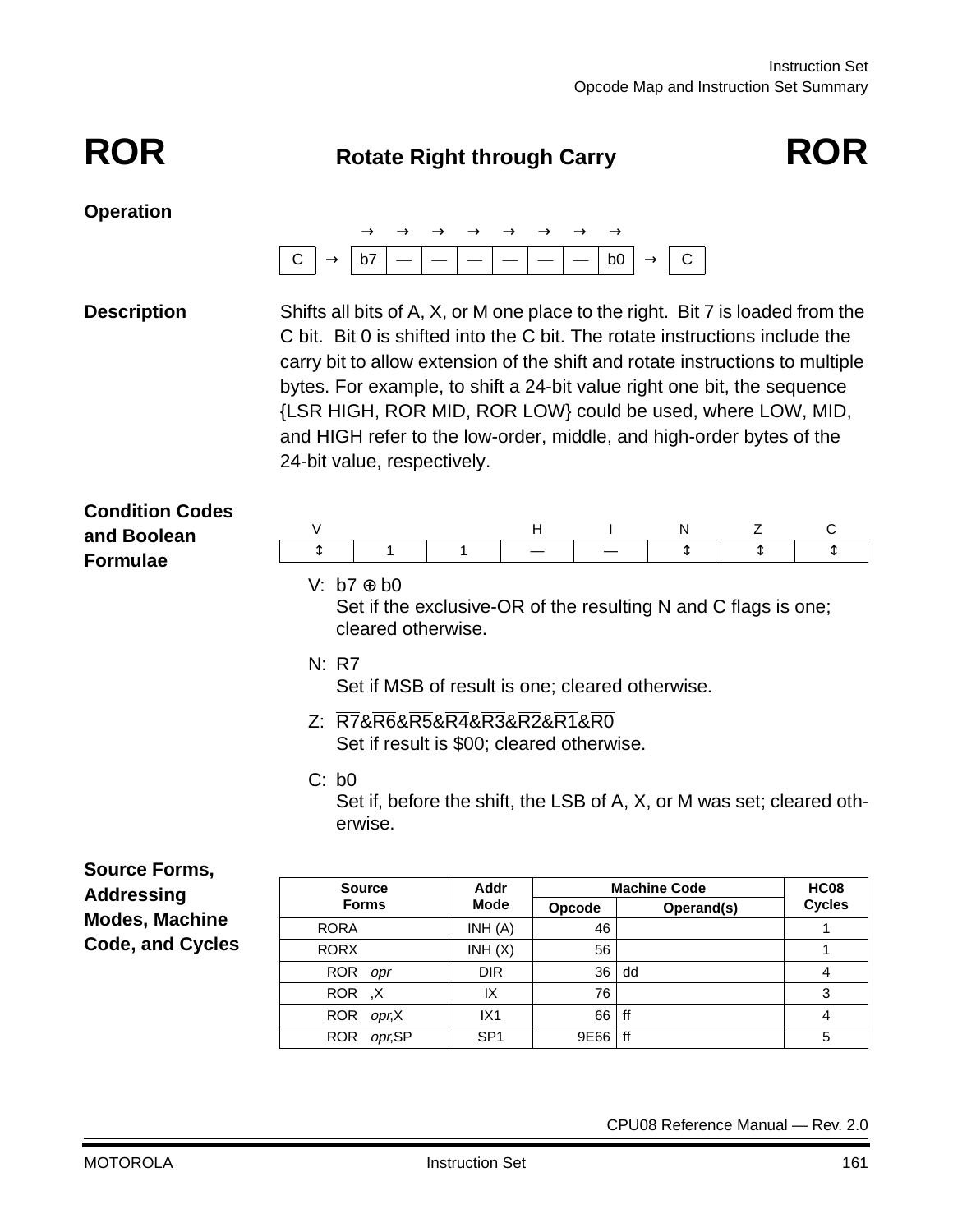# **ROR Rotate Right through Carry ROR**



### **Operation**



**Description** Shifts all bits of A, X, or M one place to the right. Bit 7 is loaded from the C bit. Bit 0 is shifted into the C bit. The rotate instructions include the carry bit to allow extension of the shift and rotate instructions to multiple bytes. For example, to shift a 24-bit value right one bit, the sequence {LSR HIGH, ROR MID, ROR LOW} could be used, where LOW, MID, and HIGH refer to the low-order, middle, and high-order bytes of the 24-bit value, respectively.

### **Condition Codes and Boolean Formulae**

### V: b7 ⊕ b0

Set if the exclusive-OR of the resulting N and C flags is one; cleared otherwise.

### N: R7

Set if MSB of result is one; cleared otherwise.

### Z: R7&R6&R5&R4&R3&R2&R1&R0 Set if result is \$00; cleared otherwise.

### C: b0 Set if, before the shift, the LSB of A, X, or M was set; cleared otherwise.

| Source Forms,           |                      |                 |             |                     |               |
|-------------------------|----------------------|-----------------|-------------|---------------------|---------------|
| <b>Addressing</b>       | <b>Source</b>        | Addr            |             | <b>Machine Code</b> | <b>HC08</b>   |
|                         | <b>Forms</b>         | <b>Mode</b>     | Opcode      | Operand(s)          | <b>Cycles</b> |
| <b>Modes, Machine</b>   | <b>RORA</b>          | INH(A)          | 46          |                     |               |
| <b>Code, and Cycles</b> | <b>RORX</b>          | INH(X)          | 56          |                     |               |
|                         | ROR<br>opr           | <b>DIR</b>      | 36          | dd                  | 4             |
|                         | ROR ,X               | IX              | 76          |                     | 3             |
|                         | <b>ROR</b><br>opr,X  | IX <sub>1</sub> | 66          | ı ff                | 4             |
|                         | opr,SP<br><b>ROR</b> | SP <sub>1</sub> | $9E66$   ff |                     | 5             |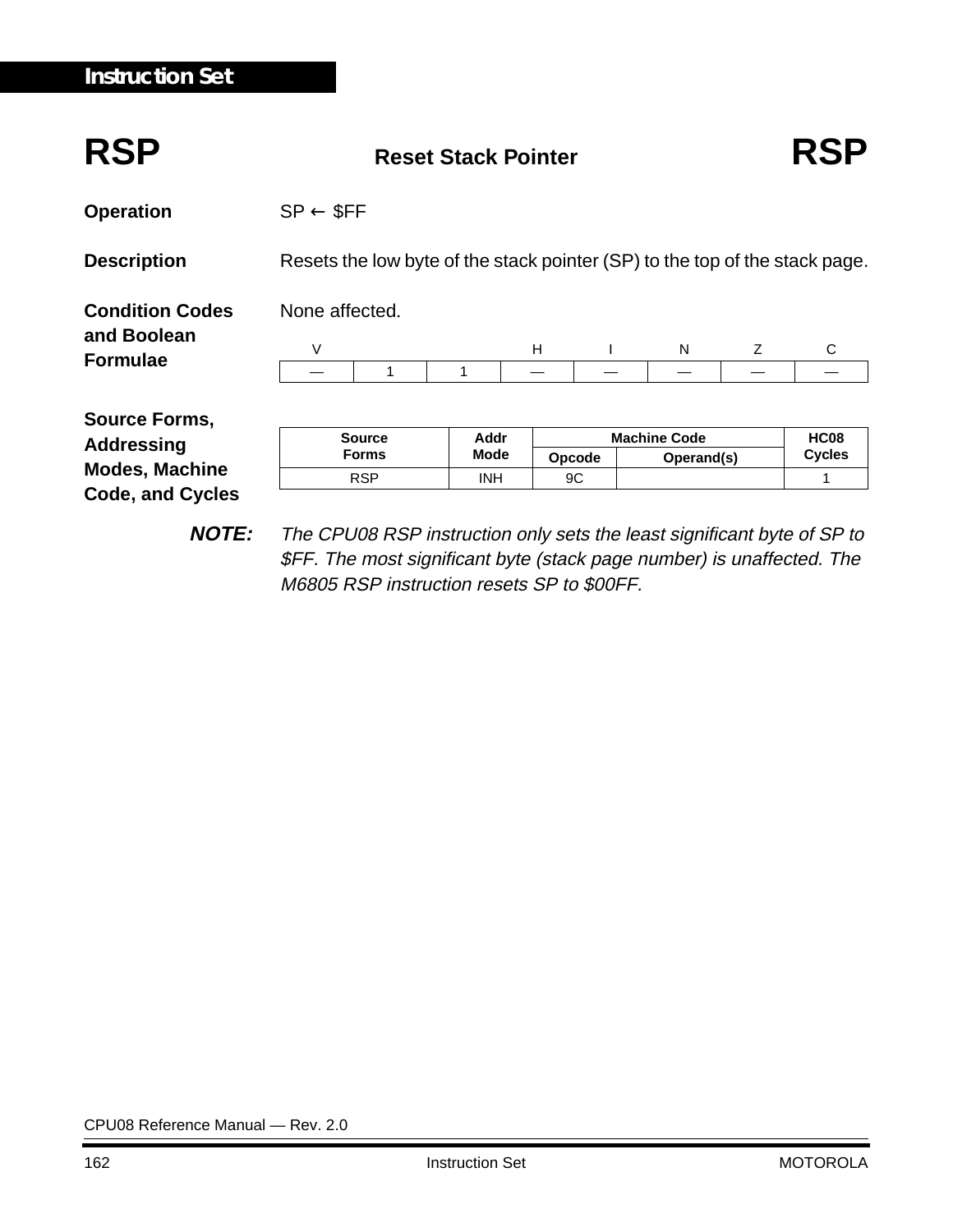| <b>RSP</b>                                                                                    |                      |                                             | <b>Reset Stack Pointer</b>        |              |                                   |   | <b>RSP</b>                                                                  |
|-----------------------------------------------------------------------------------------------|----------------------|---------------------------------------------|-----------------------------------|--------------|-----------------------------------|---|-----------------------------------------------------------------------------|
| <b>Operation</b>                                                                              | $SP \leftarrow$ \$FF |                                             |                                   |              |                                   |   |                                                                             |
| <b>Description</b>                                                                            |                      |                                             |                                   |              |                                   |   | Resets the low byte of the stack pointer (SP) to the top of the stack page. |
| <b>Condition Codes</b><br>and Boolean<br><b>Formulae</b>                                      | None affected.<br>V  | 1                                           | 1                                 | H.           | N                                 | Z | C                                                                           |
| <b>Source Forms,</b><br><b>Addressing</b><br><b>Modes, Machine</b><br><b>Code, and Cycles</b> |                      | <b>Source</b><br><b>Forms</b><br><b>RSP</b> | Addr<br><b>Mode</b><br><b>INH</b> | Opcode<br>9C | <b>Machine Code</b><br>Operand(s) |   | HC <sub>08</sub><br><b>Cycles</b>                                           |

**NOTE:** The CPU08 RSP instruction only sets the least significant byte of SP to \$FF. The most significant byte (stack page number) is unaffected. The M6805 RSP instruction resets SP to \$00FF.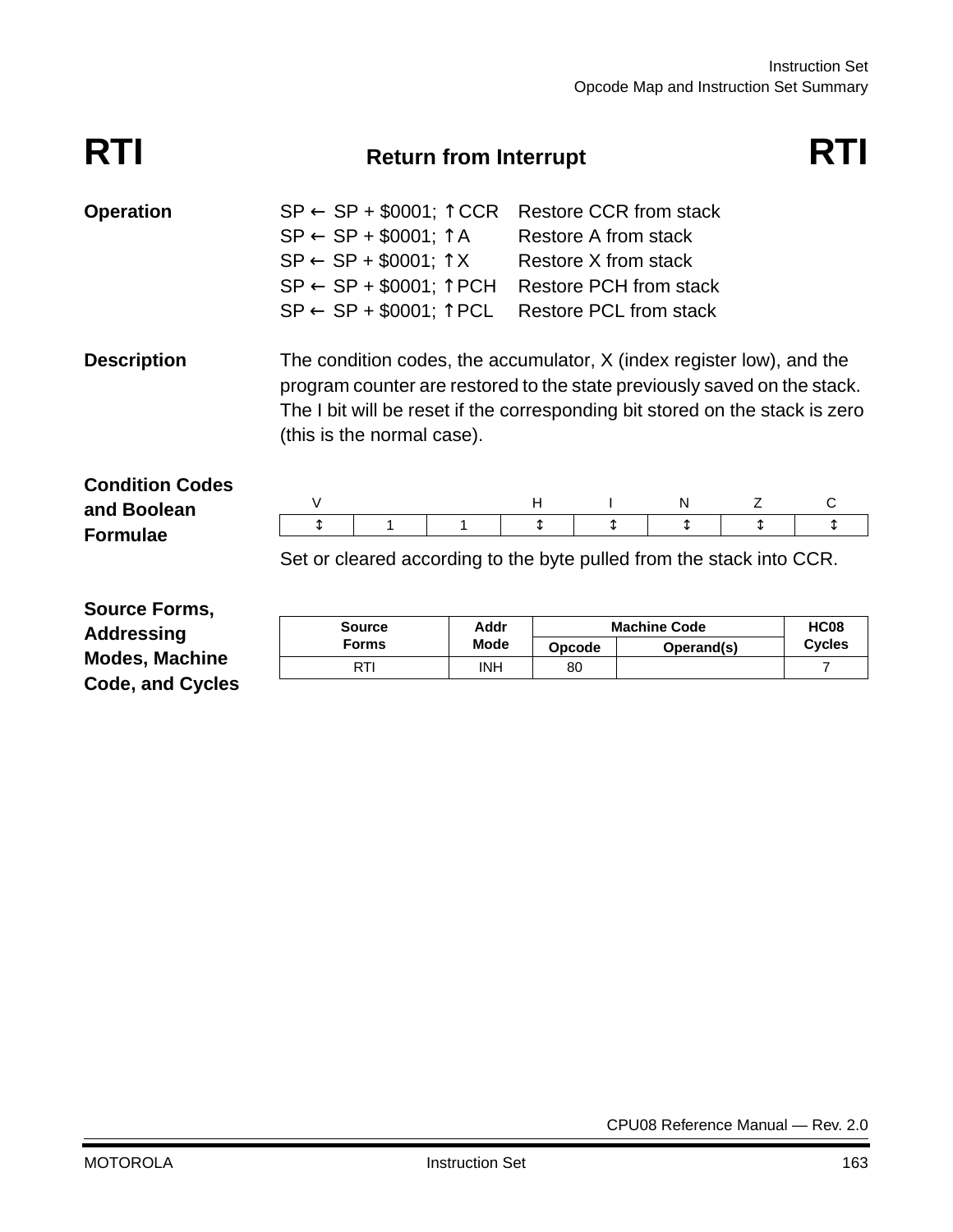| RTI                                                                                           |        |                                                                                                                                                                                                                                                                   |                                   |                                                                               |        |                                                  |        |                                   |
|-----------------------------------------------------------------------------------------------|--------|-------------------------------------------------------------------------------------------------------------------------------------------------------------------------------------------------------------------------------------------------------------------|-----------------------------------|-------------------------------------------------------------------------------|--------|--------------------------------------------------|--------|-----------------------------------|
| <b>Operation</b>                                                                              |        | $SP \leftarrow SP + \$0001; \uparrow$ CCR<br>$SP \leftarrow SP + $0001$ ; $\uparrow$ A<br>$SP \leftarrow SP + \$0001; \uparrow X$<br>$SP \leftarrow SP + \$0001; \uparrow PCH$<br>$SP \leftarrow SP + \$0001; \uparrow PCL$                                       |                                   | Restore A from stack<br>Restore X from stack<br><b>Restore PCL from stack</b> |        | Restore CCR from stack<br>Restore PCH from stack |        |                                   |
| <b>Description</b>                                                                            |        | The condition codes, the accumulator, $X$ (index register low), and the<br>program counter are restored to the state previously saved on the stack.<br>The I bit will be reset if the corresponding bit stored on the stack is zero<br>(this is the normal case). |                                   |                                                                               |        |                                                  |        |                                   |
| <b>Condition Codes</b><br>and Boolean<br><b>Formulae</b>                                      | V<br>↥ | 1<br>Set or cleared according to the byte pulled from the stack into CCR.                                                                                                                                                                                         | 1                                 | H<br>↨                                                                        | L<br>↨ | N<br>↥                                           | Z<br>↨ | C<br>↥                            |
| <b>Source Forms,</b><br><b>Addressing</b><br><b>Modes, Machine</b><br><b>Code, and Cycles</b> |        | <b>Source</b><br><b>Forms</b><br><b>RTI</b>                                                                                                                                                                                                                       | Addr<br><b>Mode</b><br><b>INH</b> | Opcode<br>80                                                                  |        | <b>Machine Code</b><br>Operand(s)                |        | <b>HC08</b><br><b>Cycles</b><br>7 |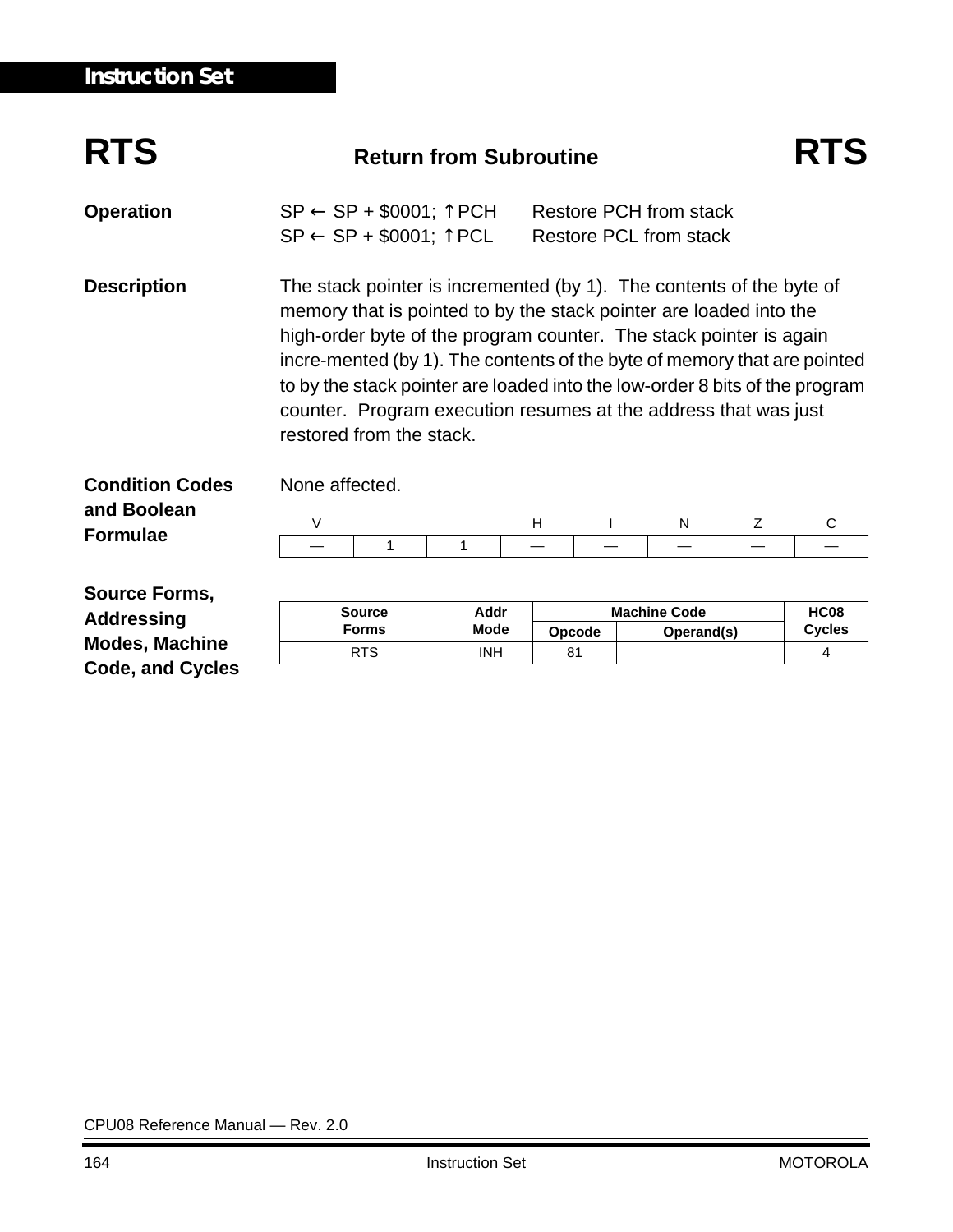| <b>RTS</b>                                                                                    | <b>Return from Subroutine</b>                                                                                                                                                                                                                                                                                                                                                                                                                                              |                                                                                            |   |                                   |   |              |                                                         |   | R I S                             |
|-----------------------------------------------------------------------------------------------|----------------------------------------------------------------------------------------------------------------------------------------------------------------------------------------------------------------------------------------------------------------------------------------------------------------------------------------------------------------------------------------------------------------------------------------------------------------------------|--------------------------------------------------------------------------------------------|---|-----------------------------------|---|--------------|---------------------------------------------------------|---|-----------------------------------|
| <b>Operation</b>                                                                              |                                                                                                                                                                                                                                                                                                                                                                                                                                                                            | $SP \leftarrow SP + $0001$ ; $\uparrow$ PCH<br>$SP \leftarrow SP + \$0001; \hat{\top} PCL$ |   |                                   |   |              | Restore PCH from stack<br><b>Restore PCL from stack</b> |   |                                   |
| <b>Description</b>                                                                            | The stack pointer is incremented (by 1). The contents of the byte of<br>memory that is pointed to by the stack pointer are loaded into the<br>high-order byte of the program counter. The stack pointer is again<br>incre-mented (by 1). The contents of the byte of memory that are pointed<br>to by the stack pointer are loaded into the low-order 8 bits of the program<br>counter. Program execution resumes at the address that was just<br>restored from the stack. |                                                                                            |   |                                   |   |              |                                                         |   |                                   |
| <b>Condition Codes</b><br>and Boolean                                                         | None affected.                                                                                                                                                                                                                                                                                                                                                                                                                                                             |                                                                                            |   |                                   |   |              |                                                         |   |                                   |
| <b>Formulae</b>                                                                               | V                                                                                                                                                                                                                                                                                                                                                                                                                                                                          | $\mathbf{1}$                                                                               | 1 |                                   | H | L            | N                                                       | Ζ | С                                 |
| <b>Source Forms,</b><br><b>Addressing</b><br><b>Modes, Machine</b><br><b>Code, and Cycles</b> |                                                                                                                                                                                                                                                                                                                                                                                                                                                                            | <b>Source</b><br><b>Forms</b><br><b>RTS</b>                                                |   | Addr<br><b>Mode</b><br><b>INH</b> |   | Opcode<br>81 | <b>Machine Code</b><br>Operand(s)                       |   | <b>HC08</b><br><b>Cycles</b><br>4 |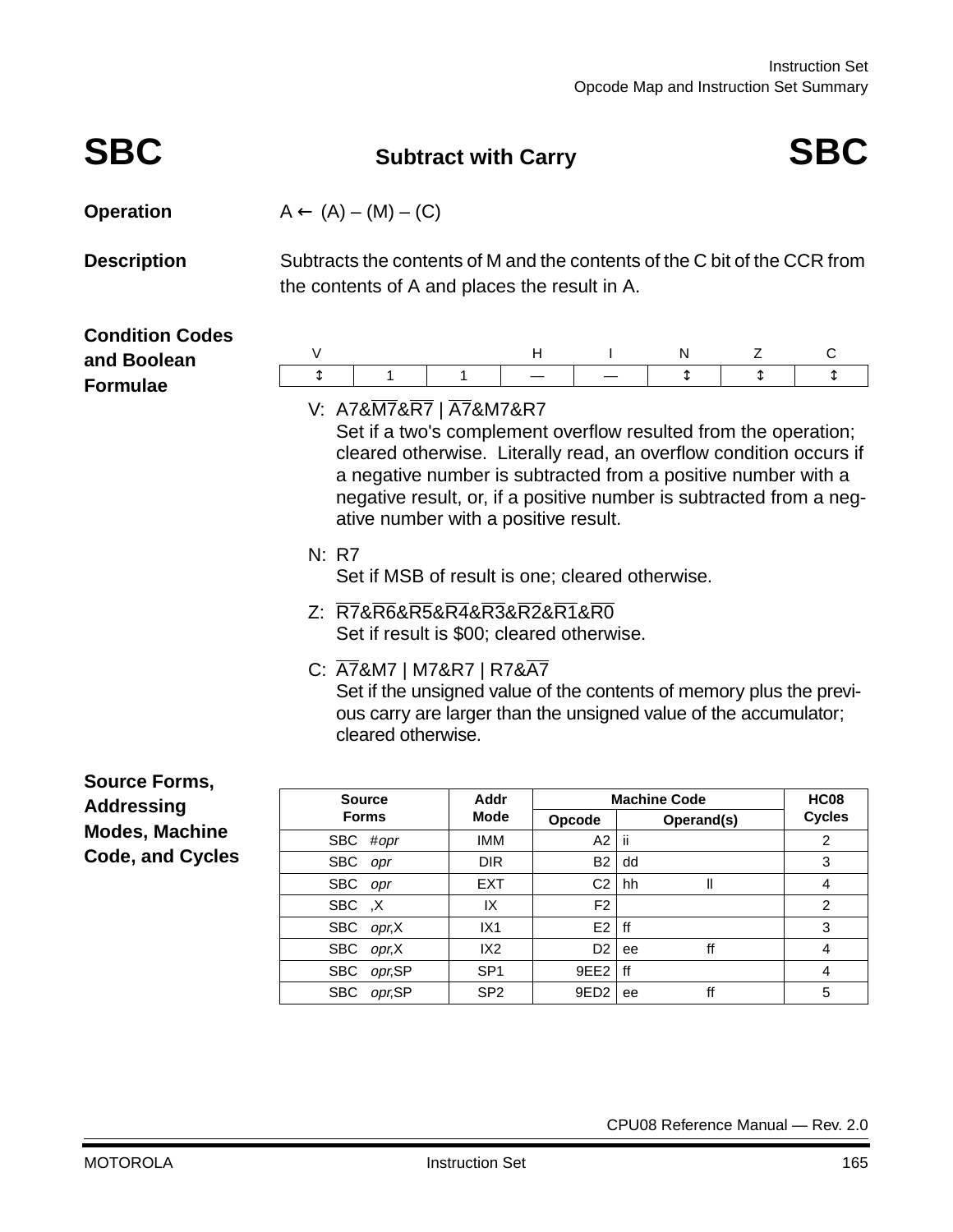# **SBC Subtract with Carry SBC**

| וו<br>۰ |
|---------|
|---------|

| <b>Operation</b>                                         | $A \leftarrow (A) - (M) - (C)$                                                                                                                                                                                        |                                                                                                                                                                                                                                                                                                                                                                                                                            |   |                |    |                     |                     |                           |  |  |
|----------------------------------------------------------|-----------------------------------------------------------------------------------------------------------------------------------------------------------------------------------------------------------------------|----------------------------------------------------------------------------------------------------------------------------------------------------------------------------------------------------------------------------------------------------------------------------------------------------------------------------------------------------------------------------------------------------------------------------|---|----------------|----|---------------------|---------------------|---------------------------|--|--|
| <b>Description</b>                                       | Subtracts the contents of M and the contents of the C bit of the CCR from<br>the contents of A and places the result in A.                                                                                            |                                                                                                                                                                                                                                                                                                                                                                                                                            |   |                |    |                     |                     |                           |  |  |
| <b>Condition Codes</b><br>and Boolean<br><b>Formulae</b> | V<br>$\updownarrow$<br>1                                                                                                                                                                                              | $\mathbf{1}$<br>V: $A78\overline{M7}8\overline{R7}$   $\overline{A7}8\overline{M7}8\overline{R7}$<br>Set if a two's complement overflow resulted from the operation;<br>cleared otherwise. Literally read, an overflow condition occurs if<br>a negative number is subtracted from a positive number with a<br>negative result, or, if a positive number is subtracted from a neg-<br>ative number with a positive result. | H | I.             |    | N<br>$\updownarrow$ | Ζ<br>$\updownarrow$ | C<br>$\updownarrow$       |  |  |
|                                                          | N: R7<br>Set if MSB of result is one; cleared otherwise.<br>Z: R7&R6&R5&R4&R3&R2&R1&R0<br>Set if result is \$00; cleared otherwise.                                                                                   |                                                                                                                                                                                                                                                                                                                                                                                                                            |   |                |    |                     |                     |                           |  |  |
|                                                          | C: $\overline{A7}$ &M7   M7&R7   R7& $\overline{A7}$<br>Set if the unsigned value of the contents of memory plus the previ-<br>ous carry are larger than the unsigned value of the accumulator;<br>cleared otherwise. |                                                                                                                                                                                                                                                                                                                                                                                                                            |   |                |    |                     |                     |                           |  |  |
| <b>Source Forms,</b>                                     |                                                                                                                                                                                                                       |                                                                                                                                                                                                                                                                                                                                                                                                                            |   |                |    |                     |                     |                           |  |  |
| <b>Addressing</b>                                        | <b>Source</b>                                                                                                                                                                                                         | <b>Addr</b>                                                                                                                                                                                                                                                                                                                                                                                                                |   |                |    | <b>Machine Code</b> |                     | <b>HC08</b>               |  |  |
| <b>Modes, Machine</b>                                    | <b>Forms</b><br>#opr<br><b>SBC</b>                                                                                                                                                                                    | <b>Mode</b><br><b>IMM</b>                                                                                                                                                                                                                                                                                                                                                                                                  |   | Opcode<br>A2   | ji | Operand(s)          |                     | <b>Cycles</b><br>2        |  |  |
| <b>Code, and Cycles</b>                                  | <b>SBC</b><br>opr                                                                                                                                                                                                     | <b>DIR</b>                                                                                                                                                                                                                                                                                                                                                                                                                 |   | <b>B2</b>      | dd |                     |                     | 3                         |  |  |
|                                                          | <b>SBC</b><br>opr                                                                                                                                                                                                     | EXT                                                                                                                                                                                                                                                                                                                                                                                                                        |   | C <sub>2</sub> | hh | Ш                   |                     | 4                         |  |  |
|                                                          | , X<br><b>SBC</b>                                                                                                                                                                                                     | IX                                                                                                                                                                                                                                                                                                                                                                                                                         |   | F <sub>2</sub> |    |                     |                     | $\overline{c}$            |  |  |
|                                                          | <b>SBC</b><br>opr,X                                                                                                                                                                                                   | IX <sub>1</sub>                                                                                                                                                                                                                                                                                                                                                                                                            |   | E2             | ff |                     |                     | $\ensuremath{\mathsf{3}}$ |  |  |
|                                                          | <b>SBC</b><br>opr,X                                                                                                                                                                                                   | IX <sub>2</sub>                                                                                                                                                                                                                                                                                                                                                                                                            |   | D <sub>2</sub> | ee | ff                  |                     | $\overline{\mathbf{4}}$   |  |  |
|                                                          | SBC opr,SP                                                                                                                                                                                                            | SP <sub>1</sub>                                                                                                                                                                                                                                                                                                                                                                                                            |   | $9EE2$ ff      |    |                     |                     | $\overline{4}$            |  |  |

SBC opr,SP | SP2 | 9ED2 ee ff | 5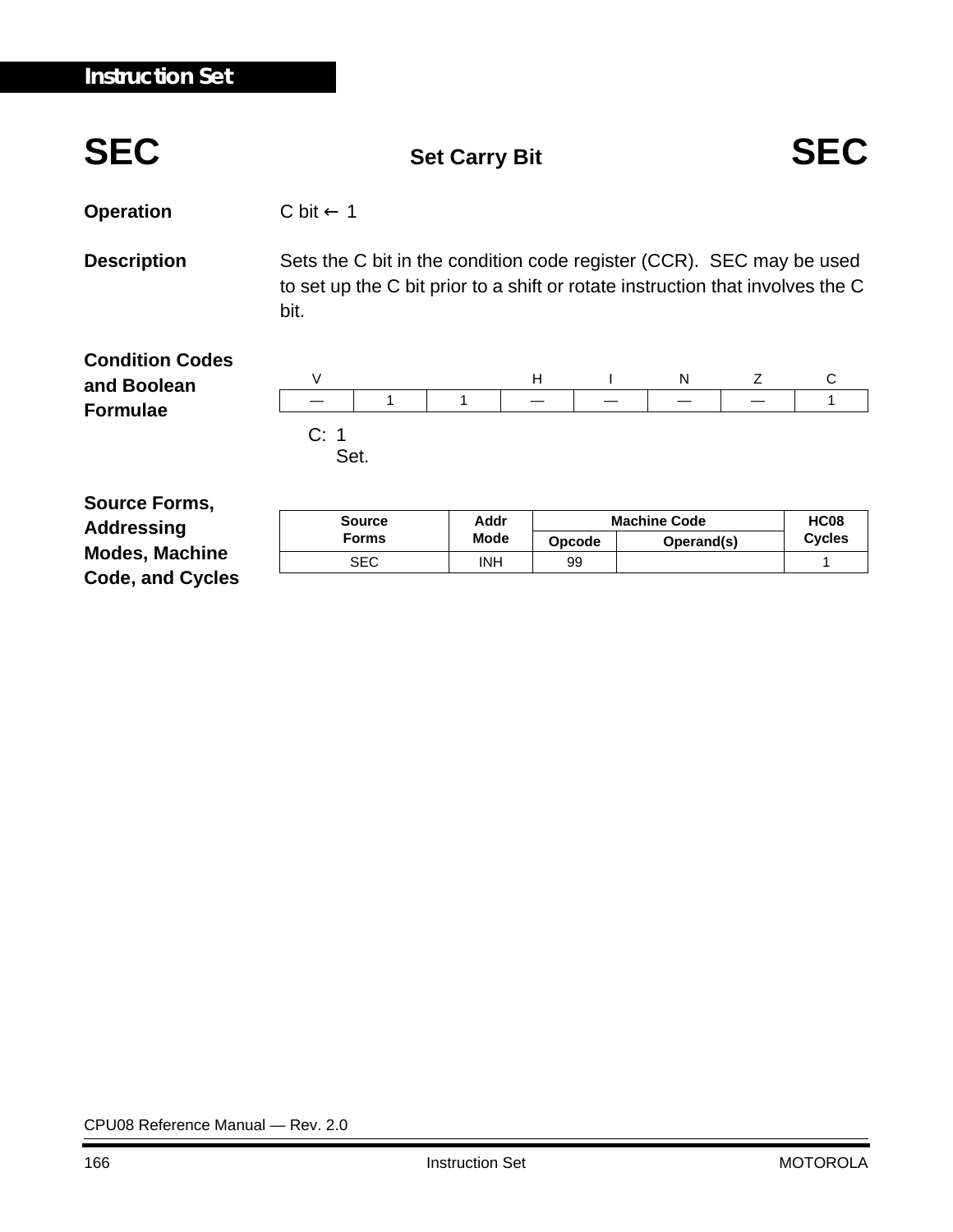| <b>SEC</b>                                                                                    |                                                                                                                                                                | <b>Set Carry Bit</b>       |              |                                   |   | <b>SEC</b>                        |
|-----------------------------------------------------------------------------------------------|----------------------------------------------------------------------------------------------------------------------------------------------------------------|----------------------------|--------------|-----------------------------------|---|-----------------------------------|
| <b>Operation</b>                                                                              | C bit $\leftarrow$ 1                                                                                                                                           |                            |              |                                   |   |                                   |
| <b>Description</b>                                                                            | Sets the C bit in the condition code register (CCR). SEC may be used<br>to set up the C bit prior to a shift or rotate instruction that involves the C<br>bit. |                            |              |                                   |   |                                   |
| <b>Condition Codes</b><br>and Boolean<br><b>Formulae</b>                                      | V<br>1<br>C: 1<br>Set.                                                                                                                                         | 1                          | H            | N                                 | Z | С<br>1                            |
| <b>Source Forms,</b><br><b>Addressing</b><br><b>Modes, Machine</b><br><b>Code, and Cycles</b> | <b>Source</b><br><b>Forms</b><br><b>SEC</b>                                                                                                                    | Addr<br>Mode<br><b>INH</b> | Opcode<br>99 | <b>Machine Code</b><br>Operand(s) |   | <b>HC08</b><br><b>Cycles</b><br>1 |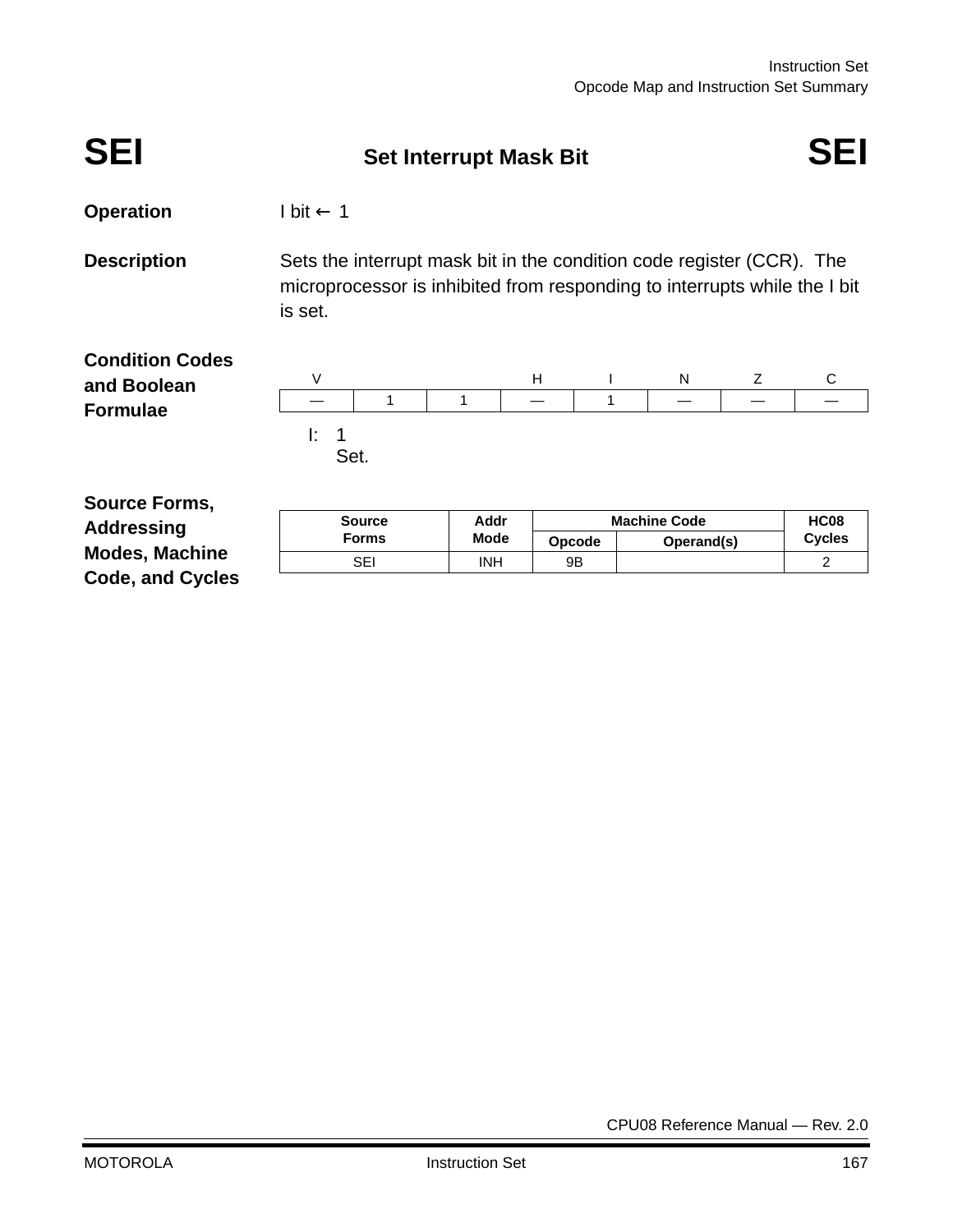| <b>SEI</b> |
|------------|
|            |



**Operation** I bit ← 1

**Description** Sets the interrupt mask bit in the condition code register (CCR). The microprocessor is inhibited from responding to interrupts while the I bit is set.

| <b>Condition Codes</b> |      |  |   |   |  |
|------------------------|------|--|---|---|--|
| and Boolean            |      |  | н | N |  |
| <b>Formulae</b>        |      |  |   |   |  |
|                        | æ.   |  |   |   |  |
|                        | Set. |  |   |   |  |
|                        |      |  |   |   |  |

| <b>Source Forms,</b>    |                               |              |                |                                   |                              |
|-------------------------|-------------------------------|--------------|----------------|-----------------------------------|------------------------------|
| Addressing              | <b>Source</b><br><b>Forms</b> | Addr<br>Mode | <b>Opcode</b>  | <b>Machine Code</b><br>Operand(s) | <b>HC08</b><br><b>Cycles</b> |
| <b>Modes, Machine</b>   | SEI                           | <b>INH</b>   | 9 <sub>B</sub> |                                   |                              |
| <b>Code, and Cycles</b> |                               |              |                |                                   |                              |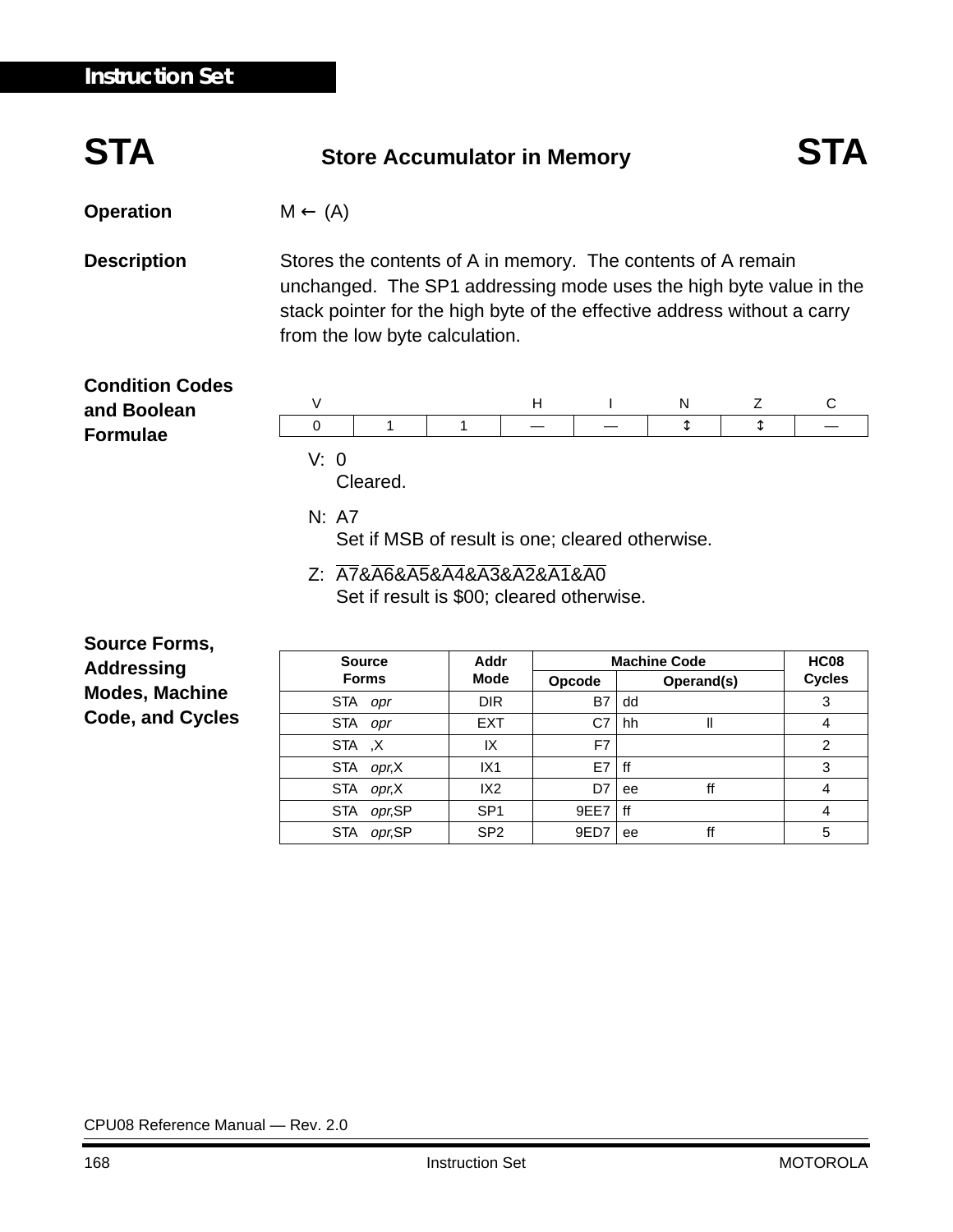| <b>STA</b>                            | <b>STA</b><br><b>Store Accumulator in Memory</b> |  |                                                                                                                                                                                                                                                  |   |  |   |        |   |  |
|---------------------------------------|--------------------------------------------------|--|--------------------------------------------------------------------------------------------------------------------------------------------------------------------------------------------------------------------------------------------------|---|--|---|--------|---|--|
| <b>Operation</b>                      | $M \leftarrow (A)$                               |  |                                                                                                                                                                                                                                                  |   |  |   |        |   |  |
| <b>Description</b>                    |                                                  |  | Stores the contents of A in memory. The contents of A remain<br>unchanged. The SP1 addressing mode uses the high byte value in the<br>stack pointer for the high byte of the effective address without a carry<br>from the low byte calculation. |   |  |   |        |   |  |
| <b>Condition Codes</b><br>and Boolean | V<br>0                                           |  | 1                                                                                                                                                                                                                                                | H |  | N | Z<br>↥ | C |  |
| <b>Formulae</b>                       | V: 0<br>Cleared.                                 |  |                                                                                                                                                                                                                                                  |   |  |   |        |   |  |
|                                       | N: A7                                            |  | Set if MSB of result is one; cleared otherwise.                                                                                                                                                                                                  |   |  |   |        |   |  |
|                                       |                                                  |  | Z: $\overline{A78}$ $\overline{A68}$ $\overline{A58}$ $\overline{A48}$ $\overline{A38}$ $\overline{A28}$ $\overline{A18}$ $\overline{A0}$                                                                                                        |   |  |   |        |   |  |

Set if result is \$00; cleared otherwise.

**Source Forms, Addressing Modes, Machine Code, and Cycles**

| <b>Source</b> | Addr            |             | <b>Machine Code</b> |                |  |  |  |
|---------------|-----------------|-------------|---------------------|----------------|--|--|--|
| <b>Forms</b>  | Mode            | Opcode      | Operand(s)          | <b>Cycles</b>  |  |  |  |
| STA<br>opr    | <b>DIR</b>      | B7          | dd                  | 3              |  |  |  |
| STA opr       | <b>EXT</b>      | C7          | hh<br>Ш             | 4              |  |  |  |
| STA, X        | IX              | F7          |                     | $\mathfrak{p}$ |  |  |  |
| STA opr,X     | IX1             | E7          | ∣ ff                | 3              |  |  |  |
| STA opr, X    | IX2             | D7          | ff<br>ee            | 4              |  |  |  |
| STA opr,SP    | SP <sub>1</sub> | <b>9EE7</b> | ff                  | 4              |  |  |  |
| STA opr,SP    | SP <sub>2</sub> | 9ED7        | ff<br>ee            | 5              |  |  |  |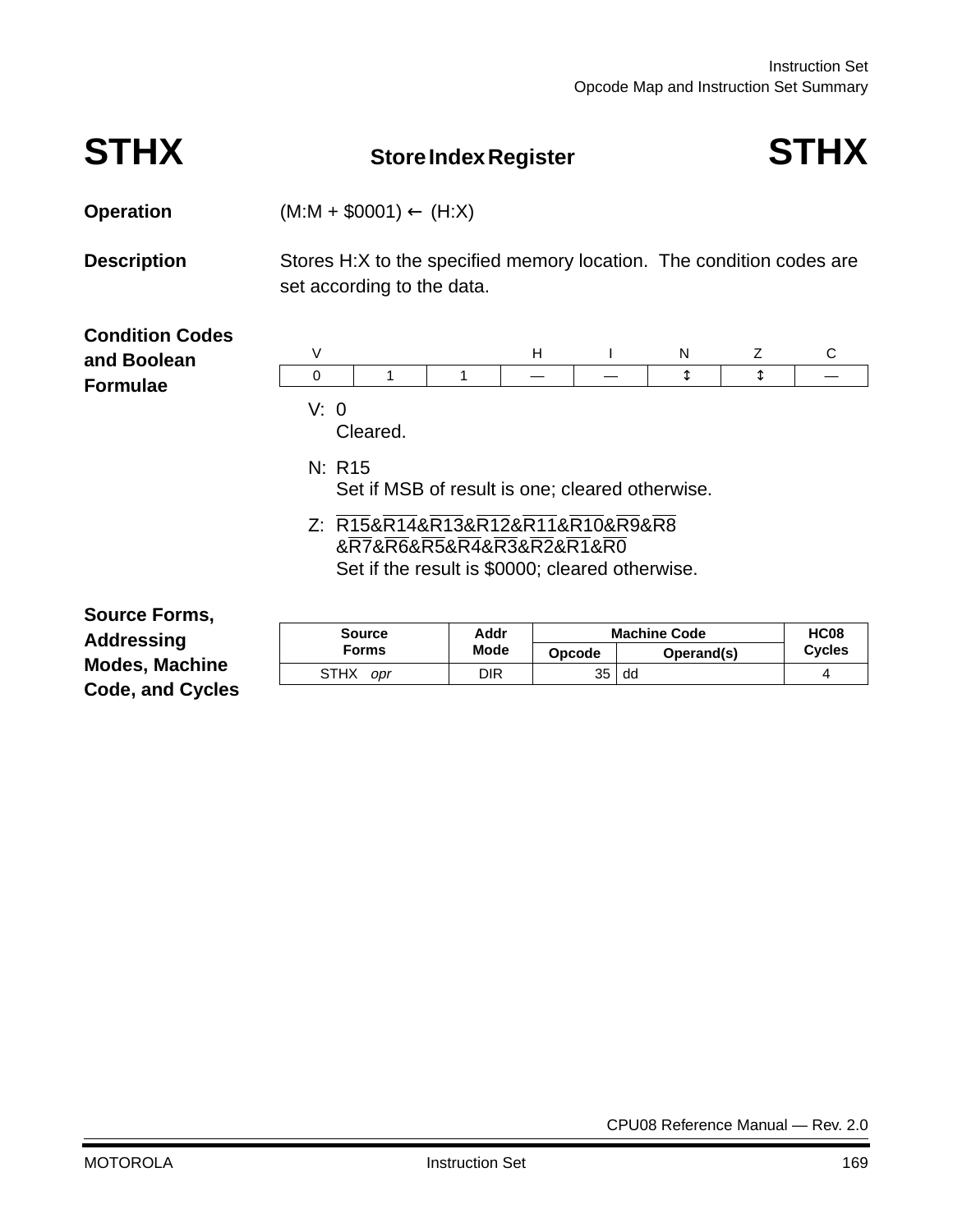## **STHX Store Index Register STHX**



**Operation** (M:M +  $$0001$ )  $\leftarrow$  (H:X)

**Description** Stores H:X to the specified memory location. The condition codes are set according to the data.

**Condition Codes and Boolean Formulae**

|     |          |  | ́ |  |
|-----|----------|--|---|--|
| ៶៸. | Cleared. |  |   |  |

- N: R15 Set if MSB of result is one; cleared otherwise.
- Z: R15&R14&R13&R12&R11&R10&R9&R8 &R7&R6&R5&R4&R3&R2&R1&R0 Set if the result is \$0000; cleared otherwise.

| <b>Source Forms,</b>    |                    |      |        |                     |               |
|-------------------------|--------------------|------|--------|---------------------|---------------|
| Addressing              | <b>Source</b>      | Addr |        | <b>Machine Code</b> | <b>HC08</b>   |
|                         | Forms              | Mode | Opcode | Operand(s)          | <b>Cycles</b> |
| <b>Modes, Machine</b>   | <b>STHX</b><br>opr | DIR  | 35     | dd                  | 4             |
| <b>Code, and Cycles</b> |                    |      |        |                     |               |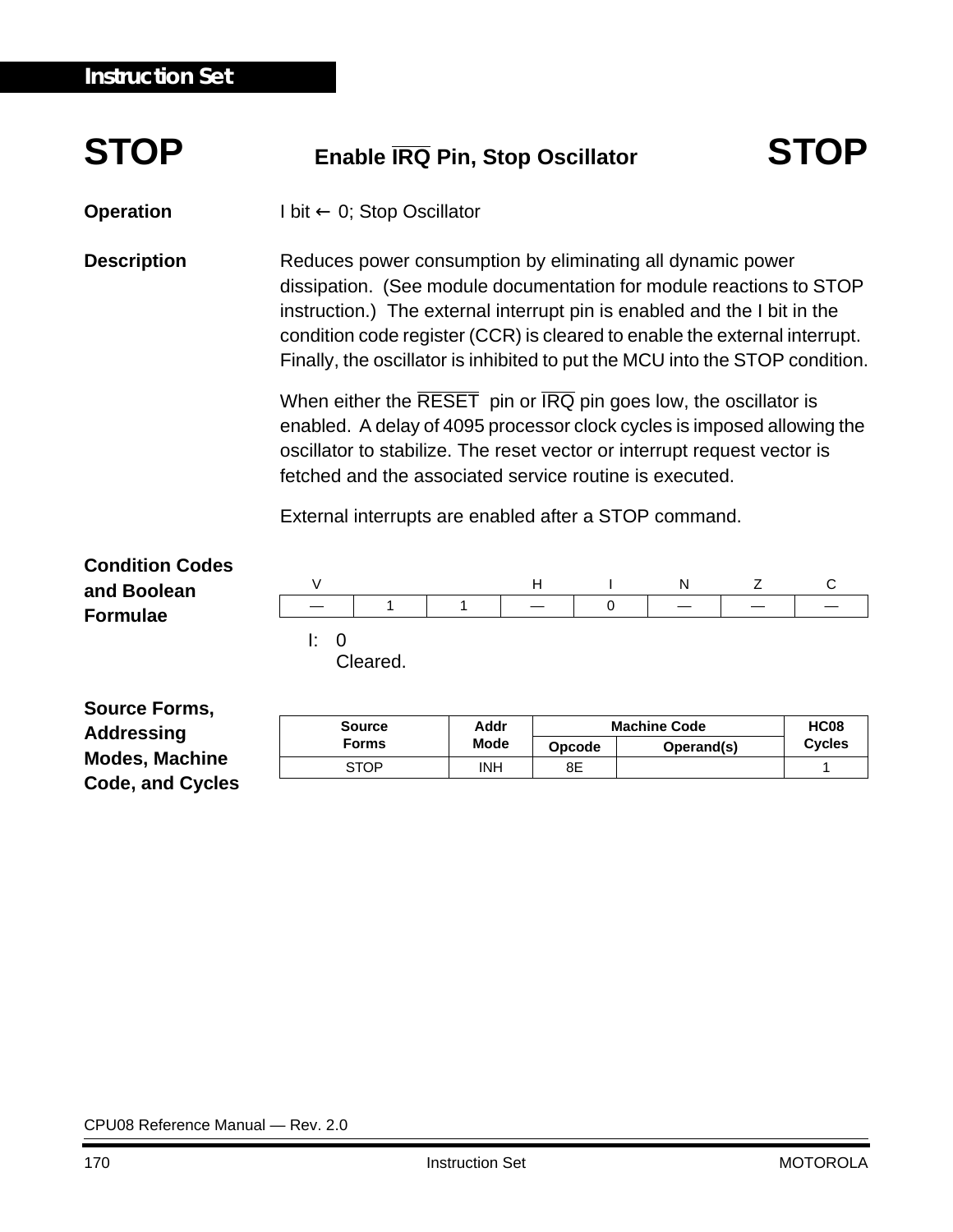| <b>STOP</b>        | <b>Enable IRQ Pin, Stop Oscillator</b>                                                                                                                                                                                                                                                                                                                                      | <b>STOP</b> |
|--------------------|-----------------------------------------------------------------------------------------------------------------------------------------------------------------------------------------------------------------------------------------------------------------------------------------------------------------------------------------------------------------------------|-------------|
| <b>Operation</b>   | $I bit \leftarrow 0$ ; Stop Oscillator                                                                                                                                                                                                                                                                                                                                      |             |
| <b>Description</b> | Reduces power consumption by eliminating all dynamic power<br>dissipation. (See module documentation for module reactions to STOP<br>instruction.) The external interrupt pin is enabled and the I bit in the<br>condition code register (CCR) is cleared to enable the external interrupt.<br>Finally, the oscillator is inhibited to put the MCU into the STOP condition. |             |
|                    | When either the $\overline{\sf{RESET}}$ pin or $\overline{\sf{IRQ}}$ pin goes low, the oscillator is<br>enabled. A delay of 4095 processor clock cycles is imposed allowing the<br>oscillator to stabilize. The reset vector or interrupt request vector is<br>fetched and the associated service routine is executed.                                                      |             |
|                    | External interrupts are enabled after a STOP command.                                                                                                                                                                                                                                                                                                                       |             |

| <b>Condition Codes</b> |      |          |   |   |  |
|------------------------|------|----------|---|---|--|
| and Boolean            |      |          | н | N |  |
| <b>Formulae</b>        |      |          |   |   |  |
|                        |      |          |   |   |  |
|                        | l: 0 |          |   |   |  |
|                        |      | Cleared. |   |   |  |

| <b>Source Forms,</b><br><b>Addressing</b> | <b>Source</b> | Addr        |        | <b>Machine Code</b> | HC <sub>08</sub> |
|-------------------------------------------|---------------|-------------|--------|---------------------|------------------|
|                                           | <b>Forms</b>  | <b>Mode</b> | Opcode | Operand(s)          | <b>Cycles</b>    |
| <b>Modes, Machine</b>                     | <b>STOP</b>   | <b>INH</b>  | 8E     |                     |                  |
| <b>Code, and Cycles</b>                   |               |             |        |                     |                  |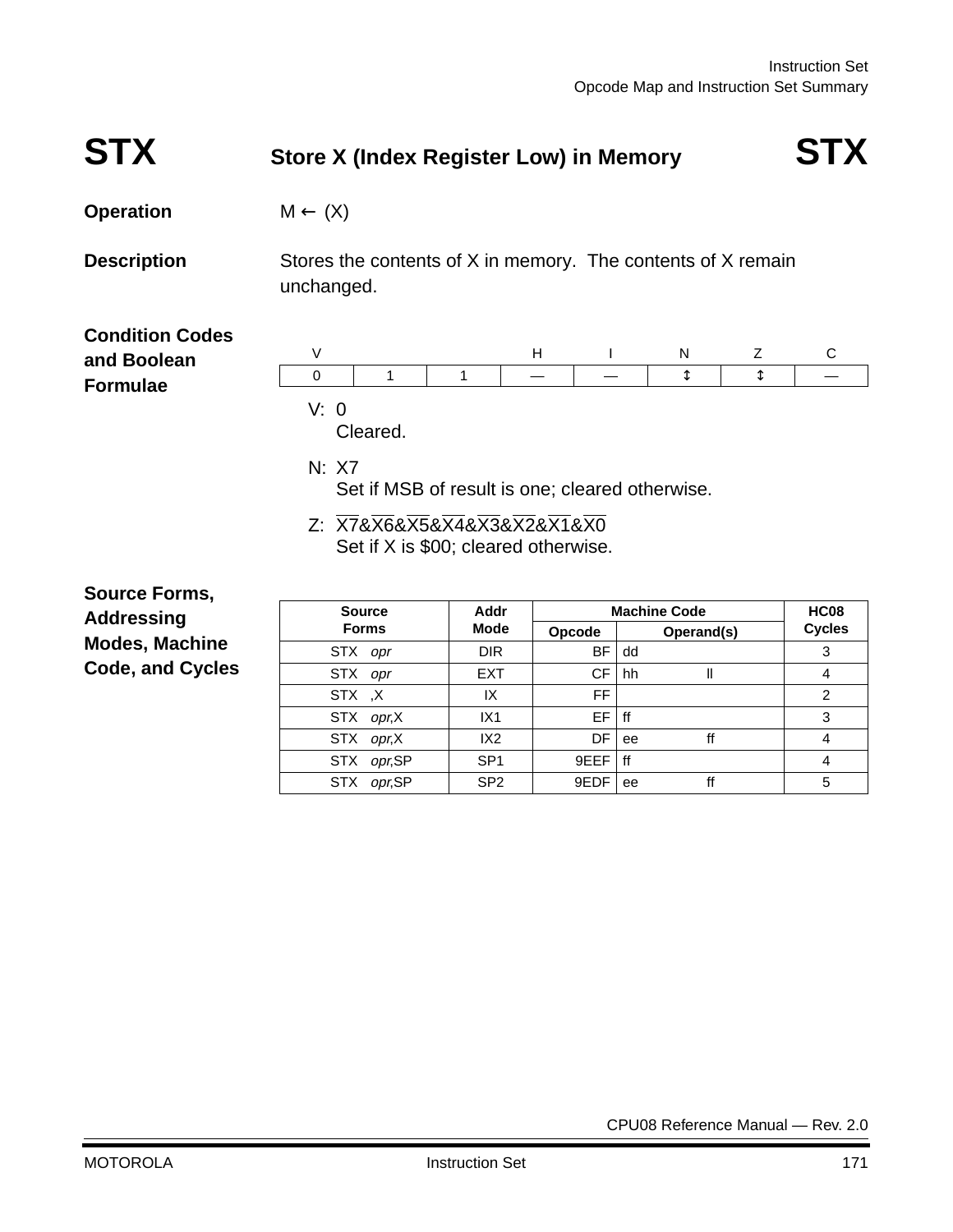## **STX Store X (Index Register Low) in Memory STX**

### **Operation**  $M \leftarrow (X)$

**Description** Stores the contents of X in memory. The contents of X remain unchanged.

**Condition Codes and Boolean Formulae**

|                 |  |                      | and the state of the state      | N |  |
|-----------------|--|----------------------|---------------------------------|---|--|
|                 |  | $\sim$ $\sim$ $\sim$ | <b>Contract Contract Street</b> |   |  |
| $V^*$<br>$\sim$ |  |                      |                                 |   |  |

Cleared.

N: X7 Set if MSB of result is one; cleared otherwise.

Z: X7&X6&X5&X4&X3&X2&X1&X0 Set if X is \$00; cleared otherwise.

| <b>Source Forms,</b>    |
|-------------------------|
| <b>Addressing</b>       |
| <b>Modes, Machine</b>   |
| <b>Code, and Cycles</b> |

|              | <b>Source</b> |                 | Addr<br><b>Machine Code</b> |      |            |               |  |
|--------------|---------------|-----------------|-----------------------------|------|------------|---------------|--|
| <b>Forms</b> |               | <b>Mode</b>     | Opcode                      |      | Operand(s) | <b>Cycles</b> |  |
| STX opr      |               | DIR.            | <b>BF</b>                   | dd   |            | 3             |  |
| STX opr      |               | <b>EXT</b>      | CF.                         | hh   |            | 4             |  |
| STX ,X       |               | IX              | <b>FF</b>                   |      |            | 2             |  |
| STX opr,X    |               | IX1             | $EF$   ff                   |      |            | 3             |  |
| STX opr,X    |               | IX2             | DF                          | ee   | ff         | 4             |  |
| STX opr,SP   |               | SP <sub>1</sub> | 9EEF                        | . ff |            | 4             |  |
| STX opr,SP   |               | SP <sub>2</sub> | 9EDF                        | ee   | ff         | 5             |  |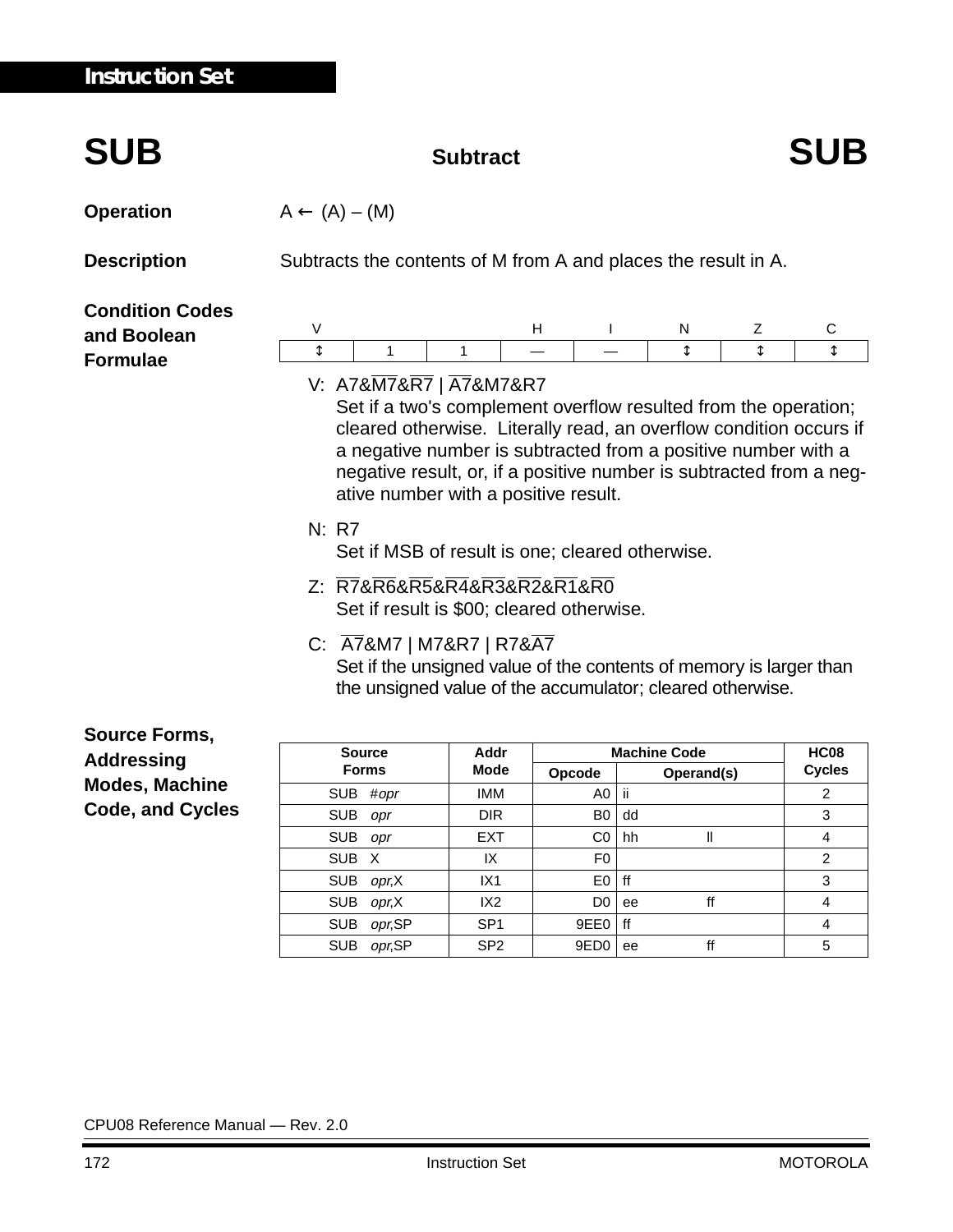| <b>SUB</b>                                               |                                                                                                                                                                                                                                                                                                                                                 | <b>Subtract</b> |                |                     |                     | <b>SUB</b>          |  |
|----------------------------------------------------------|-------------------------------------------------------------------------------------------------------------------------------------------------------------------------------------------------------------------------------------------------------------------------------------------------------------------------------------------------|-----------------|----------------|---------------------|---------------------|---------------------|--|
| <b>Operation</b>                                         | $A \leftarrow (A) - (M)$                                                                                                                                                                                                                                                                                                                        |                 |                |                     |                     |                     |  |
| <b>Description</b>                                       | Subtracts the contents of M from A and places the result in A.                                                                                                                                                                                                                                                                                  |                 |                |                     |                     |                     |  |
| <b>Condition Codes</b><br>and Boolean<br><b>Formulae</b> | V<br>$\updownarrow$<br>$\mathbf{1}$                                                                                                                                                                                                                                                                                                             | $\mathbf{1}$    | H<br>T         | N<br>$\updownarrow$ | Ζ<br>$\updownarrow$ | С<br>$\updownarrow$ |  |
|                                                          | V: A7&M7&R7   A7&M7&R7<br>Set if a two's complement overflow resulted from the operation;<br>cleared otherwise. Literally read, an overflow condition occurs if<br>a negative number is subtracted from a positive number with a<br>negative result, or, if a positive number is subtracted from a neg-<br>ative number with a positive result. |                 |                |                     |                     |                     |  |
|                                                          | N: R7<br>Set if MSB of result is one; cleared otherwise.                                                                                                                                                                                                                                                                                        |                 |                |                     |                     |                     |  |
|                                                          | Z: R7&R6&R5&R4&R3&R2&R1&R0<br>Set if result is \$00; cleared otherwise.                                                                                                                                                                                                                                                                         |                 |                |                     |                     |                     |  |
|                                                          | C: $\overline{A7}$ &M7   M7&R7   R7& $\overline{A7}$<br>Set if the unsigned value of the contents of memory is larger than<br>the unsigned value of the accumulator; cleared otherwise.                                                                                                                                                         |                 |                |                     |                     |                     |  |
| <b>Source Forms,</b>                                     | <b>Source</b>                                                                                                                                                                                                                                                                                                                                   | Addr            |                | <b>Machine Code</b> |                     | <b>HC08</b>         |  |
| <b>Addressing</b>                                        | <b>Forms</b>                                                                                                                                                                                                                                                                                                                                    | Mode            | Opcode         | Operand(s)          |                     | <b>Cycles</b>       |  |
| <b>Modes, Machine</b>                                    | SUB #opr                                                                                                                                                                                                                                                                                                                                        | <b>IMM</b>      | A0             | ji                  |                     | 2                   |  |
| <b>Code, and Cycles</b>                                  | SUB opr                                                                                                                                                                                                                                                                                                                                         | <b>DIR</b>      | B0             | dd                  |                     | 3                   |  |
|                                                          | SUB opr                                                                                                                                                                                                                                                                                                                                         | EXT             | C0             | hh<br>Ш             |                     | 4                   |  |
|                                                          | SUB X                                                                                                                                                                                                                                                                                                                                           | IX              | F0             |                     |                     | 2                   |  |
|                                                          | SUB opr,X                                                                                                                                                                                                                                                                                                                                       | IX <sub>1</sub> | E <sub>0</sub> | ff                  |                     | 3                   |  |
|                                                          | SUB opr,X                                                                                                                                                                                                                                                                                                                                       | IX <sub>2</sub> | D0             | ff<br>ee            |                     | 4                   |  |
|                                                          | SUB opr,SP                                                                                                                                                                                                                                                                                                                                      | SP <sub>1</sub> | $9EEO$   ff    |                     |                     | 4                   |  |

SUB opr, SP SP2 9ED0 ee ff 5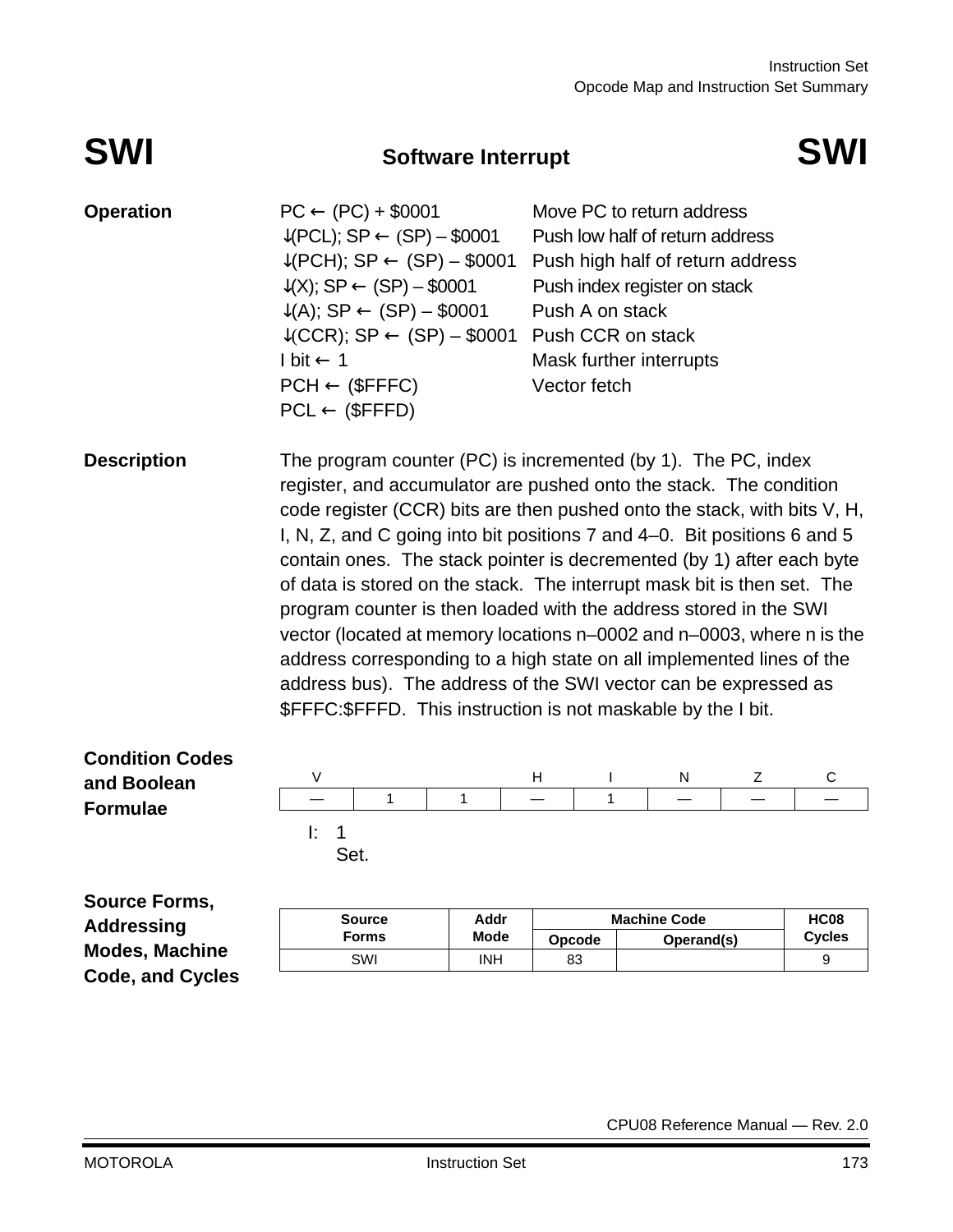| <b>SWI</b>       | <b>Software Interrupt</b>                         |                                  | <b>SWI</b> |
|------------------|---------------------------------------------------|----------------------------------|------------|
| <b>Operation</b> | $PC \leftarrow (PC) + $0001$                      | Move PC to return address        |            |
|                  | $\downarrow$ (PCL); SP $\leftarrow$ (SP) – \$0001 | Push low half of return address  |            |
|                  | $\downarrow$ (PCH); SP $\leftarrow$ (SP) – \$0001 | Push high half of return address |            |
|                  | $\downarrow$ (X); SP $\leftarrow$ (SP) – \$0001   | Push index register on stack     |            |
|                  | $\downarrow$ (A); SP $\leftarrow$ (SP) – \$0001   | Push A on stack                  |            |
|                  | $\downarrow$ (CCR); SP $\leftarrow$ (SP) – \$0001 | Push CCR on stack                |            |
|                  | $l \text{ bit} \leftarrow 1$                      | Mask further interrupts          |            |
|                  | $PCH \leftarrow (SFFFC)$                          | Vector fetch                     |            |

 $PCL \leftarrow$  (\$FFFD)

**Description** The program counter (PC) is incremented (by 1). The PC, index register, and accumulator are pushed onto the stack. The condition code register (CCR) bits are then pushed onto the stack, with bits V, H, I, N, Z, and C going into bit positions 7 and 4–0. Bit positions 6 and 5 contain ones. The stack pointer is decremented (by 1) after each byte of data is stored on the stack. The interrupt mask bit is then set. The program counter is then loaded with the address stored in the SWI vector (located at memory locations n–0002 and n–0003, where n is the address corresponding to a high state on all implemented lines of the address bus). The address of the SWI vector can be expressed as \$FFFC:\$FFFD. This instruction is not maskable by the I bit.

| <b>Condition Codes</b> |                |  |   |   |  |
|------------------------|----------------|--|---|---|--|
| and Boolean            |                |  | н | N |  |
| <b>Formulae</b>        |                |  |   |   |  |
|                        | it and<br>Set. |  |   |   |  |
|                        |                |  |   |   |  |

| <b>Source Forms,</b>    |               |            |        |                     |                  |
|-------------------------|---------------|------------|--------|---------------------|------------------|
| Addressing              | <b>Source</b> | Addr       |        | <b>Machine Code</b> | HC <sub>08</sub> |
|                         | <b>Forms</b>  | Mode       | Opcode | Operand(s)          | <b>Cycles</b>    |
| <b>Modes, Machine</b>   | SWI           | <b>INH</b> | 83     |                     |                  |
| <b>Code, and Cycles</b> |               |            |        |                     |                  |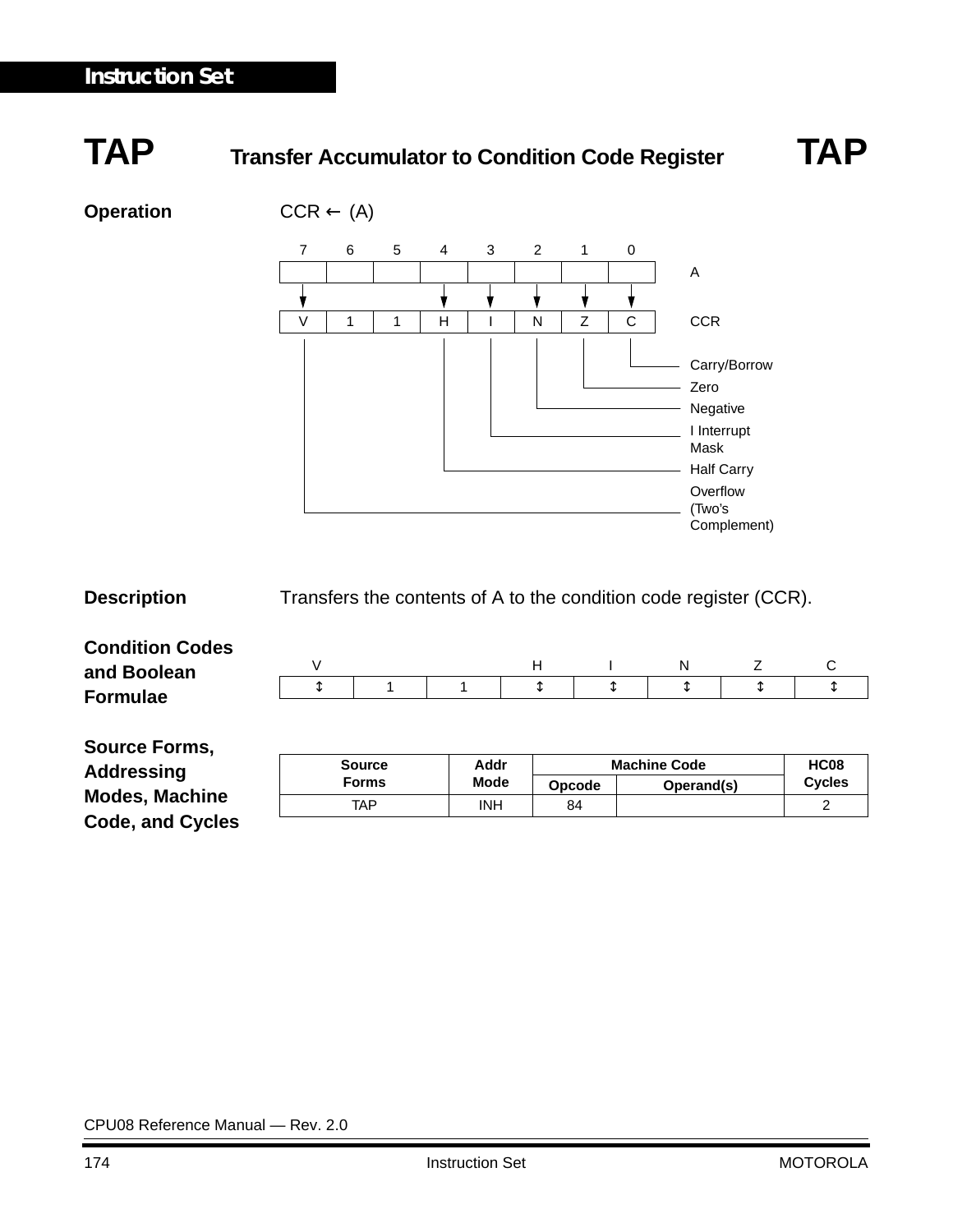# **TAP Transfer Accumulator to Condition Code Register TAP**



| Condition Codes |  |  |  |  |
|-----------------|--|--|--|--|
| and Boolean     |  |  |  |  |
| <b>Formulae</b> |  |  |  |  |
|                 |  |  |  |  |

| <b>Source Forms,</b><br>Addressing | <b>Source</b> | Addr       |        | <b>Machine Code</b> | HC08          |
|------------------------------------|---------------|------------|--------|---------------------|---------------|
|                                    | <b>Forms</b>  | Mode       | Opcode | Operand(s)          | <b>Cycles</b> |
| <b>Modes, Machine</b>              | <b>TAP</b>    | <b>INH</b> | 84     |                     |               |
| <b>Code, and Cycles</b>            |               |            |        |                     |               |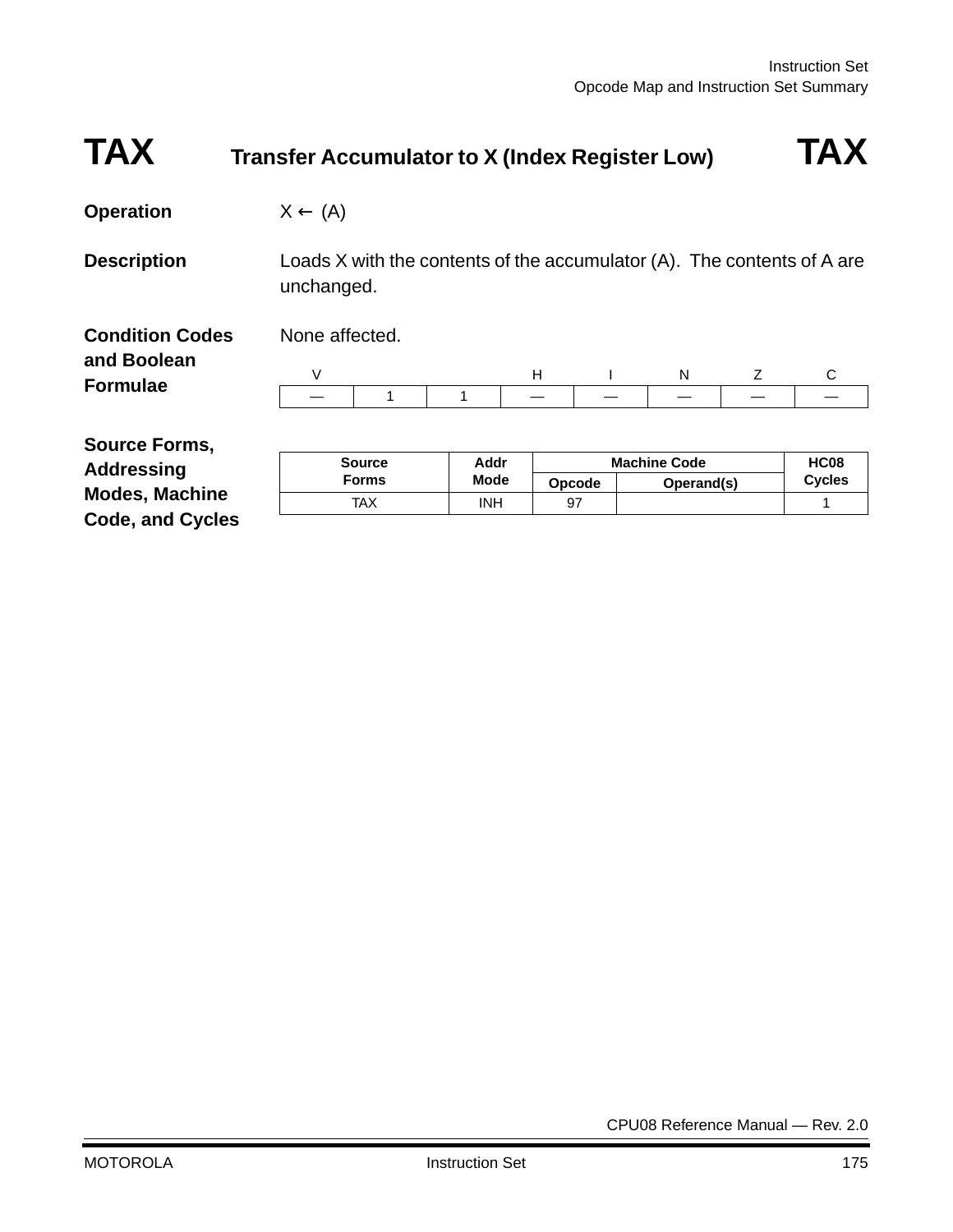| TAX | <b>Transfer Accumulator to X (Index Register Low)</b> | <b>TAX</b> |
|-----|-------------------------------------------------------|------------|
|-----|-------------------------------------------------------|------------|



| <b>Operation</b>                                                                       | $X \leftarrow (A)$  |                                      |                                   |              |                                   |   |                                                                              |
|----------------------------------------------------------------------------------------|---------------------|--------------------------------------|-----------------------------------|--------------|-----------------------------------|---|------------------------------------------------------------------------------|
| <b>Description</b>                                                                     | unchanged.          |                                      |                                   |              |                                   |   | Loads $X$ with the contents of the accumulator $(A)$ . The contents of A are |
| <b>Condition Codes</b><br>and Boolean<br><b>Formulae</b>                               | None affected.<br>V |                                      | 1                                 | H.           | N                                 | Z | C                                                                            |
| <b>Source Forms,</b><br>Addressing<br><b>Modes, Machine</b><br><b>Code, and Cycles</b> |                     | <b>Source</b><br><b>Forms</b><br>TAX | <b>Addr</b><br>Mode<br><b>INH</b> | Opcode<br>97 | <b>Machine Code</b><br>Operand(s) |   | <b>HC08</b><br><b>Cycles</b><br>1                                            |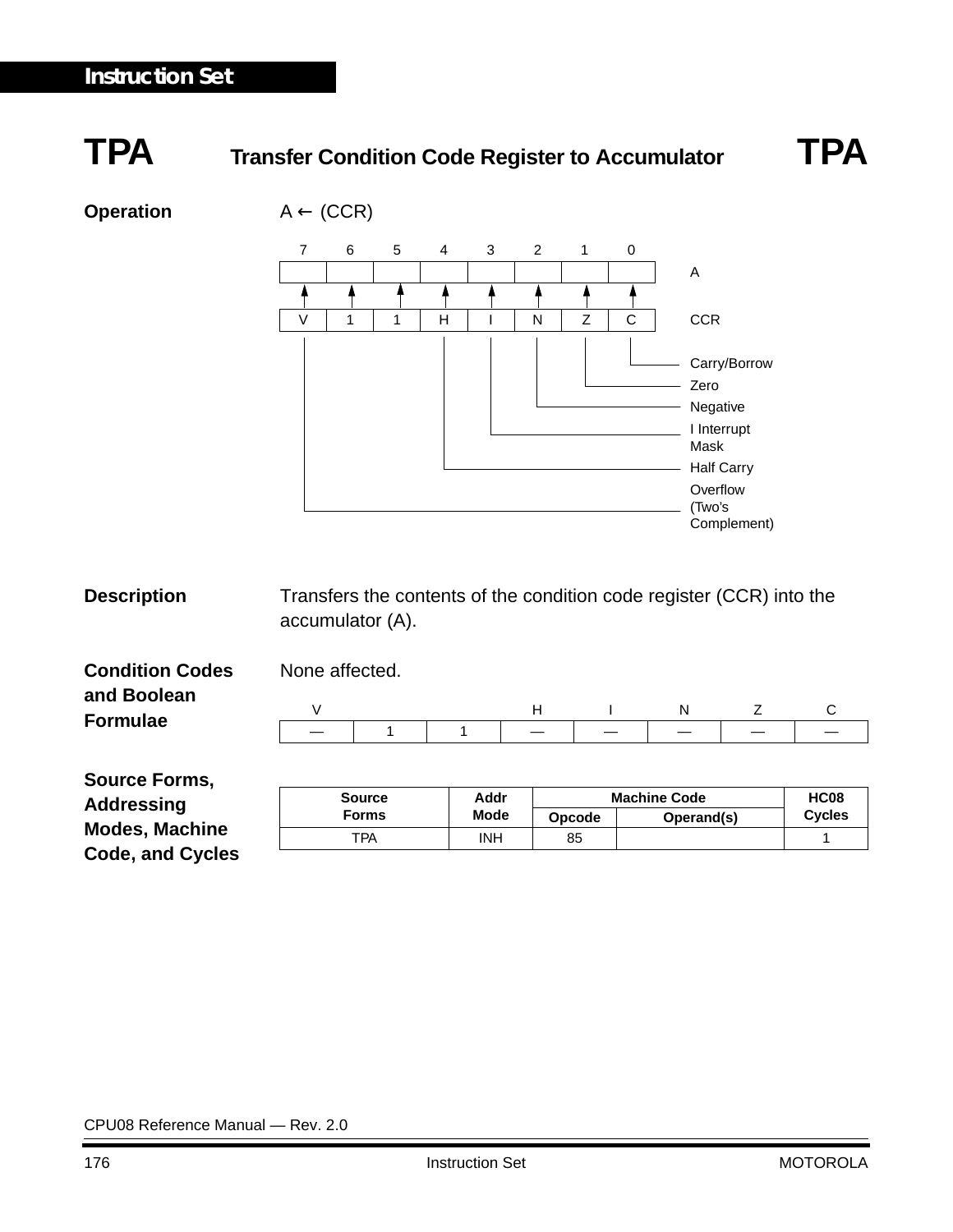# **TPA Transfer Condition Code Register to Accumulator TPA**



| <b>Description</b> | Transfers the contents of the condition code register (CCR) into the |
|--------------------|----------------------------------------------------------------------|
|                    | accumulator (A).                                                     |
|                    |                                                                      |

| <b>Condition Codes</b>         | None affected. |  |   |   |  |  |
|--------------------------------|----------------|--|---|---|--|--|
| and Boolean<br><b>Formulae</b> |                |  | н | N |  |  |
|                                |                |  |   |   |  |  |
|                                |                |  |   |   |  |  |

| <b>Source Forms,</b>    |               |            |        |                     |               |
|-------------------------|---------------|------------|--------|---------------------|---------------|
| Addressing              | <b>Source</b> | Addr       |        | <b>Machine Code</b> | <b>HC08</b>   |
|                         | <b>Forms</b>  | Mode       | Opcode | Operand(s)          | <b>Cycles</b> |
| <b>Modes, Machine</b>   | <b>TPA</b>    | <b>INH</b> | 85     |                     |               |
| <b>Code, and Cycles</b> |               |            |        |                     |               |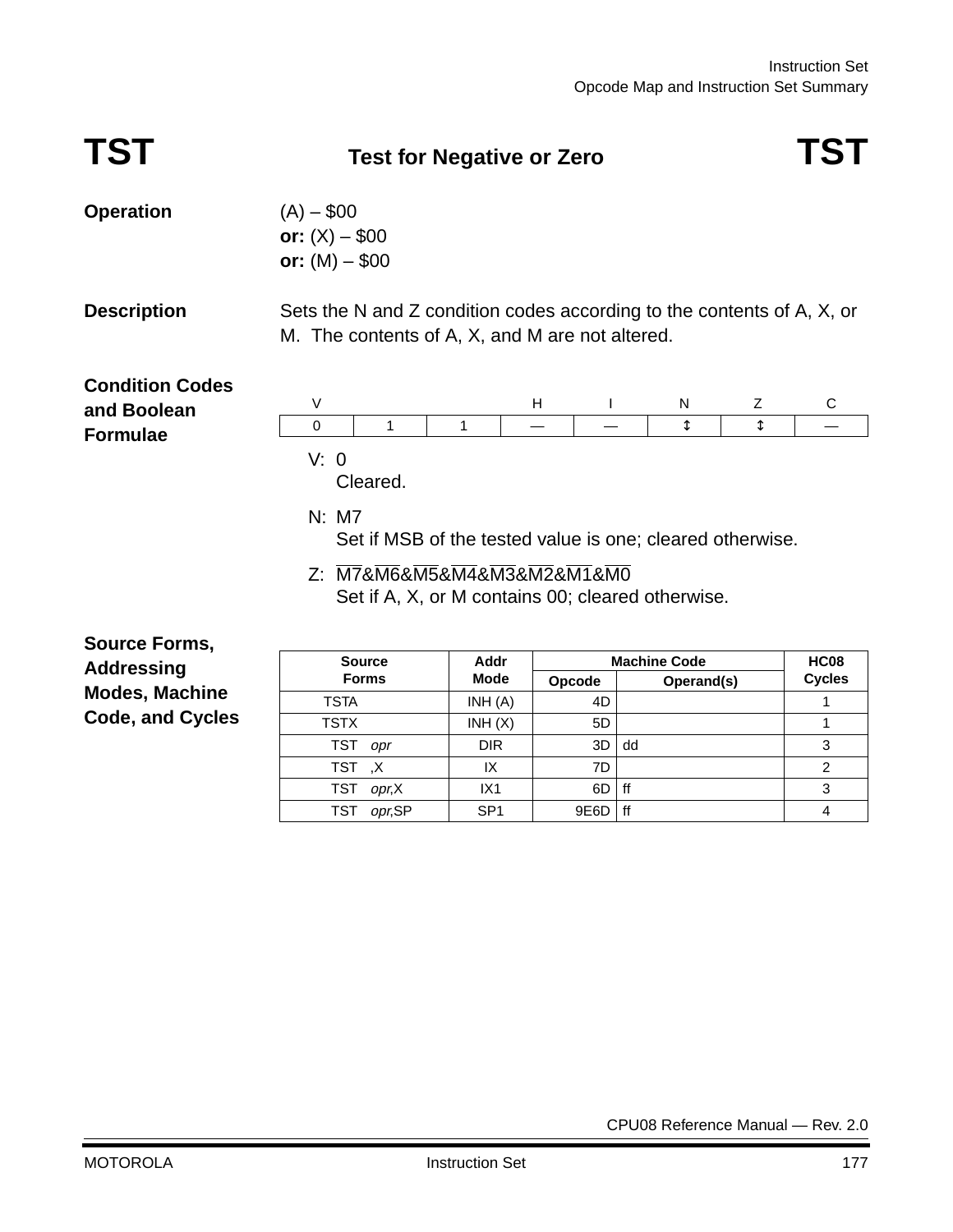## **TST Test for Negative or Zero TST**

### **Operation** (A) – \$00 **or:**  $(X) - $00$ **or:** (M) – \$00 **Description** Sets the N and Z condition codes according to the contents of A, X, or M. The contents of A, X, and M are not altered. **Condition Codes** V: 0 Cleared. V H I N Z C  $0 \mid 1 \mid 1 \mid - \mid - \mid 1 \mid 1 \mid - \mid$

N: M7

Set if MSB of the tested value is one; cleared otherwise.

Z: M7&M6&M5&M4&M3&M2&M1&M0 Set if A, X, or M contains 00; cleared otherwise.

| Source Forms,<br><b>Addressing</b> | <b>Source</b> | Addr            | <b>Machine Code</b> | <b>HC08</b> |               |
|------------------------------------|---------------|-----------------|---------------------|-------------|---------------|
|                                    | <b>Forms</b>  | <b>Mode</b>     | Opcode              | Operand(s)  | <b>Cycles</b> |
| <b>Modes, Machine</b>              | <b>TSTA</b>   | INH(A)          | 4D                  |             |               |
| <b>Code, and Cycles</b>            | <b>TSTX</b>   | INH(X)          | 5D                  |             |               |
|                                    | TST<br>opr    | <b>DIR</b>      | 3D                  | dd          | 3             |
|                                    | TST ,X        | IX              | 7D                  |             | 2             |
|                                    | TST<br>opr,X  | IX1             | 6D                  | ff          | 3             |
|                                    | opr,SP<br>TST | SP <sub>1</sub> | 9E6D                | l ff        |               |

**and Boolean Formulae**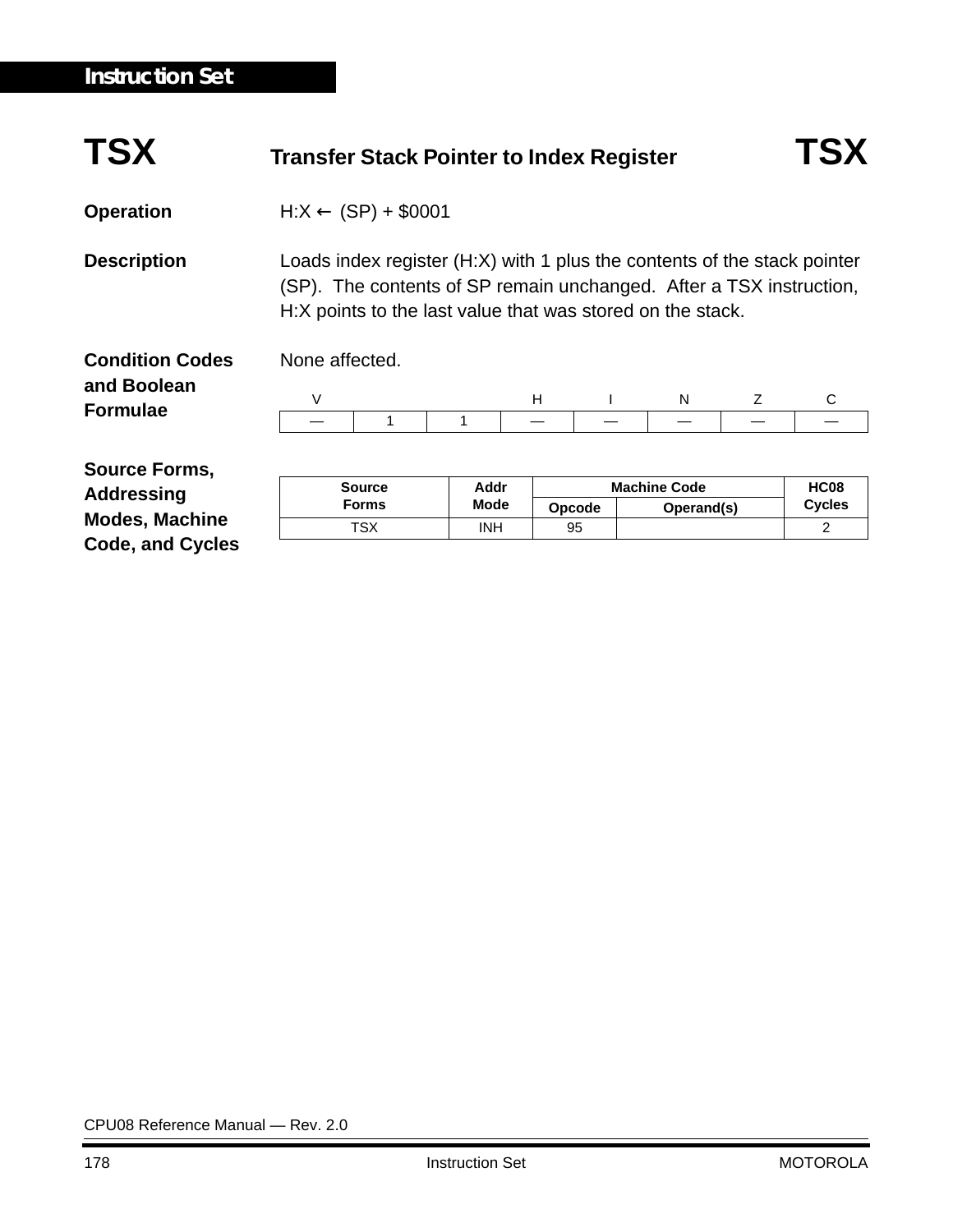**Modes, Machine Code, and Cycles**

| <b>TSX</b>                                                 |                | <b>Transfer Stack Pointer to Index Register</b>                                                                                                                                                               |              |   |        |  |                                   |   | TSX                               |
|------------------------------------------------------------|----------------|---------------------------------------------------------------------------------------------------------------------------------------------------------------------------------------------------------------|--------------|---|--------|--|-----------------------------------|---|-----------------------------------|
| <b>Operation</b>                                           |                | $H:X \leftarrow (SP) + $0001$                                                                                                                                                                                 |              |   |        |  |                                   |   |                                   |
| <b>Description</b><br><b>Condition Codes</b>               | None affected. | Loads index register (H:X) with 1 plus the contents of the stack pointer<br>(SP). The contents of SP remain unchanged. After a TSX instruction,<br>H:X points to the last value that was stored on the stack. |              |   |        |  |                                   |   |                                   |
| and Boolean                                                | V              |                                                                                                                                                                                                               |              | H |        |  | N                                 | Z | C                                 |
| <b>Formulae</b>                                            |                |                                                                                                                                                                                                               |              |   |        |  |                                   |   |                                   |
| <b>Source Forms,</b><br><b>Addressing</b><br>Madaa Maakina |                | <b>Source</b><br><b>Forms</b>                                                                                                                                                                                 | Addr<br>Mode |   | Opcode |  | <b>Machine Code</b><br>Operand(s) |   | HC <sub>08</sub><br><b>Cycles</b> |

TSX INH 95 2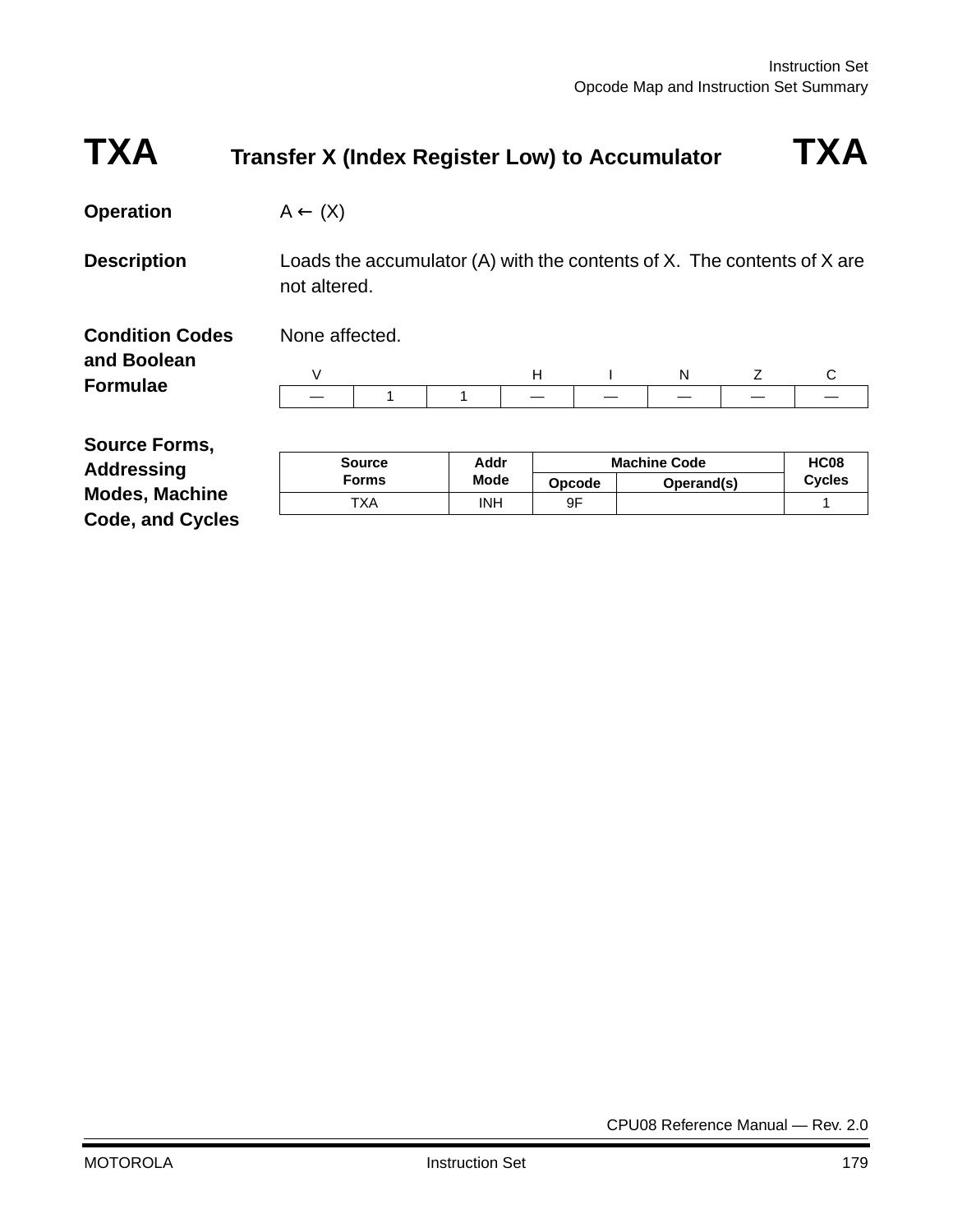|                    |                                                 |                                                                        |              |   |                     | <b>TXA</b>                                                                                                                                                                           |
|--------------------|-------------------------------------------------|------------------------------------------------------------------------|--------------|---|---------------------|--------------------------------------------------------------------------------------------------------------------------------------------------------------------------------------|
| $A \leftarrow (X)$ |                                                 |                                                                        |              |   |                     |                                                                                                                                                                                      |
|                    |                                                 |                                                                        |              |   |                     |                                                                                                                                                                                      |
| V                  | 1                                               |                                                                        | H            | N | Ζ                   | C                                                                                                                                                                                    |
|                    |                                                 | Addr<br>Mode<br><b>INH</b>                                             | Opcode<br>9F |   |                     | <b>HC08</b><br><b>Cycles</b>                                                                                                                                                         |
|                    | <b>Condition Codes</b><br><b>Modes, Machine</b> | not altered.<br>None affected.<br><b>Source</b><br><b>Forms</b><br>TXA |              | L | <b>Machine Code</b> | <b>Transfer X (Index Register Low) to Accumulator</b><br>Loads the accumulator (A) with the contents of X. The contents of X are<br>Operand(s)<br>$\sim$ $\sim$ $\sim$ $\sim$ $\sim$ |

MOTOROLA 179

**Code, and Cycles**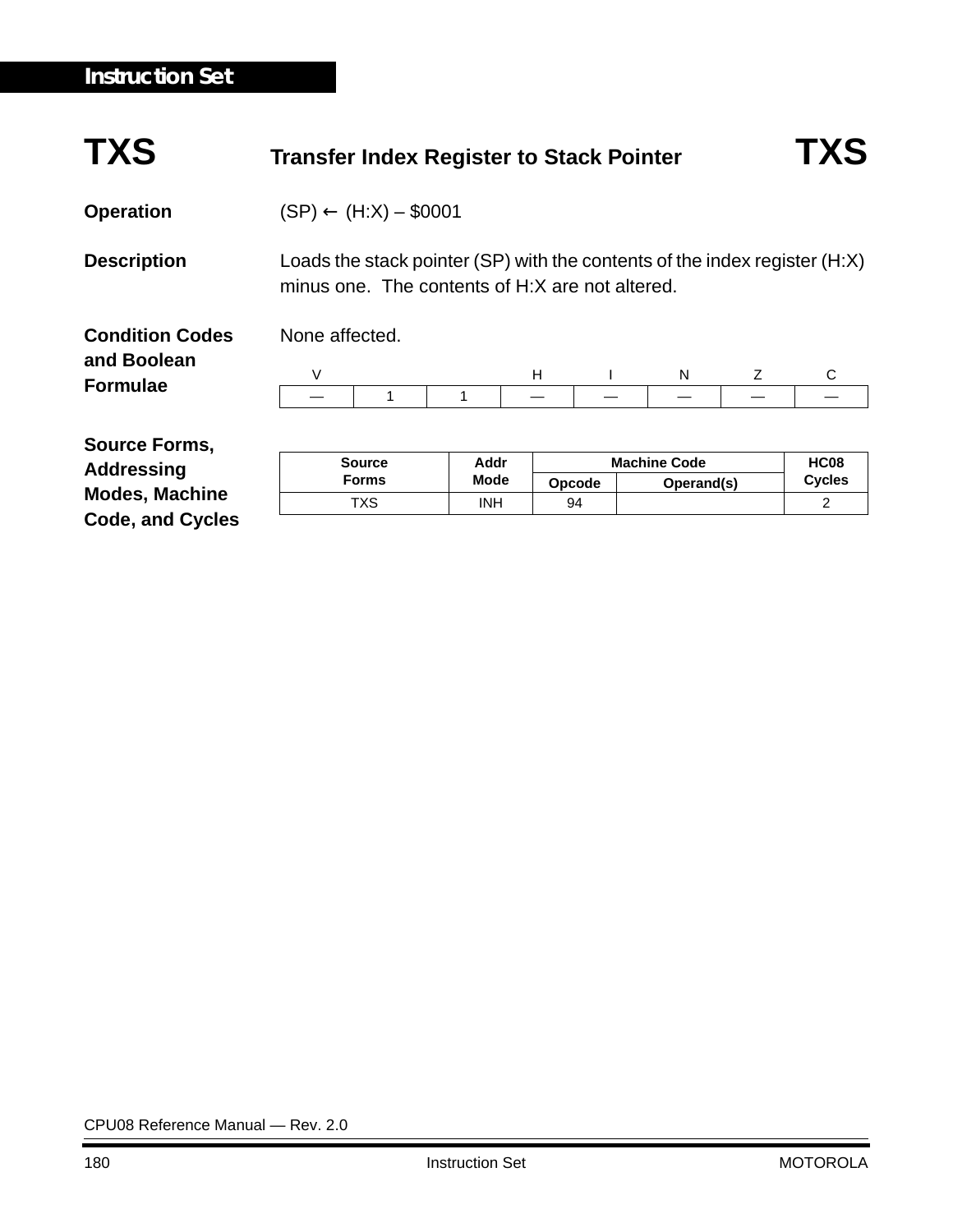| <b>TXS</b>                                                                                    | <b>Transfer Index Register to Stack Pointer</b>                                                                                 |                                 |                    |                                   |   | <b>TXS</b>                        |  |  |  |
|-----------------------------------------------------------------------------------------------|---------------------------------------------------------------------------------------------------------------------------------|---------------------------------|--------------------|-----------------------------------|---|-----------------------------------|--|--|--|
| <b>Operation</b>                                                                              |                                                                                                                                 | $(SP) \leftarrow (H:X) - $0001$ |                    |                                   |   |                                   |  |  |  |
| <b>Description</b>                                                                            | Loads the stack pointer (SP) with the contents of the index register $(H:X)$<br>minus one. The contents of H:X are not altered. |                                 |                    |                                   |   |                                   |  |  |  |
| <b>Condition Codes</b><br>and Boolean<br><b>Formulae</b>                                      | None affected.<br>V<br>1                                                                                                        | 1                               | H.<br>$\mathbf{I}$ | N                                 | Z | C                                 |  |  |  |
| <b>Source Forms,</b><br><b>Addressing</b><br><b>Modes, Machine</b><br><b>Code, and Cycles</b> | <b>Source</b><br><b>Forms</b><br><b>TXS</b>                                                                                     | Addr<br>Mode<br><b>INH</b>      | Opcode<br>94       | <b>Machine Code</b><br>Operand(s) |   | <b>HC08</b><br><b>Cycles</b><br>2 |  |  |  |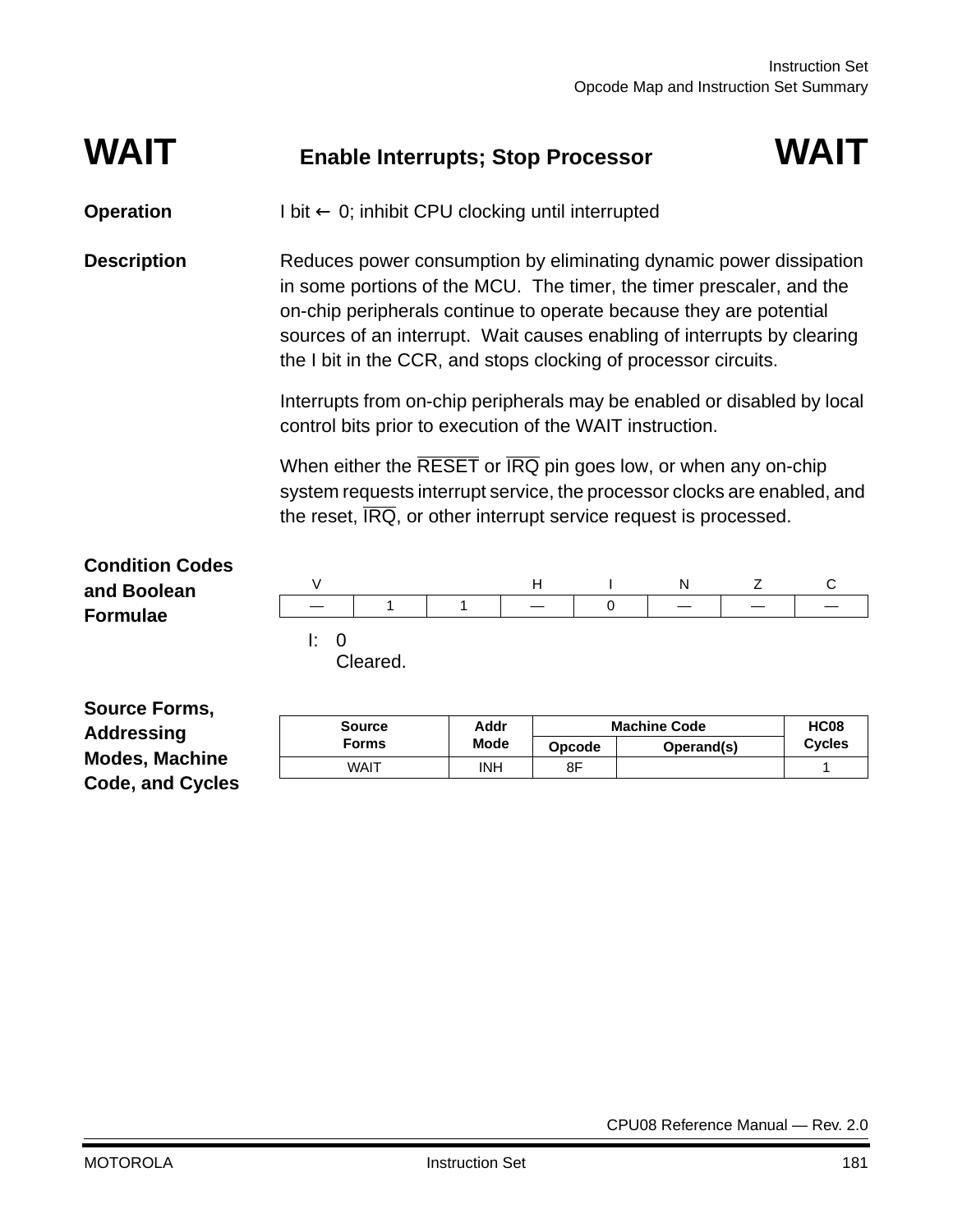### **WAIT Enable Interrupts; Stop Processor WAIT**



**Operation** I bit ← 0; inhibit CPU clocking until interrupted

**Description** Reduces power consumption by eliminating dynamic power dissipation in some portions of the MCU. The timer, the timer prescaler, and the on-chip peripherals continue to operate because they are potential sources of an interrupt. Wait causes enabling of interrupts by clearing the I bit in the CCR, and stops clocking of processor circuits.

> Interrupts from on-chip peripherals may be enabled or disabled by local control bits prior to execution of the WAIT instruction.

> When either the  $\overline{\text{REST}}$  or  $\overline{\text{IRQ}}$  pin goes low, or when any on-chip system requests interrupt service, the processor clocks are enabled, and the reset, IRQ, or other interrupt service request is processed.

| <b>Condition Codes</b> |  |   |   |  |
|------------------------|--|---|---|--|
| and Boolean            |  | н | N |  |
| <b>Formulae</b>        |  |   |   |  |
|                        |  |   |   |  |
|                        |  |   |   |  |

Cleared.

| <b>Source Forms,</b>    | <b>Source</b> | Addr        |               | <b>Machine Code</b> | <b>HC08</b>   |
|-------------------------|---------------|-------------|---------------|---------------------|---------------|
| Addressing              | <b>Forms</b>  | <b>Mode</b> | <b>Opcode</b> | Operand(s)          | <b>Cycles</b> |
| <b>Modes, Machine</b>   | <b>WAIT</b>   | <b>INH</b>  | 8F            |                     |               |
| <b>Code, and Cycles</b> |               |             |               |                     |               |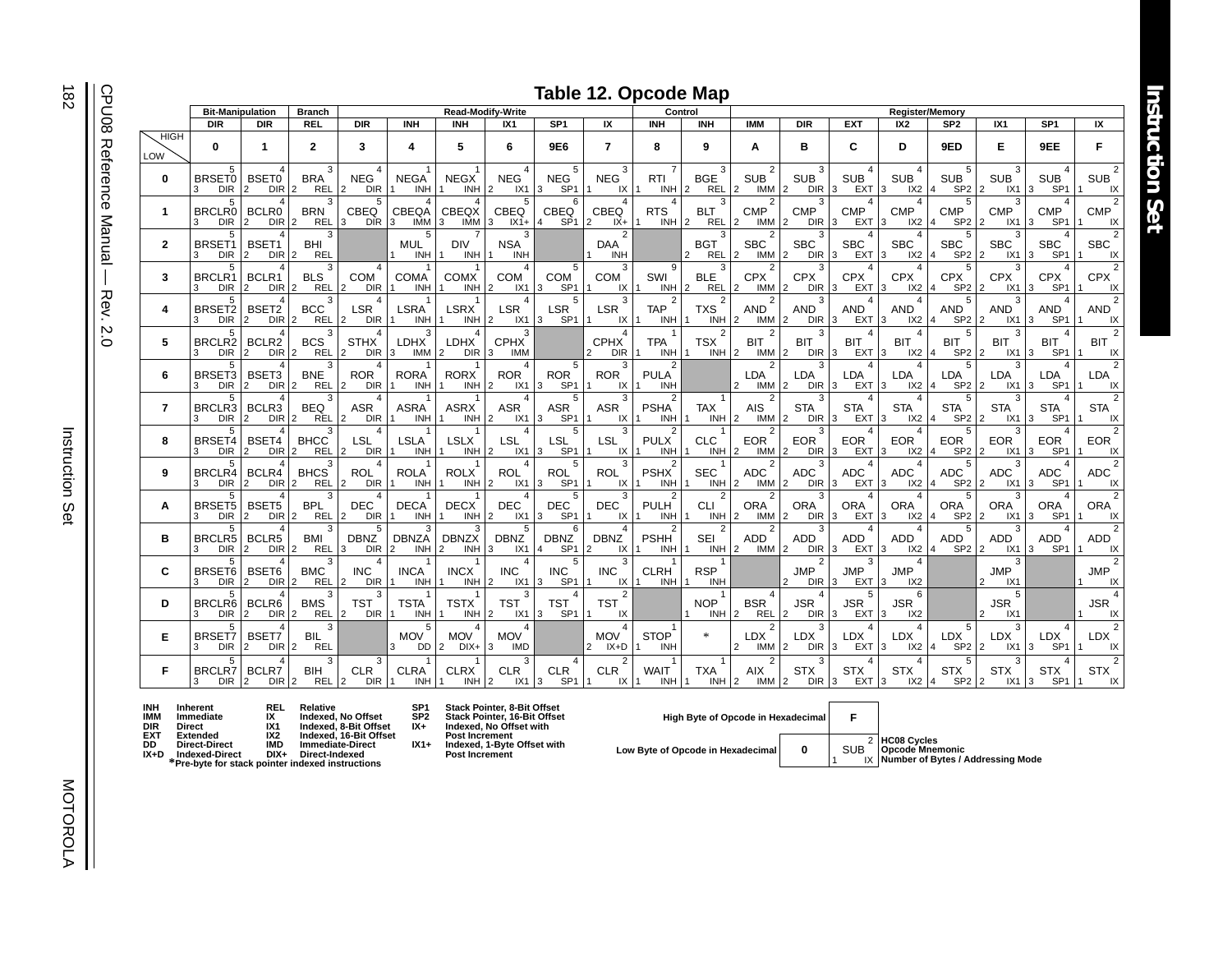|                    |                                                    |                                      |                              |                                            |                            |                                       |                              | Table 12. Opcode Map                              |                                  |                                             |                                            |                                            |                                                  |                                                        |                                                   |                                          |                                          |                                                 |                                    |
|--------------------|----------------------------------------------------|--------------------------------------|------------------------------|--------------------------------------------|----------------------------|---------------------------------------|------------------------------|---------------------------------------------------|----------------------------------|---------------------------------------------|--------------------------------------------|--------------------------------------------|--------------------------------------------------|--------------------------------------------------------|---------------------------------------------------|------------------------------------------|------------------------------------------|-------------------------------------------------|------------------------------------|
|                    | <b>Bit-Manipulation</b><br><b>DIR</b>              |                                      | <b>Branch</b>                |                                            |                            | Read-Modify-Write                     |                              | SP <sub>1</sub>                                   | IX                               |                                             | Control                                    |                                            |                                                  |                                                        | <b>Register/Memory</b>                            |                                          |                                          |                                                 |                                    |
| <b>HIGH</b><br>LOW | 0                                                  | <b>DIR</b><br>1                      | <b>REL</b><br>$\mathbf{2}$   | <b>DIR</b><br>3                            | <b>INH</b><br>4            | <b>INH</b><br>5                       | IX1<br>6                     | 9E6                                               | 7                                | INH<br>8                                    | INH<br>9                                   | <b>IMM</b><br>Α                            | <b>DIR</b><br>в                                  | <b>EXT</b><br>C                                        | IX2<br>D                                          | SP <sub>2</sub><br>9ED                   | IX <sub>1</sub><br>E.                    | SP <sub>1</sub><br>9EE                          | IX<br>F                            |
| 0                  | $\overline{5}$<br><b>BRSET0</b><br><b>DIR</b><br>3 | <b>BSET0</b><br>DIR 2<br>12          | <b>BRA</b><br>REL            | $\overline{4}$<br>NEG<br>DIR<br>l 2        | <b>NEGA</b><br>INH         | NEGX<br>INH                           | <b>NEG</b><br>IX1 3          | 5<br><b>NEG</b><br>SP1                            | 3<br>NEG<br>IX                   | $\overline{7}$<br>RTI<br>INH $ 2 $          | 3<br>BGE<br>REL 2                          | 2<br><b>SUB</b><br>IMM   2                 | 3<br><b>SUB</b><br>$DIR$ 3                       | $\overline{4}$<br><b>SUB</b><br>EXT                    | $\overline{4}$<br>SUB<br>$IX2 \mid 4$<br>3        | 5<br><b>SUB</b><br>SP2 2                 | 3<br><b>SUB</b><br>IX1 3                 | <b>SUB</b><br>SP <sub>1</sub>                   | $\overline{2}$<br><b>SUB</b><br>IX |
| $\mathbf{1}$       | BRCLR0<br><b>DIR</b>                               | <b>BCLR0</b><br>$DIR$   2            | <b>BRN</b><br>REL            | 5<br>CBEQ<br>DIR 3<br>3                    | CBEQA<br>IMM               | CBEQX<br>IMM<br><b>3</b>              | CBEQ<br>$IX1+$<br>l 3        | 6<br>CBEQ<br>SP1 2<br>$\overline{4}$              | $\overline{4}$<br>CBEQ<br>$IX +$ | 4<br><b>RTS</b><br>INH 12                   | 3<br><b>BLT</b><br>$REL$ 2                 | 2<br><b>CMP</b><br>IMM                     | 3<br><b>CMP</b><br>$DIR$ 3<br>$\overline{2}$     | <b>CMP</b><br>EXT                                      | $\overline{a}$<br>CMP<br>$IX2 \mid 4$<br>3        | 5<br><b>CMP</b><br>SP <sub>2</sub>       | 3<br><b>CMP</b><br>l 2<br> X1 3          | <b>CMP</b><br>SP <sub>1</sub>                   | 2<br><b>CMP</b><br>IX              |
| $\mathbf{2}$       | 5<br>BRSET1<br><b>DIR</b><br>3                     | BSET1<br>DIR   2<br>l 2              | 3<br>BHI<br>REL              |                                            | 5<br><b>MUL</b><br>$INH$ 1 | 7<br><b>DIV</b><br>INH                | 3<br><b>NSA</b><br>INH       |                                                   | 2<br>DAA<br>INH                  |                                             | 3<br><b>BGT</b><br>REL 2<br>$\overline{2}$ | 2<br><b>SBC</b><br>IMM   2                 | 3<br><b>SBC</b><br>$DIR$ 3                       | <b>SBC</b><br>EXT 3                                    | <b>SBC</b><br>$IX2 \mid 4$                        | .5<br><b>SBC</b><br>SP2 2                | 3<br><b>SBC</b><br>$IX1 \mid 3$          | <b>SBC</b><br>SP <sub>1</sub>                   | $\overline{2}$<br><b>SBC</b><br>IX |
| 3                  | 5<br>BRCLR1<br>3<br>DIR                            | BCLR1<br>DIR 2                       | 3<br><b>BLS</b><br>REL       | $\overline{4}$<br>COM<br>DIR<br> 2         | <b>COMA</b><br>INH         | <b>COMX</b><br>INH                    | COM<br>IX1   3               | 5<br>COM<br>SP <sub>1</sub>                       | 3<br>COM<br> X                   | 9<br>SWI<br>$INH$ 2                         | 3<br><b>BLE</b><br>REL 2                   | $\overline{2}$<br><b>CPX</b><br>IMM   2    | 3<br>CPX<br>$DIR$ 3                              | $\overline{4}$<br><b>CPX</b><br>EXT 3                  | $\overline{a}$<br>CPX<br>$IX2 \mid 4$             | 5<br><b>CPX</b><br>SP2   2               | 3<br><b>CPX</b><br>IX1   3               | <b>CPX</b><br>SP <sub>1</sub>                   | $\overline{2}$<br><b>CPX</b><br>IX |
| 4                  | BRSET2<br><b>DIR</b>                               | BSET2<br>DIR                         | 3<br><b>BCC</b><br>REL<br> 2 | $\overline{4}$<br><b>LSR</b><br>12<br>DIR  | <b>LSRA</b><br>INH         | LSRX<br>INH                           | <b>LSR</b><br>IX1            | 5<br><b>LSR</b><br>SP1<br>13.                     | 3<br><b>LSR</b><br>IX            | 2<br><b>TAP</b><br>INH                      | 2<br><b>TXS</b><br>INH $ 2 $               | 2<br>AND<br>IMM   2                        | 3<br>AND<br>$DIR$ 3                              | <b>AND</b><br>EXT                                      | AND<br>$IX2 \mid 4$<br>3                          | $\overline{5}$<br>AND<br>SP <sub>2</sub> | 3<br>AND<br>2<br>IX1 3                   | <b>AND</b><br>SP <sub>1</sub>                   | <b>AND</b><br>IX                   |
| 5                  | BRCLR <sub>2</sub><br>DIR                          | BCLR2                                | <b>BCS</b><br>$DIR   2$ REL  | <b>STHX</b><br>l 2<br>DIR 13               | <b>LDHX</b><br>IMM         | LDHX<br>$DIR$ 3<br>2                  | <b>CPHX</b><br>IMM           |                                                   | <b>CPHX</b><br>DIR I             | <b>TPA</b><br>INH                           | 2<br><b>TSX</b><br>INH $ 2 $               | <b>BIT</b><br>IMM   2                      | 3<br>BIT.<br>$DIR$ 3                             | BIT<br>EXT                                             | <b>BIT</b><br>$IX2 \mid 4$<br>3                   | 5<br><b>BIT</b><br>SP <sub>2</sub>       | 3<br><b>BIT</b><br>12<br>$IX1 \mid 3$    | <b>BIT</b><br>SP <sub>1</sub>                   | <b>BIT</b><br>IX                   |
| 6                  | BRSET3<br>DIR                                      | BSET3<br>DIR   2                     | 3<br><b>BNE</b><br>REL       | $\overline{a}$<br><b>ROR</b><br>l 2<br>DIR | <b>RORA</b><br>INH         | <b>RORX</b><br>INH                    | <b>ROR</b><br>IX1            | 5<br><b>ROR</b><br>SP1<br>l 3                     | 3<br><b>ROR</b><br>IX            | 2<br><b>PULA</b><br>INH                     |                                            | 2<br><b>LDA</b><br>$IMM$ 2<br>$\mathbf{2}$ | 3<br><b>LDA</b><br>DIR                           | $\overline{4}$<br>LDA<br>EXT<br>3                      | $\overline{a}$<br>LDA<br>$IX2 \mid 4$<br>3        | LDA<br>SP <sub>2</sub>                   | 3<br>LDA<br>12.<br> X1 3                 | LDA<br>SP <sub>1</sub>                          | <b>LDA</b><br>IX                   |
| 7                  | BRCLR3<br>DIR                                      | BCLR3<br>DIR 2                       | 3<br><b>BEQ</b><br>REL       | $\overline{4}$<br>ASR<br>DIR<br>12         | <b>ASRA</b><br>INH         | <b>ASRX</b><br>INH                    | ASR<br>$\overline{2}$<br>IX1 | 5<br>ASR<br>SP1<br>3                              | 3<br>ASR<br>IX                   | 2<br><b>PSHA</b><br>INH                     | $\overline{1}$<br><b>TAX</b><br>$INH$ 2    | 2<br>AIS<br>IMM   2                        | 3<br><b>STA</b><br>DIR                           | $\overline{4}$<br><b>STA</b><br>3<br>EXT               | $\overline{a}$<br><b>STA</b><br>3<br>$IX2 \mid 4$ | 5<br><b>STA</b><br>SP <sub>2</sub>       | 3<br><b>STA</b><br>12.<br>IX1   3        | <b>STA</b><br>SP <sub>1</sub>                   | $\mathcal{P}$<br><b>STA</b><br>IX  |
| 8                  | BRSET4<br>DIR                                      | BSET4<br>DIR 2<br>12                 | <b>BHCC</b><br>REL           | 4<br><b>LSL</b><br>12<br>DIR               | <b>LSLA</b><br>INH         | <b>LSLX</b><br>$INH$   2              | <b>LSL</b><br>IX1   3        | 5<br>LSL<br>SP <sub>1</sub>                       | 3<br><b>LSL</b><br>IX            | 2<br><b>PULX</b><br>INH                     | $\mathbf{1}$<br><b>CLC</b><br>INH   2      | 2<br><b>EOR</b><br>IMM                     | 3<br><b>EOR</b><br>DIR<br>12                     | <b>EOR</b><br>3<br>EXT                                 | $\overline{4}$<br><b>EOR</b><br>IX2<br>3          | <b>EOR</b><br>SP <sub>2</sub><br>l 4     | 3<br><b>EOR</b><br>12<br>IX1   3         | <b>EOR</b><br>SP <sub>1</sub>                   | $\overline{2}$<br><b>EOR</b><br>IX |
| 9                  | BRCLR4<br>DIR                                      | BCLR4<br>DIR 2                       | <b>BHCS</b><br>REL           | $\overline{4}$<br><b>ROL</b><br>DIR<br>12  | <b>ROLA</b><br>INH         | <b>ROLX</b><br>INH                    | <b>ROL</b><br>IX1            | 5<br><b>ROL</b><br>SP <sub>1</sub><br>13          | 3<br><b>ROL</b><br>IX            | $\overline{2}$<br><b>PSHX</b><br>INH<br>l 1 | $\mathbf{1}$<br><b>SEC</b><br>INH          | 2<br>ADC<br>IMM<br>l 2                     | 3<br><b>ADC</b><br><b>DIR</b><br>2               | <b>ADC</b><br>3<br>EXT                                 | $\overline{4}$<br><b>ADC</b><br>IX2<br>3          | 5<br><b>ADC</b><br>SP <sub>2</sub><br>14 | 3<br><b>ADC</b><br>$IX1 \mid 3$<br>12    | ADC<br>SP <sub>1</sub>                          | <b>ADC</b><br>IX                   |
| А                  | BRSET5<br>DIR                                      | BSET5<br>DIR   2<br>12.              | <b>BPL</b><br>REL            | DEC<br>l 2<br>DIR                          | <b>DECA</b><br>INH         | <b>DECX</b><br>INH   2                | DEC<br>IX1                   | 5<br><b>DEC</b><br>SP <sub>1</sub><br>l 3         | 3<br><b>DEC</b><br>IX            | PULH<br>INH<br>-1                           | $\overline{c}$<br>CLI<br>$INH$ 2           | <b>ORA</b><br>$IMM$ 2                      | 3<br>ORA<br>$DIR$ 3                              | <b>ORA</b><br>EXT                                      | <b>ORA</b><br>$IX2 \mid 4$<br>3                   | <b>ORA</b><br>$SP2$ 2                    | 3<br><b>ORA</b><br>IX1 3                 | <b>ORA</b><br>SP <sub>1</sub>                   | <b>ORA</b><br>IX                   |
| в                  | BRCLR5 BCLR5<br>DIR                                | DIR   2                              | BMI<br>REL                   | 5<br><b>DBNZ</b><br>DIR  2<br>3            | <b>DBNZA</b><br>INH        | <b>DBNZX</b><br>$\overline{2}$<br>INH | <b>DBNZ</b><br>IX1<br>13     | DBNZ<br>$\overline{4}$<br>SP <sub>1</sub>         | DBNZ<br>2<br>IX                  | <b>PSHH</b><br>INH                          | 2<br>SEI<br>$INH$ 2                        | ADD<br>$IMM$ 2                             | 3<br>ADD<br>$DIR$ 3                              | ADD<br>EXT                                             | ADD<br>$IX2 \mid 4$<br>3                          | <b>ADD</b><br>$SP2$  2                   | 3<br>ADD<br>$IX1 \mid 3$                 | ADD<br>SP <sub>1</sub>                          | ADD<br>IX                          |
| C                  | BRSET6 BSET6<br>DIR<br>3                           | $DIR$ $2$<br>l 2                     | <b>BMC</b><br><b>REL</b>     | INC.<br>l 2<br><b>DIR</b>                  | <b>INCA</b><br>INH         | <b>INCX</b><br>$INH$   2              | INC.<br> X1 3                | <b>INC</b><br>SP <sub>1</sub>                     | 3<br><b>INC</b><br>IX            | <b>CLRH</b><br>INH                          | <b>RSP</b><br><b>INH</b>                   |                                            | $\overline{2}$<br>JMP<br>$DIR$ 3<br>$\mathbf{2}$ | 3<br><b>JMP</b><br>EXT                                 | <b>JMP</b><br>IX2<br>3                            |                                          | 3<br><b>JMP</b><br>IX1<br>$\overline{2}$ |                                                 | <b>JMP</b><br>IX                   |
| D                  | BRCLR6 BCLR6<br>DIR                                | DIR   2                              | <b>BMS</b><br>REL            | 3<br>TST<br>DIR 1<br>$\sqrt{2}$            | <b>TSTA</b><br><b>INH</b>  | <b>TSTX</b><br>$INH$ 2                | 3<br><b>TST</b><br> X1 3     | <b>TST</b><br>SP <sub>1</sub>                     | $\overline{2}$<br>TST<br>IX      |                                             | NOP<br>$INH$ 2                             | $\overline{4}$<br><b>BSR</b><br>REL 2      | $\overline{4}$<br><b>JSR</b><br>$DIR$ 3          | 5<br><b>JSR</b><br>EXT                                 | 6<br>JSR<br>IX2<br>3                              |                                          | 5<br><b>JSR</b><br>2<br>IX1              |                                                 | <b>JSR</b><br>IX                   |
| Е                  | BRSET7<br>3<br>DIR                                 | BSET7<br>$DIR$   2<br>$\overline{2}$ | 3<br>BIL<br>REL              |                                            | <b>MOV</b><br>3<br>DD   2  | 4<br><b>MOV</b><br>$DIX+$ 3           | <b>MOV</b><br><b>IMD</b>     |                                                   | MOV<br>IX+D<br>$\overline{2}$    | <b>STOP</b><br>INH                          | $*$                                        | 2<br><b>LDX</b><br>$IMM$ 2<br>$\sqrt{2}$   | 3<br>LDX<br>DIR 3                                | LDX<br>$EXT$ 3                                         | $\overline{4}$<br>LDX<br>$IX2 \mid 4$             | 5<br>LDX<br>$SP2$  2                     | 3<br>LDX<br>IX1   3                      | $\overline{a}$<br><b>LDX</b><br>SP <sub>1</sub> | <b>LDX</b><br>IX                   |
| F                  | BRCLR7 BCLR7<br>DIR 12                             |                                      | <b>BIH</b><br>$DIR2$ REL $2$ | $CLR^3$                                    | <b>CLRA</b>                | CLRX                                  | <b>CLR</b>                   | CLR <sup>1</sup><br>DIRI1 INHI1 INHI2 IX1I3 SP1I1 | $CLR^2$                          | WAIT                                        | <b>TXA</b>                                 | AIX                                        | 3<br><b>STX</b>                                  | <b>STX</b><br>IXI1 INHI1 INHI2 IMMI2 DIRI3 EXTI3 IX2I4 | <b>STX</b>                                        | 5<br><b>STX</b>                          | 3<br><b>STX</b><br>SP2 2 1X1 3 SP1 1     | <b>STX</b>                                      | <b>STX</b><br>IX                   |

CPU08 Reference Manual - Rev. 2.0 CPU08 Reference Manual -- Rev. 2.0

| NН  | Inheren |
|-----|---------|
| ΜМ  | Immedi  |
| סור | Diroot  |

NM Inherent REL Relative SP1 Stack Pointer, 8-Bit Offset<br>
IMM Immediate IX Indexed, No Offset SP2 Stack Pointer, 16-Bit Offset<br>
DIR Direct IX1 Indexed, 16-Bit Offset IX+ Indexed, No Offset with<br>
EXT Extended IX2 Indexed, 1 Post Increment

**High Byte of Opcode in Hexadecimal F Low Byte of Opcode in Hexadecimal 0 | SUB**  IX **HC08 Cycles Opcode Mnemonic Number of Bytes / Addressing Mode**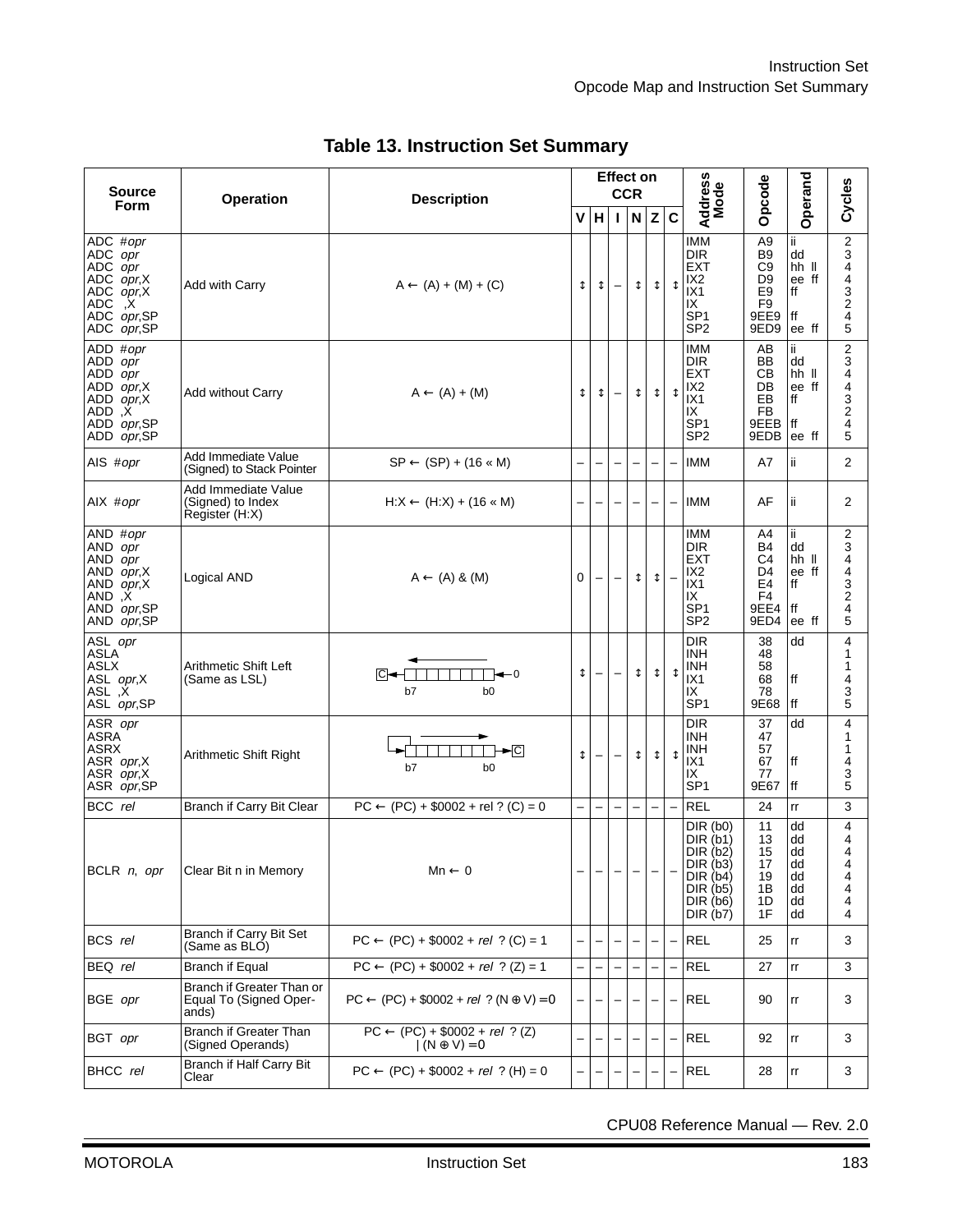| <b>Source</b>                                                                                                 | <b>Operation</b>                                             | <b>Description</b>                                              |                          |                          | <b>Effect on</b>         | <b>CCR</b>               |                          |                          | Address<br>Mode                                                                                              | Opcode                                                                               | Operand                                              | Cycles                                                     |
|---------------------------------------------------------------------------------------------------------------|--------------------------------------------------------------|-----------------------------------------------------------------|--------------------------|--------------------------|--------------------------|--------------------------|--------------------------|--------------------------|--------------------------------------------------------------------------------------------------------------|--------------------------------------------------------------------------------------|------------------------------------------------------|------------------------------------------------------------|
| Form                                                                                                          |                                                              |                                                                 | $\mathbf v$              | H                        | $\mathbf{I}$             | $\mathsf{N}$             | Z                        | $\overline{c}$           |                                                                                                              |                                                                                      |                                                      |                                                            |
| ADC #opr<br>ADC opr<br>ADC opr<br>ADC opr, X<br>ADC opr,X<br><b>ADC</b><br>,Х<br>ADC opr,SP<br>ADC opr,SP     | Add with Carry                                               | $A \leftarrow (A) + (M) + (C)$                                  | ⇕                        | ⇕                        | $\qquad \qquad -$        | ⇕                        | ⇕                        | ⇕                        | <b>IMM</b><br>DIR.<br><b>EXT</b><br>IX <sub>2</sub><br>IX1<br>IX<br>SP <sub>1</sub><br>SP <sub>2</sub>       | A9<br>B <sub>9</sub><br>C <sub>9</sub><br>D9<br>E9<br>F <sub>9</sub><br>9EE9<br>9ED9 | ij.<br>dd<br>$hh$ $II$<br>ee ff<br>ff<br>ff<br>ee ff | $\overline{\mathbf{c}}$<br>3<br>4<br>4<br>3<br>2<br>4<br>5 |
| ADD #opr<br>ADD opr<br>ADD opr<br>ADD opr,X<br>ADD opr,X<br>ADD, X<br>ADD opr,SP<br>ADD opr,SP                | Add without Carry                                            | $A \leftarrow (A) + (M)$                                        | ⇕                        | ⇕                        | $\qquad \qquad -$        | ⇕                        | ⇕                        | $\updownarrow$           | <b>IMM</b><br><b>DIR</b><br><b>EXT</b><br>IX2<br>IX1<br>IX<br>SP <sub>1</sub><br>SP <sub>2</sub>             | AB<br>BB<br>CВ<br>DB<br>EB<br>FB<br>9EEB<br>9EDB                                     | ii<br>dd<br>$hh$ $II$<br>ee ff<br>ff<br>ff<br>ee ff  | 2<br>3<br>4<br>4<br>3<br>2<br>4<br>5                       |
| AIS #opr                                                                                                      | Add Immediate Value<br>(Signed) to Stack Pointer             | $SP \leftarrow (SP) + (16 \cdot M)$                             | $\overline{\phantom{0}}$ |                          |                          |                          | $\overline{\phantom{0}}$ | $\overline{\phantom{m}}$ | <b>IMM</b>                                                                                                   | A7                                                                                   | ii                                                   | 2                                                          |
| AIX #opr                                                                                                      | Add Immediate Value<br>(Sianed) to Index<br>Register (H:X)   | $H:X \leftarrow (H:X) + (16 * M)$                               | $\overline{\phantom{0}}$ | $\overline{\phantom{0}}$ | $\overline{\phantom{0}}$ |                          |                          | $\overline{\phantom{0}}$ | IMM                                                                                                          | AF                                                                                   | ii                                                   | 2                                                          |
| AND #opr<br>AND opr<br>AND opr<br>AND opr,X<br>AND opr, X<br>AND.<br>$\mathsf{X}$<br>AND opr,SP<br>AND opr,SP | Logical AND                                                  | $A \leftarrow (A)$ & $(M)$                                      | 0                        | -                        | $\qquad \qquad -$        | ⇕                        | ⇕                        |                          | <b>IMM</b><br><b>DIR</b><br><b>EXT</b><br>IX <sub>2</sub><br>IX1<br>IX<br>SP <sub>1</sub><br>SP <sub>2</sub> | A4<br>B4<br>C4<br>D4<br>E4<br>F4<br>9EE4<br>9ED4                                     | ij.<br>dd<br>hh II<br>ee ff<br>ff<br>ff<br>ee ff     | 2<br>3<br>4<br>4<br>3<br>2<br>4<br>5                       |
| ASL opr<br><b>ASLA</b><br><b>ASLX</b><br>ASL opr, X<br>ASL, X<br>ASL opr,SP                                   | Arithmetic Shift Left<br>(Same as LSL)                       | ∣cl←<br>$\rightarrow$<br>b7<br>b <sub>0</sub>                   | ⇕                        | -                        | $\qquad \qquad -$        | ⇕                        | ⇕                        | $\updownarrow$           | <b>DIR</b><br><b>INH</b><br>INH<br>IX1<br>IX<br>SP <sub>1</sub>                                              | 38<br>48<br>58<br>68<br>78<br>9E68                                                   | dd<br>ff<br>ff                                       | 4<br>1<br>1<br>4<br>3<br>5                                 |
| ASR opr<br>ASRA<br><b>ASRX</b><br>ASR <i>opr</i> , X<br>ASR opr.X<br>ASR opr,SP                               | Arithmetic Shift Right                                       | ⊢►⊡<br>b7<br>b <sub>0</sub>                                     | $\updownarrow$           | -                        | $\qquad \qquad -$        | ⇕                        | ⇕                        | $\updownarrow$           | <b>DIR</b><br><b>INH</b><br>INH<br>IX1<br>IX<br>SP <sub>1</sub>                                              | 37<br>47<br>57<br>67<br>77<br>9E67                                                   | dd<br>ff<br>ff                                       | 4<br>1<br>1<br>4<br>3<br>5                                 |
| BCC rel                                                                                                       | Branch if Carry Bit Clear                                    | $PC \leftarrow (PC) + $0002 + rel ? (C) = 0$                    | $\overline{\phantom{0}}$ | -                        | $\overline{\phantom{0}}$ | $\overline{\phantom{0}}$ | $\overline{\phantom{0}}$ | $\overline{\phantom{0}}$ | <b>REL</b>                                                                                                   | 24                                                                                   | rr                                                   | 3                                                          |
| BCLR n, opr                                                                                                   | Clear Bit n in Memory                                        | $Mn \leftarrow 0$                                               |                          |                          |                          |                          |                          |                          | DIR(b0)<br>DIR(b1)<br>DIR (b2)<br>DIR (b3)<br>DIR (b4)<br>DIR(b5)<br>DIR (b6)<br>DIR (b7)                    | 11<br>13<br>15<br>17<br>19<br>1B<br>1D<br>1F                                         | dd<br>dd<br>dd<br>dd<br>dd<br>dd<br>dd<br>dd         | 4<br>4<br>4<br>4<br>4<br>4<br>4<br>4                       |
| BCS rel                                                                                                       | Branch if Carry Bit Set<br>(Same as BLO)                     | $PC \leftarrow (PC) + $0002 + rel$ ? (C) = 1                    |                          |                          |                          |                          |                          | $\overline{\phantom{0}}$ | <b>REL</b>                                                                                                   | 25                                                                                   | rr                                                   | 3                                                          |
| BEQ rel                                                                                                       | <b>Branch if Equal</b>                                       | $PC \leftarrow (PC) + $0002 + rel$ ? (Z) = 1                    | $\overline{\phantom{0}}$ |                          |                          |                          |                          | $\overline{\phantom{0}}$ | <b>REL</b>                                                                                                   | 27                                                                                   | rr                                                   | 3                                                          |
| BGE opr                                                                                                       | Branch if Greater Than or<br>Equal To (Signed Oper-<br>ands) | $PC \leftarrow (PC) + $0002 + rel ? (N \oplus V) = 0$           | -                        |                          |                          |                          |                          |                          | <b>REL</b>                                                                                                   | 90                                                                                   | rr                                                   | 3                                                          |
| BGT opr                                                                                                       | Branch if Greater Than<br>(Signed Operands)                  | $PC \leftarrow (PC) + $0002 + rel ? (Z)$<br>$ (N \oplus V) = 0$ |                          |                          |                          |                          |                          | $\overline{\phantom{0}}$ | <b>REL</b>                                                                                                   | 92                                                                                   | rr                                                   | 3                                                          |
| BHCC rel                                                                                                      | Branch if Half Carry Bit<br>Clear                            | $PC \leftarrow (PC) + $0002 + rel$ ? (H) = 0                    |                          |                          |                          |                          |                          | $\overline{\phantom{0}}$ | REL                                                                                                          | 28                                                                                   | rr                                                   | 3                                                          |

#### **Table 13. Instruction Set Summary**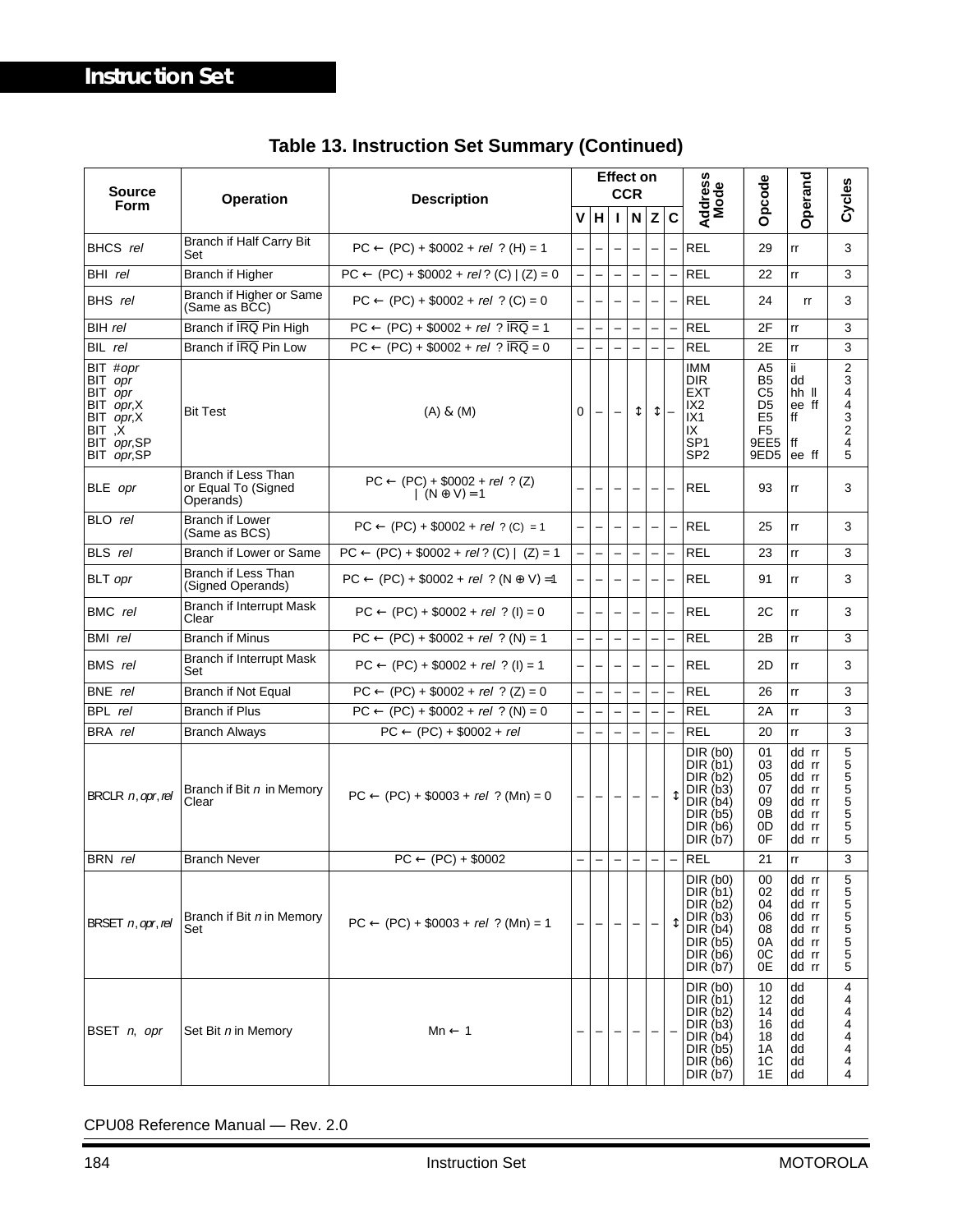|  | Table 13. Instruction Set Summary (Continued) |  |  |
|--|-----------------------------------------------|--|--|
|--|-----------------------------------------------|--|--|

| <b>Source</b>                                                                                    | <b>Operation</b>                                        | <b>Description</b>                                                     | <b>Effect on</b><br><b>CCR</b> |    |                   |                          |                          |                          |                                                                                                 | Opcode                                                                                           | Operand                                                              | Cycles                                            |
|--------------------------------------------------------------------------------------------------|---------------------------------------------------------|------------------------------------------------------------------------|--------------------------------|----|-------------------|--------------------------|--------------------------|--------------------------|-------------------------------------------------------------------------------------------------|--------------------------------------------------------------------------------------------------|----------------------------------------------------------------------|---------------------------------------------------|
| <b>Form</b>                                                                                      |                                                         |                                                                        | v                              | H  | Т                 | N                        | z                        | $\mathbf c$              | Address<br>Mode                                                                                 |                                                                                                  |                                                                      |                                                   |
| BHCS rel                                                                                         | Branch if Half Carry Bit<br>Set                         | $PC \leftarrow (PC) + $0002 + rel$ ? (H) = 1                           | $\overline{\phantom{m}}$       |    |                   |                          | $\overline{\phantom{0}}$ | $\overline{\phantom{0}}$ | <b>REL</b>                                                                                      | 29                                                                                               | rr                                                                   | 3                                                 |
| BHI rel                                                                                          | Branch if Higher                                        | $PC \leftarrow (PC) + $0002 + rel ? (C)   (Z) = 0$                     | $\overline{a}$                 |    |                   |                          |                          | $\overline{\phantom{0}}$ | <b>REL</b>                                                                                      | 22                                                                                               | rr                                                                   | 3                                                 |
| BHS rel                                                                                          | Branch if Higher or Same<br>(Same as BCC)               | $PC \leftarrow (PC) + $0002 + rel$ ? (C) = 0                           |                                |    |                   |                          |                          | $\overline{\phantom{0}}$ | <b>REL</b>                                                                                      | 24                                                                                               | rr                                                                   | 3                                                 |
| BIH rel                                                                                          | Branch if IRQ Pin High                                  | $PC \leftarrow (PC) + $0002 + rel$ ? $\overline{IRQ} = 1$              | $\overline{\phantom{0}}$       | L, |                   | $\overline{\phantom{0}}$ | $\overline{\phantom{0}}$ | $\overline{\phantom{0}}$ | <b>REL</b>                                                                                      | 2F                                                                                               | rr                                                                   | 3                                                 |
| BIL rel                                                                                          | Branch if IRQ Pin Low                                   | $PC \leftarrow (PC) + $0002 + rel$ ? $\overline{IRQ} = 0$              |                                |    |                   |                          |                          |                          | <b>REL</b>                                                                                      | 2E                                                                                               | rr                                                                   | 3                                                 |
| BIT #opr<br>BIT opr<br>BIT opr<br>BIT opr, X<br>BIT opr, X<br>BIT, X<br>BIT opr,SP<br>BIT opr,SP | <b>Bit Test</b>                                         | $(A)$ & $(M)$                                                          | 0                              |    | $\qquad \qquad -$ | ⇕                        | ⇕                        |                          | <b>IMM</b><br>DIR.<br>EXT<br>IX <sub>2</sub><br>IX1<br>IX<br>SP <sub>1</sub><br>SP <sub>2</sub> | A <sub>5</sub><br>B5<br>C <sub>5</sub><br>D <sub>5</sub><br>E <sub>5</sub><br>F5<br>9EE5<br>9ED5 | ii.<br>dd<br>$hh$ $II$<br>ee ff<br>ff<br>ff<br>ee ff                 | $\overline{2}$<br>3<br>4<br>4<br>3<br>2<br>4<br>5 |
| BLE opr                                                                                          | Branch if Less Than<br>or Equal To (Signed<br>Operands) | $PC \leftarrow (PC) + $0002 + rel ? (Z)$<br>$\vert$ (N $\oplus$ V) = 1 |                                |    |                   |                          |                          |                          | <b>REL</b>                                                                                      | 93                                                                                               | rr                                                                   | 3                                                 |
| BLO rel                                                                                          | <b>Branch if Lower</b><br>(Same as BCS)                 | $PC \leftarrow (PC) + $0002 + rel ? (C) = 1$                           |                                |    |                   |                          |                          |                          | <b>REL</b>                                                                                      | 25                                                                                               | rr                                                                   | 3                                                 |
| BLS rel                                                                                          | Branch if Lower or Same                                 | $PC \leftarrow (PC) + $0002 + rel ? (C)   (Z) = 1$                     | $\overline{\phantom{0}}$       |    |                   |                          |                          |                          | <b>REL</b>                                                                                      | 23                                                                                               | rr                                                                   | 3                                                 |
| BLT opr                                                                                          | Branch if Less Than<br>(Signed Operands)                | $PC \leftarrow (PC) + $0002 + rel ? (N \oplus V) = 1$                  | $\qquad \qquad -$              |    |                   |                          |                          |                          | <b>REL</b>                                                                                      | 91                                                                                               | rr                                                                   | 3                                                 |
| BMC rel                                                                                          | Branch if Interrupt Mask<br>Clear                       | $PC \leftarrow (PC) + $0002 + rel$ ? (I) = 0                           | -                              |    |                   |                          | -                        |                          | <b>REL</b>                                                                                      | 2C                                                                                               | rr                                                                   | 3                                                 |
| BMI rel                                                                                          | <b>Branch if Minus</b>                                  | $PC \leftarrow (PC) + $0002 + rel ? (N) = 1$                           | $\overline{\phantom{0}}$       |    |                   |                          | -                        |                          | <b>REL</b>                                                                                      | 2B                                                                                               | rr                                                                   | 3                                                 |
| BMS rel                                                                                          | Branch if Interrupt Mask<br>Set                         | $PC \leftarrow (PC) + $0002 + rel$ ? (I) = 1                           | $\overline{\phantom{0}}$       |    |                   |                          |                          |                          | <b>REL</b>                                                                                      | 2D                                                                                               | rr                                                                   | 3                                                 |
| BNE rel                                                                                          | <b>Branch if Not Equal</b>                              | $PC \leftarrow (PC) + $0002 + rel$ ? (Z) = 0                           | $\qquad \qquad -$              | -  |                   | $\overline{\phantom{0}}$ | $\overline{\phantom{0}}$ |                          | <b>REL</b>                                                                                      | 26                                                                                               | rr                                                                   | 3                                                 |
| BPL rel                                                                                          | <b>Branch if Plus</b>                                   | $PC \leftarrow (PC) + $0002 + rel ? (N) = 0$                           |                                |    |                   |                          |                          |                          | <b>REL</b>                                                                                      | 2A                                                                                               | rr                                                                   | 3                                                 |
| BRA rel                                                                                          | <b>Branch Always</b>                                    | $PC \leftarrow (PC) + $0002 + rel$                                     |                                |    |                   |                          |                          |                          | <b>REL</b>                                                                                      | 20                                                                                               | rr                                                                   | 3                                                 |
| BRCLR $n,$ opr, rel                                                                              | Branch if Bit n in Memory<br>Clear                      | $PC \leftarrow (PC) + $0003 + rel$ ? (Mn) = 0                          | $\overline{\phantom{m}}$       |    |                   |                          |                          |                          | DIR(b0)<br>DIR(b1)<br>DIR (b2)<br>DIR(b3)<br>DIR(b4)<br>DIR(b5)<br>DIR(b6)<br>DIR (b7)          | 01<br>03<br>05<br>07<br>09<br>0Β<br>0D<br>0F                                                     | dd rr<br>dd rr<br>dd rr<br>dd rr<br>dd rr<br>dd rr<br>dd rr<br>dd rr | 5<br>5<br>5<br>5<br>5<br>5<br>5<br>5              |
| BRN rel                                                                                          | <b>Branch Never</b>                                     | $PC \leftarrow (PC) + $0002$                                           |                                |    |                   |                          |                          |                          | <b>REL</b>                                                                                      | 21                                                                                               | rr                                                                   | 3                                                 |
| BRSET $n$ , opr., rel                                                                            | Branch if Bit n in Memory<br>Set                        | $PC \leftarrow (PC) + $0003 + rel$ ? (Mn) = 1                          | $\overline{\phantom{m}}$       |    |                   |                          | -                        |                          | DIR (b0)<br>DIR(b1)<br>DIR (b2)<br>DIR (b3)<br>DIR(b4)<br>DIR(b5)<br>DIR(b6)<br>DIR (b7)        | 00<br>02<br>04<br>06<br>08<br>0A<br>0C<br>0E                                                     | dd rr<br>dd rr<br>dd rr<br>dd rr<br>dd rr<br>dd rr<br>dd rr<br>dd rr | 5<br>5<br>5<br>5<br>5<br>5<br>5<br>5              |
| BSET <i>n</i> , opr                                                                              | Set Bit n in Memory                                     | $Mn \leftarrow 1$                                                      |                                |    |                   |                          |                          |                          | DIR(b0)<br>DIR(b1)<br>DIR (b2)<br>DIR(b3)<br>DIR(b4)<br>DIR(b5)<br>DIR(b6)<br>DIR (b7)          | 10<br>12<br>14<br>16<br>18<br>1Α<br>1C<br>1E                                                     | dd<br>dd<br>dd<br>dd<br>dd<br>dd<br>dd<br>dd                         | 4<br>4<br>4<br>4<br>4<br>4<br>4<br>4              |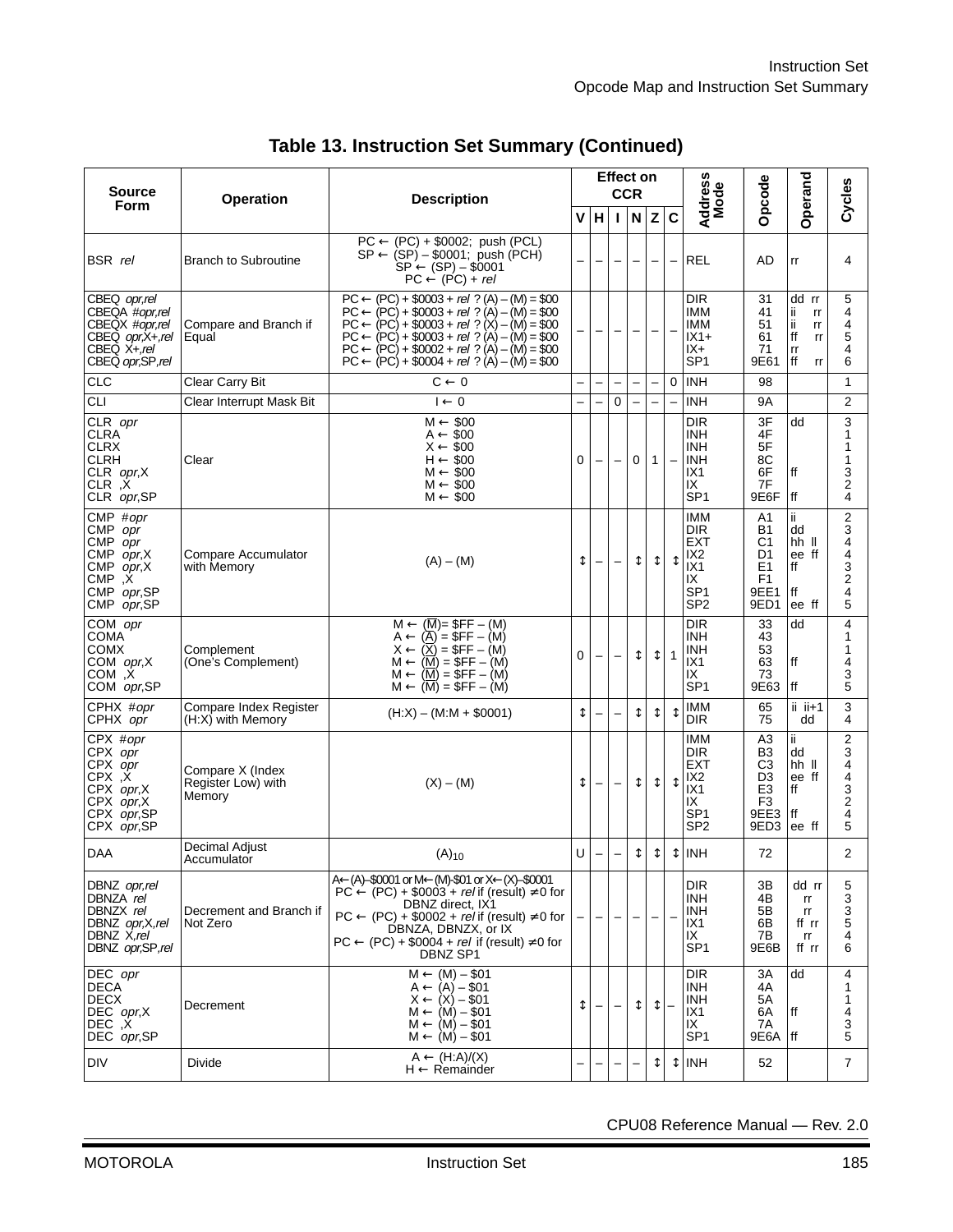| <b>Source</b>                                                                                             | <b>Operation</b>                                 | <b>Description</b>                                                                                                                                                                                                                                                                                                                                                                |                          |                          |                          | <b>Effect on</b><br><b>CCR</b> |                   |                | Address<br>Mode                                                                                        | Opcode                                                                                                       | Operand                                                     | Cycles                                            |
|-----------------------------------------------------------------------------------------------------------|--------------------------------------------------|-----------------------------------------------------------------------------------------------------------------------------------------------------------------------------------------------------------------------------------------------------------------------------------------------------------------------------------------------------------------------------------|--------------------------|--------------------------|--------------------------|--------------------------------|-------------------|----------------|--------------------------------------------------------------------------------------------------------|--------------------------------------------------------------------------------------------------------------|-------------------------------------------------------------|---------------------------------------------------|
| <b>Form</b>                                                                                               |                                                  | v                                                                                                                                                                                                                                                                                                                                                                                 |                          | H                        |                          |                                | N Z               | $\mathbf c$    |                                                                                                        |                                                                                                              |                                                             |                                                   |
| BSR rel                                                                                                   | <b>Branch to Subroutine</b>                      | $PC \leftarrow (PC) + $0002$ ; push (PCL)<br>$SP \leftarrow (SP) - $0001$ ; push (PCH)<br>$SP \leftarrow (SP) - $0001$<br>$PC \leftarrow (PC) + rel$                                                                                                                                                                                                                              | $\overline{\phantom{0}}$ |                          | $\qquad \qquad -$        | -                              | $\qquad \qquad -$ | -              | REL                                                                                                    | AD                                                                                                           | rr                                                          | 4                                                 |
| CBEQ opr,rel<br>CBEQA #opr.rel<br>CBEQX #opr,rel<br>CBEQ opr,X+,rel<br>CBEQ $X + rel$<br>CBEQ opr,SP,rel  | Compare and Branch if<br>Equal                   | $PC \leftarrow (PC) + $0003 + rel ? (A) - (M) = $00$<br>$PC \leftarrow (PC) + $0003 + rel ? (A) - (M) = $00$<br>$PC \leftarrow \overline{(PC)} + \$0003 + rel$ ? $\overline{(X)} - \overline{(M)} = \$00$<br>$PC \leftarrow (PC) + $0003 + rel ? (A) - (M) = $00$<br>$PC \leftarrow (PC) + $0002 + rel ? (A) - (M) = $00$<br>$PC \leftarrow (PC) + $0004 + rel ? (A) - (M) = $00$ | $\qquad \qquad -$        | $\qquad \qquad -$        |                          | -                              | -                 |                | <b>DIR</b><br>IMM<br><b>IMM</b><br>$IX1+$<br>IX+<br>SP <sub>1</sub>                                    | 31<br>41<br>51<br>61<br>71<br>9E61                                                                           | dd rr<br>ii<br>rr<br>ïi<br>rr<br>ff<br>rr<br>rr<br>ff<br>rr | 5<br>4<br>4<br>5<br>4<br>6                        |
| <b>CLC</b>                                                                                                | Clear Carry Bit                                  | $C \leftarrow 0$                                                                                                                                                                                                                                                                                                                                                                  | $\overline{\phantom{0}}$ | —                        | -                        | -                              | $\qquad \qquad -$ |                | $0$ INH                                                                                                | 98                                                                                                           |                                                             | $\mathbf{1}$                                      |
| <b>CLI</b>                                                                                                | Clear Interrupt Mask Bit                         | $I \leftarrow 0$                                                                                                                                                                                                                                                                                                                                                                  | $\overline{\phantom{0}}$ |                          | $\mathbf 0$              | —                              | $\qquad \qquad -$ |                | <b>INH</b>                                                                                             | 9A                                                                                                           |                                                             | 2                                                 |
| CLR opr<br><b>CLRA</b><br><b>CLRX</b><br><b>CLRH</b><br>CLR opr, X<br>CLR, X<br>CLR opr,SP                | Clear                                            | $M \leftarrow $00$<br>$A \leftarrow $00$<br>$X \leftarrow $00$<br>$H \leftarrow $00$<br>$M \leftarrow $00$<br>$M \leftarrow $00$<br>$M \leftarrow $00$                                                                                                                                                                                                                            | 0                        | $\qquad \qquad -$        | $\overline{\phantom{m}}$ | 0                              | $\mathbf{1}$      | -              | <b>DIR</b><br>INH<br><b>INH</b><br><b>INH</b><br>IX1<br>IX<br>SP <sub>1</sub>                          | 3F<br>4F<br>5F<br>8C<br>6F<br>7F<br>9E6F                                                                     | dd<br>ff<br>ff                                              | 3<br>1<br>1<br>1<br>3<br>2<br>4                   |
| CMP #opr<br>CMP opr<br>CMP.<br>opr<br>CMP opr.X<br>CMP opr, X<br>CMP<br>Χ.<br>CMP<br>opr.SP<br>CMP opr,SP | Compare Accumulator<br>with Memory               | $(A) - (M)$                                                                                                                                                                                                                                                                                                                                                                       | ⇕                        | -                        | -                        | ⇕                              | $\updownarrow$    | $\updownarrow$ | <b>IMM</b><br><b>DIR</b><br>EXT<br> IX2<br>IX <sub>1</sub><br>IX<br>SP <sub>1</sub><br>SP <sub>2</sub> | A1<br><b>B1</b><br>C1<br>D <sub>1</sub><br>E1<br>F1<br>9EE1<br>9ED1                                          | ii.<br>dd<br>hh II<br>ee ff<br>ff<br>ff<br>ee ff            | $\overline{c}$<br>3<br>4<br>4<br>3<br>2<br>4<br>5 |
| COM opr<br><b>COMA</b><br><b>COMX</b><br>COM opr, X<br>COM, X<br>COM opr,SP                               | Complement<br>(One's Complement)                 | $M \leftarrow (\overline{M}) =$ \$FF – (M)<br>$A \leftarrow (\overline{A}) = $FF - (M)$<br>$X \leftarrow (\underline{X}) = \$FF - (M)$<br>$M \leftarrow (M) = SFF - (M)$<br>$M \leftarrow (\overline{M}) = $FF - (M)$<br>$M \leftarrow (\overline{M}) = \$FF - (M)$                                                                                                               | 0                        | -                        | $\qquad \qquad -$        | ⇕                              | ⇕                 | 1              | <b>DIR</b><br><b>INH</b><br>INH<br>IX1<br>IX<br>SP <sub>1</sub>                                        | 33<br>43<br>53<br>63<br>73<br>9E63                                                                           | dd<br>ff<br>  ff                                            | 4<br>1<br>1<br>4<br>3<br>5                        |
| CPHX #opr<br>CPHX opr                                                                                     | Compare Index Register<br>(H:X) with Memory      | $(H:X) - (M:M + $0001)$                                                                                                                                                                                                                                                                                                                                                           | $\updownarrow$           |                          | -                        | ↨                              | $\updownarrow$    | $\updownarrow$ | <b>IMM</b><br>DIR                                                                                      | 65<br>75                                                                                                     | $ii$ $ii+1$<br>dd                                           | 3<br>4                                            |
| CPX #opr<br>CPX opr<br>CPX opr<br>CPX, X<br>CPX opr, X<br>CPX opr, X<br>CPX opr,SP<br>CPX opr,SP          | Compare X (Index<br>Register Low) with<br>Memory | $(X) - (M)$                                                                                                                                                                                                                                                                                                                                                                       | ⇕                        | -                        | $\qquad \qquad -$        | ⇕                              | ⇕                 | ↨              | <b>IMM</b><br><b>DIR</b><br><b>EXT</b><br>IX2<br>IX1<br>IX<br>SP <sub>1</sub><br>SP <sub>2</sub>       | A <sub>3</sub><br>B3<br>C <sub>3</sub><br>D <sub>3</sub><br>E <sub>3</sub><br>F <sub>3</sub><br>9EE3<br>9ED3 | ij.<br>dd<br>hh II<br>ee ff<br>ff<br>ff<br>ee ff            | $\overline{c}$<br>3<br>4<br>4<br>3<br>2<br>4<br>5 |
| <b>DAA</b>                                                                                                | Decimal Adjust<br>Accumulator                    | $(A)_{10}$                                                                                                                                                                                                                                                                                                                                                                        | U                        | $\overline{\phantom{0}}$ | $\qquad \qquad -$        | $\updownarrow$                 | $\updownarrow$    | $\updownarrow$ | INH                                                                                                    | 72                                                                                                           |                                                             | 2                                                 |
| DBNZ opr,rel<br>DBNZA rel<br>DBNZX rel<br>DBNZ opr,X,rel<br>DBNZ X,rel<br>DBNZ opr,SP,rel                 | Decrement and Branch if<br>Not Zero              | A<-(A)-\$0001 or M<-(M)-\$01 or X<-(X)-\$0001<br>$PC \leftarrow (PC) + $0003 + rel$ if (result) $\neq 0$ for<br>DBNZ direct, IX1<br>$PC \leftarrow (PC) + $0002 + rel$ if (result) $\neq 0$ for<br>DBNZA, DBNZX, or IX<br>$PC \leftarrow (PC) + $0004 + rel$ if (result) $\neq 0$ for<br>DBNZ SP1                                                                                 | $\qquad \qquad -$        |                          |                          |                                |                   |                | <b>DIR</b><br><b>INH</b><br>INH<br>IX1<br>IX<br>SP <sub>1</sub>                                        | ЗB<br>4B<br>5Β<br>6B<br>7В<br>9E6B                                                                           | dd rr<br>rr<br>rr<br>ff rr<br>rr<br>ff rr                   | 5<br>3<br>3<br>5<br>4<br>6                        |
| DEC opr<br>DECA<br>DECX<br>DEC opr,X<br>DEC .X<br>DEC opr,SP                                              | Decrement                                        | $M \leftarrow (M) - $01$<br>$A \leftarrow (A) - $01$<br>$X \leftarrow (X) - $01$<br>$M \leftarrow (M) - $01$<br>$M \leftarrow (M) - $01$<br>$M \leftarrow (M) - $01$                                                                                                                                                                                                              | ⇕                        |                          |                          | ⇕                              | ⇕                 |                | <b>DIR</b><br><b>INH</b><br>INH<br>IX1<br>IX<br>SP <sub>1</sub>                                        | ЗA<br>4A<br>5A<br>6A<br>7A<br>9E6A   ff                                                                      | dd<br>lff                                                   | 4<br>$\mathbf{1}$<br>$\mathbf{1}$<br>4<br>3<br>5  |
| DIV                                                                                                       | Divide                                           | $A \leftarrow (H:A)/(X)$<br>$H \leftarrow$ Remainder                                                                                                                                                                                                                                                                                                                              | $\overline{\phantom{0}}$ |                          |                          |                                | $\updownarrow$    | ↨              | INH                                                                                                    | 52                                                                                                           |                                                             | $\overline{7}$                                    |

#### **Table 13. Instruction Set Summary (Continued)**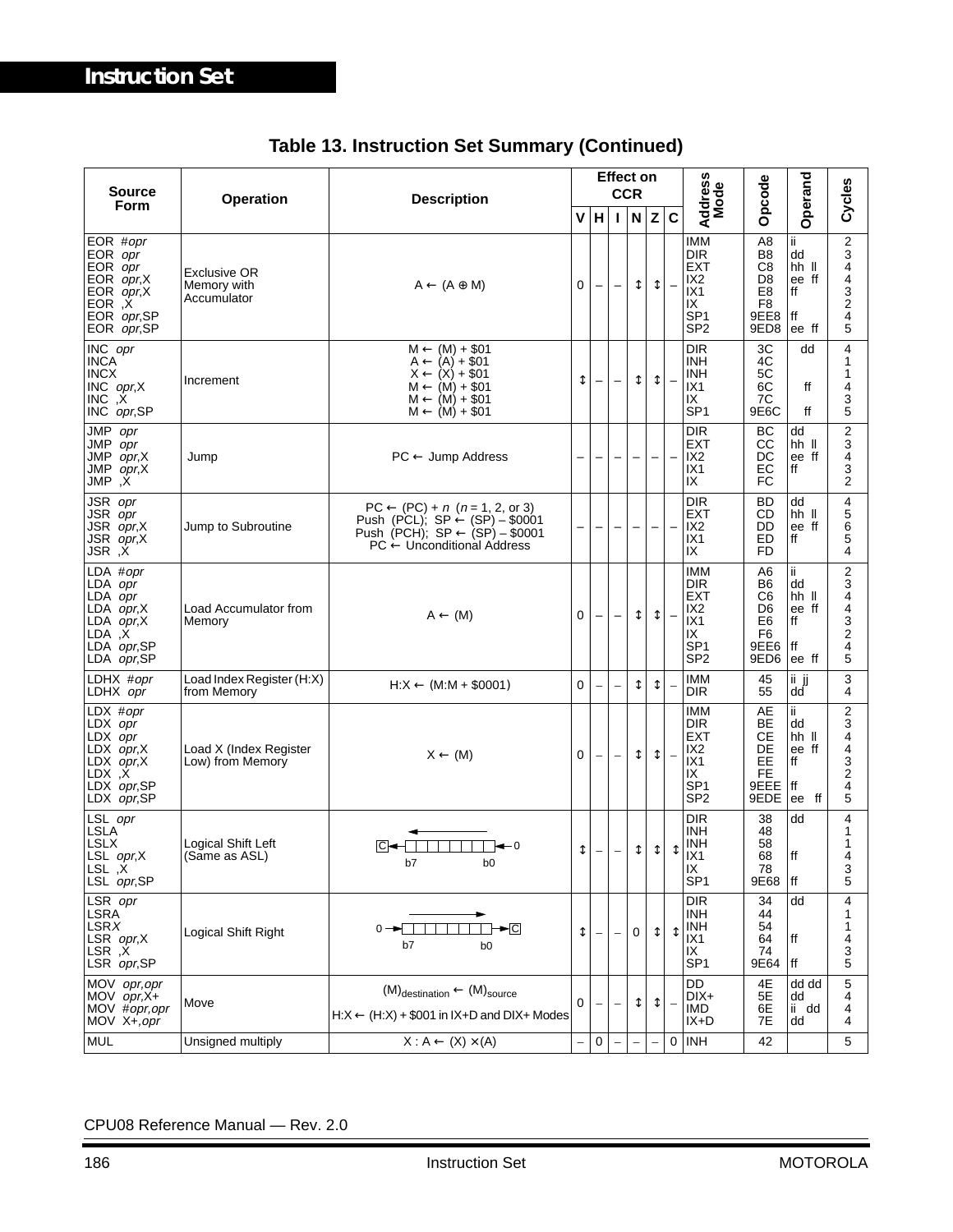| <b>Source</b><br>Form                                                                            | <b>Operation</b>                           | <b>Description</b>                                                                                                                                                         |                          |                          |                          | <b>Effect on</b><br><b>CCR</b> |                |                   | w<br>Address<br>Mode                                                                                  | Opcode                                                                               | Operand                                               | Cycles                                            |
|--------------------------------------------------------------------------------------------------|--------------------------------------------|----------------------------------------------------------------------------------------------------------------------------------------------------------------------------|--------------------------|--------------------------|--------------------------|--------------------------------|----------------|-------------------|-------------------------------------------------------------------------------------------------------|--------------------------------------------------------------------------------------|-------------------------------------------------------|---------------------------------------------------|
| EOR #opr<br>EOR opr<br>EOR opr<br>EOR opr, X<br>EOR opr,X<br>EOR .X<br>EOR opr,SP<br>EOR opr, SP | Exclusive OR<br>Memory with<br>Accumulator | $A \leftarrow (A \oplus M)$                                                                                                                                                | v<br>0                   | н<br>-                   | L<br>$\qquad \qquad -$   | $\boldsymbol{\mathsf{N}}$<br>⇕ | Z<br>⇕         | $\mathbf c$       | <b>IMM</b><br><b>DIR</b><br><b>EXT</b><br>IX2<br>IX1<br>IX<br>SP <sub>1</sub><br>SP <sub>2</sub>      | A8<br>B <sub>8</sub><br>C8<br>D <sub>8</sub><br>E <sub>8</sub><br>F8<br>9EE8<br>9ED8 | ïi<br>dd<br>hh II<br>ee ff<br>lff<br>ff<br>ee ff      | $\overline{c}$<br>3<br>4<br>4<br>3<br>2<br>4<br>5 |
| INC opr<br><b>INCA</b><br><b>INCX</b><br>$INC$ opr, $X$<br>INC .X<br>INC opr,SP                  | Increment                                  | $M \leftarrow (M) + $01$<br>$A \leftarrow (A) + $01$<br>$X \leftarrow (X) + $01$<br>$M \leftarrow (M) + $01$<br>$M \leftarrow (M) + $01$<br>$M \leftarrow (M) + $01$       | ⇕                        | -                        | $\qquad \qquad -$        | ⇕                              | $\updownarrow$ |                   | DIR<br><b>INH</b><br>INH<br>IX1<br>IX<br>SP <sub>1</sub>                                              | 3C<br>4C<br>5C<br>6C<br>7C<br>9E6C                                                   | dd<br>ff<br>ff                                        | 4<br>1<br>1<br>4<br>3<br>5                        |
| JMP opr<br>JMP<br>opr<br>JMP opr,X<br>JMP<br>opr,X<br><b>JMP</b><br>χ,                           | Jump                                       | $PC \leftarrow$ Jump Address                                                                                                                                               |                          |                          |                          |                                |                |                   | <b>DIR</b><br><b>EXT</b><br>IX <sub>2</sub><br>IX1<br>IX                                              | BC<br>CС<br>DC<br>EC<br>FC                                                           | dd<br>hh II<br>ee ff<br>ff                            | $\overline{2}$<br>3<br>4<br>3<br>2                |
| JSR opr<br>JSR <i>opr</i><br>JSR opr,X<br>JSR opr,X<br>JSR .X                                    | Jump to Subroutine                         | $PC \leftarrow (PC) + n$ (n = 1, 2, or 3)<br>Push (PCL); $SP \leftarrow (SP) - $0001$<br>Push (PCH); $SP \leftarrow (SP) - $0001$<br>$PC \leftarrow$ Unconditional Address | $\overline{\phantom{0}}$ |                          |                          | -                              |                | $\qquad \qquad -$ | <b>DIR</b><br><b>EXT</b><br>IX <sub>2</sub><br>IX1<br>IX                                              | <b>BD</b><br>CD<br>DD<br>ED<br>FD                                                    | dd<br>hh II<br>ee ff<br>lff                           | 4<br>5<br>6<br>5<br>4                             |
| LDA #opr<br>LDA opr<br>LDA opr<br>LDA opr,X<br>LDA opr,X<br>LDA, X<br>LDA opr,SP<br>LDA opr,SP   | Load Accumulator from<br>Memory            | $A \leftarrow (M)$                                                                                                                                                         | 0                        |                          | $\overline{\phantom{m}}$ | ⇕                              | ⇕              |                   | <b>IMM</b><br><b>DIR</b><br>EXT<br>IX <sub>2</sub><br>IX1<br>IX<br>SP <sub>1</sub><br>SP <sub>2</sub> | A6<br>B <sub>6</sub><br>C <sub>6</sub><br>D <sub>6</sub><br>E6<br>F6<br>9EE6<br>9ED6 | l ii<br>dd<br>hh II<br>ee ff<br>l ff<br>l ff<br>ee ff | $\overline{2}$<br>3<br>4<br>4<br>3<br>2<br>4<br>5 |
| LDHX #opr<br>LDHX opr                                                                            | Load Index Register (H:X)<br>from Memory   | $H:X \leftarrow (M:M + $0001)$                                                                                                                                             | $\Omega$                 |                          |                          | ↨                              | ↨              |                   | <b>IMM</b><br><b>DIR</b>                                                                              | 45<br>55                                                                             | ii jj<br>dd                                           | 3<br>4                                            |
| LDX #opr<br>LDX opr<br>LDX opr<br>LDX opr,X<br>LDX opr,X<br>ILDX .X<br>LDX opr,SP<br>LDX opr,SP  | Load X (Index Register<br>Low) from Memory | $X \leftarrow (M)$                                                                                                                                                         | 0                        |                          | $\qquad \qquad -$        | ⇕                              | ⇕              |                   | <b>IMM</b><br><b>DIR</b><br>EXT<br>IX <sub>2</sub><br>IX1<br>IX<br>SP <sub>1</sub><br>SP <sub>2</sub> | AE<br>BE<br>CЕ<br>DE<br>EE<br>FE<br>9EEE<br>9EDE                                     | ïi<br>dd<br>$hh$ $II$<br>ee ff<br>ff<br>lff<br>ee ff  | $\overline{2}$<br>3<br>4<br>4<br>3<br>2<br>4<br>5 |
| LSL opr<br><b>LSLA</b><br><b>LSLX</b><br>LSL opr, X<br>X, JSL<br>LSL opr,SP                      | Logical Shift Left<br>(Same as ASL)        | Cl←<br>←0<br>b7<br>b <sub>0</sub>                                                                                                                                          | ⇕                        | $\overline{\phantom{0}}$ | $\qquad \qquad -$        | ⇕                              | ⇕              | $\updownarrow$    | <b>DIR</b><br><b>INH</b><br>INH<br>IX1<br>IX<br>SP <sub>1</sub>                                       | 38<br>48<br>58<br>68<br>78<br>9E68  ff                                               | dd<br>  ff                                            | 4<br>1<br>1<br>4<br>3<br>5                        |
| LSR opr<br> LSRA<br> LSRX<br>LSR opr,X<br>∣LSR ,X<br>LSR opr,SP                                  | Logical Shift Right                        | lici<br>$0 \rightarrow$<br>b7<br>b <sub>0</sub>                                                                                                                            | ⇕                        |                          | $\overline{\phantom{0}}$ | 0                              | ⇕              | ⇕                 | DIR<br>INH<br><b>INH</b><br>IX1<br>IX<br>SP <sub>1</sub>                                              | 34<br>44<br>54<br>64<br>74<br>9E64                                                   | dd<br>ff<br> ff                                       | 4<br>1<br>1<br>4<br>3<br>5                        |
| MOV opr.opr<br>MOV opr,X+<br>MOV #opr,opr<br>MOV X+,opr                                          | Move                                       | $(M)$ <sub>destination</sub> $\leftarrow$ (M) <sub>source</sub><br>$H:X \leftarrow (H:X) + $001$ in IX+D and DIX+ Modes                                                    | $\Omega$                 |                          |                          | ⇕                              |                |                   | DD<br>$DIX+$<br>IMD<br>IX+D                                                                           | 4E<br>5E<br>6E<br>7Е                                                                 | dd dd<br>dd<br>ii dd<br>dd                            | 5<br>4<br>4<br>4                                  |
| MUL                                                                                              | Unsigned multiply                          | $X: A \leftarrow (X) \times (A)$                                                                                                                                           |                          | 0                        |                          |                                |                | 0                 | <b>INH</b>                                                                                            | 42                                                                                   |                                                       | 5                                                 |

#### **Table 13. Instruction Set Summary (Continued)**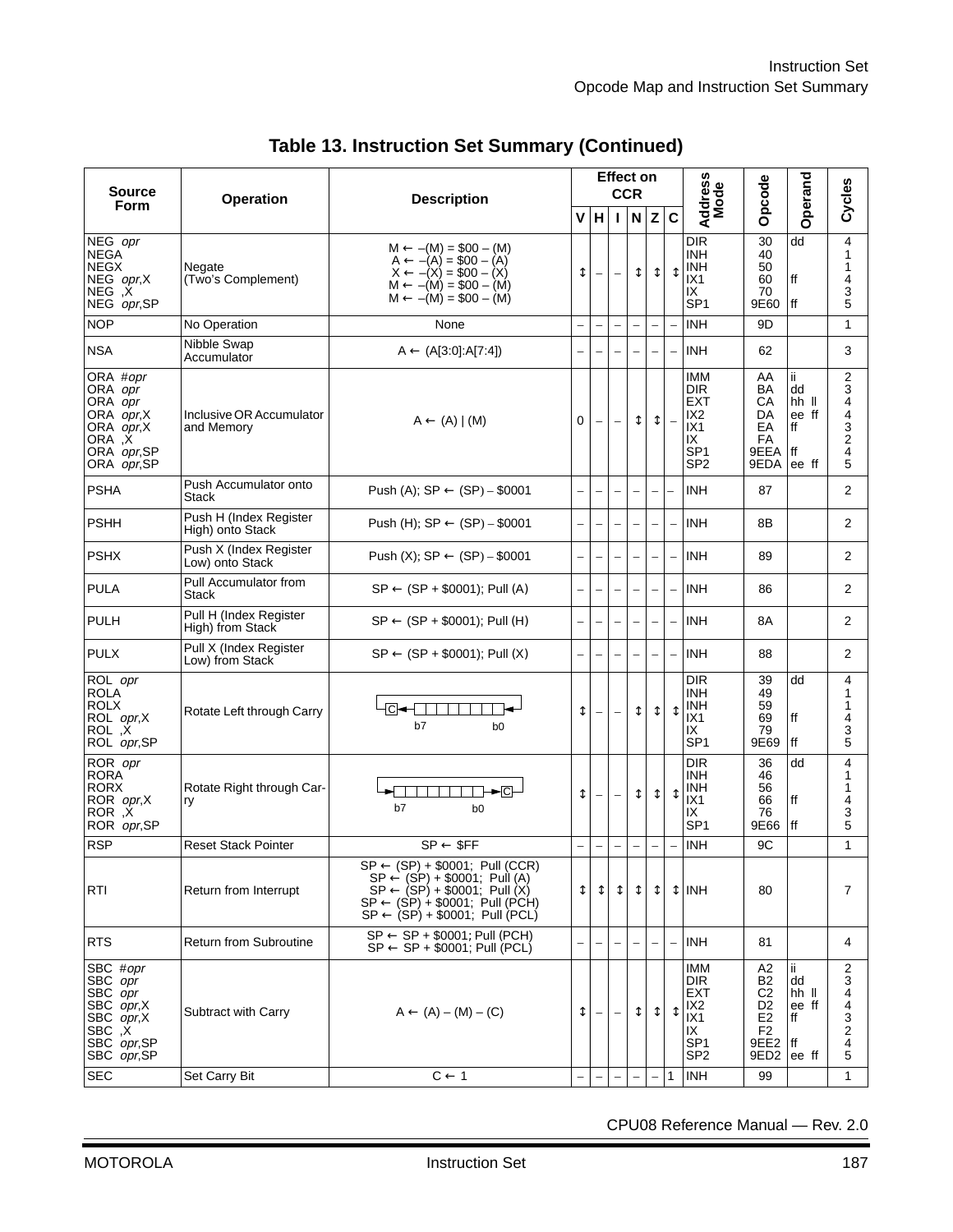| <b>Source</b>                                                                                           | <b>Operation</b>                           | <b>Description</b>                                                                                                                                                                                                         |                          | <b>Effect on</b><br><b>CCR</b> |                          |                 |                             | Address<br>Mode          | Opcode                                                                                                                   | Operand                                                                                                      | Cycles                                           |                                                    |
|---------------------------------------------------------------------------------------------------------|--------------------------------------------|----------------------------------------------------------------------------------------------------------------------------------------------------------------------------------------------------------------------------|--------------------------|--------------------------------|--------------------------|-----------------|-----------------------------|--------------------------|--------------------------------------------------------------------------------------------------------------------------|--------------------------------------------------------------------------------------------------------------|--------------------------------------------------|----------------------------------------------------|
| Form                                                                                                    |                                            | V                                                                                                                                                                                                                          |                          | H                              |                          | $  \cdot   N  $ | $\left  \mathsf{z} \right $ | $\overline{c}$           |                                                                                                                          |                                                                                                              |                                                  |                                                    |
| NEG opr<br><b>NEGA</b><br><b>NEGX</b><br>NEG opr,X<br>NEG .X<br>NEG opr,SP                              | Negate<br>(Two's Complement)               | $M \leftarrow -(M) = $00 - (M)$<br>$A \leftarrow -(A) = $00 - (A)$<br>$X \leftarrow -(X) = $00 - (X)$<br>$M \leftarrow -\hat{M} = $00 - \hat{M}$<br>$M \leftarrow -(M) = $00 - (M)$                                        | $\updownarrow$           | $\overline{\phantom{0}}$       | $\overline{\phantom{0}}$ | ⇕               | ↨                           |                          | <b>DIR</b><br><b>INH</b><br>INH<br>IX1<br>IX<br>SP <sub>1</sub>                                                          | 30<br>40<br>50<br>60<br>70<br>9E60                                                                           | dd<br>ff<br>l ff                                 | $\overline{4}$<br>$\mathbf{1}$<br>1<br>4<br>3<br>5 |
| <b>NOP</b>                                                                                              | No Operation                               | None                                                                                                                                                                                                                       | $\overline{a}$           | $\overline{\phantom{0}}$       |                          |                 | $\overline{\phantom{0}}$    | $\overline{\phantom{0}}$ | <b>INH</b>                                                                                                               | 9D                                                                                                           |                                                  | 1                                                  |
| <b>NSA</b>                                                                                              | Nibble Swap<br>Accumulator                 | $A \leftarrow (A[3:0]:A[7:4])$                                                                                                                                                                                             |                          |                                |                          |                 |                             | $\overline{\phantom{0}}$ | <b>INH</b>                                                                                                               | 62                                                                                                           |                                                  | 3                                                  |
| ORA #opr<br>ORA opr<br>ORA opr<br>ORA opr, X<br>ORA opr, X<br>ORA, X<br>ORA opr,SP<br>ORA opr,SP        | Inclusive OR Accumulator<br>and Memory     | $A \leftarrow (A)   (M)$                                                                                                                                                                                                   | $\mathbf 0$              | $\overline{\phantom{m}}$       | $\overline{\phantom{a}}$ | ⇕               | ⇕                           |                          | <b>IMM</b><br><b>DIR</b><br><b>EXT</b><br>IX <sub>2</sub><br>IX <sub>1</sub><br>IX<br>SP <sub>1</sub><br>SP <sub>2</sub> | AA<br>BA<br>CA<br>DA<br>EA<br>FA<br>9EEA<br>9EDA                                                             | ii.<br>dd<br>hh II<br>ee ff<br>ff<br>ff<br>ee ff | 2<br>3<br>4<br>4<br>3<br>2<br>4<br>5               |
| PSHA                                                                                                    | Push Accumulator onto<br>Stack             | Push (A); $SP \leftarrow (SP) - $0001$                                                                                                                                                                                     |                          |                                |                          |                 |                             |                          | <b>INH</b>                                                                                                               | 87                                                                                                           |                                                  | 2                                                  |
| <b>PSHH</b>                                                                                             | Push H (Index Register<br>High) onto Stack | Push (H); $SP \leftarrow (SP) - $0001$                                                                                                                                                                                     | $\overline{\phantom{0}}$ |                                |                          |                 |                             | $\overline{\phantom{0}}$ | <b>INH</b>                                                                                                               | 8Β                                                                                                           |                                                  | $\overline{2}$                                     |
| <b>PSHX</b>                                                                                             | Push X (Index Register<br>Low) onto Stack  | Push (X); $SP \leftarrow (SP) - $0001$                                                                                                                                                                                     | $\overline{\phantom{0}}$ |                                |                          |                 |                             |                          | <b>INH</b>                                                                                                               | 89                                                                                                           |                                                  | $\overline{2}$                                     |
| <b>PULA</b>                                                                                             | Pull Accumulator from<br>Stack             | $SP \leftarrow (SP + $0001)$ ; Pull (A)                                                                                                                                                                                    | $\overline{\phantom{0}}$ |                                |                          |                 |                             | $\overline{\phantom{0}}$ | <b>INH</b>                                                                                                               | 86                                                                                                           |                                                  | $\overline{2}$                                     |
| PULH                                                                                                    | Pull H (Index Register<br>High) from Stack | $SP \leftarrow (SP + $0001)$ ; Pull (H)                                                                                                                                                                                    |                          |                                |                          |                 |                             |                          | <b>INH</b>                                                                                                               | 8A                                                                                                           |                                                  | 2                                                  |
| <b>PULX</b>                                                                                             | Pull X (Index Register<br>Low) from Stack  | $SP \leftarrow (SP + $0001)$ ; Pull (X)                                                                                                                                                                                    | $\overline{\phantom{0}}$ |                                |                          |                 |                             | $\overline{\phantom{0}}$ | <b>INH</b>                                                                                                               | 88                                                                                                           |                                                  | 2                                                  |
| ROL opr<br><b>ROLA</b><br><b>ROLX</b><br>ROL opr,X<br>ROL ,X<br>ROL opr,SP                              | Rotate Left through Carry                  | {Cl←⊣<br>b7<br>b <sub>0</sub>                                                                                                                                                                                              | $\updownarrow$           | $\qquad \qquad -$              | $\qquad \qquad -$        | ⇕               |                             | $\updownarrow$           | <b>DIR</b><br><b>INH</b><br><b>INH</b><br>IX1<br>IX<br>SP <sub>1</sub>                                                   | 39<br>49<br>59<br>69<br>79<br>9E69                                                                           | dd<br>ff<br>ff                                   | 4<br>1<br>1<br>4<br>3<br>5                         |
| ROR opr<br><b>RORA</b><br><b>RORX</b><br>ROR opr,X<br>ROR .X<br>ROR opr,SP                              | Rotate Right through Car-<br>ry            | ]→⊡<br>b7<br>b <sub>0</sub>                                                                                                                                                                                                | $\updownarrow$           | $\overline{\phantom{0}}$       | $\overline{\phantom{a}}$ | ⇕               | $\updownarrow$              | $\updownarrow$           | <b>DIR</b><br><b>INH</b><br>INH<br>IX1<br>IX<br>SP <sub>1</sub>                                                          | 36<br>46<br>56<br>66<br>76<br>9E66                                                                           | dd<br>ff<br>l ff                                 | 4<br>$\mathbf{1}$<br>1<br>4<br>3<br>5              |
| <b>RSP</b>                                                                                              | <b>Reset Stack Pointer</b>                 | $SP \leftarrow$ \$FF                                                                                                                                                                                                       |                          |                                |                          |                 |                             | $\overline{\phantom{0}}$ | <b>INH</b>                                                                                                               | 9C                                                                                                           |                                                  | $\mathbf{1}$                                       |
| RTI                                                                                                     | Return from Interrupt                      | $SP \leftarrow (SP) + $0001;$ Pull (CCR)<br>$SP \leftarrow (SP) + $0001$ ; Pull (A)<br>$SP \leftarrow (SP) + $0001$ ; Pull $(X)$<br>$SP \leftarrow (SP) + $0001$ ; Pull (PCH)<br>$SP \leftarrow (SP) + $0001$ ; Pull (PCL) | $\updownarrow$           | ⇕                              | ↨                        |                 |                             | ⇕                        | <b>INH</b>                                                                                                               | 80                                                                                                           |                                                  | 7                                                  |
| <b>RTS</b>                                                                                              | <b>Return from Subroutine</b>              | $SP \leftarrow SP + $0001;$ Pull (PCH)<br>$SP \leftarrow SP + $0001$ ; Pull (PCL)                                                                                                                                          |                          |                                |                          |                 |                             | $\qquad \qquad -$        | INH                                                                                                                      | 81                                                                                                           |                                                  | 4                                                  |
| SBC #opr<br>SBC opr<br>SBC opr<br>SBC opr, X<br>SBC opr, X<br>SBC ,X<br>SBC opr,SP<br>SBC opr,SP<br>SEC | Subtract with Carry                        | $A \leftarrow (A) - (M) - (C)$                                                                                                                                                                                             | ⇕                        |                                |                          | ⇕               | ⇕                           | $\updownarrow$           | IMM<br>DIR<br><b>EXT</b><br>IX <sub>2</sub><br>IX1<br>IX<br>SP <sub>1</sub><br>SP <sub>2</sub>                           | A2<br>B2<br>C <sub>2</sub><br>D <sub>2</sub><br>E <sub>2</sub><br>F <sub>2</sub><br>9EE2<br>9ED <sub>2</sub> | ii.<br>dd<br>hh II<br>ee ff<br>ff<br>ff<br>ee ff | 2<br>3<br>4<br>4<br>3<br>2<br>4<br>5               |
|                                                                                                         | Set Carry Bit                              | $C \leftarrow 1$                                                                                                                                                                                                           |                          |                                |                          |                 |                             | 1                        | <b>INH</b>                                                                                                               | 99                                                                                                           |                                                  | 1                                                  |

#### **Table 13. Instruction Set Summary (Continued)**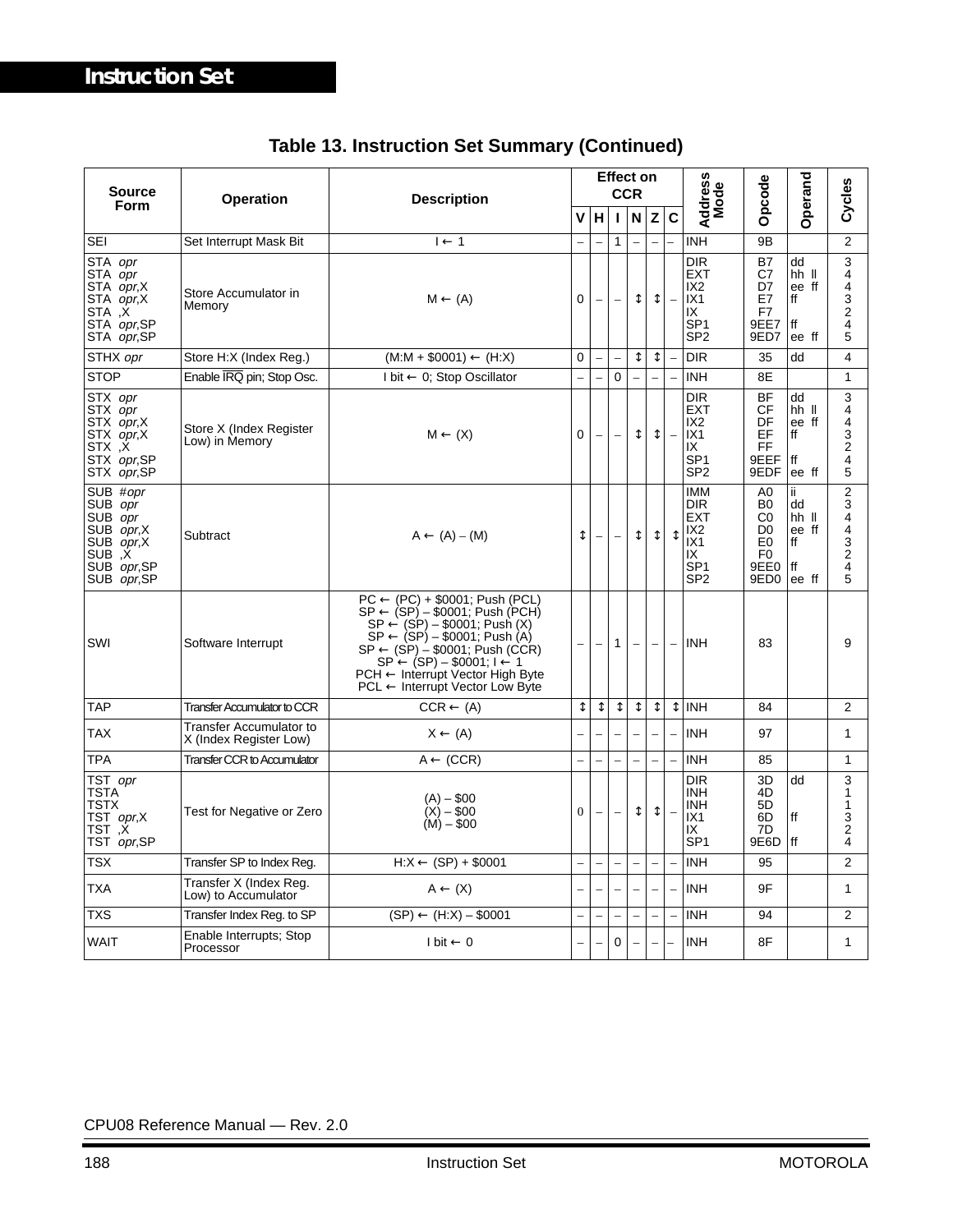| <b>Source</b>                                                                                  | <b>Operation</b>                                         | <b>Description</b>                                                                                                                                                                                                                                                                                                                                                                    |                          |                          |                          | <b>Effect on</b><br><b>CCR</b> |                          |                | Address<br><b>Mode</b>                                                                              | Opcode                                                                                                       | Operand                                              | Cycles                                                                      |
|------------------------------------------------------------------------------------------------|----------------------------------------------------------|---------------------------------------------------------------------------------------------------------------------------------------------------------------------------------------------------------------------------------------------------------------------------------------------------------------------------------------------------------------------------------------|--------------------------|--------------------------|--------------------------|--------------------------------|--------------------------|----------------|-----------------------------------------------------------------------------------------------------|--------------------------------------------------------------------------------------------------------------|------------------------------------------------------|-----------------------------------------------------------------------------|
| <b>Form</b>                                                                                    |                                                          |                                                                                                                                                                                                                                                                                                                                                                                       | v                        | н                        | L                        | N                              | $\mathsf{z}$             | $\mathbf c$    |                                                                                                     |                                                                                                              |                                                      |                                                                             |
| SEI                                                                                            | Set Interrupt Mask Bit                                   | $I \leftarrow 1$                                                                                                                                                                                                                                                                                                                                                                      | $\overline{a}$           | $\overline{\phantom{0}}$ | $\mathbf{1}$             | $\overline{a}$                 | $\overline{a}$           |                | <b>INH</b>                                                                                          | 9B                                                                                                           |                                                      | $\overline{c}$                                                              |
| STA opr<br>STA opr<br>STA opr,X<br>STA opr,X<br>STA .X<br>STA opr,SP<br>STA opr, SP            | Store Accumulator in<br>Memory                           | $M \leftarrow (A)$                                                                                                                                                                                                                                                                                                                                                                    | 0                        | $\equiv$                 | $\overline{\phantom{a}}$ | ↨                              | $\updownarrow$           | $\overline{a}$ | <b>DIR</b><br>EXT<br>IX <sub>2</sub><br>IX1<br>IX<br>SP <sub>1</sub><br>SP <sub>2</sub>             | B7<br>C7<br>D7<br>E7<br>F7<br>9EE7<br>9ED7                                                                   | dd<br>$hh$ $II$<br>ee ff<br>ff<br>ff<br>ee ff        | 3<br>4<br>4<br>3<br>$\overline{2}$<br>$\overline{4}$<br>5                   |
| STHX opr                                                                                       | Store H:X (Index Reg.)                                   | $(M:M + $0001) \leftarrow (H:X)$                                                                                                                                                                                                                                                                                                                                                      | $\mathbf 0$              |                          |                          | ↨                              | ⇕                        |                | <b>DIR</b>                                                                                          | 35                                                                                                           | dd                                                   | $\overline{4}$                                                              |
| <b>STOP</b>                                                                                    | Enable IRQ pin; Stop Osc.                                | I bit $\leftarrow$ 0; Stop Oscillator                                                                                                                                                                                                                                                                                                                                                 |                          |                          | $\mathbf 0$              |                                | $\overline{a}$           |                | <b>INH</b>                                                                                          | 8E                                                                                                           |                                                      | $\mathbf{1}$                                                                |
| STX opr<br>STX opr<br>STX opr,X<br>STX opr,X<br>STX .X<br>STX opr,SP<br>STX opr,SP             | Store X (Index Register<br>Low) in Memory                | $M \leftarrow (X)$                                                                                                                                                                                                                                                                                                                                                                    | 0                        | $\overline{\phantom{a}}$ | $\overline{\phantom{a}}$ | ⇕                              | $\updownarrow$           |                | <b>DIR</b><br>EXT<br>IX <sub>2</sub><br>IX <sub>1</sub><br>IX<br>SP <sub>1</sub><br>SP <sub>2</sub> | <b>BF</b><br>CF<br>DF<br>EF<br>FF<br>9EEF<br>9EDF                                                            | dd<br>hh II<br>ee ff<br>ff<br>ff<br>ee ff            | 3<br>4<br>4<br>$\ensuremath{\mathsf{3}}$<br>$\overline{c}$<br>4<br>5        |
| SUB #opr<br>SUB opr<br>SUB opr<br>SUB opr,X<br>SUB opr,X<br>SUB .X<br>SUB opr,SP<br>SUB opr,SP | Subtract                                                 | $A \leftarrow (A) - (M)$                                                                                                                                                                                                                                                                                                                                                              | ⇕                        |                          | $\overline{\phantom{0}}$ | ⇕                              | $\updownarrow$           | ⇕              | <b>IMM</b><br><b>DIR</b><br>EXT<br>IX2<br>IX1<br>IX<br>SP <sub>1</sub><br>SP <sub>2</sub>           | A <sub>0</sub><br>B <sub>0</sub><br>CO<br>D <sub>0</sub><br>E <sub>0</sub><br>F <sub>0</sub><br>9EE0<br>9ED0 | ii.<br>dd<br>$hh$ $II$<br>ee ff<br>ff<br>ff<br>ee ff | $\boldsymbol{2}$<br>$\mathbf{3}$<br>4<br>$\overline{4}$<br>3<br>2<br>4<br>5 |
| SWI                                                                                            | Software Interrupt                                       | $PC \leftarrow (PC) + $0001$ ; Push (PCL)<br>$SP \leftarrow (SP) - $0001$ ; Push (PCH)<br>$SP \leftarrow (SP) - $0001$ ; Push (X)<br>$SP \leftarrow \overline{(SP)} - $0001;$ Push $\overline{(A)}$<br>$SP \leftarrow (SP) - $0001$ ; Push (CCR)<br>$SP \leftarrow (SP) - $0001$ ; $I \leftarrow 1$<br>$PCH \leftarrow$ Interrupt Vector High Byte<br>PCL ← Interrupt Vector Low Byte | $\overline{\phantom{0}}$ | $\overline{\phantom{0}}$ | 1                        | $\qquad \qquad -$              | $\overline{\phantom{a}}$ | $=$ 1          | <b>INH</b>                                                                                          | 83                                                                                                           |                                                      | 9                                                                           |
| TAP                                                                                            | <b>Transfer Accumulator to CCR</b>                       | $CCR \leftarrow (A)$                                                                                                                                                                                                                                                                                                                                                                  | $\updownarrow$           | ↨                        | $\updownarrow$           | $\updownarrow$                 | $\updownarrow$           | $\downarrow$   | <b>INH</b>                                                                                          | 84                                                                                                           |                                                      | 2                                                                           |
| TAX                                                                                            | <b>Transfer Accumulator to</b><br>X (Index Register Low) | $X \leftarrow (A)$                                                                                                                                                                                                                                                                                                                                                                    |                          |                          |                          |                                |                          |                | <b>INH</b>                                                                                          | 97                                                                                                           |                                                      | 1                                                                           |
| <b>TPA</b>                                                                                     | <b>Transfer CCR to Accumulator</b>                       | $A \leftarrow (CCR)$                                                                                                                                                                                                                                                                                                                                                                  | $\overline{a}$           |                          |                          |                                |                          |                | <b>INH</b>                                                                                          | 85                                                                                                           |                                                      | $\mathbf{1}$                                                                |
| TST opr<br>TSTA<br><b>TSTX</b><br>TST opr,X<br>TST<br>X.<br>TST opr,SP                         | Test for Negative or Zero                                | $(A) - $00$<br>$(X) - $00$<br>$(M) - $00$                                                                                                                                                                                                                                                                                                                                             | $\overline{0}$           | $\overline{\phantom{m}}$ | $\overline{\phantom{m}}$ | ⇕                              | ⇕                        |                | <b>DIR</b><br>INH<br><b>INH</b><br>IX1<br>IX<br>SP <sub>1</sub>                                     | 3D<br>4D<br>5D<br>6D<br>7D<br>9E6D                                                                           | dd<br>ff<br>l ff                                     | 3<br>$\mathbf{1}$<br>$\mathbf{1}$<br>3<br>2<br>4                            |
| <b>TSX</b>                                                                                     | Transfer SP to Index Reg.                                | $H:X \leftarrow (SP) + $0001$                                                                                                                                                                                                                                                                                                                                                         | $\overline{a}$           |                          |                          |                                | $\overline{a}$           |                | <b>INH</b>                                                                                          | 95                                                                                                           |                                                      | 2                                                                           |
| <b>TXA</b>                                                                                     | Transfer X (Index Reg.<br>Low) to Accumulator            | $A \leftarrow (X)$                                                                                                                                                                                                                                                                                                                                                                    | $\overline{\phantom{0}}$ |                          |                          | $\overline{\phantom{0}}$       | $\overline{a}$           |                | <b>INH</b>                                                                                          | 9F                                                                                                           |                                                      | 1                                                                           |
| TXS                                                                                            | Transfer Index Reg. to SP                                | $(SP) \leftarrow (H:X) - $0001$                                                                                                                                                                                                                                                                                                                                                       | $\overline{\phantom{0}}$ |                          | $\overline{\phantom{a}}$ | $\overline{\phantom{0}}$       | $\overline{\phantom{0}}$ | $\overline{a}$ | <b>INH</b>                                                                                          | 94                                                                                                           |                                                      | 2                                                                           |
| <b>WAIT</b>                                                                                    | Enable Interrupts; Stop<br>Processor                     | $I \cdot bi \leftarrow 0$                                                                                                                                                                                                                                                                                                                                                             |                          |                          | $\mathbf 0$              |                                | $\overline{\phantom{0}}$ |                | <b>INH</b>                                                                                          | 8F                                                                                                           |                                                      | 1                                                                           |

| Table 13. Instruction Set Summary (Continued) |  |  |
|-----------------------------------------------|--|--|
|-----------------------------------------------|--|--|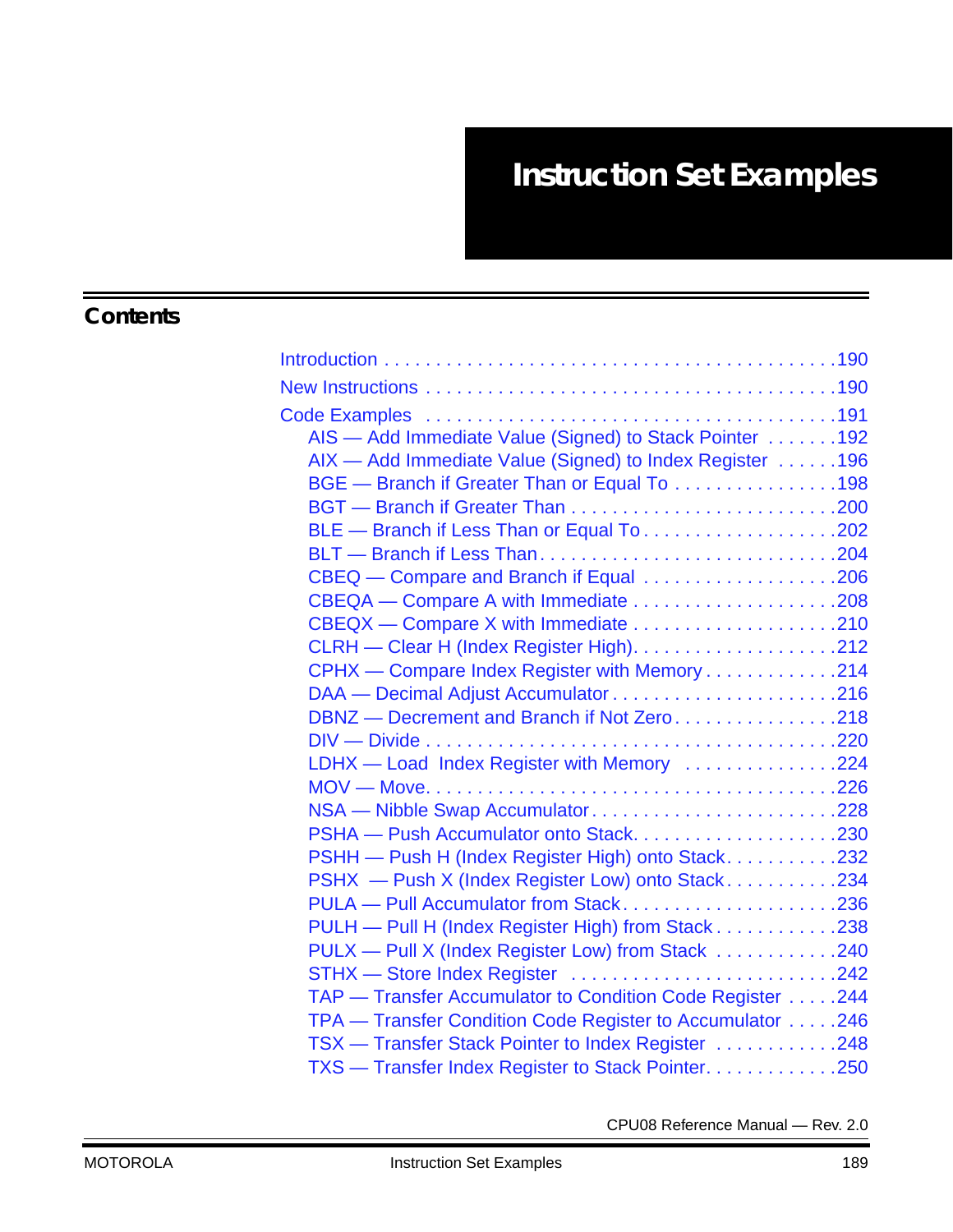# **Instruction Set Examples**

#### **Contents**

| AIS - Add Immediate Value (Signed) to Stack Pointer 192   |  |
|-----------------------------------------------------------|--|
| AIX - Add Immediate Value (Signed) to Index Register 196  |  |
| BGE - Branch if Greater Than or Equal To 198              |  |
|                                                           |  |
|                                                           |  |
| BLT - Branch if Less Than204                              |  |
| CBEQ — Compare and Branch if Equal 206                    |  |
|                                                           |  |
|                                                           |  |
|                                                           |  |
| CPHX - Compare Index Register with Memory 214             |  |
| DAA - Decimal Adjust Accumulator216                       |  |
| DBNZ - Decrement and Branch if Not Zero218                |  |
|                                                           |  |
| LDHX - Load Index Register with Memory 224                |  |
|                                                           |  |
| NSA - Nibble Swap Accumulator228                          |  |
|                                                           |  |
| PSHH - Push H (Index Register High) onto Stack. 232       |  |
| PSHX - Push X (Index Register Low) onto Stack234          |  |
| PULA - Pull Accumulator from Stack236                     |  |
| PULH - Pull H (Index Register High) from Stack 238        |  |
| PULX - Pull X (Index Register Low) from Stack 240         |  |
| STHX - Store Index Register 242                           |  |
| TAP - Transfer Accumulator to Condition Code Register 244 |  |
| TPA - Transfer Condition Code Register to Accumulator 246 |  |
| TSX - Transfer Stack Pointer to Index Register 248        |  |
| TXS - Transfer Index Register to Stack Pointer. 250       |  |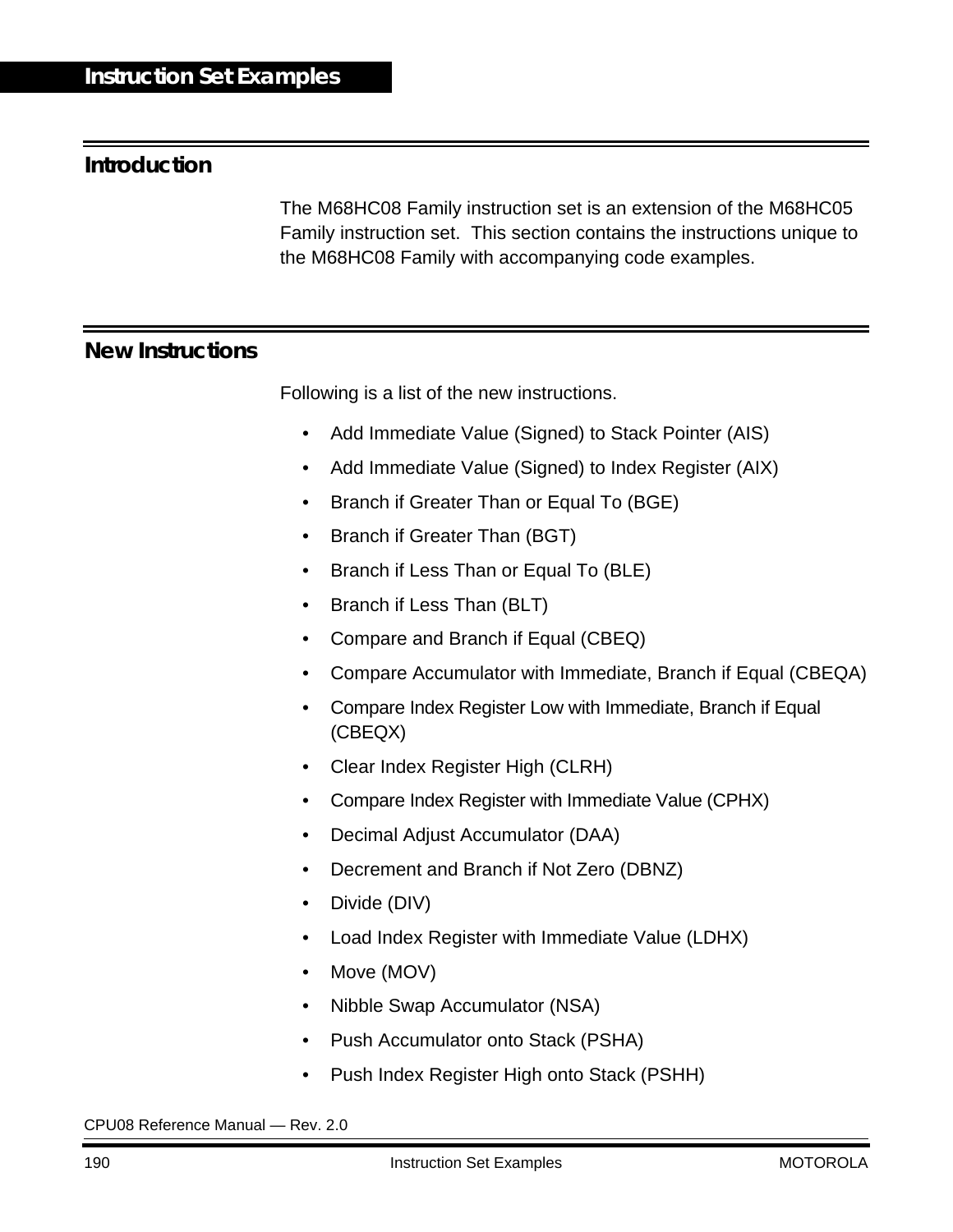#### <span id="page-189-0"></span>**Introduction**

The M68HC08 Family instruction set is an extension of the M68HC05 Family instruction set. This section contains the instructions unique to the M68HC08 Family with accompanying code examples.

#### **New Instructions**

Following is a list of the new instructions.

- Add Immediate Value (Signed) to Stack Pointer (AIS)
- Add Immediate Value (Signed) to Index Register (AIX)
- Branch if Greater Than or Equal To (BGE)
- Branch if Greater Than (BGT)
- Branch if Less Than or Equal To (BLE)
- Branch if Less Than (BLT)
- Compare and Branch if Equal (CBEQ)
- Compare Accumulator with Immediate, Branch if Equal (CBEQA)
- Compare Index Register Low with Immediate, Branch if Equal (CBEQX)
- Clear Index Register High (CLRH)
- Compare Index Register with Immediate Value (CPHX)
- Decimal Adjust Accumulator (DAA)
- Decrement and Branch if Not Zero (DBNZ)
- Divide (DIV)
- Load Index Register with Immediate Value (LDHX)
- Move (MOV)
- Nibble Swap Accumulator (NSA)
- Push Accumulator onto Stack (PSHA)
- [•](#page-249-0) [Push Index Register High onto Stack \(PSHH\)](#page-249-0)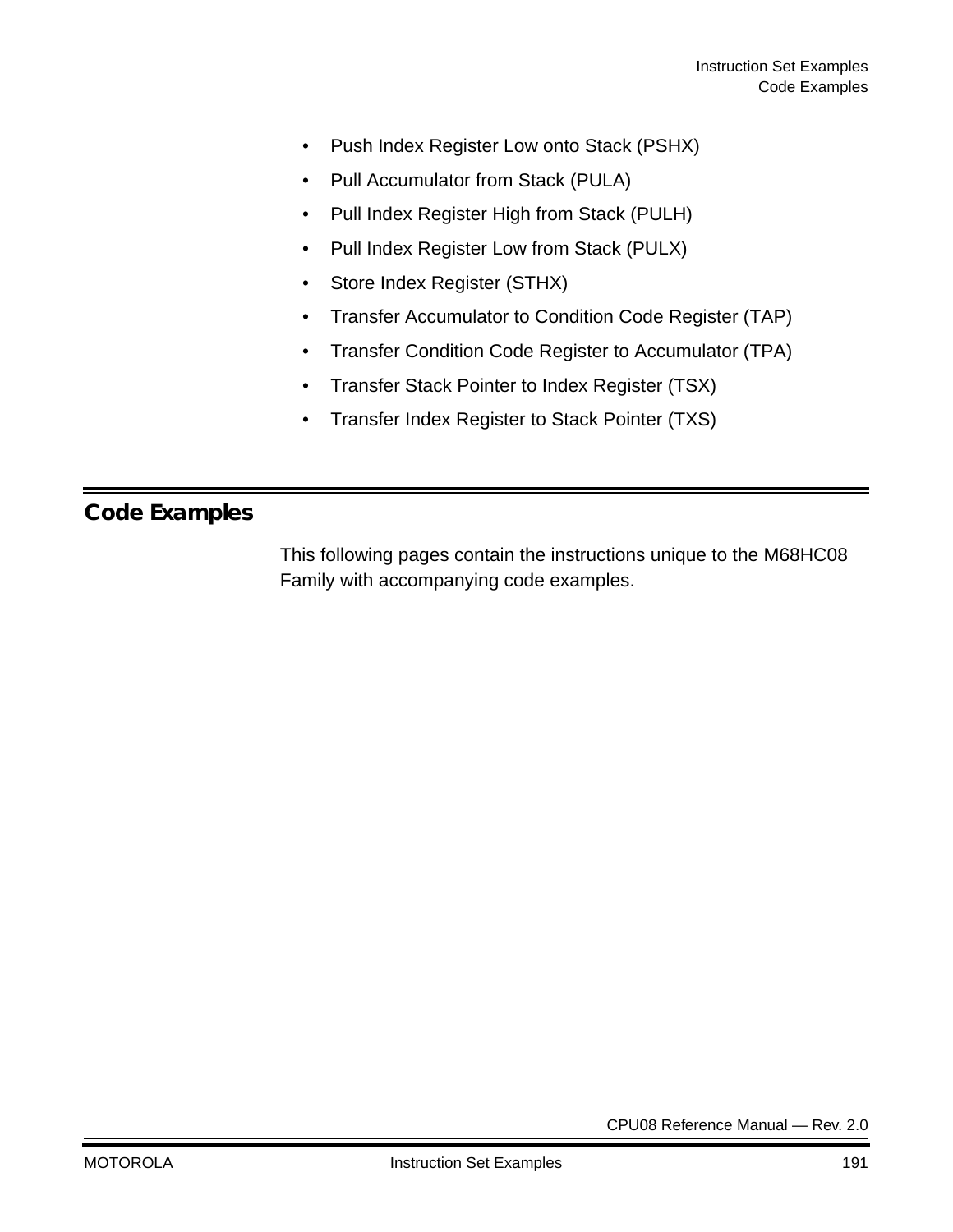- <span id="page-190-0"></span>• Push Index Register Low onto Stack (PSHX)
- Pull Accumulator from Stack (PULA)
- Pull Index Register High from Stack (PULH)
- Pull Index Register Low from Stack (PULX)
- Store Index Register (STHX)
- Transfer Accumulator to Condition Code Register (TAP)
- Transfer Condition Code Register to Accumulator (TPA)
- Transfer Stack Pointer to Index Register (TSX)
- Transfer Index Register to Stack Pointer (TXS)

#### **Code Examples**

This following pages contain the instructions unique to the M68HC08 Family with accompanying code examples.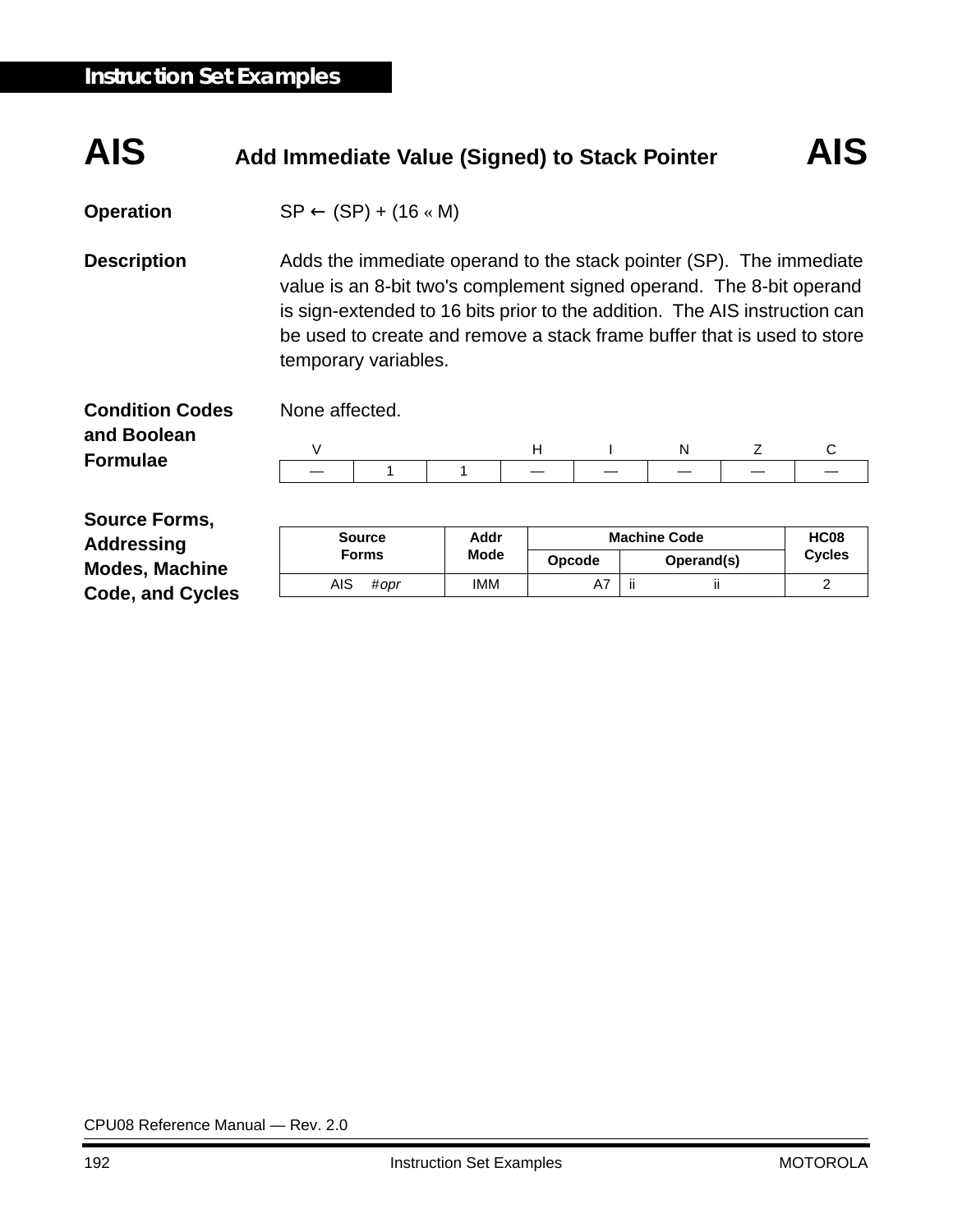### <span id="page-191-0"></span>**Instruction Set Examples**

## **AIS Add Immediate Value (Signed) to Stack Pointer AIS**

**Operation**  $SP \leftarrow (SP) + (16 \times M)$ 

**Description** Adds the immediate operand to the stack pointer (SP). The immediate value is an 8-bit two's complement signed operand. The 8-bit operand is sign-extended to 16 bits prior to the addition. The AIS instruction can be used to create and remove a stack frame buffer that is used to store temporary variables.

**Condition Codes** None offected.

**and Boolean Formulae**

| inone affected. |  |
|-----------------|--|
|                 |  |

| __   1   1   _   _   _   _ |  |  |  |
|----------------------------|--|--|--|

**Source Forms, Addressing Modes, Machine Code, and Cycles**

| <b>Source</b> |      | Addr       |        | <b>Machine Code</b> | <b>HC08</b>   |
|---------------|------|------------|--------|---------------------|---------------|
| <b>Forms</b>  |      | Mode       | Opcode | Operand(s)          | <b>Cycles</b> |
| AIS           | #opr | <b>IMM</b> |        |                     |               |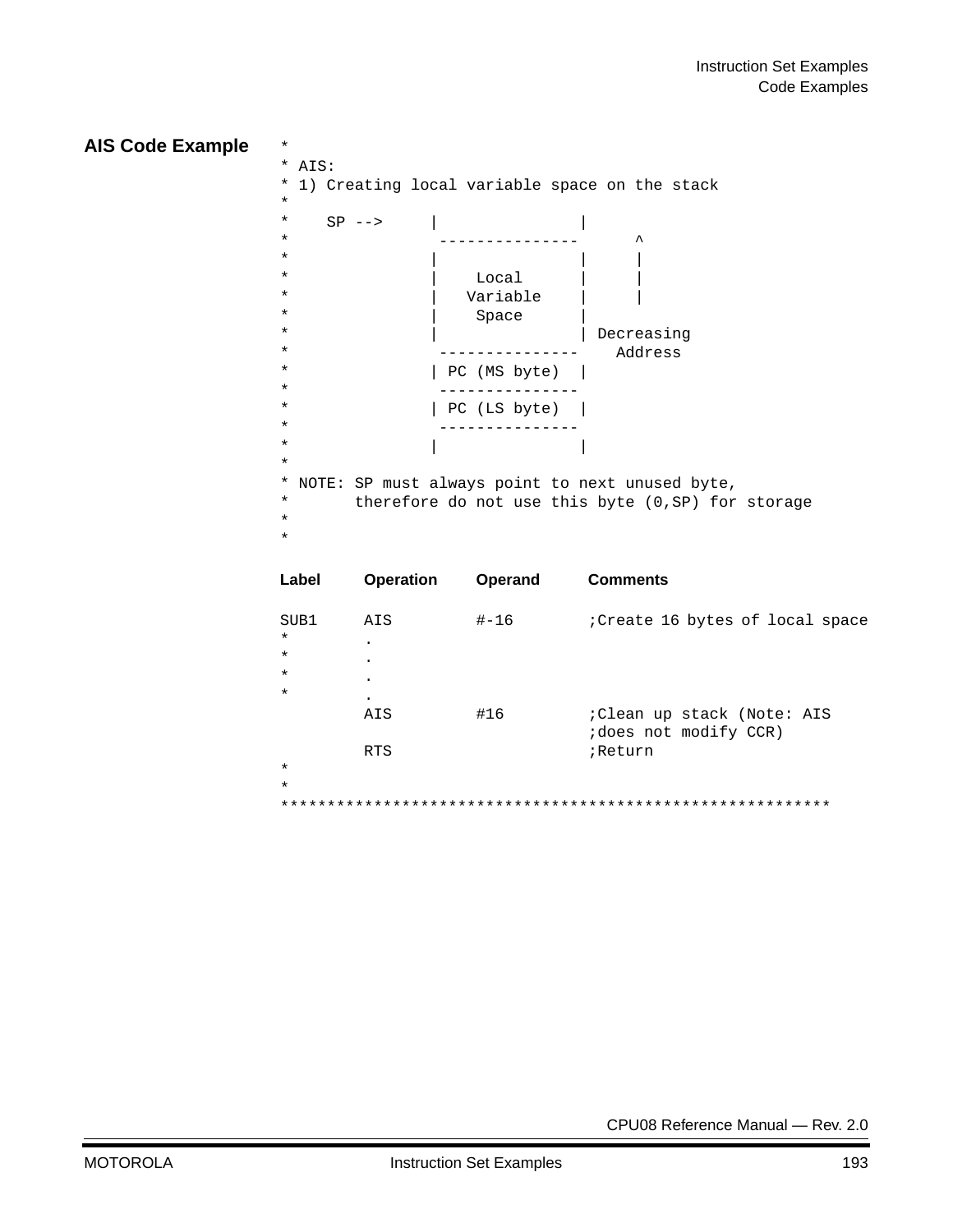| <b>AIS Code Example</b> | $\star$  |                  |              |                                                    |  |  |  |  |
|-------------------------|----------|------------------|--------------|----------------------------------------------------|--|--|--|--|
|                         | * AIS:   |                  |              |                                                    |  |  |  |  |
|                         | $\ast$   |                  |              | 1) Creating local variable space on the stack      |  |  |  |  |
|                         | ¥        |                  |              |                                                    |  |  |  |  |
|                         | $^\star$ | $SP \rightarrow$ |              |                                                    |  |  |  |  |
|                         | $^\star$ |                  |              |                                                    |  |  |  |  |
|                         | $^\star$ |                  |              |                                                    |  |  |  |  |
|                         | *        |                  | Local        |                                                    |  |  |  |  |
|                         | *        |                  | Variable     |                                                    |  |  |  |  |
|                         | *        |                  | Space        |                                                    |  |  |  |  |
|                         | *<br>¥   |                  |              | Decreasing                                         |  |  |  |  |
|                         | ¥        |                  |              | Address                                            |  |  |  |  |
|                         | *        |                  | PC (MS byte) |                                                    |  |  |  |  |
|                         | *        |                  | PC (LS byte) |                                                    |  |  |  |  |
|                         | ¥        |                  |              |                                                    |  |  |  |  |
|                         | ¥        |                  |              |                                                    |  |  |  |  |
|                         | $^\star$ |                  |              |                                                    |  |  |  |  |
|                         |          |                  |              | * NOTE: SP must always point to next unused byte,  |  |  |  |  |
|                         | ¥        |                  |              | therefore do not use this byte (0, SP) for storage |  |  |  |  |
|                         | $^\star$ |                  |              |                                                    |  |  |  |  |
|                         | $^\star$ |                  |              |                                                    |  |  |  |  |
|                         | Label    | Operation        | Operand      | <b>Comments</b>                                    |  |  |  |  |
|                         | SUB1     | AIS              |              |                                                    |  |  |  |  |
|                         | $\star$  |                  |              |                                                    |  |  |  |  |
|                         | ¥        |                  |              |                                                    |  |  |  |  |
|                         | ¥        |                  |              |                                                    |  |  |  |  |
|                         | ¥        |                  |              |                                                    |  |  |  |  |
|                         |          | AIS              | #16          | ;Clean up stack (Note: AIS                         |  |  |  |  |
|                         |          |                  |              | idoes not modify CCR)                              |  |  |  |  |
|                         |          | <b>RTS</b>       |              | ;Return                                            |  |  |  |  |
|                         | $^\star$ |                  |              |                                                    |  |  |  |  |
|                         | $\star$  |                  |              |                                                    |  |  |  |  |
|                         |          |                  |              |                                                    |  |  |  |  |

 $\equiv$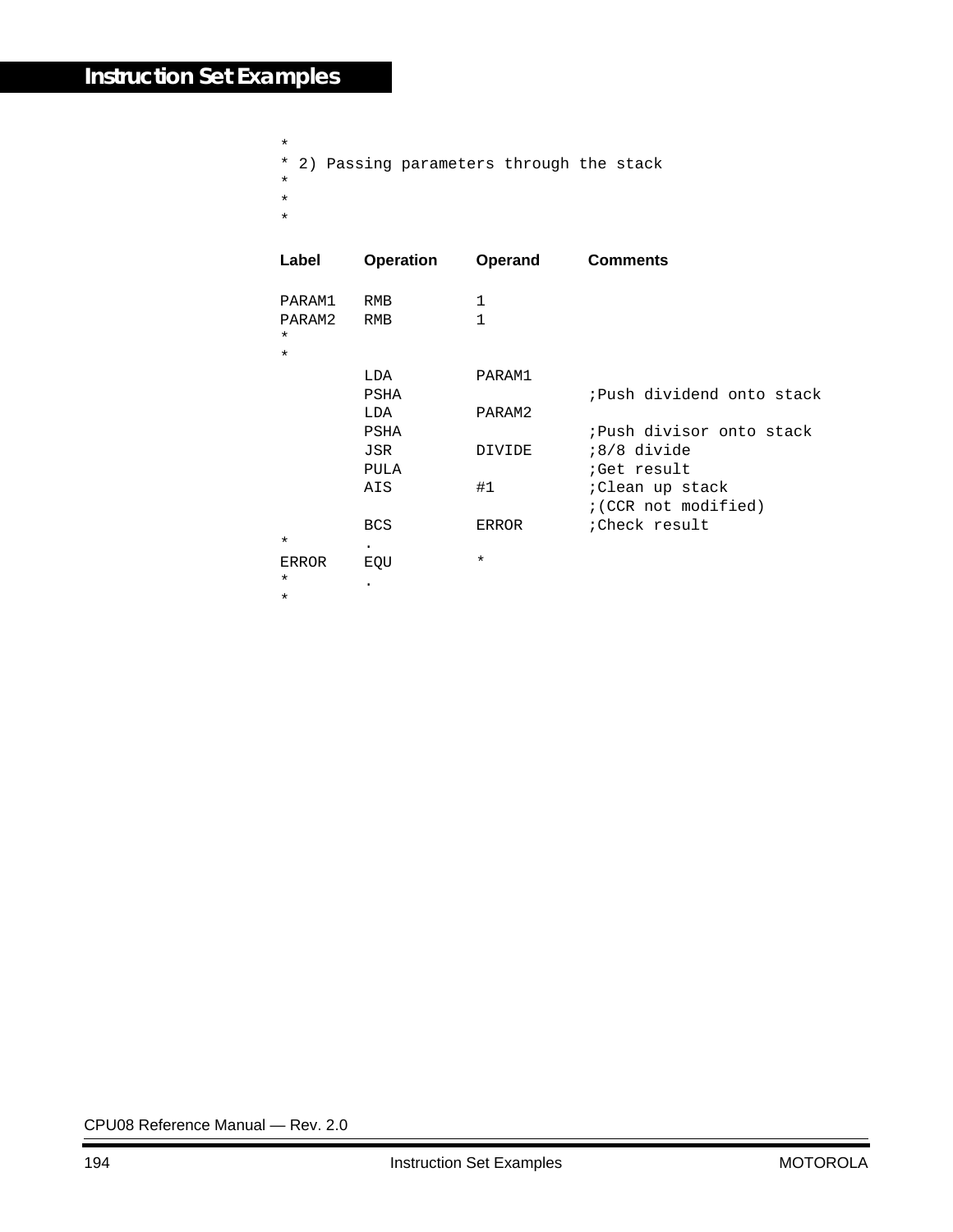```
* 2) Passing parameters through the stack
```
\*

\*

- \*
- \*

| Label                                  | <b>Operation</b>                                 | Operand                                 | <b>Comments</b>                                                                                                                       |
|----------------------------------------|--------------------------------------------------|-----------------------------------------|---------------------------------------------------------------------------------------------------------------------------------------|
| PARAM1<br>PARAM2<br>$\star$<br>$\star$ | RMB<br>RMB                                       | 1<br>$\mathbf{1}$                       |                                                                                                                                       |
|                                        | LDA<br>PSHA<br>LDA<br>PSHA<br>JSR<br>PULA<br>AIS | PARAM1<br>PARAM2<br><b>DIVIDE</b><br>#1 | ;Push dividend onto stack<br>:Push divisor onto stack<br><i>18/8</i> divide<br>;Get result<br>:Clean up stack<br>: (CCR not modified) |
| $\star$                                | BCS.                                             | ERROR                                   | :Check result                                                                                                                         |
| ERROR<br>$\star$<br>$\star$            | ٠<br>EQU                                         | $\star$                                 |                                                                                                                                       |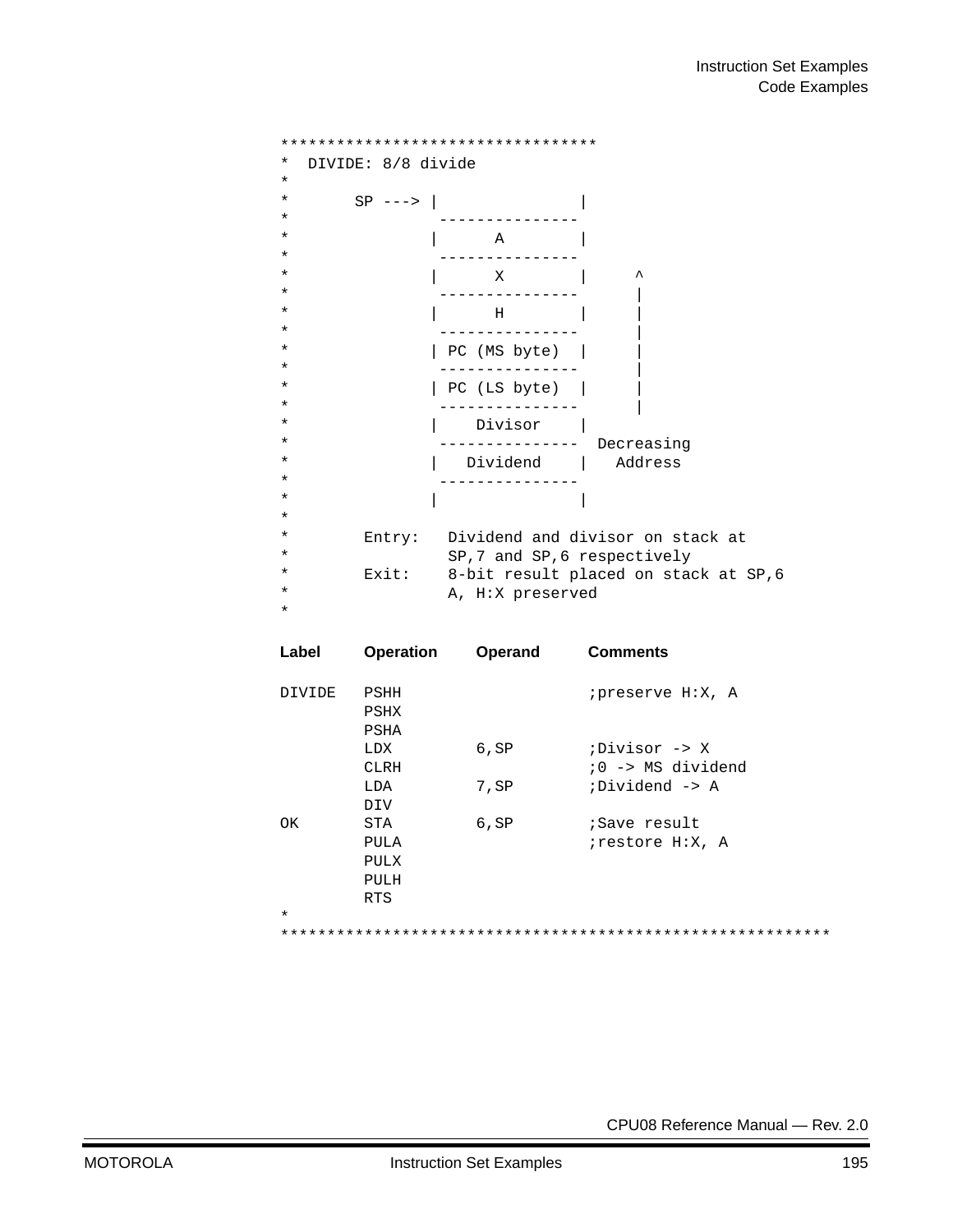\*\*\*\*\*\*\*\*\*\*\*\*\*\*\*\*\*\*\*\*\*\*\*\*\*\*\*\*\*\*\*\*\*\* \* DIVIDE: 8/8 divide \* \* SP ---> | | \* --------------- \* | A | \* --------------- \* | X | ^ \* --------------- | \*  $\vert$  H  $\vert$ \* --------------- |  $|$  PC (MS byte)  $|$ \* --------------- | \* | PC (LS byte) | | \* --------------- | \* | Divisor | \* --------------- Decreasing \* | Dividend | Address \* ---------------  $\star$   $\qquad$   $\qquad$   $\qquad$   $\qquad$   $\qquad$   $\qquad$   $\qquad$   $\qquad$   $\qquad$   $\qquad$   $\qquad$   $\qquad$   $\qquad$   $\qquad$   $\qquad$   $\qquad$   $\qquad$   $\qquad$   $\qquad$   $\qquad$   $\qquad$   $\qquad$   $\qquad$   $\qquad$   $\qquad$   $\qquad$   $\qquad$   $\qquad$   $\qquad$   $\qquad$   $\qquad$   $\qquad$   $\qquad$   $\qquad$   $\qquad$   $\qquad$  \* \* Entry: Dividend and divisor on stack at<br>\* SP 7 and SP 6 respectively SP,7 and SP,6 respectively \* Exit: 8-bit result placed on stack at SP,6 \* A, H:X preserved \* **Label Operation Operand Comments**

| DIVIDE  | PSHH |       | ;preserve H:X, A       |
|---------|------|-------|------------------------|
|         | PSHX |       |                        |
|         | PSHA |       |                        |
|         | LDX  | 6, SP | ;Divisor -> X          |
|         | CLRH |       | :0 -> MS dividend      |
|         | LDA  | 7, SP | ;Dividend -> A         |
|         | DIV  |       |                        |
| OK.     | STA  | 6, SP | <i>Save</i> result     |
|         | PULA |       | <i>irestore H:X, A</i> |
|         | PULX |       |                        |
|         | PULH |       |                        |
|         | RTS. |       |                        |
| $\star$ |      |       |                        |
|         |      |       |                        |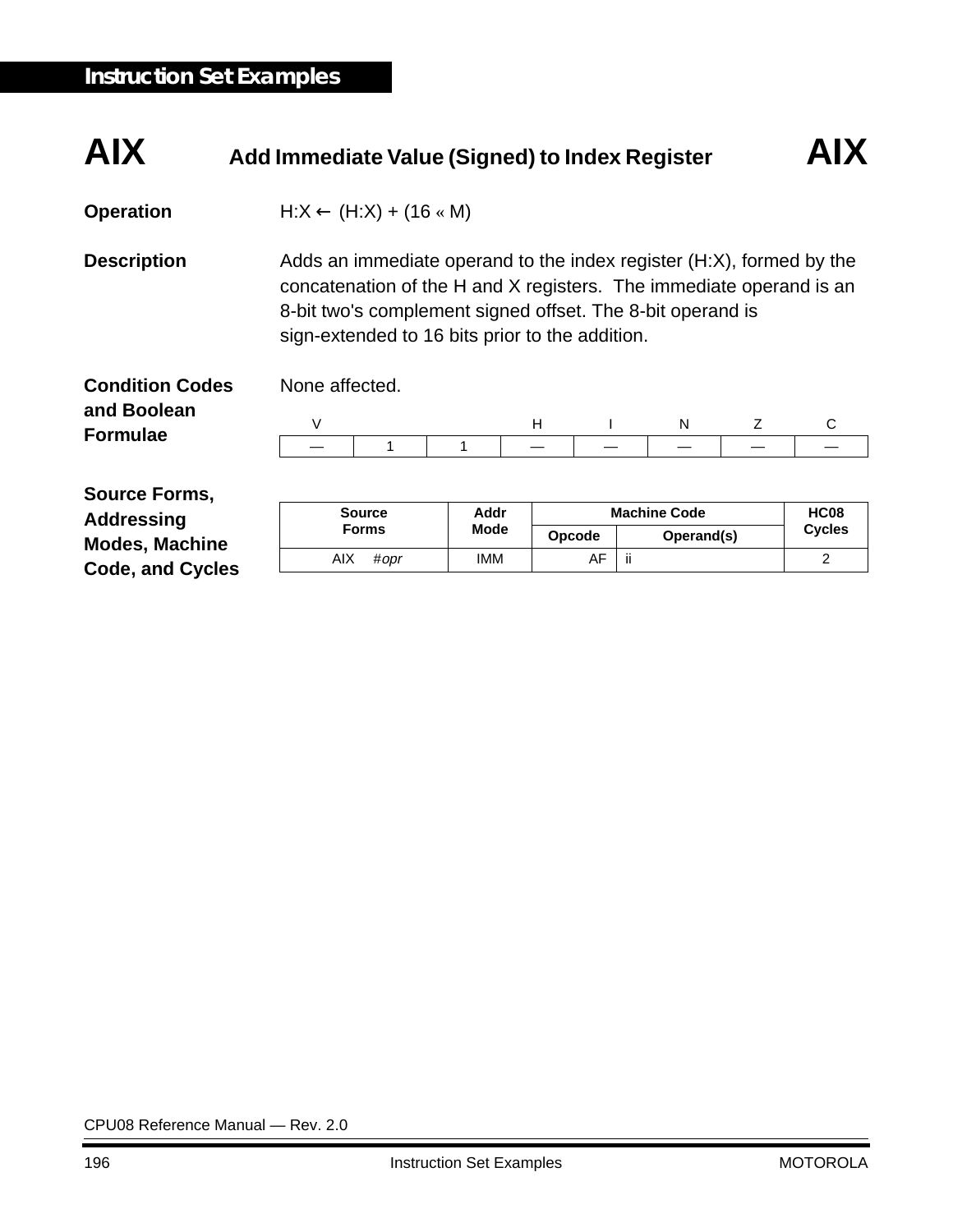### <span id="page-195-0"></span>**Instruction Set Examples**

| <b>AIX</b>                                       | Add Immediate Value (Signed) to Index Register |                                                                                                                                                                                                                                                              |              |   |              |     |                                   |   | AIX                          |  |  |
|--------------------------------------------------|------------------------------------------------|--------------------------------------------------------------------------------------------------------------------------------------------------------------------------------------------------------------------------------------------------------------|--------------|---|--------------|-----|-----------------------------------|---|------------------------------|--|--|
| <b>Operation</b>                                 |                                                | $H:X \leftarrow (H:X) + (16 \times M)$                                                                                                                                                                                                                       |              |   |              |     |                                   |   |                              |  |  |
| <b>Description</b>                               |                                                | Adds an immediate operand to the index register (H:X), formed by the<br>concatenation of the H and X registers. The immediate operand is an<br>8-bit two's complement signed offset. The 8-bit operand is<br>sign-extended to 16 bits prior to the addition. |              |   |              |     |                                   |   |                              |  |  |
| <b>Condition Codes</b>                           | None affected.                                 |                                                                                                                                                                                                                                                              |              |   |              |     |                                   |   |                              |  |  |
| and Boolean<br><b>Formulae</b>                   | V                                              | 1                                                                                                                                                                                                                                                            | 1            | H |              |     | N                                 | Z | C                            |  |  |
| <b>Source Forms,</b>                             |                                                |                                                                                                                                                                                                                                                              |              |   |              |     |                                   |   |                              |  |  |
| <b>Addressing</b>                                |                                                | <b>Source</b><br><b>Forms</b>                                                                                                                                                                                                                                | Addr<br>Mode |   |              |     | <b>Machine Code</b><br>Operand(s) |   | <b>HC08</b><br><b>Cycles</b> |  |  |
| <b>Modes, Machine</b><br><b>Code, and Cycles</b> | AIX.                                           | #opr                                                                                                                                                                                                                                                         | <b>IMM</b>   |   | Opcode<br>AF | ij. |                                   |   | 2                            |  |  |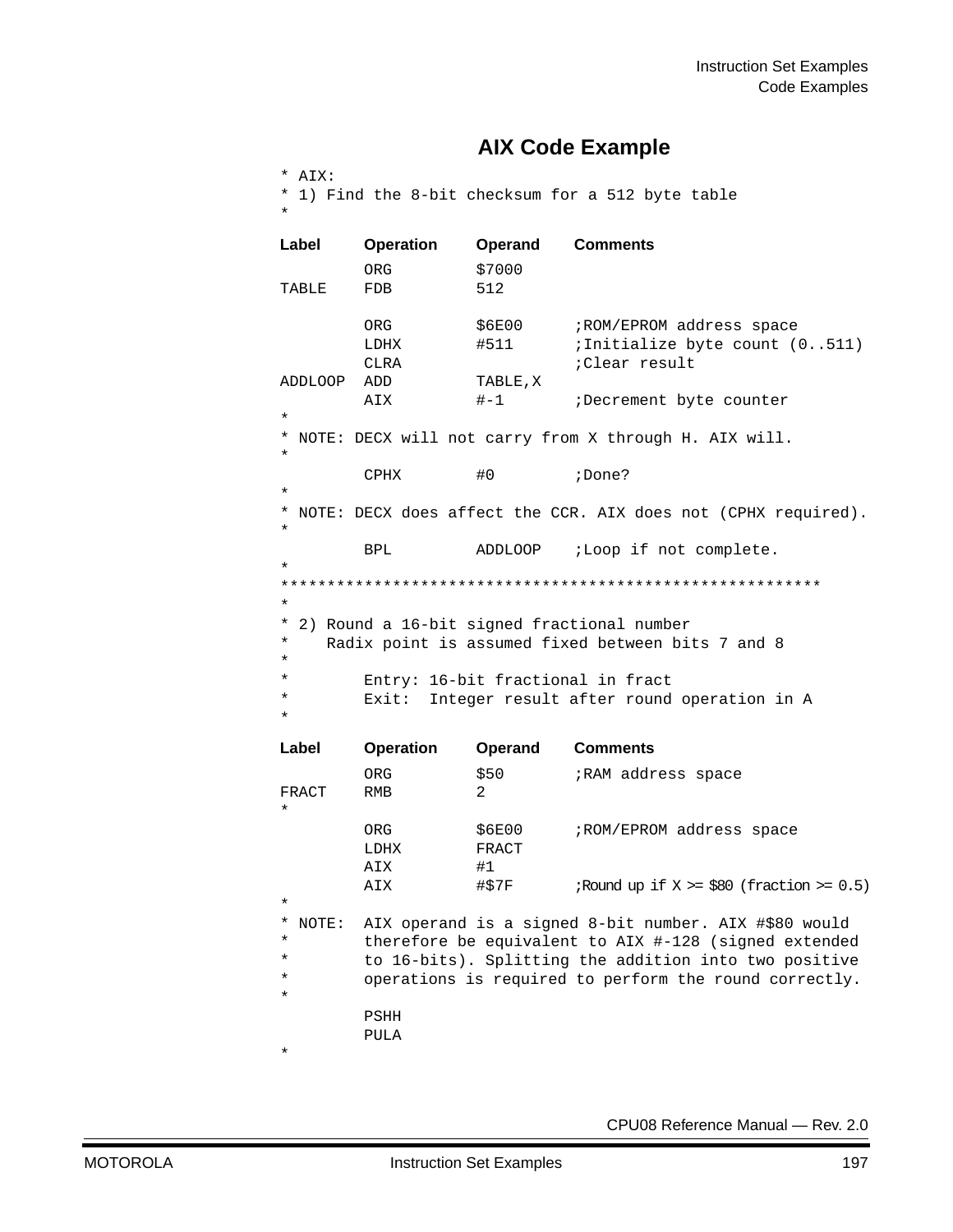#### **AIX Code Example**

```
* AIX:
* 1) Find the 8-bit checksum for a 512 byte table
*
Label Operation Operand Comments
        ORG $7000
TABLE FDB 512
        ORG $6E00 ;ROM/EPROM address space
        LDHX #511 ;Initialize byte count (0..511)
        CLRA ;Clear result
ADDLOOP ADD TABLE,X
        AIX #-1 ;Decrement byte counter
*
* NOTE: DECX will not carry from X through H. AIX will.
*
        CPHX #0 ; Done?
*
* NOTE: DECX does affect the CCR. AIX does not (CPHX required).
*
        BPL ADDLOOP ;Loop if not complete.
*
**********************************************************
*
* 2) Round a 16-bit signed fractional number
    Radix point is assumed fixed between bits 7 and 8
*
        Entry: 16-bit fractional in fract
        Exit: Integer result after round operation in A
*
Label Operation Operand Comments
        ORG $50 ;RAM address space
FRACT RMB 2
*
        ORG $6E00 ;ROM/EPROM address space
        LDHX FRACT
        AIX #1
        AIX \# \frac{27F}{10000} \frac{25F}{1000} \frac{25F}{1000} \frac{25F}{1000} \frac{25F}{1000} \frac{25F}{1000}*
* NOTE: AIX operand is a signed 8-bit number. AIX #$80 would
* therefore be equivalent to AIX #-128 (signed extended
* to 16-bits). Splitting the addition into two positive
* operations is required to perform the round correctly.
*
        PSHH
        PULA
*
```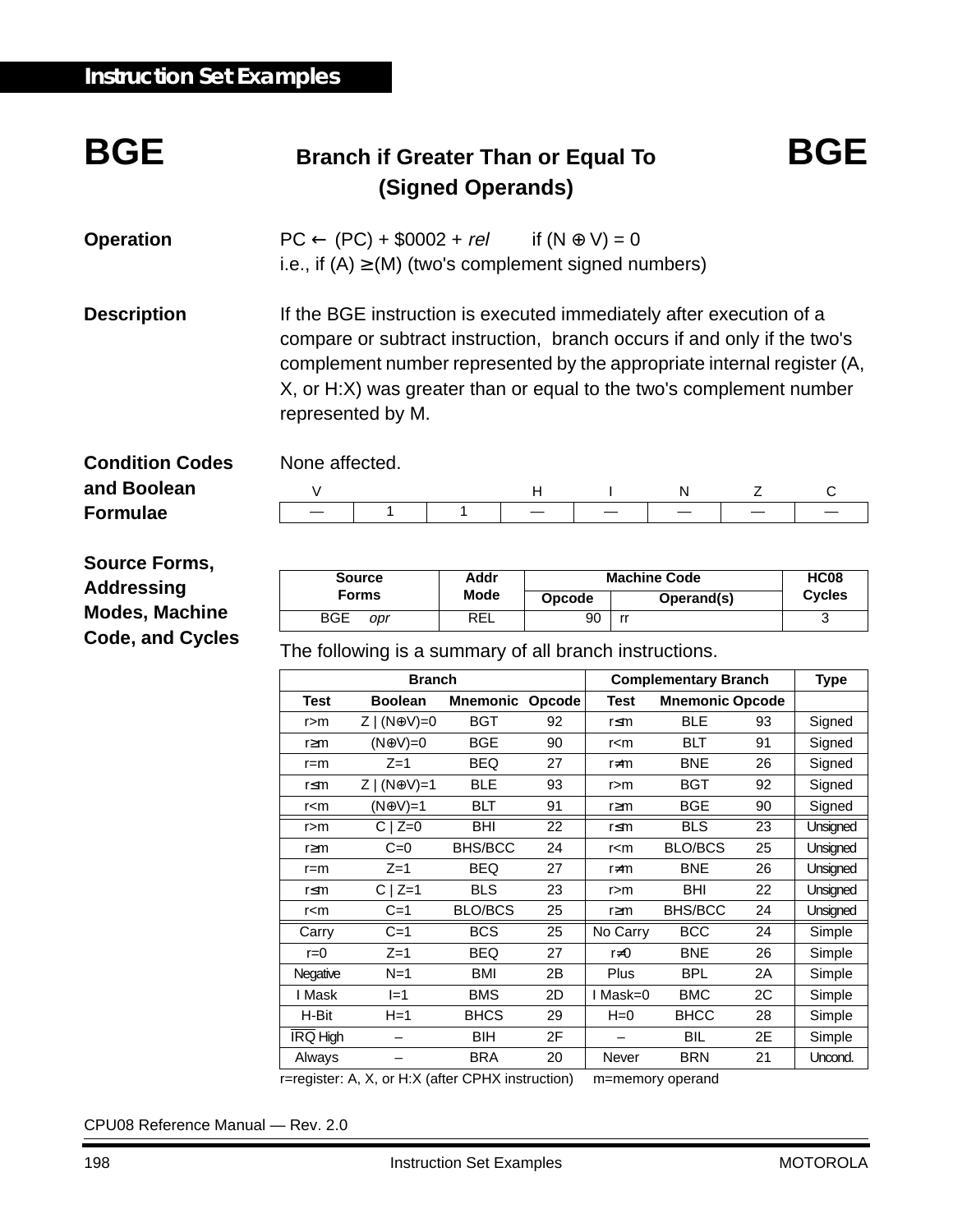<span id="page-197-0"></span>

| <b>BGE</b>             | <b>BGF</b><br><b>Branch if Greater Than or Equal To</b><br>(Signed Operands)                                                                                                                                                                                                                                         |  |  |   |  |   |   |   |  |
|------------------------|----------------------------------------------------------------------------------------------------------------------------------------------------------------------------------------------------------------------------------------------------------------------------------------------------------------------|--|--|---|--|---|---|---|--|
| <b>Operation</b>       | $PC \leftarrow (PC) + $0002 + rel$ if $(N \oplus V) = 0$<br>i.e., if $(A) \geq (M)$ (two's complement signed numbers)                                                                                                                                                                                                |  |  |   |  |   |   |   |  |
| <b>Description</b>     | If the BGE instruction is executed immediately after execution of a<br>compare or subtract instruction, branch occurs if and only if the two's<br>complement number represented by the appropriate internal register (A,<br>X, or H:X) was greater than or equal to the two's complement number<br>represented by M. |  |  |   |  |   |   |   |  |
| <b>Condition Codes</b> | None affected.                                                                                                                                                                                                                                                                                                       |  |  |   |  |   |   |   |  |
| and Boolean            | V                                                                                                                                                                                                                                                                                                                    |  |  | H |  | N | Z | C |  |
| <b>Formulae</b>        |                                                                                                                                                                                                                                                                                                                      |  |  |   |  |   |   |   |  |

**Source Forms, Addressing Modes, Machine**

| Source       | Addr |        | <b>Machine Code</b> | <b>HC08</b>   |
|--------------|------|--------|---------------------|---------------|
| <b>Forms</b> | Mode | Opcode | Operand(s)          | <b>Cycles</b> |
| BGE<br>opr   | REL  | 90     | <b>PP</b>           |               |

**Code, and Cycles** The following is a summary of all branch instructions.

|                 | <b>Branch</b>             |                 |        | <b>Complementary Branch</b> |                        | <b>Type</b> |          |
|-----------------|---------------------------|-----------------|--------|-----------------------------|------------------------|-------------|----------|
| <b>Test</b>     | <b>Boolean</b>            | <b>Mnemonic</b> | Opcode | <b>Test</b>                 | <b>Mnemonic Opcode</b> |             |          |
| r > m           | $Z \mid (N \oplus V) = 0$ | <b>BGT</b>      | 92     | r≤m                         | <b>BLE</b>             | 93          | Signed   |
| r≥m             | $(N \oplus V)=0$          | <b>BGE</b>      | 90     | r < m                       | <b>BLT</b>             | 91          | Signed   |
| $r = m$         | $Z=1$                     | <b>BEQ</b>      | 27     | r≠m                         | <b>BNE</b>             | 26          | Signed   |
| r≤m             | $Z   (N \oplus V)=1$      | <b>BLE</b>      | 93     | r > m                       | BGT                    | 92          | Signed   |
| r < m           | $(N \oplus V)=1$          | <b>BLT</b>      | 91     | r≥m                         | <b>BGE</b>             | 90          | Signed   |
| r > m           | $C \mid Z=0$              | <b>BHI</b>      | 22     | r≤m                         | <b>BLS</b>             | 23          | Unsigned |
| r≥m             | $C=0$                     | <b>BHS/BCC</b>  | 24     | r < m                       | <b>BLO/BCS</b>         | 25          | Unsigned |
| $r = m$         | $Z=1$                     | <b>BEQ</b>      | 27     | r≠m                         | <b>BNE</b>             | 26          | Unsigned |
| r≤m             | $C \mid Z=1$              | <b>BLS</b>      | 23     | r > m                       | <b>BHI</b>             | 22          | Unsigned |
| r < m           | $C=1$                     | <b>BLO/BCS</b>  | 25     | r≥m                         | <b>BHS/BCC</b>         | 24          | Unsigned |
| Carry           | $C=1$                     | <b>BCS</b>      | 25     | No Carry                    | <b>BCC</b>             | 24          | Simple   |
| r=0             | $Z=1$                     | <b>BEQ</b>      | 27     | r≠0                         | <b>BNE</b>             | 26          | Simple   |
| Negative        | $N=1$                     | <b>BMI</b>      | 2B     | <b>Plus</b>                 | <b>BPL</b>             | 2A          | Simple   |
| I Mask          | $I=1$                     | <b>BMS</b>      | 2D     | I Mask=0                    | <b>BMC</b>             | 2C          | Simple   |
| H-Bit           | $H=1$                     | <b>BHCS</b>     | 29     | $H=0$                       | <b>BHCC</b>            | 28          | Simple   |
| <b>IRQ High</b> |                           | <b>BIH</b>      | 2F     |                             | <b>BIL</b>             | 2E          | Simple   |
| Always          | .                         | <b>BRA</b>      | 20     | Never                       | <b>BRN</b>             | 21          | Uncond.  |

r=register: A, X, or H:X (after CPHX instruction) m=memory operand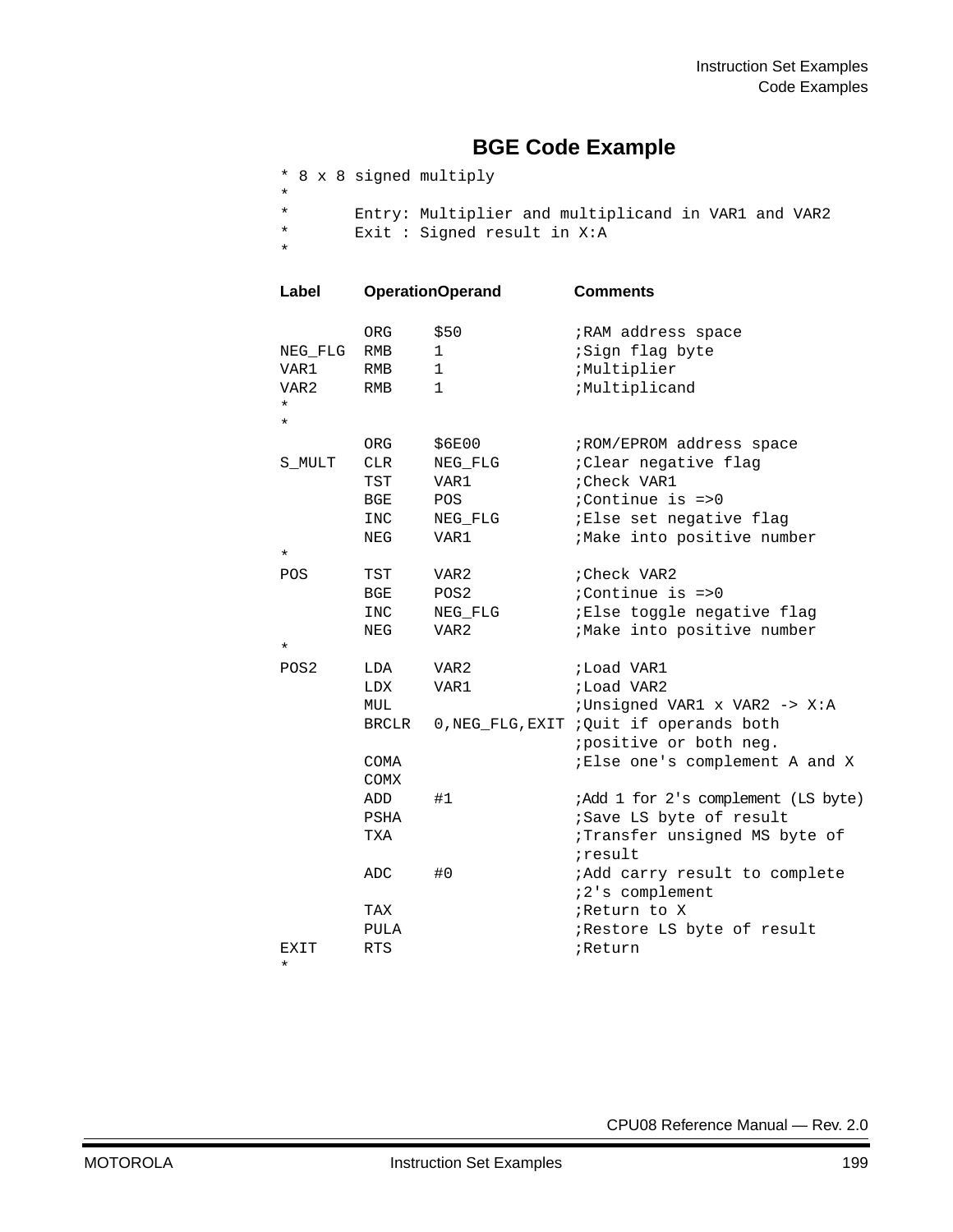### **BGE Code Example**

| Label              |  |  | <b>OperationOperand</b><br><b>Comments</b>          |
|--------------------|--|--|-----------------------------------------------------|
| $\star$<br>$\star$ |  |  | Exit: Signed result in $X:A$                        |
| $\star$            |  |  | Entry: Multiplier and multiplicand in VAR1 and VAR2 |
| $\star$            |  |  | * 8 x 8 signed multiply                             |
|                    |  |  |                                                     |

|                  | 0RG          | \$50             | ; RAM address space                                                |
|------------------|--------------|------------------|--------------------------------------------------------------------|
| NEG_FLG          | <b>RMB</b>   | $\mathbf{1}$     | ;Sign flag byte                                                    |
| VAR1             | <b>RMB</b>   | $\mathbf{1}$     | ;Multiplier                                                        |
| VAR 2<br>$\star$ | RMB          | $\mathbf{1}$     | ;Multiplicand                                                      |
| $\star$          |              |                  |                                                                    |
|                  | <b>ORG</b>   | <b>\$6E00</b>    | ;ROM/EPROM address space                                           |
| S MULT           | <b>CLR</b>   | NEG_FLG          | ;Clear negative flag                                               |
|                  | <b>TST</b>   | VAR1             | ; Check VAR1                                                       |
|                  | <b>BGE</b>   | POS              | $i$ Continue is $=$ >0                                             |
|                  | <b>INC</b>   | NEG FLG          | ;Else set negative flag                                            |
|                  | NEG          | VAR1             | ;Make into positive number                                         |
| $^\star$         |              |                  |                                                                    |
| POS              | <b>TST</b>   | VAR2             | ; Check VAR2                                                       |
|                  | <b>BGE</b>   | POS <sub>2</sub> | $i$ Continue is $=$ >0                                             |
|                  | <b>INC</b>   | NEG_FLG          | ;Else toggle negative flag                                         |
|                  | <b>NEG</b>   | VAR <sub>2</sub> | ;Make into positive number                                         |
| $\ast$           |              |                  |                                                                    |
| POS <sub>2</sub> | LDA          | VAR <sub>2</sub> | ;Load VAR1                                                         |
|                  | LDX          | VAR1             | ;Load VAR2                                                         |
|                  | MUL          |                  | ;Unsigned VAR1 x VAR2 -> X:A                                       |
|                  | <b>BRCLR</b> |                  | 0, NEG_FLG, EXIT ; Quit if operands both<br>;positive or both neg. |
|                  | COMA         |                  | <i>i</i> Else one's complement A and X                             |
|                  | COMX         |                  |                                                                    |
|                  | ADD          | #1               | ;Add 1 for 2's complement (LS byte)                                |
|                  | PSHA         |                  | ;Save LS byte of result                                            |
|                  | TXA          |                  | ;Transfer unsigned MS byte of<br>iresult                           |
|                  | ADC          | #0               | <i>iAdd carry result to complete</i><br>;2's complement            |
|                  | TAX          |                  | ; Return to X                                                      |
|                  | PULA         |                  | Restore LS byte of result                                          |
| EXIT<br>$\star$  | RTS          |                  | ;Return                                                            |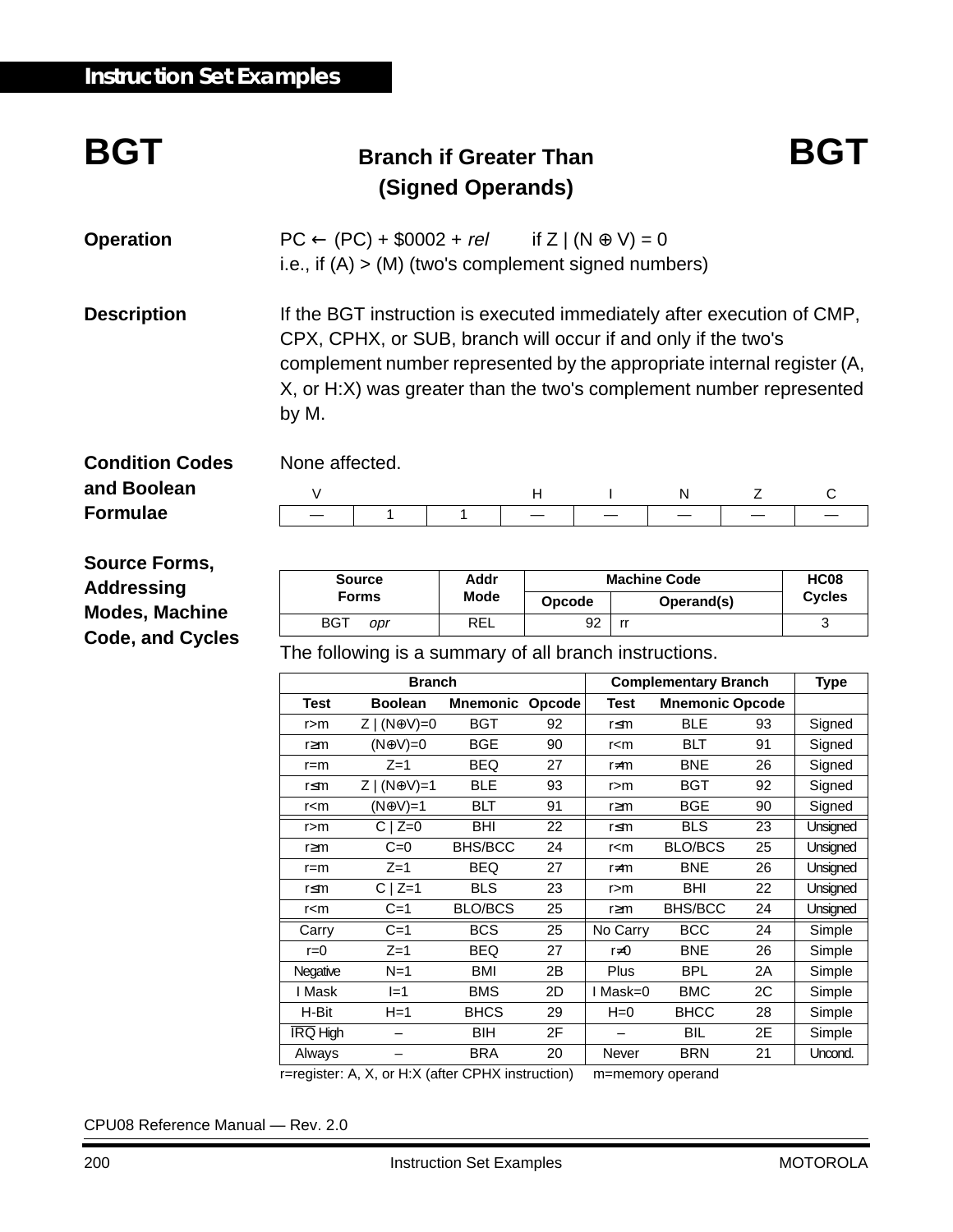<span id="page-199-0"></span>

| <b>BGT</b>             | RG.<br><b>Branch if Greater Than</b><br>(Signed Operands) |                                                                                                                                                                                                                                                                                          |                                                                                                                         |    |              |   |   |   |
|------------------------|-----------------------------------------------------------|------------------------------------------------------------------------------------------------------------------------------------------------------------------------------------------------------------------------------------------------------------------------------------------|-------------------------------------------------------------------------------------------------------------------------|----|--------------|---|---|---|
| <b>Operation</b>       |                                                           |                                                                                                                                                                                                                                                                                          | $PC \leftarrow (PC) + $0002 + rel$ if Z $ (N \oplus V) = 0$<br>i.e., if $(A)$ > $(M)$ (two's complement signed numbers) |    |              |   |   |   |
| <b>Description</b>     | by M.                                                     | If the BGT instruction is executed immediately after execution of CMP,<br>CPX, CPHX, or SUB, branch will occur if and only if the two's<br>complement number represented by the appropriate internal register (A,<br>X, or H:X) was greater than the two's complement number represented |                                                                                                                         |    |              |   |   |   |
| <b>Condition Codes</b> | None affected.                                            |                                                                                                                                                                                                                                                                                          |                                                                                                                         |    |              |   |   |   |
| and Boolean            | V                                                         |                                                                                                                                                                                                                                                                                          |                                                                                                                         | H. | $\mathbf{L}$ | N | Z | C |
| <b>Formulae</b>        |                                                           | 1                                                                                                                                                                                                                                                                                        | 1                                                                                                                       |    |              |   |   |   |
| <b>Source Forms,</b>   |                                                           |                                                                                                                                                                                                                                                                                          |                                                                                                                         |    |              |   |   |   |

**Source Forms, Addressing Modes, Machine**

| <b>Source</b>     | Addr       |        | <b>Machine Code</b> | <b>HC08</b> |
|-------------------|------------|--------|---------------------|-------------|
| <b>Forms</b>      | Mode       | Opcode | <b>Cycles</b>       |             |
| <b>BGT</b><br>opr | <b>REL</b> | 92     | rr                  |             |

**Code, and Cycles** The following is a summary of all branch instructions.

|                 | <b>Branch</b>          |                               | <b>Complementary Branch</b> |          | <b>Type</b>            |    |          |
|-----------------|------------------------|-------------------------------|-----------------------------|----------|------------------------|----|----------|
| Test            | <b>Boolean</b>         | <b>Mnemonic</b>               | <b>Opcode</b>               | Test     | <b>Mnemonic Opcode</b> |    |          |
| r > m           | $Z$   (N $\oplus$ V)=0 | <b>BGT</b>                    | 92                          | r≤m      | <b>BLE</b>             | 93 | Signed   |
| r≥m             | $(N \oplus V) = 0$     | <b>BGE</b>                    | 90                          | r < m    | <b>BLT</b>             | 91 | Signed   |
| $r = m$         | $Z=1$                  | <b>BEQ</b>                    | 27                          | r≠m      | <b>BNE</b>             | 26 | Signed   |
| r≤m             | $Z   (N \oplus V)=1$   | <b>BLE</b>                    | 93                          | r > m    | <b>BGT</b>             | 92 | Signed   |
| r < m           | $(N \oplus V)=1$       | <b>BLT</b>                    | 91                          | r≥m      | <b>BGE</b>             | 90 | Signed   |
| r > m           | $C \mid Z=0$           | <b>BHI</b>                    | 22                          | r≤m      | <b>BLS</b>             | 23 | Unsigned |
| r≥m             | $C=0$                  | <b>BHS/BCC</b>                | 24                          | r < m    | <b>BLO/BCS</b>         | 25 | Unsigned |
| $r = m$         | $Z=1$                  | <b>BEQ</b>                    | 27                          | r≠m      | <b>BNE</b>             | 26 | Unsigned |
| r≤m             | $C \mid Z=1$           | <b>BLS</b>                    | 23                          | r > m    | <b>BHI</b>             | 22 | Unsigned |
| r < m           | $C=1$                  | <b>BLO/BCS</b>                | 25                          | r≥m      | BHS/BCC                | 24 | Unsigned |
| Carry           | $C=1$                  | <b>BCS</b>                    | 25                          | No Carry | <b>BCC</b>             | 24 | Simple   |
| $r = 0$         | $Z=1$                  | BEQ                           | 27                          | r≠0      | <b>BNE</b>             | 26 | Simple   |
| Negative        | $N=1$                  | <b>BMI</b>                    | 2B                          | Plus     | <b>BPL</b>             | 2A | Simple   |
| I Mask          | $I=1$                  | <b>BMS</b>                    | 2D                          | I Mask=0 | <b>BMC</b>             | 2C | Simple   |
| H-Bit           | $H=1$                  | <b>BHCS</b>                   | 29                          | $H=0$    | <b>BHCC</b>            | 28 | Simple   |
| <b>IRQ High</b> |                        | <b>BIH</b>                    | 2F                          |          | <b>BIL</b>             | 2E | Simple   |
| Always          | $\cdots$               | <b>BRA</b><br>$- - - - - - -$ | 20                          | Never    | <b>BRN</b>             | 21 | Uncond.  |

r=register: A, X, or H:X (after CPHX instruction) m=memory operand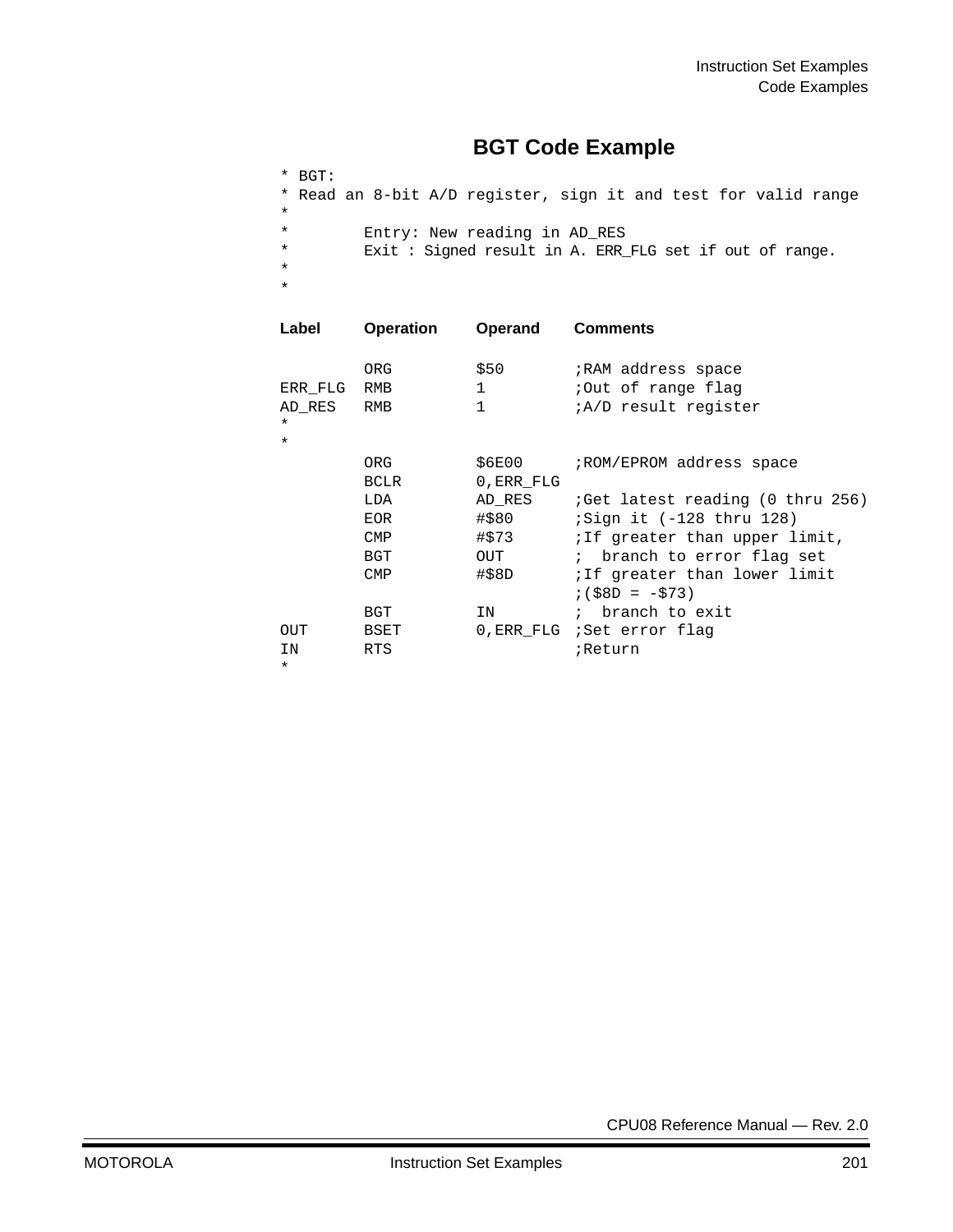#### **BGT Code Example**

```
* BGT:
* Read an 8-bit A/D register, sign it and test for valid range
*
* Entry: New reading in AD_RES
* Exit : Signed result in A. ERR_FLG set if out of range.
*
*
```

| Label                                   | <b>Operation</b>         | Operand                              | <b>Comments</b>                                                          |
|-----------------------------------------|--------------------------|--------------------------------------|--------------------------------------------------------------------------|
| ERR FLG<br>AD RES<br>$\star$<br>$\star$ | 0RG<br>RMB<br><b>RMB</b> | \$50<br>$\mathbf{1}$<br>$\mathbf{1}$ | ; RAM address space<br>:Out of range flag<br><i>iA/D</i> result register |
|                                         | <b>ORG</b><br>BCLR       | \$6E00<br>0, ERR FLG                 | ; ROM/EPROM address space                                                |
|                                         | LDA                      | AD RES                               | Get latest reading (0 thru 256)                                          |
|                                         | EOR                      | #\$80                                | ;Sign it (-128 thru 128)                                                 |
|                                         | <b>CMP</b>               | #\$73                                | iIf greater than upper limit,                                            |
|                                         | BGT                      | OUT                                  | branch to error flag set                                                 |
|                                         | <b>CMP</b>               | #\$8D                                | iIf greater than lower limit<br>$(58D = -573)$                           |
|                                         | BGT                      | IN                                   | branch to exit<br>$\mathbf{r}$                                           |
| OUT                                     | BSET                     |                                      | 0, ERR_FLG : Set error flag                                              |
| ΙN<br>$\star$                           | RTS                      |                                      | ;Return                                                                  |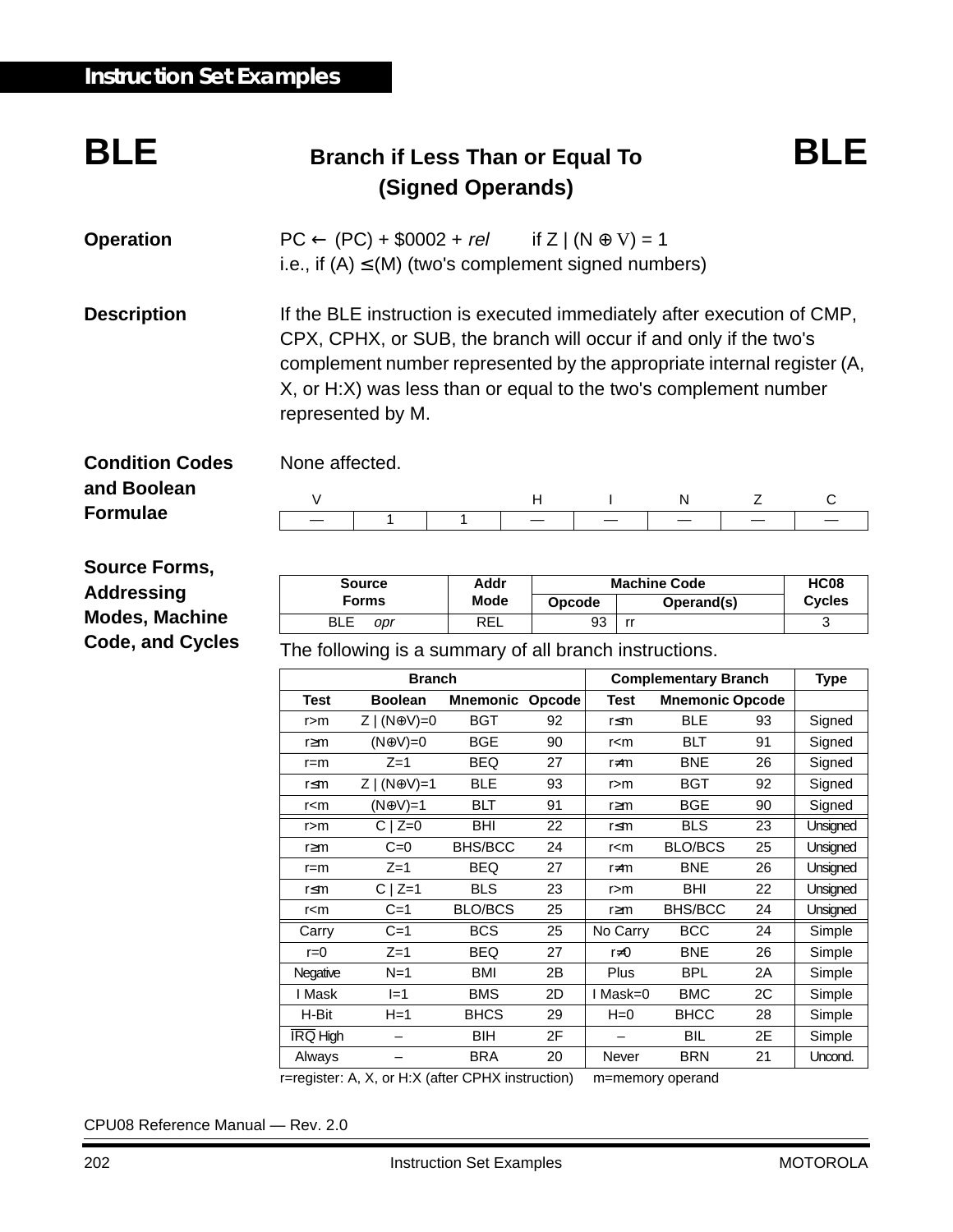<span id="page-201-0"></span>

| <b>BLE</b>                     | <b>Branch if Less Than or Equal To</b><br>(Signed Operands)                                                                                                                                                                                                                                                    |   |                                                                                                                          |    |  |   |   |   |
|--------------------------------|----------------------------------------------------------------------------------------------------------------------------------------------------------------------------------------------------------------------------------------------------------------------------------------------------------------|---|--------------------------------------------------------------------------------------------------------------------------|----|--|---|---|---|
| <b>Operation</b>               |                                                                                                                                                                                                                                                                                                                |   | $PC \leftarrow (PC) + $0002 + rel$ if Z $ (N \oplus V) = 1$<br>i.e., if $(A) \leq (M)$ (two's complement signed numbers) |    |  |   |   |   |
| <b>Description</b>             | If the BLE instruction is executed immediately after execution of CMP,<br>CPX, CPHX, or SUB, the branch will occur if and only if the two's<br>complement number represented by the appropriate internal register (A,<br>X, or H:X) was less than or equal to the two's complement number<br>represented by M. |   |                                                                                                                          |    |  |   |   |   |
| <b>Condition Codes</b>         | None affected.                                                                                                                                                                                                                                                                                                 |   |                                                                                                                          |    |  |   |   |   |
| and Boolean<br><b>Formulae</b> | V                                                                                                                                                                                                                                                                                                              | 1 | 1                                                                                                                        | H. |  | N | Z | C |
|                                |                                                                                                                                                                                                                                                                                                                |   |                                                                                                                          |    |  |   |   |   |
| <b>Source Forms,</b>           |                                                                                                                                                                                                                                                                                                                |   |                                                                                                                          |    |  |   |   |   |

# **Addressing Modes, Machine**

| <b>Source</b>     | Addr |        | <b>Machine Code</b> | <b>HC08</b> |
|-------------------|------|--------|---------------------|-------------|
| <b>Forms</b>      | Mode | Opcode | <b>Cycles</b>       |             |
| <b>BLE</b><br>opr | REL  | 93     | <b>MAG</b>          |             |

**Code, and Cycles** The following is a summary of all branch instructions.

|                 | <b>Branch</b>                                |                 | <b>Complementary Branch</b> |          | <b>Type</b>            |    |          |
|-----------------|----------------------------------------------|-----------------|-----------------------------|----------|------------------------|----|----------|
| <b>Test</b>     | <b>Boolean</b>                               | <b>Mnemonic</b> | <b>Opcode</b>               | Test     | <b>Mnemonic Opcode</b> |    |          |
| r > m           | $Z \mid (N \oplus V) = 0$                    | <b>BGT</b>      | 92                          | r≤m      | <b>BLE</b>             | 93 | Signed   |
| r≥m             | $(N \oplus V) = 0$                           | <b>BGE</b>      | 90                          | r < m    | <b>BLT</b>             | 91 | Signed   |
| $r = m$         | $Z=1$                                        | <b>BEQ</b>      | 27                          | r≠m      | <b>BNE</b>             | 26 | Signed   |
| r≤m             | $Z   (N \oplus V)=1$                         | <b>BLE</b>      | 93                          | r > m    | <b>BGT</b>             | 92 | Signed   |
| r < m           | $(N \oplus V)=1$                             | <b>BLT</b>      | 91                          | r≥m      | <b>BGE</b>             | 90 | Signed   |
| r > m           | $C \mid Z=0$                                 | <b>BHI</b>      | 22                          | r≤m      | <b>BLS</b>             | 23 | Unsigned |
| r≥m             | $C=0$                                        | <b>BHS/BCC</b>  | 24                          | r < m    | <b>BLO/BCS</b>         | 25 | Unsigned |
| $r = m$         | $Z=1$                                        | <b>BEQ</b>      | 27                          | r≠m      | <b>BNE</b>             | 26 | Unsigned |
| r≤m             | $C \mid Z=1$                                 | <b>BLS</b>      | 23                          | r > m    | <b>BHI</b>             | 22 | Unsigned |
| r < m           | $C=1$                                        | <b>BLO/BCS</b>  | 25                          | r≥m      | BHS/BCC                | 24 | Unsigned |
| Carry           | $C=1$                                        | <b>BCS</b>      | 25                          | No Carry | BCC                    | 24 | Simple   |
| $r = 0$         | $Z=1$                                        | <b>BEQ</b>      | 27                          | r≠0      | <b>BNE</b>             | 26 | Simple   |
| Negative        | $N=1$                                        | BMI             | 2B                          | Plus     | <b>BPL</b>             | 2A | Simple   |
| I Mask          | $I=1$                                        | <b>BMS</b>      | 2D                          | I Mask=0 | <b>BMC</b>             | 2C | Simple   |
| H-Bit           | $H = 1$                                      | <b>BHCS</b>     | 29                          | $H=0$    | <b>BHCC</b>            | 28 | Simple   |
| <b>IRQ High</b> |                                              | BIH             | 2F                          |          | BIL                    | 2E | Simple   |
| Always          | $\cdots$ $\cdots$ $\cdots$ $\cdots$ $\cdots$ | <b>BRA</b>      | 20                          | Never    | BRN                    | 21 | Uncond.  |

r=register: A, X, or H:X (after CPHX instruction) m=memory operand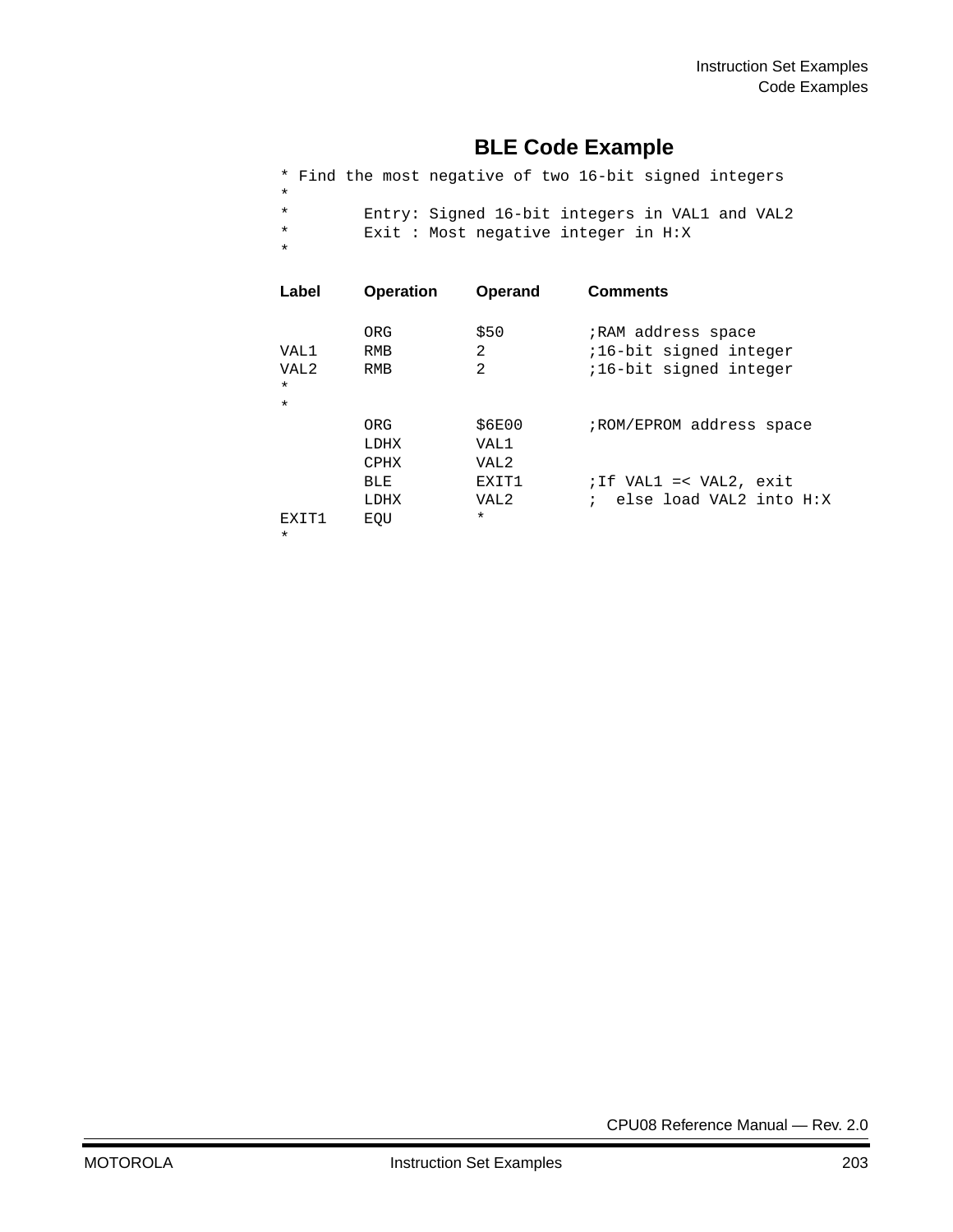### **BLE Code Example**

|         |  | * Find the most negative of two 16-bit signed integers |
|---------|--|--------------------------------------------------------|
| $\star$ |  |                                                        |
| $\star$ |  | Entry: Signed 16-bit integers in VAL1 and VAL2         |
| $\star$ |  | Exit: Most negative integer in $H: X$                  |
|         |  |                                                        |

| Label            | <b>Operation</b> | Operand          | <b>Comments</b>                |
|------------------|------------------|------------------|--------------------------------|
|                  |                  |                  |                                |
|                  | <b>ORG</b>       | \$50             | ; RAM address space            |
| VAL1             | RMB              | $\overline{2}$   | <i>i</i> 16-bit signed integer |
| VAL <sub>2</sub> | <b>RMB</b>       | $\mathfrak{D}$   | ;16-bit signed integer         |
| $\star$          |                  |                  |                                |
| $\star$          |                  |                  |                                |
|                  | ORG              | <b>\$6E00</b>    | ; ROM/EPROM address space      |
|                  | LDHX             | VAL1             |                                |
|                  | <b>CPHX</b>      | VAL <sub>2</sub> |                                |
|                  | BLE              | EXIT1            | ; If VAL1 =< VAL2, exit        |
|                  | LDHX             | VAL2             | else load VAL2 into H:X        |
| EXIT1            | EOU              | $\star$          |                                |
| $\star$          |                  |                  |                                |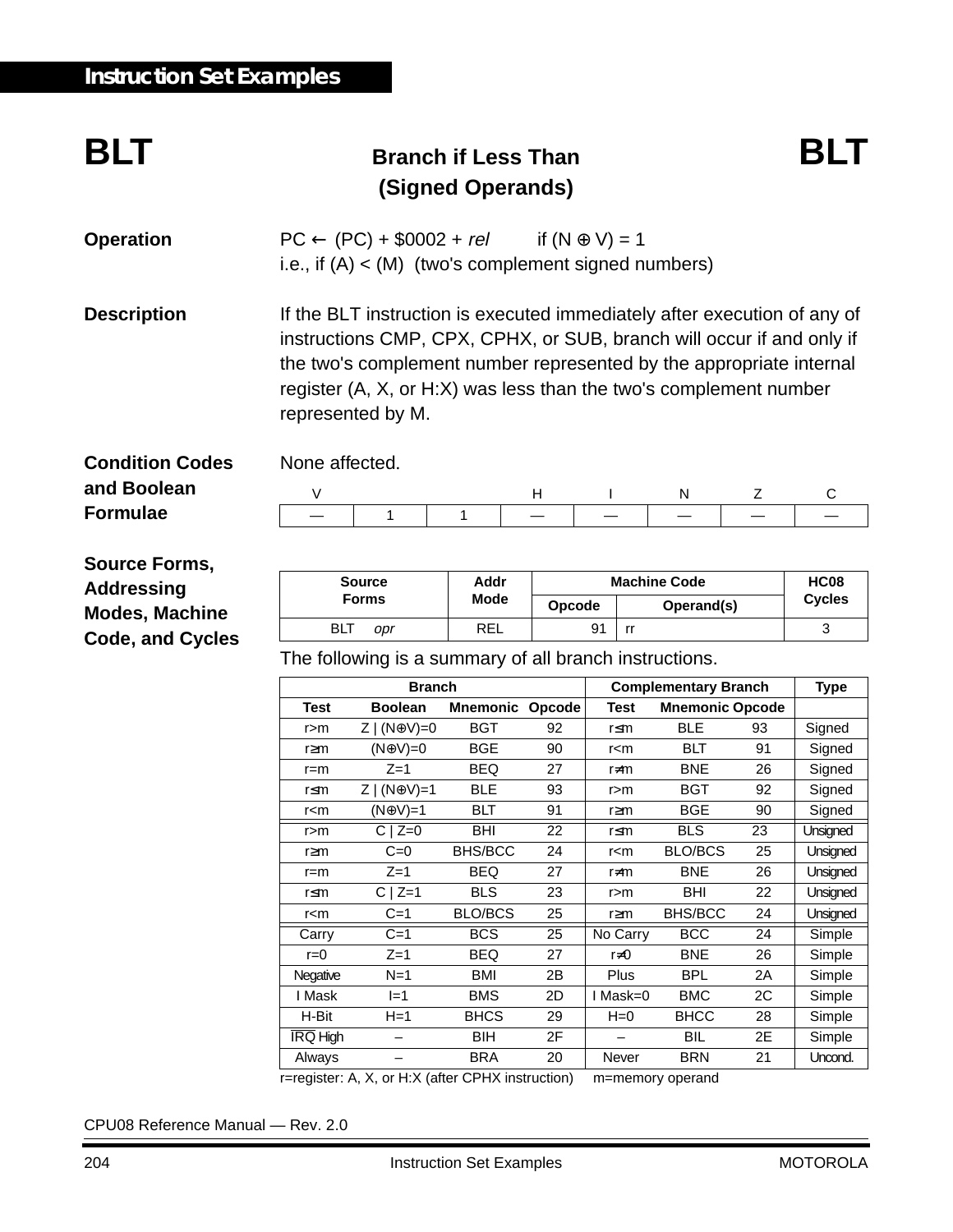<span id="page-203-0"></span>

| BLT                    | <b>Branch if Less Than</b><br>(Signed Operands) |                                                                                                                                                                                                                                                                                                                    |                                                                                                                    |    |  |   |   |   |
|------------------------|-------------------------------------------------|--------------------------------------------------------------------------------------------------------------------------------------------------------------------------------------------------------------------------------------------------------------------------------------------------------------------|--------------------------------------------------------------------------------------------------------------------|----|--|---|---|---|
| <b>Operation</b>       |                                                 |                                                                                                                                                                                                                                                                                                                    | $PC \leftarrow (PC) + $0002 + rel$ if $(N \oplus V) = 1$<br>i.e., if $(A) < (M)$ (two's complement signed numbers) |    |  |   |   |   |
| <b>Description</b>     |                                                 | If the BLT instruction is executed immediately after execution of any of<br>instructions CMP, CPX, CPHX, or SUB, branch will occur if and only if<br>the two's complement number represented by the appropriate internal<br>register (A, X, or H:X) was less than the two's complement number<br>represented by M. |                                                                                                                    |    |  |   |   |   |
| <b>Condition Codes</b> | None affected.                                  |                                                                                                                                                                                                                                                                                                                    |                                                                                                                    |    |  |   |   |   |
| and Boolean            | V                                               |                                                                                                                                                                                                                                                                                                                    |                                                                                                                    | H. |  | N | Z | C |
| <b>Formulae</b>        |                                                 | 1                                                                                                                                                                                                                                                                                                                  | 1                                                                                                                  |    |  |   |   |   |
| <b>Source Forms,</b>   |                                                 |                                                                                                                                                                                                                                                                                                                    |                                                                                                                    |    |  |   |   |   |

**Addressing Modes, Machine Code, and Cycles**

| <b>Source</b>     | Addr       |        | <b>Machine Code</b> | <b>HC08</b> |
|-------------------|------------|--------|---------------------|-------------|
| <b>Forms</b>      | Mode       | Opcode | Cycles              |             |
| <b>BLT</b><br>opr | <b>REL</b> | 91     | <b>PP</b>           |             |

The following is a summary of all branch instructions.

|                 | <b>Branch</b>                                                                                                                                                         |                 |        | <b>Complementary Branch</b> |                        | <b>Type</b> |          |
|-----------------|-----------------------------------------------------------------------------------------------------------------------------------------------------------------------|-----------------|--------|-----------------------------|------------------------|-------------|----------|
| Test            | <b>Boolean</b>                                                                                                                                                        | <b>Mnemonic</b> | Opcode | <b>Test</b>                 | <b>Mnemonic Opcode</b> |             |          |
| r > m           | $Z \mid (N \oplus V) = 0$                                                                                                                                             | <b>BGT</b>      | 92     | $r \leq m$                  | <b>BLE</b>             | 93          | Signed   |
| r≥m             | $(N \oplus V) = 0$                                                                                                                                                    | <b>BGE</b>      | 90     | r < m                       | <b>BLT</b>             | 91          | Signed   |
| $r = m$         | $Z=1$                                                                                                                                                                 | BEQ.            | 27     | r≠m                         | <b>BNE</b>             | 26          | Signed   |
| r≤m             | $Z   (N \oplus V)=1$                                                                                                                                                  | <b>BLE</b>      | 93     | r > m                       | BGT                    | 92          | Signed   |
| r < m           | $(N \oplus V)=1$                                                                                                                                                      | <b>BLT</b>      | 91     | $r \geq m$                  | <b>BGE</b>             | 90          | Signed   |
| r > m           | $C \mid Z=0$                                                                                                                                                          | BHI             | 22     | $r \leq m$                  | <b>BLS</b>             | 23          | Unsigned |
| r≥m             | $C=0$                                                                                                                                                                 | <b>BHS/BCC</b>  | 24     | r < m                       | <b>BLO/BCS</b>         | 25          | Unsigned |
| $r = m$         | $Z=1$                                                                                                                                                                 | BEQ.            | 27     | r≠m                         | <b>BNE</b>             | 26          | Unsigned |
| r≤m             | $C   Z=1$                                                                                                                                                             | <b>BLS</b>      | 23     | r > m                       | <b>BHI</b>             | 22          | Unsigned |
| r < m           | $C=1$                                                                                                                                                                 | <b>BLO/BCS</b>  | 25     | $r \geq m$                  | BHS/BCC                | 24          | Unsigned |
| Carry           | $C=1$                                                                                                                                                                 | <b>BCS</b>      | 25     | No Carry                    | <b>BCC</b>             | 24          | Simple   |
| $r=0$           | $Z=1$                                                                                                                                                                 | BEQ.            | 27     | r≠0                         | <b>BNE</b>             | 26          | Simple   |
| Negative        | $N=1$                                                                                                                                                                 | <b>BMI</b>      | 2B     | <b>Plus</b>                 | <b>BPL</b>             | 2A          | Simple   |
| I Mask          | $I=1$                                                                                                                                                                 | <b>BMS</b>      | 2D     | I Mask=0                    | <b>BMC</b>             | 2C          | Simple   |
| H-Bit           | $H=1$                                                                                                                                                                 | <b>BHCS</b>     | 29     | $H=0$                       | <b>BHCC</b>            | 28          | Simple   |
| <b>IRQ High</b> |                                                                                                                                                                       | BIH             | 2F     |                             | BIL                    | 2E          | Simple   |
| Always          | $\mathbf{a}$ and $\mathbf{A}$ and $\mathbf{A}$ are $\mathbf{A}$ and $\mathbf{A}$ and $\mathbf{A}$ are $\mathbf{A}$ and $\mathbf{A}$ and $\mathbf{A}$ are $\mathbf{A}$ | <b>BRA</b>      | 20     | Never                       | <b>BRN</b>             | 21          | Uncond.  |

r=register: A, X, or H:X (after CPHX instruction) m=memory operand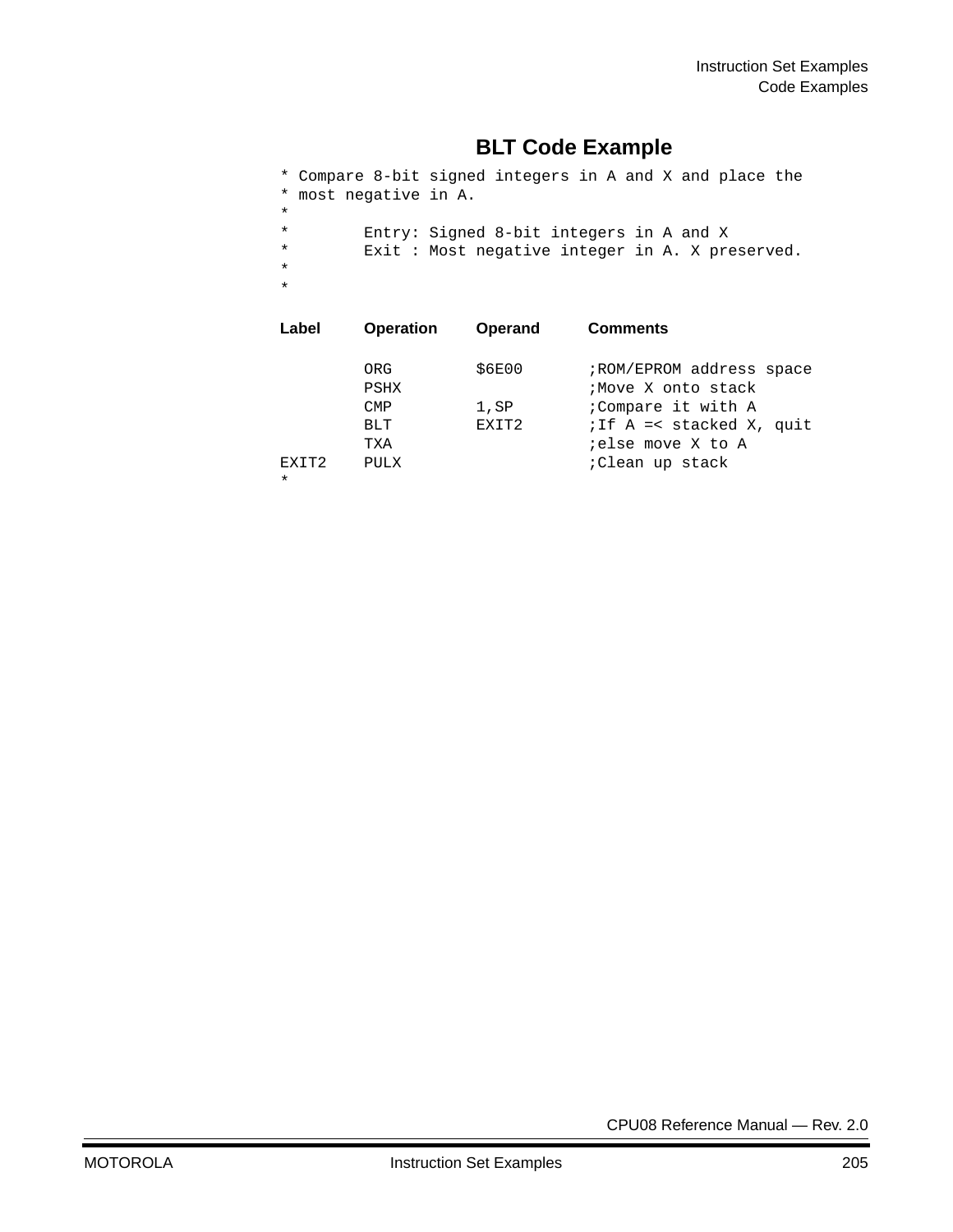#### **BLT Code Example**

```
* Compare 8-bit signed integers in A and X and place the
* most negative in A.
*
* Entry: Signed 8-bit integers in A and X
* Exit : Most negative integer in A. X preserved.
*
*
Label Operation Operand Comments
```

|                   | <b>ORG</b> | <b>\$6E00</b>     | ; ROM/EPROM address space   |
|-------------------|------------|-------------------|-----------------------------|
|                   | PSHX       |                   | Move X onto stack           |
|                   | <b>CMP</b> | 1.SP              | :Compare it with A          |
|                   | <b>BLT</b> | EXTT <sub>2</sub> | $I$ if A =< stacked X, quit |
|                   | TXA        |                   | <i>i</i> else move X to A   |
| EXTT <sub>2</sub> | PULX       |                   | :Clean up stack             |
| $\star$           |            |                   |                             |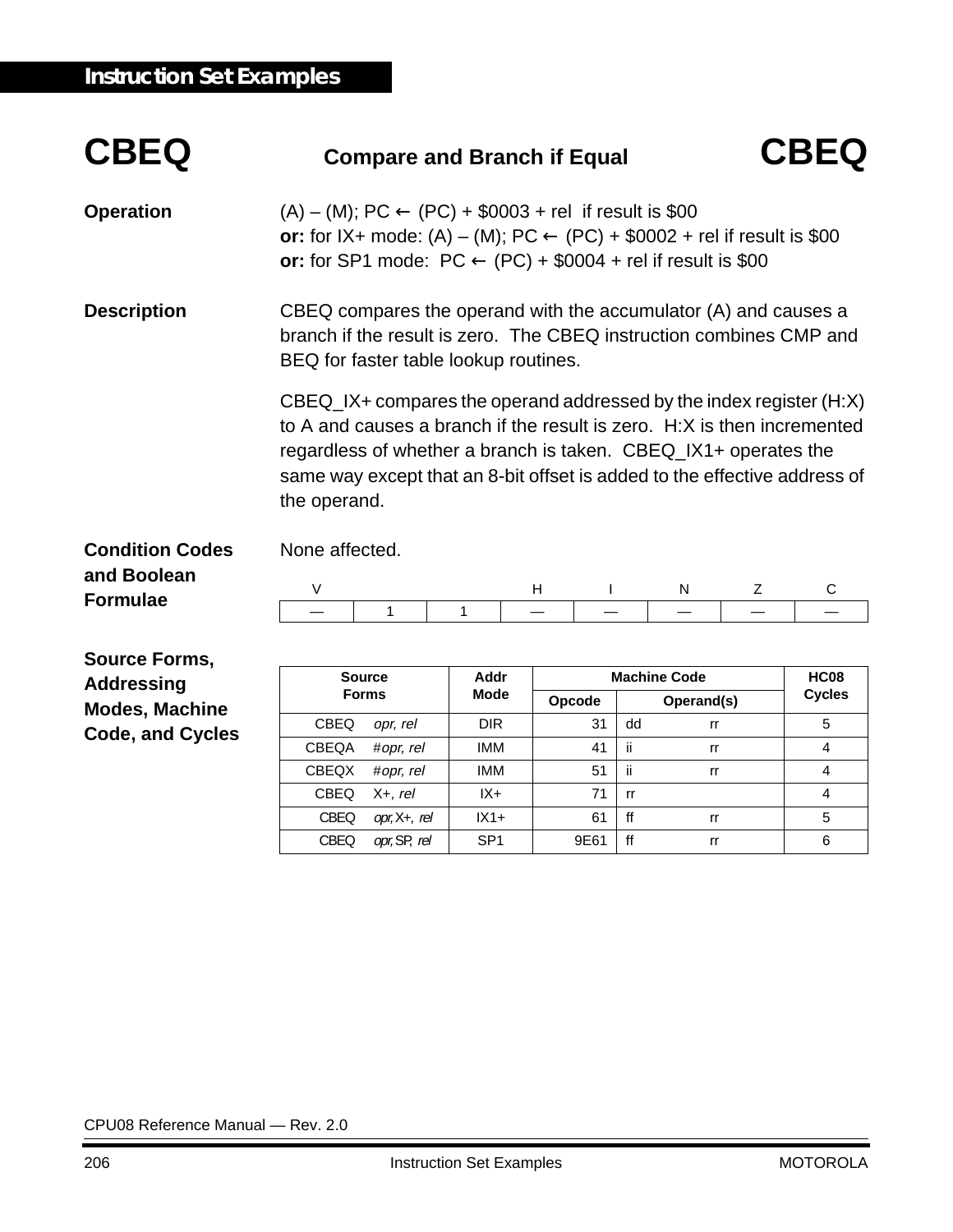<span id="page-205-0"></span>

| <b>CBEQ</b>                    |                                                                                                                                                                                                                                                                                                                  | <b>Compare and Branch if Equal</b> |   |    |  |   |   | <b>CBEQ</b> |  |
|--------------------------------|------------------------------------------------------------------------------------------------------------------------------------------------------------------------------------------------------------------------------------------------------------------------------------------------------------------|------------------------------------|---|----|--|---|---|-------------|--|
| <b>Operation</b>               | $(A) - (M)$ ; PC $\leftarrow$ (PC) + \$0003 + rel if result is \$00<br>or: for IX+ mode: (A) – (M); PC $\leftarrow$ (PC) + \$0002 + rel if result is \$00<br>or: for SP1 mode: $PC \leftarrow (PC) + $0004 + rel$ if result is \$00                                                                              |                                    |   |    |  |   |   |             |  |
| <b>Description</b>             | CBEQ compares the operand with the accumulator (A) and causes a<br>branch if the result is zero. The CBEQ instruction combines CMP and<br>BEQ for faster table lookup routines.                                                                                                                                  |                                    |   |    |  |   |   |             |  |
|                                | CBEQ_IX+ compares the operand addressed by the index register $(H:X)$<br>to A and causes a branch if the result is zero. H:X is then incremented<br>regardless of whether a branch is taken. CBEQ_IX1+ operates the<br>same way except that an 8-bit offset is added to the effective address of<br>the operand. |                                    |   |    |  |   |   |             |  |
| <b>Condition Codes</b>         | None affected.                                                                                                                                                                                                                                                                                                   |                                    |   |    |  |   |   |             |  |
| and Boolean<br><b>Formulae</b> | V                                                                                                                                                                                                                                                                                                                |                                    |   | H. |  | N | Z | C           |  |
|                                |                                                                                                                                                                                                                                                                                                                  | 1                                  | 1 |    |  |   |   |             |  |
| <b>Source Forms</b>            |                                                                                                                                                                                                                                                                                                                  |                                    |   |    |  |   |   |             |  |

**Source Forms, Addressing Modes, Machine Code, and Cycles**

| <b>Source</b> |              | Addr            | <b>Machine Code</b> | <b>HC08</b> |            |               |
|---------------|--------------|-----------------|---------------------|-------------|------------|---------------|
|               | <b>Forms</b> | <b>Mode</b>     | Opcode              |             | Operand(s) | <b>Cycles</b> |
| <b>CBEQ</b>   | opr, rel     | <b>DIR</b>      | 31                  | dd          | rr         | 5             |
| <b>CBEQA</b>  | #opr, rel    | <b>IMM</b>      | 41                  | ii          | rr         | 4             |
| <b>CBEQX</b>  | #opr, rel    | <b>IMM</b>      | 51                  | ii          | rr         | 4             |
| <b>CBEQ</b>   | $X +$ , rel  | $IX +$          | 71                  | rr          |            | 4             |
| <b>CBEQ</b>   | opr, X+, rel | $IX1+$          | 61                  | ff          | rr         | 5             |
| <b>CBEQ</b>   | opr, SP, rel | SP <sub>1</sub> | 9E61                | ff          | rr         | 6             |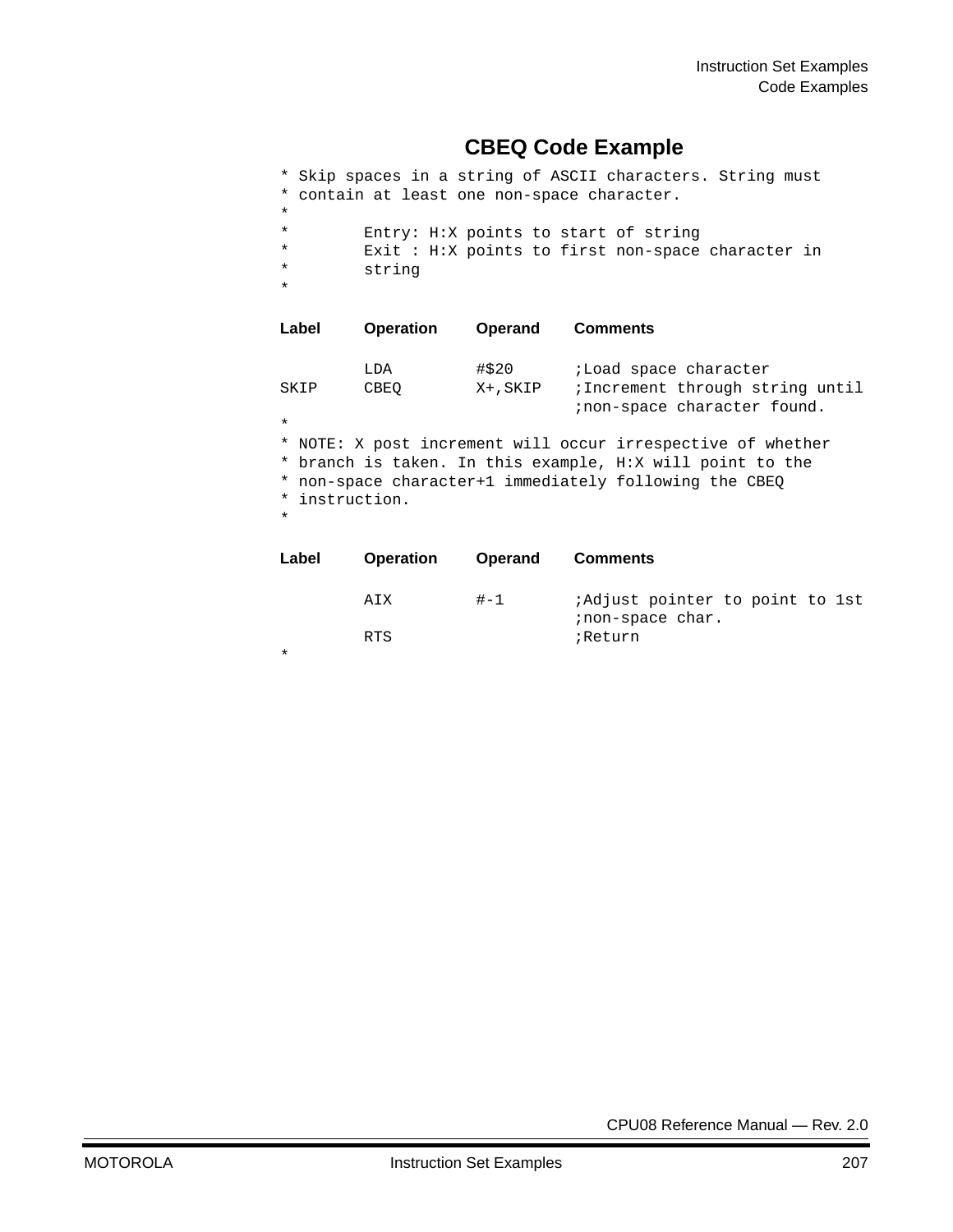### **CBEQ Code Example**

| $\star$<br>$\ast$<br>$\ast$<br>$\star$<br>¥ | string           |                  | * Skip spaces in a string of ASCII characters. String must<br>* contain at least one non-space character.<br>Entry: H:X points to start of string<br>Exit: H:X points to first non-space character in |
|---------------------------------------------|------------------|------------------|-------------------------------------------------------------------------------------------------------------------------------------------------------------------------------------------------------|
| Label                                       | <b>Operation</b> | Operand          | <b>Comments</b>                                                                                                                                                                                       |
| SKIP<br>$\star$                             | LDA<br>CBEQ      | #\$20<br>X+,SKIP | <i>i</i> Load space character<br>; Increment through string until<br>inon-space character found.                                                                                                      |
| * instruction.<br>$\star$                   |                  |                  | * NOTE: X post increment will occur irrespective of whether<br>* branch is taken. In this example, H:X will point to the<br>* non-space character+1 immediately following the CBEQ                    |
| Label                                       | <b>Operation</b> | Operand          | <b>Comments</b>                                                                                                                                                                                       |
|                                             | AIX              | $# - 1$          | <i>i</i> Adjust pointer to point to 1st<br>; non-space char.                                                                                                                                          |

RTS ;Return

\*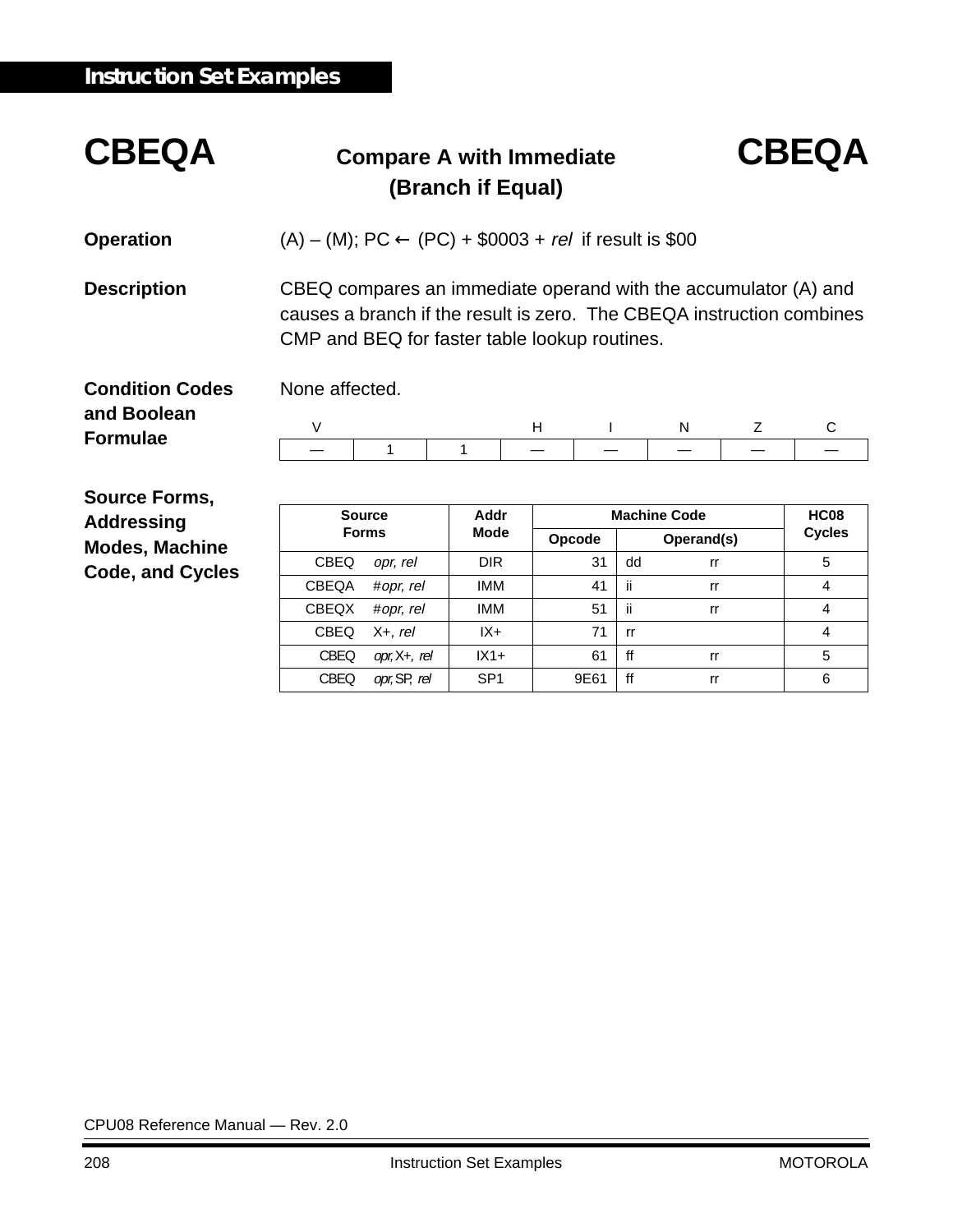**Modes, Machine Code, and Cycles**

<span id="page-207-0"></span>

| <b>CBEQA</b>                              | <b>Compare A with Immediate</b><br>(Branch if Equal) |                                                                                                                                                                                           |             |   |  |                     |   | <b>CBEQA</b>             |  |  |
|-------------------------------------------|------------------------------------------------------|-------------------------------------------------------------------------------------------------------------------------------------------------------------------------------------------|-------------|---|--|---------------------|---|--------------------------|--|--|
| <b>Operation</b>                          |                                                      | $(A) - (M)$ ; PC $\leftarrow$ (PC) + \$0003 + <i>rel</i> if result is \$00                                                                                                                |             |   |  |                     |   |                          |  |  |
| <b>Description</b>                        |                                                      | CBEQ compares an immediate operand with the accumulator (A) and<br>causes a branch if the result is zero. The CBEQA instruction combines<br>CMP and BEQ for faster table lookup routines. |             |   |  |                     |   |                          |  |  |
| <b>Condition Codes</b><br>and Boolean     | None affected.                                       |                                                                                                                                                                                           |             | H |  |                     |   |                          |  |  |
| <b>Formulae</b>                           | V                                                    | 1                                                                                                                                                                                         | 1           |   |  | N                   | Z | C                        |  |  |
| <b>Source Forms,</b><br><b>Addressing</b> |                                                      | <b>Source</b><br>Easman.                                                                                                                                                                  | Addr<br>--- |   |  | <b>Machine Code</b> |   | HC <sub>08</sub><br>O(1) |  |  |

|              | <b>Source</b> | Addr            |        | <b>Machine Code</b> | <b>HC08</b> |               |
|--------------|---------------|-----------------|--------|---------------------|-------------|---------------|
|              | <b>Forms</b>  | <b>Mode</b>     | Opcode |                     | Operand(s)  | <b>Cycles</b> |
| <b>CBEQ</b>  | opr, rel      | <b>DIR</b>      | 31     | dd                  | rr          | 5             |
| <b>CBEQA</b> | #opr, rel     | <b>IMM</b>      | 41     | ii                  | rr          | 4             |
| <b>CBEQX</b> | #opr, rel     | <b>IMM</b>      | 51     | ji                  | rr          |               |
| <b>CBEQ</b>  | X+, rel       | IX+             | 71     | rr                  |             | 4             |
| <b>CBEQ</b>  | opr, X+, rel  | $IX1+$          | 61     | ff                  | rr          | 5             |
| <b>CBEQ</b>  | opr, SP, rel  | SP <sub>1</sub> | 9E61   | ff                  | rr          | 6             |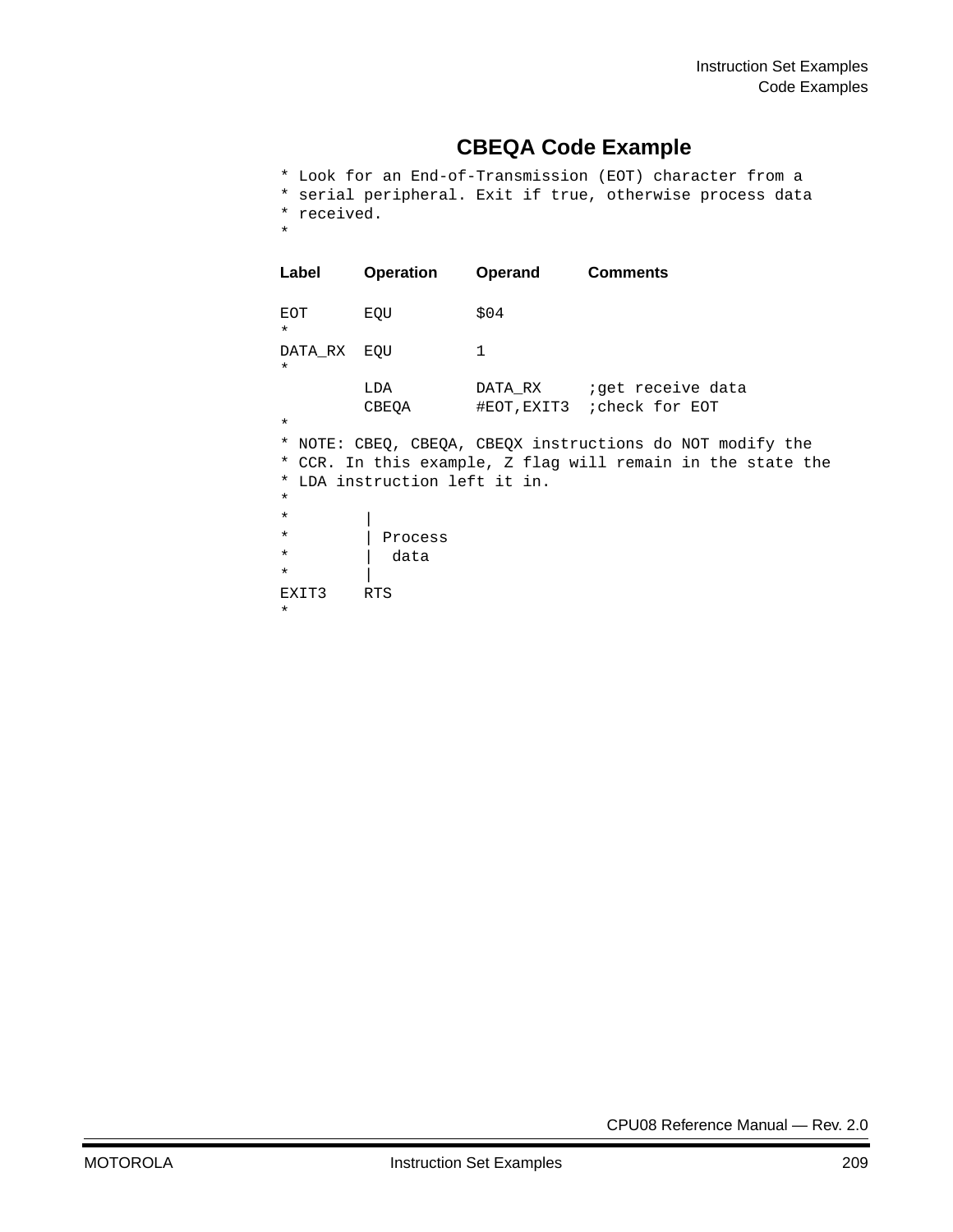#### **CBEQA Code Example**

\* Look for an End-of-Transmission (EOT) character from a

\* serial peripheral. Exit if true, otherwise process data

```
* received.
```

| <b>CONTRACTOR</b> |  |  |
|-------------------|--|--|
|                   |  |  |

| Operation | Operand      | <b>Comments</b>                                             |
|-----------|--------------|-------------------------------------------------------------|
| EQU       | \$04         |                                                             |
| EOU       | $\mathbf{1}$ |                                                             |
| LDA       |              | DATA RX <i>j</i> qet receive data                           |
| CBEQA     |              | #EOT, EXIT3 : check for EOT                                 |
|           |              |                                                             |
|           |              | NOTE: CBEQ, CBEQA, CBEQX instructions do NOT modify the     |
|           |              | * CCR. In this example, Z flaq will remain in the state the |
|           |              |                                                             |
|           |              |                                                             |
|           |              |                                                             |
| Process   |              |                                                             |
| data      |              |                                                             |
|           |              |                                                             |
| RTS       |              |                                                             |
|           |              |                                                             |
|           |              | LDA instruction left it in.                                 |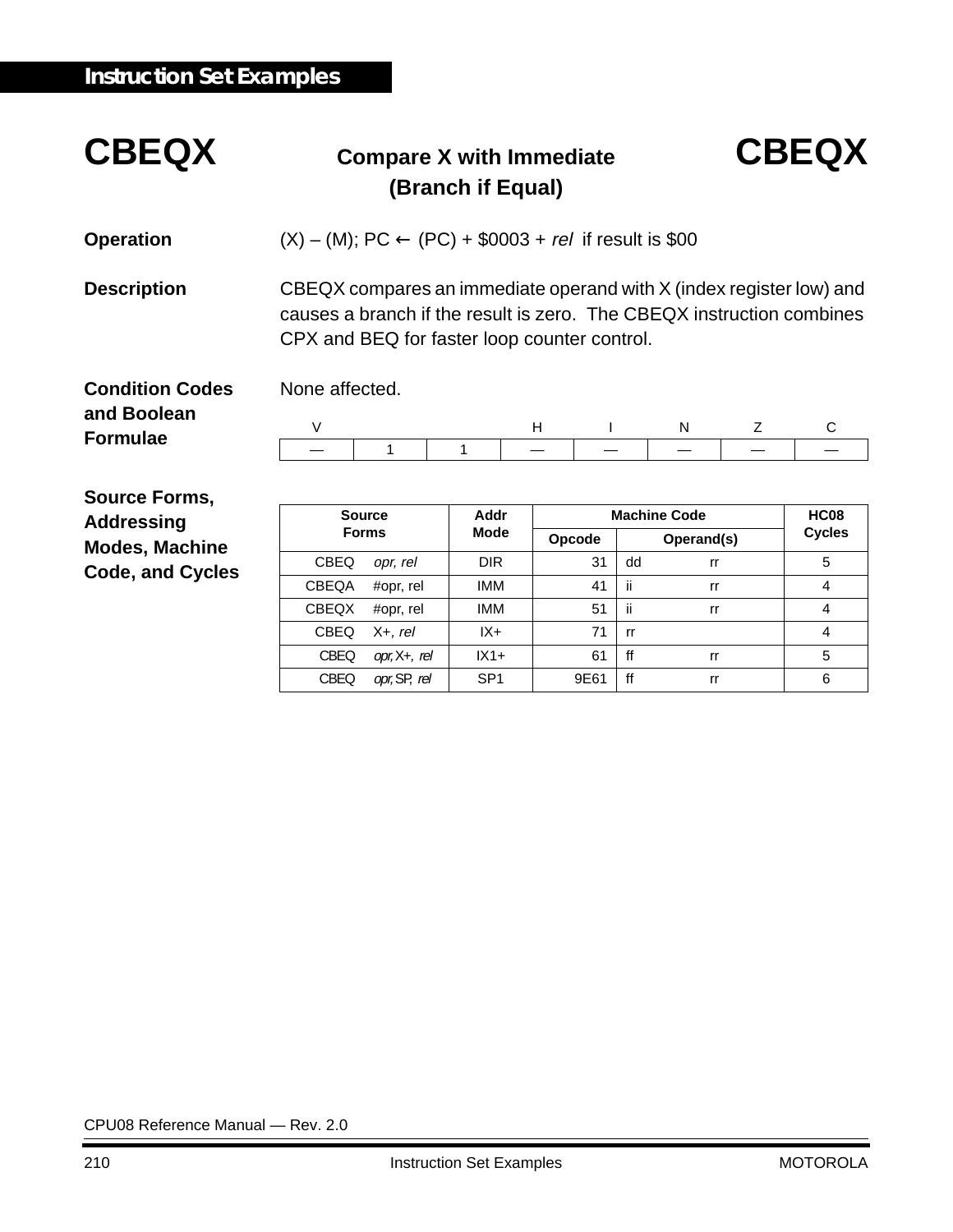**Modes, Machine Code, and Cycles**

<span id="page-209-0"></span>

| <b>CBEQX</b>                                        | <b>Compare X with Immediate</b><br>(Branch if Equal) |                                                                                                                                                                                              |              |   |                                             |   |   | <b>CBEQX</b>                 |  |  |
|-----------------------------------------------------|------------------------------------------------------|----------------------------------------------------------------------------------------------------------------------------------------------------------------------------------------------|--------------|---|---------------------------------------------|---|---|------------------------------|--|--|
| <b>Operation</b>                                    |                                                      | $(X) - (M)$ ; PC $\leftarrow$ (PC) + \$0003 + <i>rel</i> if result is \$00                                                                                                                   |              |   |                                             |   |   |                              |  |  |
| <b>Description</b>                                  |                                                      | CBEQX compares an immediate operand with X (index register low) and<br>causes a branch if the result is zero. The CBEQX instruction combines<br>CPX and BEQ for faster loop counter control. |              |   |                                             |   |   |                              |  |  |
| <b>Condition Codes</b>                              | None affected.                                       |                                                                                                                                                                                              |              |   |                                             |   |   |                              |  |  |
| and Boolean<br><b>Formulae</b>                      | V                                                    |                                                                                                                                                                                              |              | H |                                             | N | Z | C                            |  |  |
|                                                     |                                                      | 1                                                                                                                                                                                            | 1            |   |                                             |   |   |                              |  |  |
| <b>Source Forms,</b><br>Addressing<br>Madoc Moobino | <b>Source</b><br><b>Forms</b>                        |                                                                                                                                                                                              | Addr<br>Mode |   | <b>Machine Code</b><br>Opcode<br>Operand(s) |   |   | <b>HC08</b><br><b>Cycles</b> |  |  |

CBEQ *opr, rel* | DIR | 31 | dd rr | 5 CBEQA #opr, rel | IMM | 41 | ii rr | 4 CBEQX #opr, rel IMM 51 ii rr 4 CBEQ X+*, rel* | IX+ | 71 | rr | 4 CBEQ *opr*, X+, rel  $|$  IX1+ 61 ff rr 5 CBEQ *opr*, SP, rel SP1 9E61 ff rr 6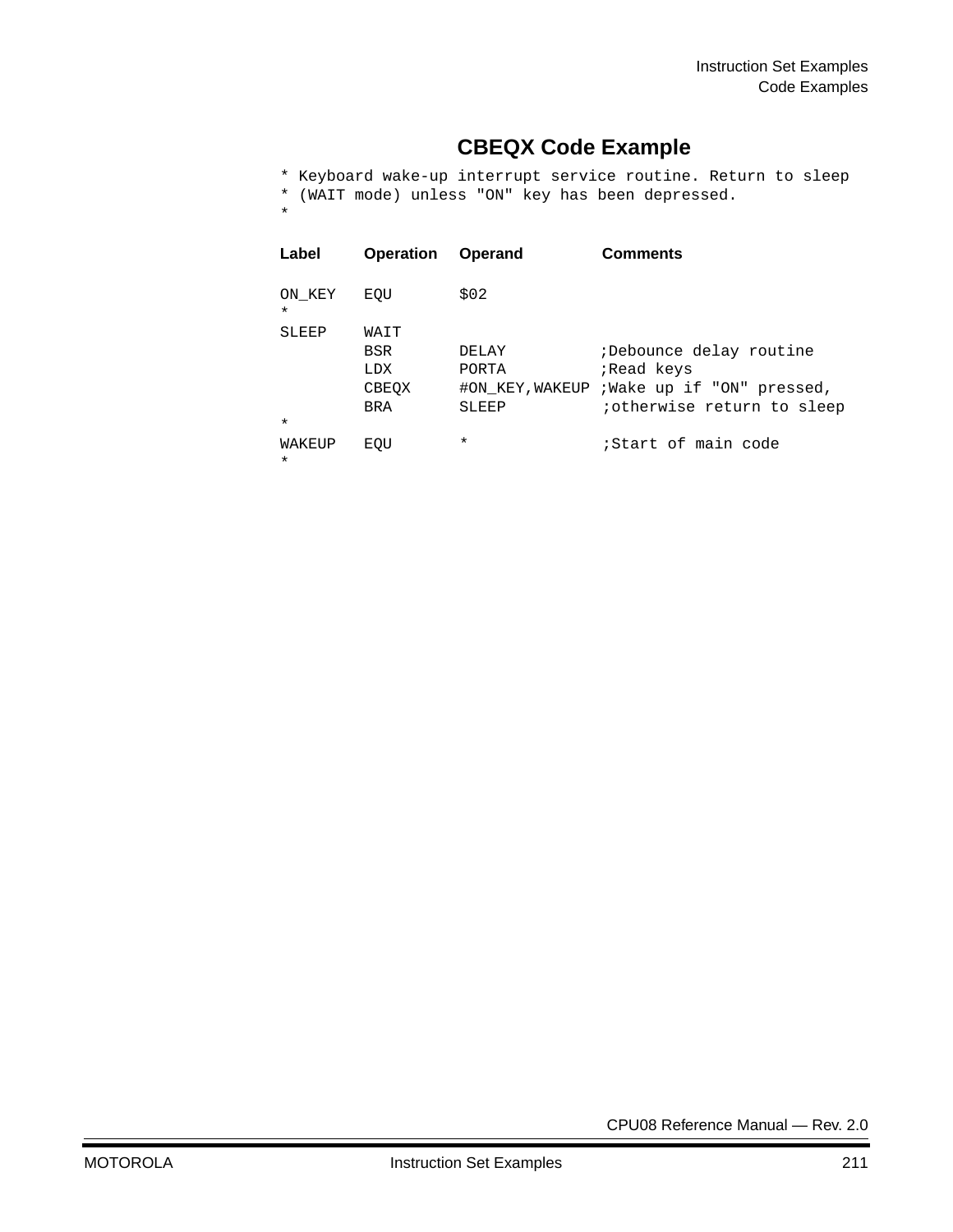### **CBEQX Code Example**

\* Keyboard wake-up interrupt service routine. Return to sleep

\* (WAIT mode) unless "ON" key has been depressed.

\*

| Label                        | <b>Operation</b>                          | Operand                                           | <b>Comments</b>                                                                                         |  |  |  |  |
|------------------------------|-------------------------------------------|---------------------------------------------------|---------------------------------------------------------------------------------------------------------|--|--|--|--|
| ON KEY<br>$\ast$             | EOU                                       | \$02                                              |                                                                                                         |  |  |  |  |
| SLEEP                        | WAIT<br>BSR<br><b>LDX</b><br>CBEOX<br>BRA | DELAY<br>PORTA<br>#ON KEY, WAKEUP<br><b>SLEEP</b> | Debounce delay routine<br>;Read keys<br>;Wake up if "ON" pressed,<br><i>i</i> otherwise return to sleep |  |  |  |  |
| $\star$<br>WAKEUP<br>$\star$ | EOU                                       | $\star$                                           | ;Start of main code                                                                                     |  |  |  |  |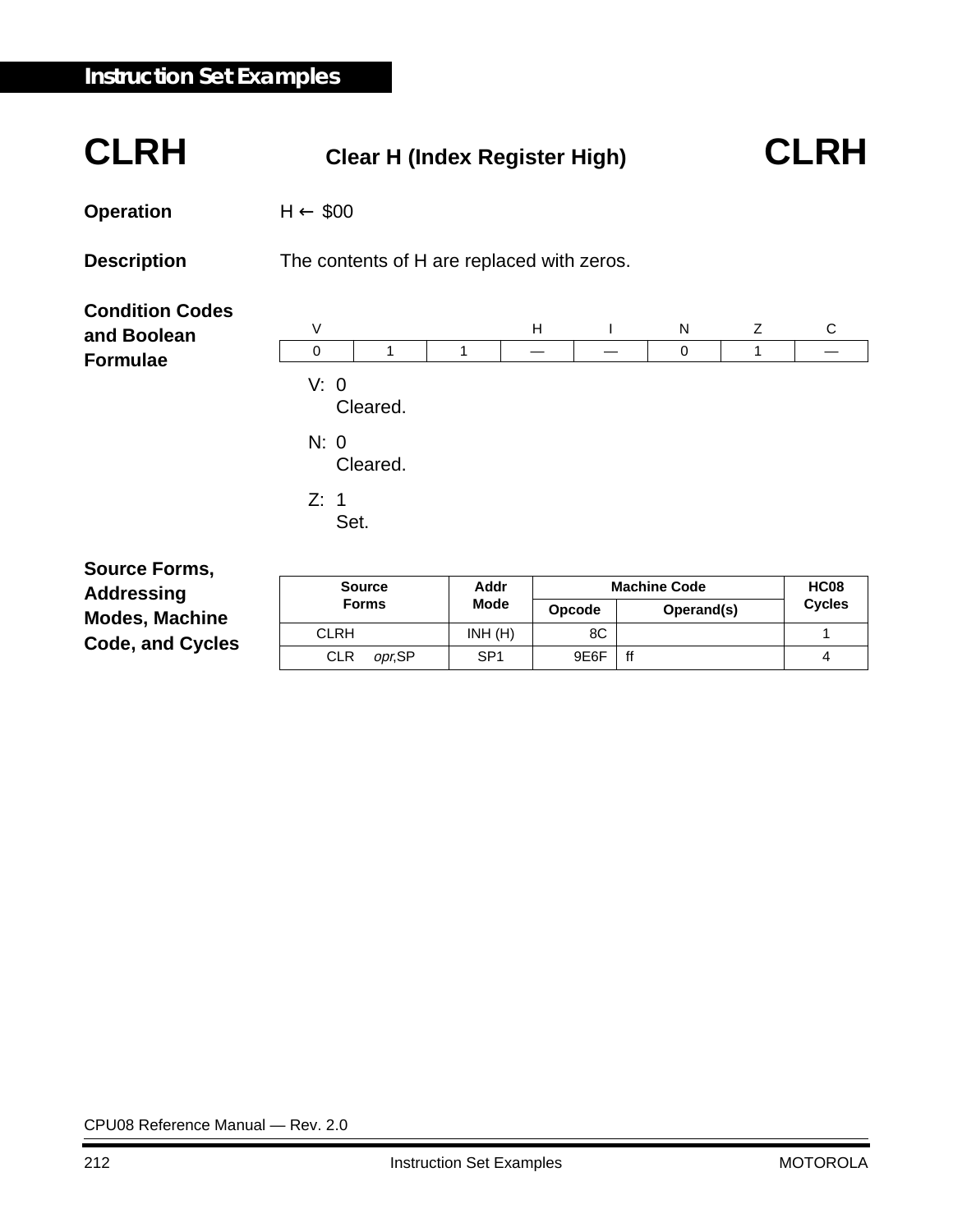<span id="page-211-0"></span>

| <b>CLRH</b>                                                                           |                                            |                                   | <b>Clear H (Index Register High)</b> |   |        |    |                                   |        | <b>CLRH</b>                       |
|---------------------------------------------------------------------------------------|--------------------------------------------|-----------------------------------|--------------------------------------|---|--------|----|-----------------------------------|--------|-----------------------------------|
| <b>Operation</b>                                                                      | $H \leftarrow $00$                         |                                   |                                      |   |        |    |                                   |        |                                   |
| <b>Description</b>                                                                    | The contents of H are replaced with zeros. |                                   |                                      |   |        |    |                                   |        |                                   |
| <b>Condition Codes</b><br>and Boolean<br><b>Formulae</b>                              | V<br>$\mathbf 0$<br>V: 0<br>N: 0<br>Z: 1   | 1<br>Cleared.<br>Cleared.<br>Set. | 1                                    | H |        | I. | N<br>$\mathbf 0$                  | Z<br>1 | $\mathsf C$<br>—                  |
| <b>Source Forms,</b><br><b>Addressing</b><br><b>Modes, Machine</b><br>Casta and Custa | <b>CLRH</b>                                | <b>Source</b><br><b>Forms</b>     | Addr<br><b>Mode</b><br>INH(H)        |   | Opcode | 8C | <b>Machine Code</b><br>Operand(s) |        | <b>HC08</b><br><b>Cycles</b><br>1 |

CLR *opr*,SP | SP1 | 9E6F | ff | 4

**Code, and Cycles**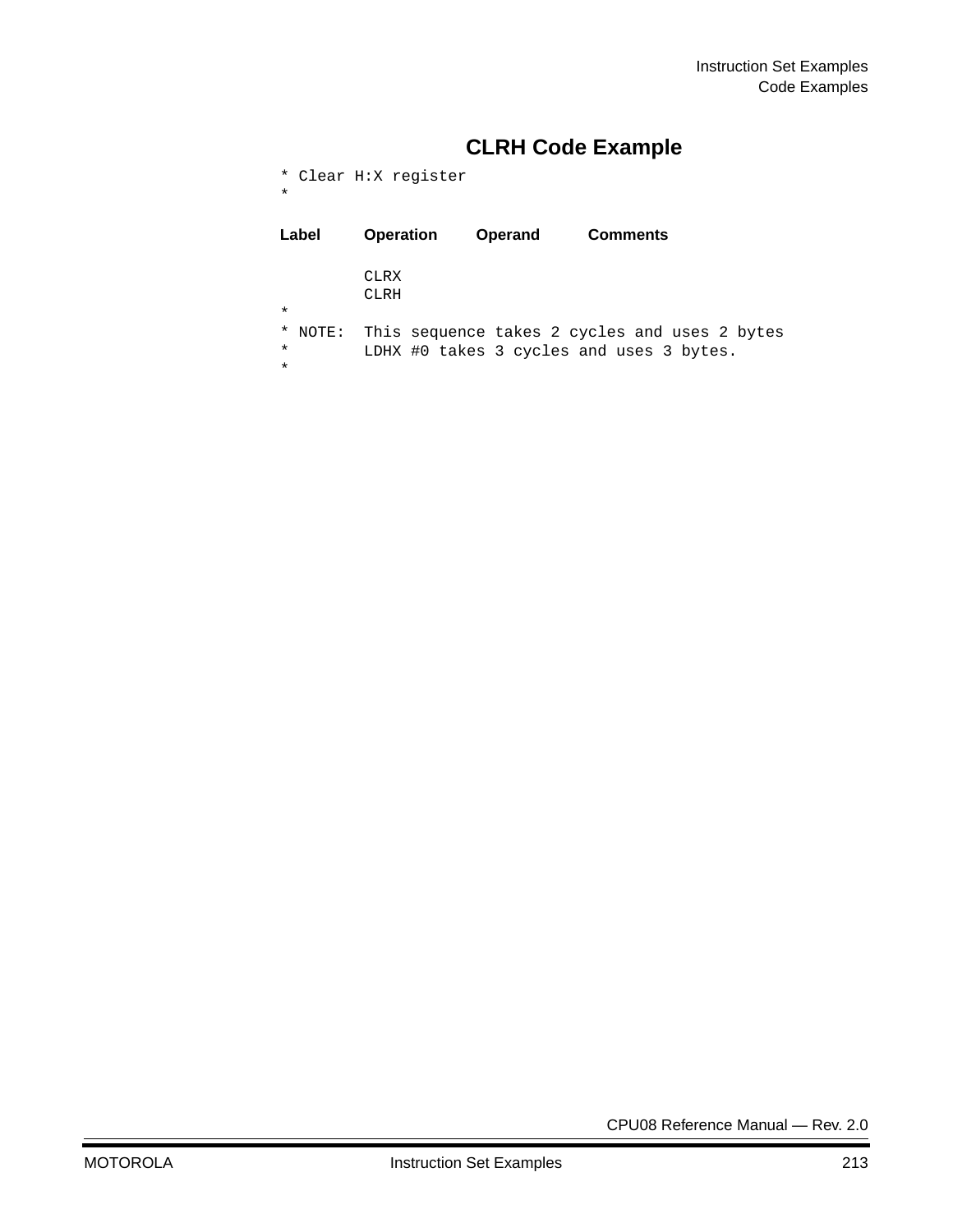### **CLRH Code Example**

- \* Clear H:X register
- \*

| Label            | <b>Operation</b> | Operand | <b>Comments</b>                               |  |
|------------------|------------------|---------|-----------------------------------------------|--|
| $\star$          | CLRX<br>CLRH     |         |                                               |  |
| $\star$<br>NOTE: |                  |         | This sequence takes 2 cycles and uses 2 bytes |  |
| $\star$          |                  |         | LDHX #0 takes 3 cycles and uses 3 bytes.      |  |
| $\ast$           |                  |         |                                               |  |

 $\equiv$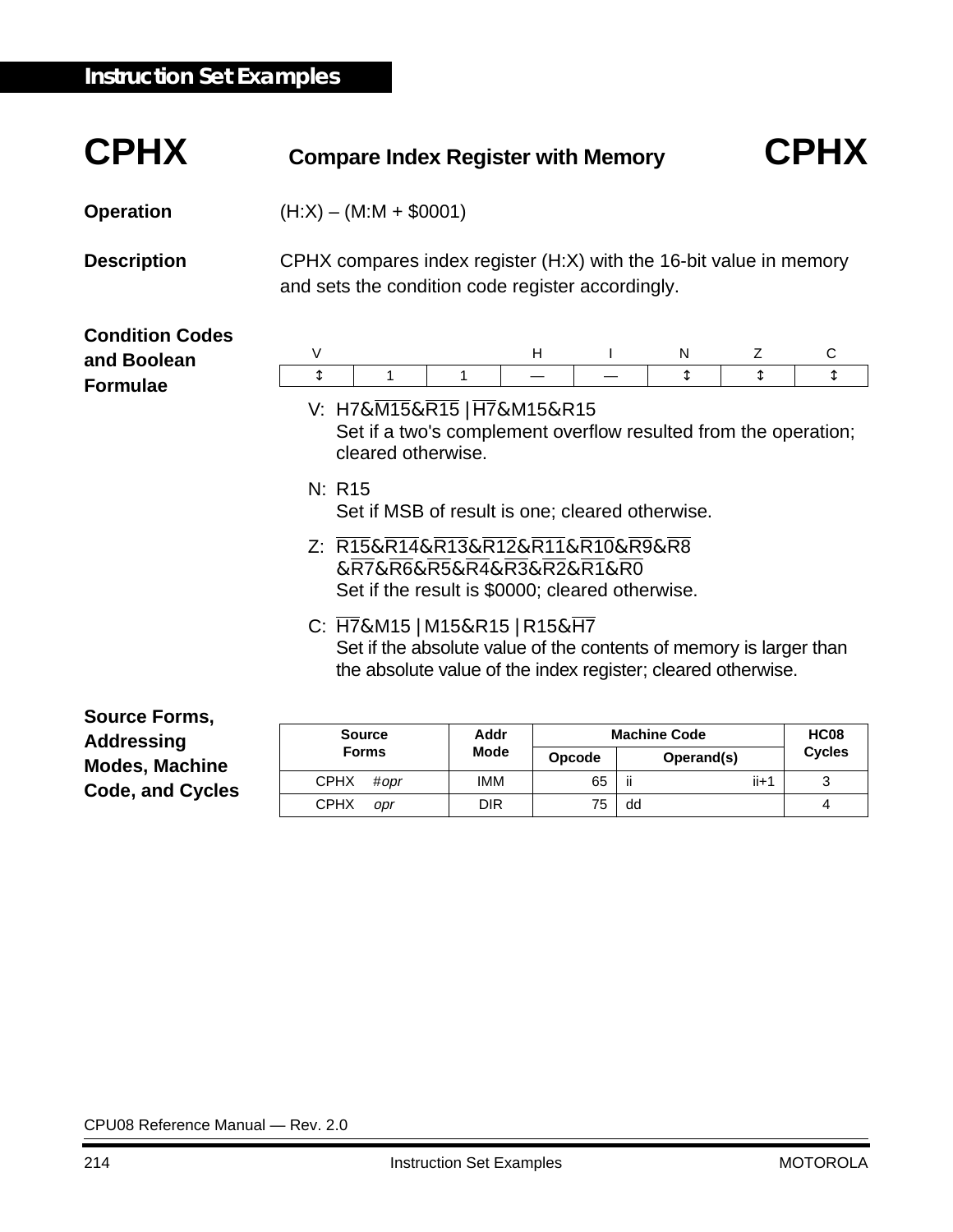### <span id="page-213-0"></span>**Instruction Set Examples**

| <b>CPHX</b>                                              | <b>CPHX</b><br><b>Compare Index Register with Memory</b>                                                                                                                                                                                                                                                          |              |                     |   |                                             |                     |                     |                                    |
|----------------------------------------------------------|-------------------------------------------------------------------------------------------------------------------------------------------------------------------------------------------------------------------------------------------------------------------------------------------------------------------|--------------|---------------------|---|---------------------------------------------|---------------------|---------------------|------------------------------------|
| <b>Operation</b>                                         | $(H:X) - (M:M + $0001)$                                                                                                                                                                                                                                                                                           |              |                     |   |                                             |                     |                     |                                    |
| <b>Description</b>                                       | CPHX compares index register (H:X) with the 16-bit value in memory<br>and sets the condition code register accordingly.                                                                                                                                                                                           |              |                     |   |                                             |                     |                     |                                    |
| <b>Condition Codes</b><br>and Boolean<br><b>Formulae</b> | V<br>$\updownarrow$                                                                                                                                                                                                                                                                                               | $\mathbf{1}$ | 1                   | H |                                             | N<br>$\updownarrow$ | Ζ<br>$\updownarrow$ | $\mathsf C$<br>$\ddot{\downarrow}$ |
|                                                          | V: H7&M15&R15   H7&M15&R15<br>Set if a two's complement overflow resulted from the operation;<br>cleared otherwise.                                                                                                                                                                                               |              |                     |   |                                             |                     |                     |                                    |
|                                                          | N: R15<br>Set if MSB of result is one; cleared otherwise.                                                                                                                                                                                                                                                         |              |                     |   |                                             |                     |                     |                                    |
|                                                          | Z: R15&R14&R13&R12&R11&R10&R9&R8<br>&R7&R6&R5&R4&R3&R2&R1&R0<br>Set if the result is \$0000; cleared otherwise.<br>C: $\overline{H7}$ &M15   M15&R15   R15& $\overline{H7}$<br>Set if the absolute value of the contents of memory is larger than<br>the absolute value of the index register; cleared otherwise. |              |                     |   |                                             |                     |                     |                                    |
|                                                          |                                                                                                                                                                                                                                                                                                                   |              |                     |   |                                             |                     |                     |                                    |
| <b>Source Forms,</b>                                     |                                                                                                                                                                                                                                                                                                                   |              |                     |   |                                             |                     |                     |                                    |
| <b>Addressing</b><br><b>Modes, Machine</b>               | <b>Source</b><br><b>Forms</b>                                                                                                                                                                                                                                                                                     |              | Addr<br><b>Mode</b> |   | <b>Machine Code</b><br>Opcode<br>Operand(s) |                     |                     | <b>HC08</b><br><b>Cycles</b>       |
| <b>Code, and Cycles</b>                                  | <b>CPHX</b>                                                                                                                                                                                                                                                                                                       | #opr         | IMM                 |   | 65                                          | ii                  | $ii+1$              | 3                                  |
|                                                          | $\sim$ $\sim$                                                                                                                                                                                                                                                                                                     |              | $\mathbf{m}$        |   | $\overline{\phantom{a}}$                    | . .                 |                     |                                    |

CPHX *opr* DIR 75 dd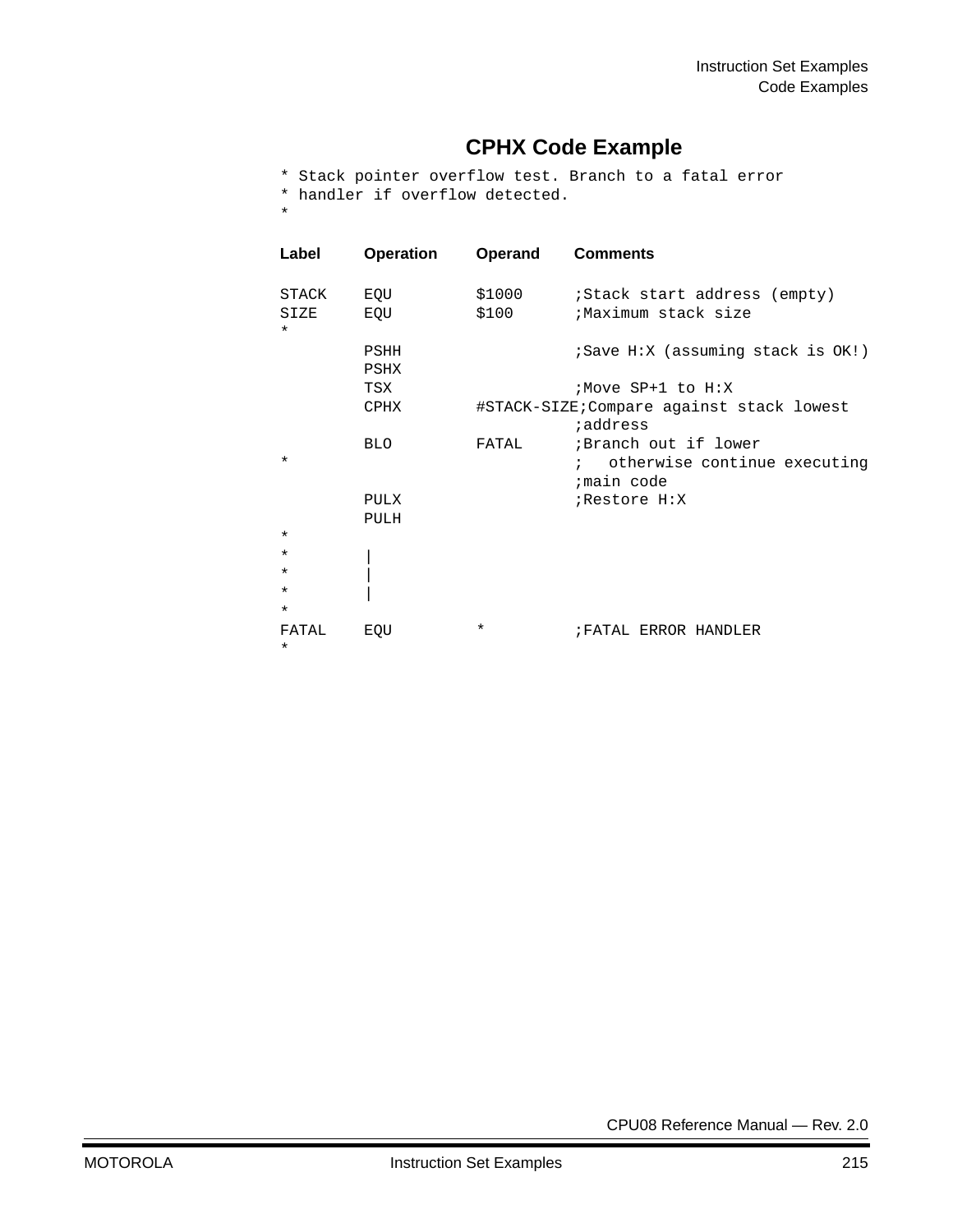#### **CPHX Code Example**

```
* Stack pointer overflow test. Branch to a fatal error
```
\* handler if overflow detected.

\*

| Label                     | <b>Operation</b> | Operand         | <b>Comments</b>                                                       |
|---------------------------|------------------|-----------------|-----------------------------------------------------------------------|
| STACK<br>SIZE<br>$^\star$ | EQU<br>EQU       | \$1000<br>\$100 | <i>i</i> Stack start address (empty)<br>; Maximum stack size          |
|                           | PSHH<br>PSHX     |                 | ; Save H:X (assuming stack is OK!)                                    |
|                           | TSX              |                 | $i$ Move SP+1 to H:X                                                  |
|                           | CPHX             |                 | #STACK-SIZE;Compare against stack lowest<br>iaddress                  |
| $\star$                   | <b>BLO</b>       | FATAL           | Branch out if lower<br>$i$ otherwise continue executing<br>;main code |
|                           | PULX             |                 | ;Restore H:X                                                          |
|                           | PULH             |                 |                                                                       |
| $\ast$                    |                  |                 |                                                                       |
| *                         |                  |                 |                                                                       |
| $\star$                   |                  |                 |                                                                       |
| $\star$                   |                  |                 |                                                                       |
| $\ast$                    |                  |                 |                                                                       |
| FATAL<br>$\star$          | EQU              | $^\star$        | FATAL ERROR HANDLER                                                   |

 $\equiv$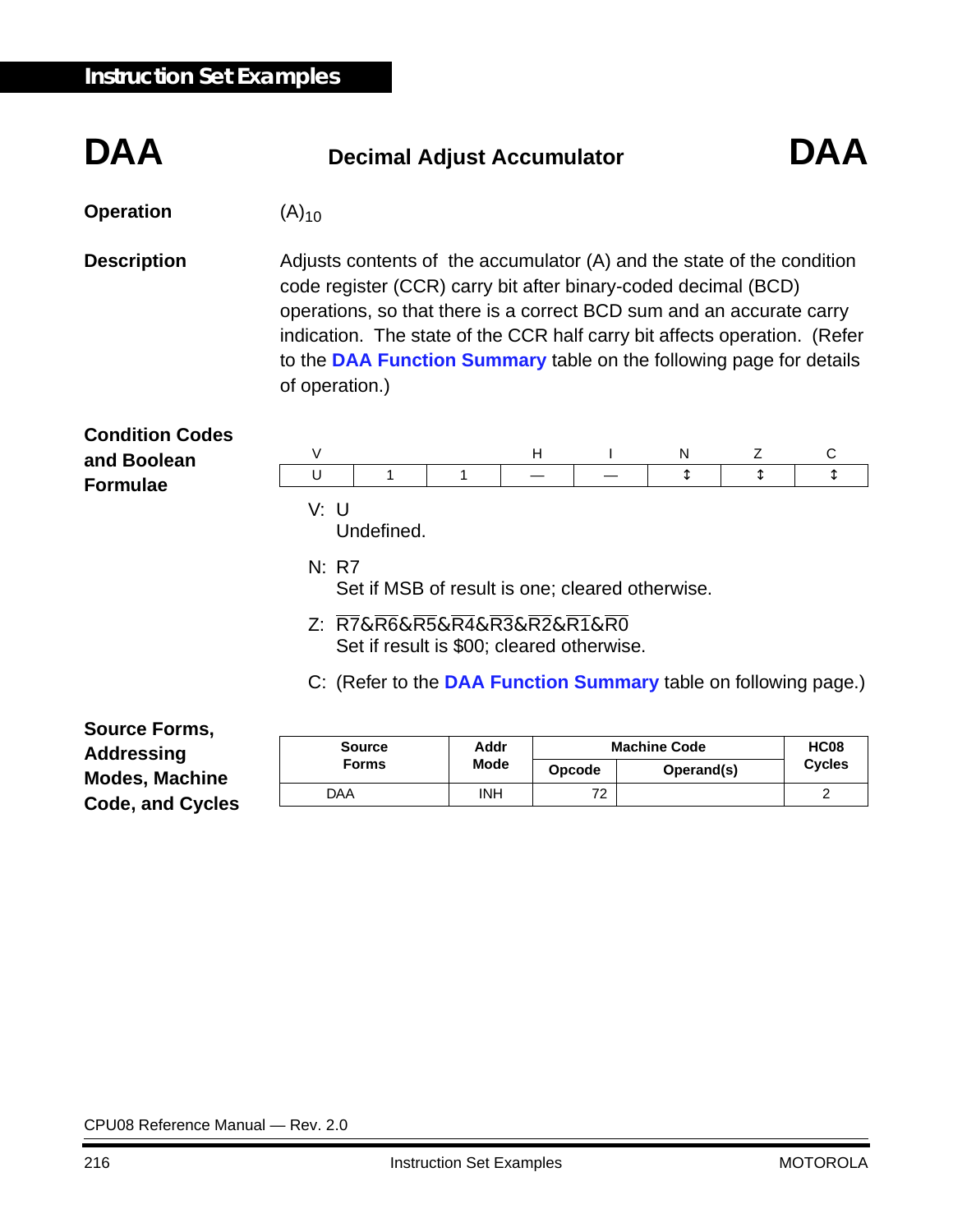<span id="page-215-0"></span>

| DAA                                                      | <b>Decimal Adjust Accumulator</b>                                                                                                                                                                                                                                                                                                                                                      |              | DА |                     |  |                       |  |  |
|----------------------------------------------------------|----------------------------------------------------------------------------------------------------------------------------------------------------------------------------------------------------------------------------------------------------------------------------------------------------------------------------------------------------------------------------------------|--------------|----|---------------------|--|-----------------------|--|--|
| <b>Operation</b>                                         | $(A)_{10}$                                                                                                                                                                                                                                                                                                                                                                             |              |    |                     |  |                       |  |  |
| <b>Description</b>                                       | Adjusts contents of the accumulator (A) and the state of the condition<br>code register (CCR) carry bit after binary-coded decimal (BCD)<br>operations, so that there is a correct BCD sum and an accurate carry<br>indication. The state of the CCR half carry bit affects operation. (Refer<br>to the DAA Function Summary table on the following page for details<br>of operation.) |              |    |                     |  |                       |  |  |
| <b>Condition Codes</b><br>and Boolean<br><b>Formulae</b> | C<br>V<br>H<br>Ζ<br>N<br>$\mathbf{I}$<br>$\updownarrow$<br>↥<br>↥<br>U<br>$\mathbf{1}$<br>$\mathbf{1}$<br>V: U<br>Undefined.<br>N: R7<br>Set if MSB of result is one; cleared otherwise.<br>$Z: \overline{R7}$ &R6&R5&R4&R3&R2&R1&R0<br>Set if result is \$00; cleared otherwise.<br>C: (Refer to the DAA Function Summary table on following page.)                                   |              |    |                     |  |                       |  |  |
| <b>Source Forms,</b><br><b>Addressing</b>                | <b>Source</b><br><b>Forms</b>                                                                                                                                                                                                                                                                                                                                                          | Addr<br>Mode |    | <b>Machine Code</b> |  | <b>HC08</b><br>Cycles |  |  |

| יטווווט ו טטשט<br>Addressing | Source       | Addr<br><b>Mode</b> | <b>Machine Code</b> |            | <b>HC08</b>   |
|------------------------------|--------------|---------------------|---------------------|------------|---------------|
| <b>Modes, Machine</b>        | <b>Forms</b> |                     | Opcode              | Operand(s) | <b>Cycles</b> |
| <b>Code, and Cycles</b>      | DAA          | INH                 | 70                  |            |               |
|                              |              |                     |                     |            |               |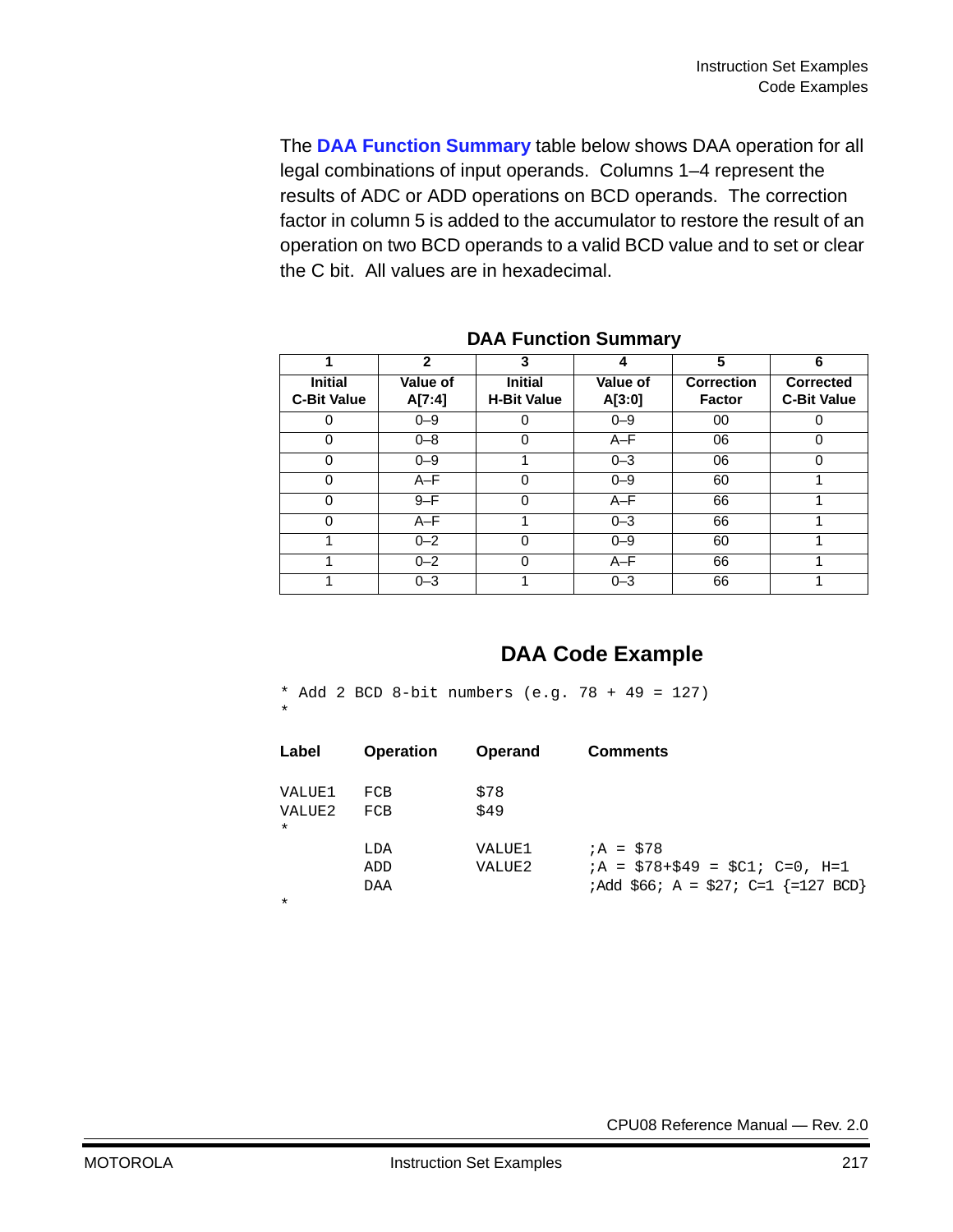The **DAA Function Summary** table below shows DAA operation for all legal combinations of input operands. Columns 1–4 represent the results of ADC or ADD operations on BCD operands. The correction factor in column 5 is added to the accumulator to restore the result of an operation on two BCD operands to a valid BCD value and to set or clear the C bit. All values are in hexadecimal.

|                                      | 2                  | 3                                    | 4                  | 5                                  | 6                                      |
|--------------------------------------|--------------------|--------------------------------------|--------------------|------------------------------------|----------------------------------------|
| <b>Initial</b><br><b>C-Bit Value</b> | Value of<br>A[7:4] | <b>Initial</b><br><b>H-Bit Value</b> | Value of<br>A[3:0] | <b>Correction</b><br><b>Factor</b> | <b>Corrected</b><br><b>C-Bit Value</b> |
| 0                                    | $0 - 9$            | 0                                    | $0 - 9$            | 00                                 |                                        |
| $\Omega$                             | $0 - 8$            | $\Omega$                             | $A-F$              | 06                                 | 0                                      |
| $\Omega$                             | $0 - 9$            |                                      | $0 - 3$            | 06                                 | 0                                      |
| $\Omega$                             | $A-F$              | O                                    | $0 - 9$            | 60                                 |                                        |
| $\Omega$                             | $9-F$              | 0                                    | $A-F$              | 66                                 |                                        |
| $\Omega$                             | $A-F$              |                                      | $0 - 3$            | 66                                 |                                        |
|                                      | $0 - 2$            | 0                                    | $0 - 9$            | 60                                 |                                        |
|                                      | $0 - 2$            | $\Omega$                             | $A-F$              | 66                                 |                                        |
|                                      | $0 - 3$            |                                      | $0 - 3$            | 66                                 |                                        |

**DAA Function Summary**

#### **DAA Code Example**

\* Add 2 BCD 8-bit numbers  $(e.g. 78 + 49 = 127)$ \*

| Label            | <b>Operation</b> | Operand      | <b>Comments</b>                         |
|------------------|------------------|--------------|-----------------------------------------|
| VALUE1<br>VALUE2 | FCB<br>FCB       | \$78<br>\$49 |                                         |
| $\star$          |                  |              |                                         |
|                  | LDA              | VALUE1       | $;A = $78$                              |
|                  | ADD              | VALUE2       | $;A = $78 + $49 = $C1; C=0, H=1$        |
|                  | DAA              |              | ;Add $$66$ ; A = $$27$ ; C=1 {=127 BCD} |
| $\star$          |                  |              |                                         |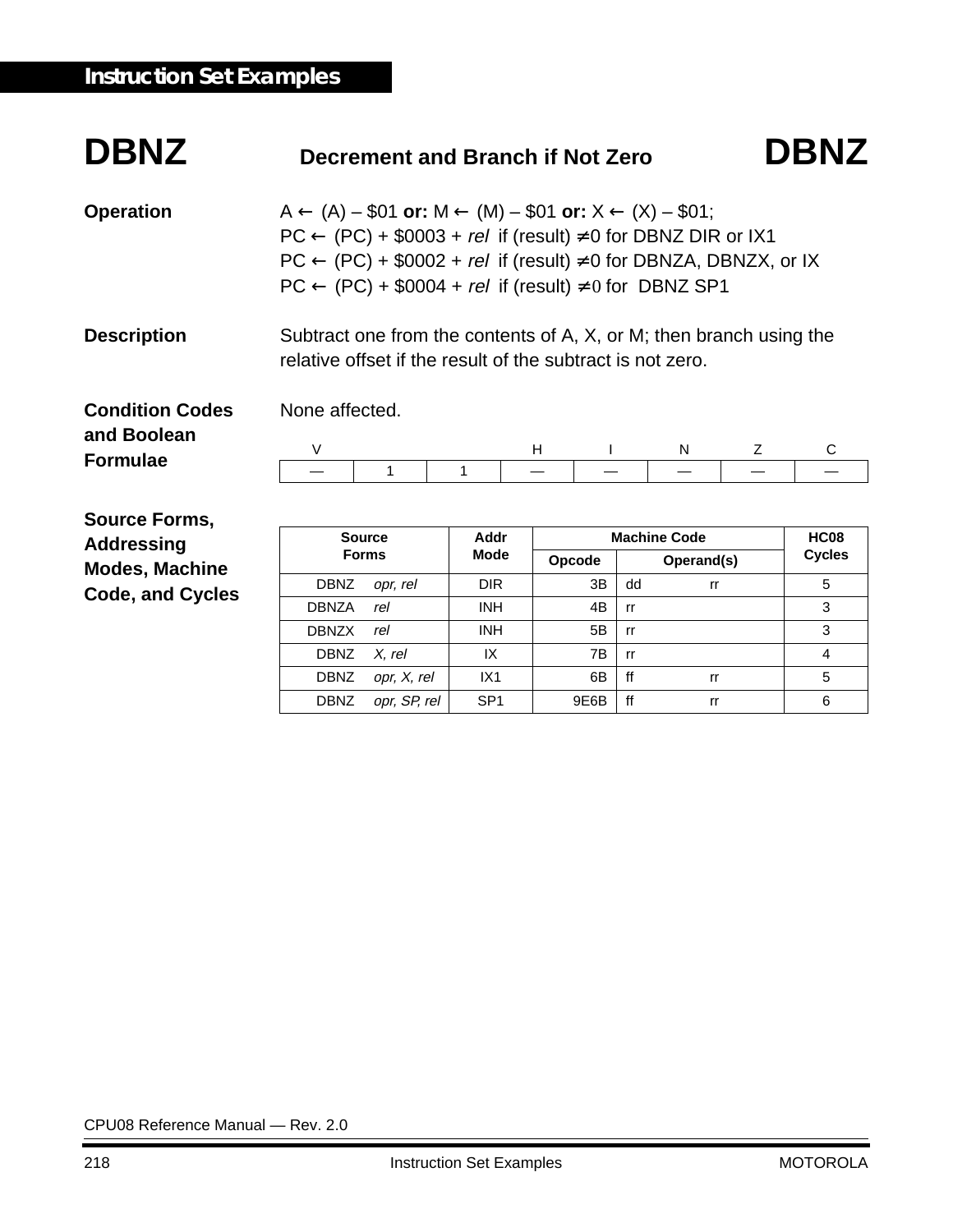| <b>DBNZ</b>             |                                                                                                                                                                                                                                                                                                                                |               | Decrement and Branch if Not Zero |    |              |    |                     |   | <b>DBNZ</b>   |
|-------------------------|--------------------------------------------------------------------------------------------------------------------------------------------------------------------------------------------------------------------------------------------------------------------------------------------------------------------------------|---------------|----------------------------------|----|--------------|----|---------------------|---|---------------|
| <b>Operation</b>        | $A \leftarrow (A) - $01$ or: $M \leftarrow (M) - $01$ or: $X \leftarrow (X) - $01$ ;<br>$PC \leftarrow (PC) + $0003 + rel$ if (result) $\neq 0$ for DBNZ DIR or IX1<br>$PC \leftarrow (PC) + $0002 + rel$ if (result) $\neq 0$ for DBNZA, DBNZX, or IX<br>$PC \leftarrow (PC) + $0004 + rel$ if (result) $\neq 0$ for DBNZ SP1 |               |                                  |    |              |    |                     |   |               |
| <b>Description</b>      | Subtract one from the contents of A, X, or M; then branch using the<br>relative offset if the result of the subtract is not zero.                                                                                                                                                                                              |               |                                  |    |              |    |                     |   |               |
| <b>Condition Codes</b>  | None affected.                                                                                                                                                                                                                                                                                                                 |               |                                  |    |              |    |                     |   |               |
| and Boolean             | V                                                                                                                                                                                                                                                                                                                              |               |                                  | H. | $\mathbf{L}$ |    | N                   | Z | C             |
| <b>Formulae</b>         |                                                                                                                                                                                                                                                                                                                                | 1             | 1                                |    |              |    |                     |   |               |
| <b>Source Forms,</b>    |                                                                                                                                                                                                                                                                                                                                |               |                                  |    |              |    |                     |   |               |
| <b>Addressing</b>       |                                                                                                                                                                                                                                                                                                                                | <b>Source</b> | Addr                             |    |              |    | <b>Machine Code</b> |   | <b>HC08</b>   |
| <b>Modes, Machine</b>   |                                                                                                                                                                                                                                                                                                                                | <b>Forms</b>  | Mode                             |    | Opcode       |    | Operand(s)          |   | <b>Cycles</b> |
| <b>Code, and Cycles</b> | <b>DBNZ</b>                                                                                                                                                                                                                                                                                                                    | opr, rel      | <b>DIR</b>                       |    | 3B           | dd | rr                  |   | 5             |
|                         | <b>DBNZA</b>                                                                                                                                                                                                                                                                                                                   | rel           | <b>INH</b>                       |    | 4B           | rr |                     |   | 3             |

DBNZX rel  $\vert$  INH  $\vert$  5B rr  $\vert$  3 DBNZ  $X$ , rel  $\begin{array}{|c|c|c|c|c|c|}\n\hline\n\end{array}$  IX  $\begin{array}{|c|c|c|c|c|}\n\hline\n\end{array}$  7B  $\begin{array}{|c|c|c|c|}\n\hline\n\end{array}$  r DBNZ opr,  $X$ , rel IX1 6B ff rr 5 DBNZ opr, SP, rel SP1 9E6B ff rr 6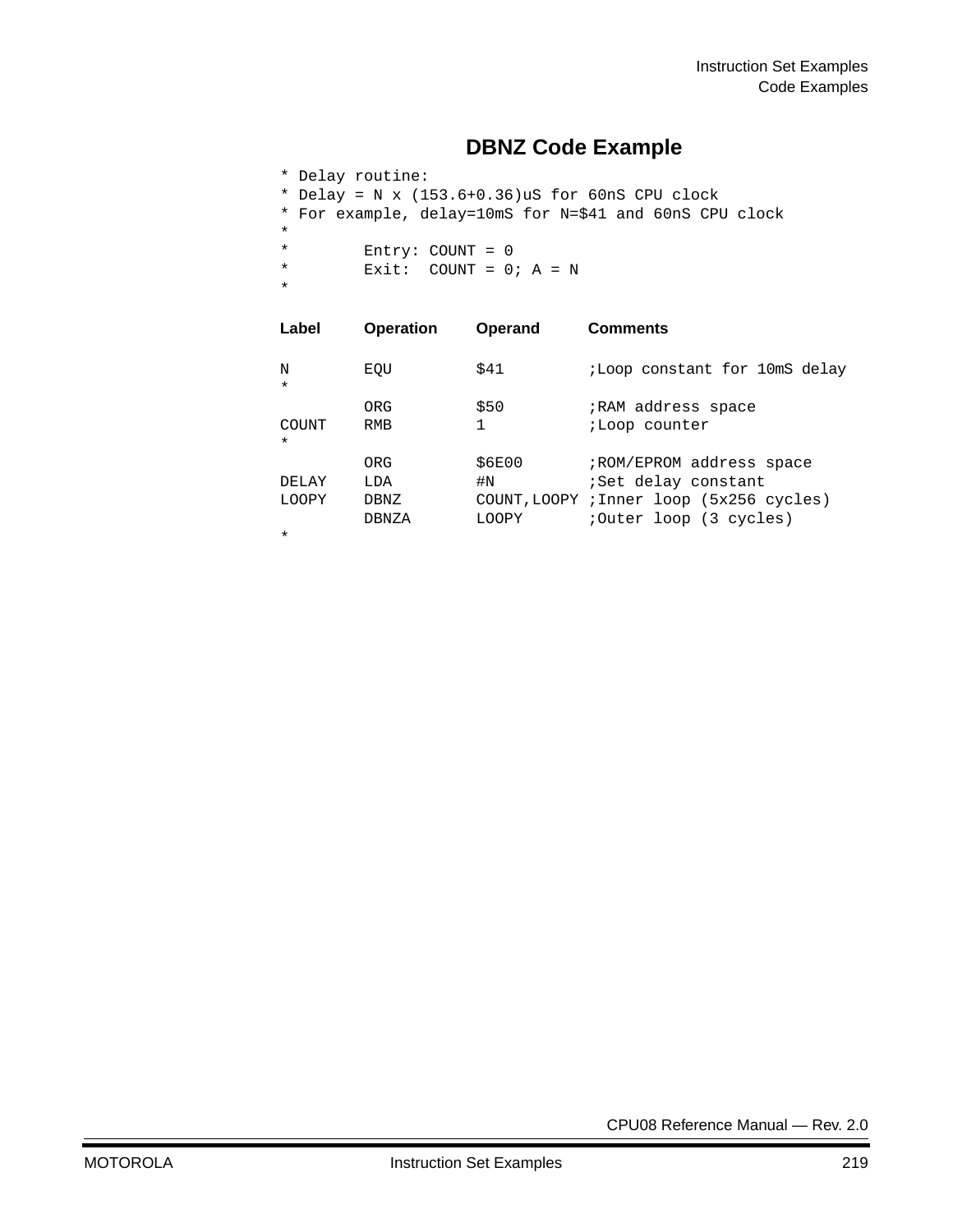## **DBNZ Code Example**

| * Delay routine:<br>$\star$<br>$\star$<br>$\star$<br>$\star$ | Entry: $COUNT = 0$ | Exit: COUNT = $0; A = N$ | * Delay = $N \times (153.6+0.36)$ uS for 60nS CPU clock<br>For example, delay=10mS for N=\$41 and 60nS CPU clock |
|--------------------------------------------------------------|--------------------|--------------------------|------------------------------------------------------------------------------------------------------------------|
| $\star$<br>Label                                             | <b>Operation</b>   | <b>Operand</b>           | <b>Comments</b>                                                                                                  |
| N<br>$\star$                                                 | EOU                | \$41                     | <i>i</i> Loop constant for 10mS delay                                                                            |
|                                                              | 0RG                | \$50                     | ; RAM address space                                                                                              |
| COUNT<br>$\star$                                             | RMB                | 1                        | <i>i</i> Loop counter                                                                                            |
|                                                              | 0RG                | \$6E00                   | ; ROM/EPROM address space                                                                                        |
| DELAY                                                        | LDA                | #N                       | Set delay constant                                                                                               |
| <b>LOOPY</b>                                                 | DBNZ               |                          | COUNT, LOOPY ; Inner loop (5x256 cycles)                                                                         |
|                                                              | DBNZA              | <b>LOOPY</b>             | :Outer loop (3 cycles)                                                                                           |
| $\star$                                                      |                    |                          |                                                                                                                  |

CPU08 Reference Manual — Rev. 2.0

Ξ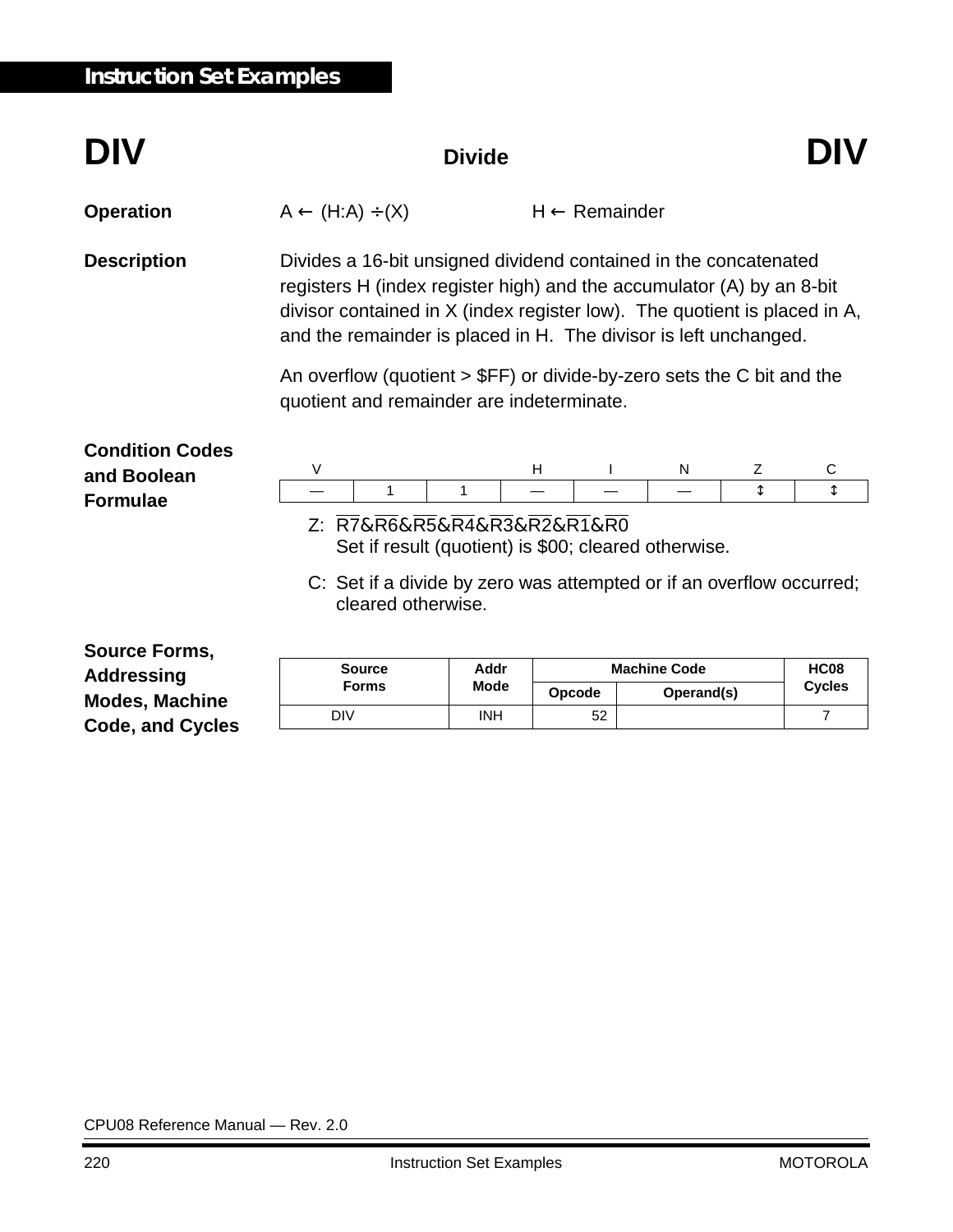| DIV                                                                | <b>Divide</b>                                                                                                                                                                                                                                                                              |                                                                                                                                                                                                                |                     |   |                          |  |                                   |                     |                              |
|--------------------------------------------------------------------|--------------------------------------------------------------------------------------------------------------------------------------------------------------------------------------------------------------------------------------------------------------------------------------------|----------------------------------------------------------------------------------------------------------------------------------------------------------------------------------------------------------------|---------------------|---|--------------------------|--|-----------------------------------|---------------------|------------------------------|
| <b>Operation</b>                                                   | $A \leftarrow (H:A) \div (X)$                                                                                                                                                                                                                                                              |                                                                                                                                                                                                                |                     |   | $H \leftarrow$ Remainder |  |                                   |                     |                              |
| <b>Description</b>                                                 | Divides a 16-bit unsigned dividend contained in the concatenated<br>registers H (index register high) and the accumulator (A) by an 8-bit<br>divisor contained in X (index register low). The quotient is placed in A,<br>and the remainder is placed in H. The divisor is left unchanged. |                                                                                                                                                                                                                |                     |   |                          |  |                                   |                     |                              |
|                                                                    |                                                                                                                                                                                                                                                                                            | An overflow (quotient $>$ \$FF) or divide-by-zero sets the C bit and the<br>quotient and remainder are indeterminate.                                                                                          |                     |   |                          |  |                                   |                     |                              |
| <b>Condition Codes</b><br>and Boolean<br><b>Formulae</b>           | $\vee$                                                                                                                                                                                                                                                                                     | $\mathbf{1}$<br>$Z: \overline{R7}$ &R6&R5&R4&R3&R2&R1&R0<br>Set if result (quotient) is \$00; cleared otherwise.<br>C: Set if a divide by zero was attempted or if an overflow occurred;<br>cleared otherwise. | $\mathbf{1}$        | H | I                        |  | N                                 | Ζ<br>$\updownarrow$ | C<br>$\uparrow$              |
| <b>Source Forms,</b><br><b>Addressing</b><br><b>Modes, Machine</b> |                                                                                                                                                                                                                                                                                            | <b>Source</b><br><b>Forms</b>                                                                                                                                                                                  | Addr<br><b>Mode</b> |   | Opcode                   |  | <b>Machine Code</b><br>Operand(s) |                     | <b>HC08</b><br><b>Cycles</b> |

**Code, and Cycles**

| <b>Source</b> | Addr        |        | <b>Machine Code</b> | <b>HC08</b>   |  |
|---------------|-------------|--------|---------------------|---------------|--|
| <b>Forms</b>  | <b>Mode</b> | Opcode | Operand(s)          | <b>Cycles</b> |  |
| <b>DIV</b>    | <b>INH</b>  | 52     |                     |               |  |
|               |             |        |                     |               |  |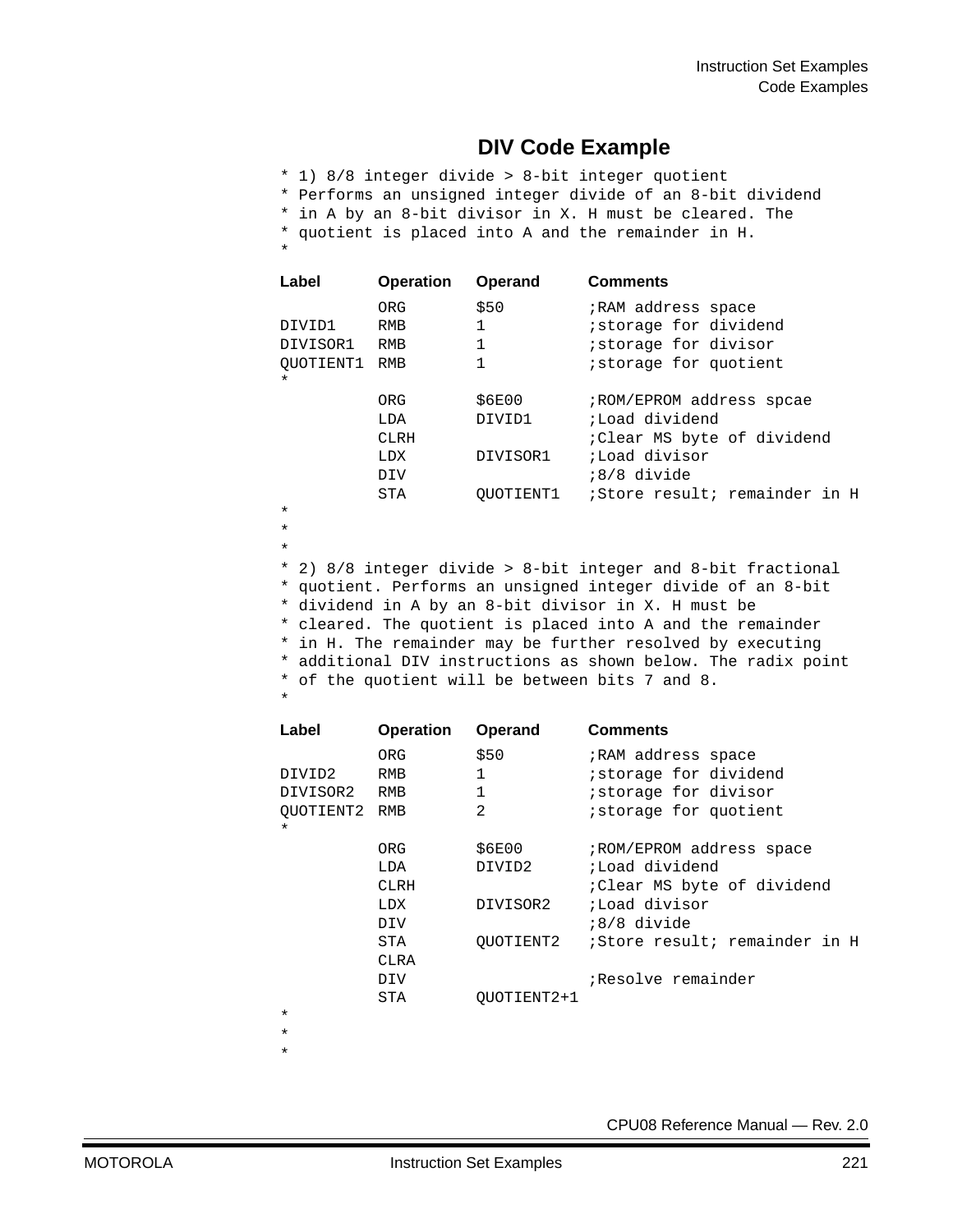#### **DIV Code Example**

\* 1) 8/8 integer divide > 8-bit integer quotient

\* Performs an unsigned integer divide of an 8-bit dividend

\* in A by an 8-bit divisor in X. H must be cleared. The

\* quotient is placed into A and the remainder in H.

\*

| Label                                                       | <b>Operation</b> | Operand       | <b>Comments</b>                                            |  |  |  |
|-------------------------------------------------------------|------------------|---------------|------------------------------------------------------------|--|--|--|
|                                                             | <b>ORG</b>       | \$50          | ; RAM address space                                        |  |  |  |
| DIVID1                                                      | <b>RMB</b>       | $\mathbf{1}$  | istorage for dividend                                      |  |  |  |
| DIVISOR1                                                    | <b>RMB</b>       | $\mathbf{1}$  | istorage for divisor                                       |  |  |  |
| OUOTIENT1<br>$\star$                                        | <b>RMB</b>       | 1             | <i>istorage for quotient</i>                               |  |  |  |
|                                                             | ORG              | <b>\$6E00</b> | ;ROM/EPROM address spcae                                   |  |  |  |
|                                                             | LDA              | DIVID1        | ;Load dividend                                             |  |  |  |
|                                                             | CLRH             |               | :Clear MS byte of dividend                                 |  |  |  |
|                                                             | <b>LDX</b>       | DIVISOR1      | <i>i</i> Load divisor                                      |  |  |  |
|                                                             | DIV              |               | <i>1</i> 8/8 divide                                        |  |  |  |
|                                                             | STA              | OUOTIENT1     | <i>Store result; remainder in H</i>                        |  |  |  |
| $\star$                                                     |                  |               |                                                            |  |  |  |
| $\star$                                                     |                  |               |                                                            |  |  |  |
| $\star$                                                     |                  |               |                                                            |  |  |  |
| *                                                           |                  |               | 2) 8/8 integer divide > 8-bit integer and 8-bit fractional |  |  |  |
| * quotient. Performs an unsigned integer divide of an 8-bit |                  |               |                                                            |  |  |  |

\* dividend in A by an 8-bit divisor in X. H must be \* cleared. The quotient is placed into A and the remainder

\* in H. The remainder may be further resolved by executing

\* additional DIV instructions as shown below. The radix point

- \* of the quotient will be between bits 7 and 8.
- \*

| Label                | <b>Operation</b> | Operand        | <b>Comments</b>               |
|----------------------|------------------|----------------|-------------------------------|
|                      | <b>ORG</b>       | \$50           | ; RAM address space           |
| DIVID2               | <b>RMB</b>       | $\mathbf{1}$   | <i>istorage for dividend</i>  |
| DIVISOR2             | <b>RMB</b>       | $\mathbf{1}$   | <i>istorage for divisor</i>   |
| OUOTIENT2<br>$\star$ | RMB              | $\mathfrak{D}$ | <i>istorage for quotient</i>  |
|                      | <b>ORG</b>       | \$6E00         | ; ROM/EPROM address space     |
|                      | LDA              | DIVID2         | ;Load dividend                |
|                      | CLRH             |                | :Clear MS byte of dividend    |
|                      | LDX              | DIVISOR2       | <i>i</i> Load divisor         |
|                      | <b>DIV</b>       |                | <i>18/8</i> divide            |
|                      | STA              | QUOTIENT2      | ;Store result; remainder in H |
|                      | CLRA             |                |                               |
|                      | DIV              |                | ;Resolve remainder            |
|                      | STA              | OUOTIENT2+1    |                               |
| $\star$              |                  |                |                               |
| $\star$              |                  |                |                               |

\*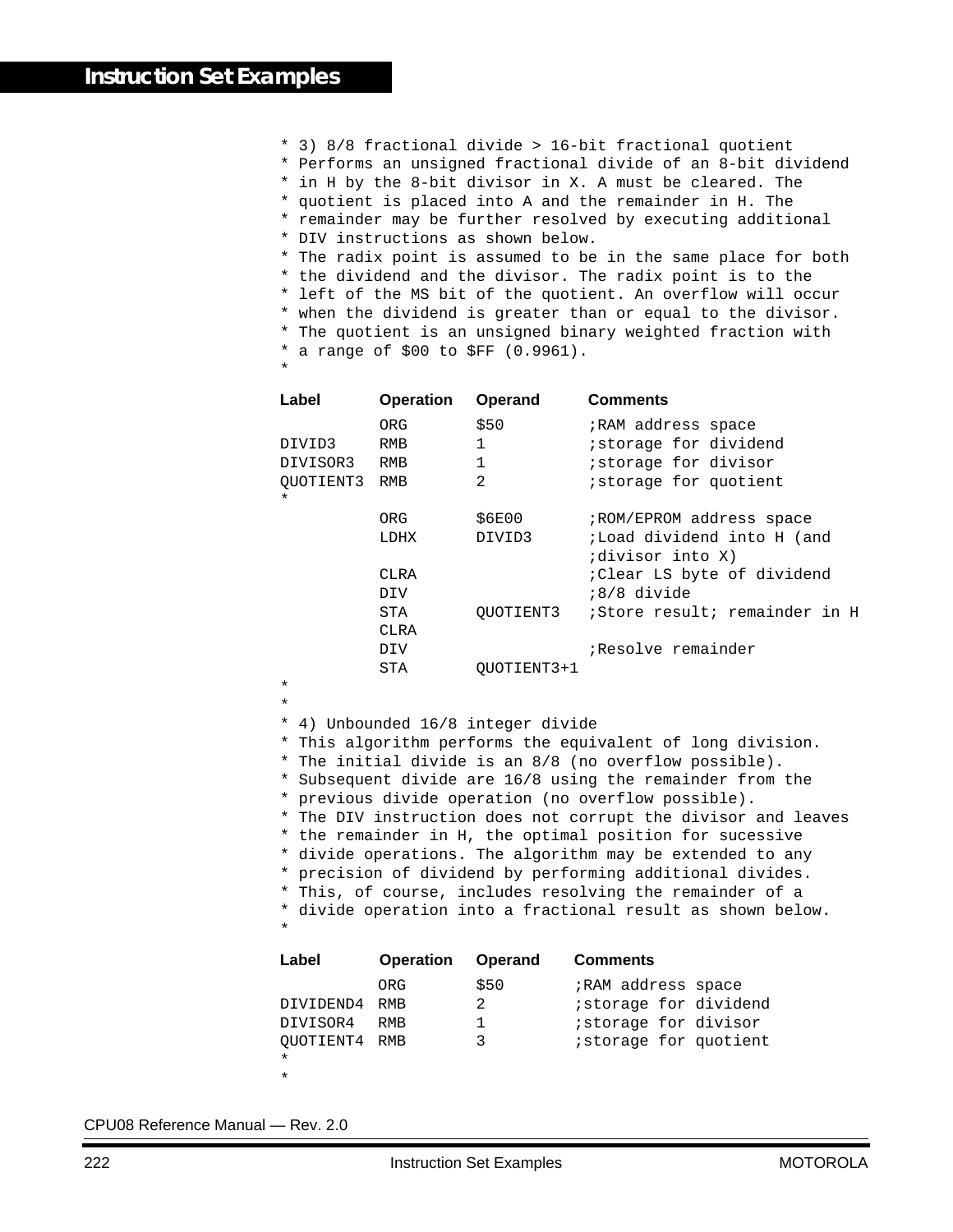\* 3) 8/8 fractional divide > 16-bit fractional quotient

\* Performs an unsigned fractional divide of an 8-bit dividend

- \* in H by the 8-bit divisor in X. A must be cleared. The
- \* quotient is placed into A and the remainder in H. The
- \* remainder may be further resolved by executing additional
- \* DIV instructions as shown below.
- \* The radix point is assumed to be in the same place for both
- \* the dividend and the divisor. The radix point is to the
- \* left of the MS bit of the quotient. An overflow will occur
- \* when the dividend is greater than or equal to the divisor.
- \* The quotient is an unsigned binary weighted fraction with
- \* a range of \$00 to \$FF (0.9961).
- \*

| Label                | <b>Operation</b> | Operand        | <b>Comments</b>                                        |
|----------------------|------------------|----------------|--------------------------------------------------------|
|                      | <b>ORG</b>       | \$50           | ; RAM address space                                    |
| DIVID3               | <b>RMB</b>       | $\mathbf{1}$   | <i>istorage for dividend</i>                           |
| DIVISOR3             | <b>RMB</b>       | $\mathbf{1}$   | <i>istorage for divisor</i>                            |
| OUOTIENT3<br>$\star$ | RMB              | $\mathfrak{D}$ | <i>istorage for quotient</i>                           |
|                      | 0RG              | <b>\$6E00</b>  | ; ROM/EPROM address space                              |
|                      | LDHX             | DIVID3         | ;Load dividend into H (and<br><i>i</i> divisor into X) |
|                      | CLRA             |                | :Clear LS byte of dividend                             |
|                      | DIV              |                | <i>1</i> 8/8 divide                                    |
|                      | STA              | QUOTIENT3      | ;Store result; remainder in H                          |
|                      | CLRA             |                |                                                        |
|                      | DIV              |                | Resolve remainder                                      |
|                      | STA              | OUOTIENT3+1    |                                                        |
| $\star$              |                  |                |                                                        |
| $\star$              |                  |                |                                                        |

- \* 4) Unbounded 16/8 integer divide
- \* This algorithm performs the equivalent of long division.
- \* The initial divide is an 8/8 (no overflow possible).
- \* Subsequent divide are 16/8 using the remainder from the
- \* previous divide operation (no overflow possible).
- \* The DIV instruction does not corrupt the divisor and leaves
- \* the remainder in H, the optimal position for sucessive
- \* divide operations. The algorithm may be extended to any
- \* precision of dividend by performing additional divides.
- \* This, of course, includes resolving the remainder of a
- \* divide operation into a fractional result as shown below. \*

| Label     | <b>Operation</b> | Operand | <b>Comments</b>              |
|-----------|------------------|---------|------------------------------|
|           | ORG              | \$50    | ; RAM address space          |
| DIVIDEND4 | <b>RMB</b>       | 2       | <i>istorage for dividend</i> |
| DIVISOR4  | <b>RMB</b>       |         | <i>istorage for divisor</i>  |
| OUOTIENT4 | RMB              | 3       | istorage for quotient        |
| $\star$   |                  |         |                              |
| $^\star$  |                  |         |                              |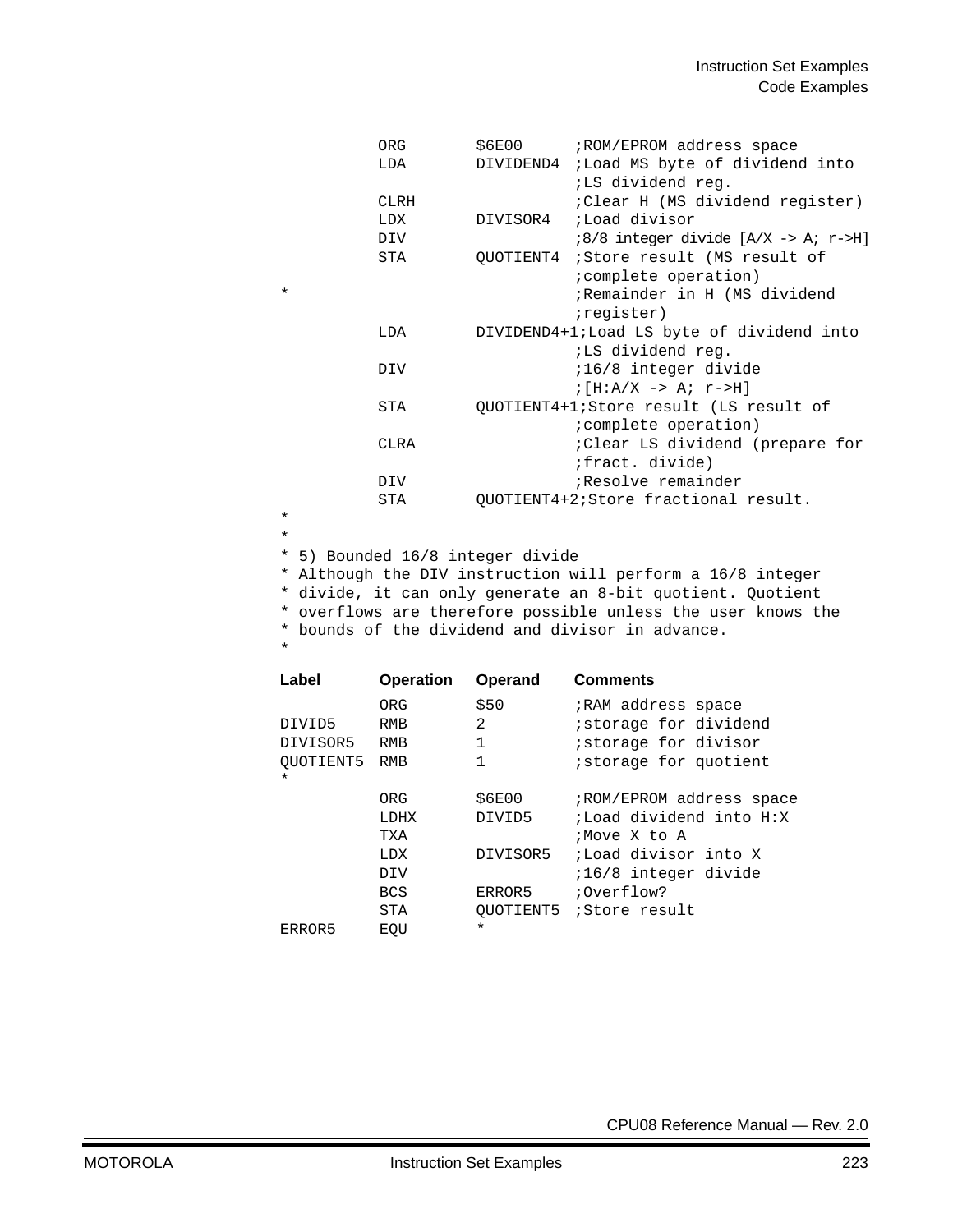|                      | ORG              | \$6E00                         | ;ROM/EPROM address space                                     |
|----------------------|------------------|--------------------------------|--------------------------------------------------------------|
|                      | LDA              | DIVIDEND4                      | ;Load MS byte of dividend into                               |
|                      |                  |                                | ;LS dividend reg.                                            |
|                      | CLRH             |                                | :Clear H (MS dividend register)                              |
|                      | LDX              | DIVISOR4                       | ;Load divisor                                                |
|                      | DIV              |                                | $18/8$ integer divide [A/X -> A; r->H]                       |
|                      | STA              | OUOTIENT4                      | ;Store result (MS result of                                  |
|                      |                  |                                | ; complete operation)                                        |
| $\star$              |                  |                                | ;Remainder in H (MS dividend                                 |
|                      |                  |                                | <i>i</i> register)                                           |
|                      | LDA              |                                | DIVIDEND4+1; Load LS byte of dividend into                   |
|                      |                  |                                | ;LS dividend reg.                                            |
|                      | DIV              |                                | ;16/8 integer divide                                         |
|                      |                  |                                | $; [H:A/X -> A; r->H]$                                       |
|                      | STA              |                                | QUOTIENT4+1; Store result (LS result of                      |
|                      |                  |                                | ; complete operation)                                        |
|                      | CLRA             |                                | ¿Clear LS dividend (prepare for                              |
|                      |                  |                                | <i>i</i> fract. divide)                                      |
|                      | DIV              |                                | Resolve remainder                                            |
|                      | <b>STA</b>       |                                | QUOTIENT4+2; Store fractional result.                        |
| $^\star$             |                  |                                |                                                              |
| $\star$              |                  |                                |                                                              |
| *                    |                  | 5) Bounded 16/8 integer divide |                                                              |
| $\ast$               |                  |                                | Although the DIV instruction will perform a 16/8 integer     |
|                      |                  |                                | * divide, it can only generate an 8-bit quotient. Quotient   |
|                      |                  |                                | * overflows are therefore possible unless the user knows the |
| $\ast$               |                  |                                | bounds of the dividend and divisor in advance.               |
| $\star$              |                  |                                |                                                              |
|                      |                  |                                |                                                              |
| Label                | <b>Operation</b> | Operand                        | <b>Comments</b>                                              |
|                      | ORG              | \$50                           | ;RAM address space                                           |
| DIVID5               | RMB              | 2                              | istorage for dividend                                        |
| DIVISOR5             | RMB              | 1                              | istorage for divisor                                         |
| QUOTIENT5<br>$\star$ | <b>RMB</b>       | $\mathbf{1}$                   | istorage for quotient                                        |
|                      | ORG              | \$6E00                         | ;ROM/EPROM address space                                     |
|                      | LDHX             | DIVID5                         | ;Load dividend into H:X                                      |
|                      | TXA              |                                | ; Move X to A                                                |
|                      | LDX              | DIVISOR5                       | ;Load divisor into X                                         |
|                      | DIV              |                                | ;16/8 integer divide                                         |
|                      | <b>BCS</b>       | ERROR5                         | ;Overflow?                                                   |
|                      | <b>STA</b>       | QUOTIENT5                      | ;Store result                                                |
| ERROR5               | EQU              | $\star$                        |                                                              |
|                      |                  |                                |                                                              |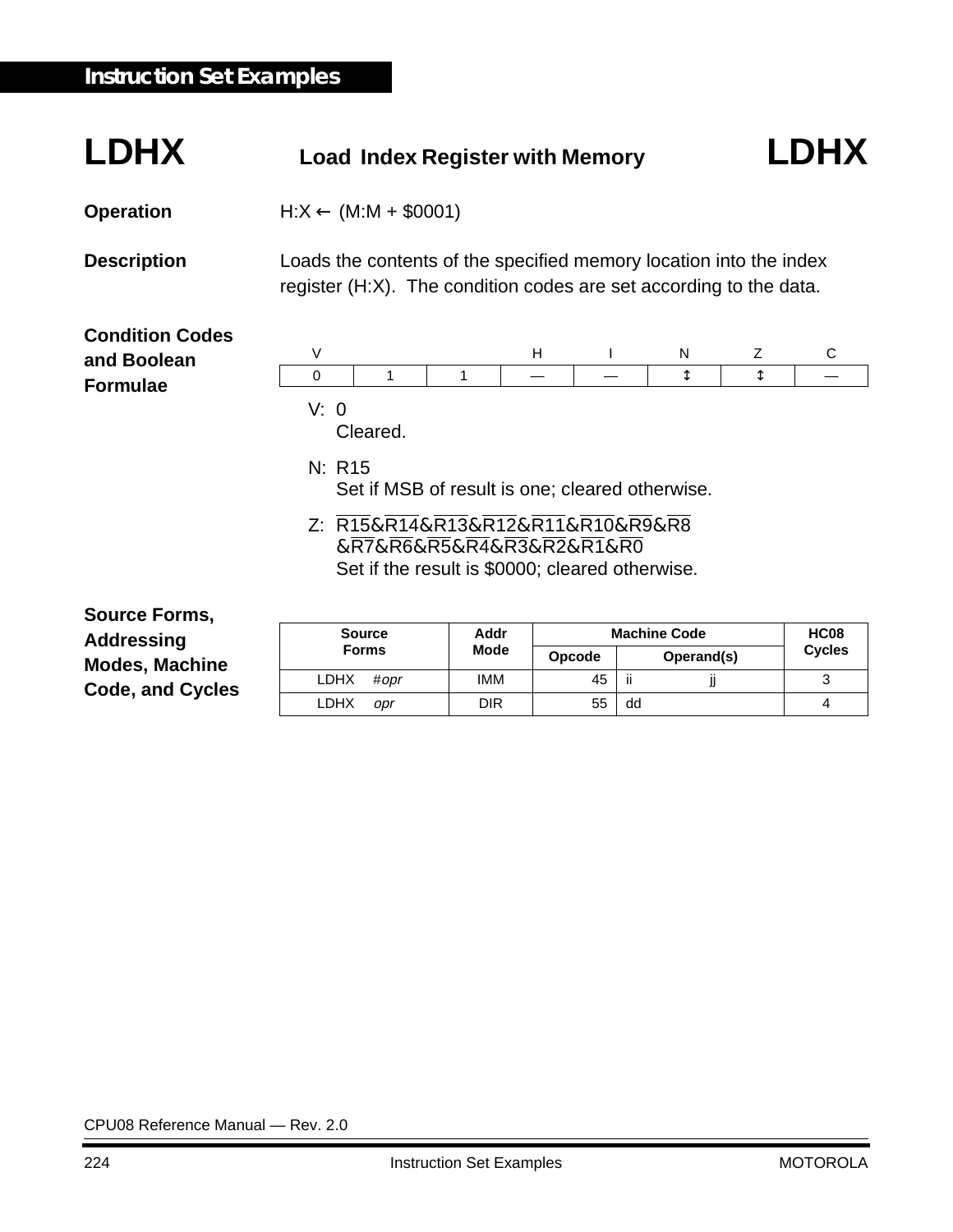| <b>LDHX</b>                                                        | <b>Load Index Register with Memory</b>                                                                                                                                                                          |                     |             |                                   |                     | <b>LDHX</b>                  |  |  |
|--------------------------------------------------------------------|-----------------------------------------------------------------------------------------------------------------------------------------------------------------------------------------------------------------|---------------------|-------------|-----------------------------------|---------------------|------------------------------|--|--|
| <b>Operation</b>                                                   | $H:X \leftarrow (M:M + $0001)$                                                                                                                                                                                  |                     |             |                                   |                     |                              |  |  |
| <b>Description</b>                                                 | Loads the contents of the specified memory location into the index<br>register (H:X). The condition codes are set according to the data.                                                                        |                     |             |                                   |                     |                              |  |  |
| <b>Condition Codes</b><br>and Boolean<br><b>Formulae</b>           | V<br>0<br>1<br>V: 0<br>Cleared.<br>N: R15<br>Set if MSB of result is one; cleared otherwise.<br>Z: R15&R14&R13&R12&R11&R10&R9&R8<br>&R7&R6&R5&R4&R3&R2&R1&R0<br>Set if the result is \$0000; cleared otherwise. | $\mathbf 1$         | H<br>I.     | N<br>↥                            | Ζ<br>$\updownarrow$ | С                            |  |  |
| <b>Source Forms,</b><br><b>Addressing</b><br><b>Modes, Machine</b> | <b>Source</b><br><b>Forms</b>                                                                                                                                                                                   | Addr<br><b>Mode</b> | Opcode      | <b>Machine Code</b><br>Operand(s) |                     | <b>HC08</b><br><b>Cycles</b> |  |  |
| <b>Code, and Cycles</b>                                            | <b>LDHX</b><br>#opr<br>$\mathbf{L}$                                                                                                                                                                             | <b>IMM</b><br>min   | 45<br>$- -$ | ii<br>jj<br>$\mathbf{r}$          |                     | 3                            |  |  |

LDHX *opr* DIR 55 dd 4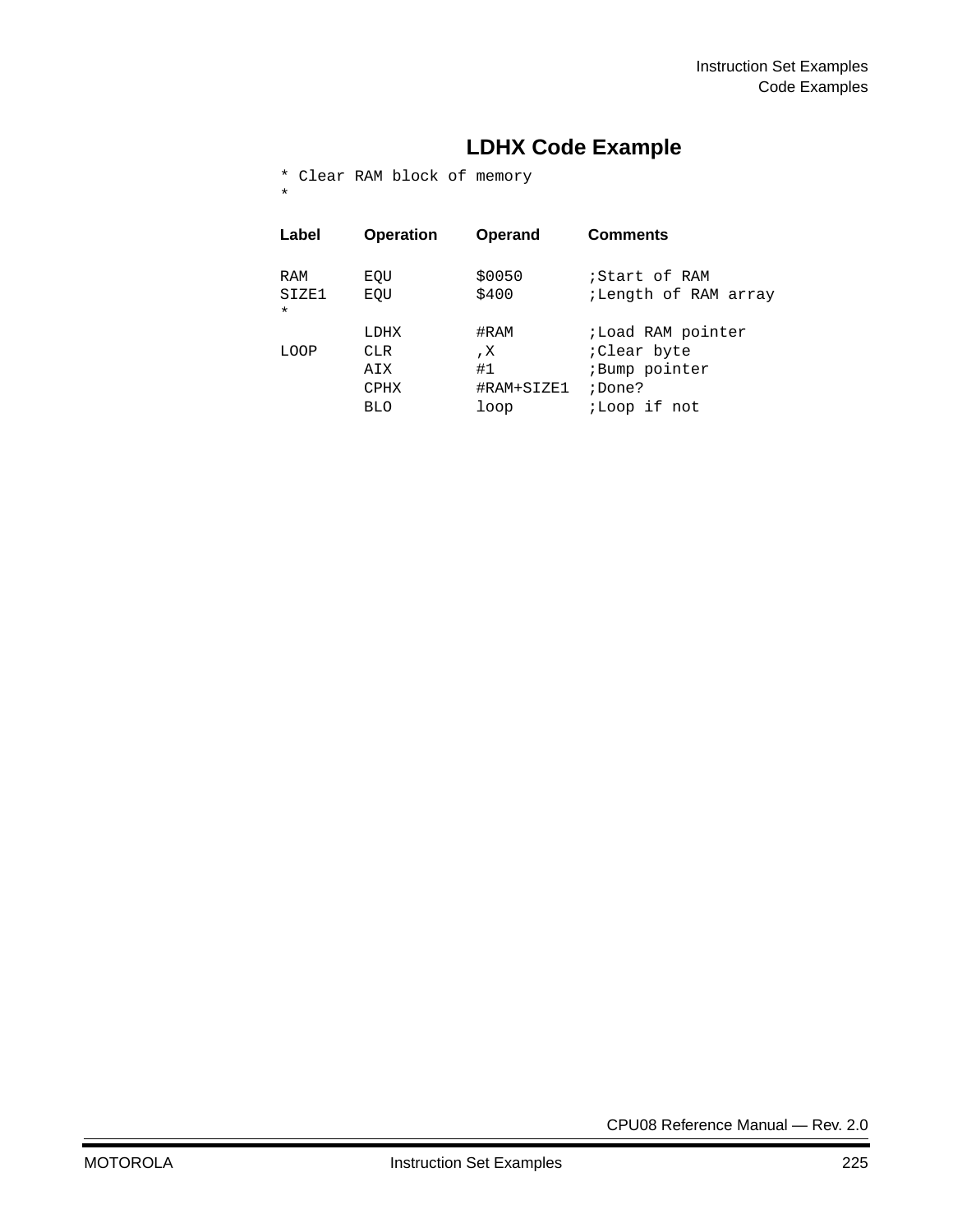### **LDHX Code Example**

| Label                   | <b>Operation</b>                         | Operand                                 | <b>Comments</b>                                                                    |
|-------------------------|------------------------------------------|-----------------------------------------|------------------------------------------------------------------------------------|
| RAM<br>SIZE1<br>$\star$ | EOU<br>EOU                               | \$0050<br>\$400                         | ;Start of RAM<br>;Length of RAM array                                              |
| LOOP                    | LDHX<br>CLR<br>AIX<br>CPHX<br><b>BLO</b> | #RAM<br>, X<br>#1<br>#RAM+SIZE1<br>loop | <i>i</i> Load RAM pointer<br>:Clear byte<br>Bump pointer<br>;Done?<br>;Loop if not |

<sup>\*</sup> Clear RAM block of memory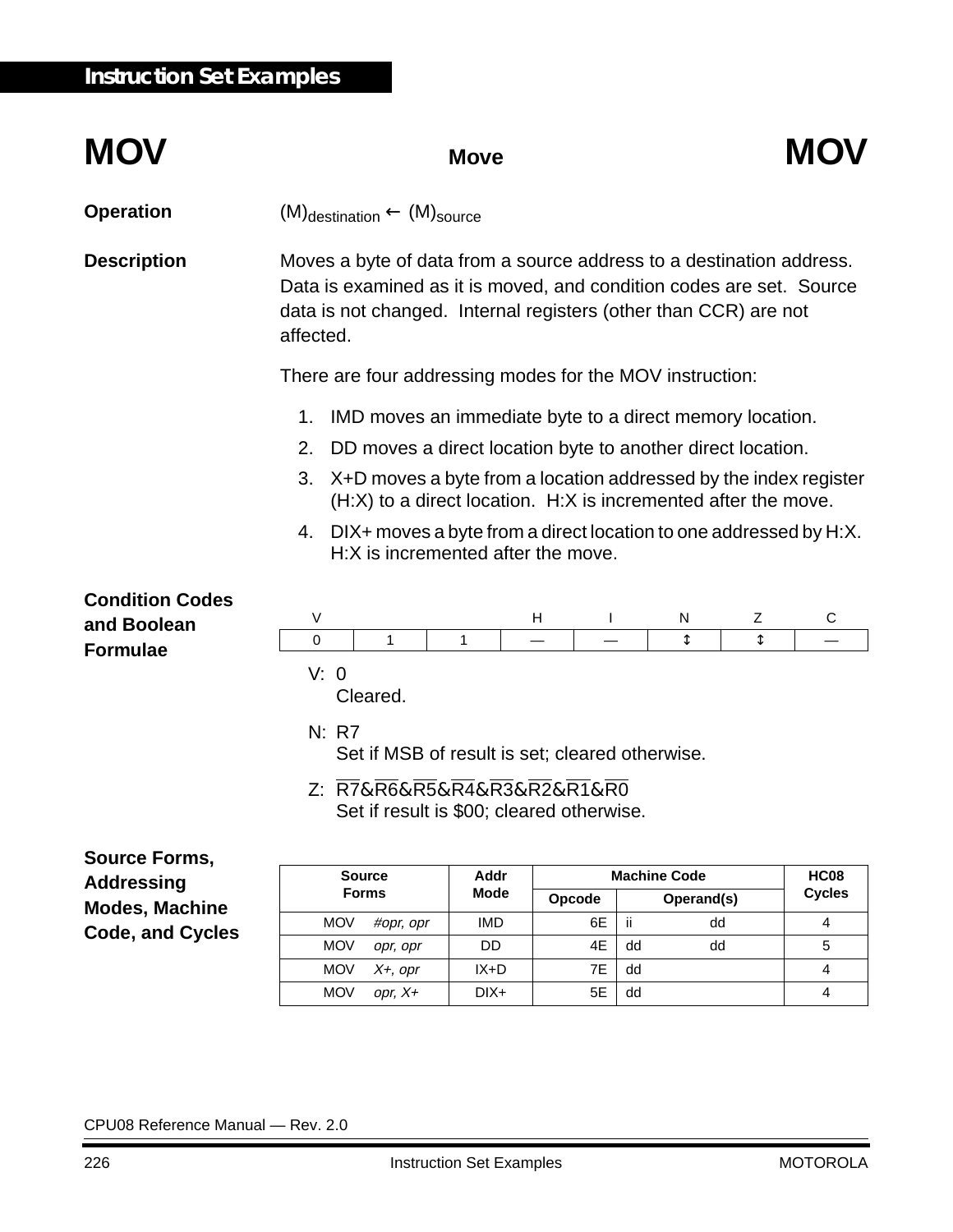| <b>MOV</b>                     | <b>MOV</b><br><b>Move</b>                                |                                                                                                                                                                                                                  |             |   |        |     |                     |                |                |  |  |
|--------------------------------|----------------------------------------------------------|------------------------------------------------------------------------------------------------------------------------------------------------------------------------------------------------------------------|-------------|---|--------|-----|---------------------|----------------|----------------|--|--|
| <b>Operation</b>               |                                                          | $(M)$ <sub>destination</sub> $\leftarrow$ (M) <sub>source</sub>                                                                                                                                                  |             |   |        |     |                     |                |                |  |  |
| <b>Description</b>             | affected.                                                | Moves a byte of data from a source address to a destination address.<br>Data is examined as it is moved, and condition codes are set. Source<br>data is not changed. Internal registers (other than CCR) are not |             |   |        |     |                     |                |                |  |  |
|                                |                                                          | There are four addressing modes for the MOV instruction:                                                                                                                                                         |             |   |        |     |                     |                |                |  |  |
|                                | 1.                                                       | IMD moves an immediate byte to a direct memory location.                                                                                                                                                         |             |   |        |     |                     |                |                |  |  |
|                                | 2.                                                       | DD moves a direct location byte to another direct location.                                                                                                                                                      |             |   |        |     |                     |                |                |  |  |
|                                | 3.                                                       | X+D moves a byte from a location addressed by the index register<br>$(H:X)$ to a direct location. $H:X$ is incremented after the move.                                                                           |             |   |        |     |                     |                |                |  |  |
|                                | 4.                                                       | DIX+ moves a byte from a direct location to one addressed by H:X.<br>H:X is incremented after the move.                                                                                                          |             |   |        |     |                     |                |                |  |  |
| <b>Condition Codes</b>         | V                                                        |                                                                                                                                                                                                                  |             | H | J.     |     | N                   | Ζ              | C              |  |  |
| and Boolean<br><b>Formulae</b> | 0                                                        | $\mathbf{1}$                                                                                                                                                                                                     | 1           |   |        |     | $\updownarrow$      | $\updownarrow$ |                |  |  |
|                                |                                                          | V: 0<br>Cleared.                                                                                                                                                                                                 |             |   |        |     |                     |                |                |  |  |
|                                | N: R7<br>Set if MSB of result is set; cleared otherwise. |                                                                                                                                                                                                                  |             |   |        |     |                     |                |                |  |  |
|                                |                                                          | $Z: \overline{R7}$ &R6&R5&R4&R3&R2&R1&R0<br>Set if result is \$00; cleared otherwise.                                                                                                                            |             |   |        |     |                     |                |                |  |  |
| <b>Source Forms,</b>           |                                                          | <b>Source</b>                                                                                                                                                                                                    | <b>Addr</b> |   |        |     | <b>Machine Code</b> |                | <b>HC08</b>    |  |  |
| <b>Addressing</b>              |                                                          | <b>Forms</b>                                                                                                                                                                                                     | <b>Mode</b> |   | Opcode |     | Operand(s)          |                | <b>Cycles</b>  |  |  |
| <b>Modes, Machine</b>          |                                                          | <b>MOV</b><br>#opr, opr                                                                                                                                                                                          | <b>IMD</b>  |   | 6E     | ii. | dd                  |                | $\overline{4}$ |  |  |
| <b>Code, and Cycles</b>        |                                                          | <b>MOV</b><br>opr, opr                                                                                                                                                                                           | DD          |   | 4E     | dd  | dd                  |                | 5              |  |  |
|                                |                                                          | <b>MOV</b><br>$X +$ , opr                                                                                                                                                                                        | IX+D        |   | 7E     | dd  |                     |                | $\overline{4}$ |  |  |
|                                |                                                          | <b>MOV</b><br>opr, $X+$                                                                                                                                                                                          | $DIX+$      |   | 5E     | dd  |                     |                | $\overline{4}$ |  |  |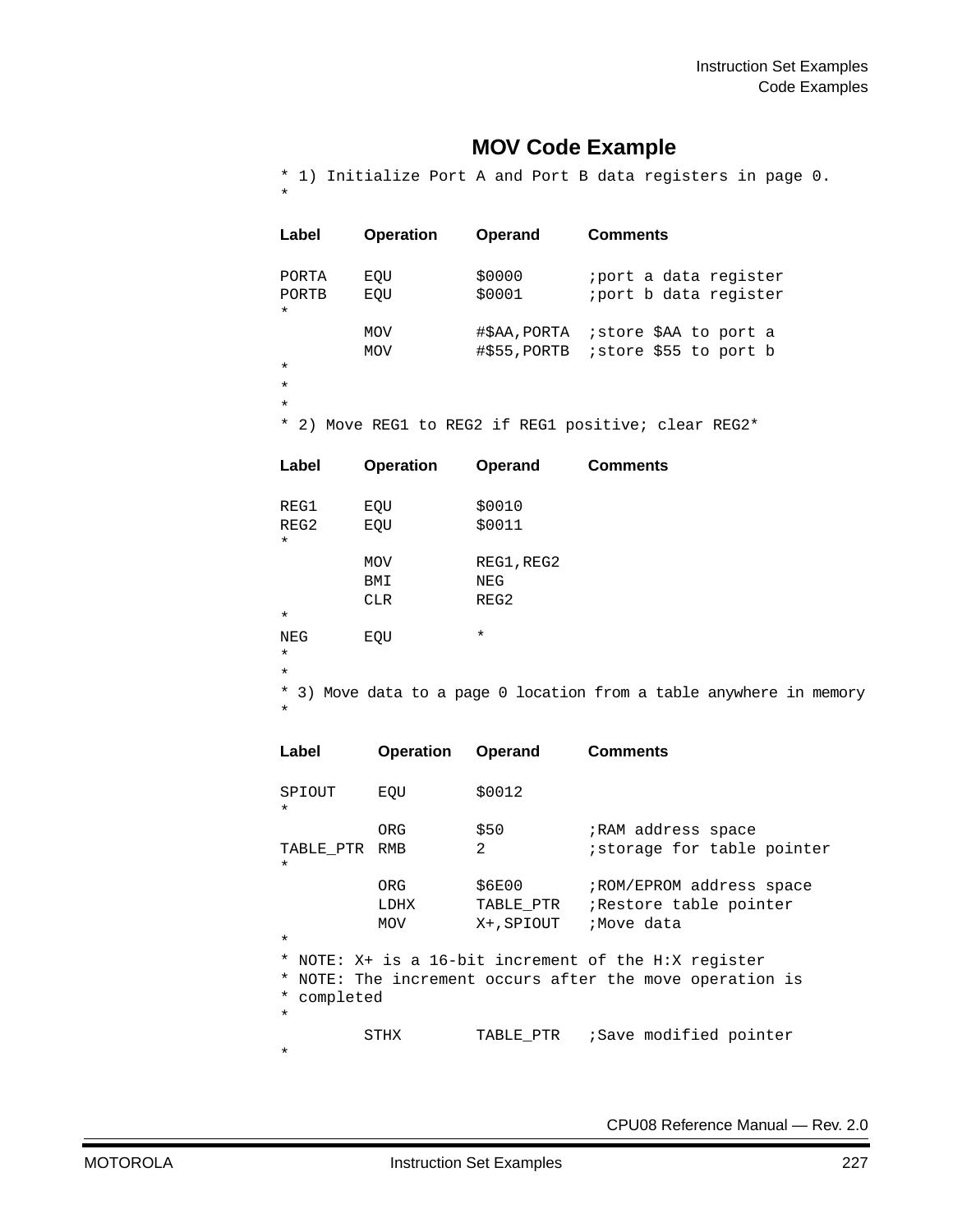#### **MOV Code Example**

```
* 1) Initialize Port A and Port B data registers in page 0.
*
```

| Label                     | <b>Operation</b>         | Operand                    | <b>Comments</b>                                    |
|---------------------------|--------------------------|----------------------------|----------------------------------------------------|
| PORTA<br>PORTB<br>$\star$ | EOU<br>EOU               | \$0000<br>\$0001           | port a data register<br>port b data register       |
|                           | <b>MOV</b><br><b>MOV</b> | #\$AA,PORTA<br>#\$55,PORTB | istore \$AA to port a<br>istore \$55 to port b     |
| $\star$                   |                          |                            |                                                    |
| $\star$                   |                          |                            |                                                    |
| $\star$                   |                          |                            |                                                    |
| $\ast$                    |                          |                            | 2) Move REG1 to REG2 if REG1 positive; clear REG2* |

| Label              | <b>Operation</b> | Operand    | <b>Comments</b>                                                     |
|--------------------|------------------|------------|---------------------------------------------------------------------|
| REG1               | EQU              | \$0010     |                                                                     |
| REG2<br>$\star$    | EOU              | \$0011     |                                                                     |
|                    | MOV              | REG1, REG2 |                                                                     |
|                    | BMI              | NEG        |                                                                     |
|                    | <b>CLR</b>       | REG2       |                                                                     |
| $\star$            |                  |            |                                                                     |
| NEG<br>$\star$     | EOU              | $\star$    |                                                                     |
| $\star$<br>$\star$ |                  |            | * 3) Move data to a page 0 location from a table anywhere in memory |

| Label                | <b>Operation</b> | Operand        | <b>Comments</b>                                          |
|----------------------|------------------|----------------|----------------------------------------------------------|
| SPIOUT<br>$\star$    | EOU              | \$0012         |                                                          |
|                      | <b>ORG</b>       | \$50           | ; RAM address space                                      |
| TABLE PTR<br>$\star$ | RMB              | $\mathfrak{D}$ | storage for table pointer                                |
|                      | ORG              | <b>\$6E00</b>  | ;ROM/EPROM address space                                 |
|                      | LDHX             | TABLE PTR      | Restore table pointer                                    |
|                      | <b>MOV</b>       | X+,SPIOUT      | ;Move data                                               |
| $\star$              |                  |                |                                                          |
|                      |                  |                | * NOTE: X+ is a 16-bit increment of the H:X register     |
|                      |                  |                | * NOTE: The increment occurs after the move operation is |
| * completed          |                  |                |                                                          |
| $\star$              |                  |                |                                                          |
|                      | STHX             | TABLE PTR      | ;Save modified pointer                                   |
| $\star$              |                  |                |                                                          |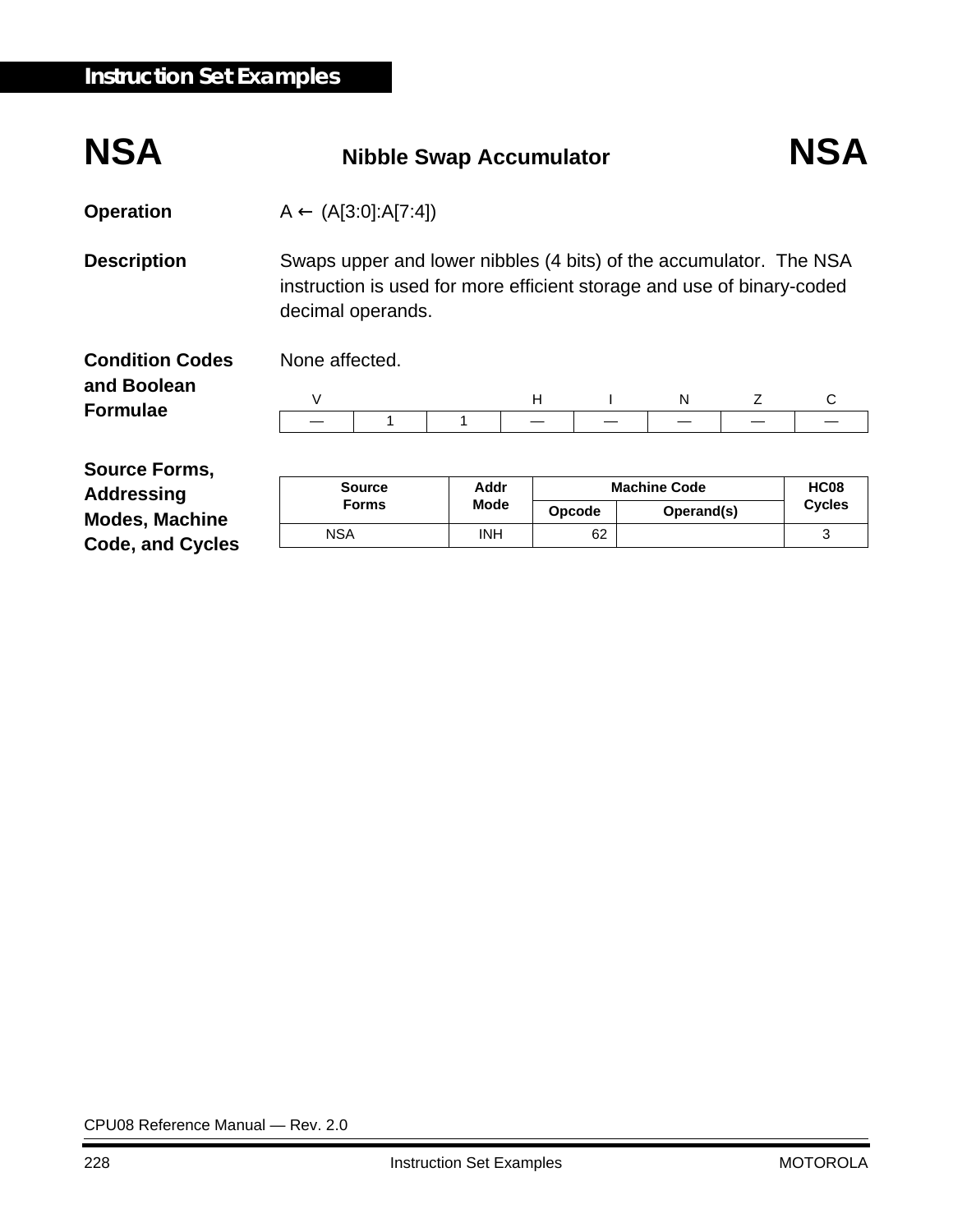**Code, and Cycles**

| <b>NSA</b>                     |                |                                | <b>Nibble Swap Accumulator</b>                                                                                                               |   |                      |                     |   | NSA           |
|--------------------------------|----------------|--------------------------------|----------------------------------------------------------------------------------------------------------------------------------------------|---|----------------------|---------------------|---|---------------|
| <b>Operation</b>               |                | $A \leftarrow (A[3:0]:A[7:4])$ |                                                                                                                                              |   |                      |                     |   |               |
| <b>Description</b>             |                | decimal operands.              | Swaps upper and lower nibbles (4 bits) of the accumulator. The NSA<br>instruction is used for more efficient storage and use of binary-coded |   |                      |                     |   |               |
| <b>Condition Codes</b>         | None affected. |                                |                                                                                                                                              |   |                      |                     |   |               |
| and Boolean<br><b>Formulae</b> | V              |                                |                                                                                                                                              | H |                      | N                   | Z | C             |
|                                |                |                                | $\mathbf{1}$                                                                                                                                 |   |                      |                     |   |               |
| <b>Source Forms,</b>           |                |                                |                                                                                                                                              |   |                      |                     |   |               |
| <b>Addressing</b>              |                | <b>Source</b>                  | Addr                                                                                                                                         |   |                      | <b>Machine Code</b> |   | <b>HC08</b>   |
| <b>Modes, Machine</b>          | <b>Forms</b>   |                                | Mode                                                                                                                                         |   | Operand(s)<br>Opcode |                     |   | <b>Cycles</b> |

NSA | INH | 62 | 3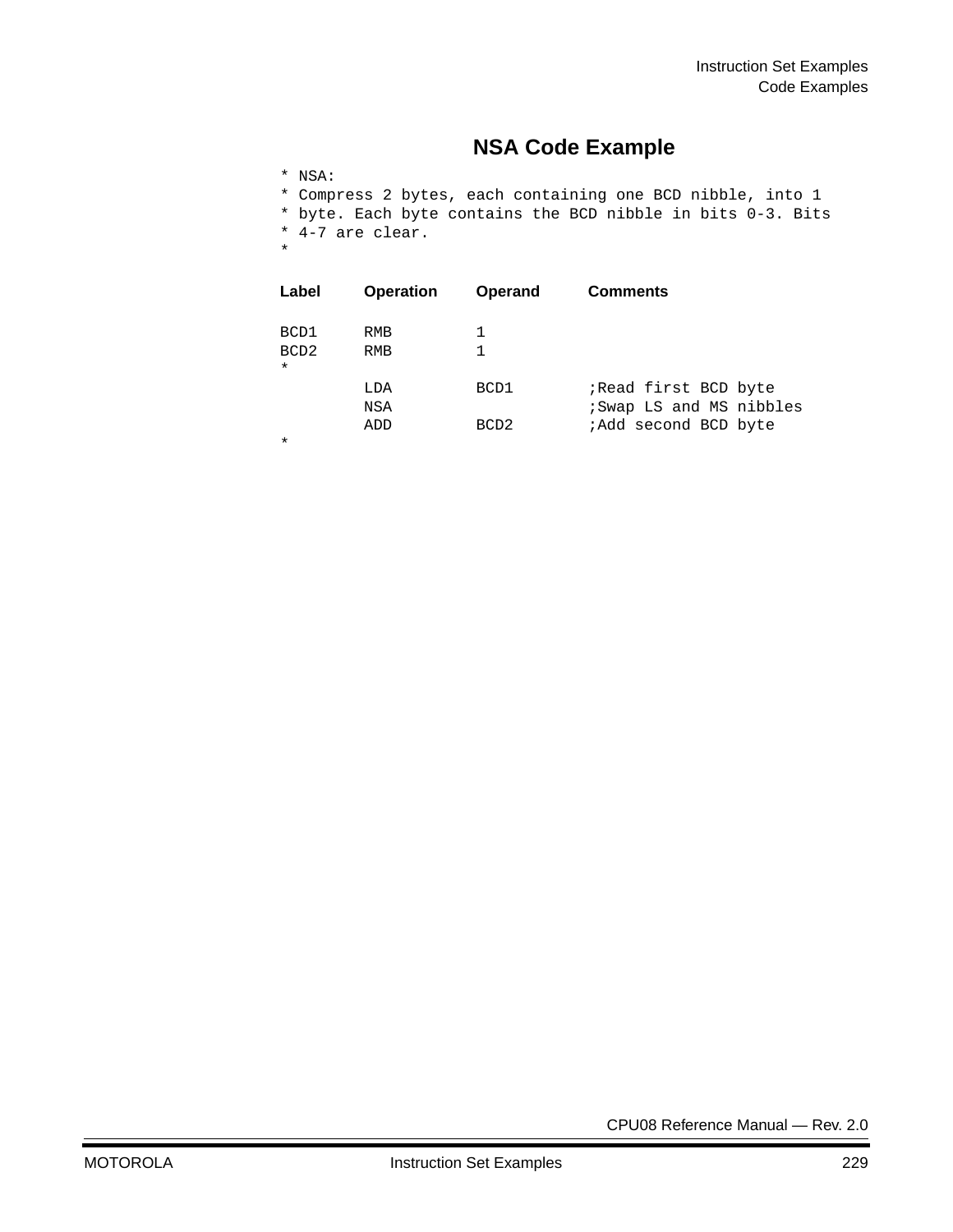#### **NSA Code Example**

\* NSA:

\* Compress 2 bytes, each containing one BCD nibble, into 1

\* byte. Each byte contains the BCD nibble in bits 0-3. Bits

\* 4-7 are clear.

| Label                   | <b>Operation</b>  | Operand                  | <b>Comments</b>                                                                 |
|-------------------------|-------------------|--------------------------|---------------------------------------------------------------------------------|
| BCD1<br>BCD2<br>$\star$ | RMB<br><b>RMB</b> |                          |                                                                                 |
|                         | LDA<br>NSA<br>ADD | BCD1<br>BCD <sub>2</sub> | Read first BCD byte<br>; Swap LS and MS nibbles<br><i>i</i> Add second BCD byte |
| $\star$                 |                   |                          |                                                                                 |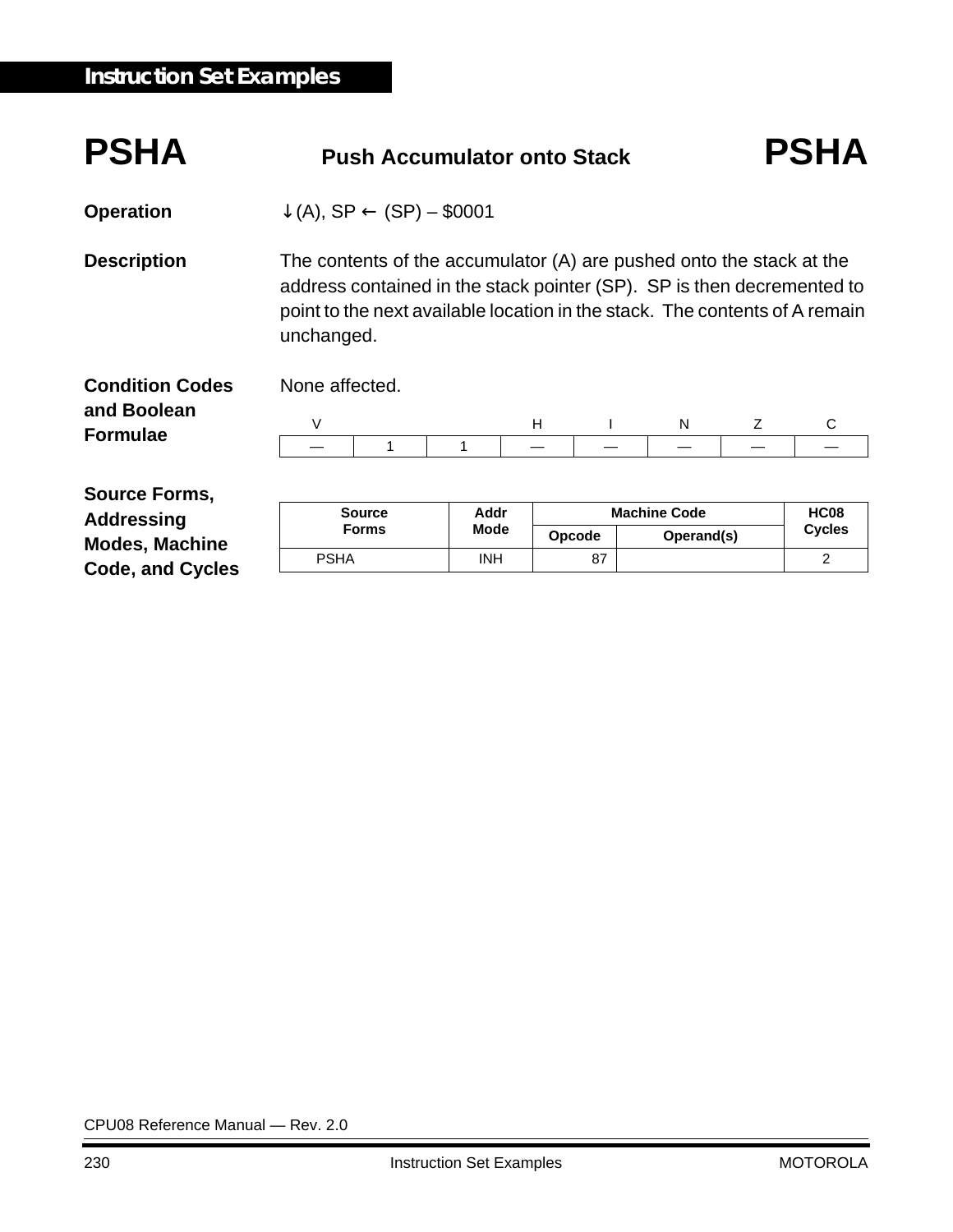**Code, and Cycles**

| <b>PSHA</b>                    |                                                 | <b>Push Accumulator onto Stack</b> |   |      |    |                      |                                                                                                                                                                                                                               |   | <b>PSHA</b>   |
|--------------------------------|-------------------------------------------------|------------------------------------|---|------|----|----------------------|-------------------------------------------------------------------------------------------------------------------------------------------------------------------------------------------------------------------------------|---|---------------|
| <b>Operation</b>               | $\downarrow$ (A), SP $\leftarrow$ (SP) – \$0001 |                                    |   |      |    |                      |                                                                                                                                                                                                                               |   |               |
| <b>Description</b>             | unchanged.                                      |                                    |   |      |    |                      | The contents of the accumulator (A) are pushed onto the stack at the<br>address contained in the stack pointer (SP). SP is then decremented to<br>point to the next available location in the stack. The contents of A remain |   |               |
| <b>Condition Codes</b>         | None affected.                                  |                                    |   |      |    |                      |                                                                                                                                                                                                                               |   |               |
| and Boolean<br><b>Formulae</b> | V                                               |                                    |   |      | H. |                      | N                                                                                                                                                                                                                             | Z | C             |
|                                |                                                 | 1                                  | 1 |      |    |                      |                                                                                                                                                                                                                               |   |               |
| <b>Source Forms,</b>           |                                                 |                                    |   |      |    |                      |                                                                                                                                                                                                                               |   |               |
| <b>Addressing</b>              |                                                 | <b>Source</b>                      |   | Addr |    |                      | <b>Machine Code</b>                                                                                                                                                                                                           |   | <b>HC08</b>   |
| <b>Modes, Machine</b>          |                                                 | <b>Forms</b>                       |   | Mode |    | Opcode<br>Operand(s) |                                                                                                                                                                                                                               |   | <b>Cycles</b> |

PSHA INH 87 2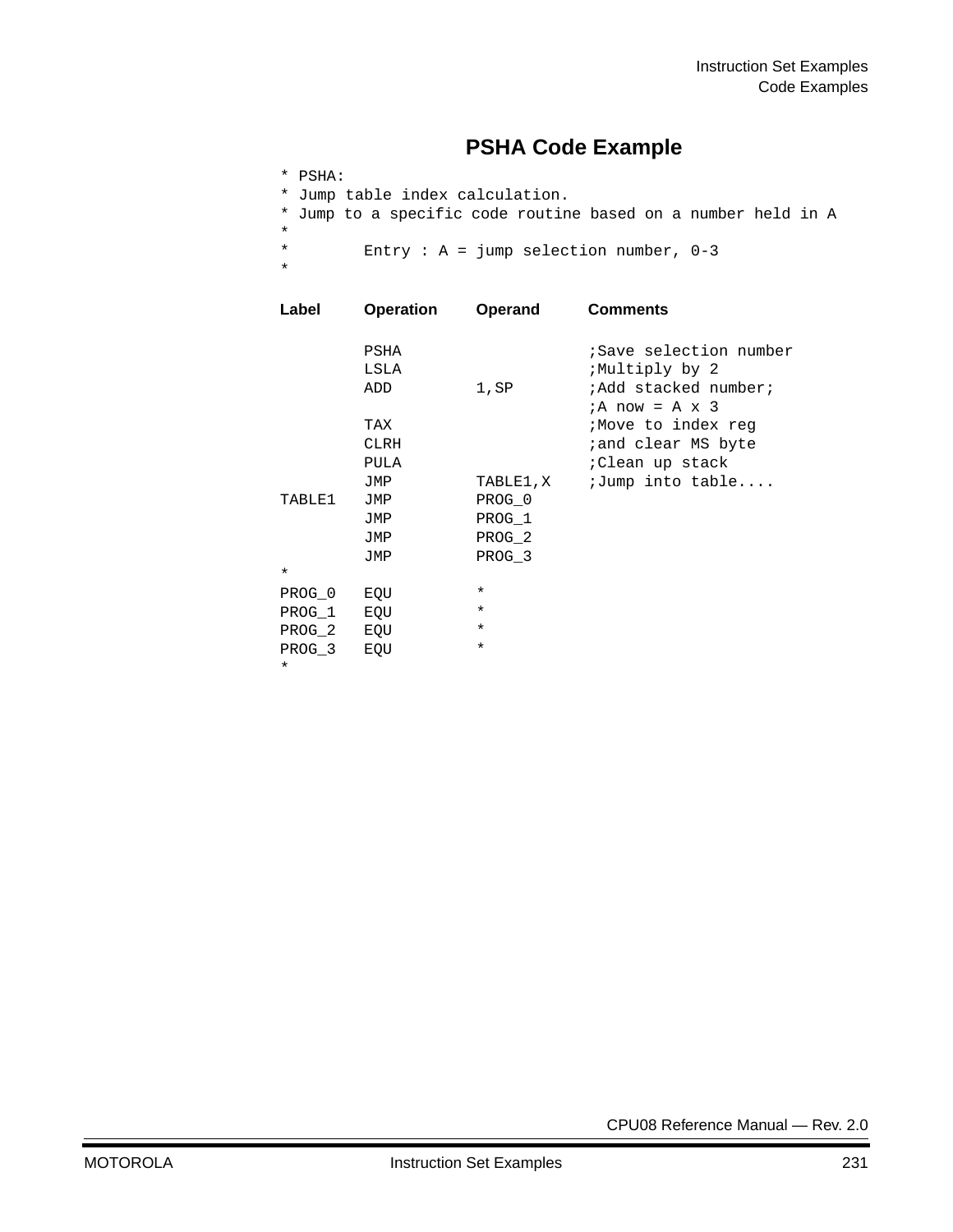#### **PSHA Code Example**

```
* PSHA:
```
- \* Jump table index calculation.
- \* Jump to a specific code routine based on a number held in A
- \* Entry : A = jump selection number, 0-3
- \*

| Label                        | <b>Operation</b>    | Operand           | <b>Comments</b>                                                         |
|------------------------------|---------------------|-------------------|-------------------------------------------------------------------------|
|                              | PSHA<br>LSLA<br>ADD | $1$ , SP          | ;Save selection number<br>Multiply by 2<br><i>i</i> Add stacked number; |
|                              |                     |                   | $iA$ now = A $x$ 3                                                      |
|                              | TAX                 |                   | <i>N</i> ove to index req                                               |
|                              | CLRH                |                   | and clear MS byte;                                                      |
|                              | PULA                |                   | ;Clean up stack                                                         |
|                              | JMP                 | TABLE1,X          | <i>;Jump</i> into table                                                 |
| TABLE1                       | JMP                 | PROG 0            |                                                                         |
|                              | JMP                 | PROG <sub>1</sub> |                                                                         |
|                              | JMP                 | PROG <sub>2</sub> |                                                                         |
|                              | JMP                 | PROG <sub>3</sub> |                                                                         |
| $\star$                      |                     |                   |                                                                         |
| PROG 0                       | EQU                 | $\star$           |                                                                         |
| PROG 1                       | EQU                 | $\star$           |                                                                         |
| PROG 2                       | EQU                 | $\star$           |                                                                         |
| PROG <sub>3</sub><br>$\star$ | EQU                 | $\star$           |                                                                         |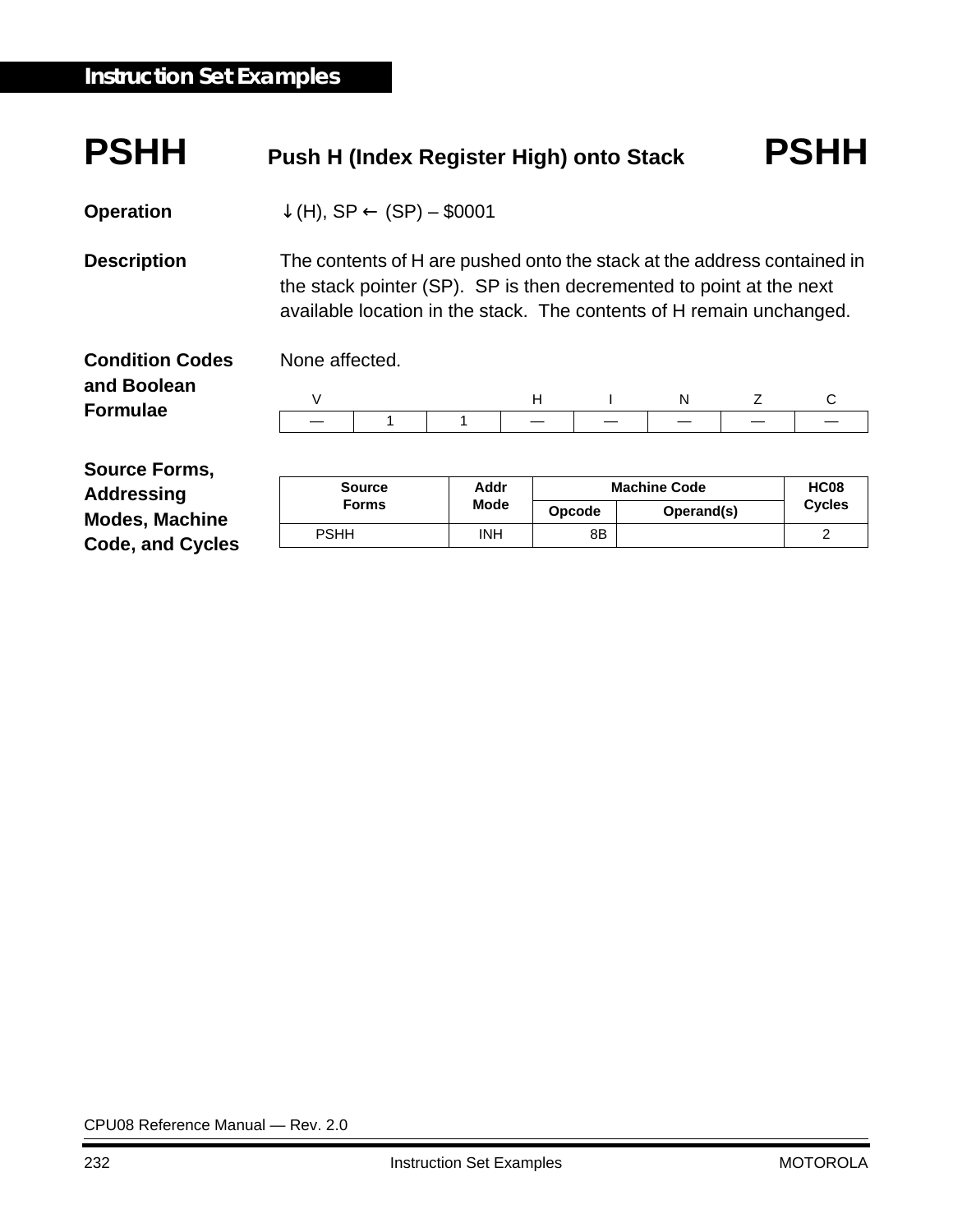| <b>PSHH</b>            | Push H (Index Register High) onto Stack |                                                                                                                                                                                                                        |      |    |  |                     |    | <b>PSHH</b>      |  |
|------------------------|-----------------------------------------|------------------------------------------------------------------------------------------------------------------------------------------------------------------------------------------------------------------------|------|----|--|---------------------|----|------------------|--|
| <b>Operation</b>       |                                         | $\downarrow$ (H), SP $\leftarrow$ (SP) – \$0001                                                                                                                                                                        |      |    |  |                     |    |                  |  |
| <b>Description</b>     |                                         | The contents of H are pushed onto the stack at the address contained in<br>the stack pointer (SP). SP is then decremented to point at the next<br>available location in the stack. The contents of H remain unchanged. |      |    |  |                     |    |                  |  |
| <b>Condition Codes</b> | None affected.                          |                                                                                                                                                                                                                        |      |    |  |                     |    |                  |  |
| and Boolean            | V                                       |                                                                                                                                                                                                                        |      | H. |  | N                   | Z. | C                |  |
| <b>Formulae</b>        |                                         | 1                                                                                                                                                                                                                      | 1    |    |  |                     |    |                  |  |
| <b>Source Forms,</b>   |                                         | Source                                                                                                                                                                                                                 | Addr |    |  | <b>Machine Code</b> |    | HC <sub>08</sub> |  |

**Addressing Modes, Machine Code, and Cycles**

| <b>Source</b> | Addr       |        | <b>Machine Code</b> | <b>HC08</b>   |  |
|---------------|------------|--------|---------------------|---------------|--|
| <b>Forms</b>  | Mode       | Opcode | Operand(s)          | <b>Cycles</b> |  |
| <b>PSHH</b>   | <b>INH</b> | 8B     |                     |               |  |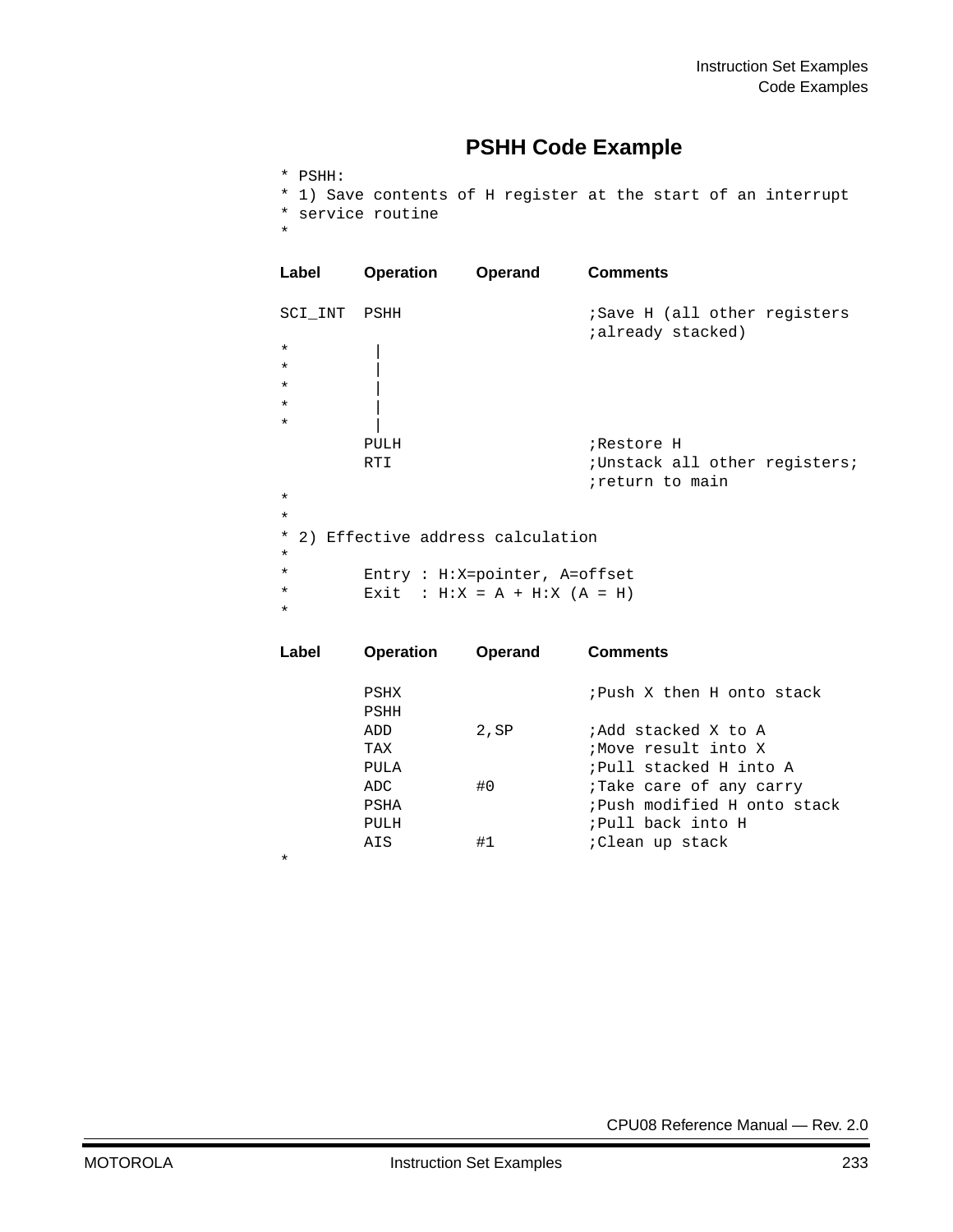### **PSHH Code Example**

```
* PSHH:
```

```
* 1) Save contents of H register at the start of an interrupt
* service routine
```

```
*
```

| Label    | <b>Operation</b> Operand |                                  | <b>Comments</b>                                           |  |
|----------|--------------------------|----------------------------------|-----------------------------------------------------------|--|
| SCI INT  | PSHH                     |                                  | ;Save H (all other registers<br><i>i</i> already stacked) |  |
| $\star$  |                          |                                  |                                                           |  |
| $\star$  |                          |                                  |                                                           |  |
| $\star$  |                          |                                  |                                                           |  |
| $\star$  |                          |                                  |                                                           |  |
| $\star$  |                          |                                  |                                                           |  |
|          | PULH                     |                                  | ;Restore H                                                |  |
|          | <b>RTT</b>               |                                  | ;Unstack all other registers;                             |  |
|          |                          |                                  | return to main                                            |  |
| $\star$  |                          |                                  |                                                           |  |
| $\ast$   |                          |                                  |                                                           |  |
| $\ast$   |                          | 2) Effective address calculation |                                                           |  |
| $\star$  |                          |                                  |                                                           |  |
| $\star$  |                          | $Entry : H:X=pointer, A=offset$  |                                                           |  |
| $^\star$ |                          | Exit : $H: X = A + H: X (A = H)$ |                                                           |  |
| $^\star$ |                          |                                  |                                                           |  |

| Label   | <b>Operation</b> | Operand | <b>Comments</b>                 |
|---------|------------------|---------|---------------------------------|
|         | PSHX             |         | :Push X then H onto stack       |
|         | PSHH             |         |                                 |
|         | ADD              | 2,SP    | ;Add stacked X to A             |
|         | TAX              |         | ;Move result into X             |
|         | PULA             |         | :Pull stacked H into A          |
|         | ADC.             | #0      | <i>i</i> Take care of any carry |
|         | PSHA             |         | :Push modified H onto stack     |
|         | PULH             |         | ;Pull back into H               |
|         | AIS              | #1      | :Clean up stack                 |
| $\star$ |                  |         |                                 |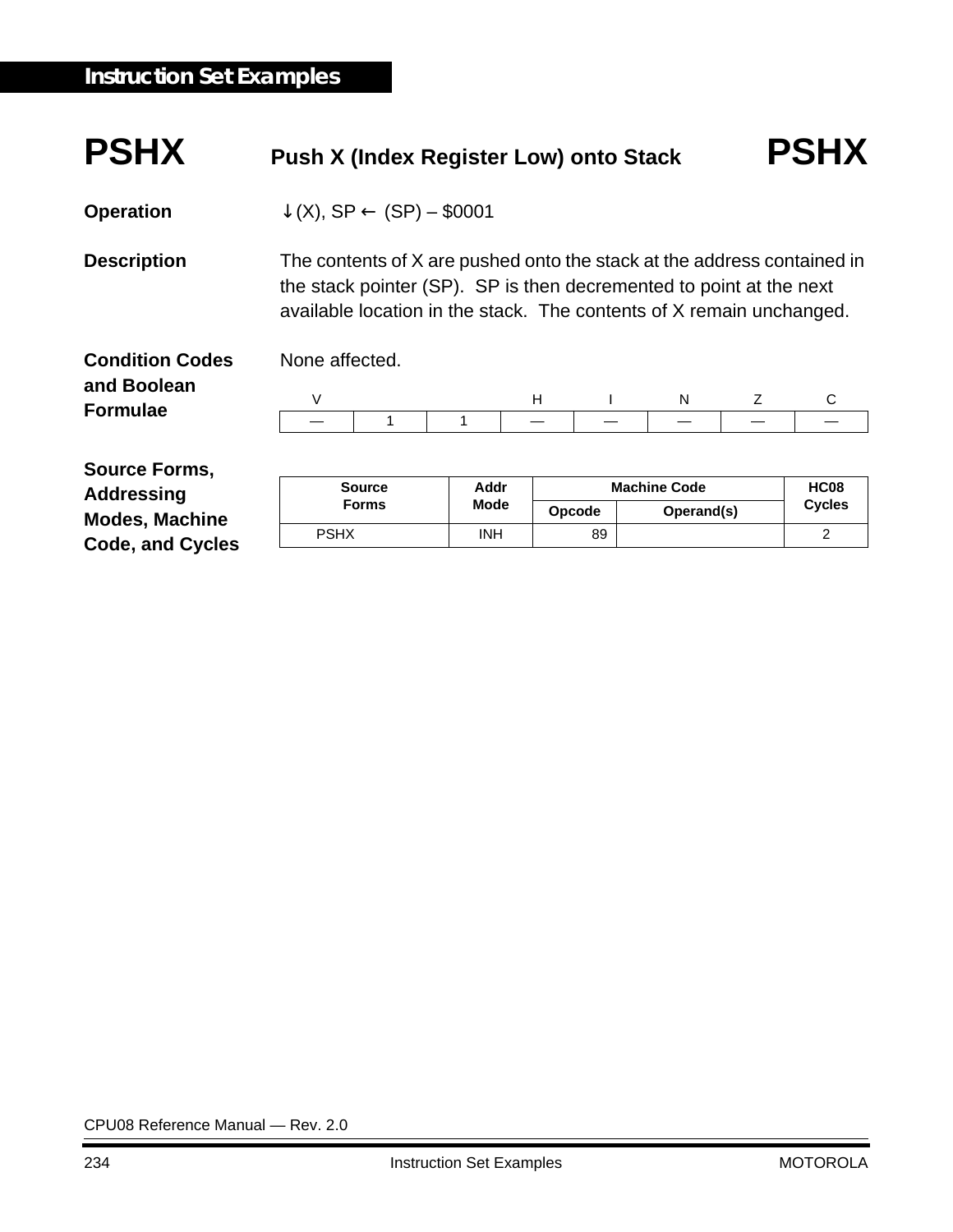| <b>PSHX</b>                                | <b>PSHX</b><br><b>Push X (Index Register Low) onto Stack</b> |                                                                                                                                                                                                                        |  |   |  |                                    |   |   |  |  |
|--------------------------------------------|--------------------------------------------------------------|------------------------------------------------------------------------------------------------------------------------------------------------------------------------------------------------------------------------|--|---|--|------------------------------------|---|---|--|--|
| <b>Operation</b>                           |                                                              | $\downarrow$ (X), SP $\leftarrow$ (SP) – \$0001                                                                                                                                                                        |  |   |  |                                    |   |   |  |  |
| <b>Description</b>                         |                                                              | The contents of X are pushed onto the stack at the address contained in<br>the stack pointer (SP). SP is then decremented to point at the next<br>available location in the stack. The contents of X remain unchanged. |  |   |  |                                    |   |   |  |  |
| <b>Condition Codes</b>                     | None affected.                                               |                                                                                                                                                                                                                        |  |   |  |                                    |   |   |  |  |
| and Boolean<br><b>Formulae</b>             | V                                                            |                                                                                                                                                                                                                        |  | н |  | N                                  | Z | C |  |  |
|                                            |                                                              | 1                                                                                                                                                                                                                      |  |   |  |                                    |   |   |  |  |
| <b>Source Forms,</b>                       |                                                              |                                                                                                                                                                                                                        |  |   |  |                                    |   |   |  |  |
| <b>Source</b><br>Addr<br><b>Addroccina</b> |                                                              |                                                                                                                                                                                                                        |  |   |  | <b>Machine Code</b><br><b>HC08</b> |   |   |  |  |

**Addressing Modes, Machine Code, and Cycles**

| <b>Source</b> | Addr       |        | <b>Machine Code</b> | <b>HC08</b><br><b>Cycles</b> |  |
|---------------|------------|--------|---------------------|------------------------------|--|
| <b>Forms</b>  | Mode       | Opcode | Operand(s)          |                              |  |
| <b>PSHX</b>   | <b>INH</b> | 89     |                     |                              |  |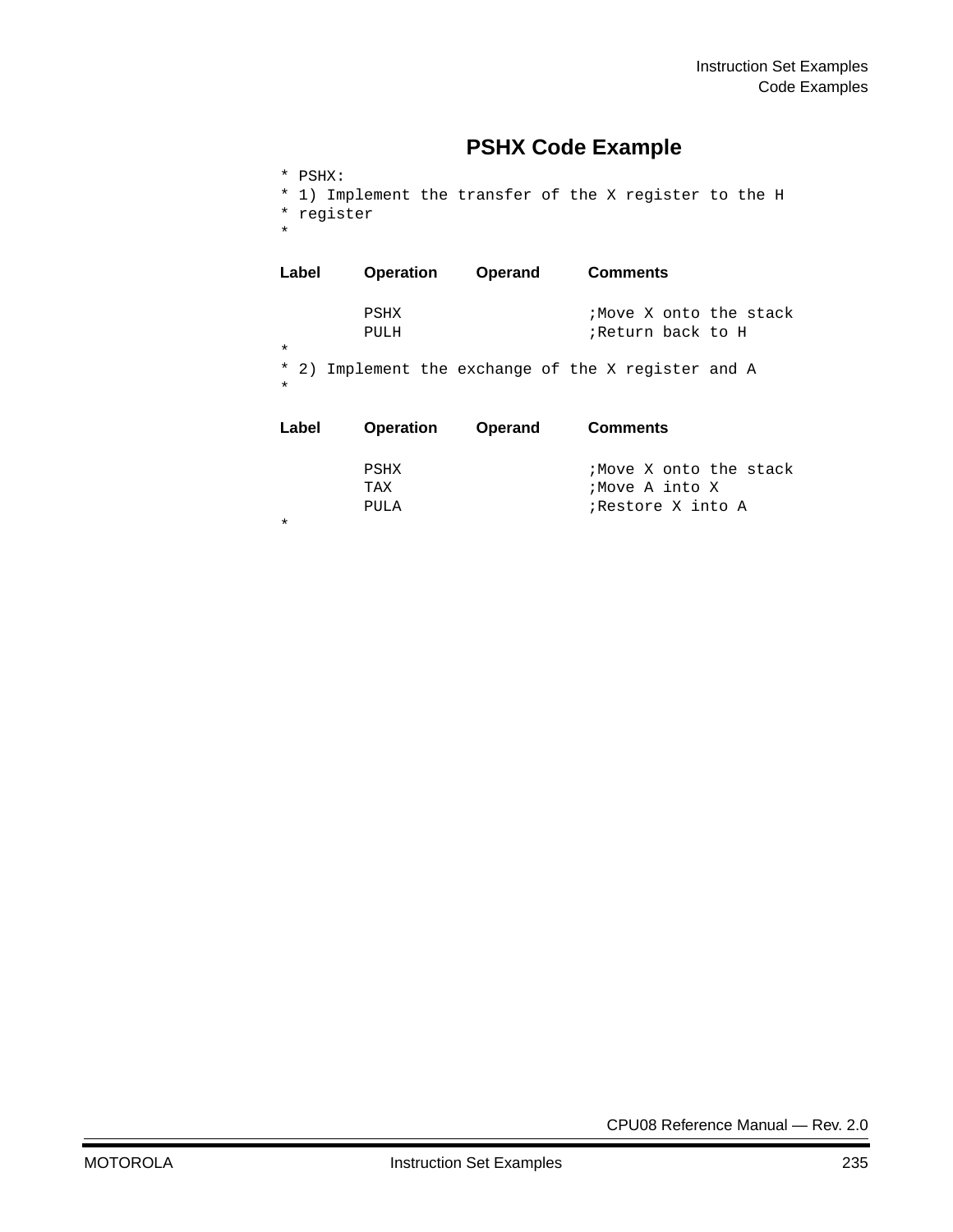#### **PSHX Code Example**

```
* PSHX:
```

```
* 1) Implement the transfer of the X register to the H
* register
```

```
*
```

| <b>Operation</b> | Operand | <b>Comments</b>                                                       |
|------------------|---------|-----------------------------------------------------------------------|
| PSHX<br>PULH     |         | <i>I</i> Move X onto the stack<br>;Return back to H                   |
|                  |         |                                                                       |
|                  |         |                                                                       |
| <b>Operation</b> | Operand | <b>Comments</b>                                                       |
| PSHX<br>TAX      |         | <i>I</i> Move X onto the stack<br>;Move A into X<br>;Restore X into A |
|                  | PULA    | 2) Implement the exchange of the X register and A                     |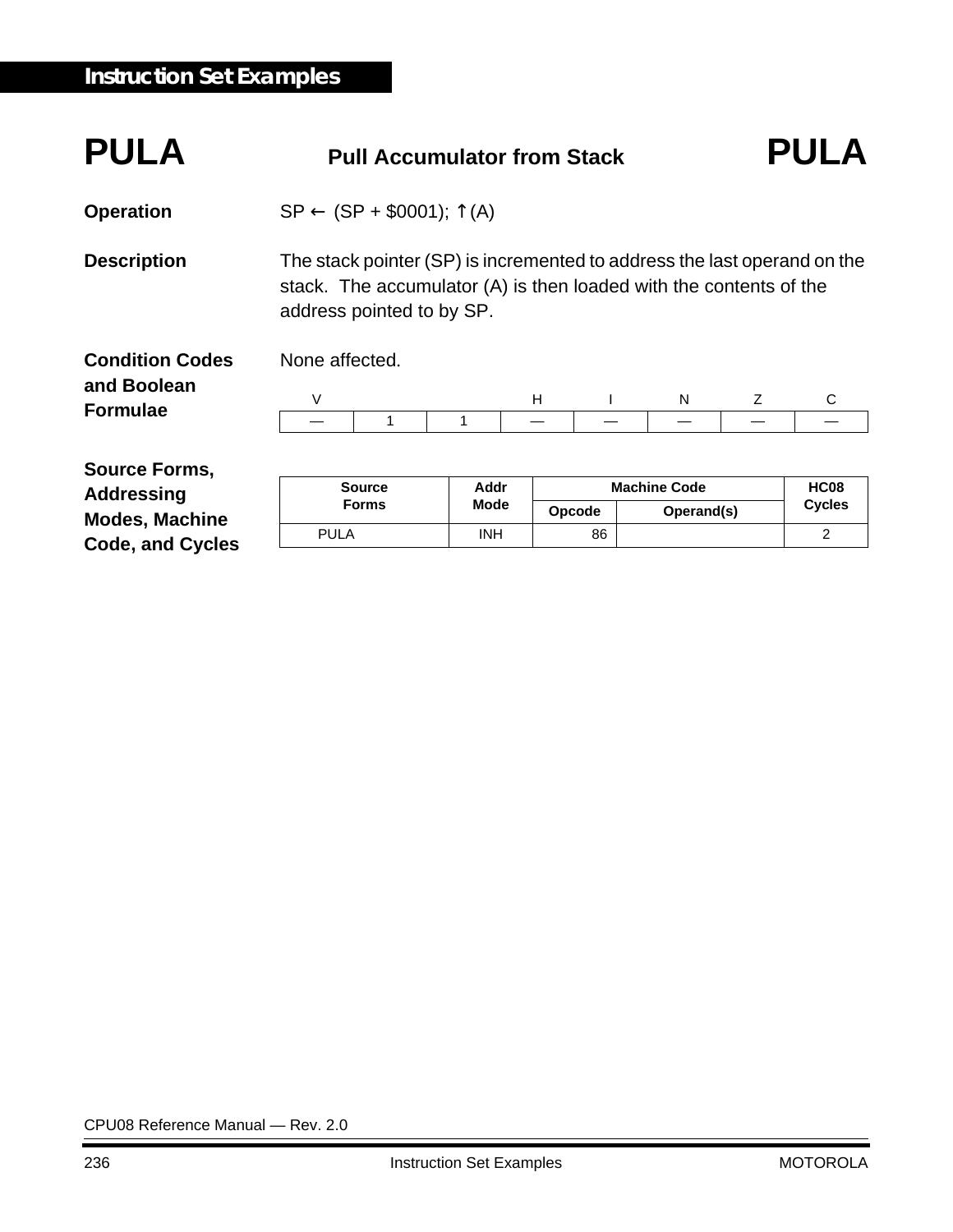**Modes, Machine Code, and Cycles**

| <b>PULA</b>                                  |                | <b>Pull Accumulator from Stack</b>                                                                                                                                          |              |   |        |                     |             | <b>PULA</b>   |  |
|----------------------------------------------|----------------|-----------------------------------------------------------------------------------------------------------------------------------------------------------------------------|--------------|---|--------|---------------------|-------------|---------------|--|
| <b>Operation</b>                             |                | $SP \leftarrow (SP + $0001); \hat{\top} (A)$                                                                                                                                |              |   |        |                     |             |               |  |
| <b>Description</b><br><b>Condition Codes</b> | None affected. | The stack pointer (SP) is incremented to address the last operand on the<br>stack. The accumulator (A) is then loaded with the contents of the<br>address pointed to by SP. |              |   |        |                     |             |               |  |
| and Boolean                                  |                |                                                                                                                                                                             |              |   |        |                     |             |               |  |
| <b>Formulae</b>                              | V              |                                                                                                                                                                             |              | H |        | N                   | Ζ           | C             |  |
|                                              |                | 1                                                                                                                                                                           | 1            |   |        |                     |             |               |  |
| <b>Source Forms,</b>                         |                |                                                                                                                                                                             |              |   |        |                     |             |               |  |
| Addressing                                   |                | <b>Source</b><br><b>Forms</b>                                                                                                                                               | Addr<br>Mode |   |        | <b>Machine Code</b> | <b>HC08</b> |               |  |
| Madoc Moobino                                |                |                                                                                                                                                                             |              |   | Opcode | Operand(s)          |             | <b>Cycles</b> |  |

PULA INH 86 2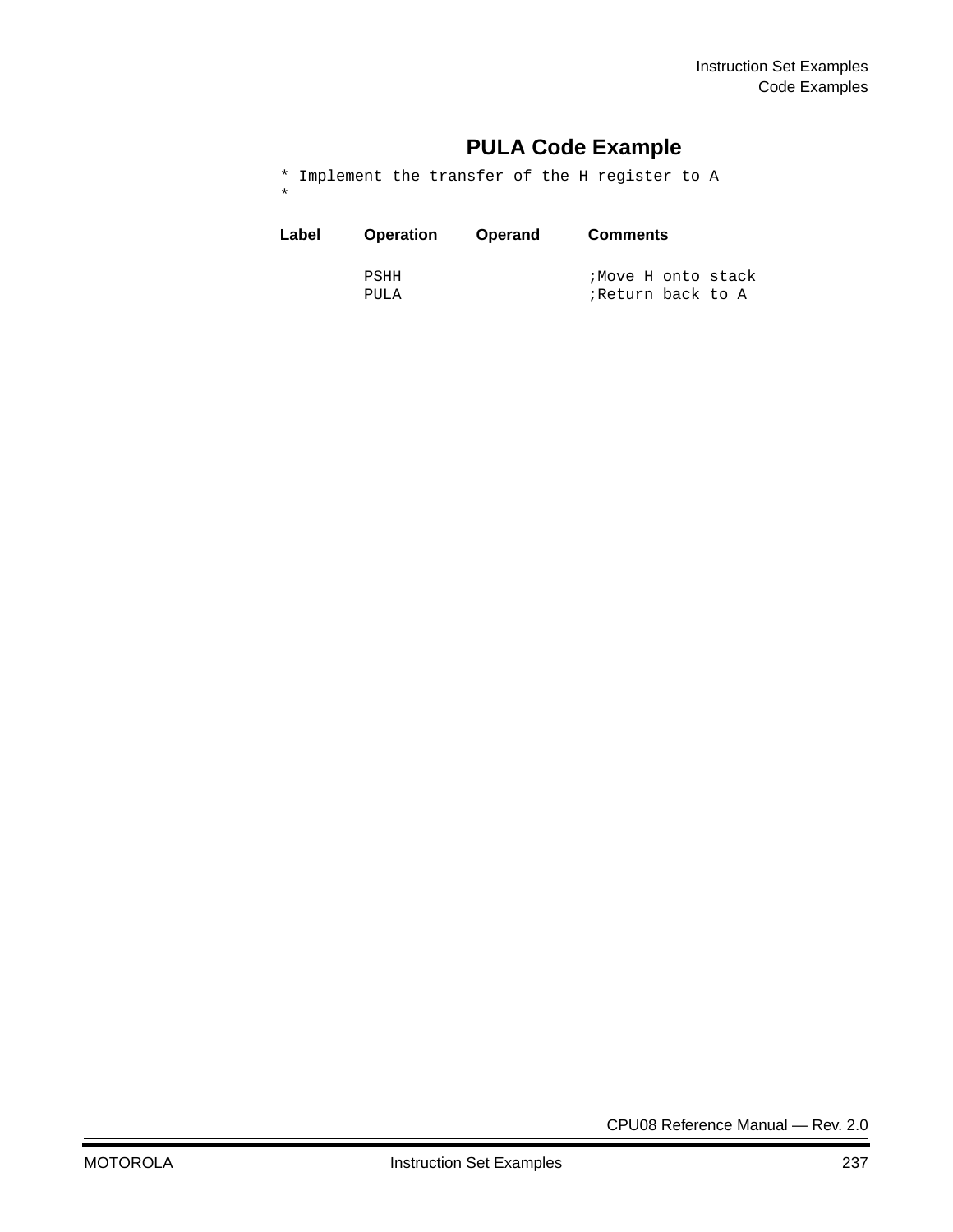### **PULA Code Example**

```
* Implement the transfer of the H register to A
*
```

| Label | <b>Operation</b> | Operand | <b>Comments</b>            |  |
|-------|------------------|---------|----------------------------|--|
|       | PSHH             |         | <i>i</i> Move H onto stack |  |
|       | PULA             |         | ;Return back to A          |  |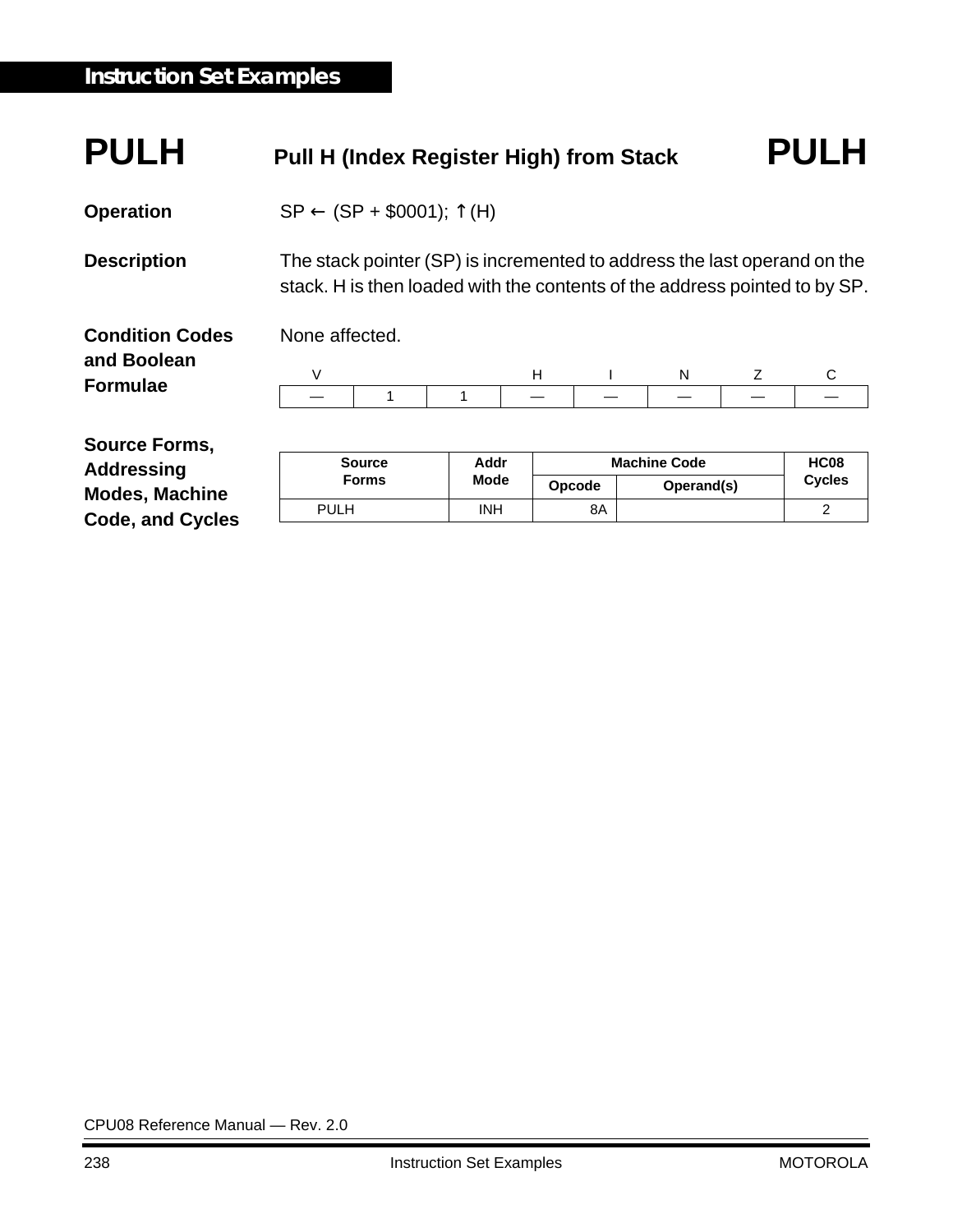| <b>PULH</b>                                                                                   | <b>Pull H (Index Register High) from Stack</b> |                                                                                                                                                        |                                   |  |        |    |                                   |   | <b>PULH</b>                                    |
|-----------------------------------------------------------------------------------------------|------------------------------------------------|--------------------------------------------------------------------------------------------------------------------------------------------------------|-----------------------------------|--|--------|----|-----------------------------------|---|------------------------------------------------|
| <b>Operation</b>                                                                              |                                                | $SP \leftarrow (SP + $0001); \uparrow (H)$                                                                                                             |                                   |  |        |    |                                   |   |                                                |
| <b>Description</b>                                                                            |                                                | The stack pointer (SP) is incremented to address the last operand on the<br>stack. H is then loaded with the contents of the address pointed to by SP. |                                   |  |        |    |                                   |   |                                                |
| <b>Condition Codes</b><br>and Boolean<br><b>Formulae</b>                                      | None affected.<br>V                            | 1                                                                                                                                                      | 1                                 |  | H.     |    | N                                 | Z | C                                              |
| <b>Source Forms,</b><br><b>Addressing</b><br><b>Modes, Machine</b><br><b>Code, and Cycles</b> | <b>PULH</b>                                    | <b>Source</b><br><b>Forms</b>                                                                                                                          | Addr<br><b>Mode</b><br><b>INH</b> |  | Opcode | 8A | <b>Machine Code</b><br>Operand(s) |   | <b>HC08</b><br><b>Cycles</b><br>$\overline{2}$ |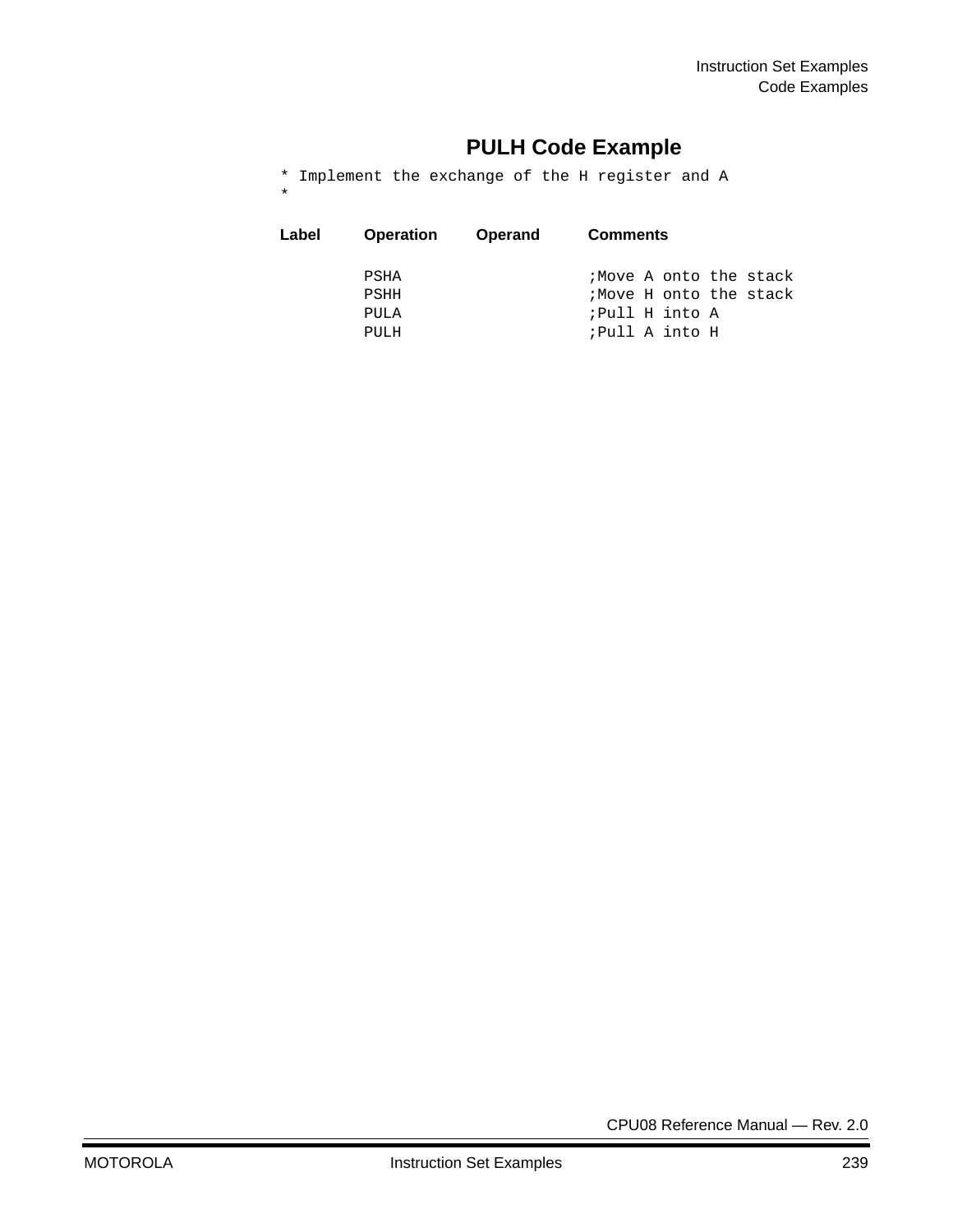### **PULH Code Example**

```
* Implement the exchange of the H register and A
```

| Label | <b>Operation</b> | Operand | <b>Comments</b>        |
|-------|------------------|---------|------------------------|
|       | PSHA             |         | :Move A onto the stack |
|       | PSHH             |         | Move H onto the stack  |
|       | PULA             |         | ; Pull H into A        |
|       | PULH             |         | ;Pull A into H         |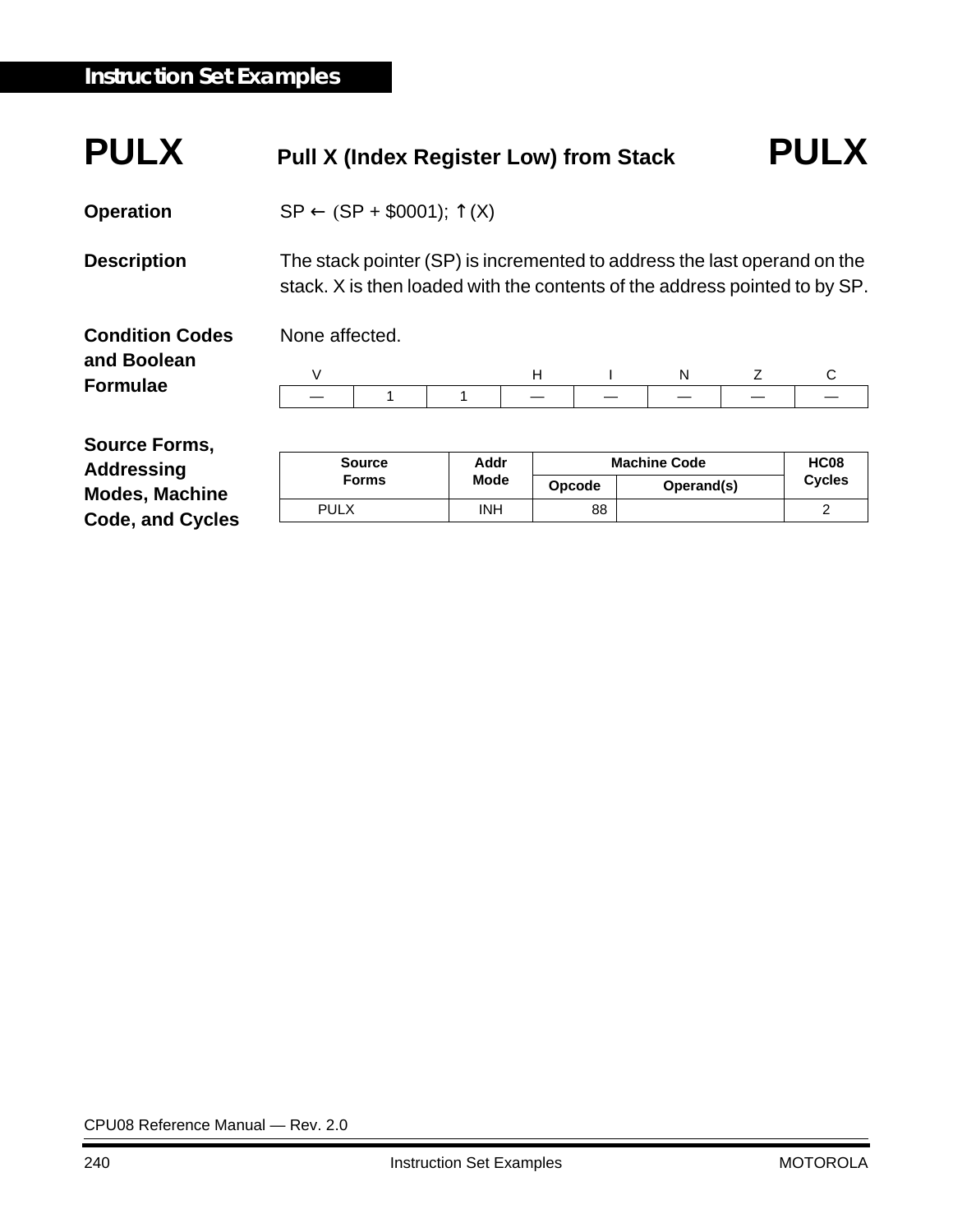| <b>PULX</b>                                                                                   |                     | <b>Pull X (Index Register Low) from Stack</b>                                                                                                          |                                   |  |        |    |                                   |   | <b>PULX</b>                                         |
|-----------------------------------------------------------------------------------------------|---------------------|--------------------------------------------------------------------------------------------------------------------------------------------------------|-----------------------------------|--|--------|----|-----------------------------------|---|-----------------------------------------------------|
| <b>Operation</b>                                                                              |                     | $SP \leftarrow (SP + $0001); \hat{\top} (X)$                                                                                                           |                                   |  |        |    |                                   |   |                                                     |
| <b>Description</b>                                                                            |                     | The stack pointer (SP) is incremented to address the last operand on the<br>stack. X is then loaded with the contents of the address pointed to by SP. |                                   |  |        |    |                                   |   |                                                     |
| <b>Condition Codes</b><br>and Boolean<br><b>Formulae</b>                                      | None affected.<br>V | 1                                                                                                                                                      | 1                                 |  | н      |    | N                                 | Z | C                                                   |
| <b>Source Forms,</b><br><b>Addressing</b><br><b>Modes, Machine</b><br><b>Code, and Cycles</b> | <b>PULX</b>         | <b>Source</b><br><b>Forms</b>                                                                                                                          | Addr<br><b>Mode</b><br><b>INH</b> |  | Opcode | 88 | <b>Machine Code</b><br>Operand(s) |   | HC <sub>08</sub><br><b>Cycles</b><br>$\overline{2}$ |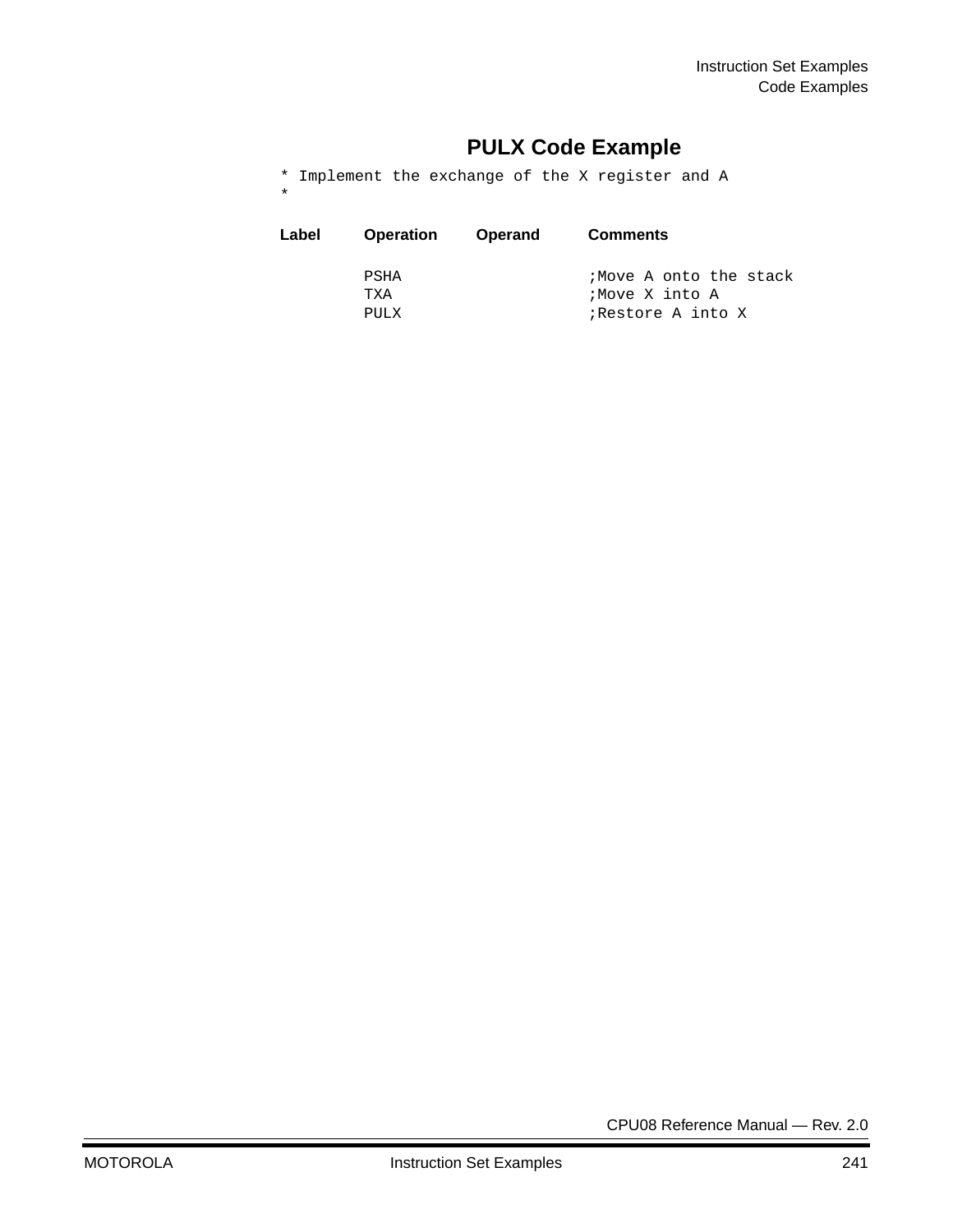#### **PULX Code Example**

- \* Implement the exchange of the X register and A
- \*

| Label | <b>Operation</b> | Operand | <b>Comments</b>        |
|-------|------------------|---------|------------------------|
|       | PSHA             |         | :Move A onto the stack |
|       | TXA              |         | ;Move X into A         |
|       | PULX             |         | Restore A into X       |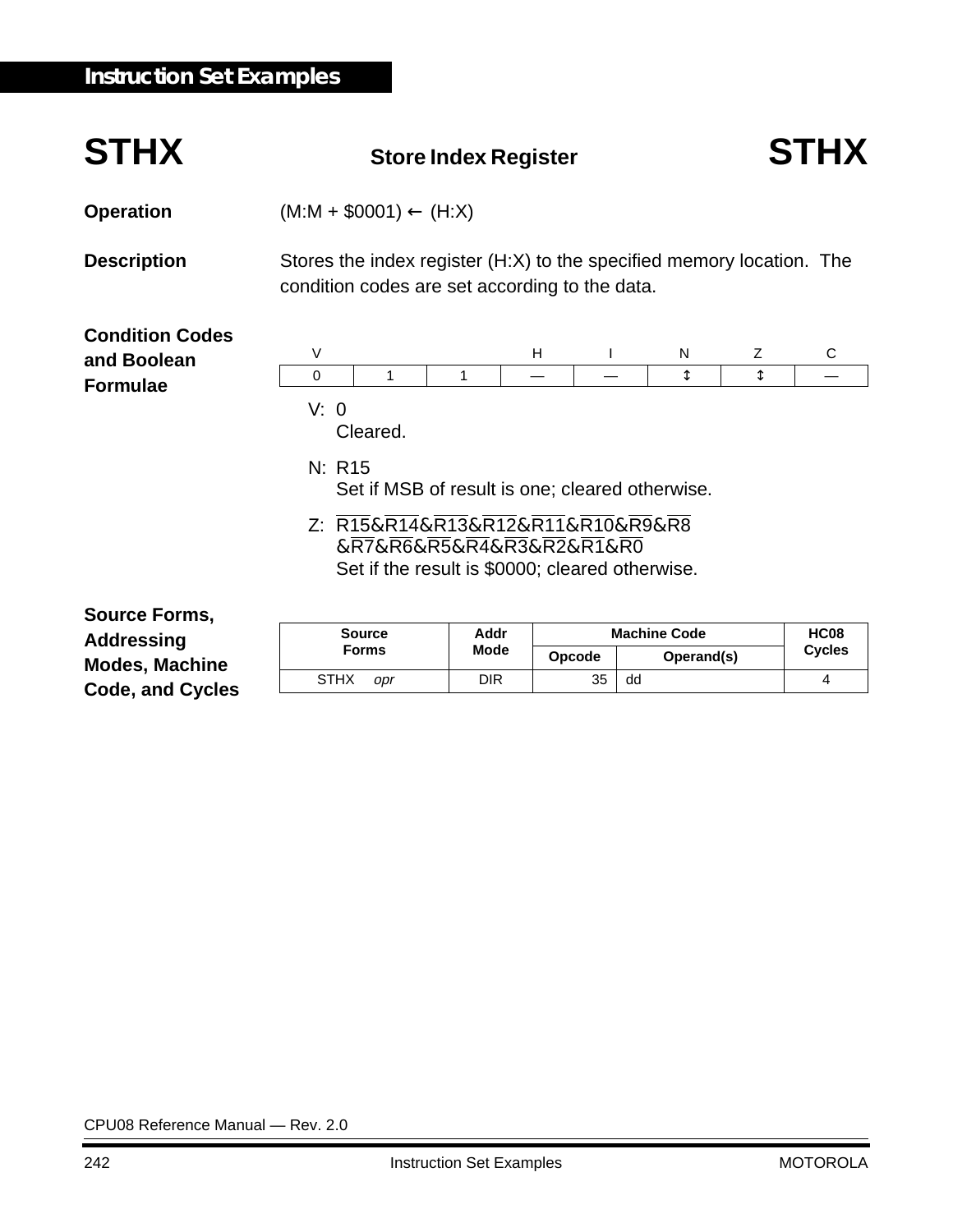| <b>STHX</b>                                              | <b>STHX</b><br><b>Store Index Register</b>                                                                                                                                   |                     |        |                                   |                     |                              |  |  |  |  |
|----------------------------------------------------------|------------------------------------------------------------------------------------------------------------------------------------------------------------------------------|---------------------|--------|-----------------------------------|---------------------|------------------------------|--|--|--|--|
| <b>Operation</b>                                         | $(M:M + $0001) \leftarrow (H:X)$                                                                                                                                             |                     |        |                                   |                     |                              |  |  |  |  |
| <b>Description</b>                                       | Stores the index register (H:X) to the specified memory location. The<br>condition codes are set according to the data.                                                      |                     |        |                                   |                     |                              |  |  |  |  |
| <b>Condition Codes</b><br>and Boolean<br><b>Formulae</b> | V<br>0<br>1<br>V: 0<br>Cleared.                                                                                                                                              | 1                   | H<br>L | N<br>$\updownarrow$               | Z<br>$\updownarrow$ | C                            |  |  |  |  |
|                                                          | N: R15<br>Set if MSB of result is one; cleared otherwise.<br>Z: R15&R14&R13&R12&R11&R10&R9&R8<br>&R7&R6&R5&R4&R3&R2&R1&R0<br>Set if the result is \$0000; cleared otherwise. |                     |        |                                   |                     |                              |  |  |  |  |
| <b>Source Forms,</b><br><b>Addressing</b>                | <b>Source</b><br><b>Forms</b>                                                                                                                                                | Addr<br><b>Mode</b> | Opcode | <b>Machine Code</b><br>Operand(s) |                     | <b>HC08</b><br><b>Cycles</b> |  |  |  |  |
| <b>Modes, Machine</b><br><b>Code, and Cycles</b>         | <b>STHX</b><br>opr                                                                                                                                                           | <b>DIR</b>          | 35     | dd                                |                     | $\overline{4}$               |  |  |  |  |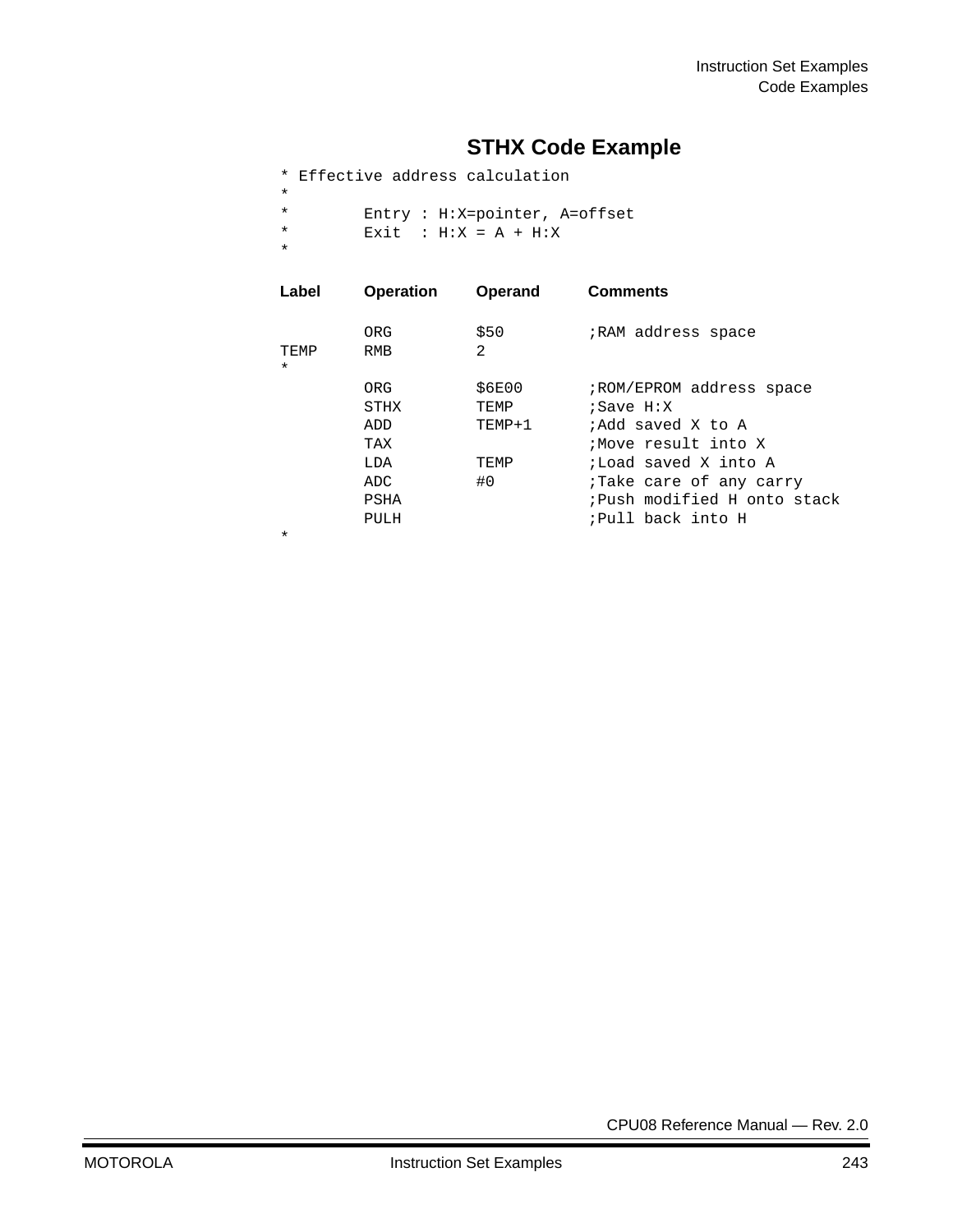### **STHX Code Example**

```
* Effective address calculation
*
```

```
* Entry : H:X=pointer, A=offset<br>* Exit : H:X = A + H:X
           Exit : H: X = A + H: X
```

| Label           | <b>Operation</b>                                                | Operand                                        | <b>Comments</b>                                                                                                                                                                                |
|-----------------|-----------------------------------------------------------------|------------------------------------------------|------------------------------------------------------------------------------------------------------------------------------------------------------------------------------------------------|
| TEMP<br>$\star$ | ORG<br>RMB                                                      | \$50<br>$\mathfrak{D}$                         | ; RAM address space                                                                                                                                                                            |
|                 | <b>ORG</b><br>STHX<br>ADD<br>TAX<br>LDA<br>ADC.<br>PSHA<br>PULH | <b>\$6E00</b><br>TEMP<br>TEMP+1<br>TF.MP<br>#0 | ; ROM/EPROM address space<br>$i$ Save $H: X$<br>;Add saved X to A<br>;Move result into X<br>;Load saved X into A<br>Take care of any carry<br>;Push modified H onto stack<br>;Pull back into H |
| $\star$         |                                                                 |                                                |                                                                                                                                                                                                |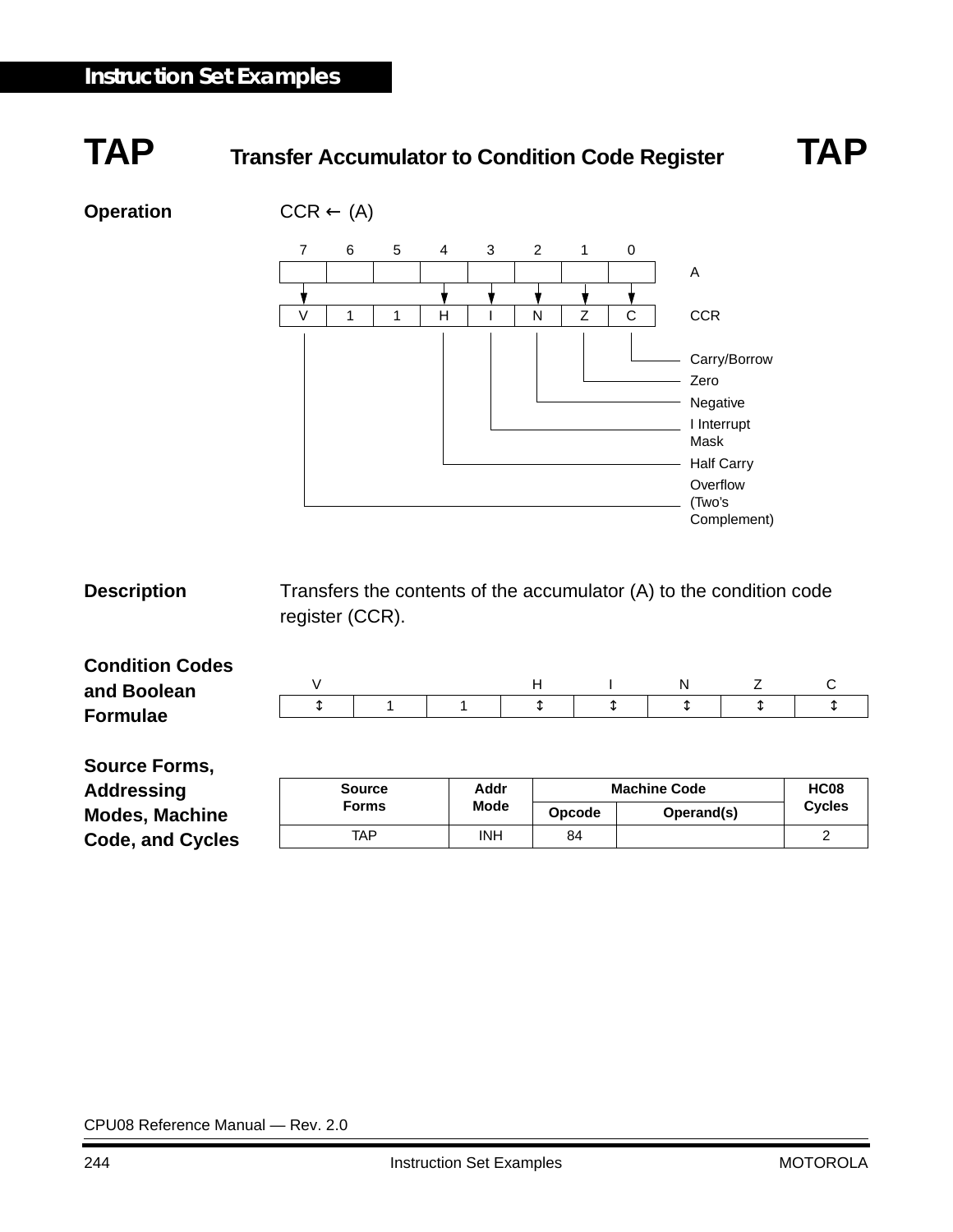# **TAP Transfer Accumulator to Condition Code Register TAP**



**Description** Transfers the contents of the accumulator (A) to the condition code register (CCR).

| <b>Condition Codes</b> |  |  |  |  |
|------------------------|--|--|--|--|
| and Boolean            |  |  |  |  |
| <b>Formulae</b>        |  |  |  |  |
|                        |  |  |  |  |

| <b>Source Forms,</b>    |               |            |        |                     |                  |
|-------------------------|---------------|------------|--------|---------------------|------------------|
| Addressing              | <b>Source</b> | Addr       |        | <b>Machine Code</b> | HC <sub>08</sub> |
| <b>Modes, Machine</b>   | <b>Forms</b>  | Mode       | Opcode | Operand(s)          | <b>Cycles</b>    |
| <b>Code, and Cycles</b> | TAP           | <b>INH</b> | 84     |                     |                  |
|                         |               |            |        |                     |                  |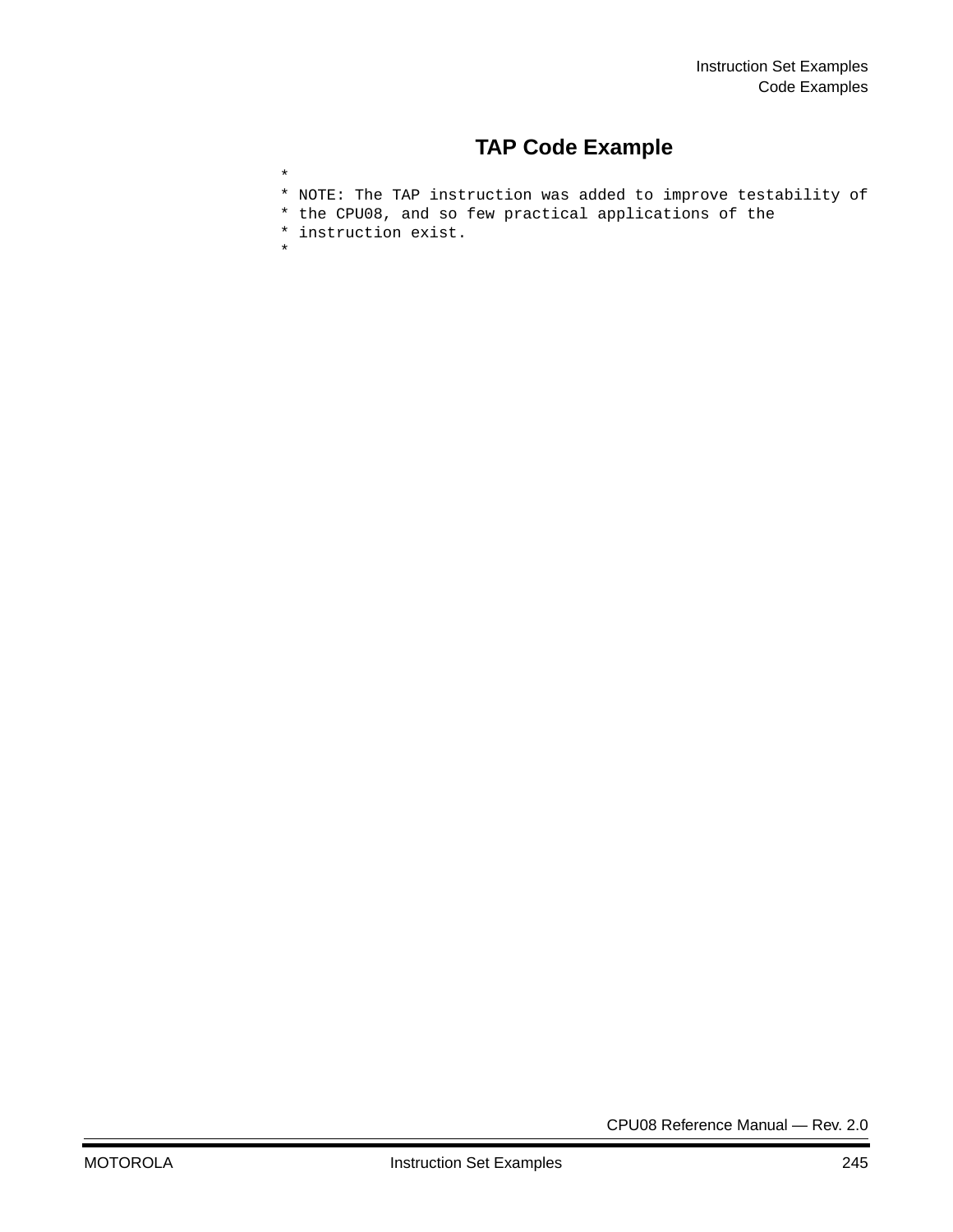#### **TAP Code Example**

\*

\* NOTE: The TAP instruction was added to improve testability of

\* the CPU08, and so few practical applications of the

\* instruction exist.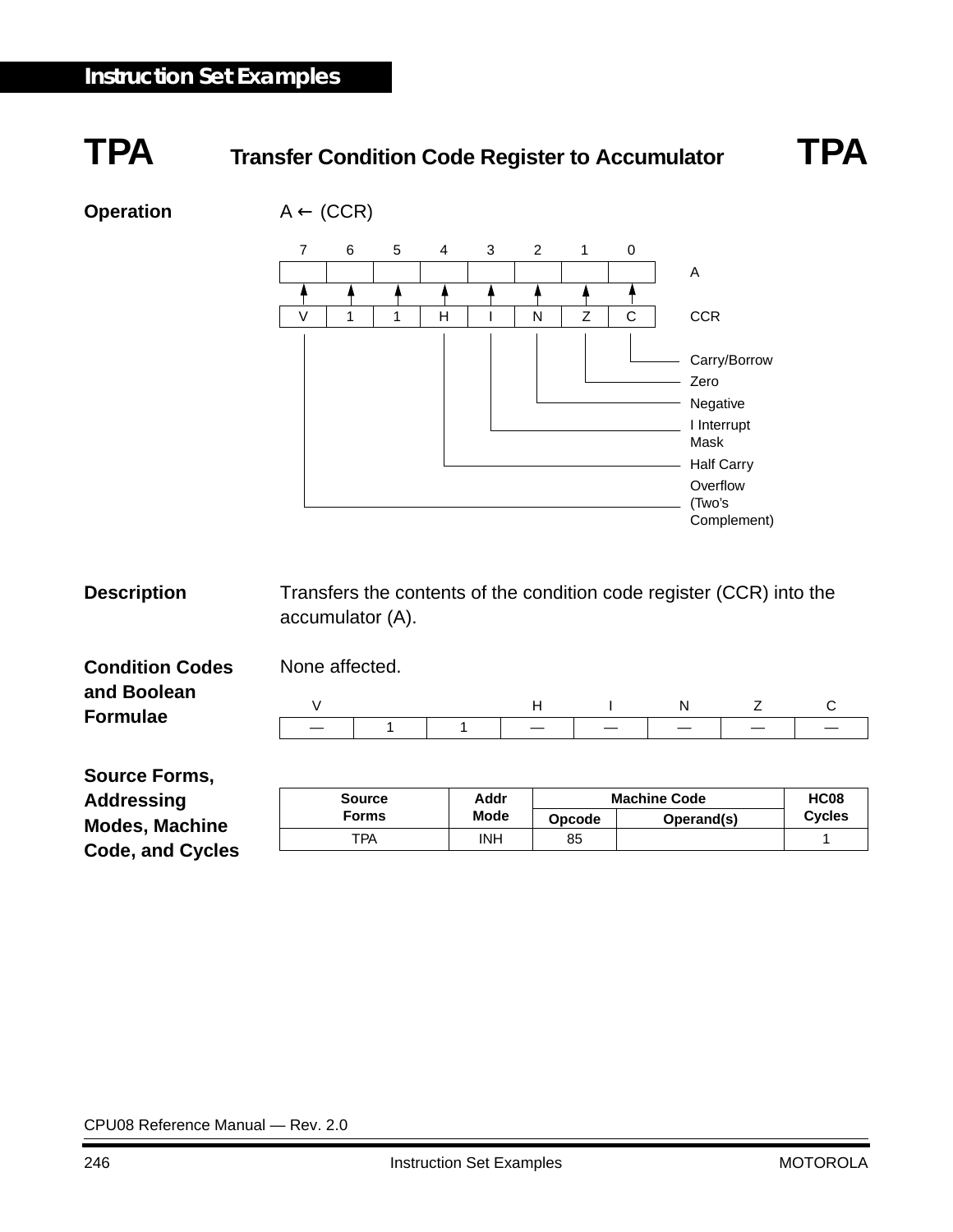# **TPA Transfer Condition Code Register to Accumulator TPA**



|               |   |                                                                  |                                   |   |              |             | C                                                                                       |
|---------------|---|------------------------------------------------------------------|-----------------------------------|---|--------------|-------------|-----------------------------------------------------------------------------------------|
|               |   |                                                                  |                                   |   |              |             |                                                                                         |
|               |   |                                                                  |                                   |   |              |             |                                                                                         |
| <b>Source</b> |   |                                                                  | <b>Machine Code</b>               |   |              | <b>HC08</b> |                                                                                         |
|               |   |                                                                  |                                   |   |              |             | <b>Cycles</b>                                                                           |
|               |   |                                                                  |                                   |   |              |             |                                                                                         |
|               | V | accumulator (A).<br>None affected.<br><b>Forms</b><br><b>TPA</b> | Addr<br><b>Mode</b><br><b>INH</b> | H | Opcode<br>85 | N           | Transfers the contents of the condition code register (CCR) into the<br>Z<br>Operand(s) |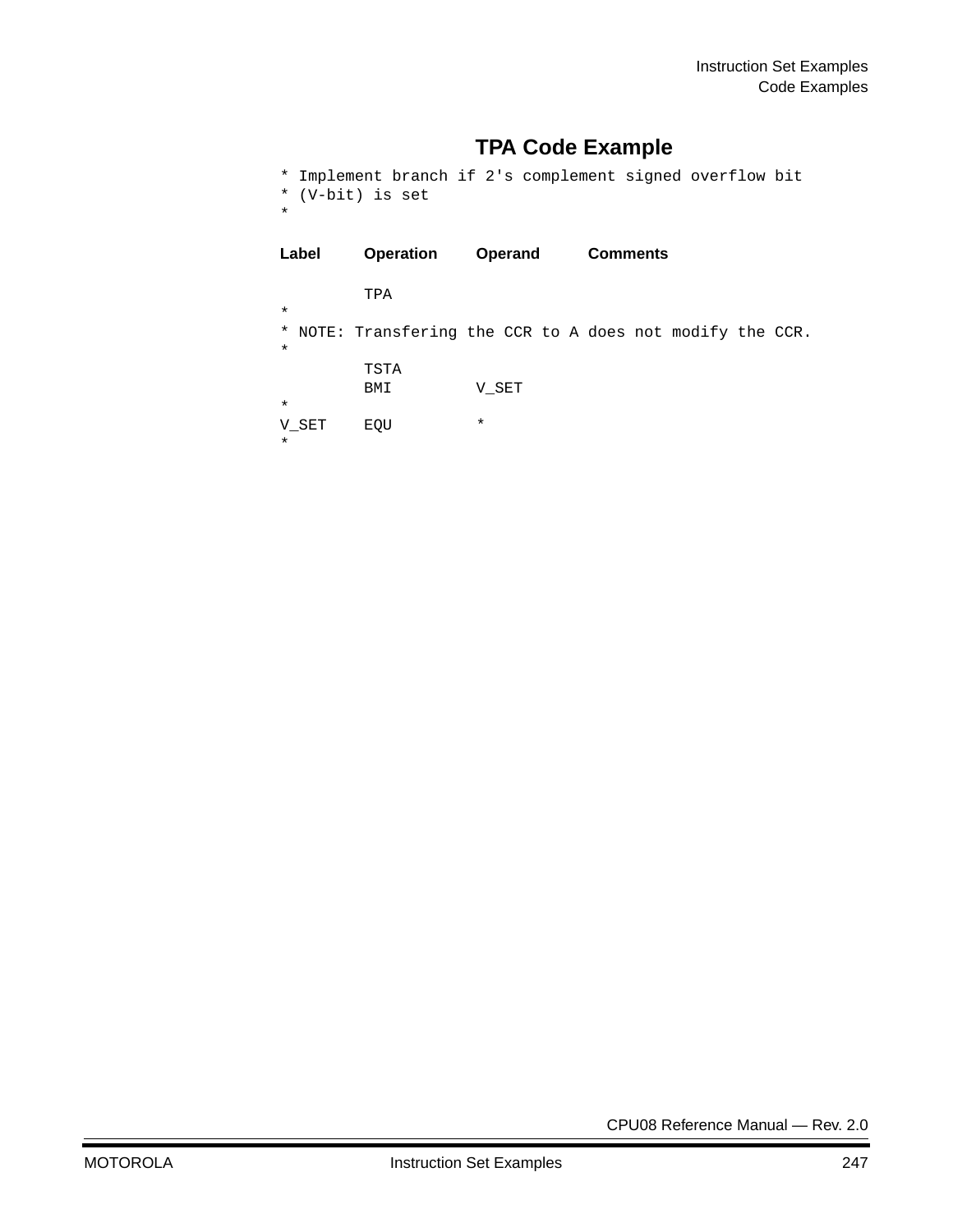#### **TPA Code Example**

```
* Implement branch if 2's complement signed overflow bit
* (V-bit) is set
*
Label Operation Operand Comments
```
TPA

\*

\* NOTE: Transfering the CCR to A does not modify the CCR.

| *          |      |       |
|------------|------|-------|
|            | TSTA |       |
|            | BMI  | V SET |
| $^\star$   |      |       |
| V SET<br>* | EQU  | *     |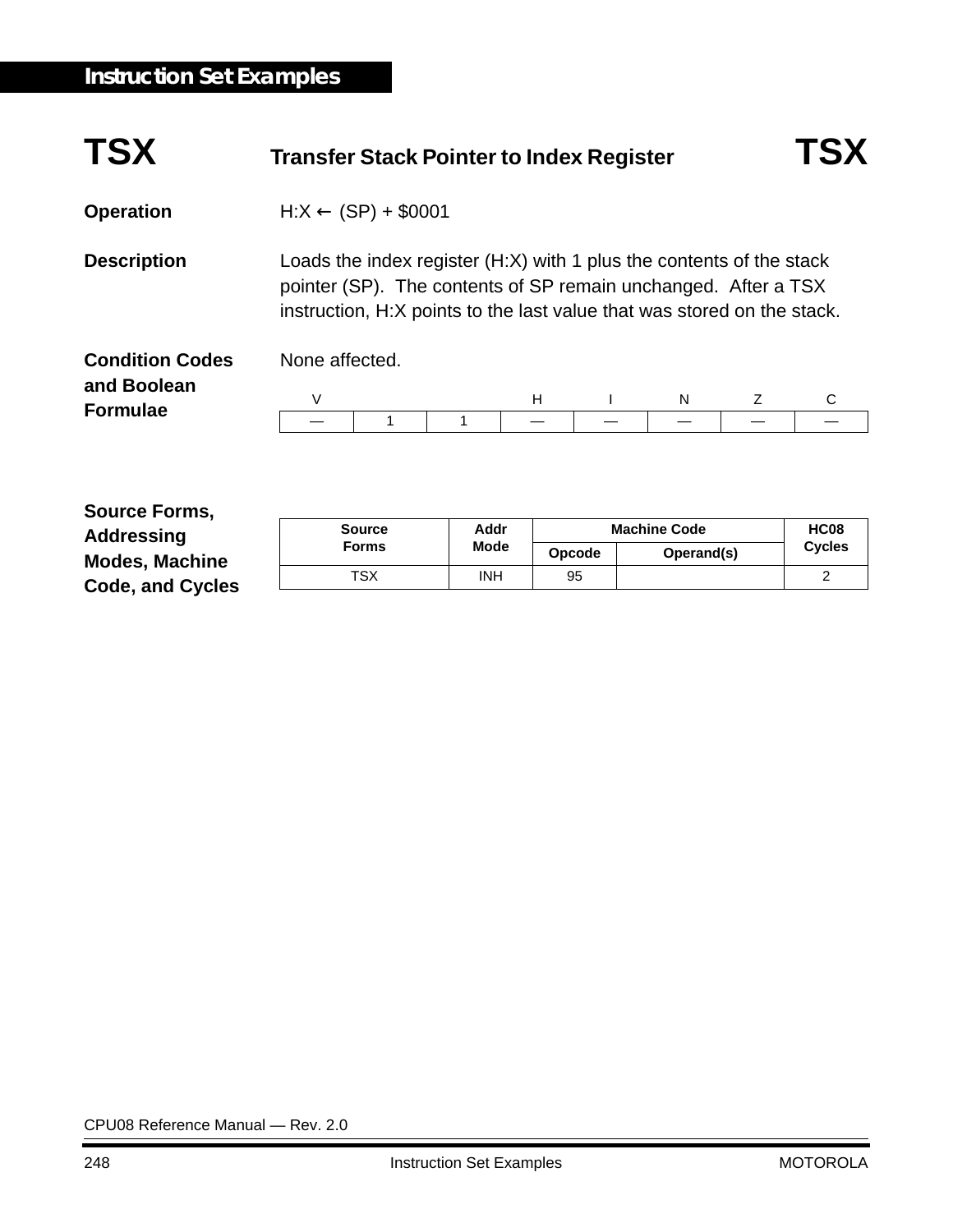| <b>TSX</b>                                               | <b>TSX</b><br><b>Transfer Stack Pointer to Index Register</b> |                                                                                                                                                                                                                     |  |    |  |   |   |   |
|----------------------------------------------------------|---------------------------------------------------------------|---------------------------------------------------------------------------------------------------------------------------------------------------------------------------------------------------------------------|--|----|--|---|---|---|
| <b>Operation</b>                                         |                                                               | $H:X \leftarrow (SP) + $0001$                                                                                                                                                                                       |  |    |  |   |   |   |
| <b>Description</b>                                       |                                                               | Loads the index register $(H:X)$ with 1 plus the contents of the stack<br>pointer (SP). The contents of SP remain unchanged. After a TSX<br>instruction, H:X points to the last value that was stored on the stack. |  |    |  |   |   |   |
| <b>Condition Codes</b><br>and Boolean<br><b>Formulae</b> | None affected.<br>٧                                           |                                                                                                                                                                                                                     |  | H. |  | N | Z | C |
|                                                          |                                                               |                                                                                                                                                                                                                     |  |    |  |   |   |   |

| <b>Source Forms,</b>    |               |            |        |                     |               |
|-------------------------|---------------|------------|--------|---------------------|---------------|
| Addressing              | <b>Source</b> | Addr       |        | <b>Machine Code</b> | <b>HC08</b>   |
| <b>Modes, Machine</b>   | <b>Forms</b>  | Mode       | Opcode | Operand(s)          | <b>Cycles</b> |
| <b>Code, and Cycles</b> | TSX           | <b>INH</b> | 95     |                     |               |
|                         |               |            |        |                     |               |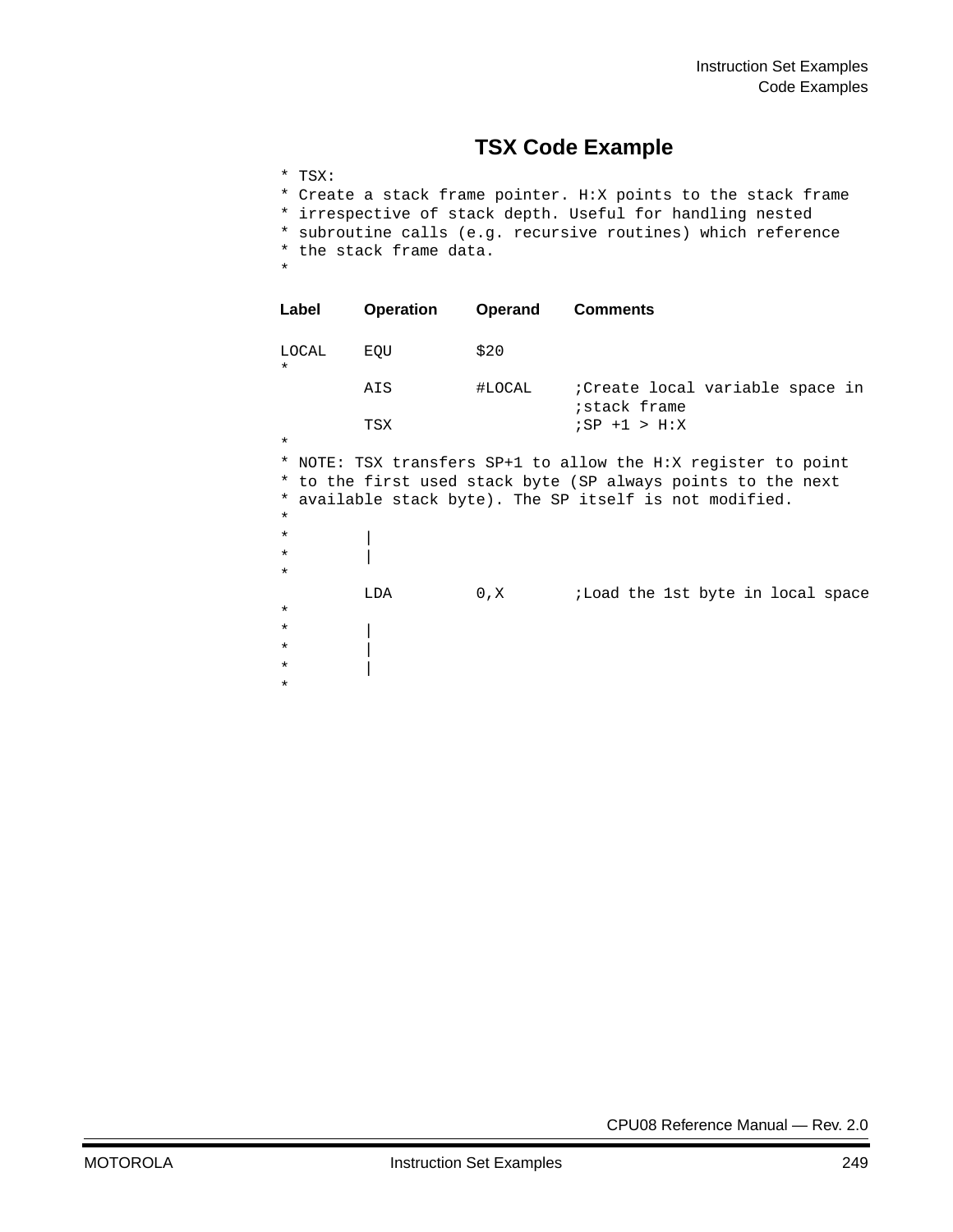#### **TSX Code Example**

\* TSX: \* Create a stack frame pointer. H:X points to the stack frame \* irrespective of stack depth. Useful for handling nested \* subroutine calls (e.g. recursive routines) which reference \* the stack frame data. \* **Label Operation Operand Comments** LOCAL EQU \$20 \* AIS #LOCAL ;Create local variable space in ;stack frame  $\texttt{TSX} \qquad \qquad \texttt{SSP +1 > H:X}$ \* \* NOTE: TSX transfers SP+1 to allow the H:X register to point \* to the first used stack byte (SP always points to the next \* available stack byte). The SP itself is not modified. \*  $\star$  $\star$ \* LDA 0,X ;Load the 1st byte in local space \*  $\star$  $\star$  $\star$ \*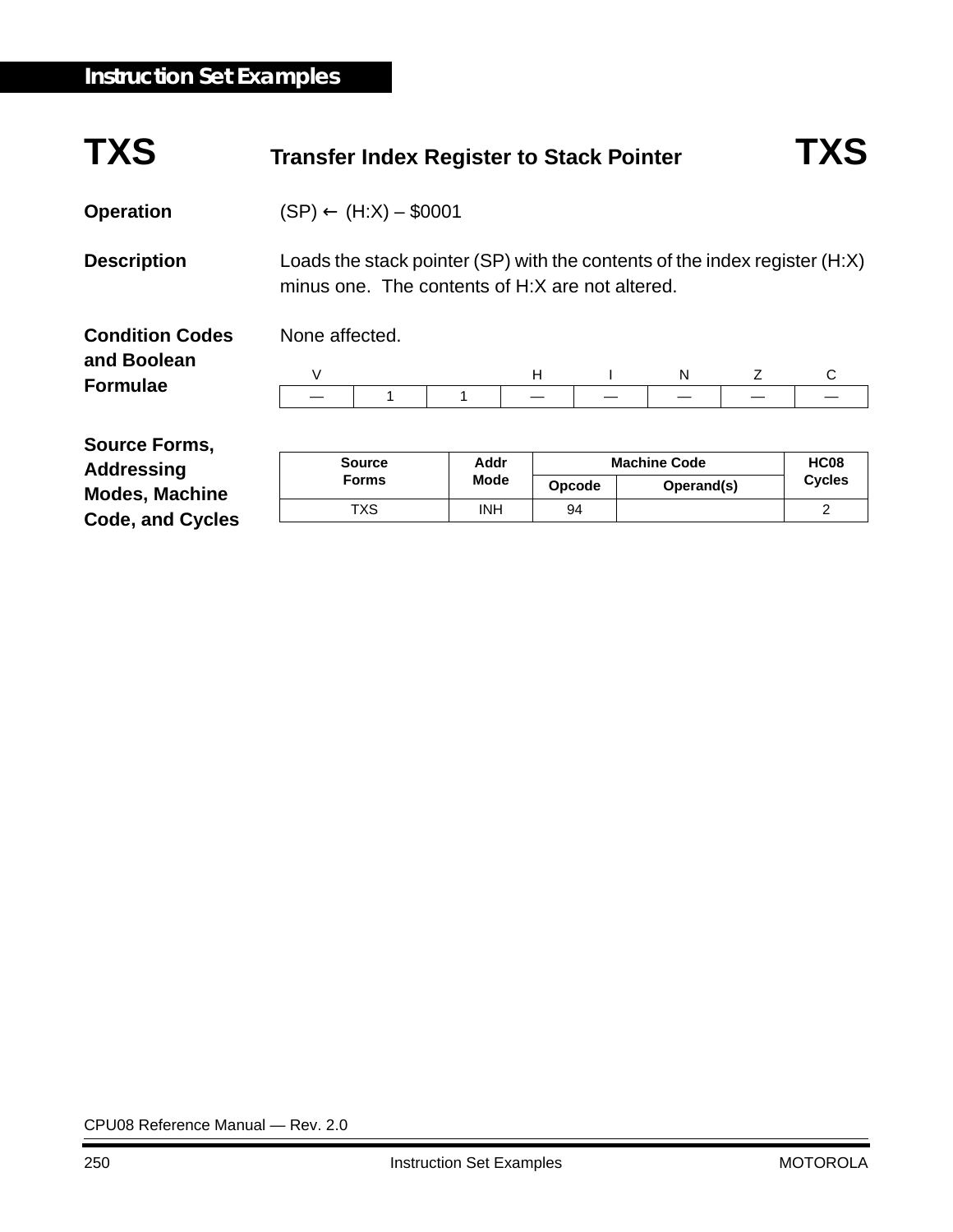| <b>TXS</b>                                                                                    | <b>Transfer Index Register to Stack Pointer</b>                                                                                 |                                 |              |  |                                   |   | <b>TXS</b>                        |  |
|-----------------------------------------------------------------------------------------------|---------------------------------------------------------------------------------------------------------------------------------|---------------------------------|--------------|--|-----------------------------------|---|-----------------------------------|--|
| <b>Operation</b>                                                                              |                                                                                                                                 | $(SP) \leftarrow (H:X) - $0001$ |              |  |                                   |   |                                   |  |
| <b>Description</b>                                                                            | Loads the stack pointer (SP) with the contents of the index register $(H:X)$<br>minus one. The contents of H:X are not altered. |                                 |              |  |                                   |   |                                   |  |
| <b>Condition Codes</b><br>and Boolean<br><b>Formulae</b>                                      | None affected.<br>V<br>1                                                                                                        | 1                               | H            |  | N                                 | Z | C                                 |  |
| <b>Source Forms,</b><br><b>Addressing</b><br><b>Modes, Machine</b><br><b>Code, and Cycles</b> | Source<br><b>Forms</b><br><b>TXS</b>                                                                                            | Addr<br>Mode<br><b>INH</b>      | Opcode<br>94 |  | <b>Machine Code</b><br>Operand(s) |   | <b>HC08</b><br><b>Cycles</b><br>2 |  |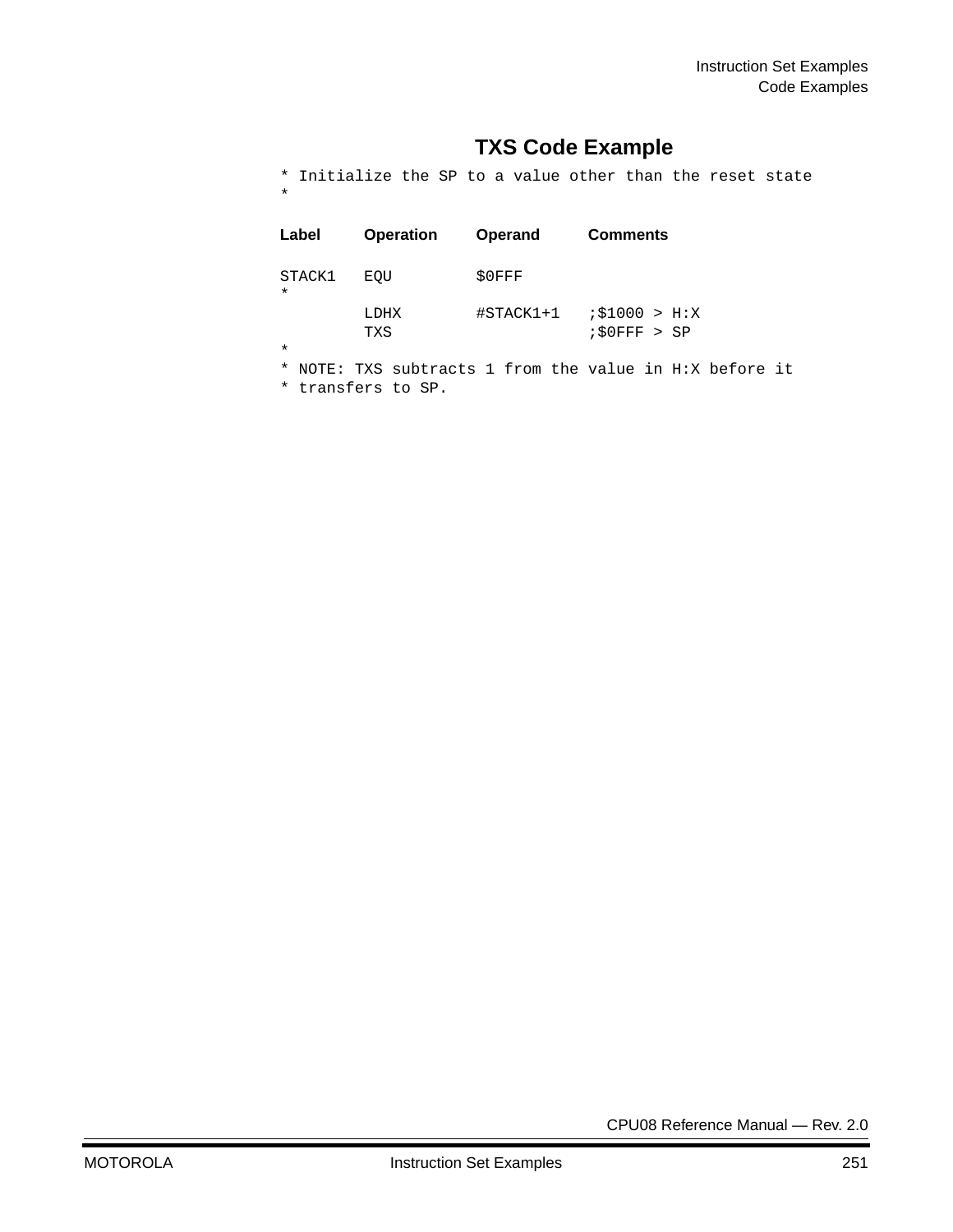#### **TXS Code Example**

\* Initialize the SP to a value other than the reset state \*

| Label             | <b>Operation</b> | Operand   | <b>Comments</b>                                       |  |
|-------------------|------------------|-----------|-------------------------------------------------------|--|
| STACK1<br>$\star$ | EOU              | $$0$ FFF  |                                                       |  |
|                   | LDHX<br>TXS      | #STACK1+1 | 31000 > H: X<br>$:50$ FFF > SP                        |  |
| $\star$           |                  |           |                                                       |  |
| $\star$           |                  |           | NOTE: TXS subtracts 1 from the value in H:X before it |  |
| $\star$           | transfers to SP. |           |                                                       |  |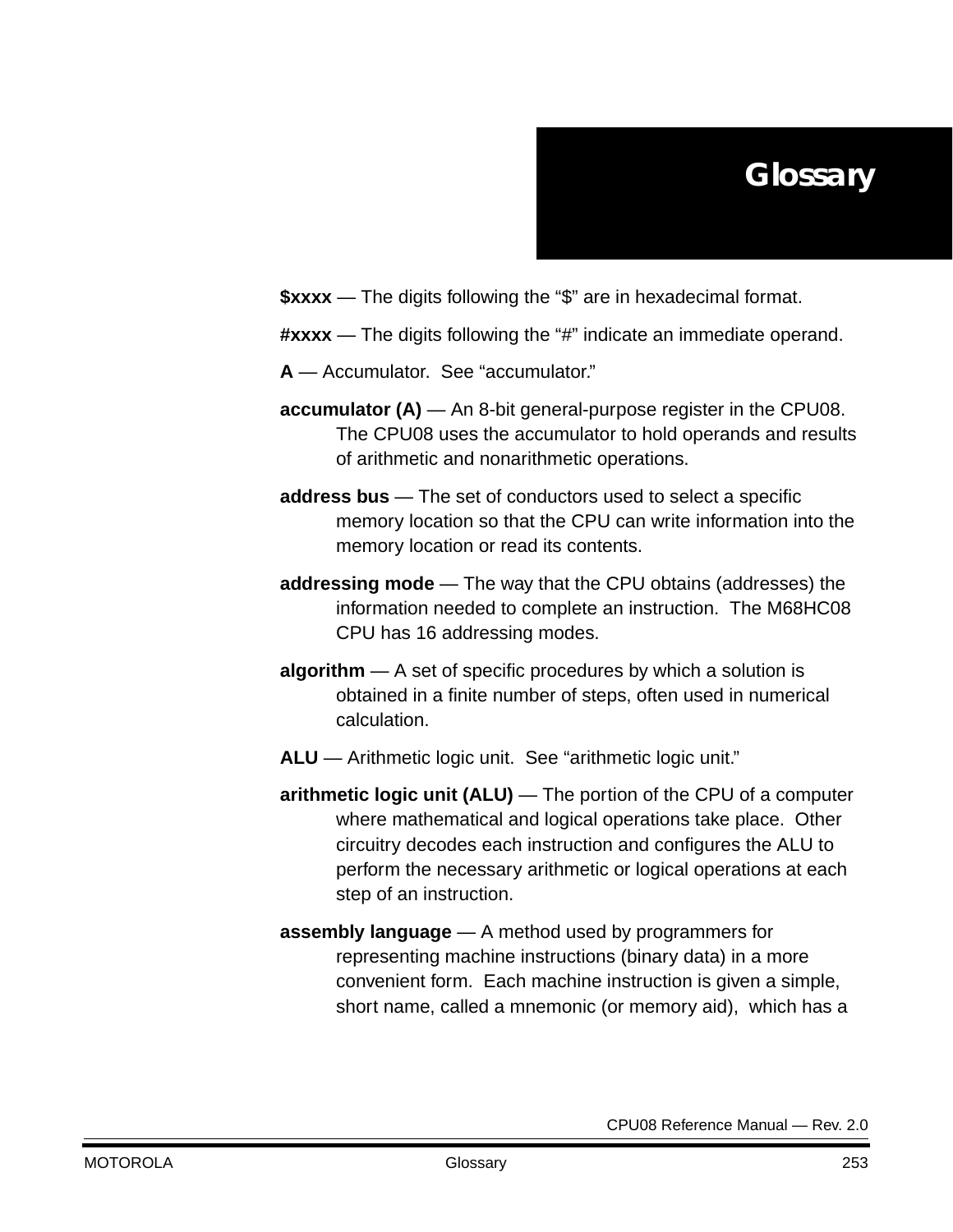

- **\$xxxx** The digits following the "\$" are in hexadecimal format.
- **#xxxx** The digits following the "#" indicate an immediate operand.
- **A** Accumulator. See "accumulator."
- **accumulator (A)** An 8-bit general-purpose register in the CPU08. The CPU08 uses the accumulator to hold operands and results of arithmetic and nonarithmetic operations.
- **address bus** The set of conductors used to select a specific memory location so that the CPU can write information into the memory location or read its contents.
- **addressing mode** The way that the CPU obtains (addresses) the information needed to complete an instruction. The M68HC08 CPU has 16 addressing modes.
- **algorithm** A set of specific procedures by which a solution is obtained in a finite number of steps, often used in numerical calculation.
- **ALU** Arithmetic logic unit. See "arithmetic logic unit."
- **arithmetic logic unit (ALU)** The portion of the CPU of a computer where mathematical and logical operations take place. Other circuitry decodes each instruction and configures the ALU to perform the necessary arithmetic or logical operations at each step of an instruction.
- **assembly language** A method used by programmers for representing machine instructions (binary data) in a more convenient form. Each machine instruction is given a simple, short name, called a mnemonic (or memory aid), which has a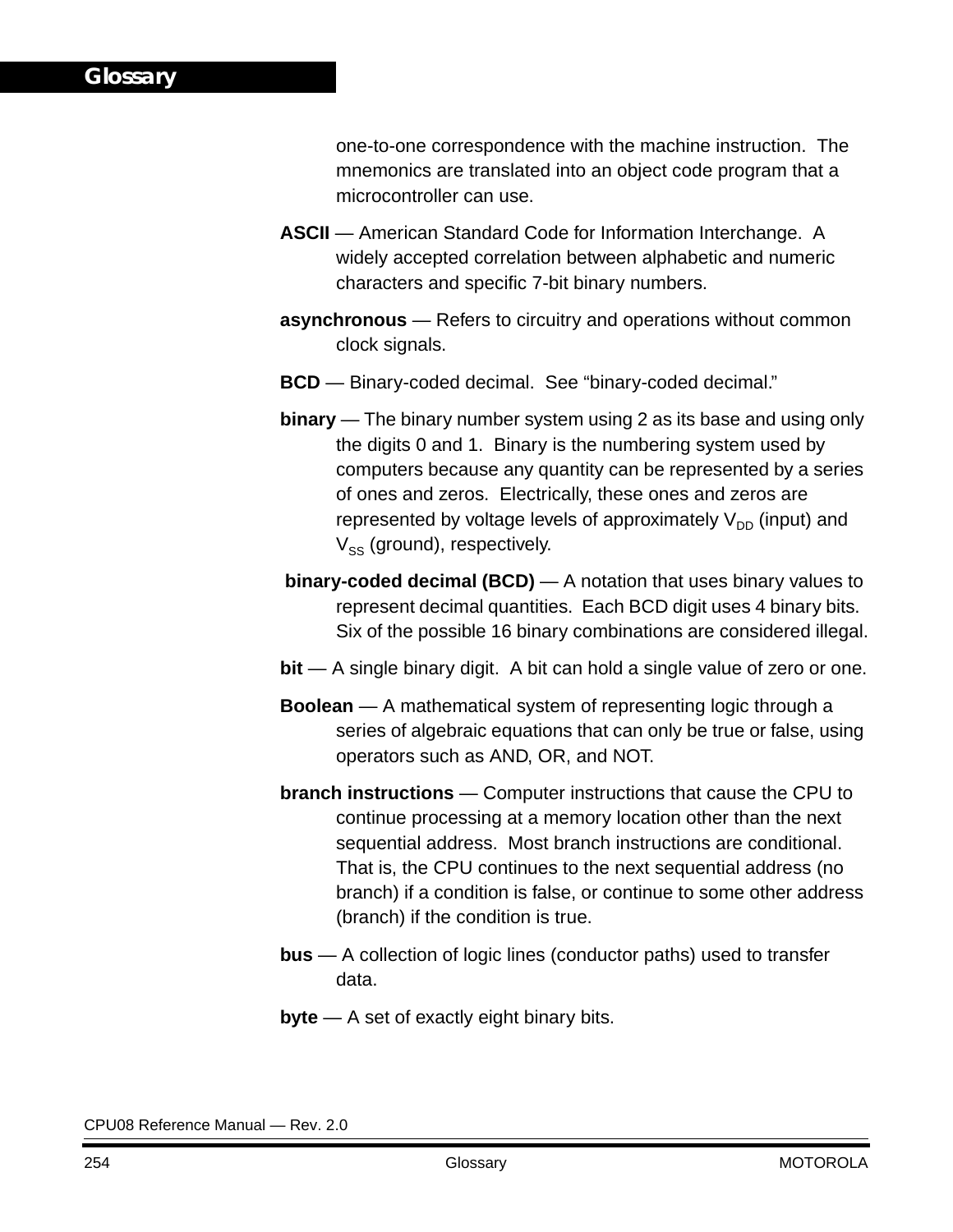#### **Glossary**

one-to-one correspondence with the machine instruction. The mnemonics are translated into an object code program that a microcontroller can use.

- **ASCII** American Standard Code for Information Interchange. A widely accepted correlation between alphabetic and numeric characters and specific 7-bit binary numbers.
- **asynchronous** Refers to circuitry and operations without common clock signals.
- **BCD** Binary-coded decimal. See "binary-coded decimal."
- **binary** The binary number system using 2 as its base and using only the digits 0 and 1. Binary is the numbering system used by computers because any quantity can be represented by a series of ones and zeros. Electrically, these ones and zeros are represented by voltage levels of approximately  $V_{DD}$  (input) and  $V_{SS}$  (ground), respectively.
- **binary-coded decimal (BCD)** A notation that uses binary values to represent decimal quantities. Each BCD digit uses 4 binary bits. Six of the possible 16 binary combinations are considered illegal.
- **bit** A single binary digit. A bit can hold a single value of zero or one.
- **Boolean** A mathematical system of representing logic through a series of algebraic equations that can only be true or false, using operators such as AND, OR, and NOT.
- **branch instructions** Computer instructions that cause the CPU to continue processing at a memory location other than the next sequential address. Most branch instructions are conditional. That is, the CPU continues to the next sequential address (no branch) if a condition is false, or continue to some other address (branch) if the condition is true.
- **bus** A collection of logic lines (conductor paths) used to transfer data.
- **byte** A set of exactly eight binary bits.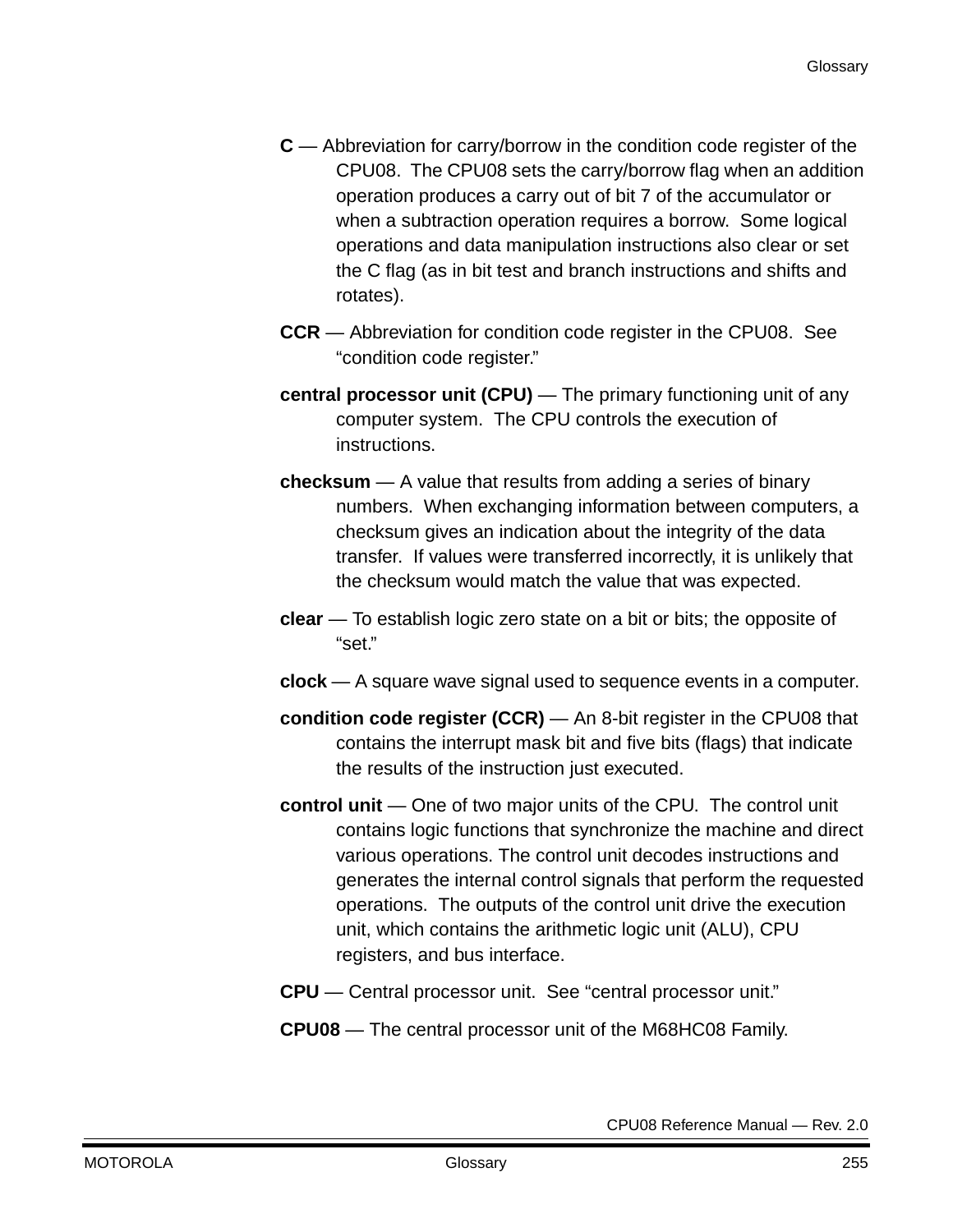- **C** Abbreviation for carry/borrow in the condition code register of the CPU08. The CPU08 sets the carry/borrow flag when an addition operation produces a carry out of bit 7 of the accumulator or when a subtraction operation requires a borrow. Some logical operations and data manipulation instructions also clear or set the C flag (as in bit test and branch instructions and shifts and rotates).
- **CCR** Abbreviation for condition code register in the CPU08. See "condition code register."
- **central processor unit (CPU)** The primary functioning unit of any computer system. The CPU controls the execution of instructions.
- **checksum** A value that results from adding a series of binary numbers. When exchanging information between computers, a checksum gives an indication about the integrity of the data transfer. If values were transferred incorrectly, it is unlikely that the checksum would match the value that was expected.
- **clear** To establish logic zero state on a bit or bits; the opposite of "set."
- **clock** A square wave signal used to sequence events in a computer.
- **condition code register (CCR)** An 8-bit register in the CPU08 that contains the interrupt mask bit and five bits (flags) that indicate the results of the instruction just executed.
- **control unit** One of two major units of the CPU. The control unit contains logic functions that synchronize the machine and direct various operations. The control unit decodes instructions and generates the internal control signals that perform the requested operations. The outputs of the control unit drive the execution unit, which contains the arithmetic logic unit (ALU), CPU registers, and bus interface.
- **CPU** Central processor unit. See "central processor unit."
- **CPU08** The central processor unit of the M68HC08 Family.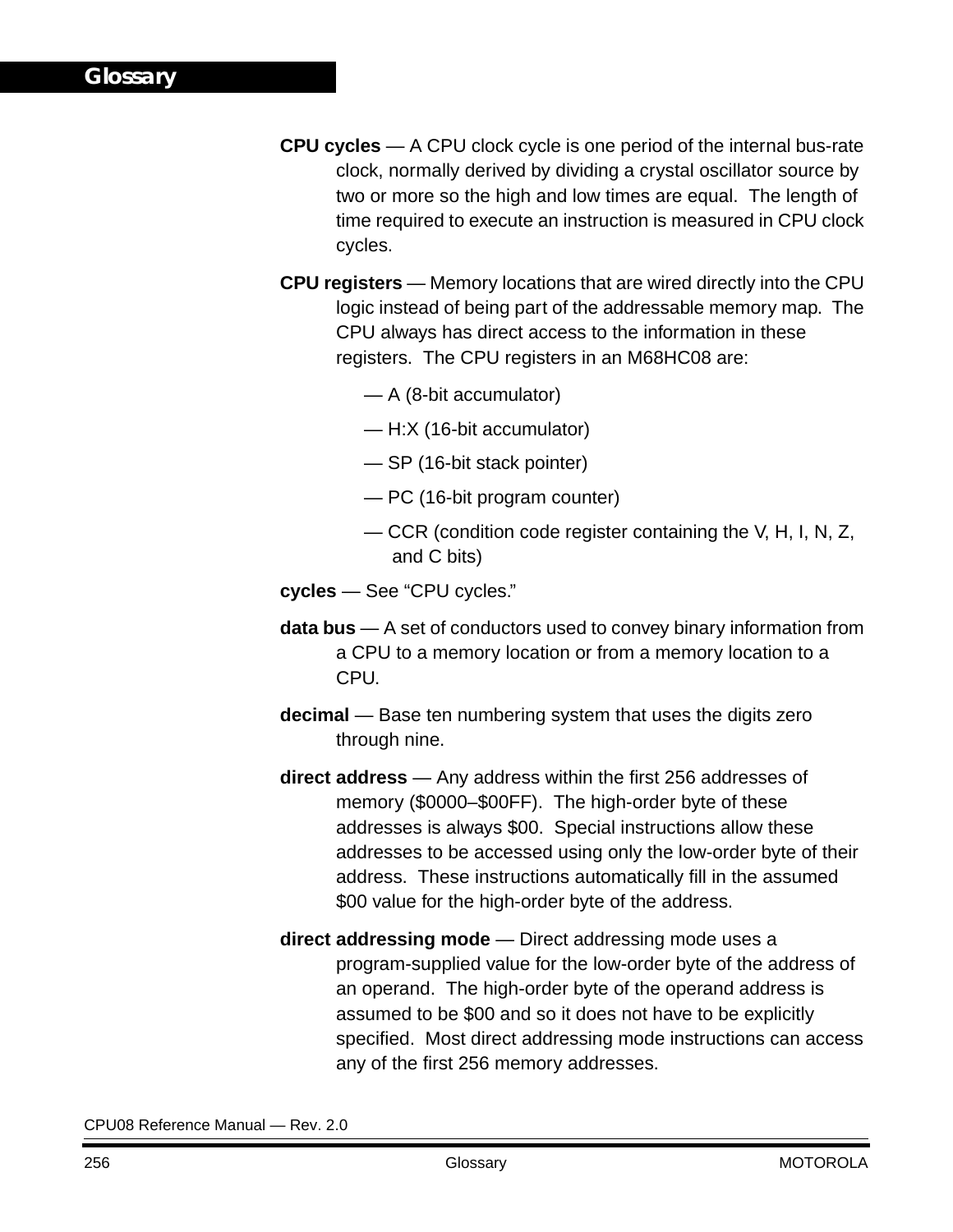- **CPU cycles** A CPU clock cycle is one period of the internal bus-rate clock, normally derived by dividing a crystal oscillator source by two or more so the high and low times are equal. The length of time required to execute an instruction is measured in CPU clock cycles.
- **CPU registers** Memory locations that are wired directly into the CPU logic instead of being part of the addressable memory map. The CPU always has direct access to the information in these registers. The CPU registers in an M68HC08 are:
	- A (8-bit accumulator)
	- H:X (16-bit accumulator)
	- SP (16-bit stack pointer)
	- PC (16-bit program counter)
	- CCR (condition code register containing the V, H, I, N, Z, and C bits)
- **cycles** See "CPU cycles."
- **data bus** A set of conductors used to convey binary information from a CPU to a memory location or from a memory location to a CPU.
- **decimal** Base ten numbering system that uses the digits zero through nine.
- **direct address** Any address within the first 256 addresses of memory (\$0000–\$00FF). The high-order byte of these addresses is always \$00. Special instructions allow these addresses to be accessed using only the low-order byte of their address. These instructions automatically fill in the assumed \$00 value for the high-order byte of the address.
- **direct addressing mode** Direct addressing mode uses a program-supplied value for the low-order byte of the address of an operand. The high-order byte of the operand address is assumed to be \$00 and so it does not have to be explicitly specified. Most direct addressing mode instructions can access any of the first 256 memory addresses.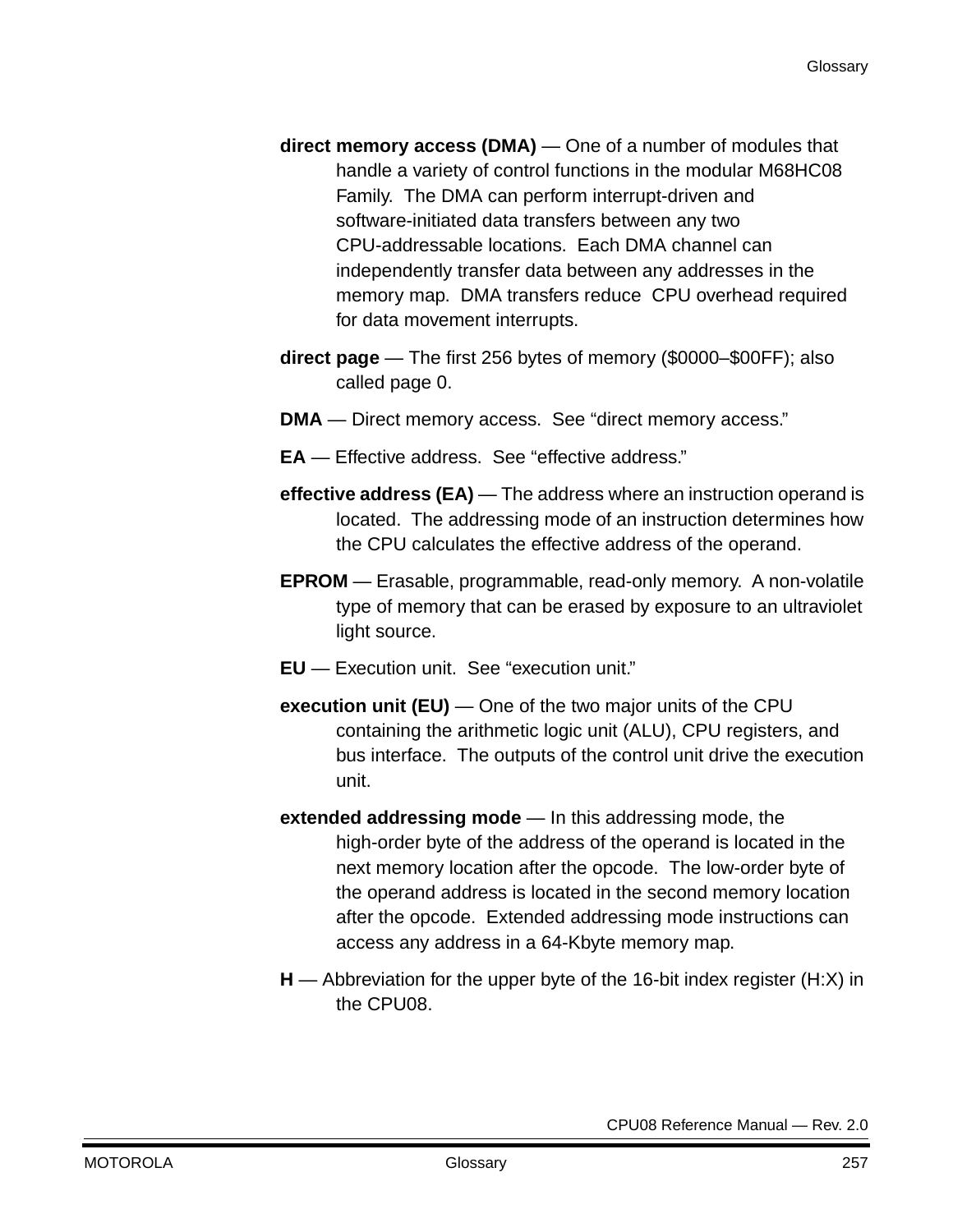- **direct memory access (DMA)** One of a number of modules that handle a variety of control functions in the modular M68HC08 Family. The DMA can perform interrupt-driven and software-initiated data transfers between any two CPU-addressable locations. Each DMA channel can independently transfer data between any addresses in the memory map. DMA transfers reduce CPU overhead required for data movement interrupts.
- **direct page** The first 256 bytes of memory (\$0000–\$00FF); also called page 0.
- **DMA** Direct memory access. See "direct memory access."
- **EA** Effective address. See "effective address."
- **effective address (EA)** The address where an instruction operand is located. The addressing mode of an instruction determines how the CPU calculates the effective address of the operand.
- **EPROM** Erasable, programmable, read-only memory. A non-volatile type of memory that can be erased by exposure to an ultraviolet light source.
- **EU** Execution unit. See "execution unit."
- **execution unit (EU)** One of the two major units of the CPU containing the arithmetic logic unit (ALU), CPU registers, and bus interface. The outputs of the control unit drive the execution unit.
- **extended addressing mode** In this addressing mode, the high-order byte of the address of the operand is located in the next memory location after the opcode. The low-order byte of the operand address is located in the second memory location after the opcode. Extended addressing mode instructions can access any address in a 64-Kbyte memory map.
- **H** Abbreviation for the upper byte of the 16-bit index register (H:X) in the CPU08.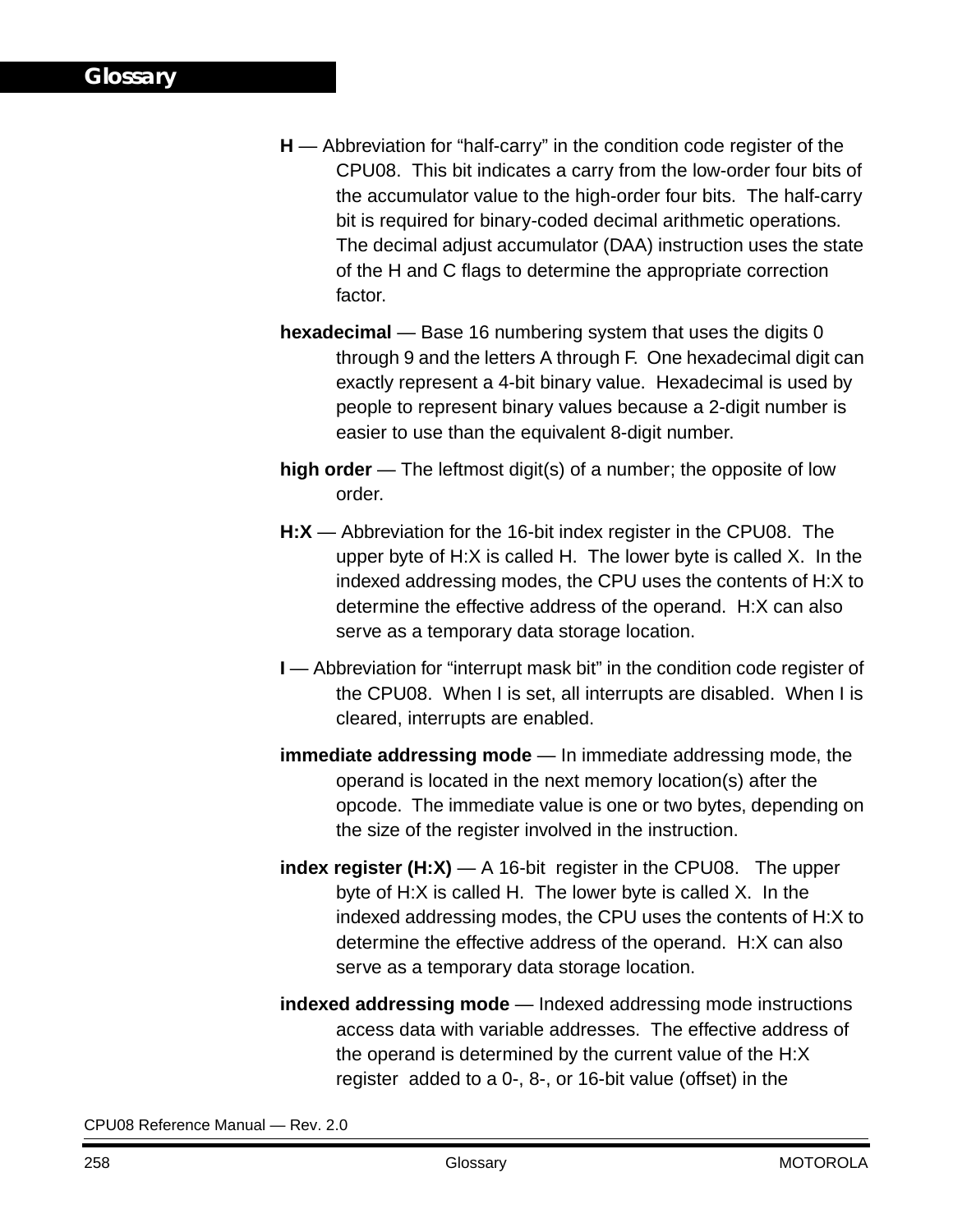- **H** Abbreviation for "half-carry" in the condition code register of the CPU08. This bit indicates a carry from the low-order four bits of the accumulator value to the high-order four bits. The half-carry bit is required for binary-coded decimal arithmetic operations. The decimal adjust accumulator (DAA) instruction uses the state of the H and C flags to determine the appropriate correction factor.
- **hexadecimal** Base 16 numbering system that uses the digits 0 through 9 and the letters A through F. One hexadecimal digit can exactly represent a 4-bit binary value. Hexadecimal is used by people to represent binary values because a 2-digit number is easier to use than the equivalent 8-digit number.
- **high order** The leftmost digit(s) of a number; the opposite of low order.
- **H:X** Abbreviation for the 16-bit index register in the CPU08. The upper byte of H:X is called H. The lower byte is called X. In the indexed addressing modes, the CPU uses the contents of H:X to determine the effective address of the operand. H:X can also serve as a temporary data storage location.
- **I** Abbreviation for "interrupt mask bit" in the condition code register of the CPU08. When I is set, all interrupts are disabled. When I is cleared, interrupts are enabled.
- **immediate addressing mode** In immediate addressing mode, the operand is located in the next memory location(s) after the opcode. The immediate value is one or two bytes, depending on the size of the register involved in the instruction.
- **index register (H:X)** A 16-bit register in the CPU08. The upper byte of H:X is called H. The lower byte is called X. In the indexed addressing modes, the CPU uses the contents of H:X to determine the effective address of the operand. H:X can also serve as a temporary data storage location.
- **indexed addressing mode** Indexed addressing mode instructions access data with variable addresses. The effective address of the operand is determined by the current value of the H:X register added to a 0-, 8-, or 16-bit value (offset) in the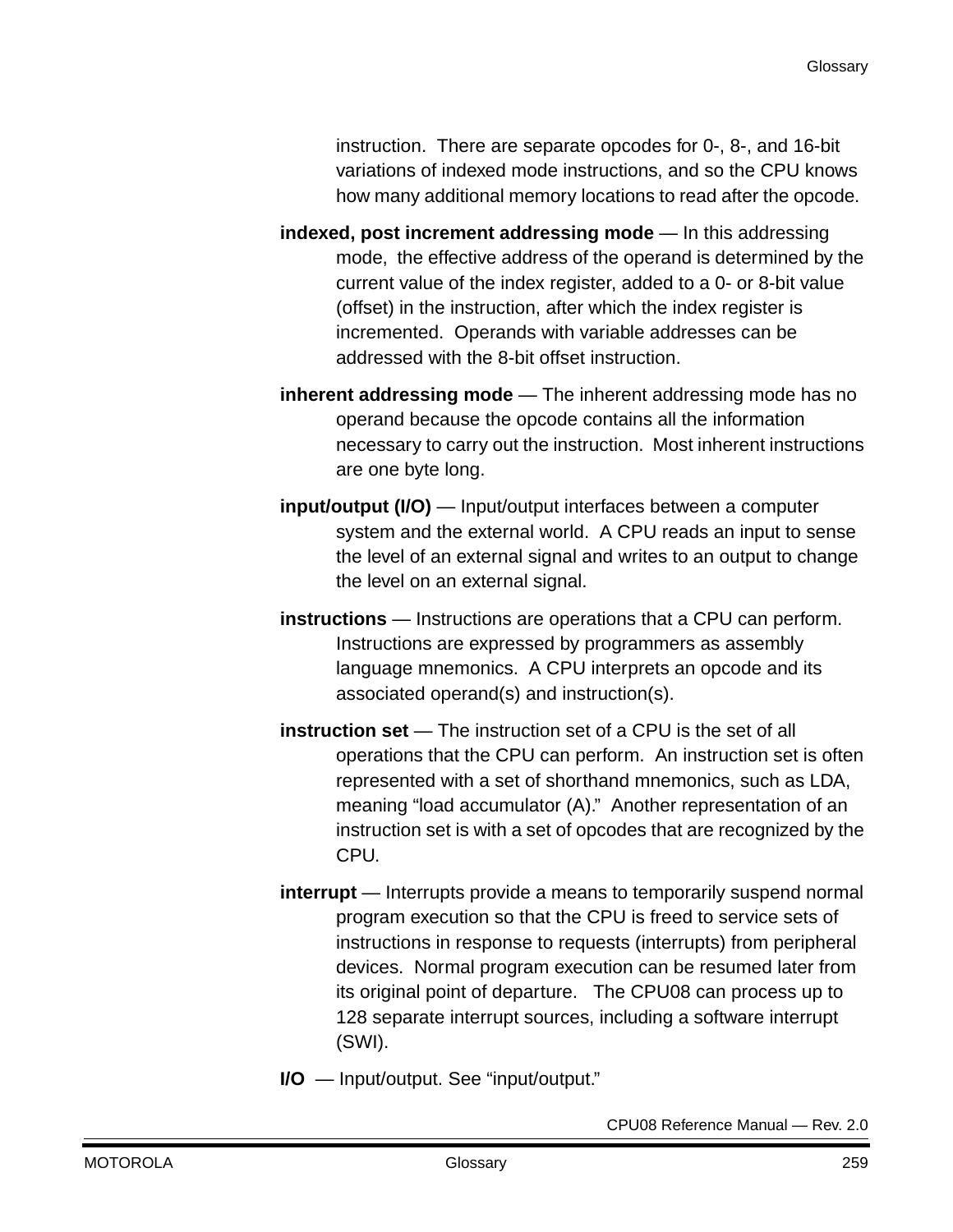instruction. There are separate opcodes for 0-, 8-, and 16-bit variations of indexed mode instructions, and so the CPU knows how many additional memory locations to read after the opcode.

- **indexed, post increment addressing mode** In this addressing mode, the effective address of the operand is determined by the current value of the index register, added to a 0- or 8-bit value (offset) in the instruction, after which the index register is incremented. Operands with variable addresses can be addressed with the 8-bit offset instruction.
- **inherent addressing mode** The inherent addressing mode has no operand because the opcode contains all the information necessary to carry out the instruction. Most inherent instructions are one byte long.
- **input/output (I/O)** Input/output interfaces between a computer system and the external world. A CPU reads an input to sense the level of an external signal and writes to an output to change the level on an external signal.
- **instructions** Instructions are operations that a CPU can perform. Instructions are expressed by programmers as assembly language mnemonics. A CPU interprets an opcode and its associated operand(s) and instruction(s).
- **instruction set** The instruction set of a CPU is the set of all operations that the CPU can perform. An instruction set is often represented with a set of shorthand mnemonics, such as LDA, meaning "load accumulator (A)." Another representation of an instruction set is with a set of opcodes that are recognized by the CPU.
- **interrupt** Interrupts provide a means to temporarily suspend normal program execution so that the CPU is freed to service sets of instructions in response to requests (interrupts) from peripheral devices. Normal program execution can be resumed later from its original point of departure. The CPU08 can process up to 128 separate interrupt sources, including a software interrupt (SWI).
- **I/O** Input/output. See "input/output."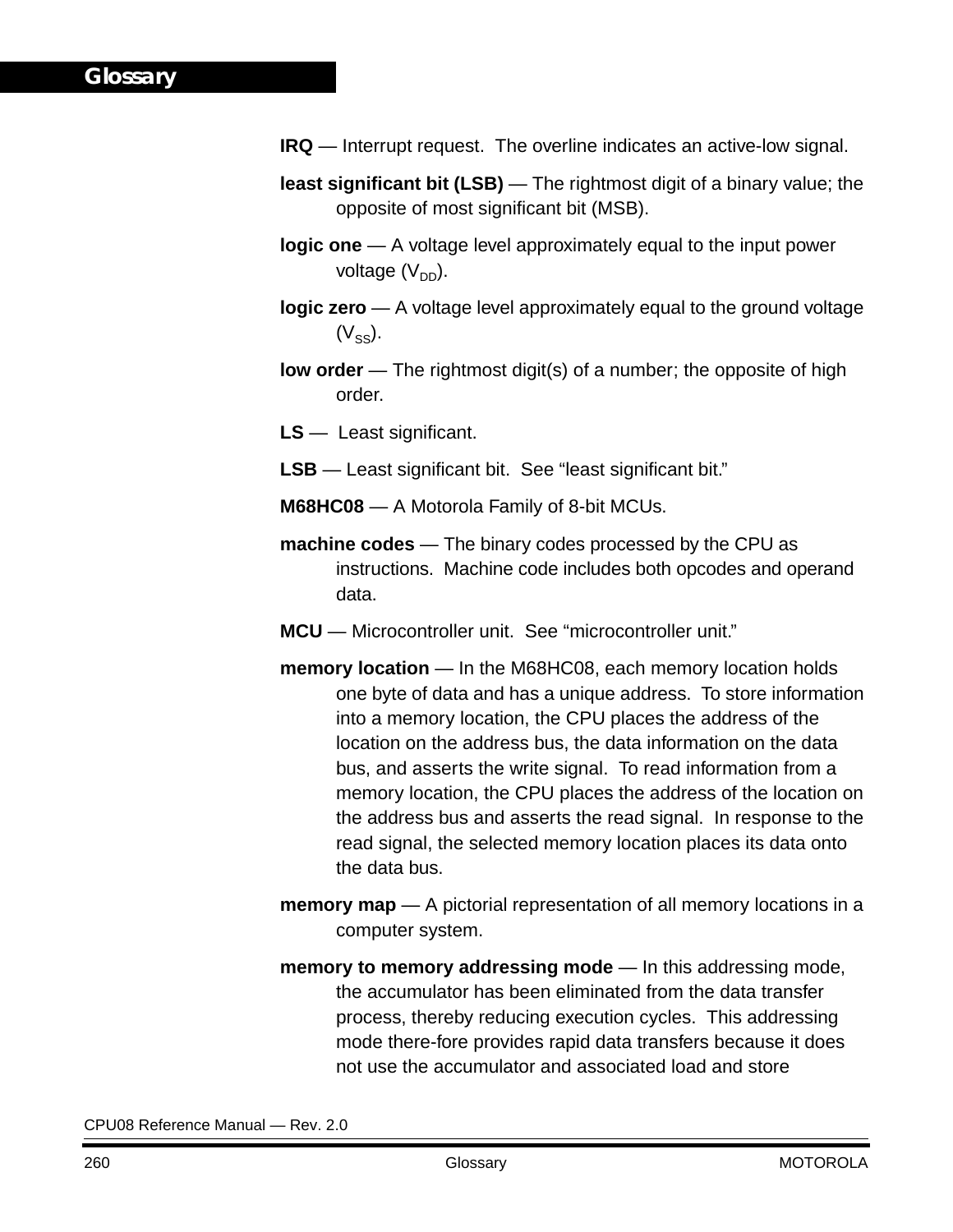- **IRQ** Interrupt request. The overline indicates an active-low signal.
- **least significant bit (LSB)** The rightmost digit of a binary value; the opposite of most significant bit (MSB).
- **logic one** A voltage level approximately equal to the input power voltage  $(V_{DD})$ .
- **logic zero** A voltage level approximately equal to the ground voltage  $(V_{SS})$ .
- **low order** The rightmost digit(s) of a number; the opposite of high order.
- **LS** Least significant.
- **LSB** Least significant bit. See "least significant bit."
- **M68HC08** A Motorola Family of 8-bit MCUs.
- **machine codes** The binary codes processed by the CPU as instructions. Machine code includes both opcodes and operand data.
- **MCU** Microcontroller unit. See "microcontroller unit."
- **memory location** In the M68HC08, each memory location holds one byte of data and has a unique address. To store information into a memory location, the CPU places the address of the location on the address bus, the data information on the data bus, and asserts the write signal. To read information from a memory location, the CPU places the address of the location on the address bus and asserts the read signal. In response to the read signal, the selected memory location places its data onto the data bus.
- **memory map** A pictorial representation of all memory locations in a computer system.
- **memory to memory addressing mode** In this addressing mode, the accumulator has been eliminated from the data transfer process, thereby reducing execution cycles. This addressing mode there-fore provides rapid data transfers because it does not use the accumulator and associated load and store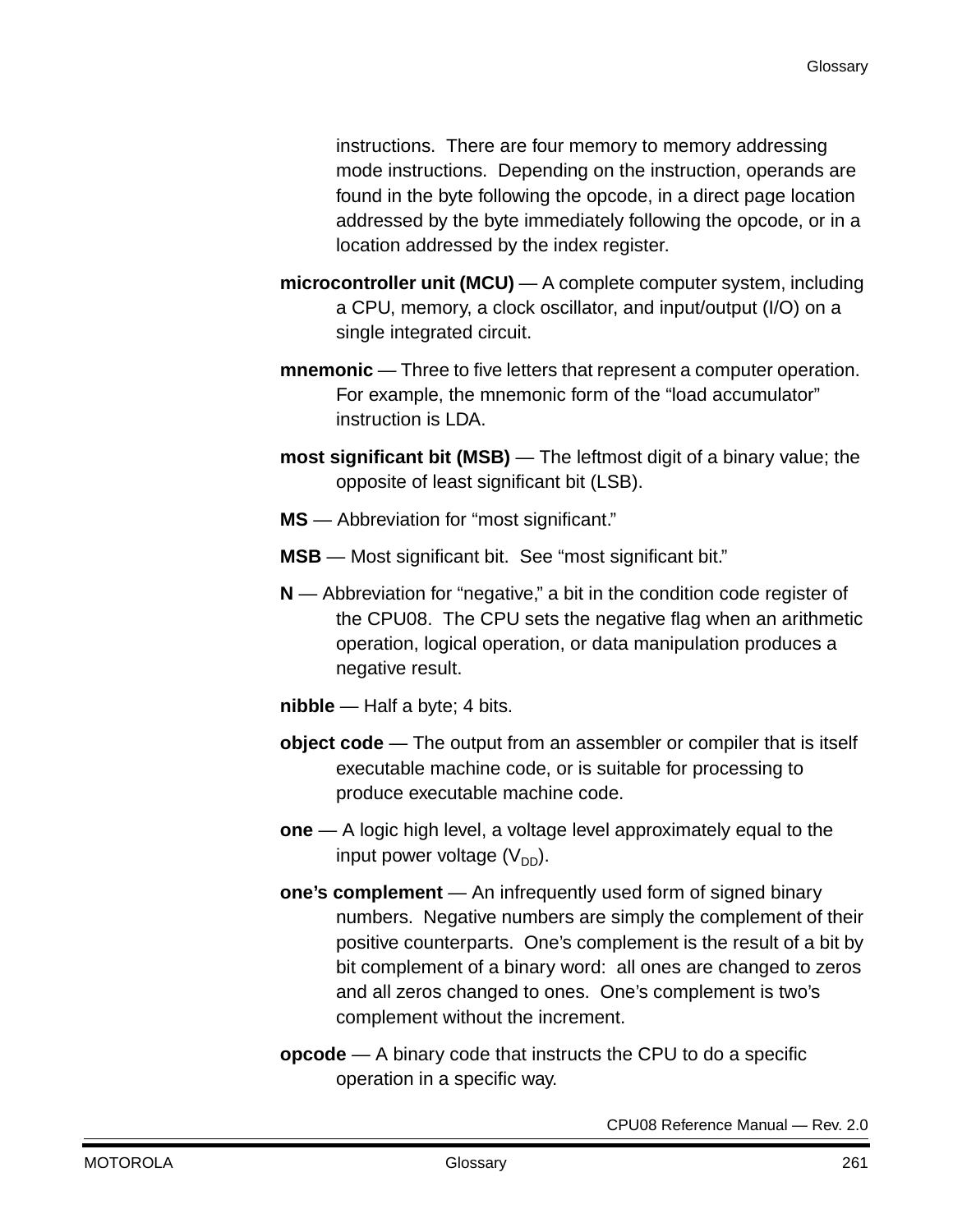instructions. There are four memory to memory addressing mode instructions. Depending on the instruction, operands are found in the byte following the opcode, in a direct page location addressed by the byte immediately following the opcode, or in a location addressed by the index register.

- **microcontroller unit (MCU)** A complete computer system, including a CPU, memory, a clock oscillator, and input/output (I/O) on a single integrated circuit.
- **mnemonic** Three to five letters that represent a computer operation. For example, the mnemonic form of the "load accumulator" instruction is LDA.
- **most significant bit (MSB)** The leftmost digit of a binary value; the opposite of least significant bit (LSB).
- **MS** Abbreviation for "most significant."
- **MSB** Most significant bit. See "most significant bit."
- **N** Abbreviation for "negative," a bit in the condition code register of the CPU08. The CPU sets the negative flag when an arithmetic operation, logical operation, or data manipulation produces a negative result.
- **nibble** Half a byte; 4 bits.
- **object code** The output from an assembler or compiler that is itself executable machine code, or is suitable for processing to produce executable machine code.
- **one** A logic high level, a voltage level approximately equal to the input power voltage  $(V_{DD})$ .
- **one's complement** An infrequently used form of signed binary numbers. Negative numbers are simply the complement of their positive counterparts. One's complement is the result of a bit by bit complement of a binary word: all ones are changed to zeros and all zeros changed to ones. One's complement is two's complement without the increment.
- **opcode** A binary code that instructs the CPU to do a specific operation in a specific way.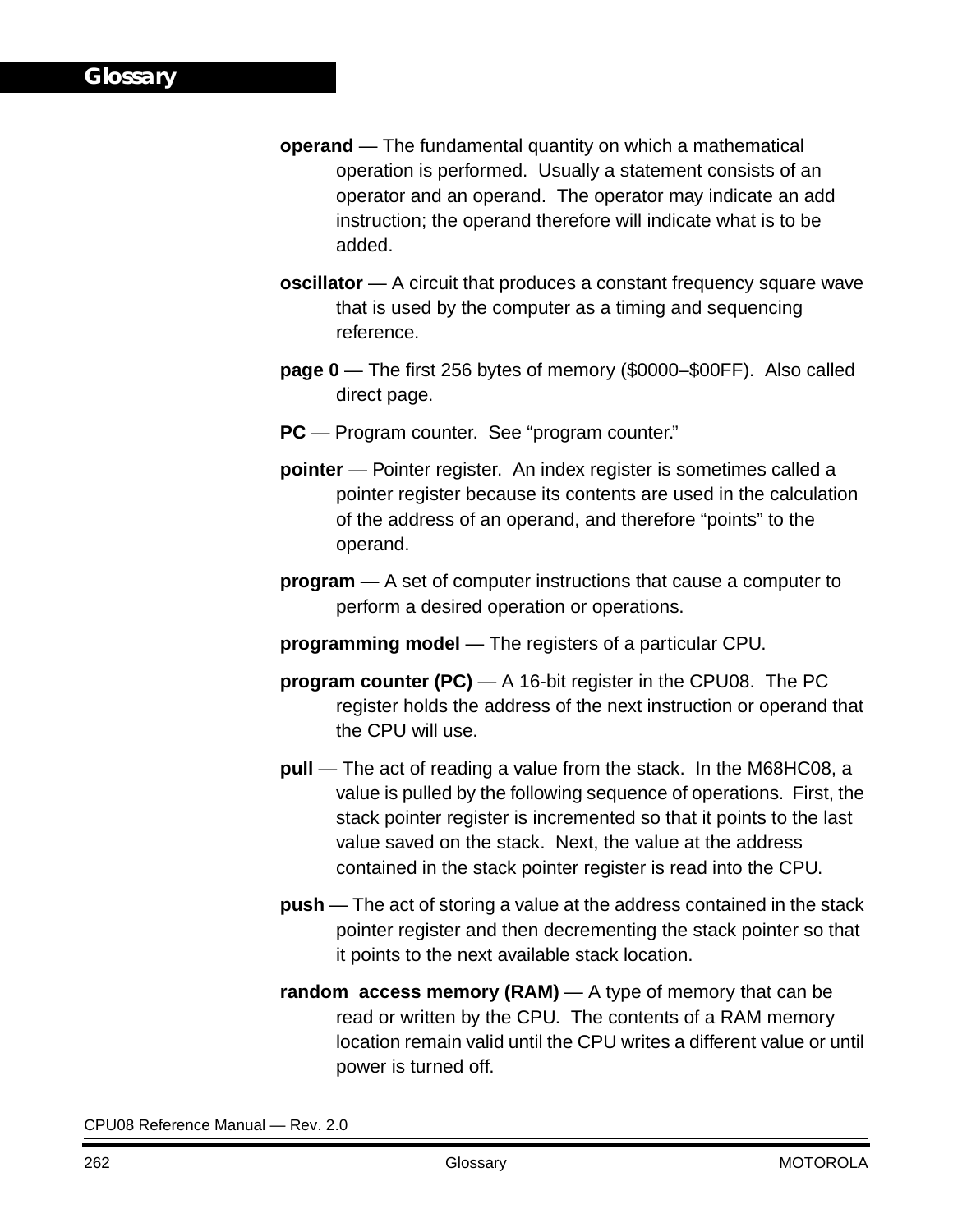- **operand** The fundamental quantity on which a mathematical operation is performed. Usually a statement consists of an operator and an operand. The operator may indicate an add instruction; the operand therefore will indicate what is to be added.
- **oscillator** A circuit that produces a constant frequency square wave that is used by the computer as a timing and sequencing reference.
- **page 0** The first 256 bytes of memory (\$0000–\$00FF). Also called direct page.
- **PC** Program counter. See "program counter."
- **pointer** Pointer register. An index register is sometimes called a pointer register because its contents are used in the calculation of the address of an operand, and therefore "points" to the operand.
- **program** A set of computer instructions that cause a computer to perform a desired operation or operations.
- **programming model** The registers of a particular CPU.
- **program counter (PC)** A 16-bit register in the CPU08. The PC register holds the address of the next instruction or operand that the CPU will use.
- **pull** The act of reading a value from the stack. In the M68HC08, a value is pulled by the following sequence of operations. First, the stack pointer register is incremented so that it points to the last value saved on the stack. Next, the value at the address contained in the stack pointer register is read into the CPU.
- **push** The act of storing a value at the address contained in the stack pointer register and then decrementing the stack pointer so that it points to the next available stack location.
- **random access memory (RAM)** A type of memory that can be read or written by the CPU. The contents of a RAM memory location remain valid until the CPU writes a different value or until power is turned off.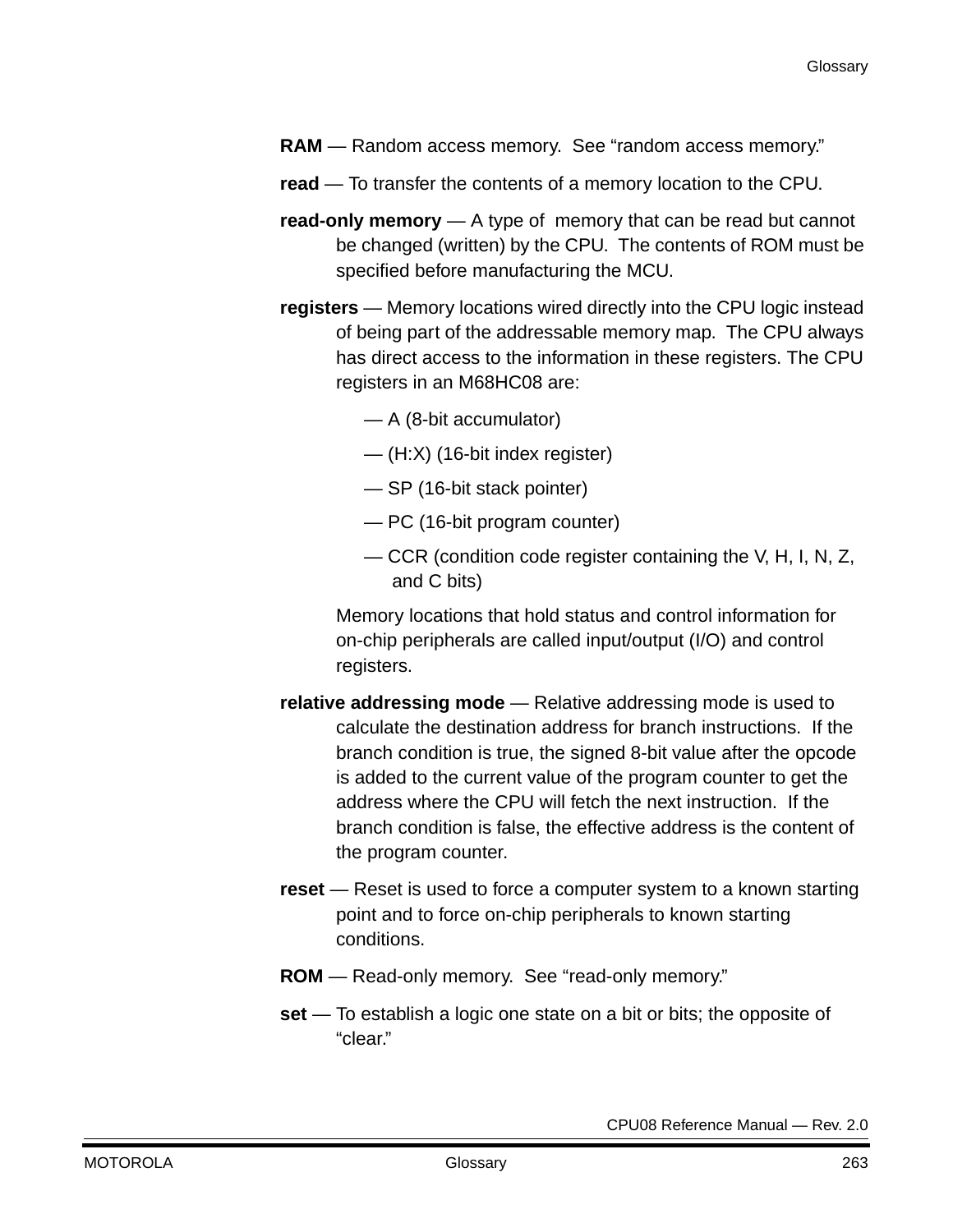- **RAM** Random access memory. See "random access memory."
- **read** To transfer the contents of a memory location to the CPU.
- **read-only memory** A type of memory that can be read but cannot be changed (written) by the CPU. The contents of ROM must be specified before manufacturing the MCU.
- **registers** Memory locations wired directly into the CPU logic instead of being part of the addressable memory map. The CPU always has direct access to the information in these registers. The CPU registers in an M68HC08 are:
	- A (8-bit accumulator)
	- (H:X) (16-bit index register)
	- SP (16-bit stack pointer)
	- PC (16-bit program counter)
	- CCR (condition code register containing the V, H, I, N, Z, and C bits)

Memory locations that hold status and control information for on-chip peripherals are called input/output (I/O) and control registers.

- **relative addressing mode** Relative addressing mode is used to calculate the destination address for branch instructions. If the branch condition is true, the signed 8-bit value after the opcode is added to the current value of the program counter to get the address where the CPU will fetch the next instruction. If the branch condition is false, the effective address is the content of the program counter.
- **reset** Reset is used to force a computer system to a known starting point and to force on-chip peripherals to known starting conditions.
- **ROM** Read-only memory. See "read-only memory."
- **set** To establish a logic one state on a bit or bits; the opposite of "clear."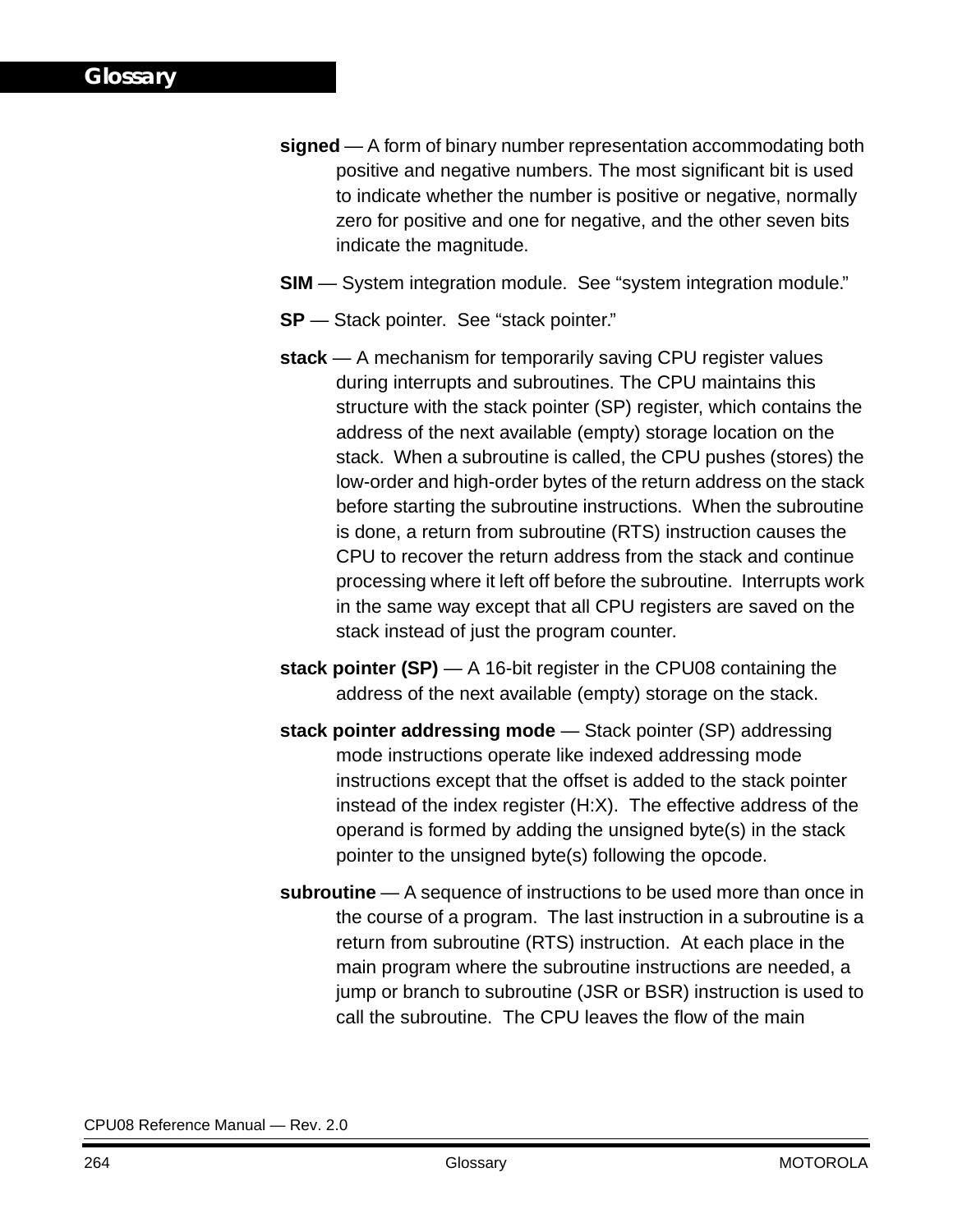- **signed** A form of binary number representation accommodating both positive and negative numbers. The most significant bit is used to indicate whether the number is positive or negative, normally zero for positive and one for negative, and the other seven bits indicate the magnitude.
- **SIM** System integration module. See "system integration module."
- **SP** Stack pointer. See "stack pointer."
- **stack** A mechanism for temporarily saving CPU register values during interrupts and subroutines. The CPU maintains this structure with the stack pointer (SP) register, which contains the address of the next available (empty) storage location on the stack. When a subroutine is called, the CPU pushes (stores) the low-order and high-order bytes of the return address on the stack before starting the subroutine instructions. When the subroutine is done, a return from subroutine (RTS) instruction causes the CPU to recover the return address from the stack and continue processing where it left off before the subroutine. Interrupts work in the same way except that all CPU registers are saved on the stack instead of just the program counter.
- **stack pointer (SP)** A 16-bit register in the CPU08 containing the address of the next available (empty) storage on the stack.
- **stack pointer addressing mode** Stack pointer (SP) addressing mode instructions operate like indexed addressing mode instructions except that the offset is added to the stack pointer instead of the index register (H:X). The effective address of the operand is formed by adding the unsigned byte(s) in the stack pointer to the unsigned byte(s) following the opcode.
- **subroutine** A sequence of instructions to be used more than once in the course of a program. The last instruction in a subroutine is a return from subroutine (RTS) instruction. At each place in the main program where the subroutine instructions are needed, a jump or branch to subroutine (JSR or BSR) instruction is used to call the subroutine. The CPU leaves the flow of the main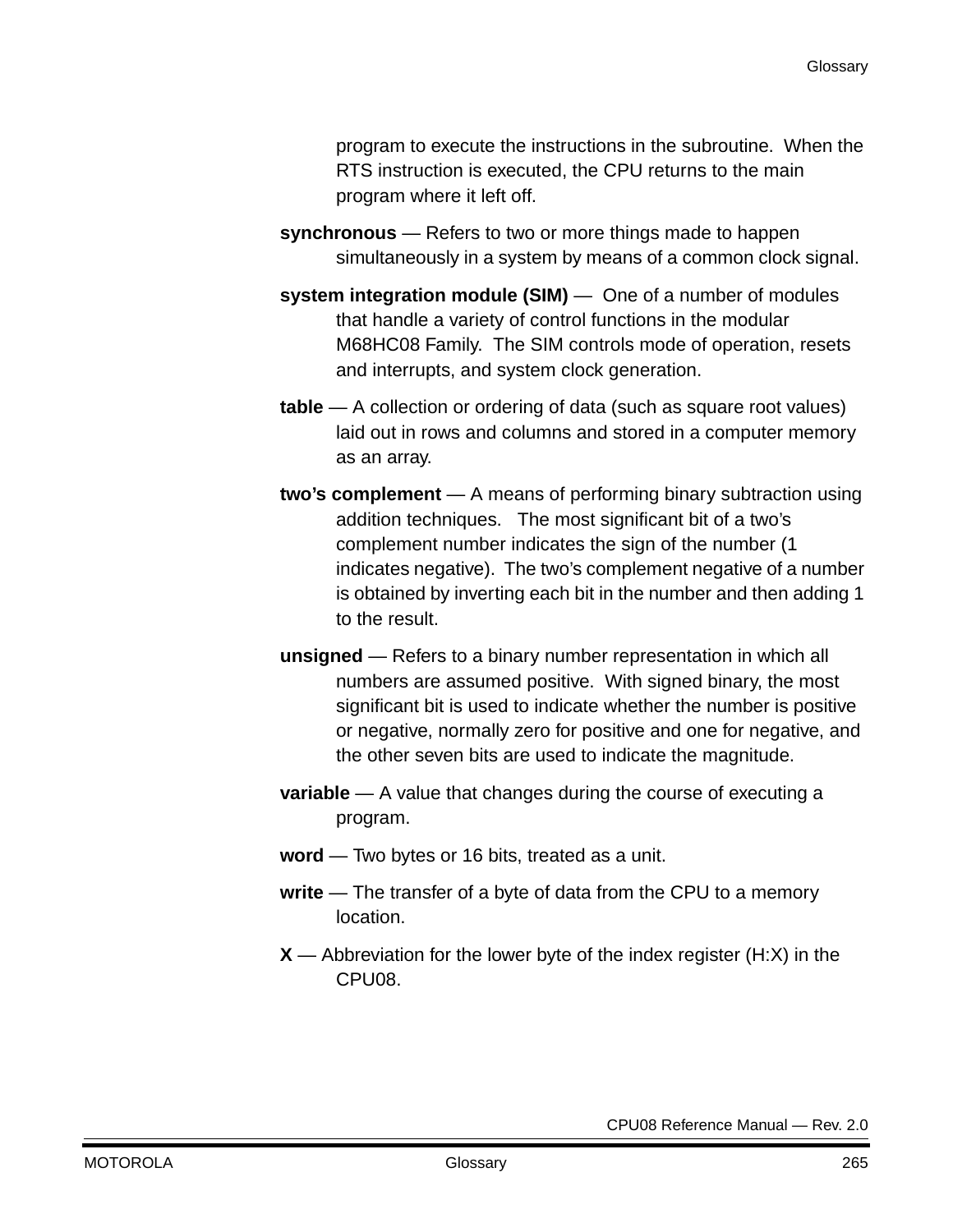program to execute the instructions in the subroutine. When the RTS instruction is executed, the CPU returns to the main program where it left off.

- **synchronous** Refers to two or more things made to happen simultaneously in a system by means of a common clock signal.
- **system integration module (SIM)** One of a number of modules that handle a variety of control functions in the modular M68HC08 Family. The SIM controls mode of operation, resets and interrupts, and system clock generation.
- **table** A collection or ordering of data (such as square root values) laid out in rows and columns and stored in a computer memory as an array.
- **two's complement** A means of performing binary subtraction using addition techniques. The most significant bit of a two's complement number indicates the sign of the number (1 indicates negative). The two's complement negative of a number is obtained by inverting each bit in the number and then adding 1 to the result.
- **unsigned** Refers to a binary number representation in which all numbers are assumed positive. With signed binary, the most significant bit is used to indicate whether the number is positive or negative, normally zero for positive and one for negative, and the other seven bits are used to indicate the magnitude.
- **variable** A value that changes during the course of executing a program.
- **word** Two bytes or 16 bits, treated as a unit.
- **write** The transfer of a byte of data from the CPU to a memory location.
- **X** Abbreviation for the lower byte of the index register (H:X) in the CPU08.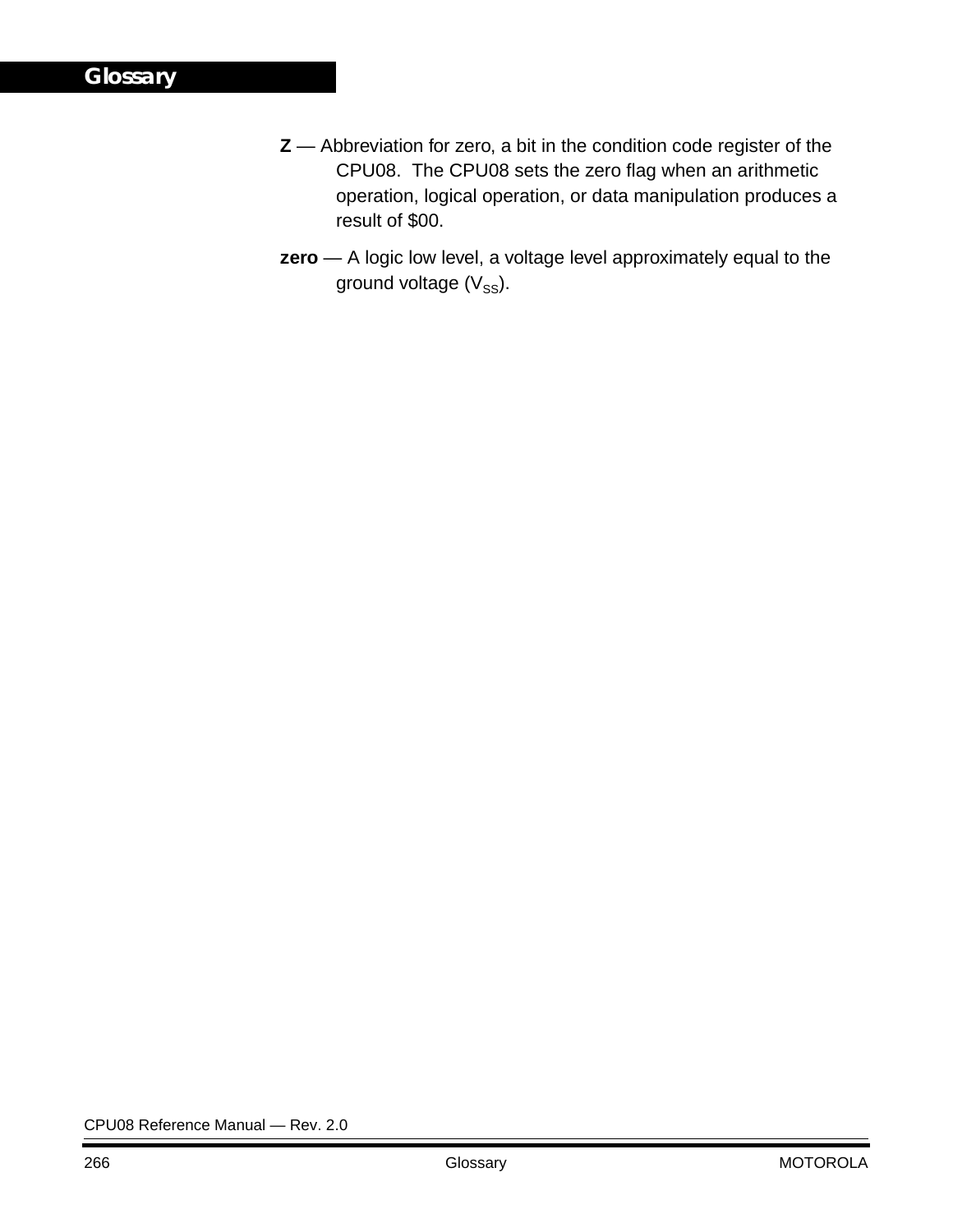- **Z** Abbreviation for zero, a bit in the condition code register of the CPU08. The CPU08 sets the zero flag when an arithmetic operation, logical operation, or data manipulation produces a result of \$00.
- **zero** A logic low level, a voltage level approximately equal to the ground voltage  $(V_{SS})$ .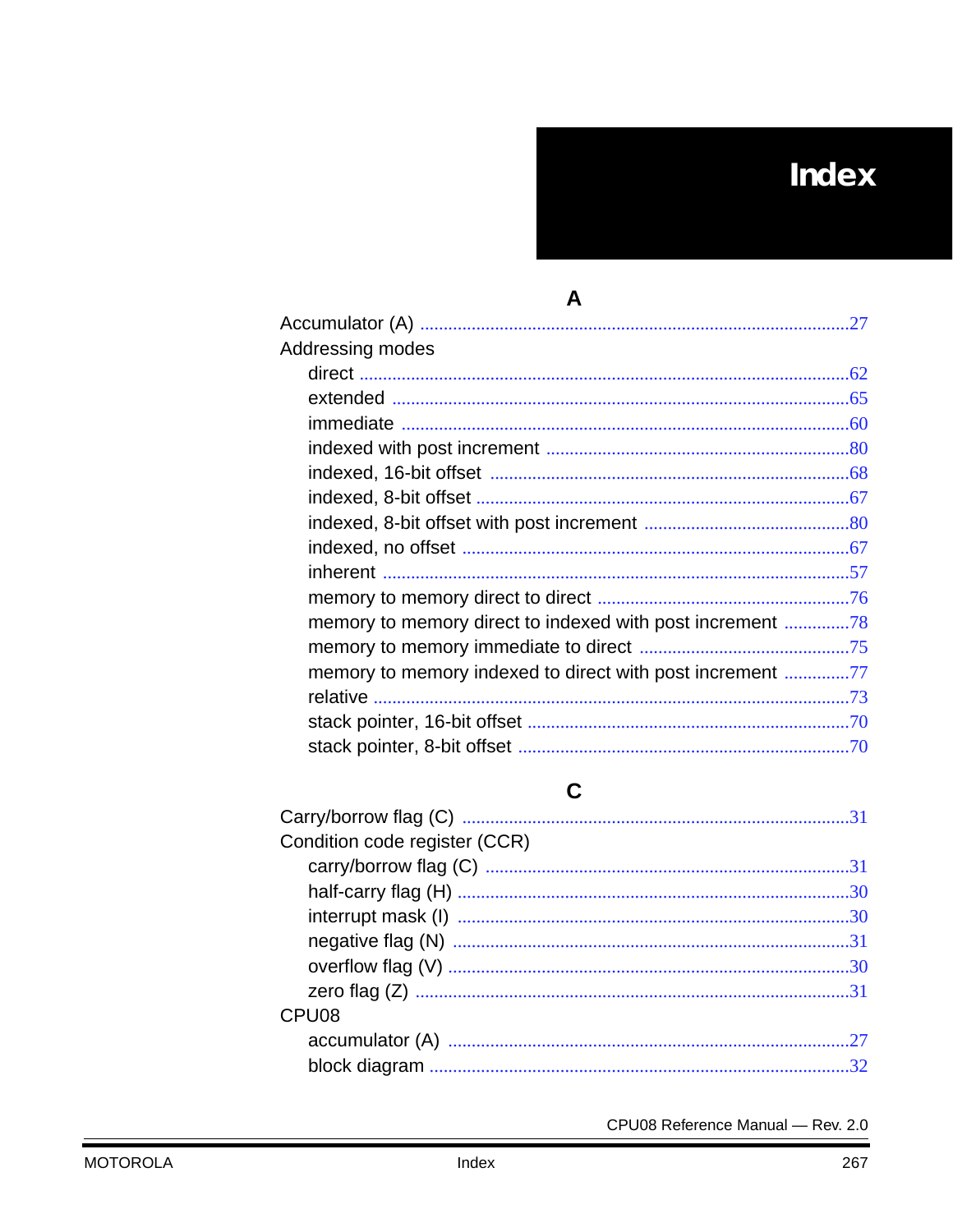| А                                                         |  |
|-----------------------------------------------------------|--|
|                                                           |  |
| Addressing modes                                          |  |
|                                                           |  |
|                                                           |  |
|                                                           |  |
|                                                           |  |
|                                                           |  |
|                                                           |  |
|                                                           |  |
|                                                           |  |
|                                                           |  |
|                                                           |  |
| memory to memory direct to indexed with post increment 78 |  |
|                                                           |  |
|                                                           |  |
|                                                           |  |
|                                                           |  |
|                                                           |  |
|                                                           |  |

# $\mathbf C$

| Condition code register (CCR) |    |
|-------------------------------|----|
|                               |    |
|                               |    |
|                               |    |
|                               |    |
|                               |    |
|                               |    |
| CPU08                         |    |
|                               | 27 |
|                               | 32 |

CPU08 Reference Manual - Rev. 2.0  $\equiv$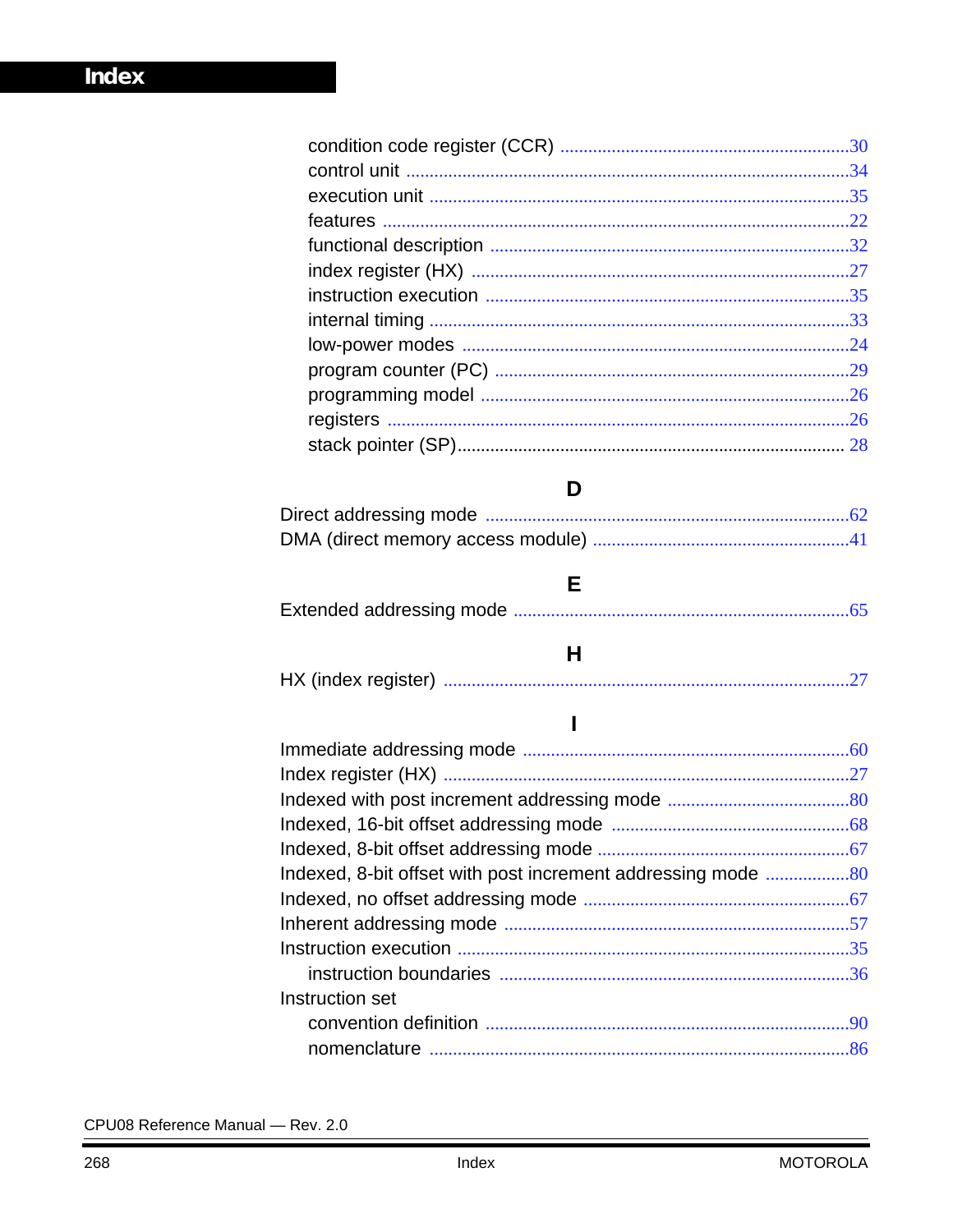| .22 |
|-----|
|     |
|     |
|     |
|     |
|     |
|     |
|     |
|     |
|     |
|     |

## $\mathsf D$

# $\mathsf E$

|--|--|

## $\mathsf{H}$

|--|--|--|

#### $\overline{1}$

| Instruction set |  |
|-----------------|--|
|                 |  |
|                 |  |
|                 |  |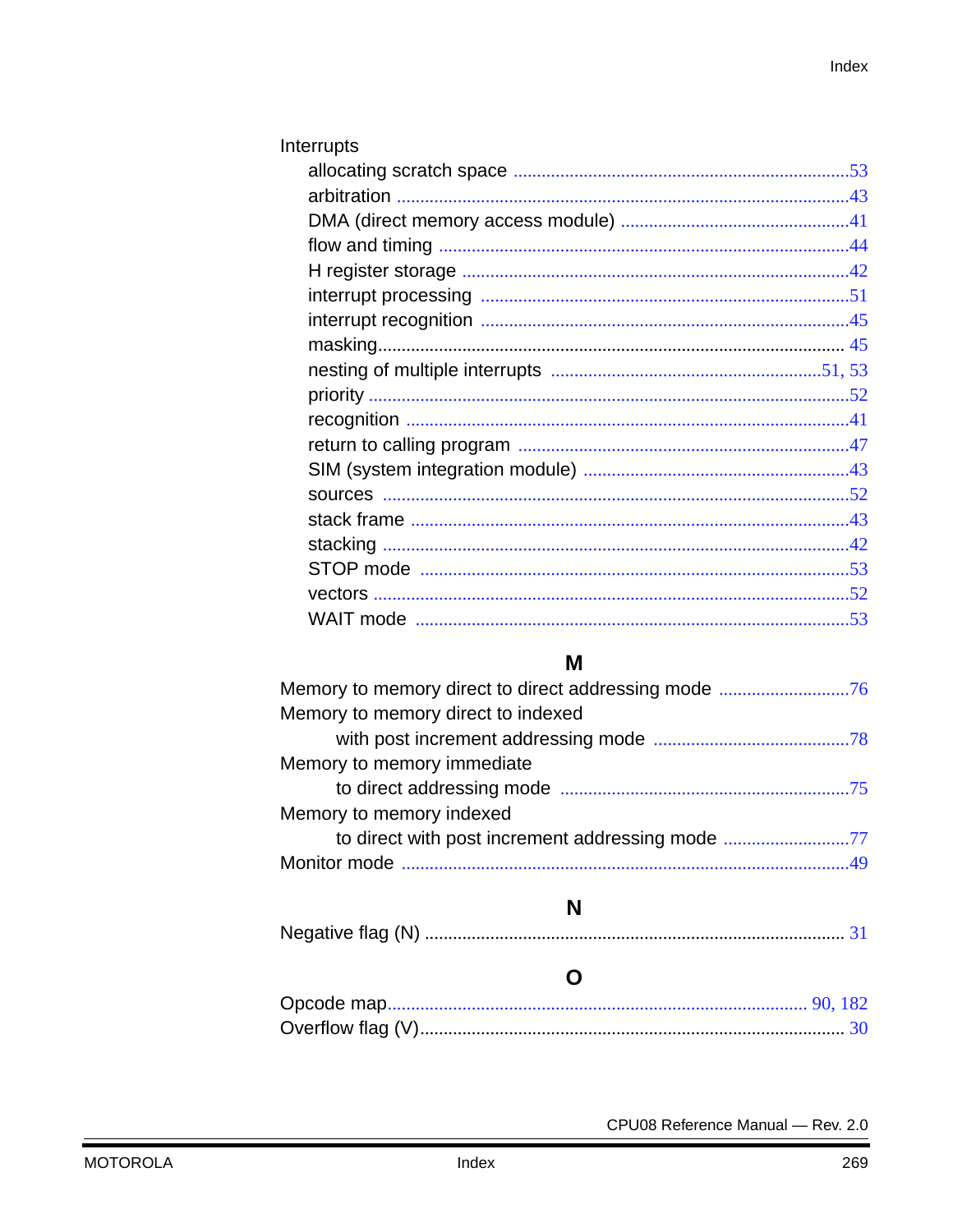| Interrupts |  |
|------------|--|
|            |  |
|            |  |
|            |  |
|            |  |
|            |  |
|            |  |
|            |  |
|            |  |
|            |  |
|            |  |
|            |  |
|            |  |
|            |  |
|            |  |
|            |  |
|            |  |
|            |  |
|            |  |
|            |  |
|            |  |

# $\mathsf{M}$

| Memory to memory direct to indexed |  |
|------------------------------------|--|
|                                    |  |
| Memory to memory immediate         |  |
|                                    |  |
| Memory to memory indexed           |  |
|                                    |  |
|                                    |  |
|                                    |  |

# $\overline{\mathsf{N}}$

|--|--|--|--|

### $\mathbf O$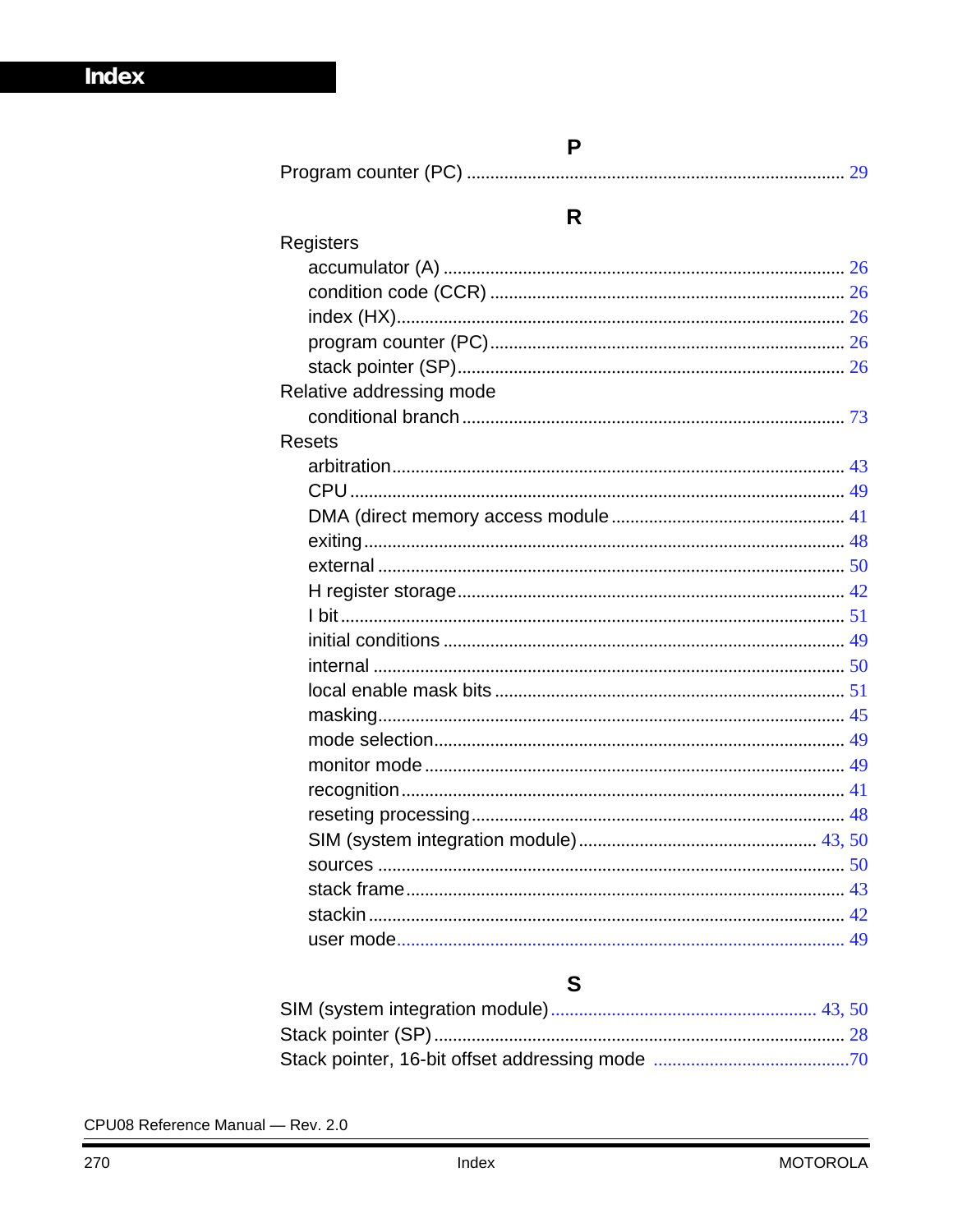| ۰.<br>v |  |
|---------|--|
|         |  |

|--|--|--|--|

## ${\sf R}$

| Registers                |  |
|--------------------------|--|
|                          |  |
|                          |  |
|                          |  |
|                          |  |
|                          |  |
| Relative addressing mode |  |
|                          |  |
| <b>Resets</b>            |  |
|                          |  |
|                          |  |
|                          |  |
|                          |  |
|                          |  |
|                          |  |
|                          |  |
|                          |  |
|                          |  |
|                          |  |
|                          |  |
|                          |  |
|                          |  |
|                          |  |
|                          |  |
|                          |  |
|                          |  |
|                          |  |
|                          |  |
|                          |  |

# $\mathbf S$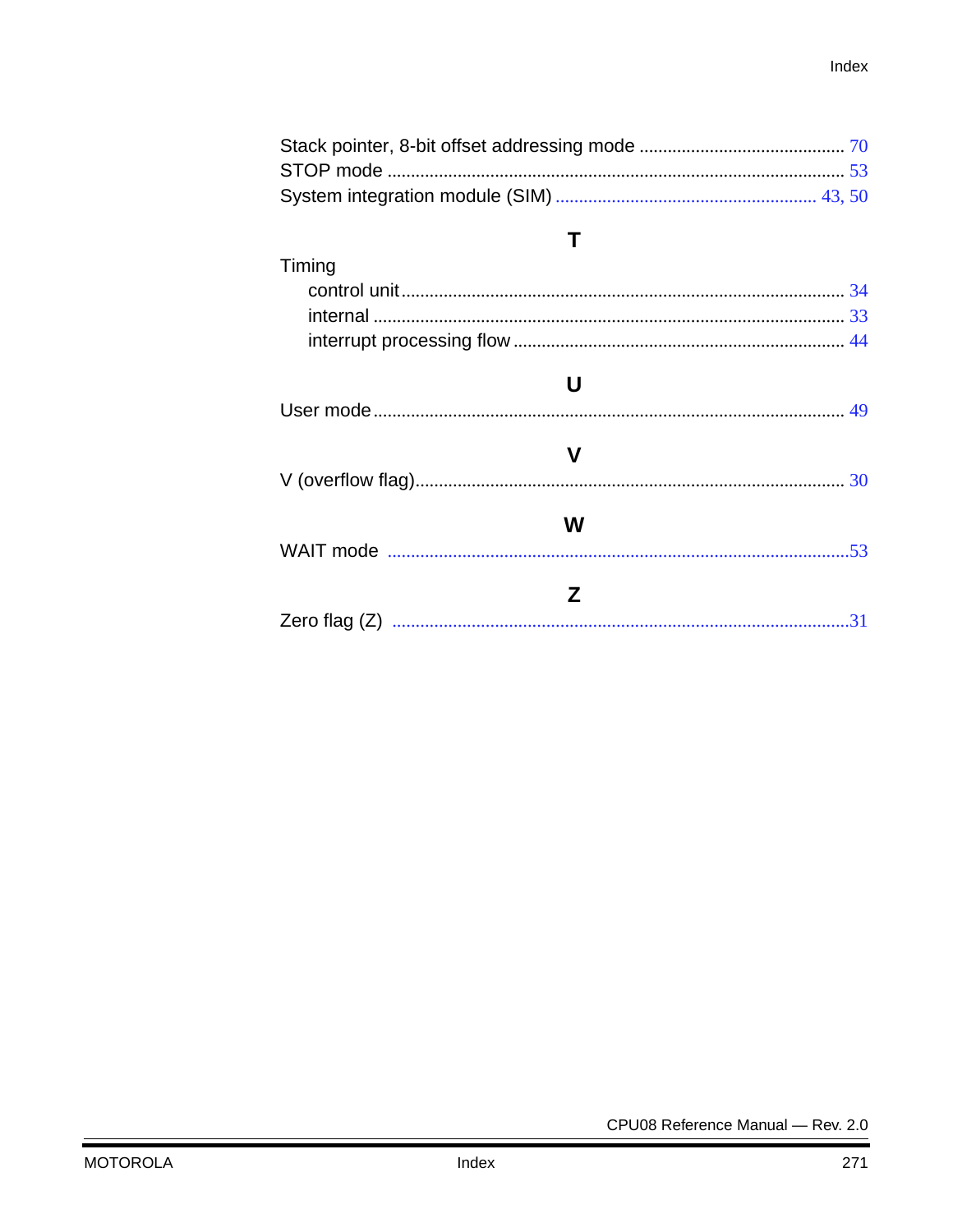## T

| Timing |         |  |
|--------|---------|--|
|        |         |  |
|        |         |  |
|        |         |  |
|        |         |  |
|        |         |  |
|        | ν       |  |
|        |         |  |
|        | W       |  |
|        |         |  |
|        |         |  |
|        | Z<br>31 |  |
|        |         |  |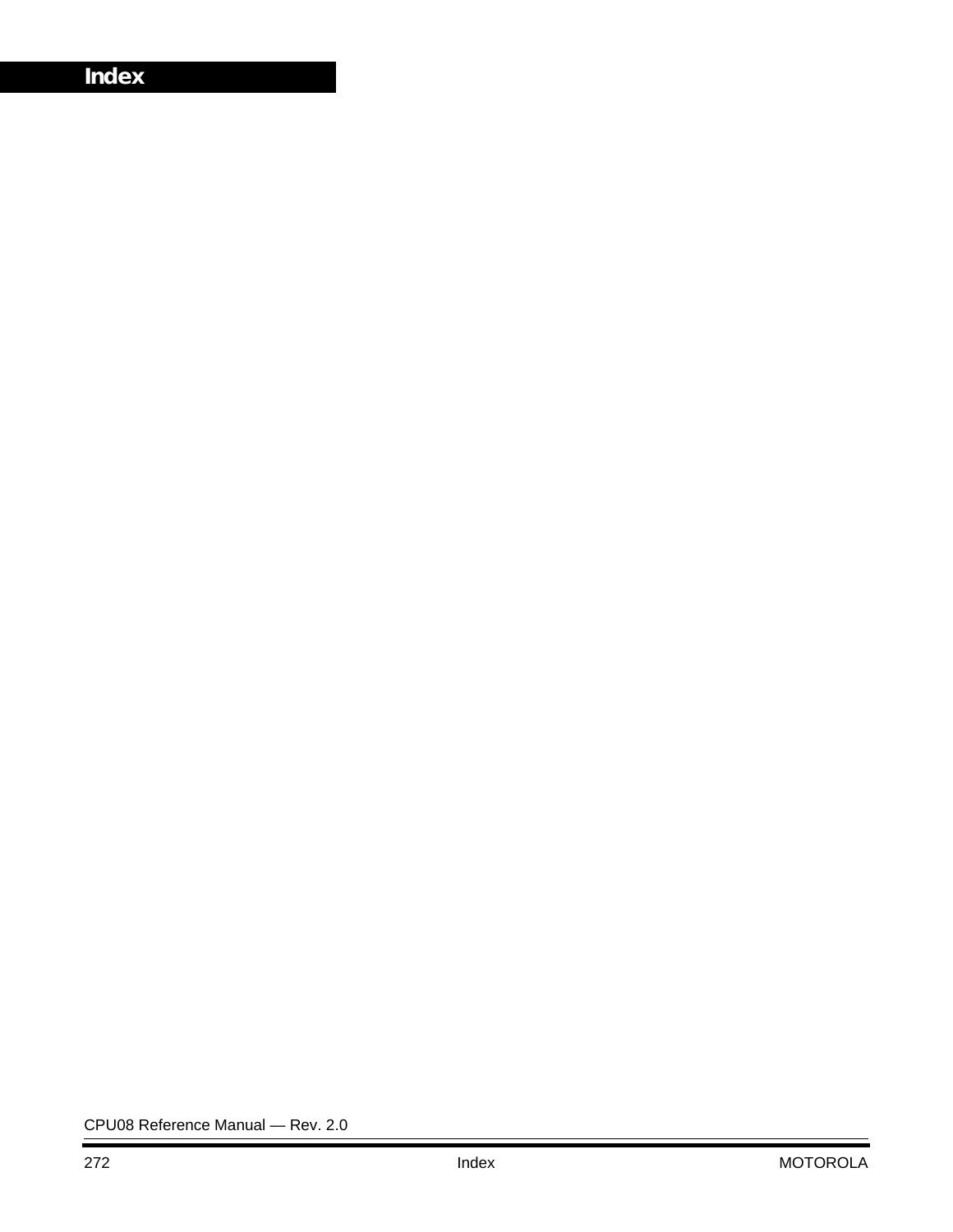# **Index**